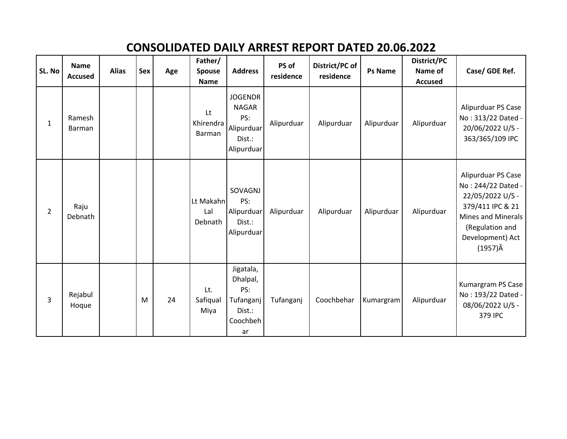## **CONSOLIDATED DAILY ARREST REPORT DATED 20.06.2022**

| SL. No         | <b>Name</b><br><b>Accused</b> | <b>Alias</b> | Sex | Age | Father/<br><b>Spouse</b><br><b>Name</b> | <b>Address</b>                                                              | PS of<br>residence | District/PC of<br>residence | <b>Ps Name</b> | District/PC<br>Name of<br><b>Accused</b> | Case/ GDE Ref.                                                                                                                                                   |
|----------------|-------------------------------|--------------|-----|-----|-----------------------------------------|-----------------------------------------------------------------------------|--------------------|-----------------------------|----------------|------------------------------------------|------------------------------------------------------------------------------------------------------------------------------------------------------------------|
| 1              | Ramesh<br>Barman              |              |     |     | Lt<br>Khirendra<br>Barman               | <b>JOGENDR</b><br><b>NAGAR</b><br>PS:<br>Alipurduar<br>Dist.:<br>Alipurduar | Alipurduar         | Alipurduar                  | Alipurduar     | Alipurduar                               | Alipurduar PS Case<br>No: 313/22 Dated -<br>20/06/2022 U/S -<br>363/365/109 IPC                                                                                  |
| $\overline{2}$ | Raju<br>Debnath               |              |     |     | Lt Makahn<br>Lal<br>Debnath             | SOVAGNJ<br>PS:<br>Alipurduar<br>Dist.:<br>Alipurduar                        | Alipurduar         | Alipurduar                  | Alipurduar     | Alipurduar                               | Alipurduar PS Case<br>No: 244/22 Dated -<br>22/05/2022 U/S -<br>379/411 IPC & 21<br>Mines and Minerals<br>(Regulation and<br>Development) Act<br>$(1957)\hat{A}$ |
| $\overline{3}$ | Rejabul<br>Hoque              |              | M   | 24  | Lt.<br>Safiqual<br>Miya                 | Jigatala,<br>Dhalpal,<br>PS:<br>Tufanganj<br>Dist.:<br>Coochbeh<br>ar       | Tufanganj          | Coochbehar                  | Kumargram      | Alipurduar                               | Kumargram PS Case<br>No: 193/22 Dated -<br>08/06/2022 U/S -<br>379 IPC                                                                                           |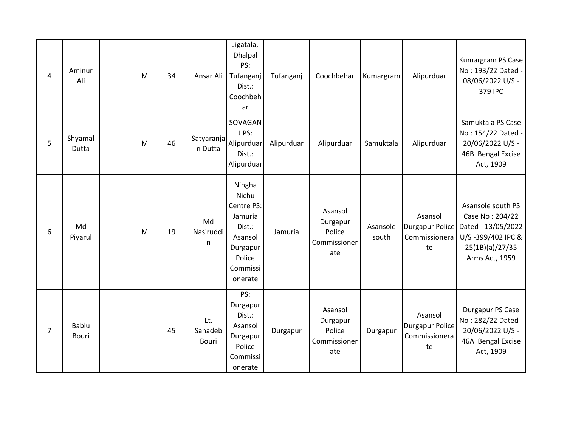| 4              | Aminur<br>Ali    | M | 34 | Ansar Ali               | Jigatala,<br><b>Dhalpal</b><br>PS:<br>Tufanganj<br>Dist.:<br>Coochbeh<br>ar                                | Tufanganj  | Coochbehar                                           | Kumargram         | Alipurduar                                               | Kumargram PS Case<br>No: 193/22 Dated -<br>08/06/2022 U/S -<br>379 IPC                                               |
|----------------|------------------|---|----|-------------------------|------------------------------------------------------------------------------------------------------------|------------|------------------------------------------------------|-------------------|----------------------------------------------------------|----------------------------------------------------------------------------------------------------------------------|
| 5              | Shyamal<br>Dutta | M | 46 | Satyaranja<br>n Dutta   | SOVAGAN<br>J PS:<br>Alipurduar<br>Dist.:<br>Alipurduar                                                     | Alipurduar | Alipurduar                                           | Samuktala         | Alipurduar                                               | Samuktala PS Case<br>No: 154/22 Dated -<br>20/06/2022 U/S -<br>46B Bengal Excise<br>Act, 1909                        |
| 6              | Md<br>Piyarul    | M | 19 | Md<br>Nasiruddi<br>n    | Ningha<br>Nichu<br>Centre PS:<br>Jamuria<br>Dist.:<br>Asansol<br>Durgapur<br>Police<br>Commissi<br>onerate | Jamuria    | Asansol<br>Durgapur<br>Police<br>Commissioner<br>ate | Asansole<br>south | Asansol<br><b>Durgapur Police</b><br>Commissionera<br>te | Asansole south PS<br>Case No: 204/22<br>Dated - 13/05/2022<br>U/S-399/402 IPC &<br>25(1B)(a)/27/35<br>Arms Act, 1959 |
| $\overline{7}$ | Bablu<br>Bouri   |   | 45 | Lt.<br>Sahadeb<br>Bouri | PS:<br>Durgapur<br>Dist.:<br>Asansol<br>Durgapur<br>Police<br>Commissi<br>onerate                          | Durgapur   | Asansol<br>Durgapur<br>Police<br>Commissioner<br>ate | Durgapur          | Asansol<br><b>Durgapur Police</b><br>Commissionera<br>te | Durgapur PS Case<br>No: 282/22 Dated -<br>20/06/2022 U/S -<br>46A Bengal Excise<br>Act, 1909                         |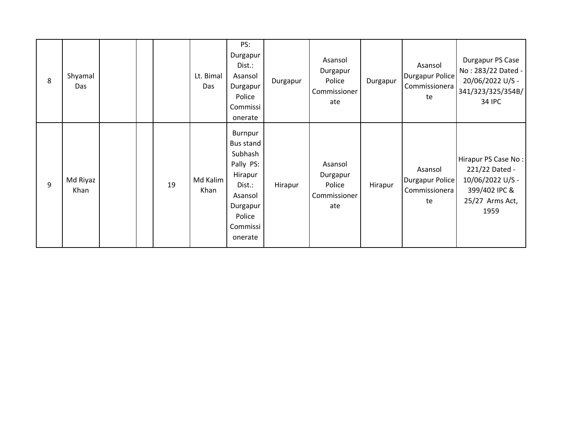| 8 | Shyamal<br>Das   |  |    | Lt. Bimal<br>Das | PS:<br>Durgapur<br>Dist.:<br>Asansol<br>Durgapur<br>Police<br>Commissi<br>onerate                                         | Durgapur | Asansol<br>Durgapur<br>Police<br>Commissioner<br>ate | Durgapur | Asansol<br>Durgapur Police<br>Commissionera<br>te | Durgapur PS Case<br>No: 283/22 Dated -<br>20/06/2022 U/S -<br>341/323/325/354B/<br><b>34 IPC</b>      |
|---|------------------|--|----|------------------|---------------------------------------------------------------------------------------------------------------------------|----------|------------------------------------------------------|----------|---------------------------------------------------|-------------------------------------------------------------------------------------------------------|
| 9 | Md Riyaz<br>Khan |  | 19 | Md Kalim<br>Khan | Burnpur<br>Bus stand<br>Subhash<br>Pally PS:<br>Hirapur<br>Dist.:<br>Asansol<br>Durgapur<br>Police<br>Commissi<br>onerate | Hirapur  | Asansol<br>Durgapur<br>Police<br>Commissioner<br>ate | Hirapur  | Asansol<br>Durgapur Police<br>Commissionera<br>te | Hirapur PS Case No:<br>221/22 Dated -<br>10/06/2022 U/S -<br>399/402 IPC &<br>25/27 Arms Act,<br>1959 |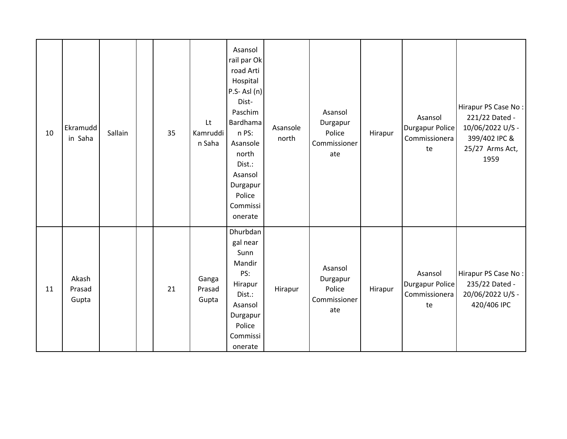| 10 | Ekramudd<br>in Saha      | Sallain | 35 | Lt<br>Kamruddi<br>n Saha | Asansol<br>rail par Ok<br>road Arti<br>Hospital<br>$P.S - AsI(n)$<br>Dist-<br>Paschim<br>Bardhama<br>n PS:<br>Asansole<br>north<br>Dist.:<br>Asansol<br>Durgapur<br>Police<br>Commissi<br>onerate | Asansole<br>north | Asansol<br>Durgapur<br>Police<br>Commissioner<br>ate | Hirapur | Asansol<br><b>Durgapur Police</b><br>Commissionera<br>te | Hirapur PS Case No:<br>221/22 Dated -<br>10/06/2022 U/S -<br>399/402 IPC &<br>25/27 Arms Act,<br>1959 |
|----|--------------------------|---------|----|--------------------------|---------------------------------------------------------------------------------------------------------------------------------------------------------------------------------------------------|-------------------|------------------------------------------------------|---------|----------------------------------------------------------|-------------------------------------------------------------------------------------------------------|
| 11 | Akash<br>Prasad<br>Gupta |         | 21 | Ganga<br>Prasad<br>Gupta | Dhurbdan<br>gal near<br>Sunn<br>Mandir<br>PS:<br>Hirapur<br>Dist.:<br>Asansol<br>Durgapur<br>Police<br>Commissi<br>onerate                                                                        | Hirapur           | Asansol<br>Durgapur<br>Police<br>Commissioner<br>ate | Hirapur | Asansol<br><b>Durgapur Police</b><br>Commissionera<br>te | Hirapur PS Case No:<br>235/22 Dated -<br>20/06/2022 U/S -<br>420/406 IPC                              |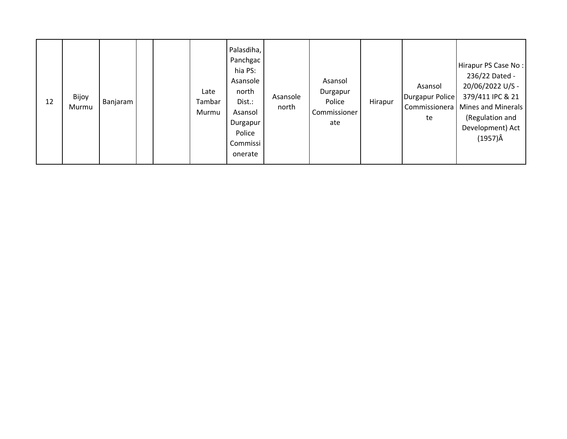| 12 | Bijoy<br>Murmu | Banjaram |  |  | Late<br>Tambar<br>Murmu | Palasdiha,<br>Panchgac<br>hia PS:<br>Asansole<br>north<br>Dist.:<br>Asansol<br>Durgapur<br>Police<br>Commissi<br>onerate | Asansole<br>north | Asansol<br>Durgapur<br>Police<br>Commissioner<br>ate | Hirapur | Asansol<br>Durgapur Police<br>Commissionera<br>te | Hirapur PS Case No:<br>236/22 Dated -<br>20/06/2022 U/S -<br>379/411 IPC & 21<br><b>Mines and Minerals</b><br>(Regulation and<br>Development) Act<br>$(1957)\hat{A}$ |
|----|----------------|----------|--|--|-------------------------|--------------------------------------------------------------------------------------------------------------------------|-------------------|------------------------------------------------------|---------|---------------------------------------------------|----------------------------------------------------------------------------------------------------------------------------------------------------------------------|
|----|----------------|----------|--|--|-------------------------|--------------------------------------------------------------------------------------------------------------------------|-------------------|------------------------------------------------------|---------|---------------------------------------------------|----------------------------------------------------------------------------------------------------------------------------------------------------------------------|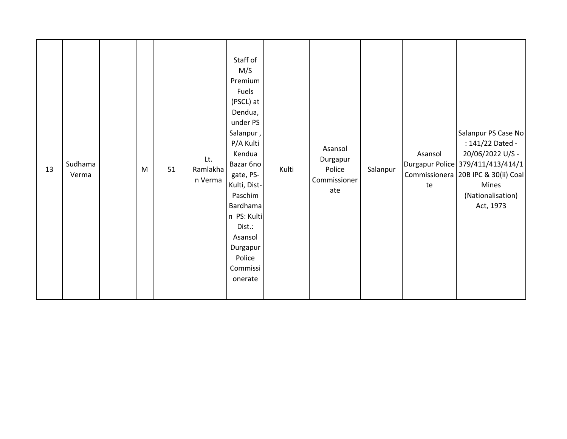| 13 | Sudhama<br>Verma |  | M | 51 | Lt.<br>Ramlakha<br>n Verma | Staff of<br>M/S<br>Premium<br>Fuels<br>(PSCL) at<br>Dendua,<br>under PS<br>Salanpur,<br>P/A Kulti<br>Kendua<br>Bazar 6no<br>gate, PS-<br>Kulti, Dist-<br>Paschim<br>Bardhama<br>n PS: Kulti<br>Dist.:<br>Asansol<br>Durgapur<br>Police<br>Commissi<br>onerate | Kulti | Asansol<br>Durgapur<br>Police<br>Commissioner<br>ate | Salanpur | Asansol<br>te | Salanpur PS Case No<br>: 141/22 Dated -<br>20/06/2022 U/S -<br>Durgapur Police 379/411/413/414/1<br>Commissionera 20B IPC & 30(ii) Coal<br>Mines<br>(Nationalisation)<br>Act, 1973 |
|----|------------------|--|---|----|----------------------------|---------------------------------------------------------------------------------------------------------------------------------------------------------------------------------------------------------------------------------------------------------------|-------|------------------------------------------------------|----------|---------------|------------------------------------------------------------------------------------------------------------------------------------------------------------------------------------|
|----|------------------|--|---|----|----------------------------|---------------------------------------------------------------------------------------------------------------------------------------------------------------------------------------------------------------------------------------------------------------|-------|------------------------------------------------------|----------|---------------|------------------------------------------------------------------------------------------------------------------------------------------------------------------------------------|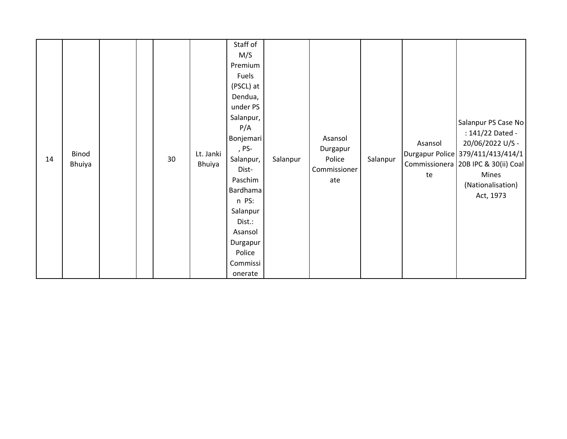| 14 | Binod<br>Bhuiya |  |  | 30 | Lt. Janki<br>Bhuiya | Staff of<br>M/S<br>Premium<br>Fuels<br>(PSCL) at<br>Dendua,<br>under PS<br>Salanpur,<br>P/A<br>Bonjemari<br>, PS-<br>Salanpur,<br>Dist-<br>Paschim<br><b>Bardhama</b><br>n PS:<br>Salanpur<br>Dist.:<br>Asansol<br>Durgapur<br>Police<br>Commissi<br>onerate | Salanpur | Asansol<br>Durgapur<br>Police<br>Commissioner<br>ate | Salanpur | Asansol<br>te | Salanpur PS Case No<br>: 141/22 Dated -<br>20/06/2022 U/S -<br>Durgapur Police 379/411/413/414/1<br>Commissionera 20B IPC & 30(ii) Coal<br>Mines<br>(Nationalisation)<br>Act, 1973 |
|----|-----------------|--|--|----|---------------------|--------------------------------------------------------------------------------------------------------------------------------------------------------------------------------------------------------------------------------------------------------------|----------|------------------------------------------------------|----------|---------------|------------------------------------------------------------------------------------------------------------------------------------------------------------------------------------|
|----|-----------------|--|--|----|---------------------|--------------------------------------------------------------------------------------------------------------------------------------------------------------------------------------------------------------------------------------------------------------|----------|------------------------------------------------------|----------|---------------|------------------------------------------------------------------------------------------------------------------------------------------------------------------------------------|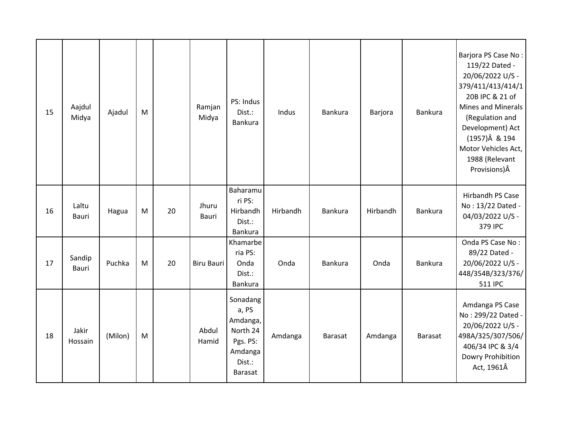| 15 | Aajdul<br>Midya  | Ajadul  | M |    | Ramjan<br>Midya | PS: Indus<br>Dist.:<br>Bankura                                                               | Indus    | <b>Bankura</b> | Barjora  | Bankura        | Barjora PS Case No:<br>119/22 Dated -<br>20/06/2022 U/S -<br>379/411/413/414/1<br>20B IPC & 21 of<br><b>Mines and Minerals</b><br>(Regulation and<br>Development) Act<br>(1957)Â & 194<br>Motor Vehicles Act,<br>1988 (Relevant<br>Provisions)Â |
|----|------------------|---------|---|----|-----------------|----------------------------------------------------------------------------------------------|----------|----------------|----------|----------------|-------------------------------------------------------------------------------------------------------------------------------------------------------------------------------------------------------------------------------------------------|
| 16 | Laltu<br>Bauri   | Hagua   | M | 20 | Jhuru<br>Bauri  | Baharamu<br>ri PS:<br>Hirbandh<br>Dist.:<br>Bankura                                          | Hirbandh | <b>Bankura</b> | Hirbandh | Bankura        | Hirbandh PS Case<br>No: 13/22 Dated -<br>04/03/2022 U/S -<br>379 IPC                                                                                                                                                                            |
| 17 | Sandip<br>Bauri  | Puchka  | M | 20 | Biru Bauri      | Khamarbe<br>ria PS:<br>Onda<br>Dist.:<br>Bankura                                             | Onda     | <b>Bankura</b> | Onda     | Bankura        | Onda PS Case No:<br>89/22 Dated -<br>20/06/2022 U/S -<br>448/354B/323/376/<br>511 IPC                                                                                                                                                           |
| 18 | Jakir<br>Hossain | (Milon) | M |    | Abdul<br>Hamid  | Sonadang<br>a, PS<br>Amdanga,<br>North 24<br>Pgs. PS:<br>Amdanga<br>Dist.:<br><b>Barasat</b> | Amdanga  | Barasat        | Amdanga  | <b>Barasat</b> | Amdanga PS Case<br>No: 299/22 Dated -<br>20/06/2022 U/S -<br>498A/325/307/506/<br>406/34 IPC & 3/4<br>Dowry Prohibition<br>Act, 1961Â                                                                                                           |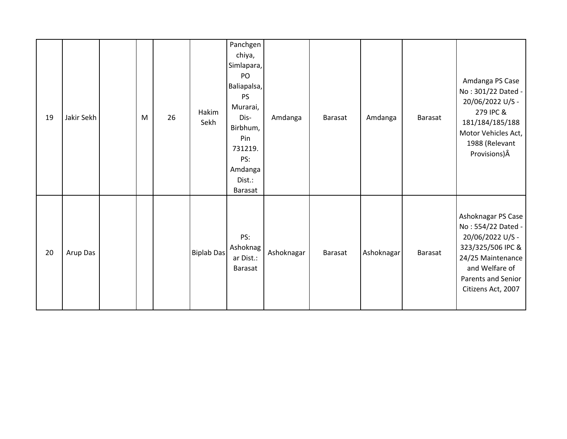| 19 | Jakir Sekh | M | 26 | Hakim<br>Sekh     | Panchgen<br>chiya,<br>Simlapara,<br>PO<br>Baliapalsa,<br><b>PS</b><br>Murarai,<br>Dis-<br>Birbhum,<br>Pin<br>731219.<br>PS:<br>Amdanga<br>Dist.:<br>Barasat | Amdanga    | Barasat        | Amdanga    | Barasat | Amdanga PS Case<br>No: 301/22 Dated -<br>20/06/2022 U/S -<br>279 IPC &<br>181/184/185/188<br>Motor Vehicles Act,<br>1988 (Relevant<br>Provisions) Â                  |
|----|------------|---|----|-------------------|-------------------------------------------------------------------------------------------------------------------------------------------------------------|------------|----------------|------------|---------|----------------------------------------------------------------------------------------------------------------------------------------------------------------------|
| 20 | Arup Das   |   |    | <b>Biplab Das</b> | PS:<br>Ashoknag<br>ar Dist.:<br>Barasat                                                                                                                     | Ashoknagar | <b>Barasat</b> | Ashoknagar | Barasat | Ashoknagar PS Case<br>No: 554/22 Dated -<br>20/06/2022 U/S -<br>323/325/506 IPC &<br>24/25 Maintenance<br>and Welfare of<br>Parents and Senior<br>Citizens Act, 2007 |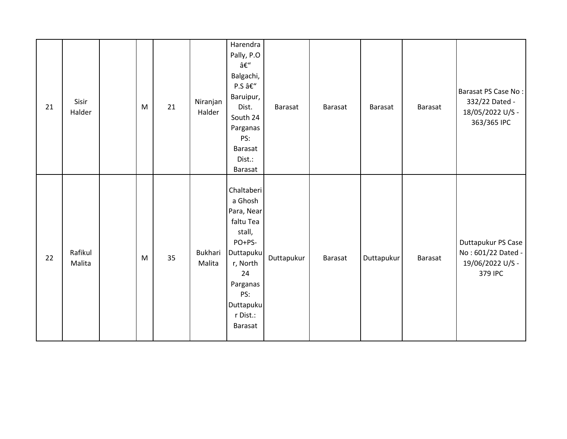| 21 | Sisir<br>Halder   | M | 21 | Niranjan<br>Halder       | Harendra<br>Pally, P.O<br>â $\epsilon$ "<br>Balgachi,<br>P.S –<br>Baruipur,<br>Dist.<br>South 24<br>Parganas<br>PS:<br>Barasat<br>Dist.:<br>Barasat               | Barasat    | Barasat | Barasat    | Barasat | Barasat PS Case No:<br>332/22 Dated -<br>18/05/2022 U/S -<br>363/365 IPC |
|----|-------------------|---|----|--------------------------|-------------------------------------------------------------------------------------------------------------------------------------------------------------------|------------|---------|------------|---------|--------------------------------------------------------------------------|
| 22 | Rafikul<br>Malita | M | 35 | <b>Bukhari</b><br>Malita | Chaltaberi<br>a Ghosh<br>Para, Near<br>faltu Tea<br>stall,<br>PO+PS-<br>Duttapuku<br>r, North<br>24<br>Parganas<br>PS:<br>Duttapuku<br>r Dist.:<br><b>Barasat</b> | Duttapukur | Barasat | Duttapukur | Barasat | Duttapukur PS Case<br>No: 601/22 Dated -<br>19/06/2022 U/S -<br>379 IPC  |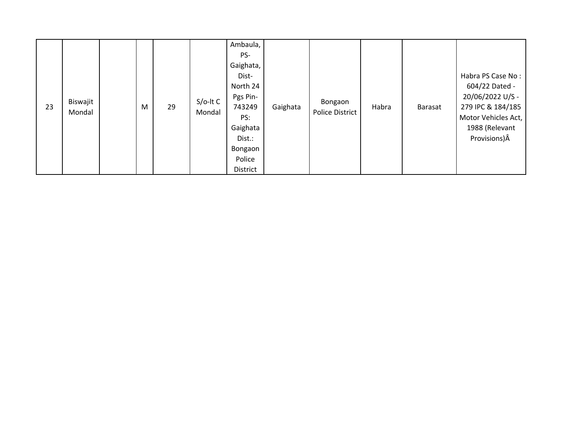| 23 | Biswajit<br>Mondal |  | M | 29 | $S/O-ItC$<br>Mondal | Ambaula,<br>PS-<br>Gaighata,<br>Dist-<br>North 24<br>Pgs Pin-<br>743249<br>PS:<br>Gaighata<br>Dist.:<br>Bongaon<br>Police<br>District | Gaighata | Bongaon<br>Police District | Habra | Barasat | Habra PS Case No:<br>604/22 Dated -<br>20/06/2022 U/S -<br>279 IPC & 184/185<br>Motor Vehicles Act,<br>1988 (Relevant<br>Provisions) $\hat{A}$ |
|----|--------------------|--|---|----|---------------------|---------------------------------------------------------------------------------------------------------------------------------------|----------|----------------------------|-------|---------|------------------------------------------------------------------------------------------------------------------------------------------------|
|----|--------------------|--|---|----|---------------------|---------------------------------------------------------------------------------------------------------------------------------------|----------|----------------------------|-------|---------|------------------------------------------------------------------------------------------------------------------------------------------------|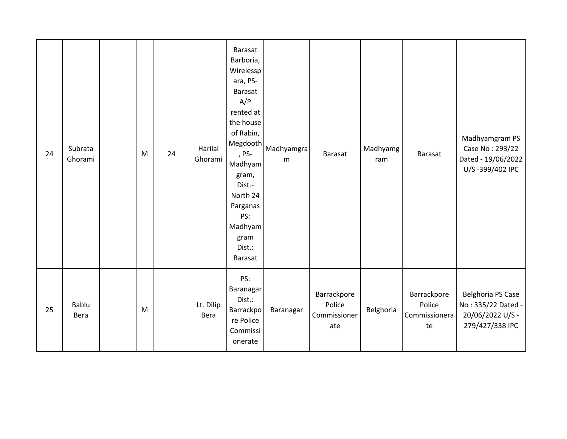| 24 | Subrata<br>Ghorami | M | 24 | Harilal<br>Ghorami | Barasat<br>Barboria,<br>Wirelessp<br>ara, PS-<br>Barasat<br>A/P<br>rented at<br>the house<br>of Rabin,<br>Megdooth<br>, PS-<br>Madhyam<br>gram,<br>Dist.-<br>North 24<br>Parganas<br>PS:<br>Madhyam<br>gram<br>Dist.:<br><b>Barasat</b> | Madhyamgra<br>m | Barasat                                      | Madhyamg<br>ram | Barasat                                      | Madhyamgram PS<br>Case No: 293/22<br>Dated - 19/06/2022<br>U/S-399/402 IPC     |
|----|--------------------|---|----|--------------------|-----------------------------------------------------------------------------------------------------------------------------------------------------------------------------------------------------------------------------------------|-----------------|----------------------------------------------|-----------------|----------------------------------------------|--------------------------------------------------------------------------------|
| 25 | Bablu<br>Bera      | M |    | Lt. Dilip<br>Bera  | PS:<br>Baranagar<br>Dist.:<br>Barrackpo<br>re Police<br>Commissi<br>onerate                                                                                                                                                             | Baranagar       | Barrackpore<br>Police<br>Commissioner<br>ate | Belghoria       | Barrackpore<br>Police<br>Commissionera<br>te | Belghoria PS Case<br>No: 335/22 Dated -<br>20/06/2022 U/S -<br>279/427/338 IPC |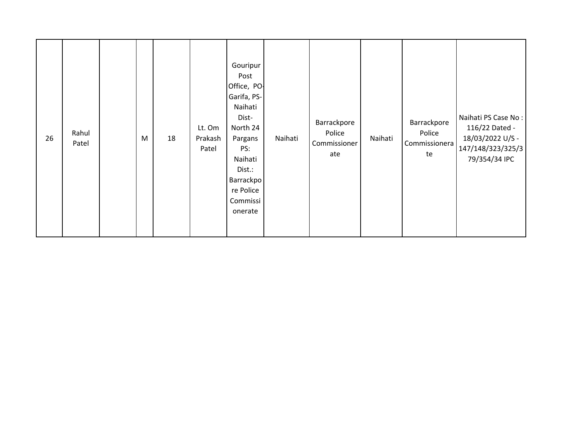| 26 | Rahul<br>Patel |  | M | 18 | Lt. Om<br>Prakash<br>Patel | Gouripur<br>Post<br>Office, PO-<br>Garifa, PS-<br>Naihati<br>Dist-<br>North 24<br>Pargans<br>PS:<br>Naihati<br>Dist.:<br><b>Barrackpo</b><br>re Police<br>Commissi<br>onerate | Naihati | Barrackpore<br>Police<br>Commissioner<br>ate | Naihati | Barrackpore<br>Police<br>Commissionera<br>te | Naihati PS Case No:<br>116/22 Dated -<br>18/03/2022 U/S -<br>147/148/323/325/3<br>79/354/34 IPC |
|----|----------------|--|---|----|----------------------------|-------------------------------------------------------------------------------------------------------------------------------------------------------------------------------|---------|----------------------------------------------|---------|----------------------------------------------|-------------------------------------------------------------------------------------------------|
|----|----------------|--|---|----|----------------------------|-------------------------------------------------------------------------------------------------------------------------------------------------------------------------------|---------|----------------------------------------------|---------|----------------------------------------------|-------------------------------------------------------------------------------------------------|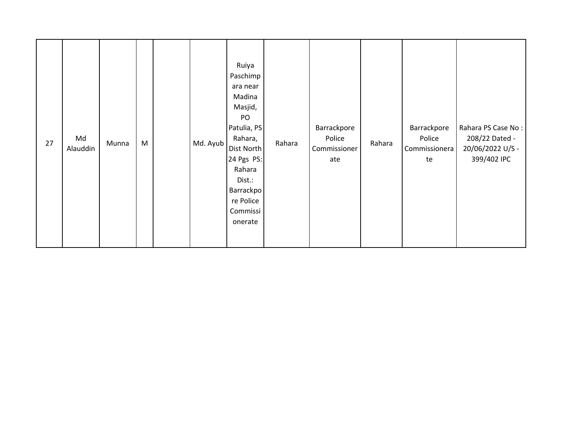| 27 | Md<br>Alauddin | Munna | M |  | Md. Ayub | Ruiya<br>Paschimp<br>ara near<br>Madina<br>Masjid,<br>PO<br>Patulia, PS<br>Rahara,<br>Dist North<br>24 Pgs PS:<br>Rahara<br>Dist.:<br>Barrackpo<br>re Police<br>Commissi<br>onerate | Rahara | Barrackpore<br>Police<br>Commissioner<br>ate | Rahara | Barrackpore<br>Police<br>Commissionera<br>te | Rahara PS Case No:<br>208/22 Dated -<br>20/06/2022 U/S -<br>399/402 IPC |
|----|----------------|-------|---|--|----------|-------------------------------------------------------------------------------------------------------------------------------------------------------------------------------------|--------|----------------------------------------------|--------|----------------------------------------------|-------------------------------------------------------------------------|
|----|----------------|-------|---|--|----------|-------------------------------------------------------------------------------------------------------------------------------------------------------------------------------------|--------|----------------------------------------------|--------|----------------------------------------------|-------------------------------------------------------------------------|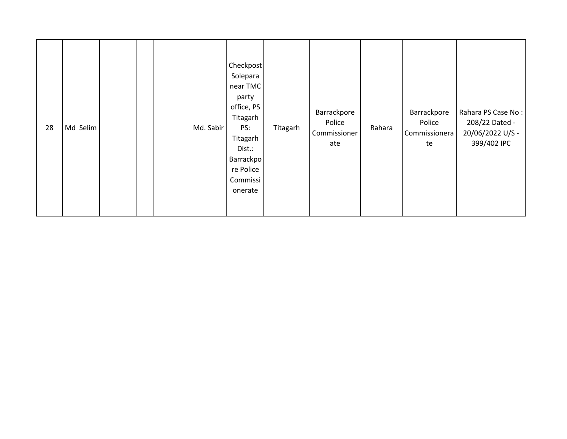| 28 | Md Selim |  |  |  | Md. Sabir | Checkpost<br>Solepara<br>near TMC<br>party<br>office, PS<br>Titagarh<br>PS:<br>Titagarh<br>Dist.:<br>Barrackpo<br>re Police<br>Commissi<br>onerate | Titagarh | Barrackpore<br>Police<br>Commissioner<br>ate | Rahara | Barrackpore<br>Police<br>Commissionera<br>te | Rahara PS Case No:<br>208/22 Dated -<br>20/06/2022 U/S -<br>399/402 IPC |
|----|----------|--|--|--|-----------|----------------------------------------------------------------------------------------------------------------------------------------------------|----------|----------------------------------------------|--------|----------------------------------------------|-------------------------------------------------------------------------|
|----|----------|--|--|--|-----------|----------------------------------------------------------------------------------------------------------------------------------------------------|----------|----------------------------------------------|--------|----------------------------------------------|-------------------------------------------------------------------------|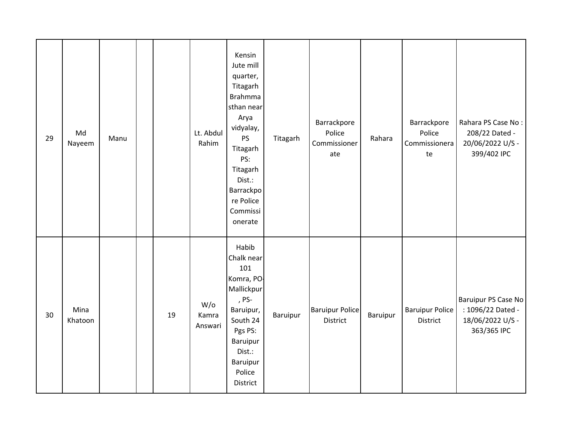| 29 | Md<br>Nayeem    | Manu |    | Lt. Abdul<br>Rahim         | Kensin<br>Jute mill<br>quarter,<br>Titagarh<br><b>Brahmma</b><br>sthan near<br>Arya<br>vidyalay,<br>PS<br>Titagarh<br>PS:<br>Titagarh<br>Dist.:<br>Barrackpo<br>re Police<br>Commissi<br>onerate | Titagarh | Barrackpore<br>Police<br>Commissioner<br>ate | Rahara   | Barrackpore<br>Police<br>Commissionera<br>te | Rahara PS Case No:<br>208/22 Dated -<br>20/06/2022 U/S -<br>399/402 IPC     |
|----|-----------------|------|----|----------------------------|--------------------------------------------------------------------------------------------------------------------------------------------------------------------------------------------------|----------|----------------------------------------------|----------|----------------------------------------------|-----------------------------------------------------------------------------|
| 30 | Mina<br>Khatoon |      | 19 | $W$ /0<br>Kamra<br>Answari | Habib<br>Chalk near<br>101<br>Komra, PO-<br>Mallickpur<br>, PS-<br>Baruipur,<br>South 24<br>Pgs PS:<br>Baruipur<br>Dist.:<br>Baruipur<br>Police<br>District                                      | Baruipur | <b>Baruipur Police</b><br>District           | Baruipur | <b>Baruipur Police</b><br>District           | Baruipur PS Case No<br>: 1096/22 Dated -<br>18/06/2022 U/S -<br>363/365 IPC |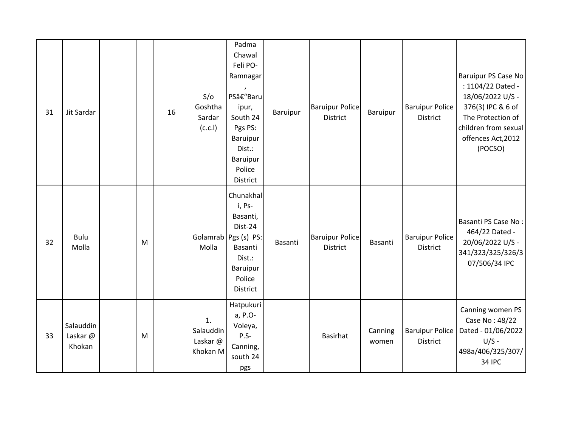| 31 | Jit Sardar                     |   | 16 | S/O<br>Goshtha<br>Sardar<br>(C.C.1)    | Padma<br>Chawal<br>Feli PO-<br>Ramnagar<br>PS–Baru<br>ipur,<br>South 24<br>Pgs PS:<br>Baruipur<br>Dist.:<br>Baruipur<br>Police<br>District | Baruipur | <b>Baruipur Police</b><br>District        | Baruipur         | <b>Baruipur Police</b><br>District        | Baruipur PS Case No<br>: 1104/22 Dated -<br>18/06/2022 U/S -<br>376(3) IPC & 6 of<br>The Protection of<br>children from sexual<br>offences Act, 2012<br>(POCSO) |
|----|--------------------------------|---|----|----------------------------------------|--------------------------------------------------------------------------------------------------------------------------------------------|----------|-------------------------------------------|------------------|-------------------------------------------|-----------------------------------------------------------------------------------------------------------------------------------------------------------------|
| 32 | <b>Bulu</b><br>Molla           | M |    | Molla                                  | Chunakhal<br>i, Ps-<br>Basanti,<br>Dist-24<br>Golamrab Pgs (s) PS:<br>Basanti<br>Dist.:<br>Baruipur<br>Police<br>District                  | Basanti  | <b>Baruipur Police</b><br><b>District</b> | Basanti          | <b>Baruipur Police</b><br><b>District</b> | Basanti PS Case No:<br>464/22 Dated -<br>20/06/2022 U/S -<br>341/323/325/326/3<br>07/506/34 IPC                                                                 |
| 33 | Salauddin<br>Laskar@<br>Khokan | M |    | 1.<br>Salauddin<br>Laskar@<br>Khokan M | Hatpukuri<br>a, P.O-<br>Voleya,<br>$P.S-$<br>Canning,<br>south 24<br>pgs                                                                   |          | Basirhat                                  | Canning<br>women | <b>Baruipur Police</b><br>District        | Canning women PS<br>Case No: 48/22<br>Dated - 01/06/2022<br>$U/S -$<br>498a/406/325/307/<br><b>34 IPC</b>                                                       |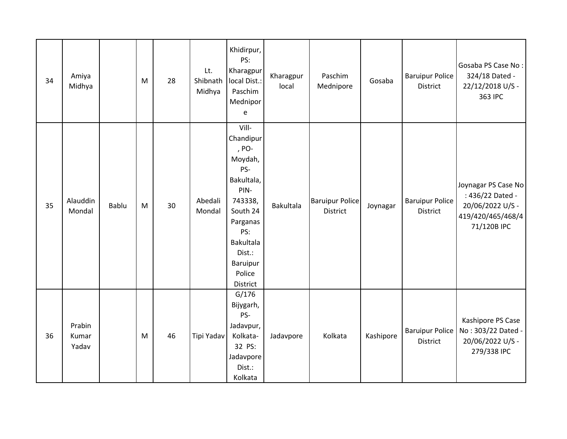| 34 | Amiya<br>Midhya          |              | M | 28 | Lt.<br>Shibnath<br>Midhya | Khidirpur,<br>PS:<br>Kharagpur<br>local Dist.:<br>Paschim<br>Mednipor<br>e                                                                                                    | Kharagpur<br>local | Paschim<br>Mednipore                      | Gosaba    | <b>Baruipur Police</b><br><b>District</b> | Gosaba PS Case No:<br>324/18 Dated -<br>22/12/2018 U/S -<br>363 IPC                             |
|----|--------------------------|--------------|---|----|---------------------------|-------------------------------------------------------------------------------------------------------------------------------------------------------------------------------|--------------------|-------------------------------------------|-----------|-------------------------------------------|-------------------------------------------------------------------------------------------------|
| 35 | Alauddin<br>Mondal       | <b>Bablu</b> | M | 30 | Abedali<br>Mondal         | Vill-<br>Chandipur<br>, PO-<br>Moydah,<br>PS-<br>Bakultala,<br>PIN-<br>743338,<br>South 24<br>Parganas<br>PS:<br><b>Bakultala</b><br>Dist.:<br>Baruipur<br>Police<br>District | Bakultala          | <b>Baruipur Police</b><br><b>District</b> | Joynagar  | <b>Baruipur Police</b><br><b>District</b> | Joynagar PS Case No<br>: 436/22 Dated -<br>20/06/2022 U/S -<br>419/420/465/468/4<br>71/120B IPC |
| 36 | Prabin<br>Kumar<br>Yadav |              | M | 46 | Tipi Yadav                | G/176<br>Bijygarh,<br>PS-<br>Jadavpur,<br>Kolkata-<br>32 PS:<br>Jadavpore<br>Dist.:<br>Kolkata                                                                                | Jadavpore          | Kolkata                                   | Kashipore | <b>Baruipur Police</b><br>District        | Kashipore PS Case<br>No: 303/22 Dated -<br>20/06/2022 U/S -<br>279/338 IPC                      |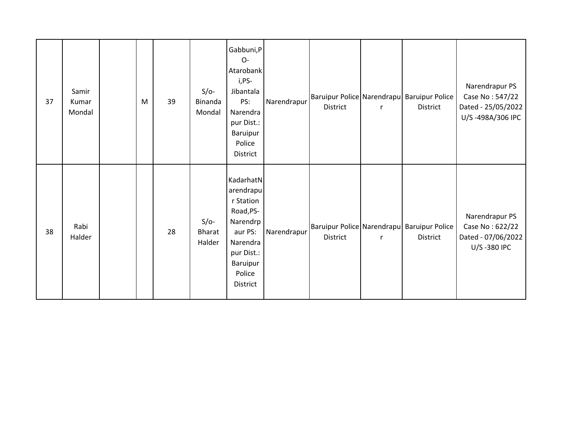| 37 | Samir<br>Kumar<br>Mondal | M | 39 | $S/O-$<br>Binanda<br>Mondal       | Gabbuni,P<br>O-<br>Atarobank<br>i,PS-<br>Jibantala<br>PS:<br>Narendra<br>pur Dist.:<br>Baruipur<br>Police<br>District               | Narendrapur | District        | $\mathsf{r}$ | Baruipur Police Narendrapu Baruipur Police<br>District        | Narendrapur PS<br>Case No: 547/22<br>Dated - 25/05/2022<br>U/S-498A/306 IPC |
|----|--------------------------|---|----|-----------------------------------|-------------------------------------------------------------------------------------------------------------------------------------|-------------|-----------------|--------------|---------------------------------------------------------------|-----------------------------------------------------------------------------|
| 38 | Rabi<br>Halder           |   | 28 | $S/O-$<br><b>Bharat</b><br>Halder | KadarhatN<br>arendrapu<br>r Station<br>Road, PS-<br>Narendrp<br>aur PS:<br>Narendra<br>pur Dist.:<br>Baruipur<br>Police<br>District | Narendrapur | <b>District</b> | $\mathsf{r}$ | Baruipur Police Narendrapu Baruipur Police<br><b>District</b> | Narendrapur PS<br>Case No: 622/22<br>Dated - 07/06/2022<br>U/S-380 IPC      |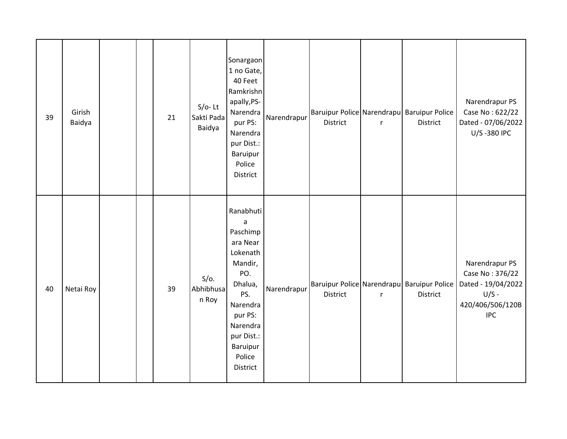| 39 | Girish<br>Baidya |  | 21 | $S/O-$ Lt<br>Sakti Pada<br>Baidya | Sonargaon<br>1 no Gate,<br>40 Feet<br>Ramkrishn<br>apally, PS-<br>Narendra<br>pur PS:<br>Narendra<br>pur Dist.:<br>Baruipur<br>Police<br>District                                   | Narendrapur | District | $\mathsf{r}$ | Baruipur Police Narendrapu Baruipur Police<br>District | Narendrapur PS<br>Case No: 622/22<br>Dated - 07/06/2022<br>U/S-380 IPC                               |
|----|------------------|--|----|-----------------------------------|-------------------------------------------------------------------------------------------------------------------------------------------------------------------------------------|-------------|----------|--------------|--------------------------------------------------------|------------------------------------------------------------------------------------------------------|
| 40 | Netai Roy        |  | 39 | $S/O$ .<br>Abhibhusa<br>n Roy     | Ranabhuti<br>$\mathsf a$<br>Paschimp<br>ara Near<br>Lokenath<br>Mandir,<br>PO.<br>Dhalua,<br>PS.<br>Narendra<br>pur PS:<br>Narendra<br>pur Dist.:<br>Baruipur<br>Police<br>District | Narendrapur | District | $\mathsf{r}$ | Baruipur Police Narendrapu Baruipur Police<br>District | Narendrapur PS<br>Case No: 376/22<br>Dated - 19/04/2022<br>$U/S -$<br>420/406/506/120B<br><b>IPC</b> |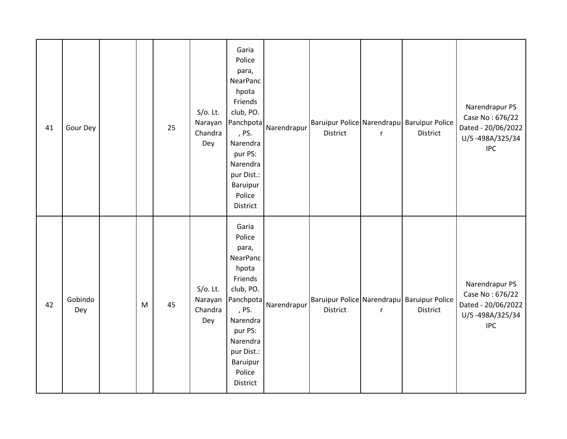| 41 | Gour Dey       |   | 25 | $S/O$ . Lt.<br>Narayan<br>Chandra<br>Dey | Garia<br>Police<br>para,<br>NearPanc<br>hpota<br>Friends<br>club, PO.<br>Panchpota<br>, PS.<br>Narendra<br>pur PS:<br>Narendra<br>pur Dist.:<br>Baruipur<br>Police<br><b>District</b> | Narendrapur | District | $\mathsf{r}$ | Baruipur Police Narendrapu Baruipur Police<br><b>District</b> | Narendrapur PS<br>Case No: 676/22<br>Dated - 20/06/2022<br>U/S-498A/325/34<br><b>IPC</b> |
|----|----------------|---|----|------------------------------------------|---------------------------------------------------------------------------------------------------------------------------------------------------------------------------------------|-------------|----------|--------------|---------------------------------------------------------------|------------------------------------------------------------------------------------------|
| 42 | Gobindo<br>Dey | M | 45 | $S/O$ . Lt.<br>Narayan<br>Chandra<br>Dey | Garia<br>Police<br>para,<br>NearPanc<br>hpota<br>Friends<br>club, PO.<br>Panchpota<br>, PS.<br>Narendra<br>pur PS:<br>Narendra<br>pur Dist.:<br>Baruipur<br>Police<br>District        | Narendrapur | District | $\mathsf{r}$ | Baruipur Police Narendrapu Baruipur Police<br><b>District</b> | Narendrapur PS<br>Case No: 676/22<br>Dated - 20/06/2022<br>U/S-498A/325/34<br><b>IPC</b> |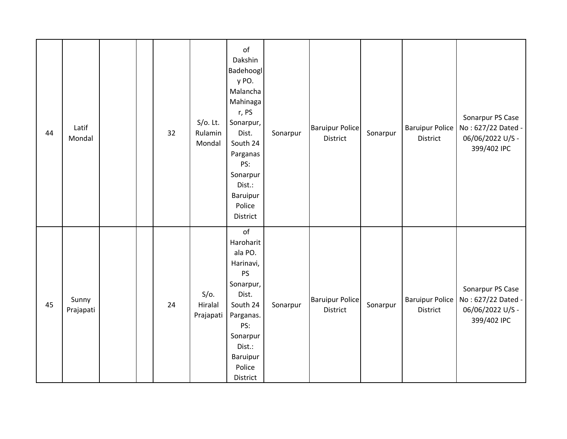| 44 | Latif<br>Mondal    |  | 32 | $S/O$ . Lt.<br>Rulamin<br>Mondal | of<br>Dakshin<br>Badehoogl<br>y PO.<br>Malancha<br>Mahinaga<br>r, PS<br>Sonarpur,<br>Dist.<br>South 24<br>Parganas<br>PS:<br>Sonarpur<br>Dist.:<br>Baruipur<br>Police<br>District | Sonarpur | <b>Baruipur Police</b><br>District | Sonarpur | <b>Baruipur Police</b><br>District | Sonarpur PS Case<br>No: 627/22 Dated -<br>06/06/2022 U/S -<br>399/402 IPC |
|----|--------------------|--|----|----------------------------------|-----------------------------------------------------------------------------------------------------------------------------------------------------------------------------------|----------|------------------------------------|----------|------------------------------------|---------------------------------------------------------------------------|
| 45 | Sunny<br>Prajapati |  | 24 | $S/O$ .<br>Hiralal<br>Prajapati  | of<br>Haroharit<br>ala PO.<br>Harinavi,<br><b>PS</b><br>Sonarpur,<br>Dist.<br>South 24<br>Parganas.<br>PS:<br>Sonarpur<br>Dist.:<br>Baruipur<br>Police<br>District                | Sonarpur | <b>Baruipur Police</b><br>District | Sonarpur | <b>Baruipur Police</b><br>District | Sonarpur PS Case<br>No: 627/22 Dated -<br>06/06/2022 U/S -<br>399/402 IPC |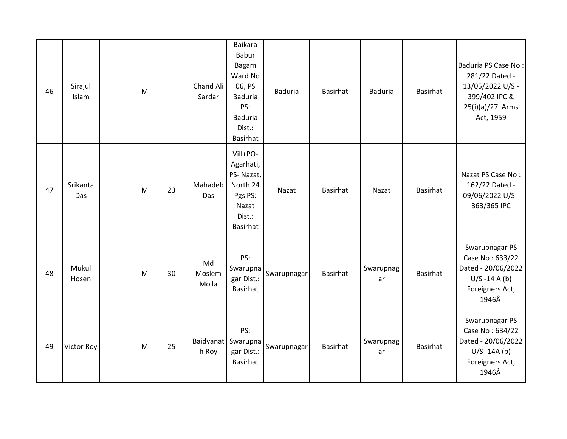| 46 | Sirajul<br>Islam | M |    | Chand Ali<br>Sardar   | <b>Baikara</b><br>Babur<br><b>Bagam</b><br>Ward No<br>06, PS<br><b>Baduria</b><br>PS:<br><b>Baduria</b><br>Dist.:<br>Basirhat | <b>Baduria</b> | <b>Basirhat</b> | <b>Baduria</b>  | Basirhat | Baduria PS Case No:<br>281/22 Dated -<br>13/05/2022 U/S -<br>399/402 IPC &<br>25(i)(a)/27 Arms<br>Act, 1959 |
|----|------------------|---|----|-----------------------|-------------------------------------------------------------------------------------------------------------------------------|----------------|-----------------|-----------------|----------|-------------------------------------------------------------------------------------------------------------|
| 47 | Srikanta<br>Das  | M | 23 | Mahadeb<br>Das        | Vill+PO-<br>Agarhati,<br>PS-Nazat,<br>North 24<br>Pgs PS:<br>Nazat<br>Dist.:<br>Basirhat                                      | Nazat          | <b>Basirhat</b> | Nazat           | Basirhat | Nazat PS Case No:<br>162/22 Dated -<br>09/06/2022 U/S -<br>363/365 IPC                                      |
| 48 | Mukul<br>Hosen   | M | 30 | Md<br>Moslem<br>Molla | PS:<br>Swarupna<br>gar Dist.:<br>Basirhat                                                                                     | Swarupnagar    | <b>Basirhat</b> | Swarupnag<br>ar | Basirhat | Swarupnagar PS<br>Case No: 633/22<br>Dated - 20/06/2022<br>$U/S - 14 A(b)$<br>Foreigners Act,<br>1946Â      |
| 49 | Victor Roy       | M | 25 | h Roy                 | PS:<br>Baidyanat Swarupna<br>gar Dist.:<br>Basirhat                                                                           | Swarupnagar    | Basirhat        | Swarupnag<br>ar | Basirhat | Swarupnagar PS<br>Case No: 634/22<br>Dated - 20/06/2022<br>$U/S - 14A(b)$<br>Foreigners Act,<br>1946Â       |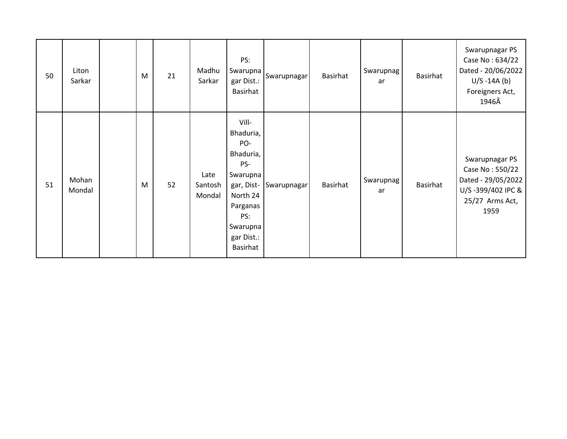| 50 | Liton<br>Sarkar | M | 21 | Madhu<br>Sarkar           | PS:<br>Swarupna  <br>gar Dist.:<br>Basirhat                                                                                                  | Swarupnagar | Basirhat | Swarupnag<br>ar | Basirhat        | Swarupnagar PS<br>Case No: 634/22<br>Dated - 20/06/2022<br>$U/S - 14A(b)$<br>Foreigners Act,<br>1946Â   |
|----|-----------------|---|----|---------------------------|----------------------------------------------------------------------------------------------------------------------------------------------|-------------|----------|-----------------|-----------------|---------------------------------------------------------------------------------------------------------|
| 51 | Mohan<br>Mondal | M | 52 | Late<br>Santosh<br>Mondal | Vill-<br>Bhaduria,<br>PO-<br>Bhaduria,<br>PS-<br>Swarupna<br>gar, Dist-<br>North 24<br>Parganas<br>PS:<br>Swarupna<br>gar Dist.:<br>Basirhat | Swarupnagar | Basirhat | Swarupnag<br>ar | <b>Basirhat</b> | Swarupnagar PS<br>Case No: 550/22<br>Dated - 29/05/2022<br>U/S-399/402 IPC &<br>25/27 Arms Act,<br>1959 |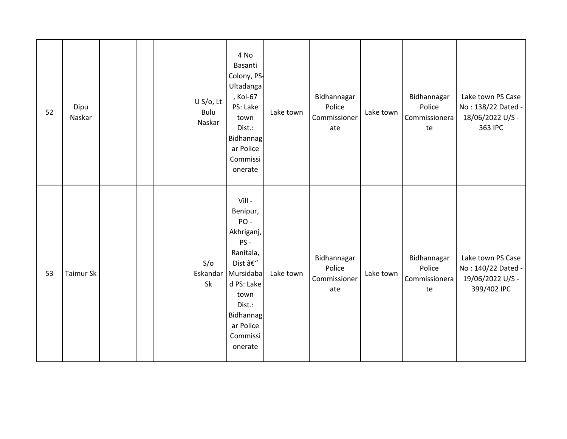| 52 | Dipu<br>Naskar |  | U S/O, Lt<br>Bulu<br>Naskar | 4 No<br>Basanti<br>Colony, PS-<br>Ultadanga<br>, Kol-67<br>PS: Lake<br>town<br>Dist.:<br>Bidhannag<br>ar Police<br>Commissi<br>onerate                                                | Lake town | Bidhannagar<br>Police<br>Commissioner<br>ate | Lake town | Bidhannagar<br>Police<br>Commissionera<br>te | Lake town PS Case<br>No: 138/22 Dated -<br>18/06/2022 U/S -<br>363 IPC     |
|----|----------------|--|-----------------------------|---------------------------------------------------------------------------------------------------------------------------------------------------------------------------------------|-----------|----------------------------------------------|-----------|----------------------------------------------|----------------------------------------------------------------------------|
| 53 | Taimur Sk      |  | S/O<br>Sk                   | $Vill -$<br>Benipur,<br>PO-<br>Akhriganj,<br>PS-<br>Ranitala,<br>Dist –<br>Eskandar Mursidaba<br>d PS: Lake<br>town<br>Dist.:<br><b>Bidhannag</b><br>ar Police<br>Commissi<br>onerate | Lake town | Bidhannagar<br>Police<br>Commissioner<br>ate | Lake town | Bidhannagar<br>Police<br>Commissionera<br>te | Lake town PS Case<br>No: 140/22 Dated -<br>19/06/2022 U/S -<br>399/402 IPC |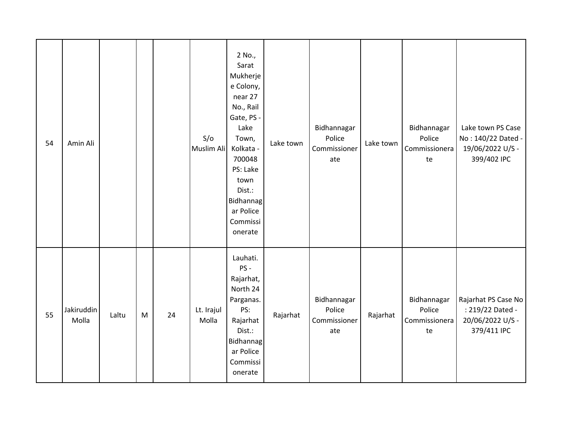| 54 | Amin Ali            |       |   |    | S/O<br>Muslim Ali   | 2 No.,<br>Sarat<br>Mukherje<br>e Colony,<br>near 27<br>No., Rail<br>Gate, PS -<br>Lake<br>Town,<br>Kolkata -<br>700048<br>PS: Lake<br>town<br>Dist.:<br><b>Bidhannag</b><br>ar Police<br>Commissi<br>onerate | Lake town | Bidhannagar<br>Police<br>Commissioner<br>ate | Lake town | Bidhannagar<br>Police<br>Commissionera<br>te | Lake town PS Case<br>No: 140/22 Dated -<br>19/06/2022 U/S -<br>399/402 IPC |
|----|---------------------|-------|---|----|---------------------|--------------------------------------------------------------------------------------------------------------------------------------------------------------------------------------------------------------|-----------|----------------------------------------------|-----------|----------------------------------------------|----------------------------------------------------------------------------|
| 55 | Jakiruddin<br>Molla | Laltu | M | 24 | Lt. Irajul<br>Molla | Lauhati.<br>PS-<br>Rajarhat,<br>North 24<br>Parganas.<br>PS:<br>Rajarhat<br>Dist.:<br>Bidhannag<br>ar Police<br>Commissi<br>onerate                                                                          | Rajarhat  | Bidhannagar<br>Police<br>Commissioner<br>ate | Rajarhat  | Bidhannagar<br>Police<br>Commissionera<br>te | Rajarhat PS Case No<br>: 219/22 Dated -<br>20/06/2022 U/S -<br>379/411 IPC |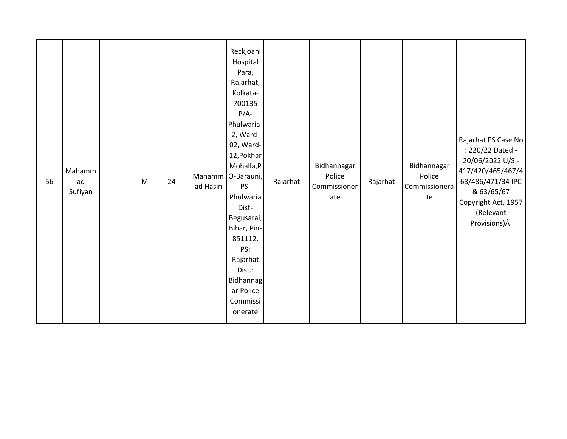| 56 | Mahamm<br>ad<br>Sufiyan |  | M | 24 | ad Hasin | Reckjoani<br>Hospital<br>Para,<br>Rajarhat,<br>Kolkata-<br>700135<br>$P/A-$<br>Phulwaria-<br>2, Ward-<br>02, Ward-<br>12, Pokhar<br>Mohalla,P<br>Mahamm O-Barauni,<br>PS-<br>Phulwaria<br>Dist-<br>Begusarai,<br>Bihar, Pin-<br>851112.<br>PS:<br>Rajarhat<br>Dist.:<br>Bidhannag<br>ar Police<br>Commissi<br>onerate | Rajarhat | Bidhannagar<br>Police<br>Commissioner<br>ate | Rajarhat | Bidhannagar<br>Police<br>Commissionera<br>te | Rajarhat PS Case No<br>: 220/22 Dated -<br>20/06/2022 U/S -<br>417/420/465/467/4<br>68/486/471/34 IPC<br>& 63/65/67<br>Copyright Act, 1957<br>(Relevant<br>Provisions) Â |
|----|-------------------------|--|---|----|----------|-----------------------------------------------------------------------------------------------------------------------------------------------------------------------------------------------------------------------------------------------------------------------------------------------------------------------|----------|----------------------------------------------|----------|----------------------------------------------|--------------------------------------------------------------------------------------------------------------------------------------------------------------------------|
|----|-------------------------|--|---|----|----------|-----------------------------------------------------------------------------------------------------------------------------------------------------------------------------------------------------------------------------------------------------------------------------------------------------------------------|----------|----------------------------------------------|----------|----------------------------------------------|--------------------------------------------------------------------------------------------------------------------------------------------------------------------------|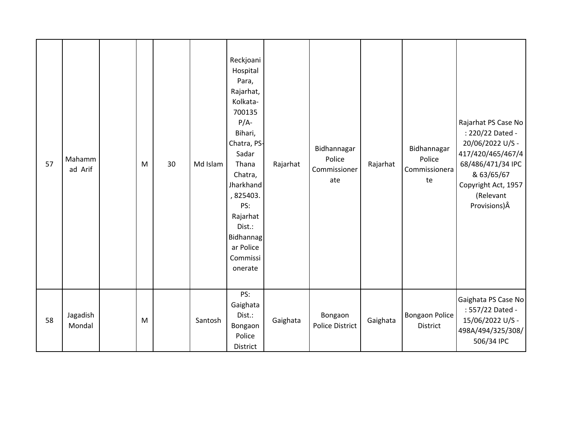| 57 | Mahamm<br>ad Arif  | M | 30 | Md Islam | Reckjoani<br>Hospital<br>Para,<br>Rajarhat,<br>Kolkata-<br>700135<br>$P/A-$<br>Bihari,<br>Chatra, PS-<br>Sadar<br>Thana<br>Chatra,<br>Jharkhand<br>, 825403.<br>PS:<br>Rajarhat<br>Dist.:<br>Bidhannag<br>ar Police<br>Commissi<br>onerate | Rajarhat | Bidhannagar<br>Police<br>Commissioner<br>ate | Rajarhat | Bidhannagar<br>Police<br>Commissionera<br>te | Rajarhat PS Case No<br>: 220/22 Dated -<br>20/06/2022 U/S -<br>417/420/465/467/4<br>68/486/471/34 IPC<br>& 63/65/67<br>Copyright Act, 1957<br>(Relevant<br>Provisions) Â |
|----|--------------------|---|----|----------|--------------------------------------------------------------------------------------------------------------------------------------------------------------------------------------------------------------------------------------------|----------|----------------------------------------------|----------|----------------------------------------------|--------------------------------------------------------------------------------------------------------------------------------------------------------------------------|
| 58 | Jagadish<br>Mondal | M |    | Santosh  | PS:<br>Gaighata<br>Dist.:<br>Bongaon<br>Police<br>District                                                                                                                                                                                 | Gaighata | Bongaon<br><b>Police District</b>            | Gaighata | <b>Bongaon Police</b><br>District            | Gaighata PS Case No<br>: 557/22 Dated -<br>15/06/2022 U/S -<br>498A/494/325/308/<br>506/34 IPC                                                                           |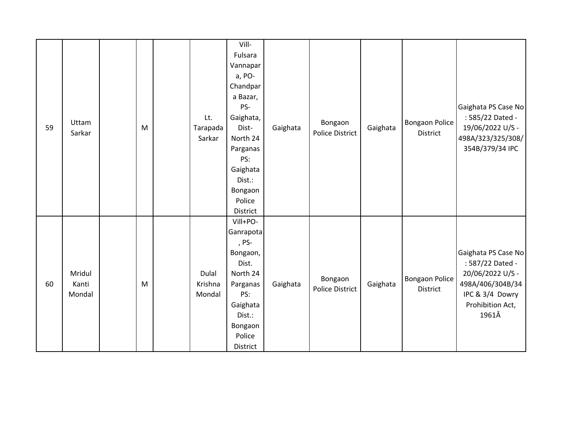| 59 | Uttam<br>Sarkar           | M | Lt.<br>Tarapada<br>Sarkar  | Vill-<br>Fulsara<br>Vannapar<br>a, PO-<br>Chandpar<br>a Bazar,<br>PS-<br>Gaighata,<br>Dist-<br>North 24<br>Parganas<br>PS:<br>Gaighata<br>Dist.:<br>Bongaon<br>Police<br>District | Gaighata | Bongaon<br><b>Police District</b> | Gaighata | <b>Bongaon Police</b><br>District | Gaighata PS Case No<br>: 585/22 Dated -<br>19/06/2022 U/S -<br>498A/323/325/308/<br>354B/379/34 IPC                             |
|----|---------------------------|---|----------------------------|-----------------------------------------------------------------------------------------------------------------------------------------------------------------------------------|----------|-----------------------------------|----------|-----------------------------------|---------------------------------------------------------------------------------------------------------------------------------|
| 60 | Mridul<br>Kanti<br>Mondal | M | Dulal<br>Krishna<br>Mondal | Vill+PO-<br>Ganrapota<br>, PS-<br>Bongaon,<br>Dist.<br>North 24<br>Parganas<br>PS:<br>Gaighata<br>Dist.:<br>Bongaon<br>Police<br>District                                         | Gaighata | Bongaon<br><b>Police District</b> | Gaighata | <b>Bongaon Police</b><br>District | Gaighata PS Case No<br>: 587/22 Dated -<br>20/06/2022 U/S -<br>498A/406/304B/34<br>IPC & 3/4 Dowry<br>Prohibition Act,<br>1961Â |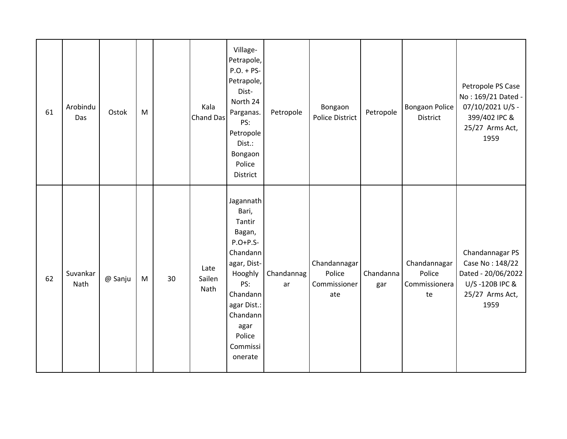| 61 | Arobindu<br>Das  | Ostok   | M |    | Kala<br><b>Chand Das</b> | Village-<br>Petrapole,<br>$P.O. + PS-$<br>Petrapole,<br>Dist-<br>North 24<br>Parganas.<br>PS:<br>Petropole<br>Dist.:<br>Bongaon<br>Police<br>District                             | Petropole        | Bongaon<br><b>Police District</b>             | Petropole        | <b>Bongaon Police</b><br><b>District</b>      | Petropole PS Case<br>No: 169/21 Dated -<br>07/10/2021 U/S -<br>399/402 IPC &<br>25/27 Arms Act,<br>1959 |
|----|------------------|---------|---|----|--------------------------|-----------------------------------------------------------------------------------------------------------------------------------------------------------------------------------|------------------|-----------------------------------------------|------------------|-----------------------------------------------|---------------------------------------------------------------------------------------------------------|
| 62 | Suvankar<br>Nath | @ Sanju | M | 30 | Late<br>Sailen<br>Nath   | Jagannath<br>Bari,<br>Tantir<br>Bagan,<br>$P.O+P.S-$<br>Chandann<br>agar, Dist-<br>Hooghly<br>PS:<br>Chandann<br>agar Dist.:<br>Chandann<br>agar<br>Police<br>Commissi<br>onerate | Chandannag<br>ar | Chandannagar<br>Police<br>Commissioner<br>ate | Chandanna<br>gar | Chandannagar<br>Police<br>Commissionera<br>te | Chandannagar PS<br>Case No: 148/22<br>Dated - 20/06/2022<br>U/S-120B IPC &<br>25/27 Arms Act,<br>1959   |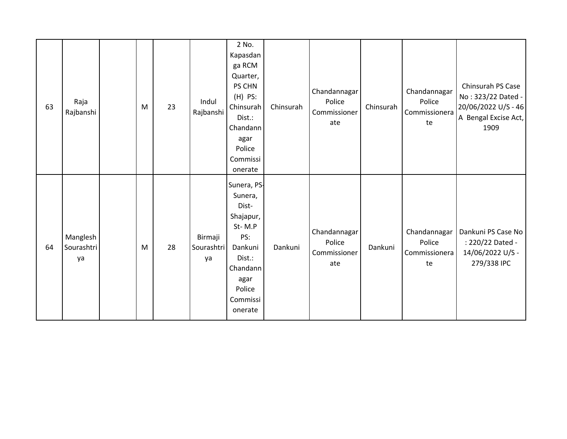| 63 | Raja<br>Rajbanshi            | M | 23 | Indul<br>Rajbanshi          | 2 No.<br>Kapasdan<br>ga RCM<br>Quarter,<br>PS CHN<br>$(H)$ PS:<br>Chinsurah<br>Dist.:<br>Chandann<br>agar<br>Police<br>Commissi<br>onerate | Chinsurah | Chandannagar<br>Police<br>Commissioner<br>ate | Chinsurah | Chandannagar<br>Police<br>Commissionera<br>te | Chinsurah PS Case<br>No: 323/22 Dated -<br>20/06/2022 U/S - 46<br>A Bengal Excise Act,<br>1909 |
|----|------------------------------|---|----|-----------------------------|--------------------------------------------------------------------------------------------------------------------------------------------|-----------|-----------------------------------------------|-----------|-----------------------------------------------|------------------------------------------------------------------------------------------------|
| 64 | Manglesh<br>Sourashtri<br>ya | M | 28 | Birmaji<br>Sourashtri<br>ya | Sunera, PS-<br>Sunera,<br>Dist-<br>Shajapur,<br>St-M.P<br>PS:<br>Dankuni<br>Dist.:<br>Chandann<br>agar<br>Police<br>Commissi<br>onerate    | Dankuni   | Chandannagar<br>Police<br>Commissioner<br>ate | Dankuni   | Chandannagar<br>Police<br>Commissionera<br>te | Dankuni PS Case No<br>: 220/22 Dated -<br>14/06/2022 U/S -<br>279/338 IPC                      |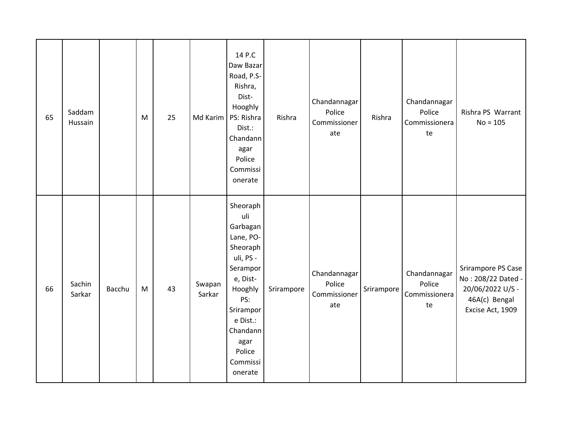| 65 | Saddam<br>Hussain |        | M | 25 | Md Karim         | 14 P.C<br>Daw Bazar<br>Road, P.S-<br>Rishra,<br>Dist-<br>Hooghly<br>PS: Rishra<br>Dist.:<br>Chandann<br>agar<br>Police<br>Commissi<br>onerate                                             | Rishra     | Chandannagar<br>Police<br>Commissioner<br>ate | Rishra     | Chandannagar<br>Police<br>Commissionera<br>te | Rishra PS Warrant<br>$No = 105$                                                                   |
|----|-------------------|--------|---|----|------------------|-------------------------------------------------------------------------------------------------------------------------------------------------------------------------------------------|------------|-----------------------------------------------|------------|-----------------------------------------------|---------------------------------------------------------------------------------------------------|
| 66 | Sachin<br>Sarkar  | Bacchu | M | 43 | Swapan<br>Sarkar | Sheoraph<br>uli<br>Garbagan<br>Lane, PO-<br>Sheoraph<br>uli, PS -<br>Serampor<br>e, Dist-<br>Hooghly<br>PS:<br>Srirampor<br>e Dist.:<br>Chandann<br>agar<br>Police<br>Commissi<br>onerate | Srirampore | Chandannagar<br>Police<br>Commissioner<br>ate | Srirampore | Chandannagar<br>Police<br>Commissionera<br>te | Srirampore PS Case<br>No: 208/22 Dated -<br>20/06/2022 U/S -<br>46A(c) Bengal<br>Excise Act, 1909 |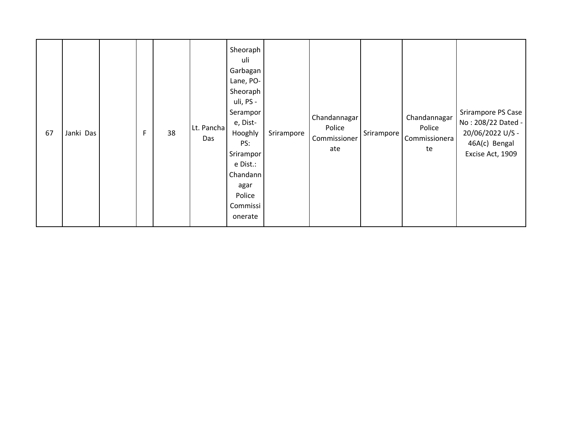| 67 | Janki Das |  | F | 38 | Lt. Pancha<br>Das | Sheoraph<br>uli<br>Garbagan<br>Lane, PO-<br>Sheoraph<br>uli, PS -<br>Serampor<br>e, Dist-<br>Hooghly<br>PS:<br>Srirampor<br>e Dist.:<br>Chandann<br>agar<br>Police<br>Commissi<br>onerate | Srirampore | Chandannagar<br>Police<br>Commissioner<br>ate | Srirampore | Chandannagar<br>Police<br>Commissionera<br>te | Srirampore PS Case<br>No: 208/22 Dated -<br>20/06/2022 U/S -<br>46A(c) Bengal<br>Excise Act, 1909 |
|----|-----------|--|---|----|-------------------|-------------------------------------------------------------------------------------------------------------------------------------------------------------------------------------------|------------|-----------------------------------------------|------------|-----------------------------------------------|---------------------------------------------------------------------------------------------------|
|----|-----------|--|---|----|-------------------|-------------------------------------------------------------------------------------------------------------------------------------------------------------------------------------------|------------|-----------------------------------------------|------------|-----------------------------------------------|---------------------------------------------------------------------------------------------------|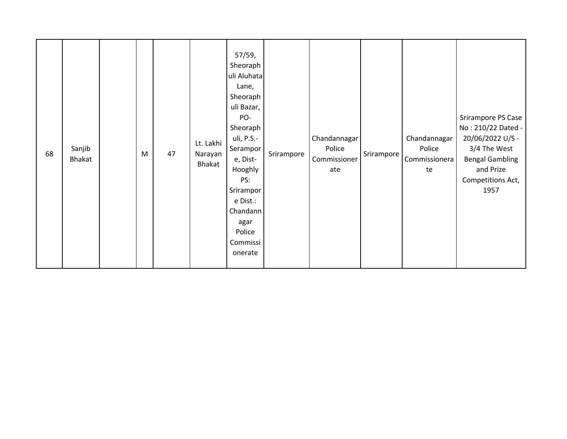| 68 | Sanjib<br>Bhakat |  | M | 47 | Lt. Lakhi<br>Narayan<br>Bhakat | 57/59,<br>Sheoraph<br>uli Aluhata<br>Lane,<br>Sheoraph<br>uli Bazar,<br>PO-<br>Sheoraph<br>uli, P.S.-<br>Serampor<br>e, Dist-<br>Hooghly<br>PS:<br>Srirampor<br>e Dist.:<br>Chandann<br>agar<br>Police<br>Commissi<br>onerate | Srirampore | Chandannagar<br>Police<br>Commissioner<br>ate | Srirampore | Chandannagar<br>Police<br>Commissionera<br>te | Srirampore PS Case<br>No: 210/22 Dated -<br>20/06/2022 U/S -<br>3/4 The West<br><b>Bengal Gambling</b><br>and Prize<br>Competitions Act,<br>1957 |
|----|------------------|--|---|----|--------------------------------|-------------------------------------------------------------------------------------------------------------------------------------------------------------------------------------------------------------------------------|------------|-----------------------------------------------|------------|-----------------------------------------------|--------------------------------------------------------------------------------------------------------------------------------------------------|
|----|------------------|--|---|----|--------------------------------|-------------------------------------------------------------------------------------------------------------------------------------------------------------------------------------------------------------------------------|------------|-----------------------------------------------|------------|-----------------------------------------------|--------------------------------------------------------------------------------------------------------------------------------------------------|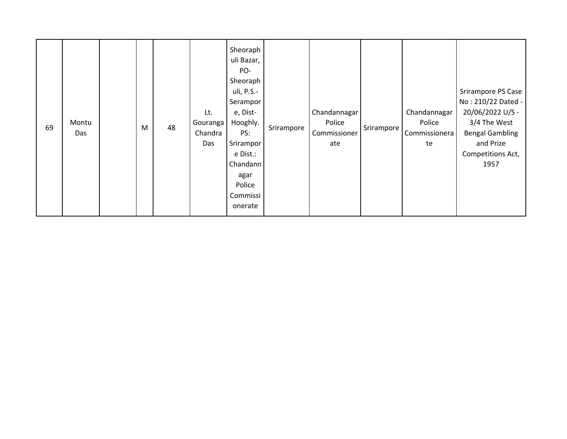| 69 | Montu<br>Das |  | M | 48 | Lt.<br>Gouranga<br>Chandra<br>Das | Sheoraph<br>uli Bazar,<br>PO-<br>Sheoraph<br>uli, P.S.-<br>Serampor<br>e, Dist-<br>Hooghly.<br>PS:<br>Srirampor<br>e Dist.:<br>Chandann<br>agar<br>Police<br>Commissi<br>onerate | Srirampore | Chandannagar<br>Police<br>Commissioner<br>ate | Srirampore | Chandannagar<br>Police<br>Commissionera<br>te | Srirampore PS Case<br>No: 210/22 Dated -<br>20/06/2022 U/S -<br>3/4 The West<br><b>Bengal Gambling</b><br>and Prize<br>Competitions Act,<br>1957 |
|----|--------------|--|---|----|-----------------------------------|----------------------------------------------------------------------------------------------------------------------------------------------------------------------------------|------------|-----------------------------------------------|------------|-----------------------------------------------|--------------------------------------------------------------------------------------------------------------------------------------------------|
|----|--------------|--|---|----|-----------------------------------|----------------------------------------------------------------------------------------------------------------------------------------------------------------------------------|------------|-----------------------------------------------|------------|-----------------------------------------------|--------------------------------------------------------------------------------------------------------------------------------------------------|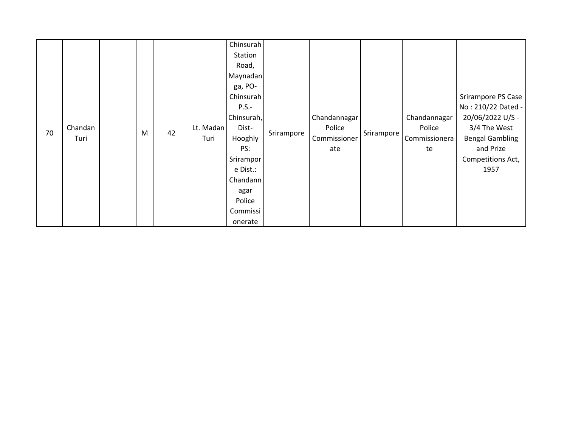|    |         |   |    |           | Chinsurah  |            |              |            |               |                        |
|----|---------|---|----|-----------|------------|------------|--------------|------------|---------------|------------------------|
|    |         |   |    |           | Station    |            |              |            |               |                        |
|    |         |   |    |           | Road,      |            |              |            |               |                        |
|    |         |   |    |           | Maynadan   |            |              |            |               |                        |
|    |         |   |    |           | ga, PO-    |            |              |            |               |                        |
|    |         |   |    |           | Chinsurah  |            |              |            |               | Srirampore PS Case     |
|    |         |   |    |           | $P.S.-$    |            |              |            |               | No: 210/22 Dated -     |
|    |         |   |    |           | Chinsurah, |            | Chandannagar |            | Chandannagar  | 20/06/2022 U/S -       |
| 70 | Chandan |   | 42 | Lt. Madan | Dist-      |            | Police       |            | Police        | 3/4 The West           |
|    | Turi    | M |    | Turi      | Hooghly    | Srirampore | Commissioner | Srirampore | Commissionera | <b>Bengal Gambling</b> |
|    |         |   |    |           | PS:        |            | ate          |            | te            | and Prize              |
|    |         |   |    |           | Srirampor  |            |              |            |               | Competitions Act,      |
|    |         |   |    |           | e Dist.:   |            |              |            |               | 1957                   |
|    |         |   |    |           | Chandann   |            |              |            |               |                        |
|    |         |   |    |           | agar       |            |              |            |               |                        |
|    |         |   |    |           | Police     |            |              |            |               |                        |
|    |         |   |    |           | Commissi   |            |              |            |               |                        |
|    |         |   |    |           | onerate    |            |              |            |               |                        |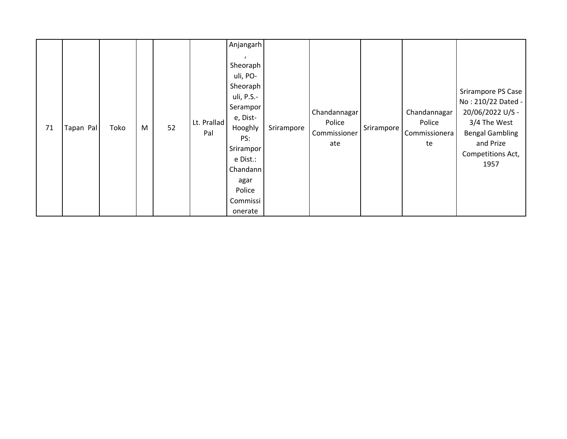| 71 | Tapan Pal | Toko | M | 52 | Lt. Prallad<br>Pal | Anjangarh<br>Sheoraph<br>uli, PO-<br>Sheoraph<br>uli, P.S.-<br>Serampor<br>e, Dist-<br>Hooghly<br>PS:<br>Srirampor<br>e Dist.:<br>Chandann<br>agar<br>Police<br>Commissi<br>onerate | Srirampore | Chandannagar<br>Police<br>Commissioner<br>ate | Srirampore | Chandannagar<br>Police<br>Commissionera<br>te | Srirampore PS Case<br>No: 210/22 Dated -<br>20/06/2022 U/S -<br>3/4 The West<br><b>Bengal Gambling</b><br>and Prize<br>Competitions Act,<br>1957 |
|----|-----------|------|---|----|--------------------|-------------------------------------------------------------------------------------------------------------------------------------------------------------------------------------|------------|-----------------------------------------------|------------|-----------------------------------------------|--------------------------------------------------------------------------------------------------------------------------------------------------|
|----|-----------|------|---|----|--------------------|-------------------------------------------------------------------------------------------------------------------------------------------------------------------------------------|------------|-----------------------------------------------|------------|-----------------------------------------------|--------------------------------------------------------------------------------------------------------------------------------------------------|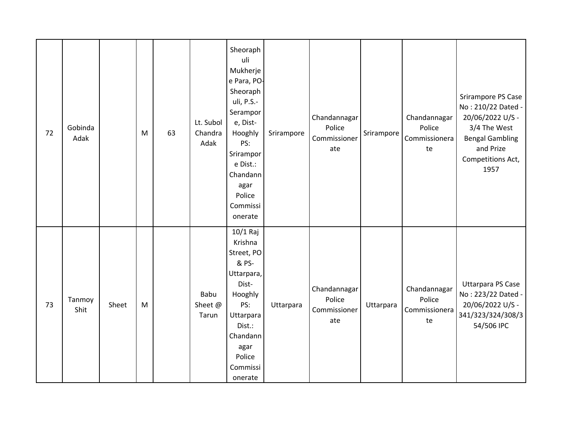| 72 | Gobinda<br>Adak |       | M | 63 | Lt. Subol<br>Chandra<br>Adak | Sheoraph<br>uli<br>Mukherje<br>e Para, PO-<br>Sheoraph<br>uli, P.S.-<br>Serampor<br>e, Dist-<br>Hooghly<br>PS:<br>Srirampor<br>e Dist.:<br>Chandann<br>agar<br>Police<br>Commissi<br>onerate | Srirampore | Chandannagar<br>Police<br>Commissioner<br>ate | Srirampore | Chandannagar<br>Police<br>Commissionera<br>te | Srirampore PS Case<br>No: 210/22 Dated -<br>20/06/2022 U/S -<br>3/4 The West<br><b>Bengal Gambling</b><br>and Prize<br>Competitions Act,<br>1957 |
|----|-----------------|-------|---|----|------------------------------|----------------------------------------------------------------------------------------------------------------------------------------------------------------------------------------------|------------|-----------------------------------------------|------------|-----------------------------------------------|--------------------------------------------------------------------------------------------------------------------------------------------------|
| 73 | Tanmoy<br>Shit  | Sheet | M |    | Babu<br>Sheet @<br>Tarun     | 10/1 Raj<br>Krishna<br>Street, PO<br>& PS-<br>Uttarpara,<br>Dist-<br>Hooghly<br>PS:<br>Uttarpara<br>Dist.:<br>Chandann<br>agar<br>Police<br>Commissi<br>onerate                              | Uttarpara  | Chandannagar<br>Police<br>Commissioner<br>ate | Uttarpara  | Chandannagar<br>Police<br>Commissionera<br>te | <b>Uttarpara PS Case</b><br>No: 223/22 Dated -<br>20/06/2022 U/S -<br>341/323/324/308/3<br>54/506 IPC                                            |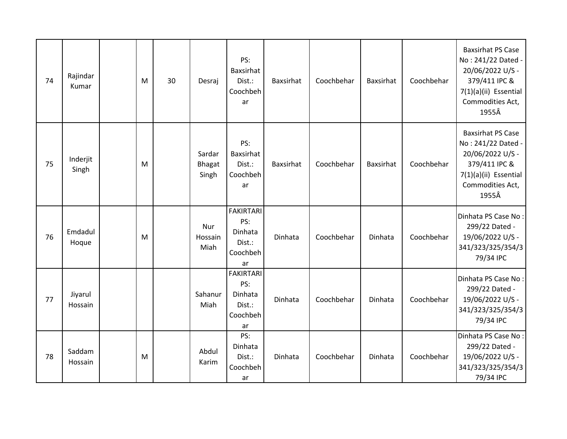| 74 | Rajindar<br>Kumar  | M | 30 | Desraj                           | PS:<br>Baxsirhat<br>Dist.:<br>Coochbeh<br>ar                   | Baxsirhat | Coochbehar | Baxsirhat | Coochbehar | <b>Baxsirhat PS Case</b><br>No: 241/22 Dated -<br>20/06/2022 U/S -<br>379/411 IPC &<br>7(1)(a)(ii) Essential<br>Commodities Act,<br>1955Â |
|----|--------------------|---|----|----------------------------------|----------------------------------------------------------------|-----------|------------|-----------|------------|-------------------------------------------------------------------------------------------------------------------------------------------|
| 75 | Inderjit<br>Singh  | M |    | Sardar<br><b>Bhagat</b><br>Singh | PS:<br>Baxsirhat<br>Dist.:<br>Coochbeh<br>ar                   | Baxsirhat | Coochbehar | Baxsirhat | Coochbehar | <b>Baxsirhat PS Case</b><br>No: 241/22 Dated -<br>20/06/2022 U/S -<br>379/411 IPC &<br>7(1)(a)(ii) Essential<br>Commodities Act,<br>1955Â |
| 76 | Emdadul<br>Hoque   | M |    | Nur<br>Hossain<br>Miah           | <b>FAKIRTARI</b><br>PS:<br>Dinhata<br>Dist.:<br>Coochbeh<br>ar | Dinhata   | Coochbehar | Dinhata   | Coochbehar | Dinhata PS Case No:<br>299/22 Dated -<br>19/06/2022 U/S -<br>341/323/325/354/3<br>79/34 IPC                                               |
| 77 | Jiyarul<br>Hossain |   |    | Sahanur<br>Miah                  | <b>FAKIRTARI</b><br>PS:<br>Dinhata<br>Dist.:<br>Coochbeh<br>ar | Dinhata   | Coochbehar | Dinhata   | Coochbehar | Dinhata PS Case No:<br>299/22 Dated -<br>19/06/2022 U/S -<br>341/323/325/354/3<br>79/34 IPC                                               |
| 78 | Saddam<br>Hossain  | M |    | Abdul<br>Karim                   | PS:<br>Dinhata<br>Dist.:<br>Coochbeh<br>ar                     | Dinhata   | Coochbehar | Dinhata   | Coochbehar | Dinhata PS Case No:<br>299/22 Dated -<br>19/06/2022 U/S -<br>341/323/325/354/3<br>79/34 IPC                                               |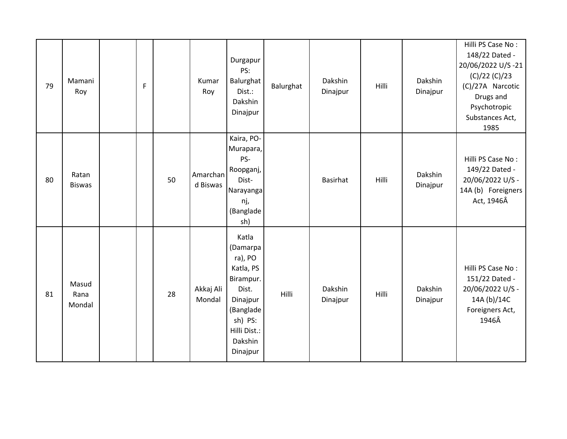| 79 | Mamani<br>Roy           | $\mathsf F$ |    | Kumar<br>Roy         | Durgapur<br>PS:<br>Balurghat<br>Dist.:<br>Dakshin<br>Dinajpur                                                                              | Balurghat | Dakshin<br>Dinajpur | Hilli | Dakshin<br>Dinajpur | Hilli PS Case No:<br>148/22 Dated -<br>20/06/2022 U/S-21<br>(C)/22(C)/23<br>(C)/27A Narcotic<br>Drugs and<br>Psychotropic<br>Substances Act,<br>1985 |
|----|-------------------------|-------------|----|----------------------|--------------------------------------------------------------------------------------------------------------------------------------------|-----------|---------------------|-------|---------------------|------------------------------------------------------------------------------------------------------------------------------------------------------|
| 80 | Ratan<br><b>Biswas</b>  |             | 50 | Amarchan<br>d Biswas | Kaira, PO-<br>Murapara,<br>PS-<br>Roopganj,<br>Dist-<br>Narayanga<br>nj,<br>(Banglade<br>sh)                                               |           | <b>Basirhat</b>     | Hilli | Dakshin<br>Dinajpur | Hilli PS Case No:<br>149/22 Dated -<br>20/06/2022 U/S -<br>14A (b) Foreigners<br>Act, 1946Â                                                          |
| 81 | Masud<br>Rana<br>Mondal |             | 28 | Akkaj Ali<br>Mondal  | Katla<br>(Damarpa<br>ra), PO<br>Katla, PS<br>Birampur.<br>Dist.<br>Dinajpur<br>(Banglade<br>sh) PS:<br>Hilli Dist.:<br>Dakshin<br>Dinajpur | Hilli     | Dakshin<br>Dinajpur | Hilli | Dakshin<br>Dinajpur | Hilli PS Case No:<br>151/22 Dated -<br>20/06/2022 U/S -<br>14A (b)/14C<br>Foreigners Act,<br>1946Â                                                   |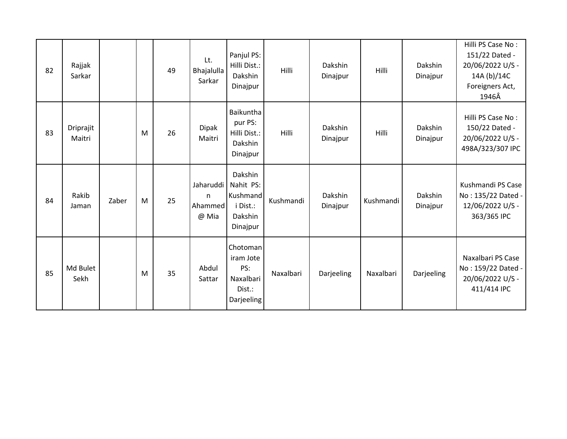| 82 | Rajjak<br>Sarkar    |       |   | 49 | Lt.<br>Bhajalulla<br>Sarkar         | Panjul PS:<br>Hilli Dist.:<br>Dakshin<br>Dinajpur                   | Hilli     | Dakshin<br>Dinajpur | Hilli     | Dakshin<br>Dinajpur | Hilli PS Case No:<br>151/22 Dated -<br>20/06/2022 U/S -<br>14A (b)/14C<br>Foreigners Act,<br>1946Â |
|----|---------------------|-------|---|----|-------------------------------------|---------------------------------------------------------------------|-----------|---------------------|-----------|---------------------|----------------------------------------------------------------------------------------------------|
| 83 | Driprajit<br>Maitri |       | M | 26 | <b>Dipak</b><br>Maitri              | Baikuntha<br>pur PS:<br>Hilli Dist.:<br>Dakshin<br>Dinajpur         | Hilli     | Dakshin<br>Dinajpur | Hilli     | Dakshin<br>Dinajpur | Hilli PS Case No:<br>150/22 Dated -<br>20/06/2022 U/S -<br>498A/323/307 IPC                        |
| 84 | Rakib<br>Jaman      | Zaber | M | 25 | Jaharuddi<br>n.<br>Ahammed<br>@ Mia | Dakshin<br>Nahit PS:<br>Kushmand<br>i Dist.:<br>Dakshin<br>Dinajpur | Kushmandi | Dakshin<br>Dinajpur | Kushmandi | Dakshin<br>Dinajpur | Kushmandi PS Case<br>No: 135/22 Dated -<br>12/06/2022 U/S -<br>363/365 IPC                         |
| 85 | Md Bulet<br>Sekh    |       | M | 35 | Abdul<br>Sattar                     | Chotoman<br>iram Jote<br>PS:<br>Naxalbari<br>Dist.:<br>Darjeeling   | Naxalbari | Darjeeling          | Naxalbari | Darjeeling          | Naxalbari PS Case<br>No: 159/22 Dated -<br>20/06/2022 U/S -<br>411/414 IPC                         |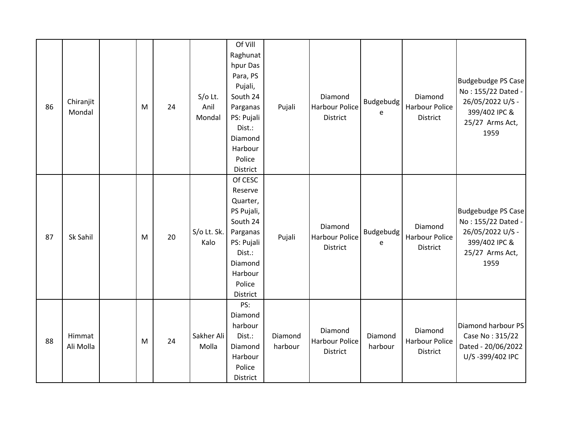| 86 | Chiranjit<br>Mondal | M | 24 | $S/O$ Lt.<br>Anil<br>Mondal | Of Vill<br>Raghunat<br>hpur Das<br>Para, PS<br>Pujali,<br>South 24<br>Parganas<br>PS: Pujali<br>Dist.:<br>Diamond<br>Harbour<br>Police<br>District | Pujali             | Diamond<br><b>Harbour Police</b><br><b>District</b> | Budgebudg<br>e     | Diamond<br><b>Harbour Police</b><br>District        | <b>Budgebudge PS Case</b><br>No: 155/22 Dated -<br>26/05/2022 U/S -<br>399/402 IPC &<br>25/27 Arms Act,<br>1959 |
|----|---------------------|---|----|-----------------------------|----------------------------------------------------------------------------------------------------------------------------------------------------|--------------------|-----------------------------------------------------|--------------------|-----------------------------------------------------|-----------------------------------------------------------------------------------------------------------------|
| 87 | Sk Sahil            | M | 20 | S/o Lt. Sk.<br>Kalo         | Of CESC<br>Reserve<br>Quarter,<br>PS Pujali,<br>South 24<br>Parganas<br>PS: Pujali<br>Dist.:<br>Diamond<br>Harbour<br>Police<br>District           | Pujali             | Diamond<br><b>Harbour Police</b><br><b>District</b> | Budgebudg<br>e     | Diamond<br><b>Harbour Police</b><br><b>District</b> | <b>Budgebudge PS Case</b><br>No: 155/22 Dated -<br>26/05/2022 U/S -<br>399/402 IPC &<br>25/27 Arms Act,<br>1959 |
| 88 | Himmat<br>Ali Molla | M | 24 | Sakher Ali<br>Molla         | PS:<br>Diamond<br>harbour<br>Dist.:<br>Diamond<br>Harbour<br>Police<br>District                                                                    | Diamond<br>harbour | Diamond<br><b>Harbour Police</b><br>District        | Diamond<br>harbour | Diamond<br><b>Harbour Police</b><br><b>District</b> | Diamond harbour PS<br>Case No: 315/22<br>Dated - 20/06/2022<br>U/S-399/402 IPC                                  |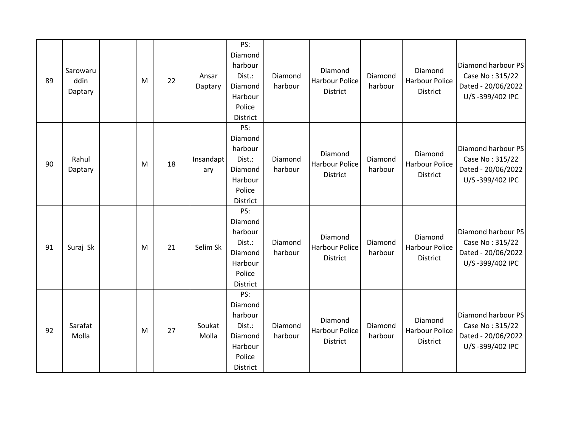| 89 | Sarowaru<br>ddin<br>Daptary | M | 22 | Ansar<br>Daptary | PS:<br>Diamond<br>harbour<br>Dist.:<br>Diamond<br>Harbour<br>Police<br>District | Diamond<br>harbour | Diamond<br><b>Harbour Police</b><br><b>District</b> | Diamond<br>harbour | Diamond<br><b>Harbour Police</b><br><b>District</b> | Diamond harbour PS<br>Case No: 315/22<br>Dated - 20/06/2022<br>U/S-399/402 IPC |
|----|-----------------------------|---|----|------------------|---------------------------------------------------------------------------------|--------------------|-----------------------------------------------------|--------------------|-----------------------------------------------------|--------------------------------------------------------------------------------|
| 90 | Rahul<br>Daptary            | M | 18 | Insandapt<br>ary | PS:<br>Diamond<br>harbour<br>Dist.:<br>Diamond<br>Harbour<br>Police<br>District | Diamond<br>harbour | Diamond<br><b>Harbour Police</b><br>District        | Diamond<br>harbour | Diamond<br>Harbour Police<br>District               | Diamond harbour PS<br>Case No: 315/22<br>Dated - 20/06/2022<br>U/S-399/402 IPC |
| 91 | Suraj Sk                    | M | 21 | Selim Sk         | PS:<br>Diamond<br>harbour<br>Dist.:<br>Diamond<br>Harbour<br>Police<br>District | Diamond<br>harbour | Diamond<br><b>Harbour Police</b><br>District        | Diamond<br>harbour | Diamond<br><b>Harbour Police</b><br><b>District</b> | Diamond harbour PS<br>Case No: 315/22<br>Dated - 20/06/2022<br>U/S-399/402 IPC |
| 92 | Sarafat<br>Molla            | M | 27 | Soukat<br>Molla  | PS:<br>Diamond<br>harbour<br>Dist.:<br>Diamond<br>Harbour<br>Police<br>District | Diamond<br>harbour | Diamond<br><b>Harbour Police</b><br>District        | Diamond<br>harbour | Diamond<br>Harbour Police<br>District               | Diamond harbour PS<br>Case No: 315/22<br>Dated - 20/06/2022<br>U/S-399/402 IPC |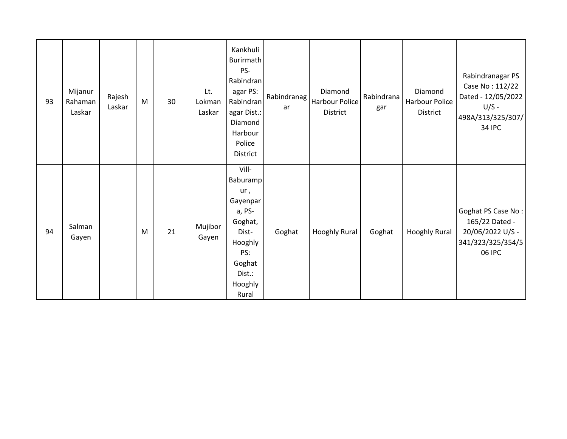| 93 | Mijanur<br>Rahaman<br>Laskar | Rajesh<br>Laskar | M | 30 | Lt.<br>Lokman<br>Laskar | Kankhuli<br>Burirmath<br>PS-<br>Rabindran<br>agar PS:<br>Rabindran<br>agar Dist.:<br>Diamond<br>Harbour<br>Police<br>District | Rabindranag<br>ar | Diamond<br>Harbour Police<br>District | Rabindrana<br>gar | Diamond<br>Harbour Police<br><b>District</b> | Rabindranagar PS<br>Case No: 112/22<br>Dated - 12/05/2022<br>$U/S -$<br>498A/313/325/307/<br><b>34 IPC</b> |
|----|------------------------------|------------------|---|----|-------------------------|-------------------------------------------------------------------------------------------------------------------------------|-------------------|---------------------------------------|-------------------|----------------------------------------------|------------------------------------------------------------------------------------------------------------|
| 94 | Salman<br>Gayen              |                  | M | 21 | Mujibor<br>Gayen        | Vill-<br>Baburamp<br>ur,<br>Gayenpar<br>a, PS-<br>Goghat,<br>Dist-<br>Hooghly<br>PS:<br>Goghat<br>Dist.:<br>Hooghly<br>Rural  | Goghat            | <b>Hooghly Rural</b>                  | Goghat            | <b>Hooghly Rural</b>                         | Goghat PS Case No:<br>165/22 Dated -<br>20/06/2022 U/S -<br>341/323/325/354/5<br>06 IPC                    |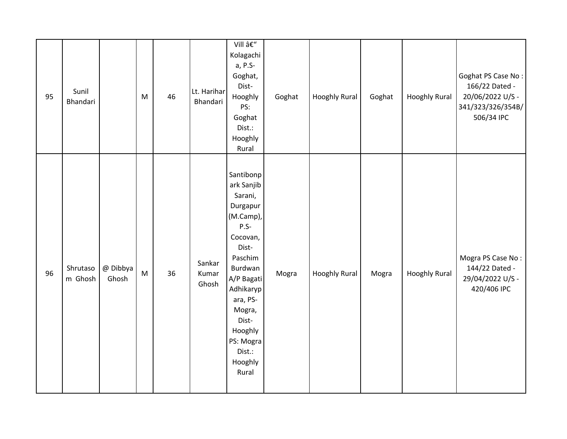| 95 | Sunil<br>Bhandari   |                   | M | 46 | Lt. Harihar<br>Bhandari  | Vill –<br>Kolagachi<br>a, P.S-<br>Goghat,<br>Dist-<br>Hooghly<br>PS:<br>Goghat<br>Dist.:<br>Hooghly<br>Rural                                                                                                                     | Goghat | <b>Hooghly Rural</b> | Goghat | <b>Hooghly Rural</b> | Goghat PS Case No:<br>166/22 Dated -<br>20/06/2022 U/S -<br>341/323/326/354B/<br>506/34 IPC |
|----|---------------------|-------------------|---|----|--------------------------|----------------------------------------------------------------------------------------------------------------------------------------------------------------------------------------------------------------------------------|--------|----------------------|--------|----------------------|---------------------------------------------------------------------------------------------|
| 96 | Shrutaso<br>m Ghosh | @ Dibbya<br>Ghosh | M | 36 | Sankar<br>Kumar<br>Ghosh | Santibonp<br>ark Sanjib<br>Sarani,<br>Durgapur<br>(M.Camp),<br>$P.S-$<br>Cocovan,<br>Dist-<br>Paschim<br>Burdwan<br>A/P Bagati<br>Adhikaryp<br>ara, PS-<br>Mogra,<br>Dist-<br>Hooghly<br>PS: Mogra<br>Dist.:<br>Hooghly<br>Rural | Mogra  | <b>Hooghly Rural</b> | Mogra  | <b>Hooghly Rural</b> | Mogra PS Case No:<br>144/22 Dated -<br>29/04/2022 U/S -<br>420/406 IPC                      |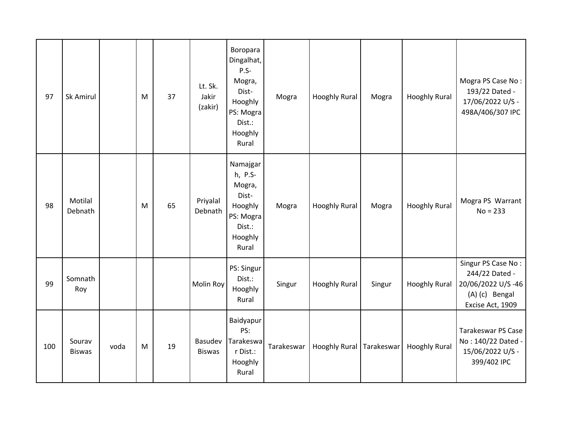| 97  | Sk Amirul               |      | M | 37 | Lt. Sk.<br>Jakir<br>(zakir) | Boropara<br>Dingalhat,<br>$P.S-$<br>Mogra,<br>Dist-<br>Hooghly<br>PS: Mogra<br>Dist.:<br>Hooghly<br>Rural | Mogra      | <b>Hooghly Rural</b>       | Mogra  | <b>Hooghly Rural</b> | Mogra PS Case No:<br>193/22 Dated -<br>17/06/2022 U/S -<br>498A/406/307 IPC                     |
|-----|-------------------------|------|---|----|-----------------------------|-----------------------------------------------------------------------------------------------------------|------------|----------------------------|--------|----------------------|-------------------------------------------------------------------------------------------------|
| 98  | Motilal<br>Debnath      |      | M | 65 | Priyalal<br>Debnath         | Namajgar<br>h, P.S-<br>Mogra,<br>Dist-<br>Hooghly<br>PS: Mogra<br>Dist.:<br>Hooghly<br>Rural              | Mogra      | <b>Hooghly Rural</b>       | Mogra  | <b>Hooghly Rural</b> | Mogra PS Warrant<br>$No = 233$                                                                  |
| 99  | Somnath<br>Roy          |      |   |    | <b>Molin Roy</b>            | PS: Singur<br>Dist.:<br>Hooghly<br>Rural                                                                  | Singur     | <b>Hooghly Rural</b>       | Singur | <b>Hooghly Rural</b> | Singur PS Case No:<br>244/22 Dated -<br>20/06/2022 U/S-46<br>(A) (c) Bengal<br>Excise Act, 1909 |
| 100 | Sourav<br><b>Biswas</b> | voda | M | 19 | Basudev<br><b>Biswas</b>    | Baidyapur<br>PS:<br>Tarakeswa<br>r Dist.:<br>Hooghly<br>Rural                                             | Tarakeswar | Hooghly Rural   Tarakeswar |        | <b>Hooghly Rural</b> | <b>Tarakeswar PS Case</b><br>No: 140/22 Dated -<br>15/06/2022 U/S -<br>399/402 IPC              |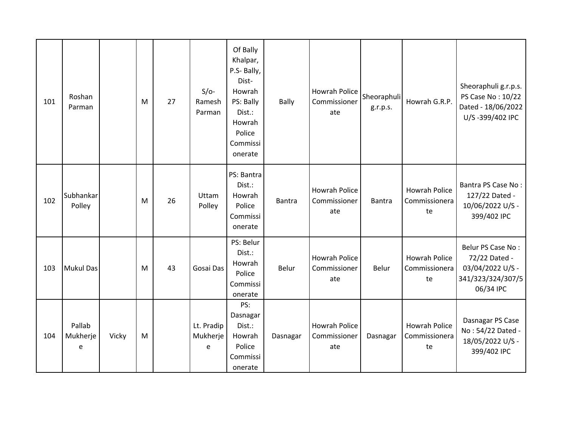| 101 | Roshan<br>Parman        |       | M | 27 | $S/O-$<br>Ramesh<br>Parman  | Of Bally<br>Khalpar,<br>P.S- Bally,<br>Dist-<br>Howrah<br>PS: Bally<br>Dist.:<br>Howrah<br>Police<br>Commissi<br>onerate | <b>Bally</b>  | Howrah Police<br>Commissioner<br>ate        | Sheoraphuli<br>g.r.p.s. | Howrah G.R.P.                               | Sheoraphuli g.r.p.s.<br>PS Case No: 10/22<br>Dated - 18/06/2022<br>U/S-399/402 IPC       |
|-----|-------------------------|-------|---|----|-----------------------------|--------------------------------------------------------------------------------------------------------------------------|---------------|---------------------------------------------|-------------------------|---------------------------------------------|------------------------------------------------------------------------------------------|
| 102 | Subhankar<br>Polley     |       | M | 26 | Uttam<br>Polley             | PS: Bantra<br>Dist.:<br>Howrah<br>Police<br>Commissi<br>onerate                                                          | <b>Bantra</b> | Howrah Police<br>Commissioner<br>ate        | <b>Bantra</b>           | <b>Howrah Police</b><br>Commissionera<br>te | Bantra PS Case No:<br>127/22 Dated -<br>10/06/2022 U/S -<br>399/402 IPC                  |
| 103 | <b>Mukul Das</b>        |       | M | 43 | Gosai Das                   | PS: Belur<br>Dist.:<br>Howrah<br>Police<br>Commissi<br>onerate                                                           | Belur         | <b>Howrah Police</b><br>Commissioner<br>ate | Belur                   | <b>Howrah Police</b><br>Commissionera<br>te | Belur PS Case No:<br>72/22 Dated -<br>03/04/2022 U/S -<br>341/323/324/307/5<br>06/34 IPC |
| 104 | Pallab<br>Mukherje<br>e | Vicky | M |    | Lt. Pradip<br>Mukherje<br>e | PS:<br>Dasnagar<br>Dist.:<br>Howrah<br>Police<br>Commissi<br>onerate                                                     | Dasnagar      | <b>Howrah Police</b><br>Commissioner<br>ate | Dasnagar                | <b>Howrah Police</b><br>Commissionera<br>te | Dasnagar PS Case<br>No: 54/22 Dated -<br>18/05/2022 U/S -<br>399/402 IPC                 |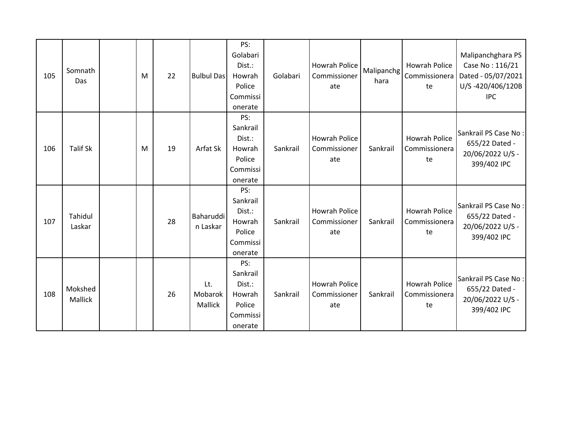| 105 | Somnath<br>Das     | M | 22 | <b>Bulbul Das</b>         | PS:<br>Golabari<br>Dist.:<br>Howrah<br>Police<br>Commissi<br>onerate | Golabari | Howrah Police<br>Commissioner<br>ate        | Malipanchg<br>hara | Howrah Police<br>Commissionera<br>te        | Malipanchghara PS<br>Case No: 116/21<br>Dated - 05/07/2021<br>U/S-420/406/120B<br><b>IPC</b> |
|-----|--------------------|---|----|---------------------------|----------------------------------------------------------------------|----------|---------------------------------------------|--------------------|---------------------------------------------|----------------------------------------------------------------------------------------------|
| 106 | <b>Talif Sk</b>    | M | 19 | Arfat Sk                  | PS:<br>Sankrail<br>Dist.:<br>Howrah<br>Police<br>Commissi<br>onerate | Sankrail | <b>Howrah Police</b><br>Commissioner<br>ate | Sankrail           | <b>Howrah Police</b><br>Commissionera<br>te | Sankrail PS Case No:<br>655/22 Dated -<br>20/06/2022 U/S -<br>399/402 IPC                    |
| 107 | Tahidul<br>Laskar  |   | 28 | Baharuddi<br>n Laskar     | PS:<br>Sankrail<br>Dist.:<br>Howrah<br>Police<br>Commissi<br>onerate | Sankrail | <b>Howrah Police</b><br>Commissioner<br>ate | Sankrail           | <b>Howrah Police</b><br>Commissionera<br>te | Sankrail PS Case No:<br>655/22 Dated -<br>20/06/2022 U/S -<br>399/402 IPC                    |
| 108 | Mokshed<br>Mallick |   | 26 | Lt.<br>Mobarok<br>Mallick | PS:<br>Sankrail<br>Dist.:<br>Howrah<br>Police<br>Commissi<br>onerate | Sankrail | Howrah Police<br>Commissioner<br>ate        | Sankrail           | <b>Howrah Police</b><br>Commissionera<br>te | Sankrail PS Case No:<br>655/22 Dated -<br>20/06/2022 U/S -<br>399/402 IPC                    |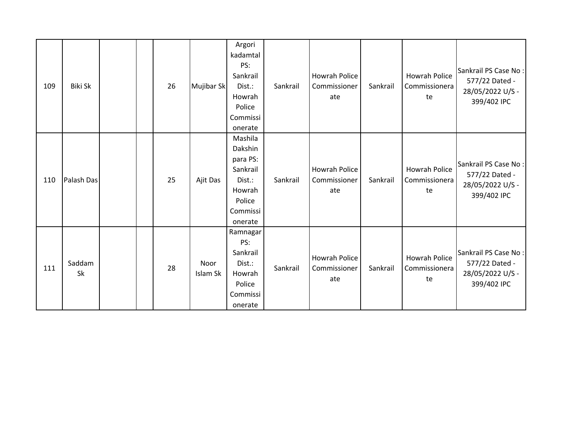| 109 | <b>Biki Sk</b> |  | 26 | Mujibar Sk       | Argori<br>kadamtal<br>PS:<br>Sankrail<br>Dist.:<br>Howrah<br>Police<br>Commissi<br>onerate      | Sankrail | <b>Howrah Police</b><br>Commissioner<br>ate | Sankrail | <b>Howrah Police</b><br>Commissionera<br>te | Sankrail PS Case No:<br>577/22 Dated -<br>28/05/2022 U/S -<br>399/402 IPC |
|-----|----------------|--|----|------------------|-------------------------------------------------------------------------------------------------|----------|---------------------------------------------|----------|---------------------------------------------|---------------------------------------------------------------------------|
| 110 | Palash Das     |  | 25 | Ajit Das         | Mashila<br>Dakshin<br>para PS:<br>Sankrail<br>Dist.:<br>Howrah<br>Police<br>Commissi<br>onerate | Sankrail | <b>Howrah Police</b><br>Commissioner<br>ate | Sankrail | <b>Howrah Police</b><br>Commissionera<br>te | Sankrail PS Case No:<br>577/22 Dated -<br>28/05/2022 U/S -<br>399/402 IPC |
| 111 | Saddam<br>Sk   |  | 28 | Noor<br>Islam Sk | Ramnagar<br>PS:<br>Sankrail<br>Dist.:<br>Howrah<br>Police<br>Commissi<br>onerate                | Sankrail | Howrah Police<br>Commissioner<br>ate        | Sankrail | <b>Howrah Police</b><br>Commissionera<br>te | Sankrail PS Case No:<br>577/22 Dated -<br>28/05/2022 U/S -<br>399/402 IPC |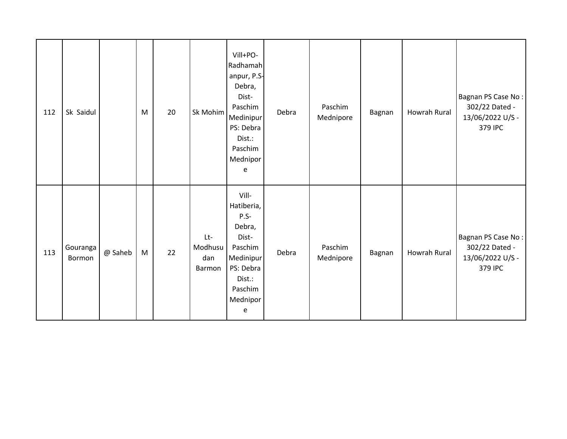| 112 | Sk Saidul          |         | M         | 20 | Sk Mohim                          | Vill+PO-<br>Radhamah<br>anpur, P.S-<br>Debra,<br>Dist-<br>Paschim<br>Medinipur<br>PS: Debra<br>Dist.:<br>Paschim<br>Mednipor<br>e | Debra | Paschim<br>Mednipore | Bagnan | Howrah Rural | Bagnan PS Case No:<br>302/22 Dated -<br>13/06/2022 U/S -<br>379 IPC |
|-----|--------------------|---------|-----------|----|-----------------------------------|-----------------------------------------------------------------------------------------------------------------------------------|-------|----------------------|--------|--------------|---------------------------------------------------------------------|
| 113 | Gouranga<br>Bormon | @ Saheb | ${\sf M}$ | 22 | $Lt-$<br>Modhusu<br>dan<br>Barmon | Vill-<br>Hatiberia,<br>P.S-<br>Debra,<br>Dist-<br>Paschim<br>Medinipur<br>PS: Debra<br>Dist.:<br>Paschim<br>Mednipor<br>e         | Debra | Paschim<br>Mednipore | Bagnan | Howrah Rural | Bagnan PS Case No:<br>302/22 Dated -<br>13/06/2022 U/S -<br>379 IPC |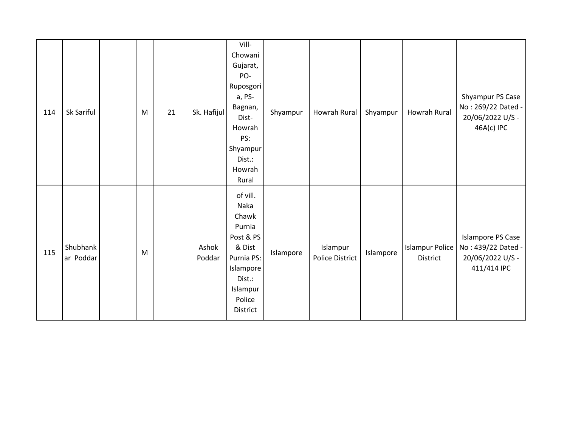| 114 | Sk Sariful            | M | 21 | Sk. Hafijul     | Vill-<br>Chowani<br>Gujarat,<br>PO-<br>Ruposgori<br>a, PS-<br>Bagnan,<br>Dist-<br>Howrah<br>PS:<br>Shyampur<br>Dist.:<br>Howrah<br>Rural | Shyampur  | Howrah Rural                       | Shyampur  | Howrah Rural                              | Shyampur PS Case<br>No: 269/22 Dated -<br>20/06/2022 U/S -<br>46A(c) IPC          |
|-----|-----------------------|---|----|-----------------|------------------------------------------------------------------------------------------------------------------------------------------|-----------|------------------------------------|-----------|-------------------------------------------|-----------------------------------------------------------------------------------|
| 115 | Shubhank<br>ar Poddar | M |    | Ashok<br>Poddar | of vill.<br>Naka<br>Chawk<br>Purnia<br>Post & PS<br>& Dist<br>Purnia PS:<br>Islampore<br>Dist.:<br>Islampur<br>Police<br>District        | Islampore | Islampur<br><b>Police District</b> | Islampore | <b>Islampur Police</b><br><b>District</b> | <b>Islampore PS Case</b><br>No: 439/22 Dated -<br>20/06/2022 U/S -<br>411/414 IPC |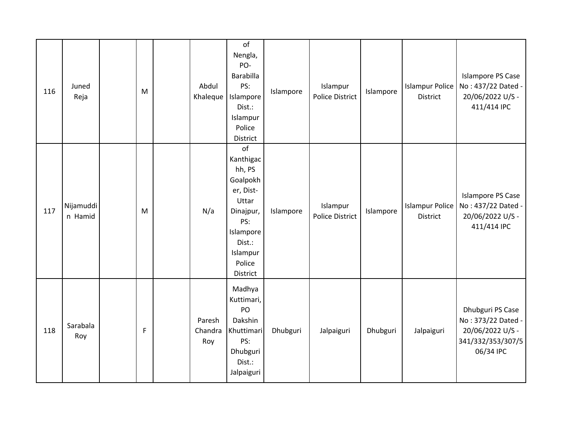| 116 | Juned<br>Reja        | ${\sf M}$ | Abdul<br>Khaleque        | of<br>Nengla,<br>PO-<br>Barabilla<br>PS:<br>Islampore<br>Dist.:<br>Islampur<br>Police<br>District                                        | Islampore | Islampur<br><b>Police District</b> | Islampore | <b>Islampur Police</b><br><b>District</b> | <b>Islampore PS Case</b><br>No: 437/22 Dated -<br>20/06/2022 U/S -<br>411/414 IPC            |
|-----|----------------------|-----------|--------------------------|------------------------------------------------------------------------------------------------------------------------------------------|-----------|------------------------------------|-----------|-------------------------------------------|----------------------------------------------------------------------------------------------|
| 117 | Nijamuddi<br>n Hamid | ${\sf M}$ | N/a                      | of<br>Kanthigac<br>hh, PS<br>Goalpokh<br>er, Dist-<br>Uttar<br>Dinajpur,<br>PS:<br>Islampore<br>Dist.:<br>Islampur<br>Police<br>District | Islampore | Islampur<br><b>Police District</b> | Islampore | <b>Islampur Police</b><br><b>District</b> | <b>Islampore PS Case</b><br>No: 437/22 Dated -<br>20/06/2022 U/S -<br>411/414 IPC            |
| 118 | Sarabala<br>Roy      | F         | Paresh<br>Chandra<br>Roy | Madhya<br>Kuttimari,<br>PO<br>Dakshin<br>Khuttimari<br>PS:<br>Dhubguri<br>Dist.:<br>Jalpaiguri                                           | Dhubguri  | Jalpaiguri                         | Dhubguri  | Jalpaiguri                                | Dhubguri PS Case<br>No: 373/22 Dated -<br>20/06/2022 U/S -<br>341/332/353/307/5<br>06/34 IPC |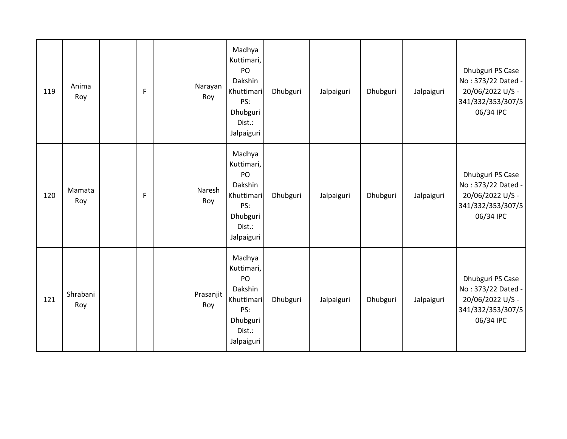| 119 | Anima<br>Roy    | F | Narayan<br>Roy   | Madhya<br>Kuttimari,<br>PO<br>Dakshin<br>Khuttimari<br>PS:<br>Dhubguri<br>Dist.:<br>Jalpaiguri | Dhubguri | Jalpaiguri | Dhubguri | Jalpaiguri | Dhubguri PS Case<br>No: 373/22 Dated -<br>20/06/2022 U/S -<br>341/332/353/307/5<br>06/34 IPC |
|-----|-----------------|---|------------------|------------------------------------------------------------------------------------------------|----------|------------|----------|------------|----------------------------------------------------------------------------------------------|
| 120 | Mamata<br>Roy   | F | Naresh<br>Roy    | Madhya<br>Kuttimari,<br>PO<br>Dakshin<br>Khuttimari<br>PS:<br>Dhubguri<br>Dist.:<br>Jalpaiguri | Dhubguri | Jalpaiguri | Dhubguri | Jalpaiguri | Dhubguri PS Case<br>No: 373/22 Dated -<br>20/06/2022 U/S -<br>341/332/353/307/5<br>06/34 IPC |
| 121 | Shrabani<br>Roy |   | Prasanjit<br>Roy | Madhya<br>Kuttimari,<br>PO<br>Dakshin<br>Khuttimari<br>PS:<br>Dhubguri<br>Dist.:<br>Jalpaiguri | Dhubguri | Jalpaiguri | Dhubguri | Jalpaiguri | Dhubguri PS Case<br>No: 373/22 Dated -<br>20/06/2022 U/S -<br>341/332/353/307/5<br>06/34 IPC |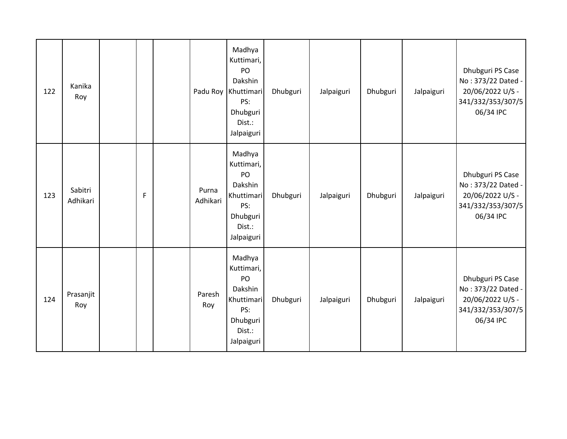| 122 | Kanika<br>Roy       |   | Padu Roy          | Madhya<br>Kuttimari,<br>PO<br>Dakshin<br>Khuttimari<br>PS:<br>Dhubguri<br>Dist.:<br>Jalpaiguri | Dhubguri | Jalpaiguri | Dhubguri | Jalpaiguri | Dhubguri PS Case<br>No: 373/22 Dated -<br>20/06/2022 U/S -<br>341/332/353/307/5<br>06/34 IPC |
|-----|---------------------|---|-------------------|------------------------------------------------------------------------------------------------|----------|------------|----------|------------|----------------------------------------------------------------------------------------------|
| 123 | Sabitri<br>Adhikari | F | Purna<br>Adhikari | Madhya<br>Kuttimari,<br>PO<br>Dakshin<br>Khuttimari<br>PS:<br>Dhubguri<br>Dist.:<br>Jalpaiguri | Dhubguri | Jalpaiguri | Dhubguri | Jalpaiguri | Dhubguri PS Case<br>No: 373/22 Dated -<br>20/06/2022 U/S -<br>341/332/353/307/5<br>06/34 IPC |
| 124 | Prasanjit<br>Roy    |   | Paresh<br>Roy     | Madhya<br>Kuttimari,<br>PO<br>Dakshin<br>Khuttimari<br>PS:<br>Dhubguri<br>Dist.:<br>Jalpaiguri | Dhubguri | Jalpaiguri | Dhubguri | Jalpaiguri | Dhubguri PS Case<br>No: 373/22 Dated -<br>20/06/2022 U/S -<br>341/332/353/307/5<br>06/34 IPC |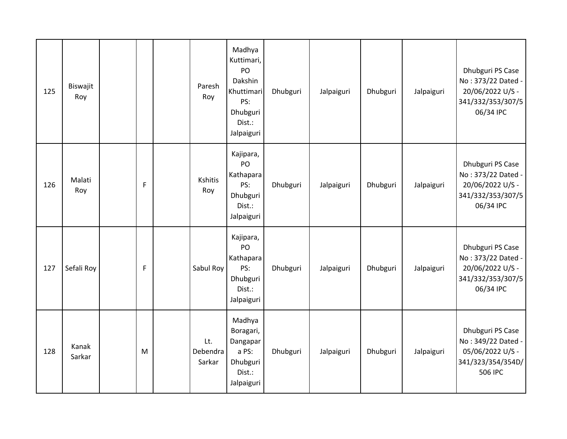| 125 | Biswajit<br>Roy |   | Paresh<br>Roy             | Madhya<br>Kuttimari,<br>PO<br>Dakshin<br>Khuttimari<br>PS:<br>Dhubguri<br>Dist.:<br>Jalpaiguri | Dhubguri | Jalpaiguri | Dhubguri | Jalpaiguri | Dhubguri PS Case<br>No: 373/22 Dated -<br>20/06/2022 U/S -<br>341/332/353/307/5<br>06/34 IPC |
|-----|-----------------|---|---------------------------|------------------------------------------------------------------------------------------------|----------|------------|----------|------------|----------------------------------------------------------------------------------------------|
| 126 | Malati<br>Roy   | F | Kshitis<br>Roy            | Kajipara,<br>PO<br>Kathapara<br>PS:<br>Dhubguri<br>Dist.:<br>Jalpaiguri                        | Dhubguri | Jalpaiguri | Dhubguri | Jalpaiguri | Dhubguri PS Case<br>No: 373/22 Dated -<br>20/06/2022 U/S -<br>341/332/353/307/5<br>06/34 IPC |
| 127 | Sefali Roy      | F | Sabul Roy                 | Kajipara,<br>PO<br>Kathapara<br>PS:<br>Dhubguri<br>Dist.:<br>Jalpaiguri                        | Dhubguri | Jalpaiguri | Dhubguri | Jalpaiguri | Dhubguri PS Case<br>No: 373/22 Dated -<br>20/06/2022 U/S -<br>341/332/353/307/5<br>06/34 IPC |
| 128 | Kanak<br>Sarkar | M | Lt.<br>Debendra<br>Sarkar | Madhya<br>Boragari,<br>Dangapar<br>a PS:<br>Dhubguri<br>Dist.:<br>Jalpaiguri                   | Dhubguri | Jalpaiguri | Dhubguri | Jalpaiguri | Dhubguri PS Case<br>No: 349/22 Dated -<br>05/06/2022 U/S -<br>341/323/354/354D/<br>506 IPC   |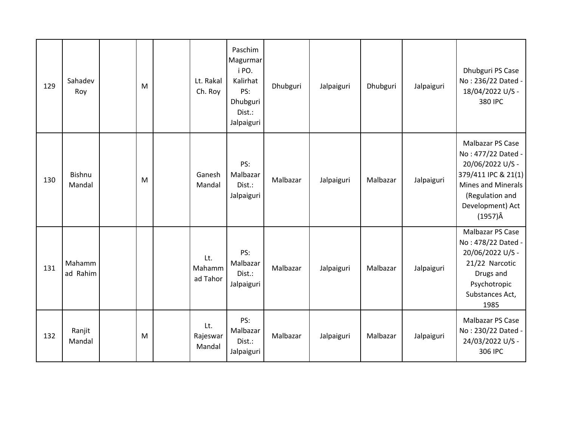| 129 | Sahadev<br>Roy          | M | Lt. Rakal<br>Ch. Roy      | Paschim<br>Magurmar<br>i PO.<br>Kalirhat<br>PS:<br>Dhubguri<br>Dist.:<br>Jalpaiguri | Dhubguri | Jalpaiguri | Dhubguri | Jalpaiguri | Dhubguri PS Case<br>No: 236/22 Dated -<br>18/04/2022 U/S -<br>380 IPC                                                                                             |
|-----|-------------------------|---|---------------------------|-------------------------------------------------------------------------------------|----------|------------|----------|------------|-------------------------------------------------------------------------------------------------------------------------------------------------------------------|
| 130 | <b>Bishnu</b><br>Mandal | M | Ganesh<br>Mandal          | PS:<br>Malbazar<br>Dist.:<br>Jalpaiguri                                             | Malbazar | Jalpaiguri | Malbazar | Jalpaiguri | Malbazar PS Case<br>No: 477/22 Dated -<br>20/06/2022 U/S -<br>379/411 IPC & 21(1)<br>Mines and Minerals<br>(Regulation and<br>Development) Act<br>$(1957)\hat{A}$ |
| 131 | Mahamm<br>ad Rahim      |   | Lt.<br>Mahamm<br>ad Tahor | PS:<br>Malbazar<br>Dist.:<br>Jalpaiguri                                             | Malbazar | Jalpaiguri | Malbazar | Jalpaiguri | Malbazar PS Case<br>No: 478/22 Dated -<br>20/06/2022 U/S -<br>21/22 Narcotic<br>Drugs and<br>Psychotropic<br>Substances Act,<br>1985                              |
| 132 | Ranjit<br>Mandal        | M | Lt.<br>Rajeswar<br>Mandal | PS:<br>Malbazar<br>Dist.:<br>Jalpaiguri                                             | Malbazar | Jalpaiguri | Malbazar | Jalpaiguri | Malbazar PS Case<br>No: 230/22 Dated -<br>24/03/2022 U/S -<br>306 IPC                                                                                             |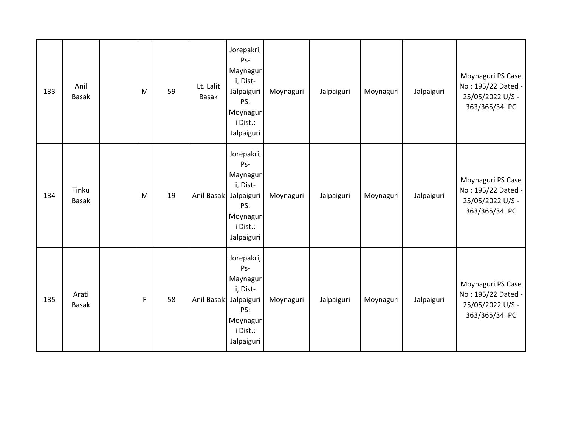| 133 | Anil<br><b>Basak</b>  | M | 59 | Lt. Lalit<br><b>Basak</b> | Jorepakri,<br>Ps-<br>Maynagur<br>i, Dist-<br>Jalpaiguri<br>PS:<br>Moynagur<br>i Dist.:<br>Jalpaiguri | Moynaguri | Jalpaiguri | Moynaguri | Jalpaiguri | Moynaguri PS Case<br>No: 195/22 Dated -<br>25/05/2022 U/S -<br>363/365/34 IPC |
|-----|-----------------------|---|----|---------------------------|------------------------------------------------------------------------------------------------------|-----------|------------|-----------|------------|-------------------------------------------------------------------------------|
| 134 | Tinku<br><b>Basak</b> | M | 19 | Anil Basak                | Jorepakri,<br>Ps-<br>Maynagur<br>i, Dist-<br>Jalpaiguri<br>PS:<br>Moynagur<br>i Dist.:<br>Jalpaiguri | Moynaguri | Jalpaiguri | Moynaguri | Jalpaiguri | Moynaguri PS Case<br>No: 195/22 Dated -<br>25/05/2022 U/S -<br>363/365/34 IPC |
| 135 | Arati<br><b>Basak</b> | F | 58 | Anil Basak                | Jorepakri,<br>Ps-<br>Maynagur<br>i, Dist-<br>Jalpaiguri<br>PS:<br>Moynagur<br>i Dist.:<br>Jalpaiguri | Moynaguri | Jalpaiguri | Moynaguri | Jalpaiguri | Moynaguri PS Case<br>No: 195/22 Dated -<br>25/05/2022 U/S -<br>363/365/34 IPC |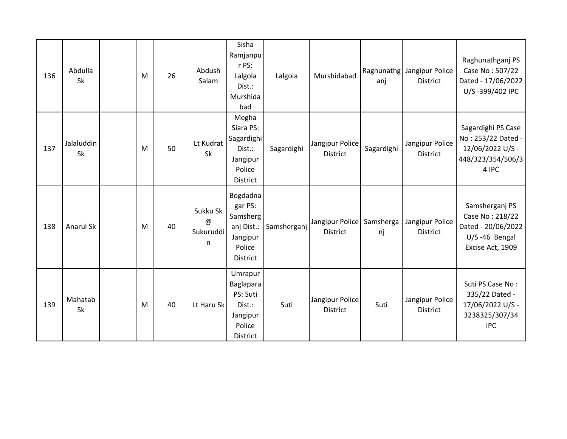| 136 | Abdulla<br>Sk        | M | 26 | Abdush<br>Salam                 | Sisha<br>Ramjanpu<br>r PS:<br>Lalgola<br>Dist.:<br>Murshida<br>bad                     | Lalgola     | Murshidabad                                  | anj        | Raghunathg Jangipur Police<br><b>District</b> | Raghunathganj PS<br>Case No: 507/22<br>Dated - 17/06/2022<br>U/S-399/402 IPC                 |
|-----|----------------------|---|----|---------------------------------|----------------------------------------------------------------------------------------|-------------|----------------------------------------------|------------|-----------------------------------------------|----------------------------------------------------------------------------------------------|
| 137 | Jalaluddin<br>Sk     | M | 50 | Lt Kudrat<br>Sk                 | Megha<br>Siara PS:<br>Sagardighi<br>Dist.:<br>Jangipur<br>Police<br>District           | Sagardighi  | Jangipur Police<br><b>District</b>           | Sagardighi | Jangipur Police<br><b>District</b>            | Sagardighi PS Case<br>No: 253/22 Dated -<br>12/06/2022 U/S -<br>448/323/354/506/3<br>4 IPC   |
| 138 | <b>Anarul Sk</b>     | M | 40 | Sukku Sk<br>@<br>Sukuruddi<br>n | Bogdadna<br>gar PS:<br>Samsherg<br>anj Dist.:<br>Jangipur<br>Police<br><b>District</b> | Samsherganj | Jangipur Police Samsherga<br><b>District</b> | nj         | Jangipur Police<br><b>District</b>            | Samsherganj PS<br>Case No: 218/22<br>Dated - 20/06/2022<br>U/S-46 Bengal<br>Excise Act, 1909 |
| 139 | Mahatab<br><b>Sk</b> | M | 40 | Lt Haru Sk                      | Umrapur<br>Baglapara<br>PS: Suti<br>Dist.:<br>Jangipur<br>Police<br>District           | Suti        | Jangipur Police<br><b>District</b>           | Suti       | Jangipur Police<br><b>District</b>            | Suti PS Case No:<br>335/22 Dated -<br>17/06/2022 U/S -<br>3238325/307/34<br><b>IPC</b>       |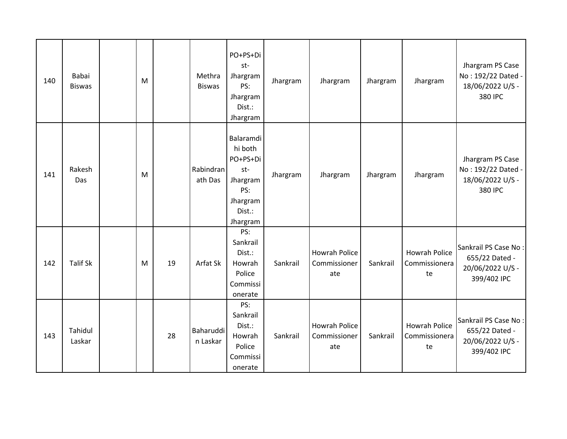| 140 | Babai<br><b>Biswas</b> | M |    | Methra<br><b>Biswas</b> | PO+PS+Di<br>st-<br>Jhargram<br>PS:<br>Jhargram<br>Dist.:<br>Jhargram                         | Jhargram | Jhargram                                    | Jhargram | Jhargram                                    | Jhargram PS Case<br>No: 192/22 Dated -<br>18/06/2022 U/S -<br>380 IPC     |
|-----|------------------------|---|----|-------------------------|----------------------------------------------------------------------------------------------|----------|---------------------------------------------|----------|---------------------------------------------|---------------------------------------------------------------------------|
| 141 | Rakesh<br>Das          | M |    | Rabindran<br>ath Das    | Balaramdi<br>hi both<br>PO+PS+Di<br>st-<br>Jhargram<br>PS:<br>Jhargram<br>Dist.:<br>Jhargram | Jhargram | Jhargram                                    | Jhargram | Jhargram                                    | Jhargram PS Case<br>No: 192/22 Dated -<br>18/06/2022 U/S -<br>380 IPC     |
| 142 | <b>Talif Sk</b>        | M | 19 | Arfat Sk                | PS:<br>Sankrail<br>Dist.:<br>Howrah<br>Police<br>Commissi<br>onerate                         | Sankrail | <b>Howrah Police</b><br>Commissioner<br>ate | Sankrail | <b>Howrah Police</b><br>Commissionera<br>te | Sankrail PS Case No:<br>655/22 Dated -<br>20/06/2022 U/S -<br>399/402 IPC |
| 143 | Tahidul<br>Laskar      |   | 28 | Baharuddi<br>n Laskar   | PS:<br>Sankrail<br>Dist.:<br>Howrah<br>Police<br>Commissi<br>onerate                         | Sankrail | Howrah Police<br>Commissioner<br>ate        | Sankrail | <b>Howrah Police</b><br>Commissionera<br>te | Sankrail PS Case No:<br>655/22 Dated -<br>20/06/2022 U/S -<br>399/402 IPC |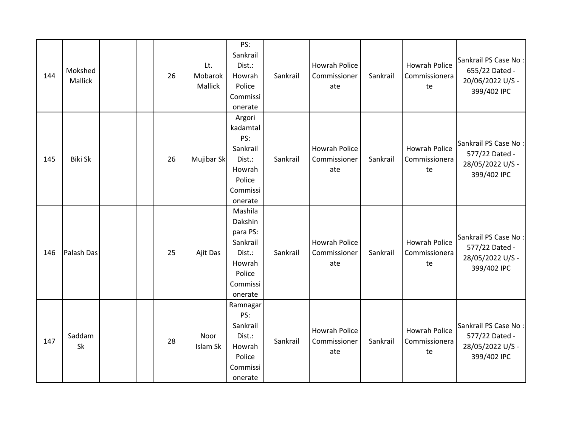| 144 | Mokshed<br>Mallick |  | 26 | Lt.<br>Mobarok<br>Mallick | PS:<br>Sankrail<br>Dist.:<br>Howrah<br>Police<br>Commissi<br>onerate                            | Sankrail | <b>Howrah Police</b><br>Commissioner<br>ate | Sankrail | <b>Howrah Police</b><br>Commissionera<br>te | Sankrail PS Case No:<br>655/22 Dated -<br>20/06/2022 U/S -<br>399/402 IPC |
|-----|--------------------|--|----|---------------------------|-------------------------------------------------------------------------------------------------|----------|---------------------------------------------|----------|---------------------------------------------|---------------------------------------------------------------------------|
| 145 | <b>Biki Sk</b>     |  | 26 | Mujibar Sk                | Argori<br>kadamtal<br>PS:<br>Sankrail<br>Dist.:<br>Howrah<br>Police<br>Commissi<br>onerate      | Sankrail | <b>Howrah Police</b><br>Commissioner<br>ate | Sankrail | <b>Howrah Police</b><br>Commissionera<br>te | Sankrail PS Case No:<br>577/22 Dated -<br>28/05/2022 U/S -<br>399/402 IPC |
| 146 | Palash Das         |  | 25 | Ajit Das                  | Mashila<br>Dakshin<br>para PS:<br>Sankrail<br>Dist.:<br>Howrah<br>Police<br>Commissi<br>onerate | Sankrail | <b>Howrah Police</b><br>Commissioner<br>ate | Sankrail | <b>Howrah Police</b><br>Commissionera<br>te | Sankrail PS Case No:<br>577/22 Dated -<br>28/05/2022 U/S -<br>399/402 IPC |
| 147 | Saddam<br>Sk       |  | 28 | Noor<br>Islam Sk          | Ramnagar<br>PS:<br>Sankrail<br>Dist.:<br>Howrah<br>Police<br>Commissi<br>onerate                | Sankrail | <b>Howrah Police</b><br>Commissioner<br>ate | Sankrail | <b>Howrah Police</b><br>Commissionera<br>te | Sankrail PS Case No:<br>577/22 Dated -<br>28/05/2022 U/S -<br>399/402 IPC |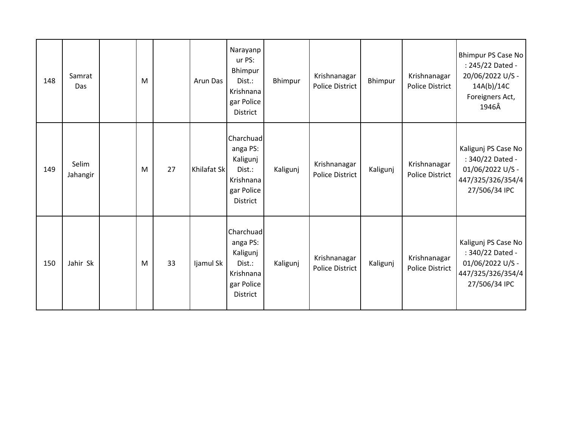| 148 | Samrat<br>Das     | M |    | Arun Das    | Narayanp<br>ur PS:<br>Bhimpur<br>Dist.:<br>Krishnana<br>gar Police<br>District            | Bhimpur  | Krishnanagar<br><b>Police District</b> | Bhimpur  | Krishnanagar<br><b>Police District</b> | Bhimpur PS Case No<br>: 245/22 Dated -<br>20/06/2022 U/S -<br>14A(b)/14C<br>Foreigners Act,<br>1946Â |
|-----|-------------------|---|----|-------------|-------------------------------------------------------------------------------------------|----------|----------------------------------------|----------|----------------------------------------|------------------------------------------------------------------------------------------------------|
| 149 | Selim<br>Jahangir | M | 27 | Khilafat Sk | Charchuad<br>anga PS:<br>Kaligunj<br>Dist.:<br>Krishnana<br>gar Police<br>District        | Kaligunj | Krishnanagar<br><b>Police District</b> | Kaligunj | Krishnanagar<br><b>Police District</b> | Kaligunj PS Case No<br>: 340/22 Dated -<br>01/06/2022 U/S -<br>447/325/326/354/4<br>27/506/34 IPC    |
| 150 | Jahir Sk          | M | 33 | Ijamul Sk   | Charchuad<br>anga PS:<br>Kaligunj<br>Dist.:<br>Krishnana<br>gar Police<br><b>District</b> | Kaligunj | Krishnanagar<br><b>Police District</b> | Kaligunj | Krishnanagar<br><b>Police District</b> | Kaligunj PS Case No<br>: 340/22 Dated -<br>01/06/2022 U/S -<br>447/325/326/354/4<br>27/506/34 IPC    |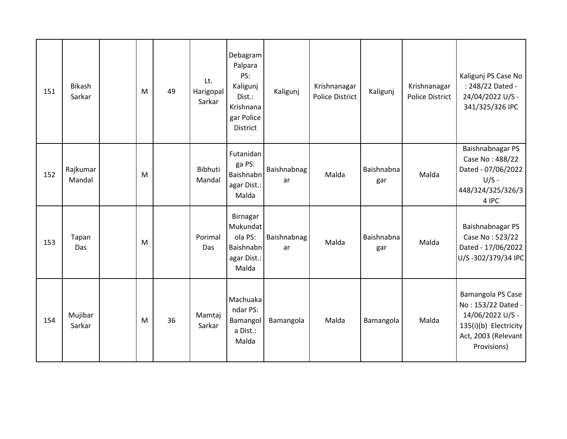| 151 | <b>Bikash</b><br>Sarkar | M | 49 | Lt.<br>Harigopal<br>Sarkar | Debagram<br>Palpara<br>PS:<br>Kaligunj<br>Dist.:<br>Krishnana<br>gar Police<br><b>District</b> | Kaligunj          | Krishnanagar<br><b>Police District</b> | Kaligunj          | Krishnanagar<br><b>Police District</b> | Kaligunj PS Case No<br>: 248/22 Dated -<br>24/04/2022 U/S -<br>341/325/326 IPC                                             |
|-----|-------------------------|---|----|----------------------------|------------------------------------------------------------------------------------------------|-------------------|----------------------------------------|-------------------|----------------------------------------|----------------------------------------------------------------------------------------------------------------------------|
| 152 | Rajkumar<br>Mandal      | M |    | Bibhuti<br>Mandal          | Futanidan<br>ga PS:<br>Baishnabn<br>agar Dist.:<br>Malda                                       | Baishnabnag<br>ar | Malda                                  | Baishnabna<br>gar | Malda                                  | Baishnabnagar PS<br>Case No: 488/22<br>Dated - 07/06/2022<br>$U/S -$<br>448/324/325/326/3<br>4 IPC                         |
| 153 | Tapan<br>Das            | M |    | Porimal<br>Das             | Birnagar<br>Mukundat<br>ola PS:<br>Baishnabn<br>agar Dist.:<br>Malda                           | Baishnabnag<br>ar | Malda                                  | Baishnabna<br>gar | Malda                                  | Baishnabnagar PS<br>Case No: 523/22<br>Dated - 17/06/2022<br>U/S-302/379/34 IPC                                            |
| 154 | Mujibar<br>Sarkar       | M | 36 | Mamtaj<br>Sarkar           | Machuaka<br>ndar PS:<br>Bamangol<br>a Dist.:<br>Malda                                          | Bamangola         | Malda                                  | Bamangola         | Malda                                  | Bamangola PS Case<br>No: 153/22 Dated -<br>14/06/2022 U/S -<br>135(i)(b) Electricity<br>Act, 2003 (Relevant<br>Provisions) |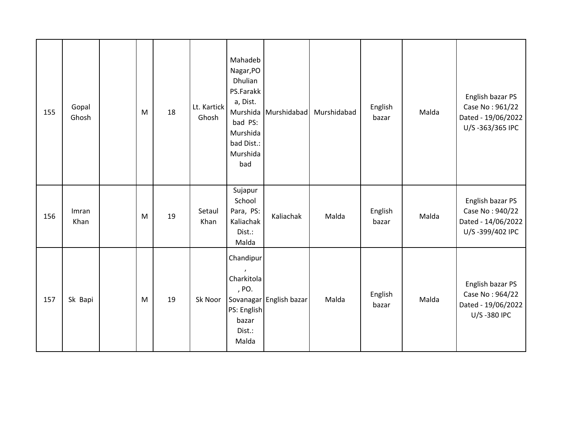| 155 | Gopal<br>Ghosh | M | 18 | Lt. Kartick<br>Ghosh | Mahadeb<br>Nagar, PO<br>Dhulian<br>PS.Farakk<br>a, Dist.<br>Murshida<br>bad PS:<br>Murshida<br>bad Dist.:<br>Murshida<br>bad | Murshidabad             | Murshidabad | English<br>bazar | Malda | English bazar PS<br>Case No: 961/22<br>Dated - 19/06/2022<br>U/S-363/365 IPC |
|-----|----------------|---|----|----------------------|------------------------------------------------------------------------------------------------------------------------------|-------------------------|-------------|------------------|-------|------------------------------------------------------------------------------|
| 156 | Imran<br>Khan  | M | 19 | Setaul<br>Khan       | Sujapur<br>School<br>Para, PS:<br>Kaliachak<br>Dist.:<br>Malda                                                               | Kaliachak               | Malda       | English<br>bazar | Malda | English bazar PS<br>Case No: 940/22<br>Dated - 14/06/2022<br>U/S-399/402 IPC |
| 157 | Sk Bapi        | M | 19 | Sk Noor              | Chandipur<br>$\mathbf{r}$<br>Charkitola<br>, PO.<br>PS: English<br>bazar<br>Dist.:<br>Malda                                  | Sovanagar English bazar | Malda       | English<br>bazar | Malda | English bazar PS<br>Case No: 964/22<br>Dated - 19/06/2022<br>U/S-380 IPC     |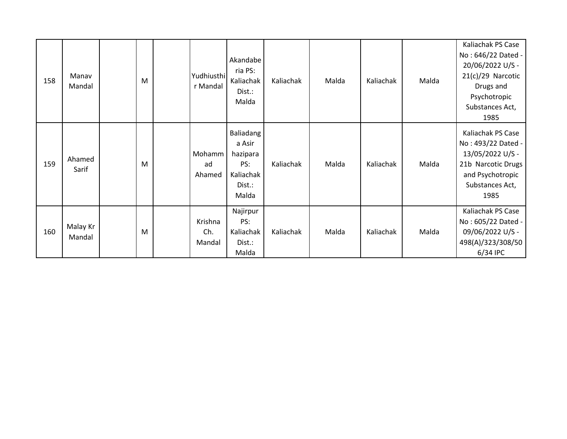| 158 | Manav<br>Mandal    | M | Yudhiusthi<br>r Mandal   | Akandabe<br>ria PS:<br>Kaliachak<br>Dist.:<br>Malda                    | Kaliachak | Malda | Kaliachak | Malda | Kaliachak PS Case<br>No: 646/22 Dated -<br>20/06/2022 U/S -<br>$21(c)/29$ Narcotic<br>Drugs and<br>Psychotropic<br>Substances Act,<br>1985 |
|-----|--------------------|---|--------------------------|------------------------------------------------------------------------|-----------|-------|-----------|-------|--------------------------------------------------------------------------------------------------------------------------------------------|
| 159 | Ahamed<br>Sarif    | M | Mohamm<br>ad<br>Ahamed   | Baliadang<br>a Asir<br>hazipara<br>PS:<br>Kaliachak<br>Dist.:<br>Malda | Kaliachak | Malda | Kaliachak | Malda | Kaliachak PS Case<br>No: 493/22 Dated -<br>13/05/2022 U/S -<br>21b Narcotic Drugs<br>and Psychotropic<br>Substances Act,<br>1985           |
| 160 | Malay Kr<br>Mandal | M | Krishna<br>Ch.<br>Mandal | Najirpur<br>PS:<br>Kaliachak<br>Dist.:<br>Malda                        | Kaliachak | Malda | Kaliachak | Malda | Kaliachak PS Case<br>No: 605/22 Dated -<br>09/06/2022 U/S -<br>498(A)/323/308/50<br>6/34 IPC                                               |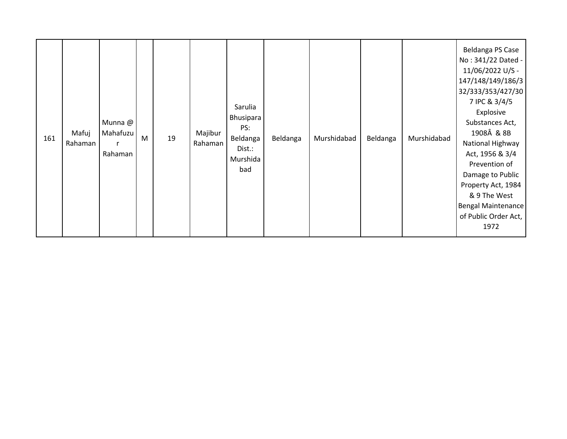| 161 | Mafuj<br>Rahaman | Munna @<br>Mahafuzu<br>Rahaman | ${\sf M}$ | 19 | Majibur<br>Rahaman | Sarulia<br>Bhusipara<br>PS:<br>Beldanga<br>Dist.:<br>Murshida<br>bad | Beldanga | Murshidabad | Beldanga | Murshidabad | Beldanga PS Case<br>No: 341/22 Dated -<br>11/06/2022 U/S -<br>147/148/149/186/3<br>32/333/353/427/30<br>7 IPC & 3/4/5<br>Explosive<br>Substances Act,<br>1908Â & 8B<br>National Highway<br>Act, 1956 & 3/4<br>Prevention of<br>Damage to Public<br>Property Act, 1984<br>& 9 The West<br>Bengal Maintenance<br>of Public Order Act,<br>1972 |
|-----|------------------|--------------------------------|-----------|----|--------------------|----------------------------------------------------------------------|----------|-------------|----------|-------------|---------------------------------------------------------------------------------------------------------------------------------------------------------------------------------------------------------------------------------------------------------------------------------------------------------------------------------------------|
|-----|------------------|--------------------------------|-----------|----|--------------------|----------------------------------------------------------------------|----------|-------------|----------|-------------|---------------------------------------------------------------------------------------------------------------------------------------------------------------------------------------------------------------------------------------------------------------------------------------------------------------------------------------------|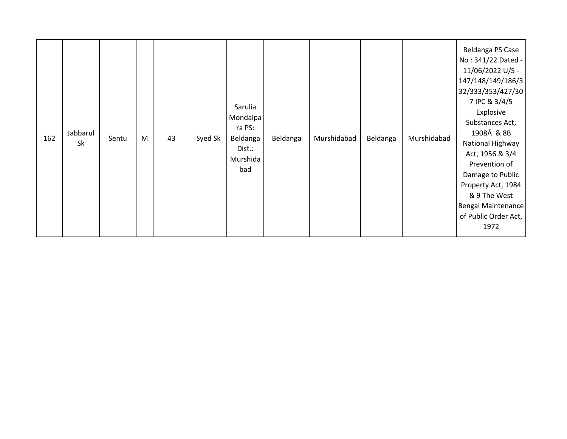| 162 | Jabbarul<br>Sk | Sentu | M | 43 | Syed Sk | Sarulia<br>Mondalpa<br>ra PS:<br>Beldanga<br>Dist.:<br>Murshida<br>bad | Beldanga | Murshidabad | Beldanga | Murshidabad | Beldanga PS Case<br>No: 341/22 Dated -<br>11/06/2022 U/S -<br>147/148/149/186/3<br>32/333/353/427/30<br>7 IPC & 3/4/5<br>Explosive<br>Substances Act,<br>1908Â & 8B<br>National Highway<br>Act, 1956 & 3/4<br>Prevention of<br>Damage to Public<br>Property Act, 1984<br>& 9 The West<br>Bengal Maintenance<br>of Public Order Act,<br>1972 |
|-----|----------------|-------|---|----|---------|------------------------------------------------------------------------|----------|-------------|----------|-------------|---------------------------------------------------------------------------------------------------------------------------------------------------------------------------------------------------------------------------------------------------------------------------------------------------------------------------------------------|
|-----|----------------|-------|---|----|---------|------------------------------------------------------------------------|----------|-------------|----------|-------------|---------------------------------------------------------------------------------------------------------------------------------------------------------------------------------------------------------------------------------------------------------------------------------------------------------------------------------------------|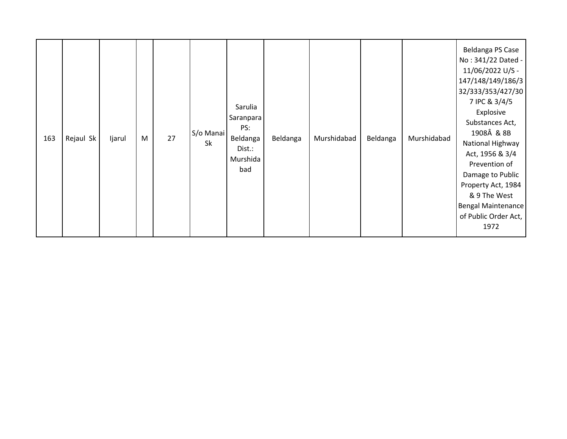| 163 | Rejaul Sk | Ijarul | M | 27 | S/o Manai<br>Sk | Sarulia<br>Saranpara<br>PS:<br>Beldanga<br>Dist.:<br>Murshida<br>bad | Beldanga | Murshidabad | Beldanga | Murshidabad | Beldanga PS Case<br>No: 341/22 Dated -<br>11/06/2022 U/S -<br>147/148/149/186/3<br>32/333/353/427/30<br>7 IPC & 3/4/5<br>Explosive<br>Substances Act,<br>1908Â & 8B<br>National Highway<br>Act, 1956 & 3/4<br>Prevention of<br>Damage to Public<br>Property Act, 1984<br>& 9 The West<br>Bengal Maintenance<br>of Public Order Act,<br>1972 |
|-----|-----------|--------|---|----|-----------------|----------------------------------------------------------------------|----------|-------------|----------|-------------|---------------------------------------------------------------------------------------------------------------------------------------------------------------------------------------------------------------------------------------------------------------------------------------------------------------------------------------------|
|-----|-----------|--------|---|----|-----------------|----------------------------------------------------------------------|----------|-------------|----------|-------------|---------------------------------------------------------------------------------------------------------------------------------------------------------------------------------------------------------------------------------------------------------------------------------------------------------------------------------------------|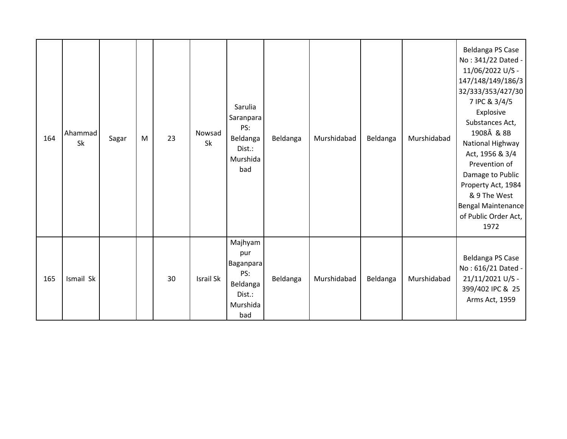| 164 | Ahammad<br>Sk | Sagar | M | 23 | Nowsad<br>Sk     | Sarulia<br>Saranpara<br>PS:<br>Beldanga<br>Dist.:<br>Murshida<br>bad        | Beldanga | Murshidabad | Beldanga | Murshidabad | Beldanga PS Case<br>No: 341/22 Dated -<br>11/06/2022 U/S -<br>147/148/149/186/3<br>32/333/353/427/30<br>7 IPC & 3/4/5<br>Explosive<br>Substances Act,<br>1908Â & 8B<br>National Highway<br>Act, 1956 & 3/4<br>Prevention of<br>Damage to Public<br>Property Act, 1984<br>& 9 The West<br>Bengal Maintenance<br>of Public Order Act,<br>1972 |
|-----|---------------|-------|---|----|------------------|-----------------------------------------------------------------------------|----------|-------------|----------|-------------|---------------------------------------------------------------------------------------------------------------------------------------------------------------------------------------------------------------------------------------------------------------------------------------------------------------------------------------------|
| 165 | Ismail Sk     |       |   | 30 | <b>Israil Sk</b> | Majhyam<br>pur<br>Baganpara<br>PS:<br>Beldanga<br>Dist.:<br>Murshida<br>bad | Beldanga | Murshidabad | Beldanga | Murshidabad | Beldanga PS Case<br>No: 616/21 Dated -<br>21/11/2021 U/S -<br>399/402 IPC & 25<br>Arms Act, 1959                                                                                                                                                                                                                                            |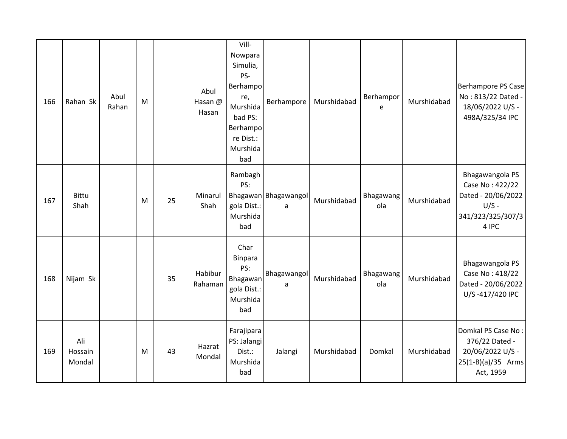| 166 | Rahan Sk                 | Abul<br>Rahan | M |    | Abul<br>Hasan @<br>Hasan | Vill-<br>Nowpara<br>Simulia,<br>PS-<br>Berhampo<br>re,<br>Murshida<br>bad PS:<br>Berhampo<br>re Dist.:<br>Murshida<br>bad | Berhampore                | Murshidabad | Berhampor<br>e   | Murshidabad | Berhampore PS Case<br>No: 813/22 Dated -<br>18/06/2022 U/S -<br>498A/325/34 IPC                   |
|-----|--------------------------|---------------|---|----|--------------------------|---------------------------------------------------------------------------------------------------------------------------|---------------------------|-------------|------------------|-------------|---------------------------------------------------------------------------------------------------|
| 167 | <b>Bittu</b><br>Shah     |               | M | 25 | Minarul<br>Shah          | Rambagh<br>PS:<br>gola Dist.:<br>Murshida<br>bad                                                                          | Bhagawan Bhagawangol<br>a | Murshidabad | Bhagawang<br>ola | Murshidabad | Bhagawangola PS<br>Case No: 422/22<br>Dated - 20/06/2022<br>$U/S -$<br>341/323/325/307/3<br>4 IPC |
| 168 | Nijam Sk                 |               |   | 35 | Habibur<br>Rahaman       | Char<br>Binpara<br>PS:<br>Bhagawan<br>gola Dist.:<br>Murshida<br>bad                                                      | Bhagawangol<br>a          | Murshidabad | Bhagawang<br>ola | Murshidabad | Bhagawangola PS<br>Case No: 418/22<br>Dated - 20/06/2022<br>U/S-417/420 IPC                       |
| 169 | Ali<br>Hossain<br>Mondal |               | M | 43 | Hazrat<br>Mondal         | Farajipara<br>PS: Jalangi<br>Dist.:<br>Murshida<br>bad                                                                    | Jalangi                   | Murshidabad | Domkal           | Murshidabad | Domkal PS Case No:<br>376/22 Dated -<br>20/06/2022 U/S -<br>25(1-B)(a)/35 Arms<br>Act, 1959       |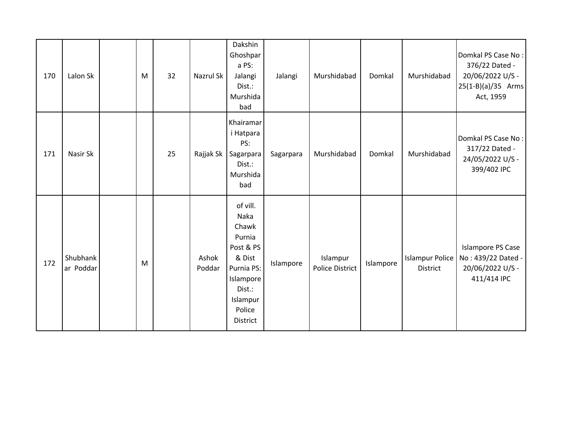| 170 | Lalon Sk              | M | 32 | Nazrul Sk       | Dakshin<br>Ghoshpar<br>a PS:<br>Jalangi<br>Dist.:<br>Murshida<br>bad                                                              | Jalangi   | Murshidabad                        | Domkal    | Murshidabad                               | Domkal PS Case No:<br>376/22 Dated -<br>20/06/2022 U/S -<br>25(1-B)(a)/35 Arms<br>Act, 1959 |
|-----|-----------------------|---|----|-----------------|-----------------------------------------------------------------------------------------------------------------------------------|-----------|------------------------------------|-----------|-------------------------------------------|---------------------------------------------------------------------------------------------|
| 171 | Nasir Sk              |   | 25 | Rajjak Sk       | Khairamar<br>i Hatpara<br>PS:<br>Sagarpara<br>Dist.:<br>Murshida<br>bad                                                           | Sagarpara | Murshidabad                        | Domkal    | Murshidabad                               | Domkal PS Case No:<br>317/22 Dated -<br>24/05/2022 U/S -<br>399/402 IPC                     |
| 172 | Shubhank<br>ar Poddar | M |    | Ashok<br>Poddar | of vill.<br>Naka<br>Chawk<br>Purnia<br>Post & PS<br>& Dist<br>Purnia PS:<br>Islampore<br>Dist.:<br>Islampur<br>Police<br>District | Islampore | Islampur<br><b>Police District</b> | Islampore | <b>Islampur Police</b><br><b>District</b> | <b>Islampore PS Case</b><br>No: 439/22 Dated -<br>20/06/2022 U/S -<br>411/414 IPC           |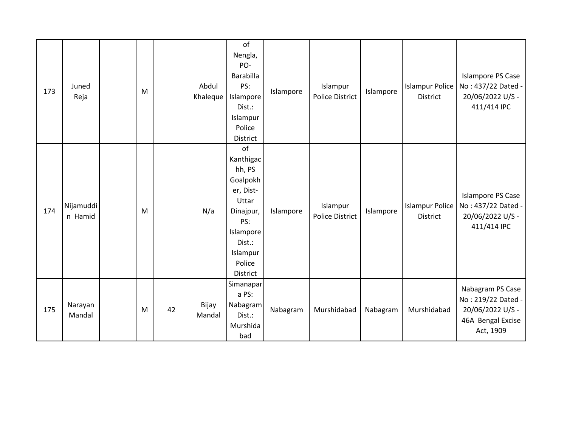| 173 | Juned<br>Reja        | M |    | Abdul<br>Khaleque | of<br>Nengla,<br>PO-<br><b>Barabilla</b><br>PS:<br>Islampore<br>Dist.:<br>Islampur<br>Police<br>District                                 | Islampore | Islampur<br><b>Police District</b> | Islampore | <b>Islampur Police</b><br><b>District</b> | <b>Islampore PS Case</b><br>No: 437/22 Dated -<br>20/06/2022 U/S -<br>411/414 IPC            |
|-----|----------------------|---|----|-------------------|------------------------------------------------------------------------------------------------------------------------------------------|-----------|------------------------------------|-----------|-------------------------------------------|----------------------------------------------------------------------------------------------|
| 174 | Nijamuddi<br>n Hamid | M |    | N/a               | of<br>Kanthigac<br>hh, PS<br>Goalpokh<br>er, Dist-<br>Uttar<br>Dinajpur,<br>PS:<br>Islampore<br>Dist.:<br>Islampur<br>Police<br>District | Islampore | Islampur<br><b>Police District</b> | Islampore | <b>Islampur Police</b><br><b>District</b> | <b>Islampore PS Case</b><br>No: 437/22 Dated -<br>20/06/2022 U/S -<br>411/414 IPC            |
| 175 | Narayan<br>Mandal    | M | 42 | Bijay<br>Mandal   | Simanaparl<br>a PS:<br>Nabagram<br>Dist.:<br>Murshida<br>bad                                                                             | Nabagram  | Murshidabad                        | Nabagram  | Murshidabad                               | Nabagram PS Case<br>No: 219/22 Dated -<br>20/06/2022 U/S -<br>46A Bengal Excise<br>Act, 1909 |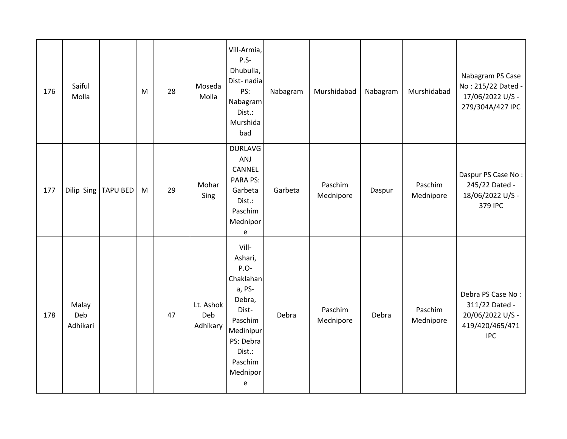| 176 | Saiful<br>Molla          |                 | M | 28 | Moseda<br>Molla              | Vill-Armia,<br>$P.S-$<br>Dhubulia,<br>Dist-nadia<br>PS:<br>Nabagram<br>Dist.:<br>Murshida<br>bad                                                        | Nabagram | Murshidabad          | Nabagram | Murshidabad          | Nabagram PS Case<br>No: 215/22 Dated -<br>17/06/2022 U/S -<br>279/304A/427 IPC           |
|-----|--------------------------|-----------------|---|----|------------------------------|---------------------------------------------------------------------------------------------------------------------------------------------------------|----------|----------------------|----------|----------------------|------------------------------------------------------------------------------------------|
| 177 | Dilip Sing               | <b>TAPU BED</b> | M | 29 | Mohar<br>Sing                | <b>DURLAVG</b><br>ANJ<br>CANNEL<br>PARA PS:<br>Garbeta<br>Dist.:<br>Paschim<br>Mednipor<br>e                                                            | Garbeta  | Paschim<br>Mednipore | Daspur   | Paschim<br>Mednipore | Daspur PS Case No:<br>245/22 Dated -<br>18/06/2022 U/S -<br>379 IPC                      |
| 178 | Malay<br>Deb<br>Adhikari |                 |   | 47 | Lt. Ashok<br>Deb<br>Adhikary | Vill-<br>Ashari,<br>P.O-<br>Chaklahan<br>a, PS-<br>Debra,<br>Dist-<br>Paschim<br>Medinipur<br>PS: Debra<br>Dist.:<br>Paschim<br>Mednipor<br>$\mathsf e$ | Debra    | Paschim<br>Mednipore | Debra    | Paschim<br>Mednipore | Debra PS Case No:<br>311/22 Dated -<br>20/06/2022 U/S -<br>419/420/465/471<br><b>IPC</b> |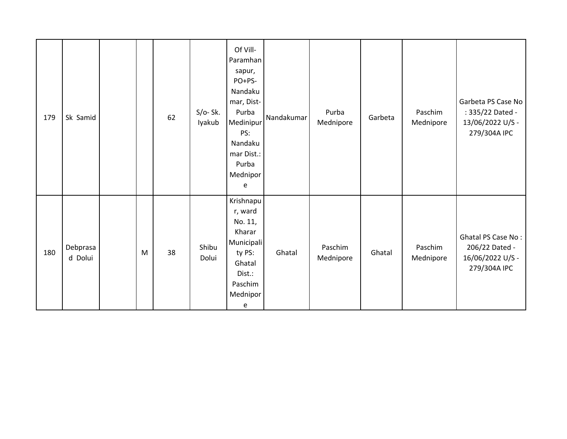| 179 | Sk Samid            |   | 62 | $S/O-Sk.$<br>Iyakub | Of Vill-<br>Paramhan<br>sapur,<br>PO+PS-<br>Nandaku<br>mar, Dist-<br>Purba<br>Medinipur<br>PS:<br>Nandaku<br>mar Dist.:<br>Purba<br>Mednipor<br>e | Nandakumar | Purba<br>Mednipore   | Garbeta | Paschim<br>Mednipore | Garbeta PS Case No<br>: 335/22 Dated -<br>13/06/2022 U/S -<br>279/304A IPC |
|-----|---------------------|---|----|---------------------|---------------------------------------------------------------------------------------------------------------------------------------------------|------------|----------------------|---------|----------------------|----------------------------------------------------------------------------|
| 180 | Debprasa<br>d Dolui | M | 38 | Shibu<br>Dolui      | Krishnapu<br>r, ward<br>No. 11,<br>Kharar<br>Municipali<br>ty PS:<br>Ghatal<br>Dist.:<br>Paschim<br>Mednipor<br>e                                 | Ghatal     | Paschim<br>Mednipore | Ghatal  | Paschim<br>Mednipore | Ghatal PS Case No:<br>206/22 Dated -<br>16/06/2022 U/S -<br>279/304A IPC   |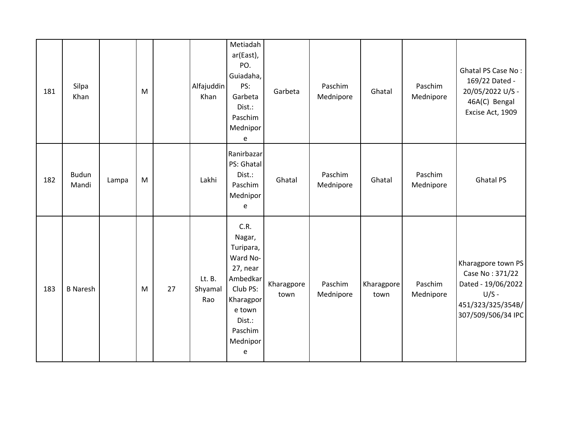| 181 | Silpa<br>Khan         |       | M |    | Alfajuddin<br>Khan       | Metiadah<br>ar(East),<br>PO.<br>Guiadaha,<br>PS:<br>Garbeta<br>Dist.:<br>Paschim<br>Mednipor<br>e                                        | Garbeta            | Paschim<br>Mednipore | Ghatal             | Paschim<br>Mednipore | Ghatal PS Case No:<br>169/22 Dated -<br>20/05/2022 U/S -<br>46A(C) Bengal<br>Excise Act, 1909                     |
|-----|-----------------------|-------|---|----|--------------------------|------------------------------------------------------------------------------------------------------------------------------------------|--------------------|----------------------|--------------------|----------------------|-------------------------------------------------------------------------------------------------------------------|
| 182 | <b>Budun</b><br>Mandi | Lampa | M |    | Lakhi                    | Ranirbazar<br>PS: Ghatal<br>Dist.:<br>Paschim<br>Mednipor<br>е                                                                           | Ghatal             | Paschim<br>Mednipore | Ghatal             | Paschim<br>Mednipore | <b>Ghatal PS</b>                                                                                                  |
| 183 | <b>B</b> Naresh       |       | M | 27 | Lt. B.<br>Shyamal<br>Rao | C.R.<br>Nagar,<br>Turipara,<br>Ward No-<br>27, near<br>Ambedkar<br>Club PS:<br>Kharagpor<br>e town<br>Dist.:<br>Paschim<br>Mednipor<br>e | Kharagpore<br>town | Paschim<br>Mednipore | Kharagpore<br>town | Paschim<br>Mednipore | Kharagpore town PS<br>Case No: 371/22<br>Dated - 19/06/2022<br>$U/S -$<br>451/323/325/354B/<br>307/509/506/34 IPC |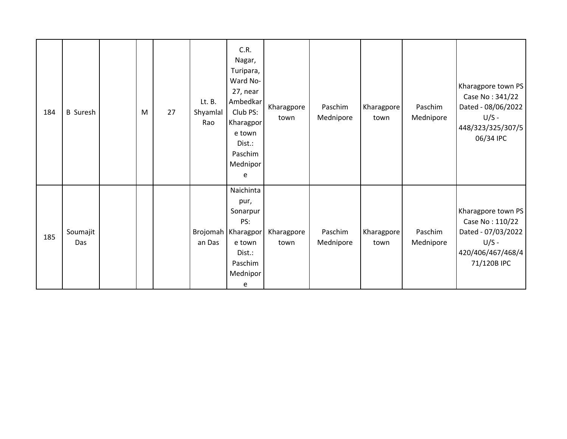| 184 | <b>B</b> Suresh | M | 27 | Lt. B.<br>Shyamlal<br>Rao | C.R.<br>Nagar,<br>Turipara,<br>Ward No-<br>27, near<br>Ambedkar<br>Club PS:<br>Kharagpor<br>e town<br>Dist.:<br>Paschim<br>Mednipor<br>e | Kharagpore<br>town | Paschim<br>Mednipore | Kharagpore<br>town | Paschim<br>Mednipore | Kharagpore town PS<br>Case No: 341/22<br>Dated - 08/06/2022<br>$U/S -$<br>448/323/325/307/5<br>06/34 IPC   |
|-----|-----------------|---|----|---------------------------|------------------------------------------------------------------------------------------------------------------------------------------|--------------------|----------------------|--------------------|----------------------|------------------------------------------------------------------------------------------------------------|
| 185 | Soumajit<br>Das |   |    | an Das                    | Naichinta<br>pur,<br>Sonarpur<br>PS:<br>Brojomah   Kharagpor<br>e town<br>Dist.:<br>Paschim<br>Mednipor<br>e                             | Kharagpore<br>town | Paschim<br>Mednipore | Kharagpore<br>town | Paschim<br>Mednipore | Kharagpore town PS<br>Case No: 110/22<br>Dated - 07/03/2022<br>$U/S -$<br>420/406/467/468/4<br>71/120B IPC |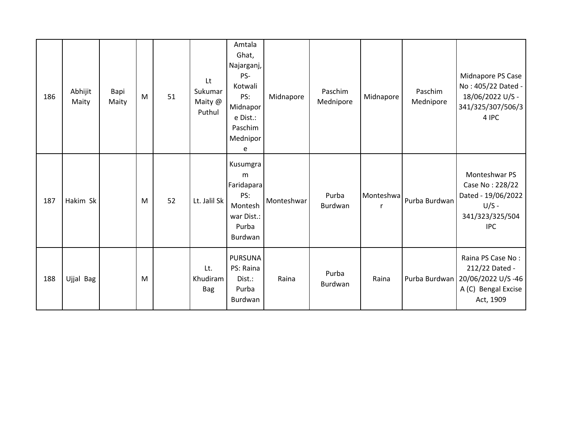| 186 | Abhijit<br>Maity | Bapi<br>Maity | M | 51 | Lt<br>Sukumar<br>Maity @<br>Puthul | Amtala<br>Ghat,<br>Najarganj,<br>PS-<br>Kotwali<br>PS:<br>Midnapor<br>e Dist.:<br>Paschim<br>Mednipor<br>e | Midnapore  | Paschim<br>Mednipore | Midnapore      | Paschim<br>Mednipore | Midnapore PS Case<br>No: 405/22 Dated -<br>18/06/2022 U/S -<br>341/325/307/506/3<br>4 IPC                     |
|-----|------------------|---------------|---|----|------------------------------------|------------------------------------------------------------------------------------------------------------|------------|----------------------|----------------|----------------------|---------------------------------------------------------------------------------------------------------------|
| 187 | Hakim Sk         |               | M | 52 | Lt. Jalil Sk                       | Kusumgra<br>m<br>Faridapara<br>PS:<br>Montesh<br>war Dist.:<br>Purba<br>Burdwan                            | Monteshwar | Purba<br>Burdwan     | Monteshwa<br>r | Purba Burdwan        | Monteshwar PS<br>Case No: 228/22<br>Dated - 19/06/2022<br>$U/S -$<br>341/323/325/504<br><b>IPC</b>            |
| 188 | Ujjal Bag        |               | M |    | Lt.<br>Khudiram<br><b>Bag</b>      | <b>PURSUNA</b><br>PS: Raina<br>Dist.:<br>Purba<br>Burdwan                                                  | Raina      | Purba<br>Burdwan     | Raina          |                      | Raina PS Case No:<br>212/22 Dated -<br>Purba Burdwan   20/06/2022 U/S -46<br>A (C) Bengal Excise<br>Act, 1909 |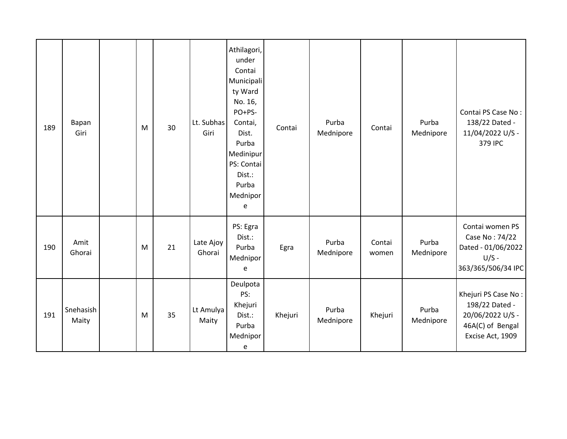| 189 | Bapan<br>Giri      | M | 30 | Lt. Subhas<br>Giri  | Athilagori,<br>under<br>Contai<br>Municipali<br>ty Ward<br>No. 16,<br>PO+PS-<br>Contai,<br>Dist.<br>Purba<br>Medinipur<br>PS: Contai<br>Dist.:<br>Purba<br>Mednipor<br>e | Contai  | Purba<br>Mednipore | Contai          | Purba<br>Mednipore | Contai PS Case No:<br>138/22 Dated -<br>11/04/2022 U/S -<br>379 IPC                               |
|-----|--------------------|---|----|---------------------|--------------------------------------------------------------------------------------------------------------------------------------------------------------------------|---------|--------------------|-----------------|--------------------|---------------------------------------------------------------------------------------------------|
| 190 | Amit<br>Ghorai     | M | 21 | Late Ajoy<br>Ghorai | PS: Egra<br>Dist.:<br>Purba<br>Mednipor<br>e                                                                                                                             | Egra    | Purba<br>Mednipore | Contai<br>women | Purba<br>Mednipore | Contai women PS<br>Case No: 74/22<br>Dated - 01/06/2022<br>$U/S -$<br>363/365/506/34 IPC          |
| 191 | Snehasish<br>Maity | M | 35 | Lt Amulya<br>Maity  | Deulpota<br>PS:<br>Khejuri<br>Dist.:<br>Purba<br>Mednipor<br>е                                                                                                           | Khejuri | Purba<br>Mednipore | Khejuri         | Purba<br>Mednipore | Khejuri PS Case No:<br>198/22 Dated -<br>20/06/2022 U/S -<br>46A(C) of Bengal<br>Excise Act, 1909 |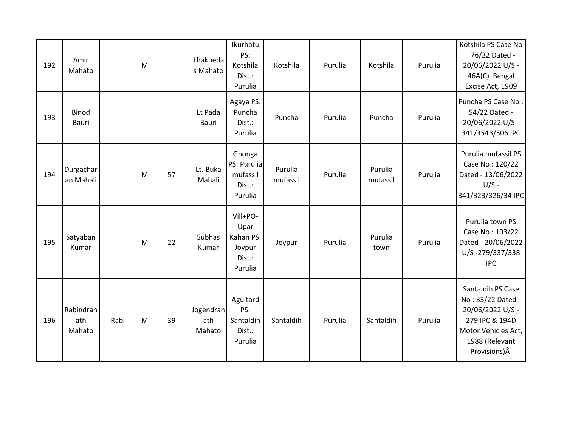| 192 | Amir<br>Mahato             |      | M |    | Thakueda<br>s Mahato       | Ikurhatu<br>PS:<br>Kotshila<br>Dist.:<br>Purulia             | Kotshila            | Purulia | Kotshila            | Purulia | Kotshila PS Case No<br>: 76/22 Dated -<br>20/06/2022 U/S -<br>46A(C) Bengal<br>Excise Act, 1909                                        |
|-----|----------------------------|------|---|----|----------------------------|--------------------------------------------------------------|---------------------|---------|---------------------|---------|----------------------------------------------------------------------------------------------------------------------------------------|
| 193 | Binod<br>Bauri             |      |   |    | Lt Pada<br>Bauri           | Agaya PS:<br>Puncha<br>Dist.:<br>Purulia                     | Puncha              | Purulia | Puncha              | Purulia | Puncha PS Case No:<br>54/22 Dated -<br>20/06/2022 U/S -<br>341/354B/506 IPC                                                            |
| 194 | Durgachar<br>an Mahali     |      | M | 57 | Lt. Buka<br>Mahali         | Ghonga<br>PS: Purulia<br>mufassil<br>Dist.:<br>Purulia       | Purulia<br>mufassil | Purulia | Purulia<br>mufassil | Purulia | Purulia mufassil PS<br>Case No: 120/22<br>Dated - 13/06/2022<br>$U/S -$<br>341/323/326/34 IPC                                          |
| 195 | Satyaban<br>Kumar          |      | M | 22 | Subhas<br>Kumar            | Vill+PO-<br>Upar<br>Kahan PS:<br>Joypur<br>Dist.:<br>Purulia | Joypur              | Purulia | Purulia<br>town     | Purulia | Purulia town PS<br>Case No: 103/22<br>Dated - 20/06/2022<br>U/S-279/337/338<br><b>IPC</b>                                              |
| 196 | Rabindran<br>ath<br>Mahato | Rabi | M | 39 | Jogendran<br>ath<br>Mahato | Aguitard<br>PS:<br>Santaldih<br>Dist.:<br>Purulia            | Santaldih           | Purulia | Santaldih           | Purulia | Santaldih PS Case<br>No: 33/22 Dated -<br>20/06/2022 U/S -<br>279 IPC & 194D<br>Motor Vehicles Act,<br>1988 (Relevant<br>Provisions) Â |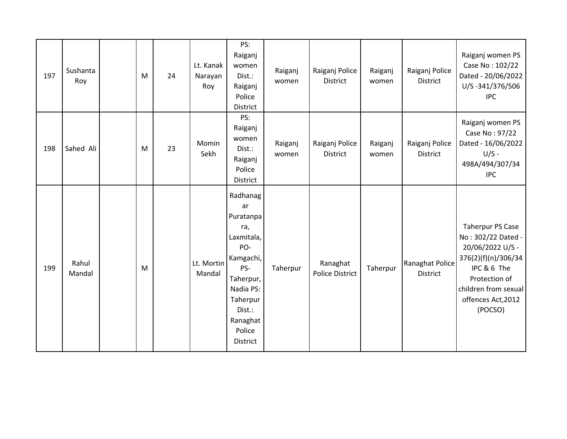| 197 | Sushanta<br>Roy | M | 24 | Lt. Kanak<br>Narayan<br>Roy | PS:<br>Raiganj<br>women<br>Dist.:<br>Raiganj<br>Police<br>District                                                                                            | Raiganj<br>women | Raiganj Police<br>District         | Raiganj<br>women | Raiganj Police<br><b>District</b>  | Raiganj women PS<br>Case No: 102/22<br>Dated - 20/06/2022<br>U/S-341/376/506<br><b>IPC</b>                                                                                        |
|-----|-----------------|---|----|-----------------------------|---------------------------------------------------------------------------------------------------------------------------------------------------------------|------------------|------------------------------------|------------------|------------------------------------|-----------------------------------------------------------------------------------------------------------------------------------------------------------------------------------|
| 198 | Sahed Ali       | M | 23 | Momin<br>Sekh               | PS:<br>Raiganj<br>women<br>Dist.:<br>Raiganj<br>Police<br>District                                                                                            | Raiganj<br>women | Raiganj Police<br>District         | Raiganj<br>women | Raiganj Police<br><b>District</b>  | Raiganj women PS<br>Case No: 97/22<br>Dated - 16/06/2022<br>$U/S -$<br>498A/494/307/34<br><b>IPC</b>                                                                              |
| 199 | Rahul<br>Mandal | M |    | Lt. Mortin<br>Mandal        | Radhanag<br>ar<br>Puratanpa<br>ra,<br>Laxmitala,<br>PO-<br>Kamgachi,<br>PS-<br>Taherpur,<br>Nadia PS:<br>Taherpur<br>Dist.:<br>Ranaghat<br>Police<br>District | Taherpur         | Ranaghat<br><b>Police District</b> | Taherpur         | Ranaghat Police<br><b>District</b> | <b>Taherpur PS Case</b><br>No: 302/22 Dated -<br>20/06/2022 U/S -<br>376(2)(f)(n)/306/34<br>IPC & 6 The<br>Protection of<br>children from sexual<br>offences Act, 2012<br>(POCSO) |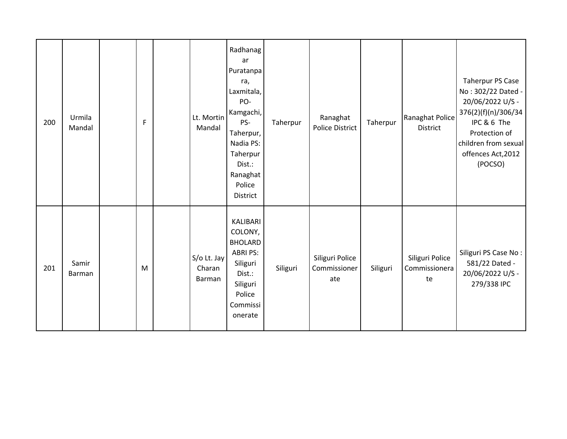| 200 | Urmila<br>Mandal | $\mathsf F$ | Lt. Mortin<br>Mandal            | Radhanag<br>ar<br>Puratanpa<br>ra,<br>Laxmitala,<br>PO-<br>Kamgachi,<br>PS-<br>Taherpur,<br>Nadia PS:<br>Taherpur<br>Dist.:<br>Ranaghat<br>Police<br>District | Taherpur | Ranaghat<br><b>Police District</b>     | Taherpur | Ranaghat Police<br><b>District</b>     | Taherpur PS Case<br>No: 302/22 Dated -<br>20/06/2022 U/S -<br>376(2)(f)(n)/306/34<br>IPC & 6 The<br>Protection of<br>children from sexual<br>offences Act, 2012<br>(POCSO) |
|-----|------------------|-------------|---------------------------------|---------------------------------------------------------------------------------------------------------------------------------------------------------------|----------|----------------------------------------|----------|----------------------------------------|----------------------------------------------------------------------------------------------------------------------------------------------------------------------------|
| 201 | Samir<br>Barman  | M           | S/o Lt. Jay<br>Charan<br>Barman | KALIBARI<br>COLONY,<br><b>BHOLARD</b><br><b>ABRI PS:</b><br>Siliguri<br>Dist.:<br>Siliguri<br>Police<br>Commissi<br>onerate                                   | Siliguri | Siliguri Police<br>Commissioner<br>ate | Siliguri | Siliguri Police<br>Commissionera<br>te | Siliguri PS Case No:<br>581/22 Dated -<br>20/06/2022 U/S -<br>279/338 IPC                                                                                                  |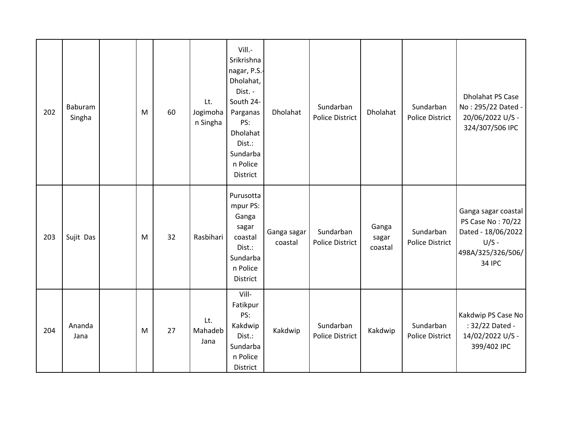| 202 | Baburam<br>Singha | M | 60 | Lt.<br>Jogimoha<br>n Singha | Vill.-<br>Srikrishna<br>nagar, P.S.-<br>Dholahat,<br>Dist. -<br>South 24-<br>Parganas<br>PS:<br>Dholahat<br>Dist.:<br>Sundarba<br>n Police<br>District | Dholahat               | Sundarban<br><b>Police District</b> | Dholahat                  | Sundarban<br>Police District        | <b>Dholahat PS Case</b><br>No: 295/22 Dated -<br>20/06/2022 U/S -<br>324/307/506 IPC                            |
|-----|-------------------|---|----|-----------------------------|--------------------------------------------------------------------------------------------------------------------------------------------------------|------------------------|-------------------------------------|---------------------------|-------------------------------------|-----------------------------------------------------------------------------------------------------------------|
| 203 | Sujit Das         | M | 32 | Rasbihari                   | Purusotta<br>mpur PS:<br>Ganga<br>sagar<br>coastal<br>Dist.:<br>Sundarba<br>n Police<br>District                                                       | Ganga sagar<br>coastal | Sundarban<br><b>Police District</b> | Ganga<br>sagar<br>coastal | Sundarban<br><b>Police District</b> | Ganga sagar coastal<br>PS Case No: 70/22<br>Dated - 18/06/2022<br>$U/S -$<br>498A/325/326/506/<br><b>34 IPC</b> |
| 204 | Ananda<br>Jana    | M | 27 | Lt.<br>Mahadeb<br>Jana      | Vill-<br>Fatikpur<br>PS:<br>Kakdwip<br>Dist.:<br>Sundarba<br>n Police<br>District                                                                      | Kakdwip                | Sundarban<br><b>Police District</b> | Kakdwip                   | Sundarban<br><b>Police District</b> | Kakdwip PS Case No<br>: 32/22 Dated -<br>14/02/2022 U/S -<br>399/402 IPC                                        |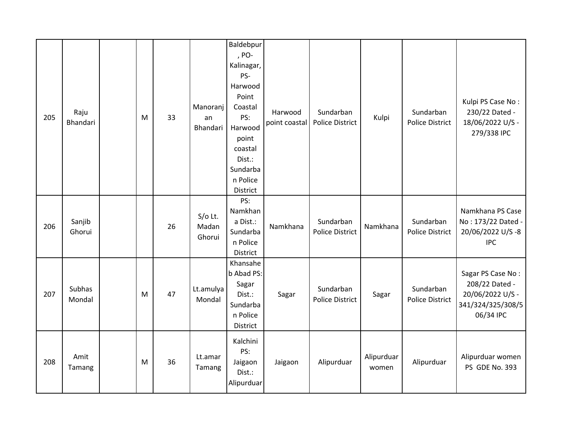| 205 | Raju<br>Bhandari | M | 33 | Manoranj<br>an<br>Bhandari   | Baldebpur<br>, PO-<br>Kalinagar,<br>PS-<br>Harwood<br>Point<br>Coastal<br>PS:<br>Harwood<br>point<br>coastal<br>Dist.:<br>Sundarba<br>n Police<br>District | Harwood<br>point coastal | Sundarban<br><b>Police District</b> | Kulpi               | Sundarban<br><b>Police District</b> | Kulpi PS Case No:<br>230/22 Dated -<br>18/06/2022 U/S -<br>279/338 IPC                    |
|-----|------------------|---|----|------------------------------|------------------------------------------------------------------------------------------------------------------------------------------------------------|--------------------------|-------------------------------------|---------------------|-------------------------------------|-------------------------------------------------------------------------------------------|
| 206 | Sanjib<br>Ghorui |   | 26 | $S/O$ Lt.<br>Madan<br>Ghorui | PS:<br>Namkhan<br>a Dist.:<br>Sundarba<br>n Police<br>District                                                                                             | Namkhana                 | Sundarban<br><b>Police District</b> | Namkhana            | Sundarban<br><b>Police District</b> | Namkhana PS Case<br>No: 173/22 Dated -<br>20/06/2022 U/S-8<br><b>IPC</b>                  |
| 207 | Subhas<br>Mondal | M | 47 | Lt.amulya<br>Mondal          | Khansahe<br>b Abad PS:<br>Sagar<br>Dist.:<br>Sundarba<br>n Police<br>District                                                                              | Sagar                    | Sundarban<br><b>Police District</b> | Sagar               | Sundarban<br><b>Police District</b> | Sagar PS Case No:<br>208/22 Dated -<br>20/06/2022 U/S -<br>341/324/325/308/5<br>06/34 IPC |
| 208 | Amit<br>Tamang   | M | 36 | Lt.amar<br>Tamang            | Kalchini<br>PS:<br>Jaigaon<br>Dist.:<br>Alipurduar                                                                                                         | Jaigaon                  | Alipurduar                          | Alipurduar<br>women | Alipurduar                          | Alipurduar women<br>PS GDE No. 393                                                        |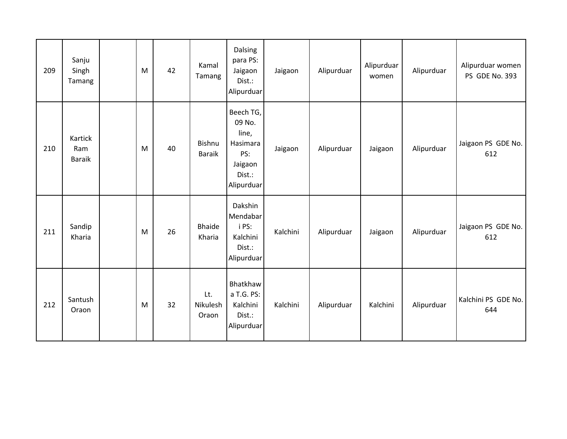| 209 | Sanju<br>Singh<br>Tamang        | M | 42 | Kamal<br>Tamang                | Dalsing<br>para PS:<br>Jaigaon<br>Dist.:<br>Alipurduar                             | Jaigaon  | Alipurduar | Alipurduar<br>women | Alipurduar | Alipurduar women<br>PS GDE No. 393 |
|-----|---------------------------------|---|----|--------------------------------|------------------------------------------------------------------------------------|----------|------------|---------------------|------------|------------------------------------|
| 210 | Kartick<br>Ram<br><b>Baraik</b> | M | 40 | <b>Bishnu</b><br><b>Baraik</b> | Beech TG,<br>09 No.<br>line,<br>Hasimara<br>PS:<br>Jaigaon<br>Dist.:<br>Alipurduar | Jaigaon  | Alipurduar | Jaigaon             | Alipurduar | Jaigaon PS GDE No.<br>612          |
| 211 | Sandip<br>Kharia                | M | 26 | <b>Bhaide</b><br>Kharia        | Dakshin<br>Mendabar<br>i PS:<br>Kalchini<br>Dist.:<br>Alipurduar                   | Kalchini | Alipurduar | Jaigaon             | Alipurduar | Jaigaon PS GDE No.<br>612          |
| 212 | Santush<br>Oraon                | M | 32 | Lt.<br>Nikulesh<br>Oraon       | Bhatkhaw<br>a T.G. PS:<br>Kalchini<br>Dist.:<br>Alipurduar                         | Kalchini | Alipurduar | Kalchini            | Alipurduar | Kalchini PS GDE No.<br>644         |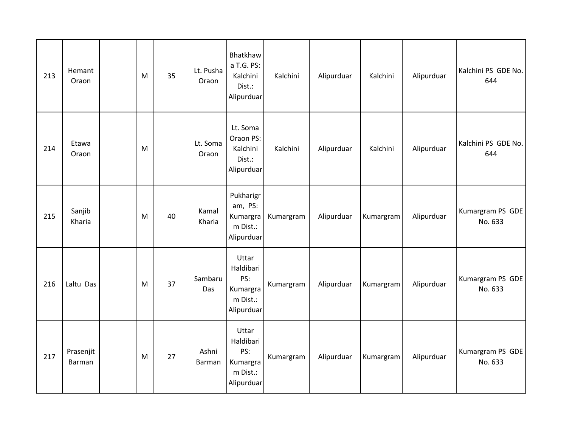| 213 | Hemant<br>Oraon     | M | 35 | Lt. Pusha<br>Oraon | Bhatkhaw<br>a T.G. PS:<br>Kalchini<br>Dist.:<br>Alipurduar      | Kalchini  | Alipurduar | Kalchini  | Alipurduar | Kalchini PS GDE No.<br>644  |
|-----|---------------------|---|----|--------------------|-----------------------------------------------------------------|-----------|------------|-----------|------------|-----------------------------|
| 214 | Etawa<br>Oraon      | M |    | Lt. Soma<br>Oraon  | Lt. Soma<br>Oraon PS:<br>Kalchini<br>Dist.:<br>Alipurduar       | Kalchini  | Alipurduar | Kalchini  | Alipurduar | Kalchini PS GDE No.<br>644  |
| 215 | Sanjib<br>Kharia    | M | 40 | Kamal<br>Kharia    | Pukharigr<br>am, PS:<br>Kumargra<br>m Dist.:<br>Alipurduar      | Kumargram | Alipurduar | Kumargram | Alipurduar | Kumargram PS GDE<br>No. 633 |
| 216 | Laltu Das           | M | 37 | Sambaru<br>Das     | Uttar<br>Haldibari<br>PS:<br>Kumargra<br>m Dist.:<br>Alipurduar | Kumargram | Alipurduar | Kumargram | Alipurduar | Kumargram PS GDE<br>No. 633 |
| 217 | Prasenjit<br>Barman | M | 27 | Ashni<br>Barman    | Uttar<br>Haldibari<br>PS:<br>Kumargra<br>m Dist.:<br>Alipurduar | Kumargram | Alipurduar | Kumargram | Alipurduar | Kumargram PS GDE<br>No. 633 |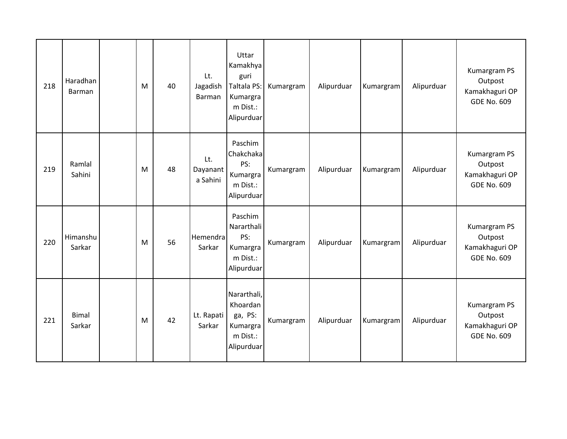| 218 | Haradhan<br>Barman     | M | 40 | Lt.<br>Jagadish<br>Barman   | Uttar<br>Kamakhya<br>guri<br>Taltala PS:<br>Kumargra<br>m Dist.:<br>Alipurduar | Kumargram | Alipurduar | Kumargram | Alipurduar | Kumargram PS<br>Outpost<br>Kamakhaguri OP<br><b>GDE No. 609</b> |
|-----|------------------------|---|----|-----------------------------|--------------------------------------------------------------------------------|-----------|------------|-----------|------------|-----------------------------------------------------------------|
| 219 | Ramlal<br>Sahini       | M | 48 | Lt.<br>Dayanant<br>a Sahini | Paschim<br>Chakchaka<br>PS:<br>Kumargra<br>m Dist.:<br>Alipurduar              | Kumargram | Alipurduar | Kumargram | Alipurduar | Kumargram PS<br>Outpost<br>Kamakhaguri OP<br><b>GDE No. 609</b> |
| 220 | Himanshu<br>Sarkar     | M | 56 | Hemendra<br>Sarkar          | Paschim<br>Nararthali<br>PS:<br>Kumargra<br>m Dist.:<br>Alipurduar             | Kumargram | Alipurduar | Kumargram | Alipurduar | Kumargram PS<br>Outpost<br>Kamakhaguri OP<br><b>GDE No. 609</b> |
| 221 | <b>Bimal</b><br>Sarkar | M | 42 | Lt. Rapati<br>Sarkar        | Nararthali,<br>Khoardan<br>ga, PS:<br>Kumargra<br>m Dist.:<br>Alipurduar       | Kumargram | Alipurduar | Kumargram | Alipurduar | Kumargram PS<br>Outpost<br>Kamakhaguri OP<br><b>GDE No. 609</b> |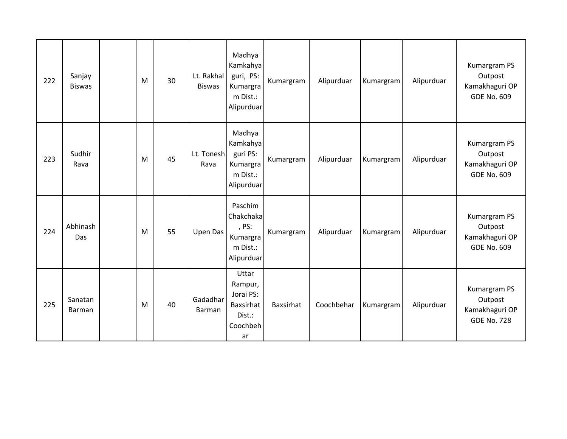| 222 | Sanjay<br><b>Biswas</b> | M | 30 | Lt. Rakhal<br><b>Biswas</b> | Madhya<br>Kamkahya<br>guri, PS:<br>Kumargra<br>m Dist.:<br>Alipurduar  | Kumargram | Alipurduar | Kumargram | Alipurduar | Kumargram PS<br>Outpost<br>Kamakhaguri OP<br><b>GDE No. 609</b> |
|-----|-------------------------|---|----|-----------------------------|------------------------------------------------------------------------|-----------|------------|-----------|------------|-----------------------------------------------------------------|
| 223 | Sudhir<br>Rava          | M | 45 | Lt. Tonesh<br>Rava          | Madhya<br>Kamkahya<br>guri PS:<br>Kumargra<br>m Dist.:<br>Alipurduar   | Kumargram | Alipurduar | Kumargram | Alipurduar | Kumargram PS<br>Outpost<br>Kamakhaguri OP<br><b>GDE No. 609</b> |
| 224 | Abhinash<br>Das         | M | 55 | Upen Das                    | Paschim<br>Chakchaka<br>, PS:<br>Kumargra<br>m Dist.:<br>Alipurduar    | Kumargram | Alipurduar | Kumargram | Alipurduar | Kumargram PS<br>Outpost<br>Kamakhaguri OP<br><b>GDE No. 609</b> |
| 225 | Sanatan<br>Barman       | M | 40 | Gadadhar<br>Barman          | Uttar<br>Rampur,<br>Jorai PS:<br>Baxsirhat<br>Dist.:<br>Coochbeh<br>ar | Baxsirhat | Coochbehar | Kumargram | Alipurduar | Kumargram PS<br>Outpost<br>Kamakhaguri OP<br><b>GDE No. 728</b> |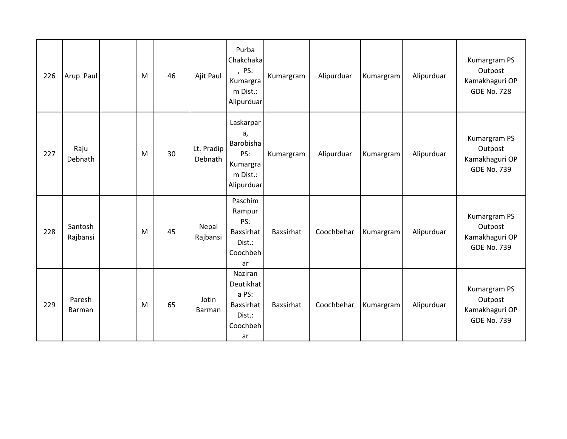| 226 | Arup Paul           | M | 46 | Ajit Paul             | Purba<br>Chakchaka<br>, PS:<br>Kumargra<br>m Dist.:<br>Alipurduar         | Kumargram | Alipurduar | Kumargram | Alipurduar | Kumargram PS<br>Outpost<br>Kamakhaguri OP<br><b>GDE No. 728</b> |
|-----|---------------------|---|----|-----------------------|---------------------------------------------------------------------------|-----------|------------|-----------|------------|-----------------------------------------------------------------|
| 227 | Raju<br>Debnath     | M | 30 | Lt. Pradip<br>Debnath | Laskarpar<br>a,<br>Barobisha<br>PS:<br>Kumargra<br>m Dist.:<br>Alipurduar | Kumargram | Alipurduar | Kumargram | Alipurduar | Kumargram PS<br>Outpost<br>Kamakhaguri OP<br><b>GDE No. 739</b> |
| 228 | Santosh<br>Rajbansi | M | 45 | Nepal<br>Rajbansi     | Paschim<br>Rampur<br>PS:<br>Baxsirhat<br>Dist.:<br>Coochbeh<br>ar         | Baxsirhat | Coochbehar | Kumargram | Alipurduar | Kumargram PS<br>Outpost<br>Kamakhaguri OP<br><b>GDE No. 739</b> |
| 229 | Paresh<br>Barman    | M | 65 | Jotin<br>Barman       | Naziran<br>Deutikhat<br>a PS:<br>Baxsirhat<br>Dist.:<br>Coochbeh<br>ar    | Baxsirhat | Coochbehar | Kumargram | Alipurduar | Kumargram PS<br>Outpost<br>Kamakhaguri OP<br><b>GDE No. 739</b> |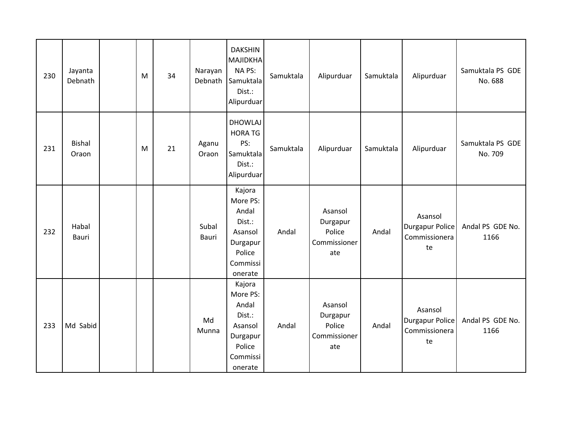| 230 | Jayanta<br>Debnath     | M | 34 | Narayan<br>Debnath    | <b>DAKSHIN</b><br><b>MAJIDKHA</b><br>NA PS:<br>Samuktala<br>Dist.:<br>Alipurduar              | Samuktala | Alipurduar                                           | Samuktala | Alipurduar                                               | Samuktala PS GDE<br>No. 688 |
|-----|------------------------|---|----|-----------------------|-----------------------------------------------------------------------------------------------|-----------|------------------------------------------------------|-----------|----------------------------------------------------------|-----------------------------|
| 231 | <b>Bishal</b><br>Oraon | M | 21 | Aganu<br>Oraon        | <b>DHOWLAJ</b><br><b>HORA TG</b><br>PS:<br>Samuktala<br>Dist.:<br>Alipurduar                  | Samuktala | Alipurduar                                           | Samuktala | Alipurduar                                               | Samuktala PS GDE<br>No. 709 |
| 232 | Habal<br>Bauri         |   |    | Subal<br><b>Bauri</b> | Kajora<br>More PS:<br>Andal<br>Dist.:<br>Asansol<br>Durgapur<br>Police<br>Commissi<br>onerate | Andal     | Asansol<br>Durgapur<br>Police<br>Commissioner<br>ate | Andal     | Asansol<br><b>Durgapur Police</b><br>Commissionera<br>te | Andal PS GDE No.<br>1166    |
| 233 | Md Sabid               |   |    | Md<br>Munna           | Kajora<br>More PS:<br>Andal<br>Dist.:<br>Asansol<br>Durgapur<br>Police<br>Commissi<br>onerate | Andal     | Asansol<br>Durgapur<br>Police<br>Commissioner<br>ate | Andal     | Asansol<br>Durgapur Police<br>Commissionera<br>te        | Andal PS GDE No.<br>1166    |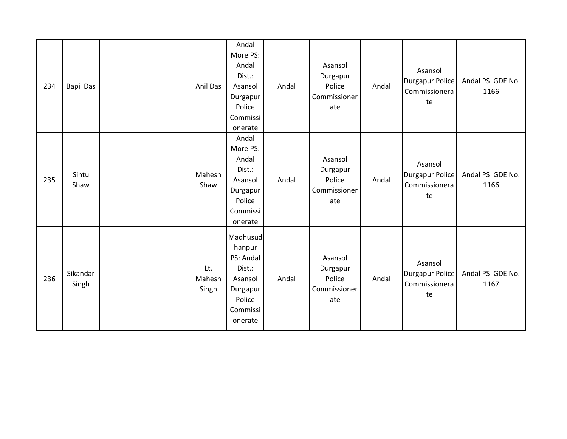| 234 | Bapi Das          |  | Anil Das               | Andal<br>More PS:<br>Andal<br>Dist.:<br>Asansol<br>Durgapur<br>Police<br>Commissi<br>onerate      | Andal | Asansol<br>Durgapur<br>Police<br>Commissioner<br>ate | Andal | Asansol<br>Durgapur Police<br>Commissionera<br>te        | Andal PS GDE No.<br>1166 |
|-----|-------------------|--|------------------------|---------------------------------------------------------------------------------------------------|-------|------------------------------------------------------|-------|----------------------------------------------------------|--------------------------|
| 235 | Sintu<br>Shaw     |  | Mahesh<br>Shaw         | Andal<br>More PS:<br>Andal<br>Dist.:<br>Asansol<br>Durgapur<br>Police<br>Commissi<br>onerate      | Andal | Asansol<br>Durgapur<br>Police<br>Commissioner<br>ate | Andal | Asansol<br><b>Durgapur Police</b><br>Commissionera<br>te | Andal PS GDE No.<br>1166 |
| 236 | Sikandar<br>Singh |  | Lt.<br>Mahesh<br>Singh | Madhusud<br>hanpur<br>PS: Andal<br>Dist.:<br>Asansol<br>Durgapur<br>Police<br>Commissi<br>onerate | Andal | Asansol<br>Durgapur<br>Police<br>Commissioner<br>ate | Andal | Asansol<br><b>Durgapur Police</b><br>Commissionera<br>te | Andal PS GDE No.<br>1167 |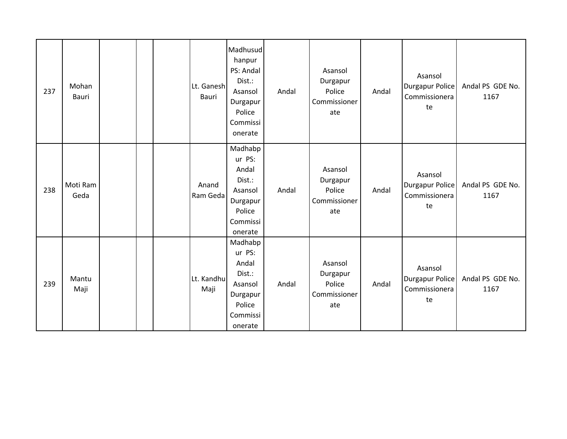| 237 | Mohan<br>Bauri   |  | Lt. Ganesh<br><b>Bauri</b> | Madhusud<br>hanpur<br>PS: Andal<br>Dist.:<br>Asansol<br>Durgapur<br>Police<br>Commissi<br>onerate | Andal | Asansol<br>Durgapur<br>Police<br>Commissioner<br>ate | Andal | Asansol<br><b>Durgapur Police</b><br>Commissionera<br>te | Andal PS GDE No.<br>1167 |
|-----|------------------|--|----------------------------|---------------------------------------------------------------------------------------------------|-------|------------------------------------------------------|-------|----------------------------------------------------------|--------------------------|
| 238 | Moti Ram<br>Geda |  | Anand<br>Ram Geda          | Madhabp<br>ur PS:<br>Andal<br>Dist.:<br>Asansol<br>Durgapur<br>Police<br>Commissi<br>onerate      | Andal | Asansol<br>Durgapur<br>Police<br>Commissioner<br>ate | Andal | Asansol<br>Durgapur Police<br>Commissionera<br>te        | Andal PS GDE No.<br>1167 |
| 239 | Mantu<br>Maji    |  | Lt. Kandhu<br>Maji         | Madhabp<br>ur PS:<br>Andal<br>Dist.:<br>Asansol<br>Durgapur<br>Police<br>Commissi<br>onerate      | Andal | Asansol<br>Durgapur<br>Police<br>Commissioner<br>ate | Andal | Asansol<br><b>Durgapur Police</b><br>Commissionera<br>te | Andal PS GDE No.<br>1167 |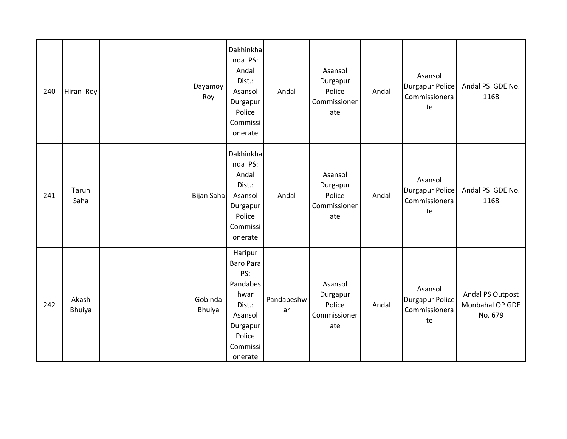| 240 | Hiran Roy       |  | Dayamoy<br>Roy    | Dakhinkha<br>nda PS:<br>Andal<br>Dist.:<br>Asansol<br>Durgapur<br>Police<br>Commissi<br>onerate                   | Andal            | Asansol<br>Durgapur<br>Police<br>Commissioner<br>ate | Andal | Asansol<br><b>Durgapur Police</b><br>Commissionera<br>te | Andal PS GDE No.<br>1168                       |
|-----|-----------------|--|-------------------|-------------------------------------------------------------------------------------------------------------------|------------------|------------------------------------------------------|-------|----------------------------------------------------------|------------------------------------------------|
| 241 | Tarun<br>Saha   |  | Bijan Saha        | Dakhinkha<br>nda PS:<br>Andal<br>Dist.:<br>Asansol<br>Durgapur<br>Police<br>Commissi<br>onerate                   | Andal            | Asansol<br>Durgapur<br>Police<br>Commissioner<br>ate | Andal | Asansol<br><b>Durgapur Police</b><br>Commissionera<br>te | Andal PS GDE No.<br>1168                       |
| 242 | Akash<br>Bhuiya |  | Gobinda<br>Bhuiya | Haripur<br>Baro Para<br>PS:<br>Pandabes<br>hwar<br>Dist.:<br>Asansol<br>Durgapur<br>Police<br>Commissi<br>onerate | Pandabeshw<br>ar | Asansol<br>Durgapur<br>Police<br>Commissioner<br>ate | Andal | Asansol<br><b>Durgapur Police</b><br>Commissionera<br>te | Andal PS Outpost<br>Monbahal OP GDE<br>No. 679 |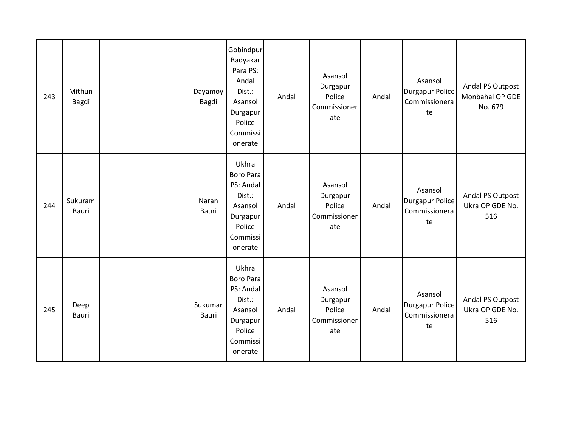| 243 | Mithun<br>Bagdi  |  | Dayamoy<br>Bagdi | Gobindpur<br>Badyakar<br>Para PS:<br>Andal<br>Dist.:<br>Asansol<br>Durgapur<br>Police<br>Commissi<br>onerate | Andal | Asansol<br>Durgapur<br>Police<br>Commissioner<br>ate | Andal | Asansol<br><b>Durgapur Police</b><br>Commissionera<br>te | Andal PS Outpost<br>Monbahal OP GDE<br>No. 679 |
|-----|------------------|--|------------------|--------------------------------------------------------------------------------------------------------------|-------|------------------------------------------------------|-------|----------------------------------------------------------|------------------------------------------------|
| 244 | Sukuram<br>Bauri |  | Naran<br>Bauri   | Ukhra<br><b>Boro Para</b><br>PS: Andal<br>Dist.:<br>Asansol<br>Durgapur<br>Police<br>Commissi<br>onerate     | Andal | Asansol<br>Durgapur<br>Police<br>Commissioner<br>ate | Andal | Asansol<br><b>Durgapur Police</b><br>Commissionera<br>te | Andal PS Outpost<br>Ukra OP GDE No.<br>516     |
| 245 | Deep<br>Bauri    |  | Sukumar<br>Bauri | Ukhra<br><b>Boro Para</b><br>PS: Andal<br>Dist.:<br>Asansol<br>Durgapur<br>Police<br>Commissi<br>onerate     | Andal | Asansol<br>Durgapur<br>Police<br>Commissioner<br>ate | Andal | Asansol<br><b>Durgapur Police</b><br>Commissionera<br>te | Andal PS Outpost<br>Ukra OP GDE No.<br>516     |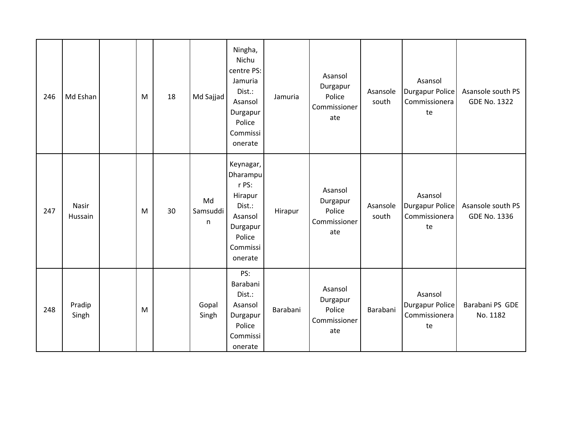| 246 | Md Eshan         | M | 18 | Md Sajjad           | Ningha,<br>Nichu<br>centre PS:<br>Jamuria<br>Dist.:<br>Asansol<br>Durgapur<br>Police<br>Commissi<br>onerate        | Jamuria  | Asansol<br>Durgapur<br>Police<br>Commissioner<br>ate | Asansole<br>south | Asansol<br><b>Durgapur Police</b><br>Commissionera<br>te | Asansole south PS<br><b>GDE No. 1322</b> |
|-----|------------------|---|----|---------------------|--------------------------------------------------------------------------------------------------------------------|----------|------------------------------------------------------|-------------------|----------------------------------------------------------|------------------------------------------|
| 247 | Nasir<br>Hussain | M | 30 | Md<br>Samsuddi<br>n | Keynagar,<br><b>Dharampu</b><br>r PS:<br>Hirapur<br>Dist.:<br>Asansol<br>Durgapur<br>Police<br>Commissi<br>onerate | Hirapur  | Asansol<br>Durgapur<br>Police<br>Commissioner<br>ate | Asansole<br>south | Asansol<br><b>Durgapur Police</b><br>Commissionera<br>te | Asansole south PS<br>GDE No. 1336        |
| 248 | Pradip<br>Singh  | M |    | Gopal<br>Singh      | PS:<br>Barabani<br>Dist.:<br>Asansol<br>Durgapur<br>Police<br>Commissi<br>onerate                                  | Barabani | Asansol<br>Durgapur<br>Police<br>Commissioner<br>ate | Barabani          | Asansol<br><b>Durgapur Police</b><br>Commissionera<br>te | Barabani PS GDE<br>No. 1182              |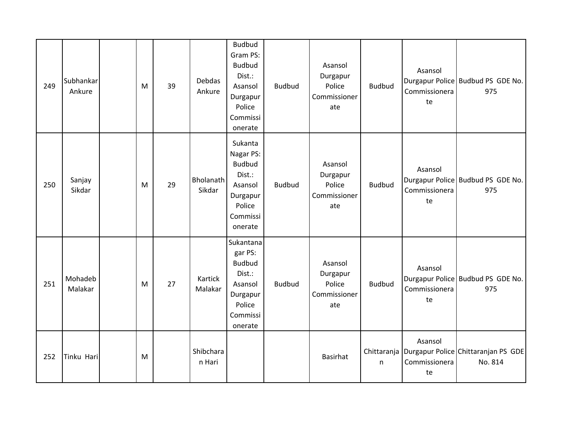| 249 | Subhankar<br>Ankure | M | 39 | Debdas<br>Ankure    | <b>Budbud</b><br>Gram PS:<br><b>Budbud</b><br>Dist.:<br>Asansol<br>Durgapur<br>Police<br>Commissi<br>onerate | <b>Budbud</b> | Asansol<br>Durgapur<br>Police<br>Commissioner<br>ate | <b>Budbud</b> | Asansol<br>Commissionera<br>te | Durgapur Police Budbud PS GDE No.<br>975                       |
|-----|---------------------|---|----|---------------------|--------------------------------------------------------------------------------------------------------------|---------------|------------------------------------------------------|---------------|--------------------------------|----------------------------------------------------------------|
| 250 | Sanjay<br>Sikdar    | M | 29 | Bholanath<br>Sikdar | Sukanta<br>Nagar PS:<br><b>Budbud</b><br>Dist.:<br>Asansol<br>Durgapur<br>Police<br>Commissi<br>onerate      | <b>Budbud</b> | Asansol<br>Durgapur<br>Police<br>Commissioner<br>ate | <b>Budbud</b> | Asansol<br>Commissionera<br>te | Durgapur Police Budbud PS GDE No.<br>975                       |
| 251 | Mohadeb<br>Malakar  | M | 27 | Kartick<br>Malakar  | Sukantana<br>gar PS:<br><b>Budbud</b><br>Dist.:<br>Asansol<br>Durgapur<br>Police<br>Commissi<br>onerate      | <b>Budbud</b> | Asansol<br>Durgapur<br>Police<br>Commissioner<br>ate | <b>Budbud</b> | Asansol<br>Commissionera<br>te | Durgapur Police Budbud PS GDE No.<br>975                       |
| 252 | Tinku Hari          | M |    | Shibchara<br>n Hari |                                                                                                              |               | <b>Basirhat</b>                                      | n             | Asansol<br>Commissionera<br>te | Chittaranja   Durgapur Police   Chittaranjan PS GDE<br>No. 814 |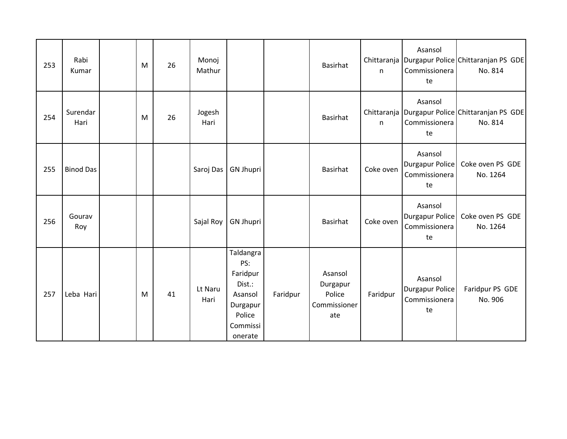| 253 | Rabi<br>Kumar    | M | 26 | Monoj<br>Mathur |                                                                                                |          | Basirhat                                             | n         | Asansol<br>Commissionera<br>te                           | Chittaranja   Durgapur Police   Chittaranjan PS GDE<br>No. 814 |
|-----|------------------|---|----|-----------------|------------------------------------------------------------------------------------------------|----------|------------------------------------------------------|-----------|----------------------------------------------------------|----------------------------------------------------------------|
| 254 | Surendar<br>Hari | M | 26 | Jogesh<br>Hari  |                                                                                                |          | Basirhat                                             | n         | Asansol<br>Commissionera<br>te                           | Chittaranja   Durgapur Police   Chittaranjan PS GDE<br>No. 814 |
| 255 | <b>Binod Das</b> |   |    | Saroj Das       | <b>GN Jhupri</b>                                                                               |          | Basirhat                                             | Coke oven | Asansol<br><b>Durgapur Police</b><br>Commissionera<br>te | Coke oven PS GDE<br>No. 1264                                   |
| 256 | Gourav<br>Roy    |   |    | Sajal Roy       | <b>GN Jhupri</b>                                                                               |          | Basirhat                                             | Coke oven | Asansol<br>Durgapur Police<br>Commissionera<br>te        | Coke oven PS GDE<br>No. 1264                                   |
| 257 | Leba Hari        | M | 41 | Lt Naru<br>Hari | Taldangra<br>PS:<br>Faridpur<br>Dist.:<br>Asansol<br>Durgapur<br>Police<br>Commissi<br>onerate | Faridpur | Asansol<br>Durgapur<br>Police<br>Commissioner<br>ate | Faridpur  | Asansol<br>Durgapur Police<br>Commissionera<br>te        | Faridpur PS GDE<br>No. 906                                     |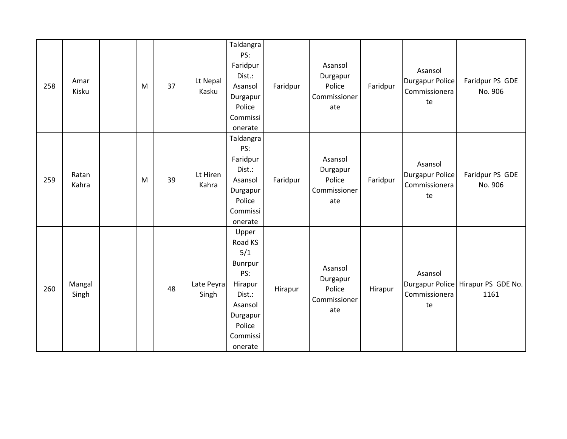| 258 | Amar<br>Kisku   | M | 37 | Lt Nepal<br>Kasku   | Taldangra<br>PS:<br>Faridpur<br>Dist.:<br>Asansol<br>Durgapur<br>Police<br>Commissi<br>onerate                                | Faridpur | Asansol<br>Durgapur<br>Police<br>Commissioner<br>ate | Faridpur | Asansol<br><b>Durgapur Police</b><br>Commissionera<br>te | Faridpur PS GDE<br>No. 906                 |
|-----|-----------------|---|----|---------------------|-------------------------------------------------------------------------------------------------------------------------------|----------|------------------------------------------------------|----------|----------------------------------------------------------|--------------------------------------------|
| 259 | Ratan<br>Kahra  | M | 39 | Lt Hiren<br>Kahra   | Taldangra<br>PS:<br>Faridpur<br>Dist.:<br>Asansol<br>Durgapur<br>Police<br>Commissi<br>onerate                                | Faridpur | Asansol<br>Durgapur<br>Police<br>Commissioner<br>ate | Faridpur | Asansol<br><b>Durgapur Police</b><br>Commissionera<br>te | Faridpur PS GDE<br>No. 906                 |
| 260 | Mangal<br>Singh |   | 48 | Late Peyra<br>Singh | Upper<br>Road KS<br>5/1<br><b>Bunrpur</b><br>PS:<br>Hirapur<br>Dist.:<br>Asansol<br>Durgapur<br>Police<br>Commissi<br>onerate | Hirapur  | Asansol<br>Durgapur<br>Police<br>Commissioner<br>ate | Hirapur  | Asansol<br>Commissionera<br>te                           | Durgapur Police Hirapur PS GDE No.<br>1161 |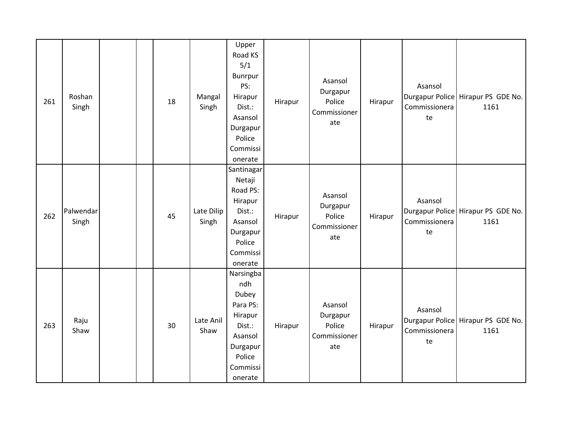| 261 | Roshan<br>Singh    |  | 18 | Mangal<br>Singh     | Upper<br>Road KS<br>5/1<br>Bunrpur<br>PS:<br>Hirapur<br>Dist.:<br>Asansol<br>Durgapur<br>Police<br>Commissi<br>onerate | Hirapur | Asansol<br>Durgapur<br>Police<br>Commissioner<br>ate | Hirapur | Asansol<br>Commissionera<br>te | Durgapur Police Hirapur PS GDE No.<br>1161 |
|-----|--------------------|--|----|---------------------|------------------------------------------------------------------------------------------------------------------------|---------|------------------------------------------------------|---------|--------------------------------|--------------------------------------------|
| 262 | Palwendar<br>Singh |  | 45 | Late Dilip<br>Singh | Santinagar<br>Netaji<br>Road PS:<br>Hirapur<br>Dist.:<br>Asansol<br>Durgapur<br>Police<br>Commissi<br>onerate          | Hirapur | Asansol<br>Durgapur<br>Police<br>Commissioner<br>ate | Hirapur | Asansol<br>Commissionera<br>te | Durgapur Police Hirapur PS GDE No.<br>1161 |
| 263 | Raju<br>Shaw       |  | 30 | Late Anil<br>Shaw   | Narsingba<br>ndh<br>Dubey<br>Para PS:<br>Hirapur<br>Dist.:<br>Asansol<br>Durgapur<br>Police<br>Commissi<br>onerate     | Hirapur | Asansol<br>Durgapur<br>Police<br>Commissioner<br>ate | Hirapur | Asansol<br>Commissionera<br>te | Durgapur Police Hirapur PS GDE No.<br>1161 |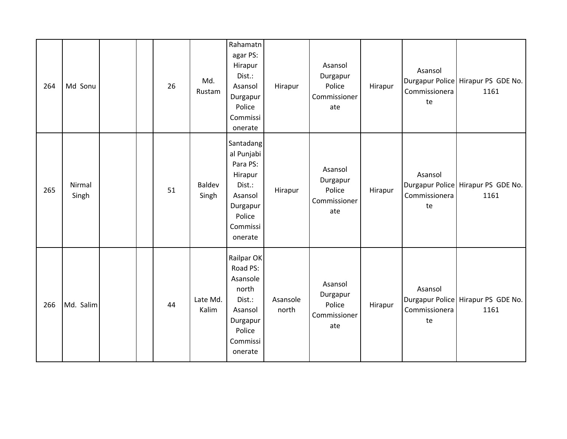| 264 | Md Sonu         |  | 26 | Md.<br>Rustam          | Rahamatn<br>agar PS:<br>Hirapur<br>Dist.:<br>Asansol<br>Durgapur<br>Police<br>Commissi<br>onerate                | Hirapur           | Asansol<br>Durgapur<br>Police<br>Commissioner<br>ate | Hirapur | Asansol<br>Commissionera<br>te | Durgapur Police Hirapur PS GDE No.<br>1161 |
|-----|-----------------|--|----|------------------------|------------------------------------------------------------------------------------------------------------------|-------------------|------------------------------------------------------|---------|--------------------------------|--------------------------------------------|
| 265 | Nirmal<br>Singh |  | 51 | <b>Baldev</b><br>Singh | Santadang<br>al Punjabi<br>Para PS:<br>Hirapur<br>Dist.:<br>Asansol<br>Durgapur<br>Police<br>Commissi<br>onerate | Hirapur           | Asansol<br>Durgapur<br>Police<br>Commissioner<br>ate | Hirapur | Asansol<br>Commissionera<br>te | Durgapur Police Hirapur PS GDE No.<br>1161 |
| 266 | Md. Salim       |  | 44 | Late Md.<br>Kalim      | Railpar OK<br>Road PS:<br>Asansole<br>north<br>Dist.:<br>Asansol<br>Durgapur<br>Police<br>Commissi<br>onerate    | Asansole<br>north | Asansol<br>Durgapur<br>Police<br>Commissioner<br>ate | Hirapur | Asansol<br>Commissionera<br>te | Durgapur Police Hirapur PS GDE No.<br>1161 |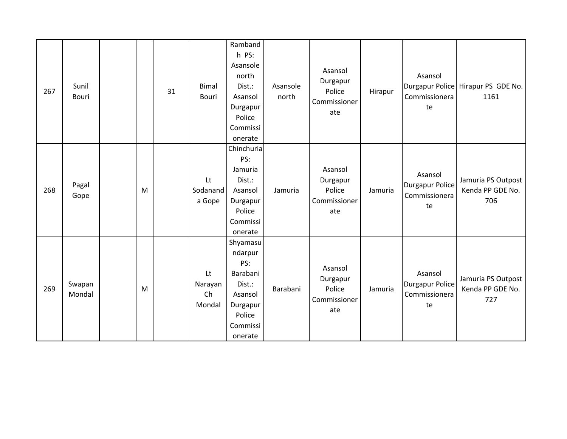| 267 | Sunil<br>Bouri   |   | 31 | <b>Bimal</b><br><b>Bouri</b>  | Ramband<br>h PS:<br>Asansole<br>north<br>Dist.:<br>Asansol<br>Durgapur<br>Police<br>Commissi<br>onerate  | Asansole<br>north | Asansol<br>Durgapur<br>Police<br>Commissioner<br>ate | Hirapur | Asansol<br>Commissionera<br>te                           | Durgapur Police Hirapur PS GDE No.<br>1161    |
|-----|------------------|---|----|-------------------------------|----------------------------------------------------------------------------------------------------------|-------------------|------------------------------------------------------|---------|----------------------------------------------------------|-----------------------------------------------|
| 268 | Pagal<br>Gope    | M |    | Lt<br>Sodanand<br>a Gope      | Chinchuria<br>PS:<br>Jamuria<br>Dist.:<br>Asansol<br>Durgapur<br>Police<br>Commissi<br>onerate           | Jamuria           | Asansol<br>Durgapur<br>Police<br>Commissioner<br>ate | Jamuria | Asansol<br><b>Durgapur Police</b><br>Commissionera<br>te | Jamuria PS Outpost<br>Kenda PP GDE No.<br>706 |
| 269 | Swapan<br>Mondal | M |    | Lt<br>Narayan<br>Ch<br>Mondal | Shyamasu<br>ndarpur<br>PS:<br>Barabani<br>Dist.:<br>Asansol<br>Durgapur<br>Police<br>Commissi<br>onerate | Barabani          | Asansol<br>Durgapur<br>Police<br>Commissioner<br>ate | Jamuria | Asansol<br><b>Durgapur Police</b><br>Commissionera<br>te | Jamuria PS Outpost<br>Kenda PP GDE No.<br>727 |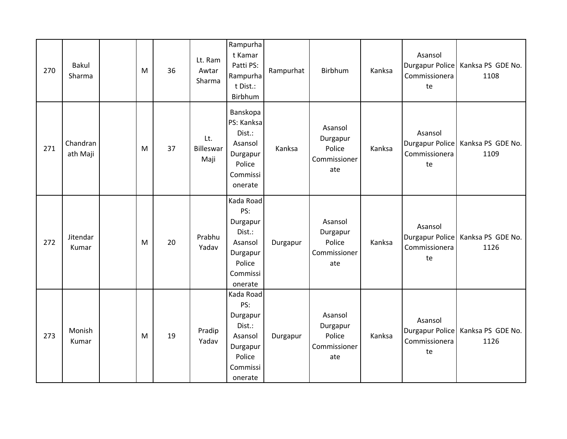| 270 | <b>Bakul</b><br>Sharma | M | 36 | Lt. Ram<br>Awtar<br>Sharma | Rampurha<br>t Kamar<br>Patti PS:<br>Rampurha<br>t Dist.:<br>Birbhum                            | Rampurhat | Birbhum                                              | Kanksa | Asansol<br>Commissionera<br>te                    | Durgapur Police   Kanksa PS GDE No.<br>1108 |
|-----|------------------------|---|----|----------------------------|------------------------------------------------------------------------------------------------|-----------|------------------------------------------------------|--------|---------------------------------------------------|---------------------------------------------|
| 271 | Chandran<br>ath Maji   | M | 37 | Lt.<br>Billeswar<br>Maji   | Banskopa<br>PS: Kanksa<br>Dist.:<br>Asansol<br>Durgapur<br>Police<br>Commissi<br>onerate       | Kanksa    | Asansol<br>Durgapur<br>Police<br>Commissioner<br>ate | Kanksa | Asansol<br>Commissionera<br>te                    | Durgapur Police   Kanksa PS GDE No.<br>1109 |
| 272 | Jitendar<br>Kumar      | M | 20 | Prabhu<br>Yadav            | Kada Road<br>PS:<br>Durgapur<br>Dist.:<br>Asansol<br>Durgapur<br>Police<br>Commissi<br>onerate | Durgapur  | Asansol<br>Durgapur<br>Police<br>Commissioner<br>ate | Kanksa | Asansol<br>Durgapur Police<br>Commissionera<br>te | Kanksa PS GDE No.<br>1126                   |
| 273 | Monish<br>Kumar        | M | 19 | Pradip<br>Yadav            | Kada Road<br>PS:<br>Durgapur<br>Dist.:<br>Asansol<br>Durgapur<br>Police<br>Commissi<br>onerate | Durgapur  | Asansol<br>Durgapur<br>Police<br>Commissioner<br>ate | Kanksa | Asansol<br>Commissionera<br>te                    | Durgapur Police   Kanksa PS GDE No.<br>1126 |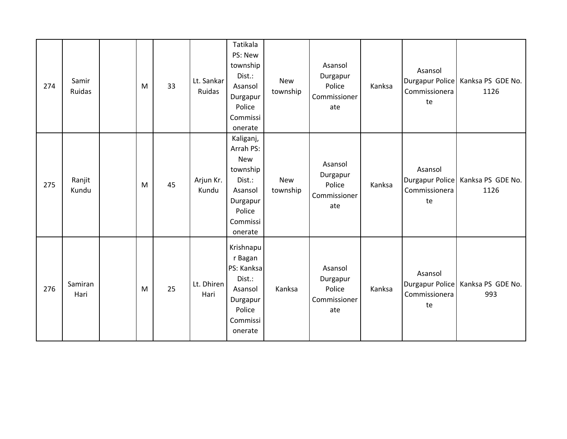| 274 | Samir<br>Ruidas | M | 33 | Lt. Sankar<br>Ruidas | Tatikala<br>PS: New<br>township<br>Dist.:<br>Asansol<br>Durgapur<br>Police<br>Commissi<br>onerate           | <b>New</b><br>township | Asansol<br>Durgapur<br>Police<br>Commissioner<br>ate | Kanksa | Asansol<br>Commissionera<br>te                           | Durgapur Police   Kanksa PS GDE No.<br>1126 |
|-----|-----------------|---|----|----------------------|-------------------------------------------------------------------------------------------------------------|------------------------|------------------------------------------------------|--------|----------------------------------------------------------|---------------------------------------------|
| 275 | Ranjit<br>Kundu | M | 45 | Arjun Kr.<br>Kundu   | Kaliganj,<br>Arrah PS:<br>New<br>township<br>Dist.:<br>Asansol<br>Durgapur<br>Police<br>Commissi<br>onerate | <b>New</b><br>township | Asansol<br>Durgapur<br>Police<br>Commissioner<br>ate | Kanksa | Asansol<br><b>Durgapur Police</b><br>Commissionera<br>te | Kanksa PS GDE No.<br>1126                   |
| 276 | Samiran<br>Hari | M | 25 | Lt. Dhiren<br>Hari   | Krishnapu<br>r Bagan<br>PS: Kanksa<br>Dist.:<br>Asansol<br>Durgapur<br>Police<br>Commissi<br>onerate        | Kanksa                 | Asansol<br>Durgapur<br>Police<br>Commissioner<br>ate | Kanksa | Asansol<br>Commissionera<br>te                           | Durgapur Police   Kanksa PS GDE No.<br>993  |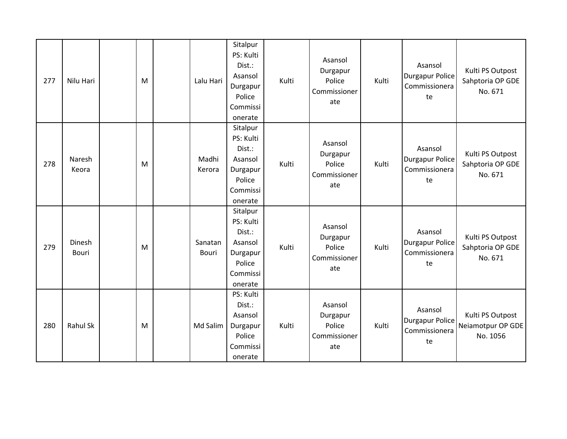| 277 | Nilu Hari              | M | Lalu Hari        | Sitalpur<br>PS: Kulti<br>Dist.:<br>Asansol<br>Durgapur<br>Police<br>Commissi<br>onerate | Kulti | Asansol<br>Durgapur<br>Police<br>Commissioner<br>ate | Kulti | Asansol<br><b>Durgapur Police</b><br>Commissionera<br>te | Kulti PS Outpost<br>Sahptoria OP GDE<br>No. 671   |
|-----|------------------------|---|------------------|-----------------------------------------------------------------------------------------|-------|------------------------------------------------------|-------|----------------------------------------------------------|---------------------------------------------------|
| 278 | Naresh<br>Keora        | M | Madhi<br>Kerora  | Sitalpur<br>PS: Kulti<br>Dist.:<br>Asansol<br>Durgapur<br>Police<br>Commissi<br>onerate | Kulti | Asansol<br>Durgapur<br>Police<br>Commissioner<br>ate | Kulti | Asansol<br><b>Durgapur Police</b><br>Commissionera<br>te | Kulti PS Outpost<br>Sahptoria OP GDE<br>No. 671   |
| 279 | Dinesh<br><b>Bouri</b> | M | Sanatan<br>Bouri | Sitalpur<br>PS: Kulti<br>Dist.:<br>Asansol<br>Durgapur<br>Police<br>Commissi<br>onerate | Kulti | Asansol<br>Durgapur<br>Police<br>Commissioner<br>ate | Kulti | Asansol<br><b>Durgapur Police</b><br>Commissionera<br>te | Kulti PS Outpost<br>Sahptoria OP GDE<br>No. 671   |
| 280 | <b>Rahul Sk</b>        | M | Md Salim         | PS: Kulti<br>Dist.:<br>Asansol<br>Durgapur<br>Police<br>Commissi<br>onerate             | Kulti | Asansol<br>Durgapur<br>Police<br>Commissioner<br>ate | Kulti | Asansol<br><b>Durgapur Police</b><br>Commissionera<br>te | Kulti PS Outpost<br>Neiamotpur OP GDE<br>No. 1056 |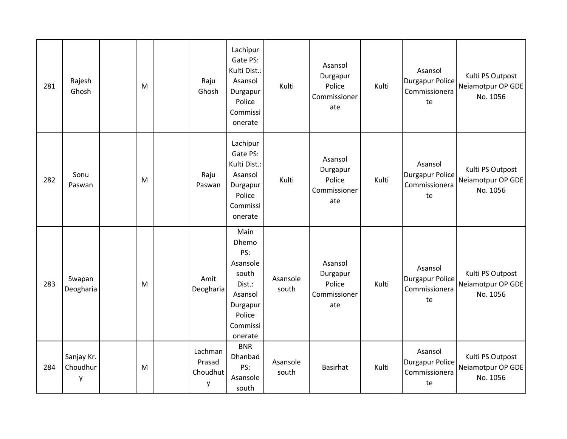| 281 | Rajesh<br>Ghosh             | M | Raju<br>Ghosh                      | Lachipur<br>Gate PS:<br>Kulti Dist.:<br>Asansol<br>Durgapur<br>Police<br>Commissi<br>onerate                | Kulti             | Asansol<br>Durgapur<br>Police<br>Commissioner<br>ate | Kulti | Asansol<br><b>Durgapur Police</b><br>Commissionera<br>te | Kulti PS Outpost<br>Neiamotpur OP GDE<br>No. 1056 |
|-----|-----------------------------|---|------------------------------------|-------------------------------------------------------------------------------------------------------------|-------------------|------------------------------------------------------|-------|----------------------------------------------------------|---------------------------------------------------|
| 282 | Sonu<br>Paswan              | M | Raju<br>Paswan                     | Lachipur<br>Gate PS:<br>Kulti Dist.:<br>Asansol<br>Durgapur<br>Police<br>Commissi<br>onerate                | Kulti             | Asansol<br>Durgapur<br>Police<br>Commissioner<br>ate | Kulti | Asansol<br><b>Durgapur Police</b><br>Commissionera<br>te | Kulti PS Outpost<br>Neiamotpur OP GDE<br>No. 1056 |
| 283 | Swapan<br>Deogharia         | M | Amit<br>Deogharia                  | Main<br>Dhemo<br>PS:<br>Asansole<br>south<br>Dist.:<br>Asansol<br>Durgapur<br>Police<br>Commissi<br>onerate | Asansole<br>south | Asansol<br>Durgapur<br>Police<br>Commissioner<br>ate | Kulti | Asansol<br><b>Durgapur Police</b><br>Commissionera<br>te | Kulti PS Outpost<br>Neiamotpur OP GDE<br>No. 1056 |
| 284 | Sanjay Kr.<br>Choudhur<br>у | M | Lachman<br>Prasad<br>Choudhut<br>у | <b>BNR</b><br>Dhanbad<br>PS:<br>Asansole<br>south                                                           | Asansole<br>south | Basirhat                                             | Kulti | Asansol<br><b>Durgapur Police</b><br>Commissionera<br>te | Kulti PS Outpost<br>Neiamotpur OP GDE<br>No. 1056 |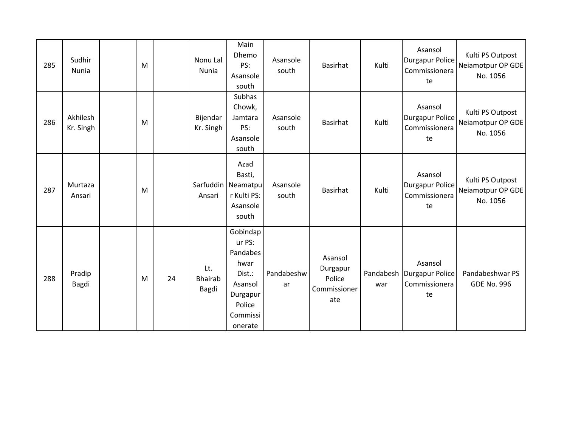| 285 | Sudhir<br>Nunia       | M |    | Nonu Lal<br>Nunia       | Main<br>Dhemo<br>PS:<br>Asansole<br>south                                                                | Asansole<br>south | Basirhat                                             | Kulti            | Asansol<br><b>Durgapur Police</b><br>Commissionera<br>te | Kulti PS Outpost<br>Neiamotpur OP GDE<br>No. 1056 |
|-----|-----------------------|---|----|-------------------------|----------------------------------------------------------------------------------------------------------|-------------------|------------------------------------------------------|------------------|----------------------------------------------------------|---------------------------------------------------|
| 286 | Akhilesh<br>Kr. Singh | M |    | Bijendar<br>Kr. Singh   | Subhas<br>Chowk,<br>Jamtara<br>PS:<br>Asansole<br>south                                                  | Asansole<br>south | Basirhat                                             | Kulti            | Asansol<br><b>Durgapur Police</b><br>Commissionera<br>te | Kulti PS Outpost<br>Neiamotpur OP GDE<br>No. 1056 |
| 287 | Murtaza<br>Ansari     | M |    | Sarfuddin<br>Ansari     | Azad<br>Basti,<br>Neamatpu<br>r Kulti PS:<br>Asansole<br>south                                           | Asansole<br>south | Basirhat                                             | Kulti            | Asansol<br><b>Durgapur Police</b><br>Commissionera<br>te | Kulti PS Outpost<br>Neiamotpur OP GDE<br>No. 1056 |
| 288 | Pradip<br>Bagdi       | M | 24 | Lt.<br>Bhairab<br>Bagdi | Gobindap<br>ur PS:<br>Pandabes<br>hwar<br>Dist.:<br>Asansol<br>Durgapur<br>Police<br>Commissi<br>onerate | Pandabeshw<br>ar  | Asansol<br>Durgapur<br>Police<br>Commissioner<br>ate | Pandabesh<br>war | Asansol<br>Durgapur Police<br>Commissionera<br>te        | Pandabeshwar PS<br><b>GDE No. 996</b>             |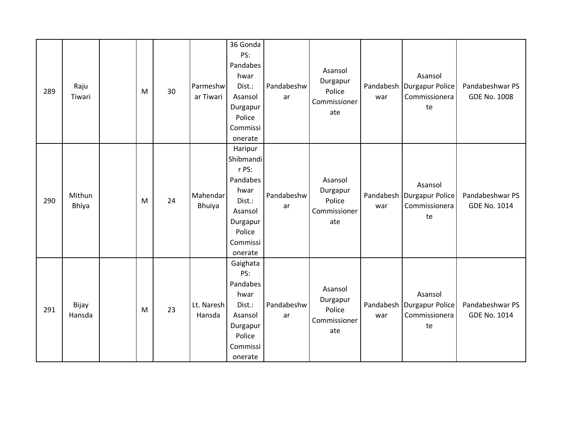| 289 | Raju<br>Tiwari  | M | 30 | Parmeshw<br>ar Tiwari     | 36 Gonda<br>PS:<br>Pandabes<br>hwar<br>Dist.:<br>Asansol<br>Durgapur<br>Police<br>Commissi<br>onerate               | Pandabeshw<br>ar | Asansol<br>Durgapur<br>Police<br>Commissioner<br>ate | war | Asansol<br>Pandabesh   Durgapur Police<br>Commissionera<br>te | Pandabeshwar PS<br><b>GDE No. 1008</b> |
|-----|-----------------|---|----|---------------------------|---------------------------------------------------------------------------------------------------------------------|------------------|------------------------------------------------------|-----|---------------------------------------------------------------|----------------------------------------|
| 290 | Mithun<br>Bhiya | M | 24 | Mahendar<br><b>Bhuiya</b> | Haripur<br>Shibmandi<br>r PS:<br>Pandabes<br>hwar<br>Dist.:<br>Asansol<br>Durgapur<br>Police<br>Commissi<br>onerate | Pandabeshw<br>ar | Asansol<br>Durgapur<br>Police<br>Commissioner<br>ate | war | Asansol<br>Pandabesh   Durgapur Police<br>Commissionera<br>te | Pandabeshwar PS<br>GDE No. 1014        |
| 291 | Bijay<br>Hansda | M | 23 | Lt. Naresh<br>Hansda      | Gaighata<br>PS:<br>Pandabes<br>hwar<br>Dist.:<br>Asansol<br>Durgapur<br>Police<br>Commissi<br>onerate               | Pandabeshw<br>ar | Asansol<br>Durgapur<br>Police<br>Commissioner<br>ate | war | Asansol<br>Pandabesh Durgapur Police<br>Commissionera<br>te   | Pandabeshwar PS<br>GDE No. 1014        |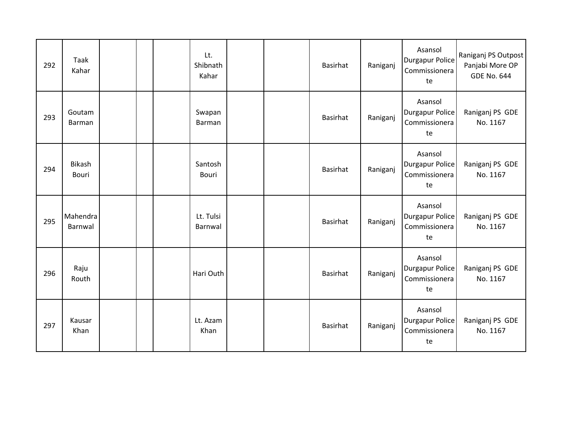| 292 | Taak<br>Kahar          |  | Lt.<br>Shibnath<br>Kahar |  | Basirhat | Raniganj | Asansol<br><b>Durgapur Police</b><br>Commissionera<br>te | Raniganj PS Outpost<br>Panjabi More OP<br><b>GDE No. 644</b> |
|-----|------------------------|--|--------------------------|--|----------|----------|----------------------------------------------------------|--------------------------------------------------------------|
| 293 | Goutam<br>Barman       |  | Swapan<br>Barman         |  | Basirhat | Raniganj | Asansol<br><b>Durgapur Police</b><br>Commissionera<br>te | Raniganj PS GDE<br>No. 1167                                  |
| 294 | <b>Bikash</b><br>Bouri |  | Santosh<br>Bouri         |  | Basirhat | Raniganj | Asansol<br><b>Durgapur Police</b><br>Commissionera<br>te | Raniganj PS GDE<br>No. 1167                                  |
| 295 | Mahendra<br>Barnwal    |  | Lt. Tulsi<br>Barnwal     |  | Basirhat | Raniganj | Asansol<br><b>Durgapur Police</b><br>Commissionera<br>te | Raniganj PS GDE<br>No. 1167                                  |
| 296 | Raju<br>Routh          |  | Hari Outh                |  | Basirhat | Raniganj | Asansol<br><b>Durgapur Police</b><br>Commissionera<br>te | Raniganj PS GDE<br>No. 1167                                  |
| 297 | Kausar<br>Khan         |  | Lt. Azam<br>Khan         |  | Basirhat | Raniganj | Asansol<br><b>Durgapur Police</b><br>Commissionera<br>te | Raniganj PS GDE<br>No. 1167                                  |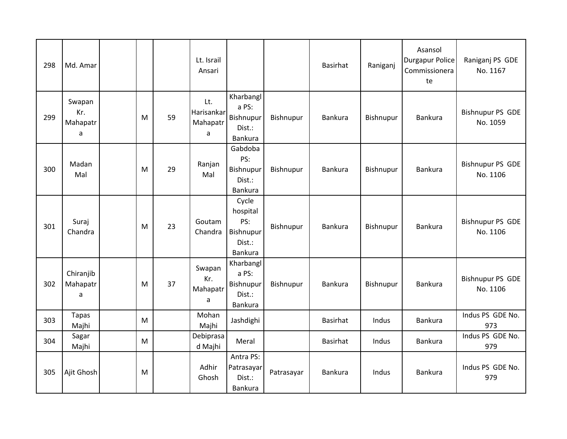| 298 | Md. Amar                       |           |    | Lt. Israil<br>Ansari               |                                                                   |            | <b>Basirhat</b> | Raniganj  | Asansol<br><b>Durgapur Police</b><br>Commissionera<br>te | Raniganj PS GDE<br>No. 1167         |
|-----|--------------------------------|-----------|----|------------------------------------|-------------------------------------------------------------------|------------|-----------------|-----------|----------------------------------------------------------|-------------------------------------|
| 299 | Swapan<br>Kr.<br>Mahapatr<br>a | M         | 59 | Lt.<br>Harisankar<br>Mahapatr<br>a | Kharbangl<br>a PS:<br>Bishnupur<br>Dist.:<br>Bankura              | Bishnupur  | Bankura         | Bishnupur | Bankura                                                  | Bishnupur PS GDE<br>No. 1059        |
| 300 | Madan<br>Mal                   | M         | 29 | Ranjan<br>Mal                      | Gabdoba<br>PS:<br>Bishnupur<br>Dist.:<br>Bankura                  | Bishnupur  | Bankura         | Bishnupur | Bankura                                                  | <b>Bishnupur PS GDE</b><br>No. 1106 |
| 301 | Suraj<br>Chandra               | M         | 23 | Goutam<br>Chandra                  | Cycle<br>hospital<br>PS:<br>Bishnupur<br>Dist.:<br><b>Bankura</b> | Bishnupur  | Bankura         | Bishnupur | Bankura                                                  | <b>Bishnupur PS GDE</b><br>No. 1106 |
| 302 | Chiranjib<br>Mahapatr<br>a     | M         | 37 | Swapan<br>Kr.<br>Mahapatr<br>a     | Kharbangl<br>a PS:<br>Bishnupur<br>Dist.:<br>Bankura              | Bishnupur  | Bankura         | Bishnupur | Bankura                                                  | Bishnupur PS GDE<br>No. 1106        |
| 303 | <b>Tapas</b><br>Majhi          | M         |    | Mohan<br>Majhi                     | Jashdighi                                                         |            | <b>Basirhat</b> | Indus     | Bankura                                                  | Indus PS GDE No.<br>973             |
| 304 | Sagar<br>Majhi                 | ${\sf M}$ |    | Debiprasa<br>d Majhi               | Meral                                                             |            | Basirhat        | Indus     | Bankura                                                  | Indus PS GDE No.<br>979             |
| 305 | Ajit Ghosh                     | M         |    | Adhir<br>Ghosh                     | Antra PS:<br>Patrasayar<br>Dist.:<br>Bankura                      | Patrasayar | Bankura         | Indus     | Bankura                                                  | Indus PS GDE No.<br>979             |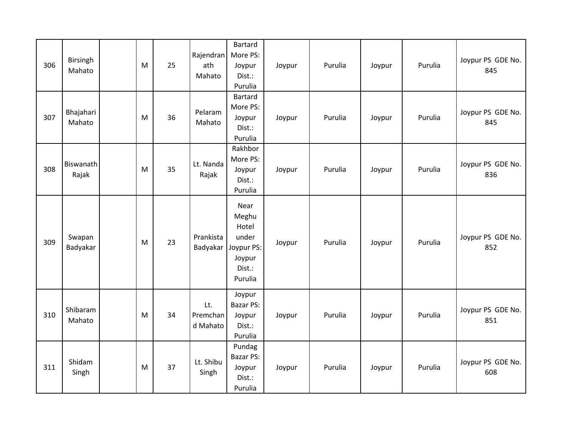| 306 | Birsingh<br>Mahato  | M | 25 | Rajendran<br>ath<br>Mahato  | Bartard<br>More PS:<br>Joypur<br>Dist.:<br>Purulia                           | Joypur | Purulia | Joypur | Purulia | Joypur PS GDE No.<br>845 |
|-----|---------------------|---|----|-----------------------------|------------------------------------------------------------------------------|--------|---------|--------|---------|--------------------------|
| 307 | Bhajahari<br>Mahato | M | 36 | Pelaram<br>Mahato           | Bartard<br>More PS:<br>Joypur<br>Dist.:<br>Purulia                           | Joypur | Purulia | Joypur | Purulia | Joypur PS GDE No.<br>845 |
| 308 | Biswanath<br>Rajak  | M | 35 | Lt. Nanda<br>Rajak          | Rakhbor<br>More PS:<br>Joypur<br>Dist.:<br>Purulia                           | Joypur | Purulia | Joypur | Purulia | Joypur PS GDE No.<br>836 |
| 309 | Swapan<br>Badyakar  | M | 23 | Prankista<br>Badyakar       | Near<br>Meghu<br>Hotel<br>under<br>Joypur PS:<br>Joypur<br>Dist.:<br>Purulia | Joypur | Purulia | Joypur | Purulia | Joypur PS GDE No.<br>852 |
| 310 | Shibaram<br>Mahato  | M | 34 | Lt.<br>Premchan<br>d Mahato | Joypur<br>Bazar PS:<br>Joypur<br>Dist.:<br>Purulia                           | Joypur | Purulia | Joypur | Purulia | Joypur PS GDE No.<br>851 |
| 311 | Shidam<br>Singh     | M | 37 | Lt. Shibu<br>Singh          | Pundag<br>Bazar PS:<br>Joypur<br>Dist.:<br>Purulia                           | Joypur | Purulia | Joypur | Purulia | Joypur PS GDE No.<br>608 |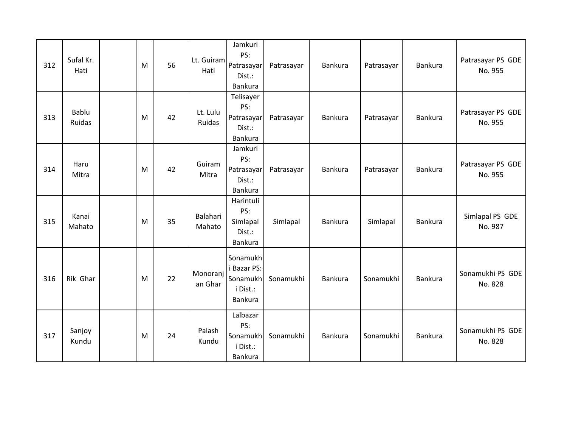| 312 | Sufal Kr.<br>Hati | M | 56 | Lt. Guiram<br>Hati  | Jamkuri<br>PS:<br>Patrasayar<br>Dist.:<br><b>Bankura</b>   | Patrasayar | Bankura | Patrasayar | Bankura        | Patrasayar PS GDE<br>No. 955 |
|-----|-------------------|---|----|---------------------|------------------------------------------------------------|------------|---------|------------|----------------|------------------------------|
| 313 | Bablu<br>Ruidas   | M | 42 | Lt. Lulu<br>Ruidas  | Telisayer<br>PS:<br>Patrasayar<br>Dist.:<br>Bankura        | Patrasayar | Bankura | Patrasayar | Bankura        | Patrasayar PS GDE<br>No. 955 |
| 314 | Haru<br>Mitra     | M | 42 | Guiram<br>Mitra     | Jamkuri<br>PS:<br>Patrasayar<br>Dist.:<br>Bankura          | Patrasayar | Bankura | Patrasayar | Bankura        | Patrasayar PS GDE<br>No. 955 |
| 315 | Kanai<br>Mahato   | M | 35 | Balahari<br>Mahato  | Harintuli<br>PS:<br>Simlapal<br>Dist.:<br>Bankura          | Simlapal   | Bankura | Simlapal   | <b>Bankura</b> | Simlapal PS GDE<br>No. 987   |
| 316 | Rik Ghar          | M | 22 | Monoranj<br>an Ghar | Sonamukh<br>i Bazar PS:<br>Sonamukh<br>i Dist.:<br>Bankura | Sonamukhi  | Bankura | Sonamukhi  | Bankura        | Sonamukhi PS GDE<br>No. 828  |
| 317 | Sanjoy<br>Kundu   | M | 24 | Palash<br>Kundu     | Lalbazar<br>PS:<br>Sonamukh<br>i Dist.:<br>Bankura         | Sonamukhi  | Bankura | Sonamukhi  | Bankura        | Sonamukhi PS GDE<br>No. 828  |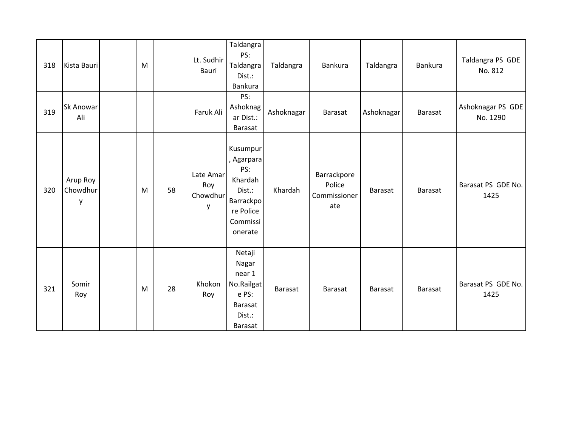| 318 | Kista Bauri               | M |    | Lt. Sudhir<br>Bauri               | Taldangra<br>PS:<br>Taldangra<br>Dist.:<br>Bankura                                                         | Taldangra  | Bankura                                      | Taldangra      | Bankura        | Taldangra PS GDE<br>No. 812   |
|-----|---------------------------|---|----|-----------------------------------|------------------------------------------------------------------------------------------------------------|------------|----------------------------------------------|----------------|----------------|-------------------------------|
| 319 | Sk Anowar<br>Ali          |   |    | Faruk Ali                         | PS:<br>Ashoknag<br>ar Dist.:<br>Barasat                                                                    | Ashoknagar | Barasat                                      | Ashoknagar     | Barasat        | Ashoknagar PS GDE<br>No. 1290 |
| 320 | Arup Roy<br>Chowdhur<br>y | M | 58 | Late Amar<br>Roy<br>Chowdhur<br>y | Kusumpur<br>, Agarpara<br>PS:<br>Khardah<br>Dist.:<br><b>Barrackpo</b><br>re Police<br>Commissi<br>onerate | Khardah    | Barrackpore<br>Police<br>Commissioner<br>ate | Barasat        | <b>Barasat</b> | Barasat PS GDE No.<br>1425    |
| 321 | Somir<br>Roy              | M | 28 | Khokon<br>Roy                     | Netaji<br>Nagar<br>near 1<br>No.Railgat<br>e PS:<br><b>Barasat</b><br>Dist.:<br>Barasat                    | Barasat    | <b>Barasat</b>                               | <b>Barasat</b> | <b>Barasat</b> | Barasat PS GDE No.<br>1425    |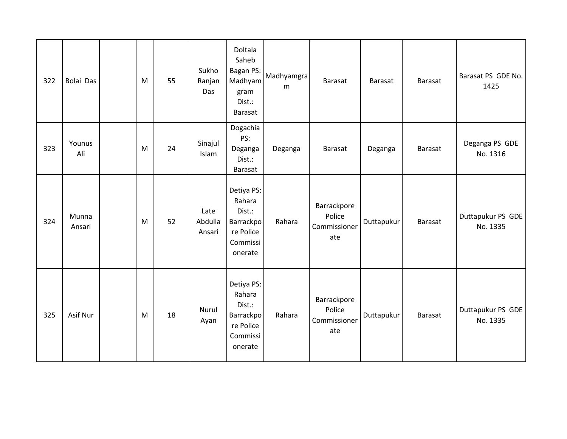| 322 | Bolai Das       | M | 55 | Sukho<br>Ranjan<br>Das    | Doltala<br>Saheb<br><b>Bagan PS:</b><br>Madhyam<br>gram<br>Dist.:<br>Barasat    | Madhyamgra<br>m | <b>Barasat</b>                               | Barasat    | Barasat        | Barasat PS GDE No.<br>1425    |
|-----|-----------------|---|----|---------------------------|---------------------------------------------------------------------------------|-----------------|----------------------------------------------|------------|----------------|-------------------------------|
| 323 | Younus<br>Ali   | M | 24 | Sinajul<br>Islam          | Dogachia<br>PS:<br>Deganga<br>Dist.:<br>Barasat                                 | Deganga         | Barasat                                      | Deganga    | Barasat        | Deganga PS GDE<br>No. 1316    |
| 324 | Munna<br>Ansari | M | 52 | Late<br>Abdulla<br>Ansari | Detiya PS:<br>Rahara<br>Dist.:<br>Barrackpo<br>re Police<br>Commissi<br>onerate | Rahara          | Barrackpore<br>Police<br>Commissioner<br>ate | Duttapukur | <b>Barasat</b> | Duttapukur PS GDE<br>No. 1335 |
| 325 | Asif Nur        | M | 18 | Nurul<br>Ayan             | Detiya PS:<br>Rahara<br>Dist.:<br>Barrackpo<br>re Police<br>Commissi<br>onerate | Rahara          | Barrackpore<br>Police<br>Commissioner<br>ate | Duttapukur | Barasat        | Duttapukur PS GDE<br>No. 1335 |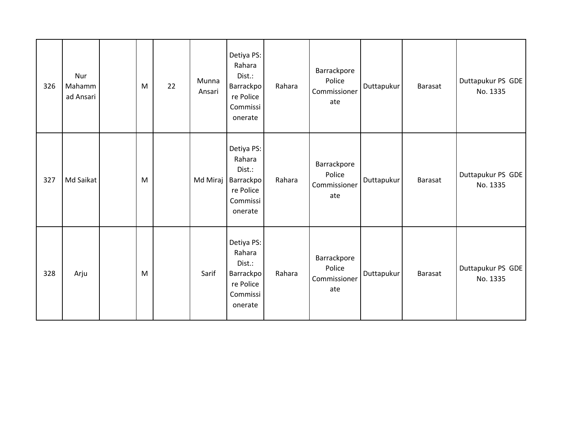| 326 | Nur<br>Mahamm<br>ad Ansari | M | 22 | Munna<br>Ansari | Detiya PS:<br>Rahara<br>Dist.:<br>Barrackpo<br>re Police<br>Commissi<br>onerate | Rahara | Barrackpore<br>Police<br>Commissioner<br>ate | Duttapukur | <b>Barasat</b> | Duttapukur PS GDE<br>No. 1335 |
|-----|----------------------------|---|----|-----------------|---------------------------------------------------------------------------------|--------|----------------------------------------------|------------|----------------|-------------------------------|
| 327 | Md Saikat                  | M |    | Md Miraj        | Detiya PS:<br>Rahara<br>Dist.:<br>Barrackpo<br>re Police<br>Commissi<br>onerate | Rahara | Barrackpore<br>Police<br>Commissioner<br>ate | Duttapukur | Barasat        | Duttapukur PS GDE<br>No. 1335 |
| 328 | Arju                       | M |    | Sarif           | Detiya PS:<br>Rahara<br>Dist.:<br>Barrackpo<br>re Police<br>Commissi<br>onerate | Rahara | Barrackpore<br>Police<br>Commissioner<br>ate | Duttapukur | <b>Barasat</b> | Duttapukur PS GDE<br>No. 1335 |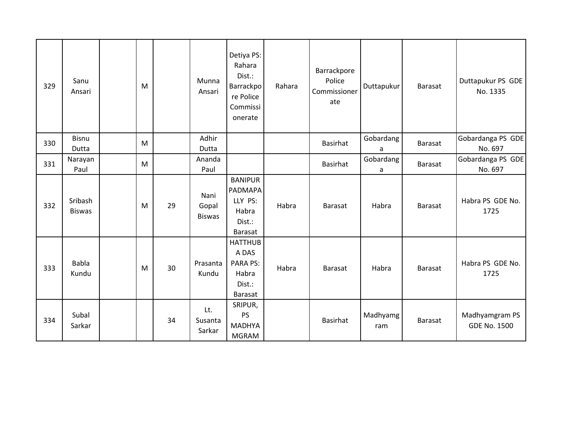| 329 | Sanu<br>Ansari           | M |    | Munna<br>Ansari                | Detiya PS:<br>Rahara<br>Dist.:<br>Barrackpo<br>re Police<br>Commissi<br>onerate | Rahara | Barrackpore<br>Police<br>Commissioner<br>ate | Duttapukur      | <b>Barasat</b> | Duttapukur PS GDE<br>No. 1335         |
|-----|--------------------------|---|----|--------------------------------|---------------------------------------------------------------------------------|--------|----------------------------------------------|-----------------|----------------|---------------------------------------|
| 330 | <b>Bisnu</b><br>Dutta    | M |    | Adhir<br>Dutta                 |                                                                                 |        | Basirhat                                     | Gobardang<br>a  | <b>Barasat</b> | Gobardanga PS GDE<br>No. 697          |
| 331 | Narayan<br>Paul          | M |    | Ananda<br>Paul                 |                                                                                 |        | <b>Basirhat</b>                              | Gobardang<br>a  | <b>Barasat</b> | Gobardanga PS GDE<br>No. 697          |
| 332 | Sribash<br><b>Biswas</b> | M | 29 | Nani<br>Gopal<br><b>Biswas</b> | <b>BANIPUR</b><br>PADMAPA<br>LLY PS:<br>Habra<br>Dist.:<br><b>Barasat</b>       | Habra  | <b>Barasat</b>                               | Habra           | Barasat        | Habra PS GDE No.<br>1725              |
| 333 | <b>Babla</b><br>Kundu    | M | 30 | Prasanta<br>Kundu              | <b>HATTHUB</b><br>A DAS<br><b>PARA PS:</b><br>Habra<br>Dist.:<br>Barasat        | Habra  | Barasat                                      | Habra           | <b>Barasat</b> | Habra PS GDE No.<br>1725              |
| 334 | Subal<br>Sarkar          |   | 34 | Lt.<br>Susanta<br>Sarkar       | SRIPUR,<br>PS<br><b>MADHYA</b><br><b>MGRAM</b>                                  |        | <b>Basirhat</b>                              | Madhyamg<br>ram | Barasat        | Madhyamgram PS<br><b>GDE No. 1500</b> |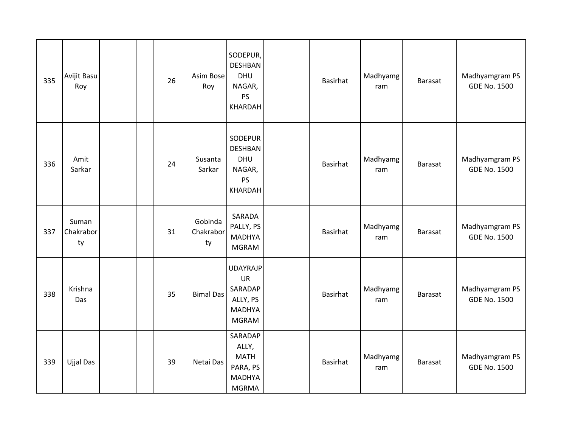| 335 | Avijit Basu<br>Roy       |  | 26 | Asim Bose<br>Roy           | SODEPUR,<br><b>DESHBAN</b><br><b>DHU</b><br>NAGAR,<br>PS<br>KHARDAH                  | Basirhat | Madhyamg<br>ram | Barasat | Madhyamgram PS<br><b>GDE No. 1500</b> |
|-----|--------------------------|--|----|----------------------------|--------------------------------------------------------------------------------------|----------|-----------------|---------|---------------------------------------|
| 336 | Amit<br>Sarkar           |  | 24 | Susanta<br>Sarkar          | SODEPUR<br><b>DESHBAN</b><br><b>DHU</b><br>NAGAR,<br>PS<br>KHARDAH                   | Basirhat | Madhyamg<br>ram | Barasat | Madhyamgram PS<br><b>GDE No. 1500</b> |
| 337 | Suman<br>Chakrabor<br>ty |  | 31 | Gobinda<br>Chakrabor<br>ty | SARADA<br>PALLY, PS<br><b>MADHYA</b><br><b>MGRAM</b>                                 | Basirhat | Madhyamg<br>ram | Barasat | Madhyamgram PS<br><b>GDE No. 1500</b> |
| 338 | Krishna<br>Das           |  | 35 | <b>Bimal Das</b>           | <b>UDAYRAJP</b><br><b>UR</b><br>SARADAP<br>ALLY, PS<br><b>MADHYA</b><br><b>MGRAM</b> | Basirhat | Madhyamg<br>ram | Barasat | Madhyamgram PS<br><b>GDE No. 1500</b> |
| 339 | Ujjal Das                |  | 39 | Netai Das                  | SARADAP<br>ALLY,<br><b>MATH</b><br>PARA, PS<br><b>MADHYA</b><br><b>MGRMA</b>         | Basirhat | Madhyamg<br>ram | Barasat | Madhyamgram PS<br><b>GDE No. 1500</b> |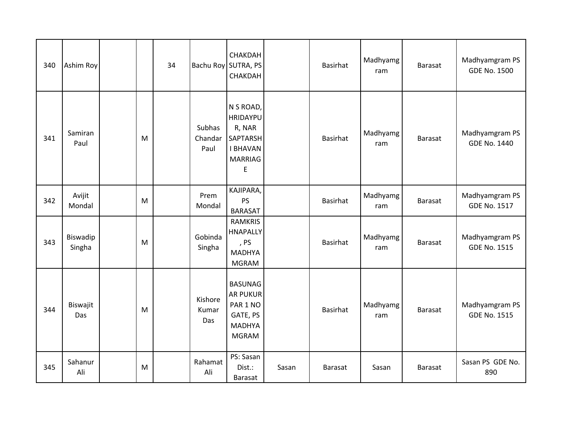| 340 | Ashim Roy          |   | 34 |                           | CHAKDAH<br>Bachu Roy SUTRA, PS<br>CHAKDAH                                                           |       | <b>Basirhat</b> | Madhyamg<br>ram | <b>Barasat</b> | Madhyamgram PS<br><b>GDE No. 1500</b> |
|-----|--------------------|---|----|---------------------------|-----------------------------------------------------------------------------------------------------|-------|-----------------|-----------------|----------------|---------------------------------------|
| 341 | Samiran<br>Paul    | M |    | Subhas<br>Chandar<br>Paul | N S ROAD,<br><b>HRIDAYPU</b><br>R, NAR<br><b>SAPTARSH</b><br><b>I BHAVAN</b><br><b>MARRIAG</b><br>E |       | <b>Basirhat</b> | Madhyamg<br>ram | <b>Barasat</b> | Madhyamgram PS<br><b>GDE No. 1440</b> |
| 342 | Avijit<br>Mondal   | M |    | Prem<br>Mondal            | KAJIPARA,<br><b>PS</b><br><b>BARASAT</b>                                                            |       | Basirhat        | Madhyamg<br>ram | <b>Barasat</b> | Madhyamgram PS<br><b>GDE No. 1517</b> |
| 343 | Biswadip<br>Singha | M |    | Gobinda<br>Singha         | <b>RAMKRIS</b><br><b>HNAPALLY</b><br>, PS<br><b>MADHYA</b><br><b>MGRAM</b>                          |       | <b>Basirhat</b> | Madhyamg<br>ram | <b>Barasat</b> | Madhyamgram PS<br><b>GDE No. 1515</b> |
| 344 | Biswajit<br>Das    | M |    | Kishore<br>Kumar<br>Das   | <b>BASUNAG</b><br><b>AR PUKUR</b><br>PAR 1 NO<br>GATE, PS<br><b>MADHYA</b><br><b>MGRAM</b>          |       | <b>Basirhat</b> | Madhyamg<br>ram | <b>Barasat</b> | Madhyamgram PS<br><b>GDE No. 1515</b> |
| 345 | Sahanur<br>Ali     | M |    | Rahamat<br>Ali            | PS: Sasan<br>Dist.:<br>Barasat                                                                      | Sasan | <b>Barasat</b>  | Sasan           | <b>Barasat</b> | Sasan PS GDE No.<br>890               |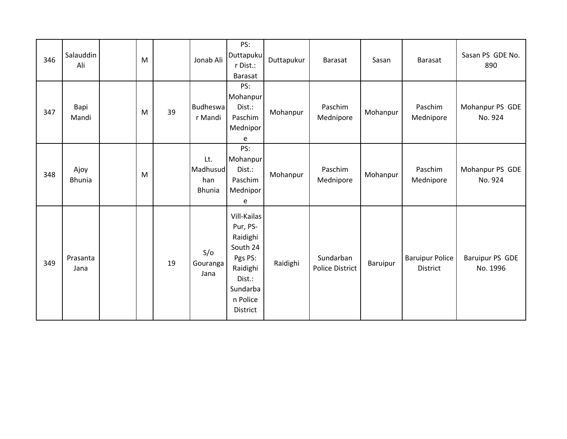| 346 | Salauddin<br>Ali      | M |    | Jonab Ali                               | PS:<br><b>Duttapuku</b><br>r Dist.:<br><b>Barasat</b>                                                                | Duttapukur | Barasat                             | Sasan    | Barasat                                   | Sasan PS GDE No.<br>890     |
|-----|-----------------------|---|----|-----------------------------------------|----------------------------------------------------------------------------------------------------------------------|------------|-------------------------------------|----------|-------------------------------------------|-----------------------------|
| 347 | Bapi<br>Mandi         | M | 39 | Budheswa<br>r Mandi                     | PS:<br>Mohanpur<br>Dist.:<br>Paschim<br>Mednipor<br>e                                                                | Mohanpur   | Paschim<br>Mednipore                | Mohanpur | Paschim<br>Mednipore                      | Mohanpur PS GDE<br>No. 924  |
| 348 | Ajoy<br><b>Bhunia</b> | M |    | Lt.<br>Madhusud<br>han<br><b>Bhunia</b> | PS:<br>Mohanpur<br>Dist.:<br>Paschim<br>Mednipor<br>e                                                                | Mohanpur   | Paschim<br>Mednipore                | Mohanpur | Paschim<br>Mednipore                      | Mohanpur PS GDE<br>No. 924  |
| 349 | Prasanta<br>Jana      |   | 19 | S/O<br>Gouranga<br>Jana                 | Vill-Kailas<br>Pur, PS-<br>Raidighi<br>South 24<br>Pgs PS:<br>Raidighi<br>Dist.:<br>Sundarba<br>n Police<br>District | Raidighi   | Sundarban<br><b>Police District</b> | Baruipur | <b>Baruipur Police</b><br><b>District</b> | Baruipur PS GDE<br>No. 1996 |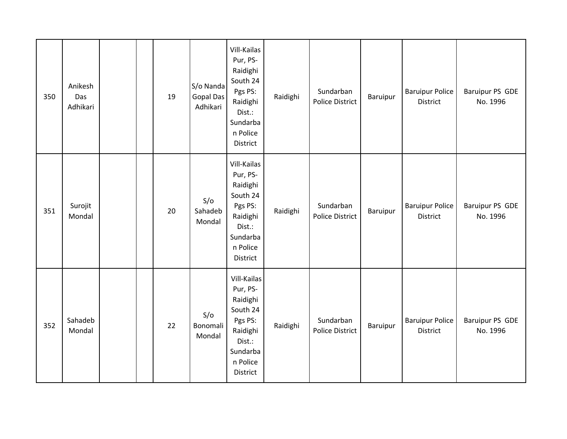| 350 | Anikesh<br>Das<br>Adhikari |  | 19 | S/o Nanda<br><b>Gopal Das</b><br>Adhikari | Vill-Kailas<br>Pur, PS-<br>Raidighi<br>South 24<br>Pgs PS:<br>Raidighi<br>Dist.:<br>Sundarba<br>n Police<br>District | Raidighi | Sundarban<br><b>Police District</b> | Baruipur | <b>Baruipur Police</b><br>District        | <b>Baruipur PS GDE</b><br>No. 1996 |
|-----|----------------------------|--|----|-------------------------------------------|----------------------------------------------------------------------------------------------------------------------|----------|-------------------------------------|----------|-------------------------------------------|------------------------------------|
| 351 | Surojit<br>Mondal          |  | 20 | S/O<br>Sahadeb<br>Mondal                  | Vill-Kailas<br>Pur, PS-<br>Raidighi<br>South 24<br>Pgs PS:<br>Raidighi<br>Dist.:<br>Sundarba<br>n Police<br>District | Raidighi | Sundarban<br><b>Police District</b> | Baruipur | <b>Baruipur Police</b><br><b>District</b> | Baruipur PS GDE<br>No. 1996        |
| 352 | Sahadeb<br>Mondal          |  | 22 | S/O<br>Bonomali<br>Mondal                 | Vill-Kailas<br>Pur, PS-<br>Raidighi<br>South 24<br>Pgs PS:<br>Raidighi<br>Dist.:<br>Sundarba<br>n Police<br>District | Raidighi | Sundarban<br><b>Police District</b> | Baruipur | <b>Baruipur Police</b><br>District        | <b>Baruipur PS GDE</b><br>No. 1996 |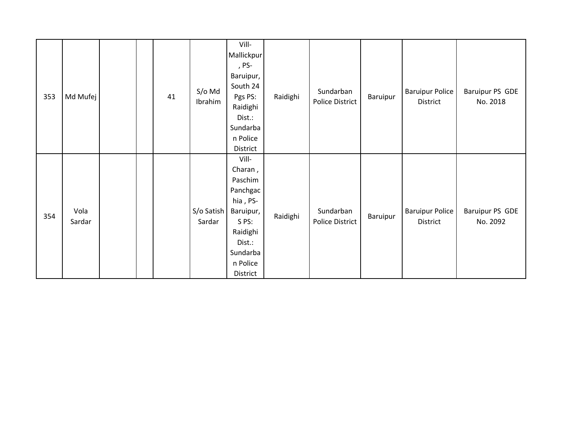| 353 | Md Mufej       |  | 41 | $S/O$ Md<br>Ibrahim  | Vill-<br>Mallickpur<br>, PS-<br>Baruipur,<br>South 24<br>Pgs PS:<br>Raidighi<br>Dist.:<br>Sundarba<br>n Police<br>District          | Raidighi | Sundarban<br>Police District | Baruipur | <b>Baruipur Police</b><br>District | Baruipur PS GDE<br>No. 2018 |
|-----|----------------|--|----|----------------------|-------------------------------------------------------------------------------------------------------------------------------------|----------|------------------------------|----------|------------------------------------|-----------------------------|
| 354 | Vola<br>Sardar |  |    | S/o Satish<br>Sardar | Vill-<br>Charan,<br>Paschim<br>Panchgac<br>hia, PS-<br>Baruipur,<br>S PS:<br>Raidighi<br>Dist.:<br>Sundarba<br>n Police<br>District | Raidighi | Sundarban<br>Police District | Baruipur | <b>Baruipur Police</b><br>District | Baruipur PS GDE<br>No. 2092 |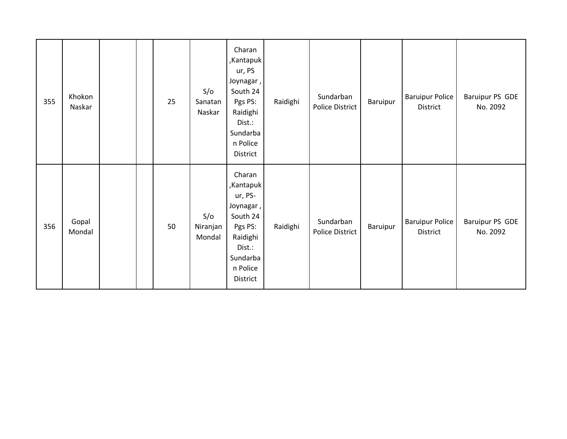| 355 | Khokon<br>Naskar |  | 25 | S/O<br>Sanatan<br>Naskar  | Charan<br>,Kantapuk<br>ur, PS<br>Joynagar,<br>South 24<br>Pgs PS:<br>Raidighi<br>Dist.:<br>Sundarba<br>n Police<br>District  | Raidighi | Sundarban<br>Police District | Baruipur | <b>Baruipur Police</b><br>District | Baruipur PS GDE<br>No. 2092 |
|-----|------------------|--|----|---------------------------|------------------------------------------------------------------------------------------------------------------------------|----------|------------------------------|----------|------------------------------------|-----------------------------|
| 356 | Gopal<br>Mondal  |  | 50 | S/O<br>Niranjan<br>Mondal | Charan<br>,Kantapuk<br>ur, PS-<br>Joynagar,<br>South 24<br>Pgs PS:<br>Raidighi<br>Dist.:<br>Sundarba<br>n Police<br>District | Raidighi | Sundarban<br>Police District | Baruipur | <b>Baruipur Police</b><br>District | Baruipur PS GDE<br>No. 2092 |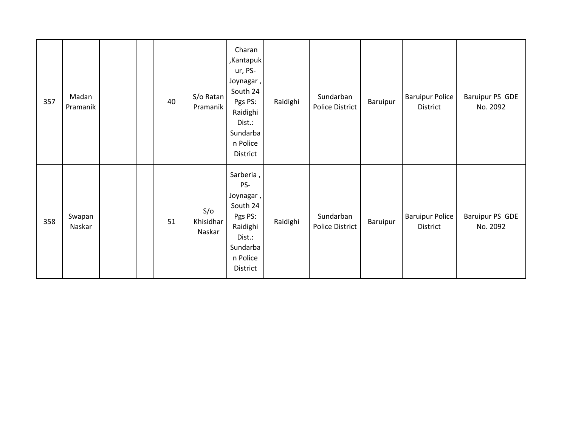| 357 | Madan<br>Pramanik |  | 40 | S/o Ratan<br>Pramanik      | Charan<br>,Kantapuk<br>ur, PS-<br>Joynagar,<br>South 24<br>Pgs PS:<br>Raidighi<br>Dist.:<br>Sundarba<br>n Police<br>District | Raidighi | Sundarban<br>Police District | Baruipur | <b>Baruipur Police</b><br>District | Baruipur PS GDE<br>No. 2092 |
|-----|-------------------|--|----|----------------------------|------------------------------------------------------------------------------------------------------------------------------|----------|------------------------------|----------|------------------------------------|-----------------------------|
| 358 | Swapan<br>Naskar  |  | 51 | S/O<br>Khisidhar<br>Naskar | Sarberia,<br>PS-<br>Joynagar,<br>South 24<br>Pgs PS:<br>Raidighi<br>Dist.:<br>Sundarba<br>n Police<br>District               | Raidighi | Sundarban<br>Police District | Baruipur | <b>Baruipur Police</b><br>District | Baruipur PS GDE<br>No. 2092 |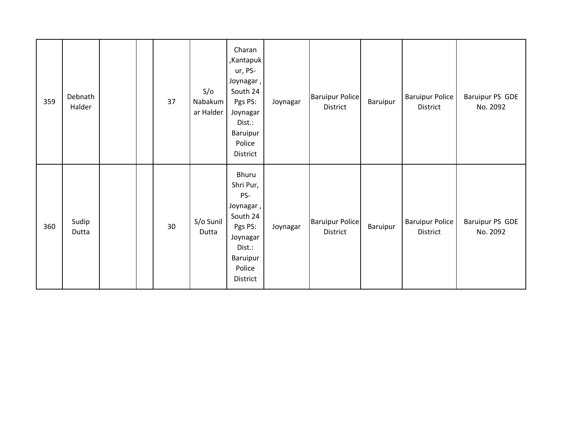| 359 | Debnath<br>Halder |  | 37 | S/O<br>Nabakum<br>ar Halder | Charan<br>,Kantapuk<br>ur, PS-<br>Joynagar,<br>South 24<br>Pgs PS:<br>Joynagar<br>Dist.:<br>Baruipur<br>Police<br>District | Joynagar | <b>Baruipur Police</b><br>District | Baruipur | <b>Baruipur Police</b><br>District | Baruipur PS GDE<br>No. 2092 |
|-----|-------------------|--|----|-----------------------------|----------------------------------------------------------------------------------------------------------------------------|----------|------------------------------------|----------|------------------------------------|-----------------------------|
| 360 | Sudip<br>Dutta    |  | 30 | S/o Sunil<br>Dutta          | Bhuru<br>Shri Pur,<br>PS-<br>Joynagar,<br>South 24<br>Pgs PS:<br>Joynagar<br>Dist.:<br>Baruipur<br>Police<br>District      | Joynagar | <b>Baruipur Police</b><br>District | Baruipur | <b>Baruipur Police</b><br>District | Baruipur PS GDE<br>No. 2092 |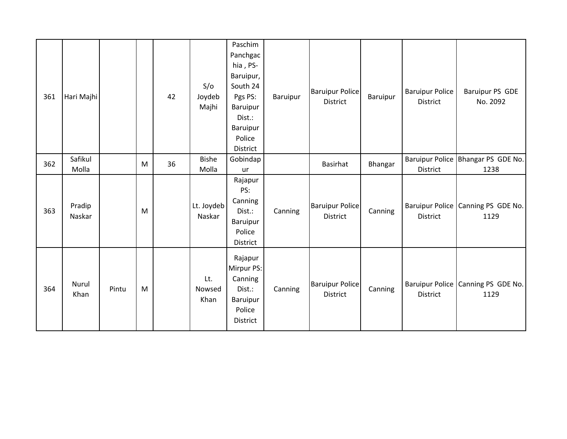| 361 | Hari Majhi       |       |   | 42 | S/O<br>Joydeb<br>Majhi | Paschim<br>Panchgac<br>hia, PS-<br>Baruipur,<br>South 24<br>Pgs PS:<br>Baruipur<br>Dist.:<br>Baruipur<br>Police<br>District | Baruipur | <b>Baruipur Police</b><br>District        | <b>Baruipur</b> | <b>Baruipur Police</b><br>District | Baruipur PS GDE<br>No. 2092                  |
|-----|------------------|-------|---|----|------------------------|-----------------------------------------------------------------------------------------------------------------------------|----------|-------------------------------------------|-----------------|------------------------------------|----------------------------------------------|
| 362 | Safikul<br>Molla |       | M | 36 | <b>Bishe</b><br>Molla  | Gobindap<br>ur                                                                                                              |          | <b>Basirhat</b>                           | Bhangar         | District                           | Baruipur Police Bhangar PS GDE No.<br>1238   |
| 363 | Pradip<br>Naskar |       | M |    | Lt. Joydeb<br>Naskar   | Rajapur<br>PS:<br>Canning<br>Dist.:<br>Baruipur<br>Police<br>District                                                       | Canning  | <b>Baruipur Police</b><br><b>District</b> | Canning         | <b>District</b>                    | Baruipur Police Canning PS GDE No.<br>1129   |
| 364 | Nurul<br>Khan    | Pintu | M |    | Lt.<br>Nowsed<br>Khan  | Rajapur<br>Mirpur PS:<br>Canning<br>Dist.:<br>Baruipur<br>Police<br>District                                                | Canning  | <b>Baruipur Police</b><br>District        | Canning         | District                           | Baruipur Police   Canning PS GDE No.<br>1129 |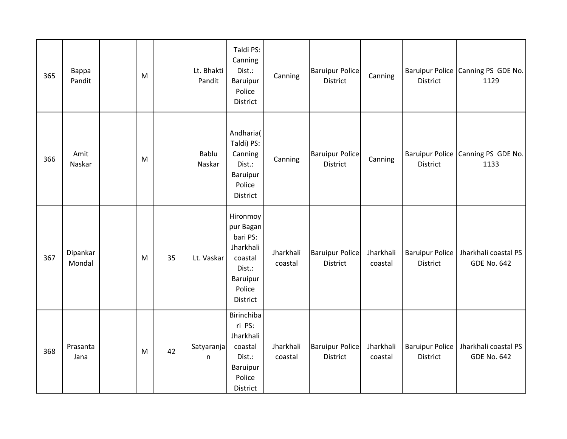| 365 | Bappa<br>Pandit    | M |    | Lt. Bhakti<br>Pandit | Taldi PS:<br>Canning<br>Dist.:<br>Baruipur<br>Police<br>District                                      | Canning              | <b>Baruipur Police</b><br>District | Canning              | District                                  | Baruipur Police Canning PS GDE No.<br>1129 |
|-----|--------------------|---|----|----------------------|-------------------------------------------------------------------------------------------------------|----------------------|------------------------------------|----------------------|-------------------------------------------|--------------------------------------------|
| 366 | Amit<br>Naskar     | M |    | Bablu<br>Naskar      | Andharia(<br>Taldi) PS:<br>Canning<br>Dist.:<br>Baruipur<br>Police<br>District                        | Canning              | <b>Baruipur Police</b><br>District | Canning              | District                                  | Baruipur Police Canning PS GDE No.<br>1133 |
| 367 | Dipankar<br>Mondal | M | 35 | Lt. Vaskar           | Hironmoy<br>pur Bagan<br>bari PS:<br>Jharkhali<br>coastal<br>Dist.:<br>Baruipur<br>Police<br>District | Jharkhali<br>coastal | <b>Baruipur Police</b><br>District | Jharkhali<br>coastal | <b>Baruipur Police</b><br>District        | Jharkhali coastal PS<br><b>GDE No. 642</b> |
| 368 | Prasanta<br>Jana   | M | 42 | Satyaranja<br>n      | Birinchiba<br>ri PS:<br>Jharkhali<br>coastal<br>Dist.:<br>Baruipur<br>Police<br>District              | Jharkhali<br>coastal | <b>Baruipur Police</b><br>District | Jharkhali<br>coastal | <b>Baruipur Police</b><br><b>District</b> | Jharkhali coastal PS<br><b>GDE No. 642</b> |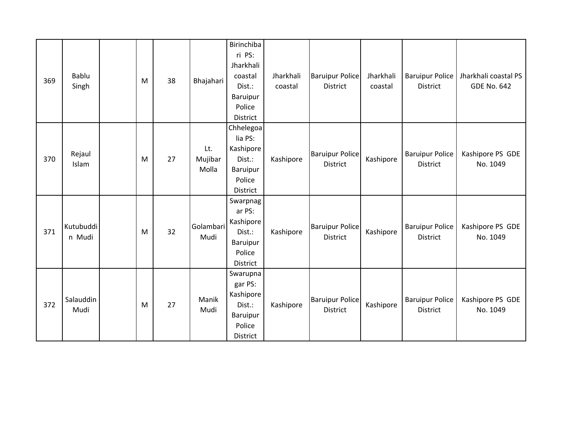| 369 | Bablu<br>Singh      | M | 38 | Bhajahari               | Birinchiba<br>ri PS:<br>Jharkhali<br>coastal<br>Dist.:<br><b>Baruipur</b><br>Police<br>District | Jharkhali<br>coastal | <b>Baruipur Police</b><br>District        | Jharkhali<br>coastal | <b>Baruipur Police</b><br>District        | Jharkhali coastal PS<br><b>GDE No. 642</b> |
|-----|---------------------|---|----|-------------------------|-------------------------------------------------------------------------------------------------|----------------------|-------------------------------------------|----------------------|-------------------------------------------|--------------------------------------------|
| 370 | Rejaul<br>Islam     | M | 27 | Lt.<br>Mujibar<br>Molla | Chhelegoa<br>lia PS:<br>Kashipore<br>Dist.:<br>Baruipur<br>Police<br>District                   | Kashipore            | <b>Baruipur Police</b><br><b>District</b> | Kashipore            | <b>Baruipur Police</b><br><b>District</b> | Kashipore PS GDE<br>No. 1049               |
| 371 | Kutubuddi<br>n Mudi | M | 32 | Golambari<br>Mudi       | Swarpnag<br>ar PS:<br>Kashipore<br>Dist.:<br>Baruipur<br>Police<br>District                     | Kashipore            | <b>Baruipur Police</b><br><b>District</b> | Kashipore            | <b>Baruipur Police</b><br><b>District</b> | Kashipore PS GDE<br>No. 1049               |
| 372 | Salauddin<br>Mudi   | M | 27 | Manik<br>Mudi           | Swarupna<br>gar PS:<br>Kashipore<br>Dist.:<br><b>Baruipur</b><br>Police<br>District             | Kashipore            | <b>Baruipur Police</b><br><b>District</b> | Kashipore            | <b>Baruipur Police</b><br><b>District</b> | Kashipore PS GDE<br>No. 1049               |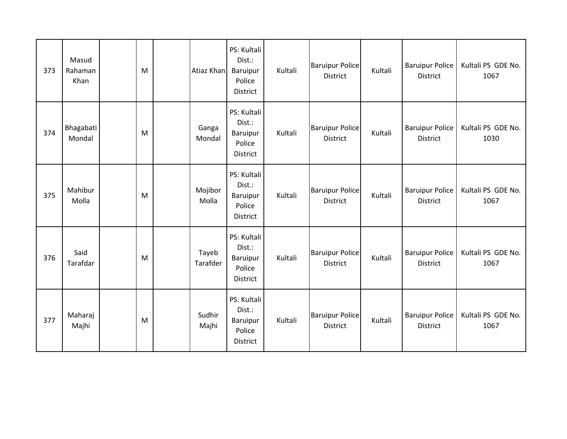| 373 | Masud<br>Rahaman<br>Khan | M | Atiaz Khan        | PS: Kultali<br>Dist.:<br>Baruipur<br>Police<br>District        | Kultali | <b>Baruipur Police</b><br>District        | Kultali | <b>Baruipur Police</b><br><b>District</b> | Kultali PS GDE No.<br>1067 |
|-----|--------------------------|---|-------------------|----------------------------------------------------------------|---------|-------------------------------------------|---------|-------------------------------------------|----------------------------|
| 374 | Bhagabati<br>Mondal      | M | Ganga<br>Mondal   | PS: Kultali<br>Dist.:<br>Baruipur<br>Police<br><b>District</b> | Kultali | <b>Baruipur Police</b><br>District        | Kultali | <b>Baruipur Police</b><br><b>District</b> | Kultali PS GDE No.<br>1030 |
| 375 | Mahibur<br>Molla         | M | Mojibor<br>Molla  | PS: Kultali<br>Dist.:<br>Baruipur<br>Police<br>District        | Kultali | <b>Baruipur Police</b><br>District        | Kultali | <b>Baruipur Police</b><br><b>District</b> | Kultali PS GDE No.<br>1067 |
| 376 | Said<br>Tarafdar         | M | Tayeb<br>Tarafder | PS: Kultali<br>Dist.:<br>Baruipur<br>Police<br><b>District</b> | Kultali | <b>Baruipur Police</b><br><b>District</b> | Kultali | <b>Baruipur Police</b><br><b>District</b> | Kultali PS GDE No.<br>1067 |
| 377 | Maharaj<br>Majhi         | M | Sudhir<br>Majhi   | PS: Kultali<br>Dist.:<br>Baruipur<br>Police<br>District        | Kultali | <b>Baruipur Police</b><br>District        | Kultali | <b>Baruipur Police</b><br><b>District</b> | Kultali PS GDE No.<br>1067 |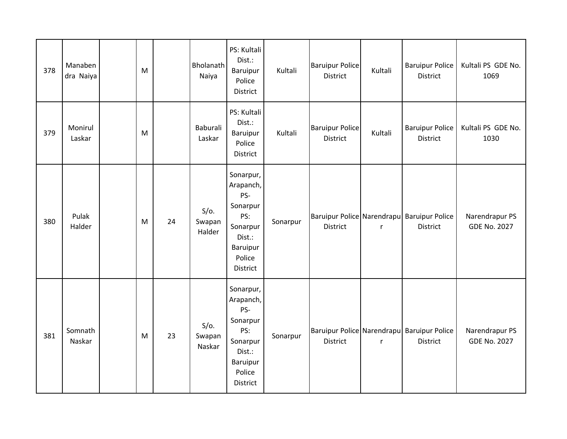| 378 | Manaben<br>dra Naiya | M |    | Bholanath<br>Naiya          | PS: Kultali<br>Dist.:<br>Baruipur<br>Police<br>District                                                         | Kultali  | <b>Baruipur Police</b><br><b>District</b> | Kultali      | <b>Baruipur Police</b><br><b>District</b>                     | Kultali PS GDE No.<br>1069            |
|-----|----------------------|---|----|-----------------------------|-----------------------------------------------------------------------------------------------------------------|----------|-------------------------------------------|--------------|---------------------------------------------------------------|---------------------------------------|
| 379 | Monirul<br>Laskar    | M |    | Baburali<br>Laskar          | PS: Kultali<br>Dist.:<br>Baruipur<br>Police<br>District                                                         | Kultali  | <b>Baruipur Police</b><br><b>District</b> | Kultali      | <b>Baruipur Police</b><br><b>District</b>                     | Kultali PS GDE No.<br>1030            |
| 380 | Pulak<br>Halder      | M | 24 | $S/O$ .<br>Swapan<br>Halder | Sonarpur,<br>Arapanch,<br>PS-<br>Sonarpur<br>PS:<br>Sonarpur<br>Dist.:<br>Baruipur<br>Police<br>District        | Sonarpur | District                                  | r            | Baruipur Police Narendrapu Baruipur Police<br>District        | Narendrapur PS<br><b>GDE No. 2027</b> |
| 381 | Somnath<br>Naskar    | M | 23 | $S/O$ .<br>Swapan<br>Naskar | Sonarpur,<br>Arapanch,<br>PS-<br>Sonarpur<br>PS:<br>Sonarpur<br>Dist.:<br><b>Baruipur</b><br>Police<br>District | Sonarpur | District                                  | $\mathsf{r}$ | Baruipur Police Narendrapu Baruipur Police<br><b>District</b> | Narendrapur PS<br><b>GDE No. 2027</b> |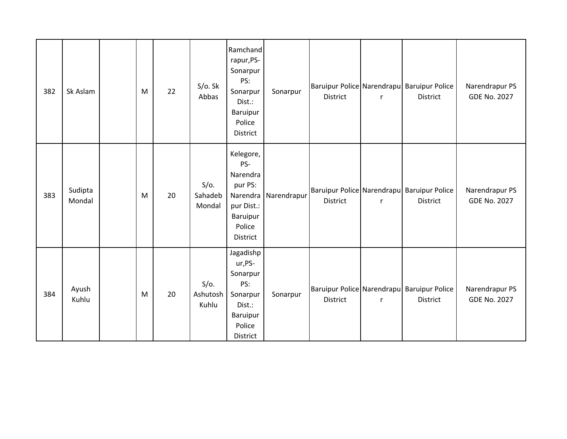| 382 | Sk Aslam          | M | 22 | S/O. Sk<br>Abbas             | Ramchand<br>rapur, PS-<br>Sonarpur<br>PS:<br>Sonarpur<br>Dist.:<br>Baruipur<br>Police<br>District   | Sonarpur    | <b>District</b> | $\mathsf{r}$ | Baruipur Police Narendrapu Baruipur Police<br>District        | Narendrapur PS<br><b>GDE No. 2027</b> |
|-----|-------------------|---|----|------------------------------|-----------------------------------------------------------------------------------------------------|-------------|-----------------|--------------|---------------------------------------------------------------|---------------------------------------|
| 383 | Sudipta<br>Mondal | M | 20 | $S/O$ .<br>Sahadeb<br>Mondal | Kelegore,<br>PS-<br>Narendra<br>pur PS:<br>Narendra<br>pur Dist.:<br>Baruipur<br>Police<br>District | Narendrapur | <b>District</b> | $\mathbf{r}$ | Baruipur Police Narendrapu Baruipur Police<br><b>District</b> | Narendrapur PS<br><b>GDE No. 2027</b> |
| 384 | Ayush<br>Kuhlu    | M | 20 | $S/O$ .<br>Ashutosh<br>Kuhlu | Jagadishp<br>ur, PS-<br>Sonarpur<br>PS:<br>Sonarpur<br>Dist.:<br>Baruipur<br>Police<br>District     | Sonarpur    | <b>District</b> | $\mathsf{r}$ | Baruipur Police Narendrapu Baruipur Police<br><b>District</b> | Narendrapur PS<br><b>GDE No. 2027</b> |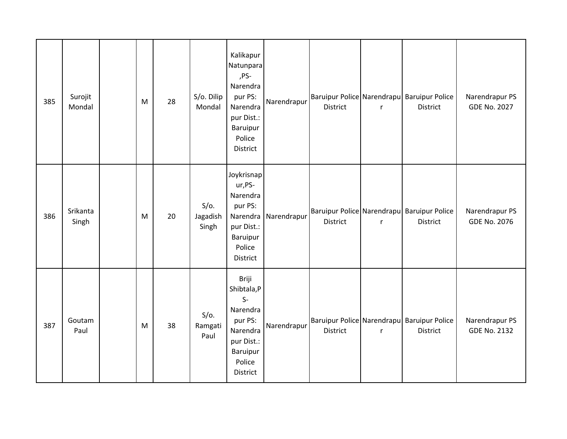| 385 | Surojit<br>Mondal | M | 28 | S/o. Dilip<br>Mondal         | Kalikapur<br>Natunpara<br>,PS-<br>Narendra<br>pur PS:<br>Narendra<br>pur Dist.:<br>Baruipur<br>Police<br>District | Narendrapur | District | $\mathsf{r}$ | Baruipur Police Narendrapu Baruipur Police<br>District        | Narendrapur PS<br><b>GDE No. 2027</b> |
|-----|-------------------|---|----|------------------------------|-------------------------------------------------------------------------------------------------------------------|-------------|----------|--------------|---------------------------------------------------------------|---------------------------------------|
| 386 | Srikanta<br>Singh | M | 20 | $S/O$ .<br>Jagadish<br>Singh | Joykrisnap<br>ur, PS-<br>Narendra<br>pur PS:<br>Narendra<br>pur Dist.:<br>Baruipur<br>Police<br>District          | Narendrapur | District | $\mathsf{r}$ | Baruipur Police Narendrapu Baruipur Police<br>District        | Narendrapur PS<br><b>GDE No. 2076</b> |
| 387 | Goutam<br>Paul    | M | 38 | $S/O$ .<br>Ramgati<br>Paul   | Briji<br>Shibtala, P<br>$S-$<br>Narendra<br>pur PS:<br>Narendra<br>pur Dist.:<br>Baruipur<br>Police<br>District   | Narendrapur | District | $\mathsf{r}$ | Baruipur Police Narendrapu Baruipur Police<br><b>District</b> | Narendrapur PS<br><b>GDE No. 2132</b> |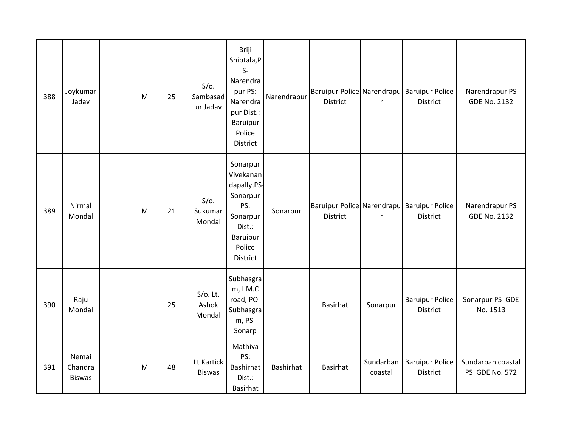| 388 | Joykumar<br>Jadav                 | M | 25 | $S/O$ .<br>Sambasad<br>ur Jadav | Briji<br>Shibtala,P<br>$S-$<br>Narendra<br>pur PS:<br>Narendra<br>pur Dist.:<br>Baruipur<br>Police<br><b>District</b>   | Narendrapur | <b>District</b> | $\mathsf{r}$ | Baruipur Police Narendrapu Baruipur Police<br><b>District</b> | Narendrapur PS<br><b>GDE No. 2132</b> |
|-----|-----------------------------------|---|----|---------------------------------|-------------------------------------------------------------------------------------------------------------------------|-------------|-----------------|--------------|---------------------------------------------------------------|---------------------------------------|
| 389 | Nirmal<br>Mondal                  | M | 21 | $S/O$ .<br>Sukumar<br>Mondal    | Sonarpur<br>Vivekanan<br>dapally, PS-<br>Sonarpur<br>PS:<br>Sonarpur<br>Dist.:<br><b>Baruipur</b><br>Police<br>District | Sonarpur    | District        | r            | Baruipur Police Narendrapu Baruipur Police<br>District        | Narendrapur PS<br><b>GDE No. 2132</b> |
| 390 | Raju<br>Mondal                    |   | 25 | $S/O$ . Lt.<br>Ashok<br>Mondal  | Subhasgra<br>m, I.M.C<br>road, PO-<br>Subhasgra<br>m, PS-<br>Sonarp                                                     |             | Basirhat        | Sonarpur     | <b>Baruipur Police</b><br><b>District</b>                     | Sonarpur PS GDE<br>No. 1513           |
| 391 | Nemai<br>Chandra<br><b>Biswas</b> | M | 48 | Lt Kartick<br><b>Biswas</b>     | Mathiya<br>PS:<br>Bashirhat<br>Dist.:<br>Basirhat                                                                       | Bashirhat   | Basirhat        | coastal      | Sundarban   Baruipur Police<br><b>District</b>                | Sundarban coastal<br>PS GDE No. 572   |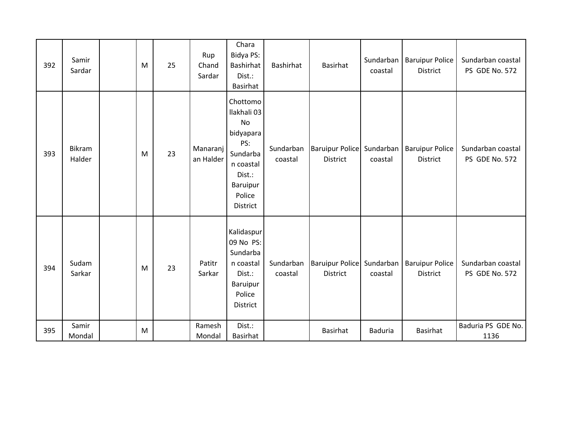| 392 | Samir<br>Sardar  | M | 25 | Rup<br>Chand<br>Sardar | Chara<br>Bidya PS:<br>Bashirhat<br>Dist.:<br><b>Basirhat</b>                                                           | Bashirhat            | Basirhat                              | coastal        | Sundarban   Baruipur Police<br>District                        | Sundarban coastal<br>PS GDE No. 572 |
|-----|------------------|---|----|------------------------|------------------------------------------------------------------------------------------------------------------------|----------------------|---------------------------------------|----------------|----------------------------------------------------------------|-------------------------------------|
| 393 | Bikram<br>Halder | M | 23 | Manaranj<br>an Halder  | Chottomo<br>Ilakhali 03<br>No<br>bidyapara<br>PS:<br>Sundarba<br>n coastal<br>Dist.:<br>Baruipur<br>Police<br>District | Sundarban<br>coastal | Baruipur Police Sundarban<br>District | coastal        | <b>Baruipur Police</b><br>District                             | Sundarban coastal<br>PS GDE No. 572 |
| 394 | Sudam<br>Sarkar  | M | 23 | Patitr<br>Sarkar       | Kalidaspur<br>09 No PS:<br>Sundarba<br>n coastal<br>Dist.:<br>Baruipur<br>Police<br>District                           | Sundarban<br>coastal | <b>District</b>                       | coastal        | Baruipur Police Sundarban   Baruipur Police<br><b>District</b> | Sundarban coastal<br>PS GDE No. 572 |
| 395 | Samir<br>Mondal  | M |    | Ramesh<br>Mondal       | Dist.:<br>Basirhat                                                                                                     |                      | Basirhat                              | <b>Baduria</b> | Basirhat                                                       | Baduria PS GDE No.<br>1136          |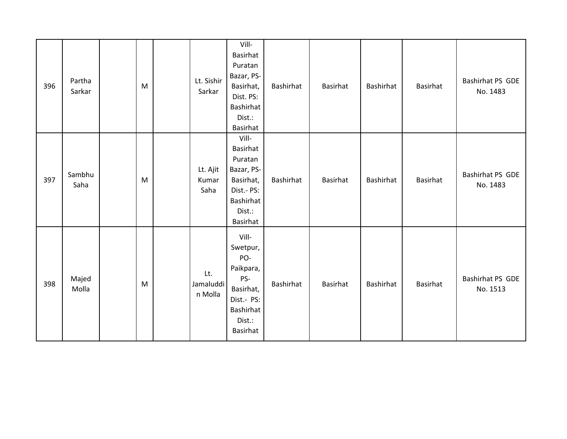| 396 | Partha<br>Sarkar | M         | Lt. Sishir<br>Sarkar        | Vill-<br>Basirhat<br>Puratan<br>Bazar, PS-<br>Basirhat,<br>Dist. PS:<br>Bashirhat<br>Dist.:<br>Basirhat           | Bashirhat | Basirhat | Bashirhat | Basirhat | Bashirhat PS GDE<br>No. 1483 |
|-----|------------------|-----------|-----------------------------|-------------------------------------------------------------------------------------------------------------------|-----------|----------|-----------|----------|------------------------------|
| 397 | Sambhu<br>Saha   | M         | Lt. Ajit<br>Kumar<br>Saha   | Vill-<br>Basirhat<br>Puratan<br>Bazar, PS-<br>Basirhat,<br>Dist.- PS:<br>Bashirhat<br>Dist.:<br>Basirhat          | Bashirhat | Basirhat | Bashirhat | Basirhat | Bashirhat PS GDE<br>No. 1483 |
| 398 | Majed<br>Molla   | ${\sf M}$ | Lt.<br>Jamaluddi<br>n Molla | Vill-<br>Swetpur,<br>PO-<br>Paikpara,<br>PS-<br>Basirhat,<br>Dist.- PS:<br>Bashirhat<br>Dist.:<br><b>Basirhat</b> | Bashirhat | Basirhat | Bashirhat | Basirhat | Bashirhat PS GDE<br>No. 1513 |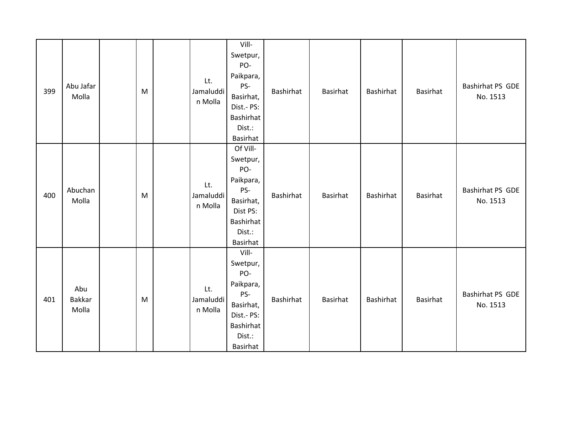| 399 | Abu Jafar<br>Molla     | M | Lt.<br>Jamaluddi<br>n Molla | Vill-<br>Swetpur,<br>PO-<br>Paikpara,<br>PS-<br>Basirhat,<br>Dist.- PS:<br>Bashirhat<br>Dist.:<br>Basirhat         | Bashirhat | Basirhat | Bashirhat | Basirhat        | Bashirhat PS GDE<br>No. 1513 |
|-----|------------------------|---|-----------------------------|--------------------------------------------------------------------------------------------------------------------|-----------|----------|-----------|-----------------|------------------------------|
| 400 | Abuchan<br>Molla       | M | Lt.<br>Jamaluddi<br>n Molla | Of Vill-<br>Swetpur,<br>PO-<br>Paikpara,<br>PS-<br>Basirhat,<br>Dist PS:<br>Bashirhat<br>Dist.:<br><b>Basirhat</b> | Bashirhat | Basirhat | Bashirhat | Basirhat        | Bashirhat PS GDE<br>No. 1513 |
| 401 | Abu<br>Bakkar<br>Molla | M | Lt.<br>Jamaluddi<br>n Molla | Vill-<br>Swetpur,<br>PO-<br>Paikpara,<br>PS-<br>Basirhat,<br>Dist.- PS:<br>Bashirhat<br>Dist.:<br>Basirhat         | Bashirhat | Basirhat | Bashirhat | <b>Basirhat</b> | Bashirhat PS GDE<br>No. 1513 |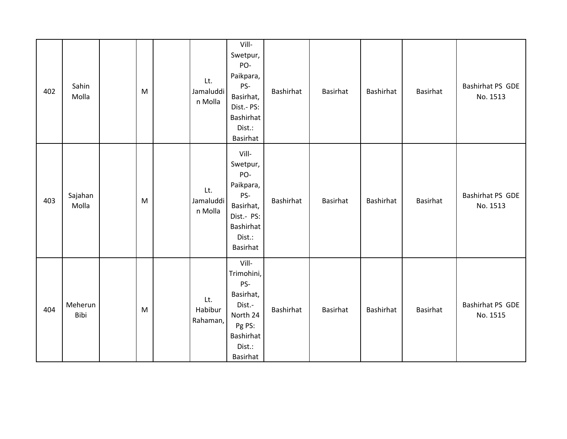| 402 | Sahin<br>Molla   | M | Lt.<br>Jamaluddi<br>n Molla | Vill-<br>Swetpur,<br>PO-<br>Paikpara,<br>PS-<br>Basirhat,<br>Dist.- PS:<br>Bashirhat<br>Dist.:<br><b>Basirhat</b> | Bashirhat | Basirhat | Bashirhat | Basirhat | Bashirhat PS GDE<br>No. 1513 |
|-----|------------------|---|-----------------------------|-------------------------------------------------------------------------------------------------------------------|-----------|----------|-----------|----------|------------------------------|
| 403 | Sajahan<br>Molla | M | Lt.<br>Jamaluddi<br>n Molla | Vill-<br>Swetpur,<br>PO-<br>Paikpara,<br>PS-<br>Basirhat,<br>Dist.- PS:<br>Bashirhat<br>Dist.:<br>Basirhat        | Bashirhat | Basirhat | Bashirhat | Basirhat | Bashirhat PS GDE<br>No. 1513 |
| 404 | Meherun<br>Bibi  | M | Lt.<br>Habibur<br>Rahaman,  | Vill-<br>Trimohini,<br>PS-<br>Basirhat,<br>Dist.-<br>North 24<br>Pg PS:<br>Bashirhat<br>Dist.:<br>Basirhat        | Bashirhat | Basirhat | Bashirhat | Basirhat | Bashirhat PS GDE<br>No. 1515 |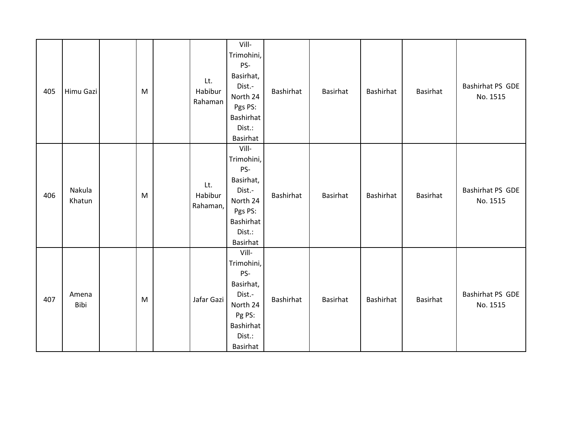| 405 | Himu Gazi        | M | Lt.<br>Habibur<br>Rahaman  | Vill-<br>Trimohini,<br>PS-<br>Basirhat,<br>Dist.-<br>North 24<br>Pgs PS:<br>Bashirhat<br>Dist.:<br><b>Basirhat</b> | Bashirhat | Basirhat | Bashirhat | Basirhat | Bashirhat PS GDE<br>No. 1515 |
|-----|------------------|---|----------------------------|--------------------------------------------------------------------------------------------------------------------|-----------|----------|-----------|----------|------------------------------|
| 406 | Nakula<br>Khatun | M | Lt.<br>Habibur<br>Rahaman, | Vill-<br>Trimohini,<br>PS-<br>Basirhat,<br>Dist.-<br>North 24<br>Pgs PS:<br>Bashirhat<br>Dist.:<br>Basirhat        | Bashirhat | Basirhat | Bashirhat | Basirhat | Bashirhat PS GDE<br>No. 1515 |
| 407 | Amena<br>Bibi    | M | Jafar Gazi                 | Vill-<br>Trimohini,<br>PS-<br>Basirhat,<br>Dist.-<br>North 24<br>Pg PS:<br>Bashirhat<br>Dist.:<br>Basirhat         | Bashirhat | Basirhat | Bashirhat | Basirhat | Bashirhat PS GDE<br>No. 1515 |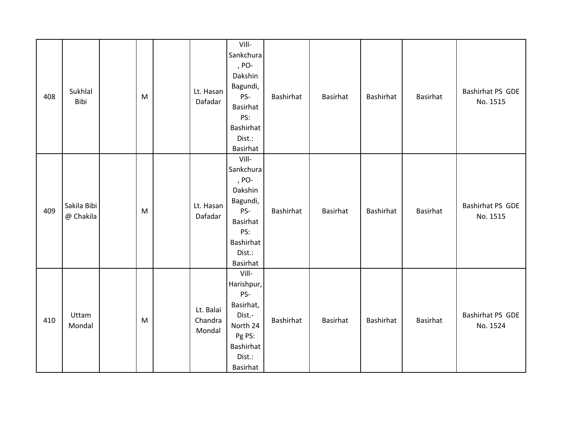| 408 | Sukhlal<br>Bibi          | M | Lt. Hasan<br>Dafadar           | Vill-<br>Sankchura<br>, PO-<br>Dakshin<br>Bagundi,<br>PS-<br><b>Basirhat</b><br>PS:<br><b>Bashirhat</b><br>Dist.:<br>Basirhat | Bashirhat | Basirhat        | Bashirhat        | <b>Basirhat</b> | Bashirhat PS GDE<br>No. 1515 |
|-----|--------------------------|---|--------------------------------|-------------------------------------------------------------------------------------------------------------------------------|-----------|-----------------|------------------|-----------------|------------------------------|
| 409 | Sakila Bibi<br>@ Chakila | M | Lt. Hasan<br>Dafadar           | Vill-<br>Sankchura<br>, PO-<br>Dakshin<br>Bagundi,<br>PS-<br><b>Basirhat</b><br>PS:<br>Bashirhat<br>Dist.:<br>Basirhat        | Bashirhat | <b>Basirhat</b> | Bashirhat        | <b>Basirhat</b> | Bashirhat PS GDE<br>No. 1515 |
| 410 | Uttam<br>Mondal          | M | Lt. Balai<br>Chandra<br>Mondal | Vill-<br>Harishpur,<br>PS-<br>Basirhat,<br>Dist.-<br>North 24<br>Pg PS:<br>Bashirhat<br>Dist.:<br>Basirhat                    | Bashirhat | Basirhat        | <b>Bashirhat</b> | <b>Basirhat</b> | Bashirhat PS GDE<br>No. 1524 |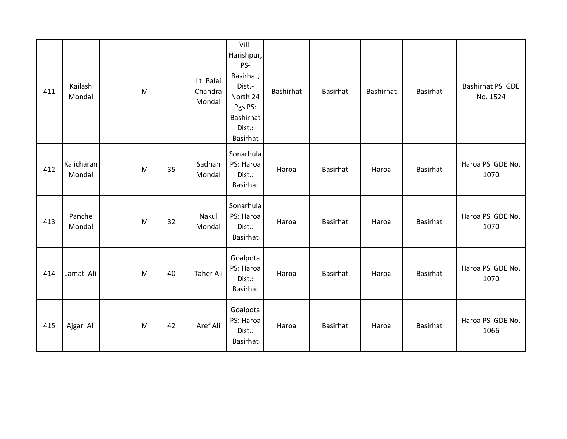| 411 | Kailash<br>Mondal    | M |    | Lt. Balai<br>Chandra<br>Mondal | Vill-<br>Harishpur,<br>PS-<br>Basirhat,<br>Dist.-<br>North 24<br>Pgs PS:<br>Bashirhat<br>Dist.:<br><b>Basirhat</b> | Bashirhat | Basirhat | Bashirhat | Basirhat        | Bashirhat PS GDE<br>No. 1524 |
|-----|----------------------|---|----|--------------------------------|--------------------------------------------------------------------------------------------------------------------|-----------|----------|-----------|-----------------|------------------------------|
| 412 | Kalicharan<br>Mondal | M | 35 | Sadhan<br>Mondal               | Sonarhula<br>PS: Haroa<br>Dist.:<br>Basirhat                                                                       | Haroa     | Basirhat | Haroa     | <b>Basirhat</b> | Haroa PS GDE No.<br>1070     |
| 413 | Panche<br>Mondal     | M | 32 | Nakul<br>Mondal                | Sonarhula<br>PS: Haroa<br>Dist.:<br><b>Basirhat</b>                                                                | Haroa     | Basirhat | Haroa     | Basirhat        | Haroa PS GDE No.<br>1070     |
| 414 | Jamat Ali            | M | 40 | <b>Taher Ali</b>               | Goalpota<br>PS: Haroa<br>Dist.:<br>Basirhat                                                                        | Haroa     | Basirhat | Haroa     | Basirhat        | Haroa PS GDE No.<br>1070     |
| 415 | Ajgar Ali            | M | 42 | Aref Ali                       | Goalpota<br>PS: Haroa<br>Dist.:<br>Basirhat                                                                        | Haroa     | Basirhat | Haroa     | Basirhat        | Haroa PS GDE No.<br>1066     |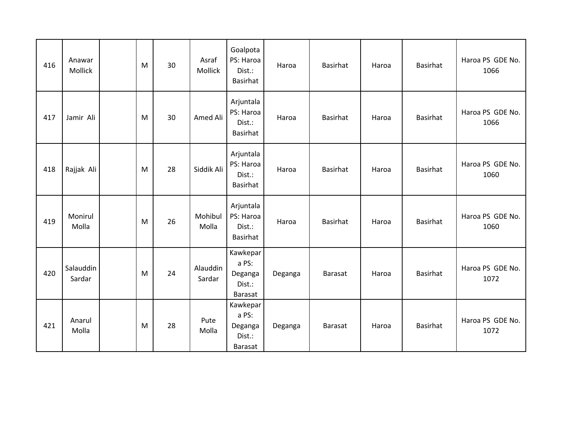| 416 | Anawar<br>Mollick   | M | 30 | Asraf<br><b>Mollick</b> | Goalpota<br>PS: Haroa<br>Dist.:<br>Basirhat       | Haroa   | <b>Basirhat</b> | Haroa | Basirhat        | Haroa PS GDE No.<br>1066 |
|-----|---------------------|---|----|-------------------------|---------------------------------------------------|---------|-----------------|-------|-----------------|--------------------------|
| 417 | Jamir Ali           | M | 30 | Amed Ali                | Arjuntala<br>PS: Haroa<br>Dist.:<br>Basirhat      | Haroa   | <b>Basirhat</b> | Haroa | <b>Basirhat</b> | Haroa PS GDE No.<br>1066 |
| 418 | Rajjak Ali          | M | 28 | Siddik Ali              | Arjuntala<br>PS: Haroa<br>Dist.:<br>Basirhat      | Haroa   | <b>Basirhat</b> | Haroa | <b>Basirhat</b> | Haroa PS GDE No.<br>1060 |
| 419 | Monirul<br>Molla    | M | 26 | Mohibul<br>Molla        | Arjuntala<br>PS: Haroa<br>Dist.:<br>Basirhat      | Haroa   | <b>Basirhat</b> | Haroa | Basirhat        | Haroa PS GDE No.<br>1060 |
| 420 | Salauddin<br>Sardar | M | 24 | Alauddin<br>Sardar      | Kawkepar<br>a PS:<br>Deganga<br>Dist.:<br>Barasat | Deganga | Barasat         | Haroa | <b>Basirhat</b> | Haroa PS GDE No.<br>1072 |
| 421 | Anarul<br>Molla     | M | 28 | Pute<br>Molla           | Kawkepar<br>a PS:<br>Deganga<br>Dist.:<br>Barasat | Deganga | <b>Barasat</b>  | Haroa | <b>Basirhat</b> | Haroa PS GDE No.<br>1072 |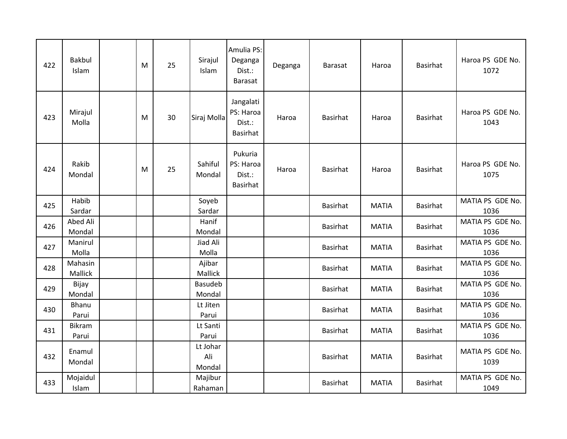| 422 | <b>Bakbul</b><br>Islam | M | 25 | Sirajul<br>Islam          | Amulia PS:<br>Deganga<br>Dist.:<br>Barasat   | Deganga | <b>Barasat</b>  | Haroa        | <b>Basirhat</b> | Haroa PS GDE No.<br>1072 |
|-----|------------------------|---|----|---------------------------|----------------------------------------------|---------|-----------------|--------------|-----------------|--------------------------|
| 423 | Mirajul<br>Molla       | M | 30 | Siraj Molla               | Jangalati<br>PS: Haroa<br>Dist.:<br>Basirhat | Haroa   | <b>Basirhat</b> | Haroa        | <b>Basirhat</b> | Haroa PS GDE No.<br>1043 |
| 424 | Rakib<br>Mondal        | M | 25 | Sahiful<br>Mondal         | Pukuria<br>PS: Haroa<br>Dist.:<br>Basirhat   | Haroa   | <b>Basirhat</b> | Haroa        | <b>Basirhat</b> | Haroa PS GDE No.<br>1075 |
| 425 | Habib<br>Sardar        |   |    | Soyeb<br>Sardar           |                                              |         | <b>Basirhat</b> | <b>MATIA</b> | <b>Basirhat</b> | MATIA PS GDE No.<br>1036 |
| 426 | Abed Ali<br>Mondal     |   |    | Hanif<br>Mondal           |                                              |         | Basirhat        | <b>MATIA</b> | <b>Basirhat</b> | MATIA PS GDE No.<br>1036 |
| 427 | Manirul<br>Molla       |   |    | Jiad Ali<br>Molla         |                                              |         | Basirhat        | <b>MATIA</b> | <b>Basirhat</b> | MATIA PS GDE No.<br>1036 |
| 428 | Mahasin<br>Mallick     |   |    | Ajibar<br>Mallick         |                                              |         | Basirhat        | <b>MATIA</b> | <b>Basirhat</b> | MATIA PS GDE No.<br>1036 |
| 429 | Bijay<br>Mondal        |   |    | <b>Basudeb</b><br>Mondal  |                                              |         | Basirhat        | <b>MATIA</b> | <b>Basirhat</b> | MATIA PS GDE No.<br>1036 |
| 430 | <b>Bhanu</b><br>Parui  |   |    | Lt Jiten<br>Parui         |                                              |         | <b>Basirhat</b> | <b>MATIA</b> | <b>Basirhat</b> | MATIA PS GDE No.<br>1036 |
| 431 | Bikram<br>Parui        |   |    | Lt Santi<br>Parui         |                                              |         | Basirhat        | <b>MATIA</b> | <b>Basirhat</b> | MATIA PS GDE No.<br>1036 |
| 432 | Enamul<br>Mondal       |   |    | Lt Johar<br>Ali<br>Mondal |                                              |         | <b>Basirhat</b> | <b>MATIA</b> | <b>Basirhat</b> | MATIA PS GDE No.<br>1039 |
| 433 | Mojaidul<br>Islam      |   |    | Majibur<br>Rahaman        |                                              |         | Basirhat        | <b>MATIA</b> | <b>Basirhat</b> | MATIA PS GDE No.<br>1049 |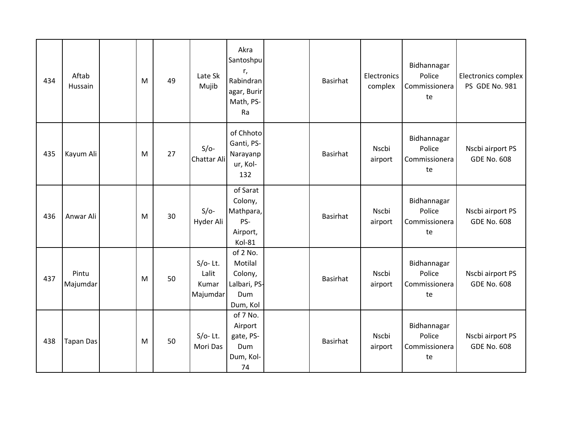| 434 | Aftab<br>Hussain  | M | 49 | Late Sk<br>Mujib                         | Akra<br>Santoshpu<br>r,<br>Rabindran<br>agar, Burir<br>Math, PS-<br>Ra | <b>Basirhat</b> | <b>Electronics</b><br>complex | Bidhannagar<br>Police<br>Commissionera<br>te | Electronics complex<br>PS GDE No. 981  |
|-----|-------------------|---|----|------------------------------------------|------------------------------------------------------------------------|-----------------|-------------------------------|----------------------------------------------|----------------------------------------|
| 435 | Kayum Ali         | M | 27 | $S/O-$<br>Chattar Ali                    | of Chhoto<br>Ganti, PS-<br>Narayanp<br>ur, Kol-<br>132                 | <b>Basirhat</b> | Nscbi<br>airport              | Bidhannagar<br>Police<br>Commissionera<br>te | Nscbi airport PS<br><b>GDE No. 608</b> |
| 436 | Anwar Ali         | M | 30 | $S/O-$<br>Hyder Ali                      | of Sarat<br>Colony,<br>Mathpara,<br>PS-<br>Airport,<br>Kol-81          | <b>Basirhat</b> | Nscbi<br>airport              | Bidhannagar<br>Police<br>Commissionera<br>te | Nscbi airport PS<br><b>GDE No. 608</b> |
| 437 | Pintu<br>Majumdar | M | 50 | $S/O-$ Lt.<br>Lalit<br>Kumar<br>Majumdar | of 2 No.<br>Motilal<br>Colony,<br>Lalbari, PS-<br>Dum<br>Dum, Kol      | <b>Basirhat</b> | Nscbi<br>airport              | Bidhannagar<br>Police<br>Commissionera<br>te | Nscbi airport PS<br><b>GDE No. 608</b> |
| 438 | <b>Tapan Das</b>  | M | 50 | $S/O-$ Lt.<br>Mori Das                   | of 7 No.<br>Airport<br>gate, PS-<br>Dum<br>Dum, Kol-<br>74             | <b>Basirhat</b> | Nscbi<br>airport              | Bidhannagar<br>Police<br>Commissionera<br>te | Nscbi airport PS<br><b>GDE No. 608</b> |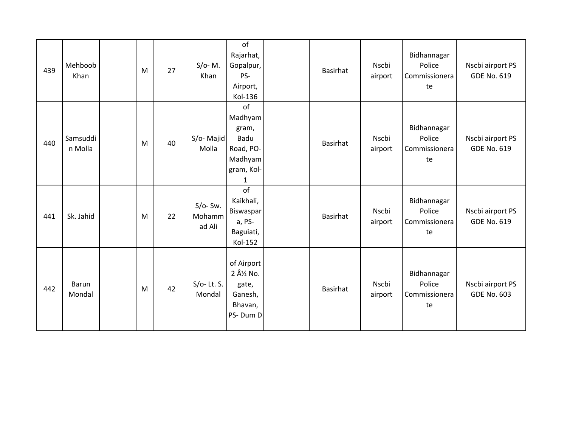| 439 | Mehboob<br>Khan     | M | 27 | $S/O- M.$<br>Khan              | of<br>Rajarhat,<br>Gopalpur,<br>PS-<br>Airport,<br>Kol-136                                   | <b>Basirhat</b> | Nscbi<br>airport | Bidhannagar<br>Police<br>Commissionera<br>te | Nscbi airport PS<br><b>GDE No. 619</b> |
|-----|---------------------|---|----|--------------------------------|----------------------------------------------------------------------------------------------|-----------------|------------------|----------------------------------------------|----------------------------------------|
| 440 | Samsuddi<br>n Molla | M | 40 | S/o-Majid<br>Molla             | of<br>Madhyam<br>gram,<br>Badu<br>Road, PO-<br>Madhyam<br>gram, Kol-<br>$\mathbf{1}$         | <b>Basirhat</b> | Nscbi<br>airport | Bidhannagar<br>Police<br>Commissionera<br>te | Nscbi airport PS<br><b>GDE No. 619</b> |
| 441 | Sk. Jahid           | M | 22 | $S/O-$ Sw.<br>Mohamm<br>ad Ali | of<br>Kaikhali,<br>Biswaspar<br>a, PS-<br>Baguiati,<br>Kol-152                               | Basirhat        | Nscbi<br>airport | Bidhannagar<br>Police<br>Commissionera<br>te | Nscbi airport PS<br><b>GDE No. 619</b> |
| 442 | Barun<br>Mondal     | M | 42 | $S/O-$ Lt. S.<br>Mondal        | of Airport<br>2 Â <sup>1</sup> / <sub>2</sub> No.<br>gate,<br>Ganesh,<br>Bhavan,<br>PS-Dum D | <b>Basirhat</b> | Nscbi<br>airport | Bidhannagar<br>Police<br>Commissionera<br>te | Nscbi airport PS<br><b>GDE No. 603</b> |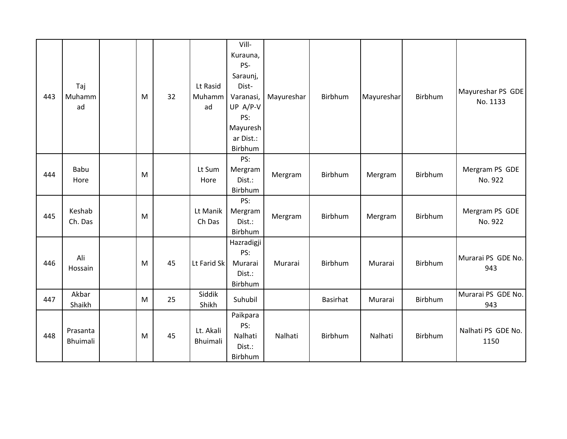|     |          |   |    |             | Vill-             |            |          |            |         |                    |
|-----|----------|---|----|-------------|-------------------|------------|----------|------------|---------|--------------------|
|     |          |   |    |             | Kurauna,          |            |          |            |         |                    |
|     |          |   |    |             | PS-               |            |          |            |         |                    |
|     |          |   |    |             | Saraunj,          |            |          |            |         |                    |
|     | Taj      |   |    | Lt Rasid    | Dist-             |            |          |            |         |                    |
| 443 | Muhamm   | M | 32 | Muhamm      | Varanasi,         | Mayureshar | Birbhum  | Mayureshar | Birbhum | Mayureshar PS GDE  |
|     | ad       |   |    | ad          | UP A/P-V          |            |          |            |         | No. 1133           |
|     |          |   |    |             | PS:               |            |          |            |         |                    |
|     |          |   |    |             | Mayuresh          |            |          |            |         |                    |
|     |          |   |    |             | ar Dist.:         |            |          |            |         |                    |
|     |          |   |    |             | Birbhum           |            |          |            |         |                    |
|     |          |   |    |             | PS:               |            |          |            |         |                    |
| 444 | Babu     | M |    | Lt Sum      | Mergram           | Mergram    | Birbhum  | Mergram    | Birbhum | Mergram PS GDE     |
|     | Hore     |   |    | Hore        | Dist.:            |            |          |            |         | No. 922            |
|     |          |   |    |             | Birbhum           |            |          |            |         |                    |
|     |          |   |    |             | PS:               |            |          |            |         |                    |
| 445 | Keshab   | M |    | Lt Manik    | Mergram           | Mergram    | Birbhum  | Mergram    | Birbhum | Mergram PS GDE     |
|     | Ch. Das  |   |    | Ch Das      | Dist.:            |            |          |            |         | No. 922            |
|     |          |   |    |             | Birbhum           |            |          |            |         |                    |
|     |          |   |    |             | Hazradigji<br>PS: |            |          |            |         |                    |
| 446 | Ali      | M | 45 | Lt Farid Sk | Murarai           | Murarai    | Birbhum  | Murarai    | Birbhum | Murarai PS GDE No. |
|     | Hossain  |   |    |             | Dist.:            |            |          |            |         | 943                |
|     |          |   |    |             | Birbhum           |            |          |            |         |                    |
|     | Akbar    |   |    | Siddik      |                   |            |          |            |         | Murarai PS GDE No. |
| 447 | Shaikh   | M | 25 | Shikh       | Suhubil           |            | Basirhat | Murarai    | Birbhum | 943                |
|     |          |   |    |             | Paikpara          |            |          |            |         |                    |
|     |          |   |    |             | PS:               |            |          |            |         |                    |
| 448 | Prasanta | M | 45 | Lt. Akali   | Nalhati           | Nalhati    | Birbhum  | Nalhati    | Birbhum | Nalhati PS GDE No. |
|     | Bhuimali |   |    | Bhuimali    | Dist.:            |            |          |            |         | 1150               |
|     |          |   |    |             | Birbhum           |            |          |            |         |                    |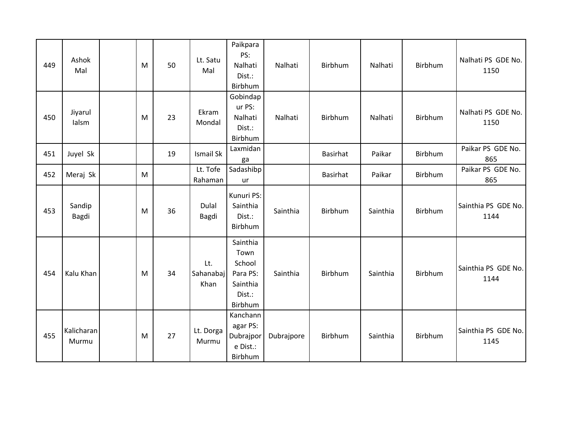| 449 | Ashok<br>Mal        | M | 50 | Lt. Satu<br>Mal          | Paikpara<br>PS:<br>Nalhati<br>Dist.:<br>Birbhum                         | Nalhati    | Birbhum  | Nalhati  | Birbhum        | Nalhati PS GDE No.<br>1150  |
|-----|---------------------|---|----|--------------------------|-------------------------------------------------------------------------|------------|----------|----------|----------------|-----------------------------|
| 450 | Jiyarul<br>lalsm    | M | 23 | Ekram<br>Mondal          | Gobindap<br>ur PS:<br>Nalhati<br>Dist.:<br>Birbhum                      | Nalhati    | Birbhum  | Nalhati  | Birbhum        | Nalhati PS GDE No.<br>1150  |
| 451 | Juyel Sk            |   | 19 | Ismail Sk                | Laxmidan<br>ga                                                          |            | Basirhat | Paikar   | Birbhum        | Paikar PS GDE No.<br>865    |
| 452 | Meraj Sk            | M |    | Lt. Tofe<br>Rahaman      | Sadashibp<br>ur                                                         |            | Basirhat | Paikar   | Birbhum        | Paikar PS GDE No.<br>865    |
| 453 | Sandip<br>Bagdi     | M | 36 | Dulal<br>Bagdi           | Kunuri PS:<br>Sainthia<br>Dist.:<br>Birbhum                             | Sainthia   | Birbhum  | Sainthia | <b>Birbhum</b> | Sainthia PS GDE No.<br>1144 |
| 454 | Kalu Khan           | M | 34 | Lt.<br>Sahanabaj<br>Khan | Sainthia<br>Town<br>School<br>Para PS:<br>Sainthia<br>Dist.:<br>Birbhum | Sainthia   | Birbhum  | Sainthia | Birbhum        | Sainthia PS GDE No.<br>1144 |
| 455 | Kalicharan<br>Murmu | M | 27 | Lt. Dorga<br>Murmu       | Kanchann<br>agar PS:<br>Dubrajpor<br>e Dist.:<br>Birbhum                | Dubrajpore | Birbhum  | Sainthia | Birbhum        | Sainthia PS GDE No.<br>1145 |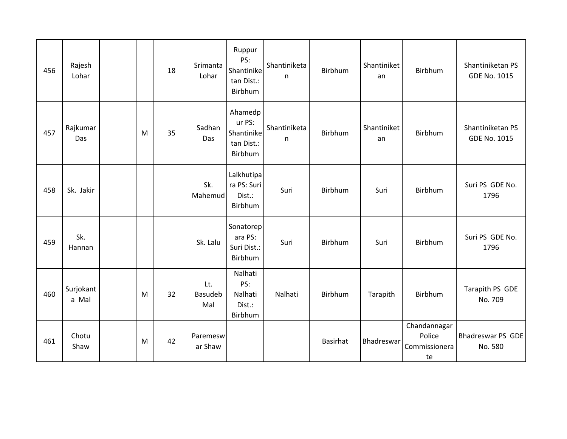| 456 | Rajesh<br>Lohar    |   | 18 | Srimanta<br>Lohar     | Ruppur<br>PS:<br>Shantinike<br>tan Dist.:<br>Birbhum     | Shantiniketa<br>n. | Birbhum  | Shantiniket<br>an | Birbhum                                       | Shantiniketan PS<br><b>GDE No. 1015</b> |
|-----|--------------------|---|----|-----------------------|----------------------------------------------------------|--------------------|----------|-------------------|-----------------------------------------------|-----------------------------------------|
| 457 | Rajkumar<br>Das    | M | 35 | Sadhan<br>Das         | Ahamedp<br>ur PS:<br>Shantinike<br>tan Dist.:<br>Birbhum | Shantiniketa<br>n  | Birbhum  | Shantiniket<br>an | Birbhum                                       | Shantiniketan PS<br><b>GDE No. 1015</b> |
| 458 | Sk. Jakir          |   |    | Sk.<br>Mahemud        | Lalkhutipa<br>ra PS: Suri<br>Dist.:<br>Birbhum           | Suri               | Birbhum  | Suri              | <b>Birbhum</b>                                | Suri PS GDE No.<br>1796                 |
| 459 | Sk.<br>Hannan      |   |    | Sk. Lalu              | Sonatorep<br>ara PS:<br>Suri Dist.:<br>Birbhum           | Suri               | Birbhum  | Suri              | Birbhum                                       | Suri PS GDE No.<br>1796                 |
| 460 | Surjokant<br>a Mal | M | 32 | Lt.<br>Basudeb<br>Mal | Nalhati<br>PS:<br>Nalhati<br>Dist.:<br>Birbhum           | Nalhati            | Birbhum  | Tarapith          | Birbhum                                       | Tarapith PS GDE<br>No. 709              |
| 461 | Chotu<br>Shaw      | M | 42 | Paremesw<br>ar Shaw   |                                                          |                    | Basirhat | Bhadreswar        | Chandannagar<br>Police<br>Commissionera<br>te | Bhadreswar PS GDE<br>No. 580            |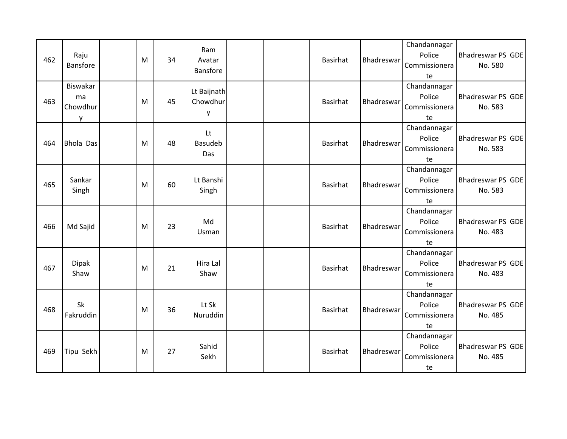| 462 | Raju<br><b>Bansfore</b>         | M | 34 | Ram<br>Avatar<br>Bansfore    |  | <b>Basirhat</b> | Bhadreswar        | Chandannagar<br>Police<br>Commissionera<br>te | Bhadreswar PS GDE<br>No. 580        |
|-----|---------------------------------|---|----|------------------------------|--|-----------------|-------------------|-----------------------------------------------|-------------------------------------|
| 463 | Biswakar<br>ma<br>Chowdhur<br>V | M | 45 | Lt Baijnath<br>Chowdhur<br>y |  | <b>Basirhat</b> | <b>Bhadreswar</b> | Chandannagar<br>Police<br>Commissionera<br>te | Bhadreswar PS GDE<br>No. 583        |
| 464 | <b>Bhola Das</b>                | M | 48 | Lt<br><b>Basudeb</b><br>Das  |  | <b>Basirhat</b> | Bhadreswar        | Chandannagar<br>Police<br>Commissionera<br>te | Bhadreswar PS GDE<br>No. 583        |
| 465 | Sankar<br>Singh                 | M | 60 | Lt Banshi<br>Singh           |  | <b>Basirhat</b> | Bhadreswar        | Chandannagar<br>Police<br>Commissionera<br>te | <b>Bhadreswar PS GDE</b><br>No. 583 |
| 466 | Md Sajid                        | M | 23 | Md<br>Usman                  |  | <b>Basirhat</b> | Bhadreswar        | Chandannagar<br>Police<br>Commissionera<br>te | Bhadreswar PS GDE<br>No. 483        |
| 467 | <b>Dipak</b><br>Shaw            | M | 21 | Hira Lal<br>Shaw             |  | <b>Basirhat</b> | <b>Bhadreswar</b> | Chandannagar<br>Police<br>Commissionera<br>te | Bhadreswar PS GDE<br>No. 483        |
| 468 | <b>Sk</b><br>Fakruddin          | M | 36 | Lt Sk<br>Nuruddin            |  | <b>Basirhat</b> | Bhadreswar        | Chandannagar<br>Police<br>Commissionera<br>te | <b>Bhadreswar PS GDE</b><br>No. 485 |
| 469 | Tipu Sekh                       | M | 27 | Sahid<br>Sekh                |  | <b>Basirhat</b> | Bhadreswar        | Chandannagar<br>Police<br>Commissionera<br>te | Bhadreswar PS GDE<br>No. 485        |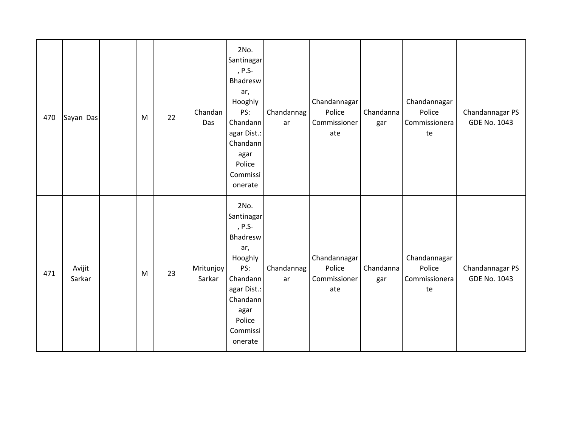| 470 | Sayan Das        | M | 22 | Chandan<br>Das      | 2No.<br>Santinagar<br>, P.S-<br>Bhadresw<br>ar,<br>Hooghly<br>PS:<br>Chandann<br>agar Dist.:<br>Chandann<br>agar<br>Police<br>Commissi<br>onerate | Chandannag<br>ar | Chandannagar<br>Police<br>Commissioner<br>ate | Chandanna<br>gar | Chandannagar<br>Police<br>Commissionera<br>te | Chandannagar PS<br><b>GDE No. 1043</b> |
|-----|------------------|---|----|---------------------|---------------------------------------------------------------------------------------------------------------------------------------------------|------------------|-----------------------------------------------|------------------|-----------------------------------------------|----------------------------------------|
| 471 | Avijit<br>Sarkar | M | 23 | Mritunjoy<br>Sarkar | 2No.<br>Santinagar<br>, P.S-<br>Bhadresw<br>ar,<br>Hooghly<br>PS:<br>Chandann<br>agar Dist.:<br>Chandann<br>agar<br>Police<br>Commissi<br>onerate | Chandannag<br>ar | Chandannagar<br>Police<br>Commissioner<br>ate | Chandanna<br>gar | Chandannagar<br>Police<br>Commissionera<br>te | Chandannagar PS<br><b>GDE No. 1043</b> |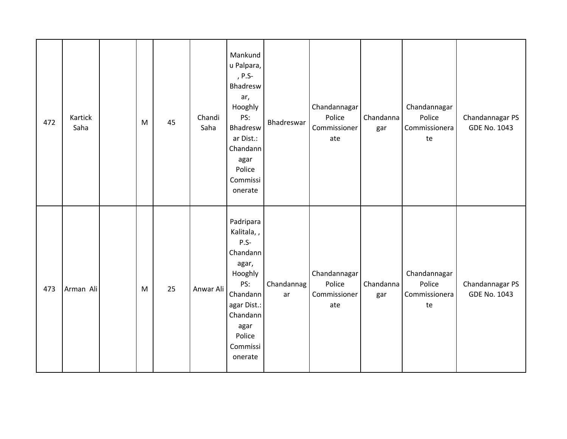| 472 | Kartick<br>Saha | M | 45 | Chandi<br>Saha | Mankund<br>u Palpara,<br>, P.S-<br>Bhadresw<br>ar,<br>Hooghly<br>PS:<br>Bhadresw<br>ar Dist.:<br>Chandann<br>agar<br>Police<br>Commissi<br>onerate       | Bhadreswar       | Chandannagar<br>Police<br>Commissioner<br>ate | Chandanna<br>gar | Chandannagar<br>Police<br>Commissionera<br>te | Chandannagar PS<br><b>GDE No. 1043</b> |
|-----|-----------------|---|----|----------------|----------------------------------------------------------------------------------------------------------------------------------------------------------|------------------|-----------------------------------------------|------------------|-----------------------------------------------|----------------------------------------|
| 473 | Arman Ali       | M | 25 | Anwar Ali      | Padripara<br>Kalitala,,<br>$P.S-$<br>Chandann<br>agar,<br>Hooghly<br>PS:<br>Chandann<br>agar Dist.:<br>Chandann<br>agar<br>Police<br>Commissi<br>onerate | Chandannag<br>ar | Chandannagar<br>Police<br>Commissioner<br>ate | Chandanna<br>gar | Chandannagar<br>Police<br>Commissionera<br>te | Chandannagar PS<br><b>GDE No. 1043</b> |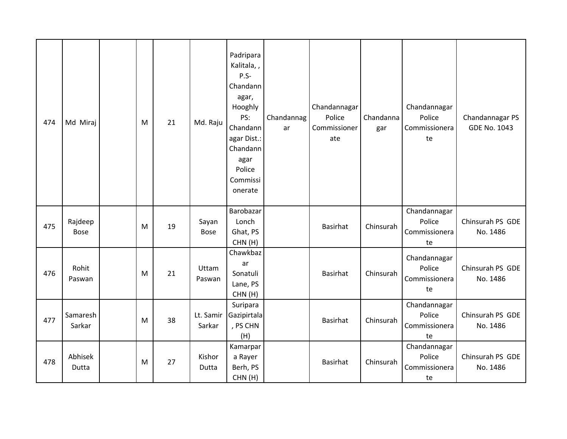| 474 | Md Miraj               | M | 21 | Md. Raju             | Padripara<br>Kalitala,,<br>$P.S-$<br>Chandann<br>agar,<br>Hooghly<br>PS:<br>Chandann<br>agar Dist.:<br>Chandann<br>agar<br>Police<br>Commissi<br>onerate | Chandannag<br>ar | Chandannagar<br>Police<br>Commissioner<br>ate | Chandanna<br>gar | Chandannagar<br>Police<br>Commissionera<br>te | Chandannagar PS<br><b>GDE No. 1043</b> |
|-----|------------------------|---|----|----------------------|----------------------------------------------------------------------------------------------------------------------------------------------------------|------------------|-----------------------------------------------|------------------|-----------------------------------------------|----------------------------------------|
| 475 | Rajdeep<br><b>Bose</b> | M | 19 | Sayan<br><b>Bose</b> | Barobazar<br>Lonch<br>Ghat, PS<br>CHN(H)                                                                                                                 |                  | Basirhat                                      | Chinsurah        | Chandannagar<br>Police<br>Commissionera<br>te | Chinsurah PS GDE<br>No. 1486           |
| 476 | Rohit<br>Paswan        | M | 21 | Uttam<br>Paswan      | Chawkbaz<br>ar<br>Sonatuli<br>Lane, PS<br>CHN(H)                                                                                                         |                  | Basirhat                                      | Chinsurah        | Chandannagar<br>Police<br>Commissionera<br>te | Chinsurah PS GDE<br>No. 1486           |
| 477 | Samaresh<br>Sarkar     | M | 38 | Lt. Samir<br>Sarkar  | Suripara<br>Gazipirtala<br>, PS CHN<br>(H)                                                                                                               |                  | Basirhat                                      | Chinsurah        | Chandannagar<br>Police<br>Commissionera<br>te | Chinsurah PS GDE<br>No. 1486           |
| 478 | Abhisek<br>Dutta       | M | 27 | Kishor<br>Dutta      | Kamarpar<br>a Rayer<br>Berh, PS<br>CHN(H)                                                                                                                |                  | Basirhat                                      | Chinsurah        | Chandannagar<br>Police<br>Commissionera<br>te | Chinsurah PS GDE<br>No. 1486           |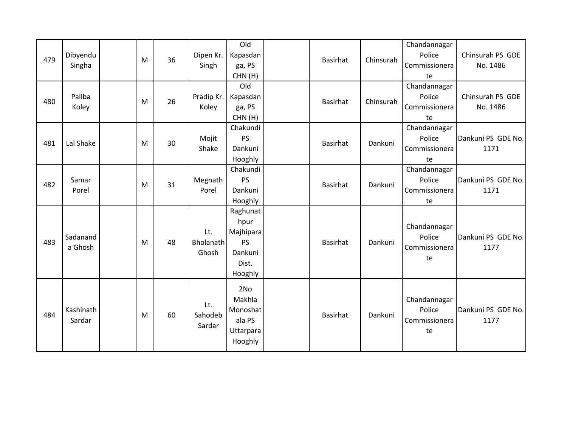| 479 | Dibyendu<br>Singha  | M | 36 | Dipen Kr.<br>Singh        | Old<br>Kapasdan<br>ga, PS<br>CHN(H)                                       | <b>Basirhat</b> | Chinsurah | Chandannagar<br>Police<br>Commissionera<br>te | Chinsurah PS GDE<br>No. 1486 |
|-----|---------------------|---|----|---------------------------|---------------------------------------------------------------------------|-----------------|-----------|-----------------------------------------------|------------------------------|
| 480 | Pallba<br>Koley     | M | 26 | Pradip Kr.<br>Koley       | Old<br>Kapasdan<br>ga, PS<br>CHN(H)                                       | <b>Basirhat</b> | Chinsurah | Chandannagar<br>Police<br>Commissionera<br>te | Chinsurah PS GDE<br>No. 1486 |
| 481 | Lal Shake           | M | 30 | Mojit<br>Shake            | Chakundi<br><b>PS</b><br>Dankuni<br>Hooghly                               | <b>Basirhat</b> | Dankuni   | Chandannagar<br>Police<br>Commissionera<br>te | Dankuni PS GDE No.<br>1171   |
| 482 | Samar<br>Porel      | M | 31 | Megnath<br>Porel          | Chakundi<br><b>PS</b><br>Dankuni<br>Hooghly                               | <b>Basirhat</b> | Dankuni   | Chandannagar<br>Police<br>Commissionera<br>te | Dankuni PS GDE No.<br>1171   |
| 483 | Sadanand<br>a Ghosh | M | 48 | Lt.<br>Bholanath<br>Ghosh | Raghunat<br>hpur<br>Majhipara<br><b>PS</b><br>Dankuni<br>Dist.<br>Hooghly | <b>Basirhat</b> | Dankuni   | Chandannagar<br>Police<br>Commissionera<br>te | Dankuni PS GDE No.<br>1177   |
| 484 | Kashinath<br>Sardar | M | 60 | Lt.<br>Sahodeb<br>Sardar  | 2No<br>Makhla<br>Monoshat<br>ala PS<br>Uttarpara<br>Hooghly               | Basirhat        | Dankuni   | Chandannagar<br>Police<br>Commissionera<br>te | Dankuni PS GDE No.<br>1177   |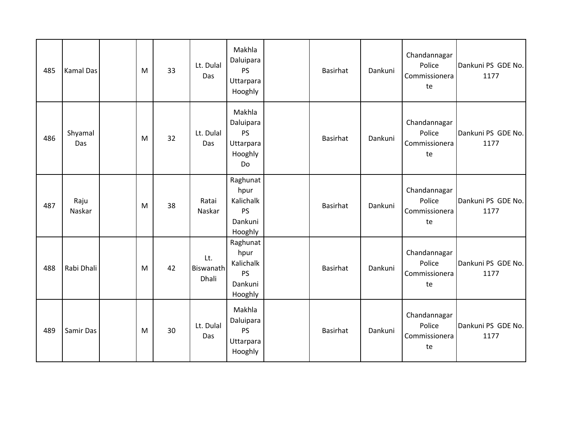| 485 | <b>Kamal Das</b> | M | 33 | Lt. Dulal<br>Das          | Makhla<br>Daluipara<br><b>PS</b><br>Uttarpara<br>Hooghly         | Basirhat | Dankuni | Chandannagar<br>Police<br>Commissionera<br>te | Dankuni PS GDE No.<br>1177 |
|-----|------------------|---|----|---------------------------|------------------------------------------------------------------|----------|---------|-----------------------------------------------|----------------------------|
| 486 | Shyamal<br>Das   | M | 32 | Lt. Dulal<br>Das          | Makhla<br>Daluipara<br><b>PS</b><br>Uttarpara<br>Hooghly<br>Do   | Basirhat | Dankuni | Chandannagar<br>Police<br>Commissionera<br>te | Dankuni PS GDE No.<br>1177 |
| 487 | Raju<br>Naskar   | M | 38 | Ratai<br>Naskar           | Raghunat<br>hpur<br>Kalichalk<br><b>PS</b><br>Dankuni<br>Hooghly | Basirhat | Dankuni | Chandannagar<br>Police<br>Commissionera<br>te | Dankuni PS GDE No.<br>1177 |
| 488 | Rabi Dhali       | M | 42 | Lt.<br>Biswanath<br>Dhali | Raghunat<br>hpur<br>Kalichalk<br><b>PS</b><br>Dankuni<br>Hooghly | Basirhat | Dankuni | Chandannagar<br>Police<br>Commissionera<br>te | Dankuni PS GDE No.<br>1177 |
| 489 | Samir Das        | M | 30 | Lt. Dulal<br>Das          | Makhla<br>Daluipara<br><b>PS</b><br>Uttarpara<br>Hooghly         | Basirhat | Dankuni | Chandannagar<br>Police<br>Commissionera<br>te | Dankuni PS GDE No.<br>1177 |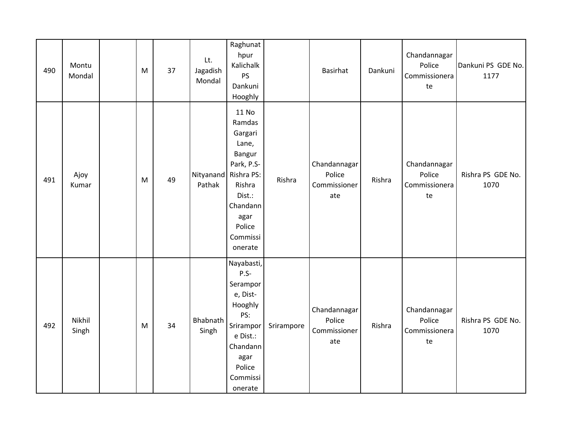| 490 | Montu<br>Mondal | M | 37 | Lt.<br>Jagadish<br>Mondal | Raghunat<br>hpur<br>Kalichalk<br><b>PS</b><br>Dankuni<br>Hooghly                                                                                             |            | <b>Basirhat</b>                               | Dankuni | Chandannagar<br>Police<br>Commissionera<br>te | Dankuni PS GDE No.<br>1177 |
|-----|-----------------|---|----|---------------------------|--------------------------------------------------------------------------------------------------------------------------------------------------------------|------------|-----------------------------------------------|---------|-----------------------------------------------|----------------------------|
| 491 | Ajoy<br>Kumar   | M | 49 | Pathak                    | 11 No<br>Ramdas<br>Gargari<br>Lane,<br>Bangur<br>Park, P.S-<br>Nityanand Rishra PS:<br>Rishra<br>Dist.:<br>Chandann<br>agar<br>Police<br>Commissi<br>onerate | Rishra     | Chandannagar<br>Police<br>Commissioner<br>ate | Rishra  | Chandannagar<br>Police<br>Commissionera<br>te | Rishra PS GDE No.<br>1070  |
| 492 | Nikhil<br>Singh | M | 34 | Bhabnath<br>Singh         | Nayabasti,<br>$P.S-$<br>Serampor<br>e, Dist-<br>Hooghly<br>PS:<br>Srirampor<br>e Dist.:<br>Chandann<br>agar<br>Police<br>Commissi<br>onerate                 | Srirampore | Chandannagar<br>Police<br>Commissioner<br>ate | Rishra  | Chandannagar<br>Police<br>Commissionera<br>te | Rishra PS GDE No.<br>1070  |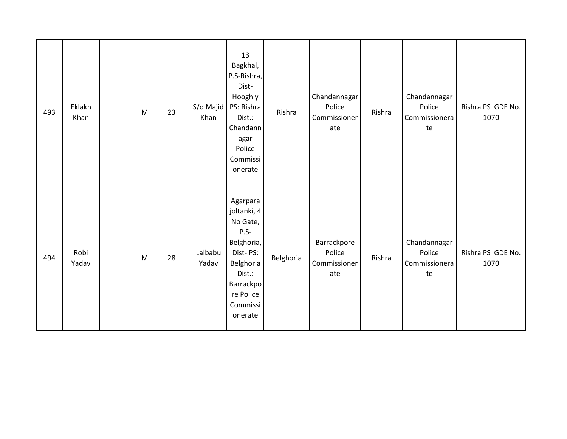| 493 | Eklakh<br>Khan | M | 23 | S/o Majid<br>Khan | 13<br>Bagkhal,<br>P.S-Rishra,<br>Dist-<br>Hooghly<br>PS: Rishra<br>Dist.:<br>Chandann<br>agar<br>Police<br>Commissi<br>onerate                  | Rishra    | Chandannagar<br>Police<br>Commissioner<br>ate | Rishra | Chandannagar<br>Police<br>Commissionera<br>te | Rishra PS GDE No.<br>1070 |
|-----|----------------|---|----|-------------------|-------------------------------------------------------------------------------------------------------------------------------------------------|-----------|-----------------------------------------------|--------|-----------------------------------------------|---------------------------|
| 494 | Robi<br>Yadav  | M | 28 | Lalbabu<br>Yadav  | Agarpara<br>joltanki, 4<br>No Gate,<br>$P.S-$<br>Belghoria,<br>Dist-PS:<br>Belghoria<br>Dist.:<br>Barrackpo<br>re Police<br>Commissi<br>onerate | Belghoria | Barrackpore<br>Police<br>Commissioner<br>ate  | Rishra | Chandannagar<br>Police<br>Commissionera<br>te | Rishra PS GDE No.<br>1070 |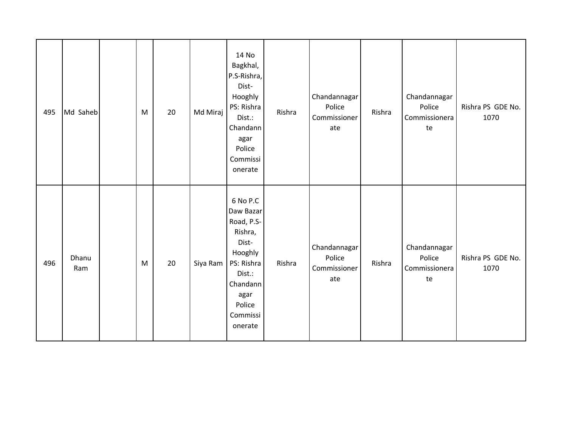| 495 | Md Saheb     | M | 20 | Md Miraj | 14 No<br>Bagkhal,<br>P.S-Rishra,<br>Dist-<br>Hooghly<br>PS: Rishra<br>Dist.:<br>Chandann<br>agar<br>Police<br>Commissi<br>onerate               | Rishra | Chandannagar<br>Police<br>Commissioner<br>ate | Rishra | Chandannagar<br>Police<br>Commissionera<br>te | Rishra PS GDE No.<br>1070 |
|-----|--------------|---|----|----------|-------------------------------------------------------------------------------------------------------------------------------------------------|--------|-----------------------------------------------|--------|-----------------------------------------------|---------------------------|
| 496 | Dhanu<br>Ram | M | 20 | Siya Ram | 6 No P.C<br>Daw Bazar<br>Road, P.S-<br>Rishra,<br>Dist-<br>Hooghly<br>PS: Rishra<br>Dist.:<br>Chandann<br>agar<br>Police<br>Commissi<br>onerate | Rishra | Chandannagar<br>Police<br>Commissioner<br>ate | Rishra | Chandannagar<br>Police<br>Commissionera<br>te | Rishra PS GDE No.<br>1070 |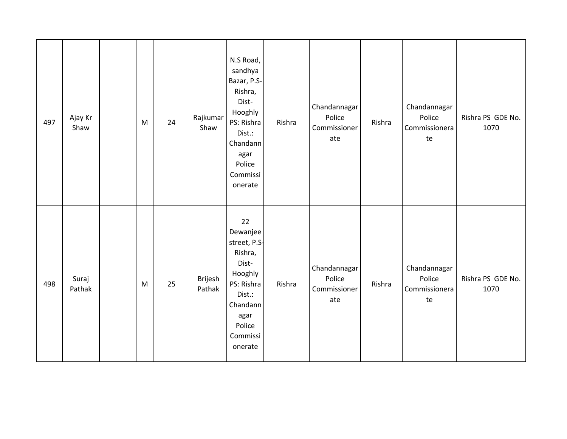| 497 | Ajay Kr<br>Shaw | M | 24 | Rajkumar<br>Shaw  | N.S Road,<br>sandhya<br>Bazar, P.S-<br>Rishra,<br>Dist-<br>Hooghly<br>PS: Rishra<br>Dist.:<br>Chandann<br>agar<br>Police<br>Commissi<br>onerate | Rishra | Chandannagar<br>Police<br>Commissioner<br>ate | Rishra | Chandannagar<br>Police<br>Commissionera<br>te | Rishra PS GDE No.<br>1070 |
|-----|-----------------|---|----|-------------------|-------------------------------------------------------------------------------------------------------------------------------------------------|--------|-----------------------------------------------|--------|-----------------------------------------------|---------------------------|
| 498 | Suraj<br>Pathak | M | 25 | Brijesh<br>Pathak | 22<br>Dewanjee<br>street, P.S-<br>Rishra,<br>Dist-<br>Hooghly<br>PS: Rishra<br>Dist.:<br>Chandann<br>agar<br>Police<br>Commissi<br>onerate      | Rishra | Chandannagar<br>Police<br>Commissioner<br>ate | Rishra | Chandannagar<br>Police<br>Commissionera<br>te | Rishra PS GDE No.<br>1070 |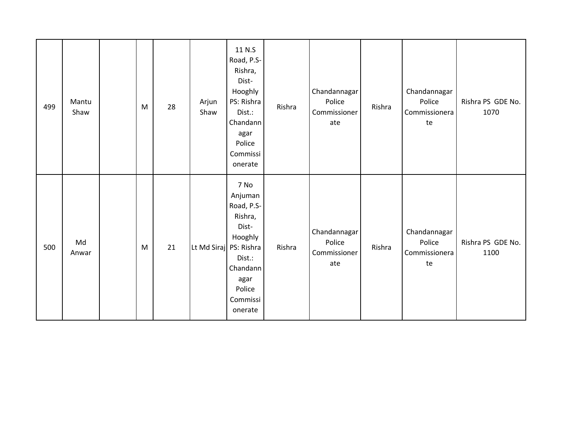| 499 | Mantu<br>Shaw | M | 28 | Arjun<br>Shaw | 11 N.S<br>Road, P.S-<br>Rishra,<br>Dist-<br>Hooghly<br>PS: Rishra<br>Dist.:<br>Chandann<br>agar<br>Police<br>Commissi<br>onerate                      | Rishra | Chandannagar<br>Police<br>Commissioner<br>ate | Rishra | Chandannagar<br>Police<br>Commissionera<br>te | Rishra PS GDE No.<br>1070 |
|-----|---------------|---|----|---------------|-------------------------------------------------------------------------------------------------------------------------------------------------------|--------|-----------------------------------------------|--------|-----------------------------------------------|---------------------------|
| 500 | Md<br>Anwar   | M | 21 |               | 7 No<br>Anjuman<br>Road, P.S-<br>Rishra,<br>Dist-<br>Hooghly<br>Lt Md Siraj PS: Rishra<br>Dist.:<br>Chandann<br>agar<br>Police<br>Commissi<br>onerate | Rishra | Chandannagar<br>Police<br>Commissioner<br>ate | Rishra | Chandannagar<br>Police<br>Commissionera<br>te | Rishra PS GDE No.<br>1100 |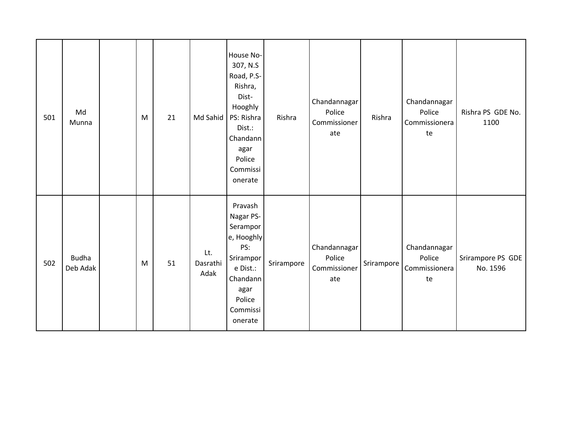| 501 | Md<br>Munna              | M | 21 | Md Sahid                | House No-<br>307, N.S<br>Road, P.S-<br>Rishra,<br>Dist-<br>Hooghly<br>PS: Rishra<br>Dist.:<br>Chandann<br>agar<br>Police<br>Commissi<br>onerate | Rishra     | Chandannagar<br>Police<br>Commissioner<br>ate | Rishra     | Chandannagar<br>Police<br>Commissionera<br>te | Rishra PS GDE No.<br>1100     |
|-----|--------------------------|---|----|-------------------------|-------------------------------------------------------------------------------------------------------------------------------------------------|------------|-----------------------------------------------|------------|-----------------------------------------------|-------------------------------|
| 502 | <b>Budha</b><br>Deb Adak | M | 51 | Lt.<br>Dasrathi<br>Adak | Pravash<br>Nagar PS-<br>Serampor<br>e, Hooghly<br>PS:<br>Srirampor<br>e Dist.:<br>Chandann<br>agar<br>Police<br>Commissi<br>onerate             | Srirampore | Chandannagar<br>Police<br>Commissioner<br>ate | Srirampore | Chandannagar<br>Police<br>Commissionera<br>te | Srirampore PS GDE<br>No. 1596 |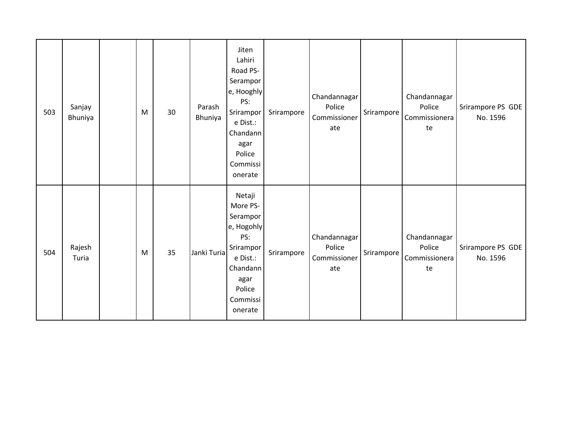| 503 | Sanjay<br>Bhuniya | M | 30 | Parash<br>Bhuniya | Jiten<br>Lahiri<br>Road PS-<br>Serampor<br>e, Hooghly<br>PS:<br>Srirampor<br>e Dist.:<br>Chandann<br>agar<br>Police<br>Commissi<br>onerate | Srirampore | Chandannagar<br>Police<br>Commissioner<br>ate | Srirampore | Chandannagar<br>Police<br>Commissionera<br>te | Srirampore PS GDE<br>No. 1596 |
|-----|-------------------|---|----|-------------------|--------------------------------------------------------------------------------------------------------------------------------------------|------------|-----------------------------------------------|------------|-----------------------------------------------|-------------------------------|
| 504 | Rajesh<br>Turia   | M | 35 | Janki Turia       | Netaji<br>More PS-<br>Serampor<br>e, Hogohly<br>PS:<br>Srirampor<br>e Dist.:<br>Chandann<br>agar<br>Police<br>Commissi<br>onerate          | Srirampore | Chandannagar<br>Police<br>Commissioner<br>ate | Srirampore | Chandannagar<br>Police<br>Commissionera<br>te | Srirampore PS GDE<br>No. 1596 |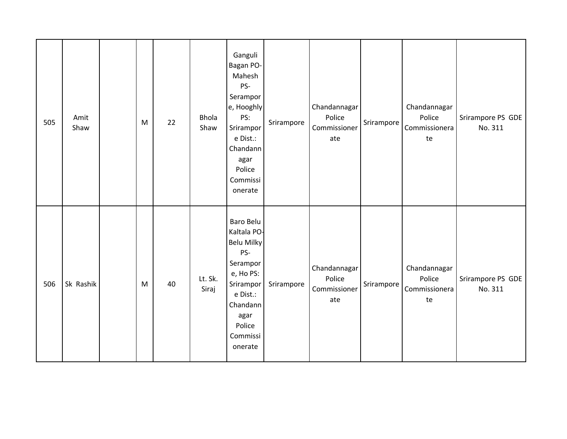| 505 | Amit<br>Shaw | M | 22 | <b>Bhola</b><br>Shaw | Ganguli<br>Bagan PO-<br>Mahesh<br>PS-<br>Serampor<br>e, Hooghly<br>PS:<br>Srirampor<br>e Dist.:<br>Chandann<br>agar<br>Police<br>Commissi<br>onerate        | Srirampore | Chandannagar<br>Police<br>Commissioner<br>ate | Srirampore   | Chandannagar<br>Police<br>Commissionera<br>te | Srirampore PS GDE<br>No. 311 |
|-----|--------------|---|----|----------------------|-------------------------------------------------------------------------------------------------------------------------------------------------------------|------------|-----------------------------------------------|--------------|-----------------------------------------------|------------------------------|
| 506 | Sk Rashik    | M | 40 | Lt. Sk.<br>Siraj     | Baro Belu<br>Kaltala PO-<br><b>Belu Milky</b><br>PS-<br>Serampor<br>e, Ho PS:<br>Srirampor<br>e Dist.:<br>Chandann<br>agar<br>Police<br>Commissi<br>onerate | Srirampore | Chandannagar<br>Police<br>Commissioner<br>ate | Srirampore I | Chandannagar<br>Police<br>Commissionera<br>te | Srirampore PS GDE<br>No. 311 |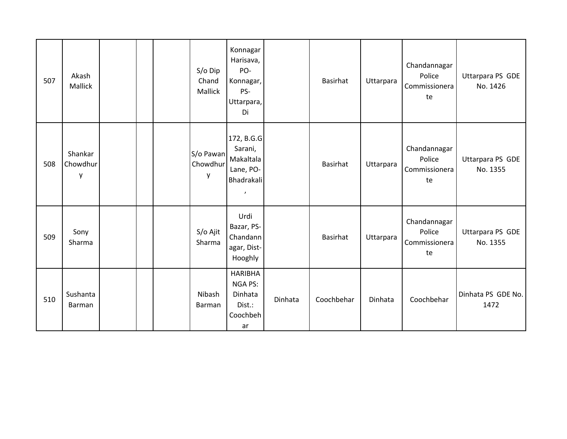| 507 | Akash<br>Mallick         |  | $S/O$ Dip<br>Chand<br>Mallick | Konnagar<br>Harisava,<br>PO-<br>Konnagar,<br>PS-<br>Uttarpara,<br>Di       |         | Basirhat   | Uttarpara | Chandannagar<br>Police<br>Commissionera<br>te | Uttarpara PS GDE<br>No. 1426 |
|-----|--------------------------|--|-------------------------------|----------------------------------------------------------------------------|---------|------------|-----------|-----------------------------------------------|------------------------------|
| 508 | Shankar<br>Chowdhur<br>V |  | S/o Pawan<br>Chowdhur<br>у    | 172, B.G.G<br>Sarani,<br>Makaltala<br>Lane, PO-<br>Bhadrakali<br>$\pmb{r}$ |         | Basirhat   | Uttarpara | Chandannagar<br>Police<br>Commissionera<br>te | Uttarpara PS GDE<br>No. 1355 |
| 509 | Sony<br>Sharma           |  | S/o Ajit<br>Sharma            | Urdi<br>Bazar, PS-<br>Chandann<br>agar, Dist-<br>Hooghly                   |         | Basirhat   | Uttarpara | Chandannagar<br>Police<br>Commissionera<br>te | Uttarpara PS GDE<br>No. 1355 |
| 510 | Sushanta<br>Barman       |  | Nibash<br>Barman              | <b>HARIBHA</b><br><b>NGA PS:</b><br>Dinhata<br>Dist.:<br>Coochbeh<br>ar    | Dinhata | Coochbehar | Dinhata   | Coochbehar                                    | Dinhata PS GDE No.<br>1472   |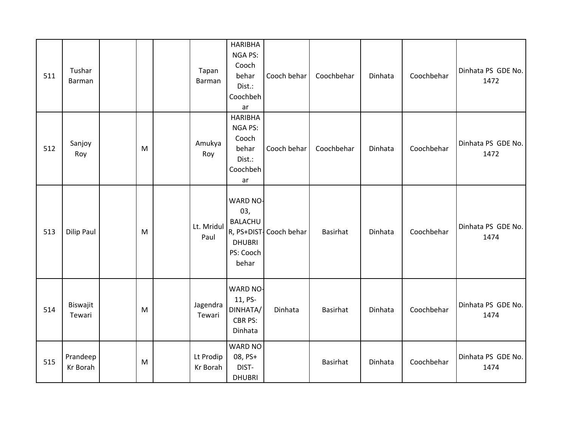| 511 | Tushar<br><b>Barman</b> |   | Tapan<br>Barman       | <b>HARIBHA</b><br>NGA PS:<br>Cooch<br>behar<br>Dist.:<br>Coochbeh<br>ar  | Cooch behar             | Coochbehar      | Dinhata | Coochbehar | Dinhata PS GDE No.<br>1472 |
|-----|-------------------------|---|-----------------------|--------------------------------------------------------------------------|-------------------------|-----------------|---------|------------|----------------------------|
| 512 | Sanjoy<br>Roy           | M | Amukya<br>Roy         | <b>HARIBHA</b><br>NGA PS:<br>Cooch<br>behar<br>Dist.:<br>Coochbeh<br>ar  | Cooch behar             | Coochbehar      | Dinhata | Coochbehar | Dinhata PS GDE No.<br>1472 |
| 513 | Dilip Paul              | M | Lt. Mridul<br>Paul    | WARD NO-<br>03,<br><b>BALACHU</b><br><b>DHUBRI</b><br>PS: Cooch<br>behar | R, PS+DIST- Cooch behar | Basirhat        | Dinhata | Coochbehar | Dinhata PS GDE No.<br>1474 |
| 514 | Biswajit<br>Tewari      | M | Jagendra<br>Tewari    | WARD NO-<br>11, PS-<br>DINHATA/<br>CBR PS:<br>Dinhata                    | Dinhata                 | <b>Basirhat</b> | Dinhata | Coochbehar | Dinhata PS GDE No.<br>1474 |
| 515 | Prandeep<br>Kr Borah    | M | Lt Prodip<br>Kr Borah | <b>WARD NO</b><br>08, PS+<br>DIST-<br><b>DHUBRI</b>                      |                         | Basirhat        | Dinhata | Coochbehar | Dinhata PS GDE No.<br>1474 |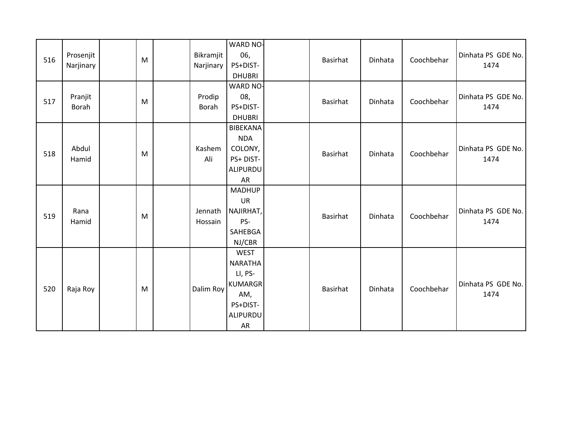| 516 | Prosenjit<br>Narjinary | M | Bikramjit<br>Narjinary | WARD NO-<br>06,<br>PS+DIST-<br><b>DHUBRI</b>                                             | Basirhat | Dinhata | Coochbehar | Dinhata PS GDE No.<br>1474 |
|-----|------------------------|---|------------------------|------------------------------------------------------------------------------------------|----------|---------|------------|----------------------------|
| 517 | Pranjit<br>Borah       | M | Prodip<br>Borah        | WARD NO-<br>08,<br>PS+DIST-<br><b>DHUBRI</b>                                             | Basirhat | Dinhata | Coochbehar | Dinhata PS GDE No.<br>1474 |
| 518 | Abdul<br>Hamid         | M | Kashem<br>Ali          | <b>BIBEKANA</b><br><b>NDA</b><br>COLONY,<br>PS+DIST-<br>ALIPURDU<br>AR                   | Basirhat | Dinhata | Coochbehar | Dinhata PS GDE No.<br>1474 |
| 519 | Rana<br>Hamid          | M | Jennath<br>Hossain     | <b>MADHUP</b><br>UR<br>NAJIRHAT,<br>PS-<br>SAHEBGA<br>NJ/CBR                             | Basirhat | Dinhata | Coochbehar | Dinhata PS GDE No.<br>1474 |
| 520 | Raja Roy               | M | Dalim Roy              | <b>WEST</b><br>NARATHA<br>LI, PS-<br><b>KUMARGR</b><br>AM,<br>PS+DIST-<br>ALIPURDU<br>AR | Basirhat | Dinhata | Coochbehar | Dinhata PS GDE No.<br>1474 |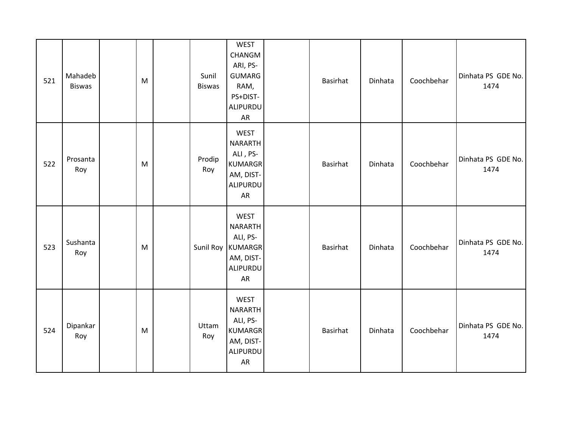| 521 | Mahadeb<br><b>Biswas</b> | M | Sunil<br><b>Biswas</b> | <b>WEST</b><br>CHANGM<br>ARI, PS-<br><b>GUMARG</b><br>RAM,<br>PS+DIST-<br>ALIPURDU<br>${\sf AR}$ | Basirhat | Dinhata | Coochbehar | Dinhata PS GDE No.<br>1474 |
|-----|--------------------------|---|------------------------|--------------------------------------------------------------------------------------------------|----------|---------|------------|----------------------------|
| 522 | Prosanta<br>Roy          | M | Prodip<br>Roy          | <b>WEST</b><br><b>NARARTH</b><br>ALI, PS-<br><b>KUMARGR</b><br>AM, DIST-<br>ALIPURDU<br>AR       | Basirhat | Dinhata | Coochbehar | Dinhata PS GDE No.<br>1474 |
| 523 | Sushanta<br>Roy          | M |                        | <b>WEST</b><br>NARARTH<br>ALI, PS-<br>Sunil Roy KUMARGR<br>AM, DIST-<br>ALIPURDU<br>AR           | Basirhat | Dinhata | Coochbehar | Dinhata PS GDE No.<br>1474 |
| 524 | Dipankar<br>Roy          | M | Uttam<br>Roy           | <b>WEST</b><br><b>NARARTH</b><br>ALI, PS-<br><b>KUMARGR</b><br>AM, DIST-<br>ALIPURDU<br>AR       | Basirhat | Dinhata | Coochbehar | Dinhata PS GDE No.<br>1474 |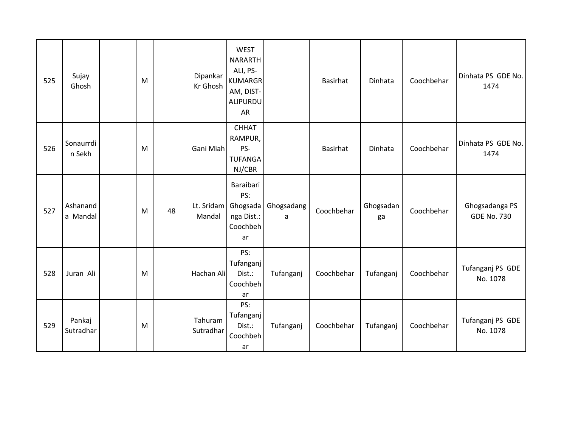| 525 | Sujay<br>Ghosh       | M |    | Dipankar<br>Kr Ghosh | <b>WEST</b><br><b>NARARTH</b><br>ALI, PS-<br><b>KUMARGR</b><br>AM, DIST-<br>ALIPURDU<br>AR |                 | <b>Basirhat</b> | Dinhata         | Coochbehar | Dinhata PS GDE No.<br>1474           |
|-----|----------------------|---|----|----------------------|--------------------------------------------------------------------------------------------|-----------------|-----------------|-----------------|------------|--------------------------------------|
| 526 | Sonaurrdi<br>n Sekh  | M |    | Gani Miah            | <b>CHHAT</b><br>RAMPUR,<br>PS-<br><b>TUFANGA</b><br>NJ/CBR                                 |                 | Basirhat        | Dinhata         | Coochbehar | Dinhata PS GDE No.<br>1474           |
| 527 | Ashanand<br>a Mandal | M | 48 | Lt. Sridam<br>Mandal | Baraibari<br>PS:<br>Ghogsada<br>nga Dist.:<br>Coochbeh<br>ar                               | Ghogsadang<br>a | Coochbehar      | Ghogsadan<br>ga | Coochbehar | Ghogsadanga PS<br><b>GDE No. 730</b> |
| 528 | Juran Ali            | M |    | Hachan Ali           | PS:<br>Tufanganj<br>Dist.:<br>Coochbeh<br>ar                                               | Tufanganj       | Coochbehar      | Tufanganj       | Coochbehar | Tufanganj PS GDE<br>No. 1078         |
| 529 | Pankaj<br>Sutradhar  | M |    | Tahuram<br>Sutradhar | PS:<br>Tufanganj<br>Dist.:<br>Coochbeh<br>ar                                               | Tufanganj       | Coochbehar      | Tufanganj       | Coochbehar | Tufanganj PS GDE<br>No. 1078         |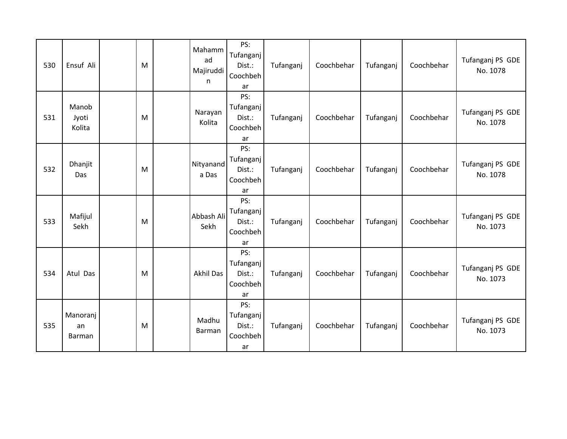| 530 | Ensuf Ali                | M | Mahamm<br>ad<br>Majiruddi<br>n | PS:<br>Tufanganj<br>Dist.:<br>Coochbeh<br>ar | Tufanganj | Coochbehar | Tufanganj | Coochbehar | Tufanganj PS GDE<br>No. 1078 |
|-----|--------------------------|---|--------------------------------|----------------------------------------------|-----------|------------|-----------|------------|------------------------------|
| 531 | Manob<br>Jyoti<br>Kolita | M | Narayan<br>Kolita              | PS:<br>Tufanganj<br>Dist.:<br>Coochbeh<br>ar | Tufanganj | Coochbehar | Tufanganj | Coochbehar | Tufanganj PS GDE<br>No. 1078 |
| 532 | Dhanjit<br>Das           | M | Nityanand<br>a Das             | PS:<br>Tufanganj<br>Dist.:<br>Coochbeh<br>ar | Tufanganj | Coochbehar | Tufanganj | Coochbehar | Tufanganj PS GDE<br>No. 1078 |
| 533 | Mafijul<br>Sekh          | M | Abbash Ali<br>Sekh             | PS:<br>Tufanganj<br>Dist.:<br>Coochbeh<br>ar | Tufanganj | Coochbehar | Tufanganj | Coochbehar | Tufanganj PS GDE<br>No. 1073 |
| 534 | Atul Das                 | M | <b>Akhil Das</b>               | PS:<br>Tufanganj<br>Dist.:<br>Coochbeh<br>ar | Tufanganj | Coochbehar | Tufanganj | Coochbehar | Tufanganj PS GDE<br>No. 1073 |
| 535 | Manoranj<br>an<br>Barman | M | Madhu<br>Barman                | PS:<br>Tufanganj<br>Dist.:<br>Coochbeh<br>ar | Tufanganj | Coochbehar | Tufanganj | Coochbehar | Tufanganj PS GDE<br>No. 1073 |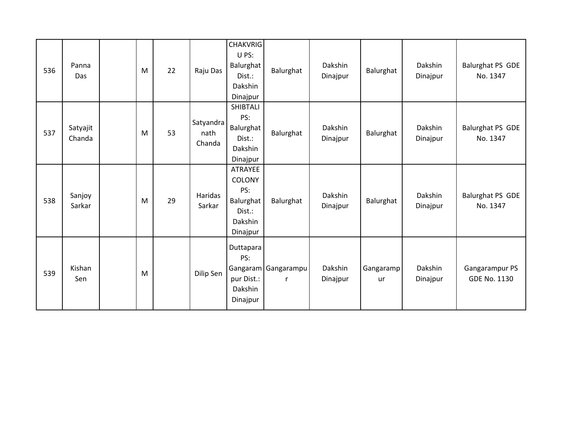| 536 | Panna<br>Das       | M | 22 | Raju Das                    | <b>CHAKVRIG</b><br>U PS:<br><b>Balurghat</b><br>Dist.:<br>Dakshin<br>Dinajpur | Balurghat                  | Dakshin<br>Dinajpur | Balurghat       | Dakshin<br>Dinajpur | Balurghat PS GDE<br>No. 1347          |
|-----|--------------------|---|----|-----------------------------|-------------------------------------------------------------------------------|----------------------------|---------------------|-----------------|---------------------|---------------------------------------|
| 537 | Satyajit<br>Chanda | M | 53 | Satyandra<br>nath<br>Chanda | SHIBTALI<br>PS:<br>Balurghat<br>Dist.:<br>Dakshin<br>Dinajpur                 | Balurghat                  | Dakshin<br>Dinajpur | Balurghat       | Dakshin<br>Dinajpur | Balurghat PS GDE<br>No. 1347          |
| 538 | Sanjoy<br>Sarkar   | M | 29 | Haridas<br>Sarkar           | ATRAYEE<br>COLONY<br>PS:<br>Balurghat<br>Dist.:<br>Dakshin<br>Dinajpur        | Balurghat                  | Dakshin<br>Dinajpur | Balurghat       | Dakshin<br>Dinajpur | Balurghat PS GDE<br>No. 1347          |
| 539 | Kishan<br>Sen      | M |    | Dilip Sen                   | Duttapara<br>PS:<br>pur Dist.:<br>Dakshin<br>Dinajpur                         | Gangaram   Gangarampu<br>r | Dakshin<br>Dinajpur | Gangaramp<br>ur | Dakshin<br>Dinajpur | Gangarampur PS<br><b>GDE No. 1130</b> |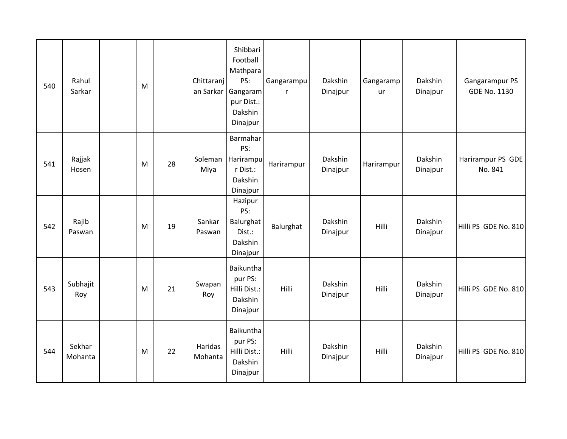| 540 | Rahul<br>Sarkar   | M |    | Chittaranj<br>an Sarkar | Shibbari<br>Football<br>Mathpara<br>PS:<br>Gangaram<br>pur Dist.:<br>Dakshin<br>Dinajpur | Gangarampu<br>r | Dakshin<br>Dinajpur | Gangaramp<br>ur | Dakshin<br>Dinajpur | Gangarampur PS<br>GDE No. 1130 |
|-----|-------------------|---|----|-------------------------|------------------------------------------------------------------------------------------|-----------------|---------------------|-----------------|---------------------|--------------------------------|
| 541 | Rajjak<br>Hosen   | M | 28 | Soleman<br>Miya         | Barmahar<br>PS:<br>Harirampu<br>r Dist.:<br>Dakshin<br>Dinajpur                          | Harirampur      | Dakshin<br>Dinajpur | Harirampur      | Dakshin<br>Dinajpur | Harirampur PS GDE<br>No. 841   |
| 542 | Rajib<br>Paswan   | M | 19 | Sankar<br>Paswan        | Hazipur<br>PS:<br>Balurghat<br>Dist.:<br>Dakshin<br>Dinajpur                             | Balurghat       | Dakshin<br>Dinajpur | Hilli           | Dakshin<br>Dinajpur | Hilli PS GDE No. 810           |
| 543 | Subhajit<br>Roy   | M | 21 | Swapan<br>Roy           | Baikuntha<br>pur PS:<br>Hilli Dist.:<br>Dakshin<br>Dinajpur                              | <b>Hilli</b>    | Dakshin<br>Dinajpur | Hilli           | Dakshin<br>Dinajpur | Hilli PS GDE No. 810           |
| 544 | Sekhar<br>Mohanta | M | 22 | Haridas<br>Mohanta      | Baikuntha<br>pur PS:<br>Hilli Dist.:<br>Dakshin<br>Dinajpur                              | Hilli           | Dakshin<br>Dinajpur | Hilli           | Dakshin<br>Dinajpur | Hilli PS GDE No. 810           |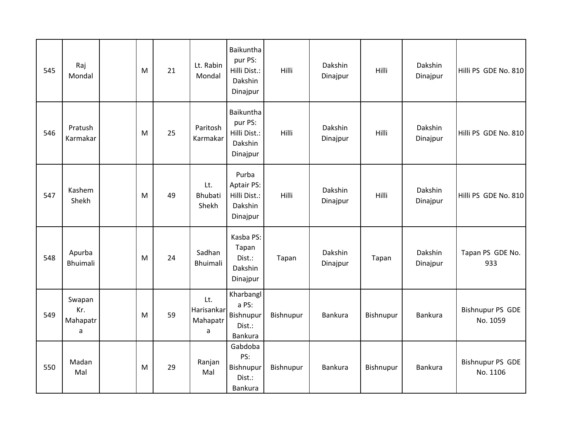| 545 | Raj<br>Mondal                  | M | 21 | Lt. Rabin<br>Mondal                | Baikuntha<br>pur PS:<br>Hilli Dist.:<br>Dakshin<br>Dinajpur | Hilli     | Dakshin<br>Dinajpur | Hilli     | Dakshin<br>Dinajpur | Hilli PS GDE No. 810                |
|-----|--------------------------------|---|----|------------------------------------|-------------------------------------------------------------|-----------|---------------------|-----------|---------------------|-------------------------------------|
| 546 | Pratush<br>Karmakar            | M | 25 | Paritosh<br>Karmakar               | Baikuntha<br>pur PS:<br>Hilli Dist.:<br>Dakshin<br>Dinajpur | Hilli     | Dakshin<br>Dinajpur | Hilli     | Dakshin<br>Dinajpur | Hilli PS GDE No. 810                |
| 547 | Kashem<br>Shekh                | M | 49 | Lt.<br>Bhubati<br>Shekh            | Purba<br>Aptair PS:<br>Hilli Dist.:<br>Dakshin<br>Dinajpur  | Hilli     | Dakshin<br>Dinajpur | Hilli     | Dakshin<br>Dinajpur | Hilli PS GDE No. 810                |
| 548 | Apurba<br><b>Bhuimali</b>      | M | 24 | Sadhan<br><b>Bhuimali</b>          | Kasba PS:<br>Tapan<br>Dist.:<br>Dakshin<br>Dinajpur         | Tapan     | Dakshin<br>Dinajpur | Tapan     | Dakshin<br>Dinajpur | Tapan PS GDE No.<br>933             |
| 549 | Swapan<br>Kr.<br>Mahapatr<br>a | M | 59 | Lt.<br>Harisankar<br>Mahapatr<br>a | Kharbangl<br>a PS:<br>Bishnupur<br>Dist.:<br>Bankura        | Bishnupur | Bankura             | Bishnupur | <b>Bankura</b>      | <b>Bishnupur PS GDE</b><br>No. 1059 |
| 550 | Madan<br>Mal                   | M | 29 | Ranjan<br>Mal                      | Gabdoba<br>PS:<br>Bishnupur<br>Dist.:<br>Bankura            | Bishnupur | Bankura             | Bishnupur | <b>Bankura</b>      | <b>Bishnupur PS GDE</b><br>No. 1106 |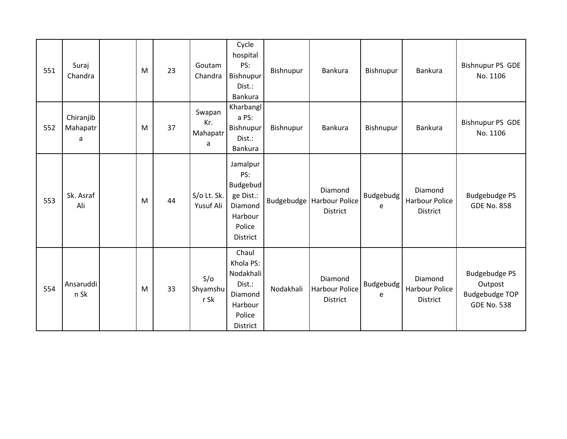| 551 | Suraj<br>Chandra           | M | 23 | Goutam<br>Chandra              | Cycle<br>hospital<br>PS:<br>Bishnupur<br>Dist.:<br>Bankura                                  | Bishnupur | Bankura                                                   | Bishnupur             | Bankura                                             | <b>Bishnupur PS GDE</b><br>No. 1106                                            |
|-----|----------------------------|---|----|--------------------------------|---------------------------------------------------------------------------------------------|-----------|-----------------------------------------------------------|-----------------------|-----------------------------------------------------|--------------------------------------------------------------------------------|
| 552 | Chiranjib<br>Mahapatr<br>a | M | 37 | Swapan<br>Kr.<br>Mahapatr<br>a | Kharbangl<br>a PS:<br>Bishnupur<br>Dist.:<br>Bankura                                        | Bishnupur | Bankura                                                   | Bishnupur             | Bankura                                             | <b>Bishnupur PS GDE</b><br>No. 1106                                            |
| 553 | Sk. Asraf<br>Ali           | M | 44 | S/o Lt. Sk.<br>Yusuf Ali       | Jamalpur<br>PS:<br>Budgebud<br>ge Dist.:<br>Diamond<br>Harbour<br>Police<br><b>District</b> |           | Diamond<br>Budgebudge   Harbour Police<br><b>District</b> | <b>Budgebudg</b><br>e | Diamond<br><b>Harbour Police</b><br><b>District</b> | <b>Budgebudge PS</b><br><b>GDE No. 858</b>                                     |
| 554 | Ansaruddi<br>n Sk          | M | 33 | S/O<br>Shyamshu<br>$r$ Sk      | Chaul<br>Khola PS:<br>Nodakhali<br>Dist.:<br>Diamond<br>Harbour<br>Police<br>District       | Nodakhali | Diamond<br><b>Harbour Police</b><br><b>District</b>       | <b>Budgebudg</b><br>e | Diamond<br><b>Harbour Police</b><br><b>District</b> | <b>Budgebudge PS</b><br>Outpost<br><b>Budgebudge TOP</b><br><b>GDE No. 538</b> |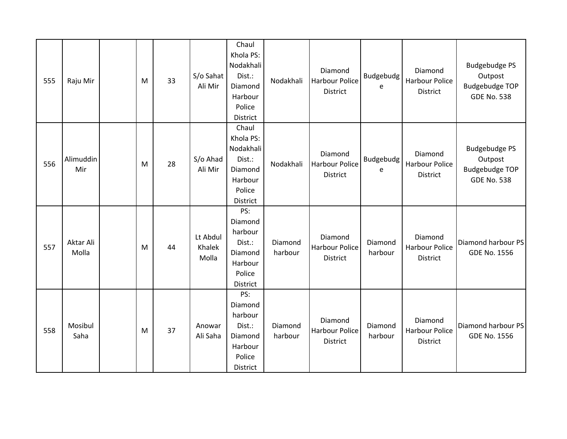| 555 | Raju Mir           | M | 33 | S/o Sahat<br>Ali Mir        | Chaul<br>Khola PS:<br>Nodakhali<br>Dist.:<br>Diamond<br>Harbour<br>Police<br>District | Nodakhali          | Diamond<br><b>Harbour Police</b><br>District        | <b>Budgebudg</b><br>e | Diamond<br><b>Harbour Police</b><br>District        | <b>Budgebudge PS</b><br>Outpost<br><b>Budgebudge TOP</b><br><b>GDE No. 538</b> |
|-----|--------------------|---|----|-----------------------------|---------------------------------------------------------------------------------------|--------------------|-----------------------------------------------------|-----------------------|-----------------------------------------------------|--------------------------------------------------------------------------------|
| 556 | Alimuddin<br>Mir   | M | 28 | S/o Ahad<br>Ali Mir         | Chaul<br>Khola PS:<br>Nodakhali<br>Dist.:<br>Diamond<br>Harbour<br>Police<br>District | Nodakhali          | Diamond<br><b>Harbour Police</b><br><b>District</b> | Budgebudg<br>e        | Diamond<br><b>Harbour Police</b><br><b>District</b> | <b>Budgebudge PS</b><br>Outpost<br><b>Budgebudge TOP</b><br><b>GDE No. 538</b> |
| 557 | Aktar Ali<br>Molla | M | 44 | Lt Abdul<br>Khalek<br>Molla | PS:<br>Diamond<br>harbour<br>Dist.:<br>Diamond<br>Harbour<br>Police<br>District       | Diamond<br>harbour | Diamond<br><b>Harbour Police</b><br>District        | Diamond<br>harbour    | Diamond<br><b>Harbour Police</b><br>District        | Diamond harbour PS<br><b>GDE No. 1556</b>                                      |
| 558 | Mosibul<br>Saha    | M | 37 | Anowar<br>Ali Saha          | PS:<br>Diamond<br>harbour<br>Dist.:<br>Diamond<br>Harbour<br>Police<br>District       | Diamond<br>harbour | Diamond<br><b>Harbour Police</b><br>District        | Diamond<br>harbour    | Diamond<br><b>Harbour Police</b><br>District        | Diamond harbour PS<br>GDE No. 1556                                             |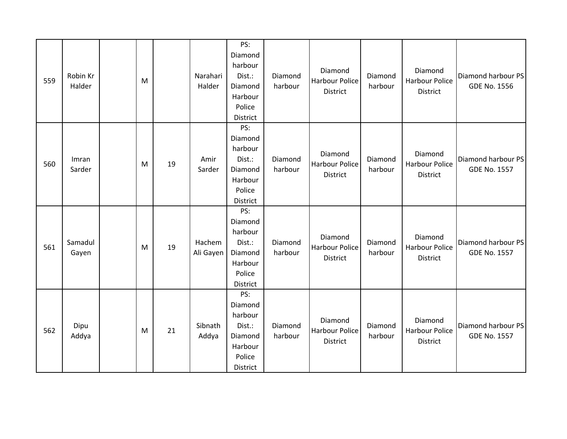| 559 | Robin Kr<br>Halder | M |    | Narahari<br>Halder  | PS:<br>Diamond<br>harbour<br>Dist.:<br>Diamond<br>Harbour<br>Police<br>District | Diamond<br>harbour | Diamond<br><b>Harbour Police</b><br>District        | Diamond<br>harbour | Diamond<br><b>Harbour Police</b><br>District | Diamond harbour PS<br>GDE No. 1556        |
|-----|--------------------|---|----|---------------------|---------------------------------------------------------------------------------|--------------------|-----------------------------------------------------|--------------------|----------------------------------------------|-------------------------------------------|
| 560 | Imran<br>Sarder    | M | 19 | Amir<br>Sarder      | PS:<br>Diamond<br>harbour<br>Dist.:<br>Diamond<br>Harbour<br>Police<br>District | Diamond<br>harbour | Diamond<br>Harbour Police<br>District               | Diamond<br>harbour | Diamond<br>Harbour Police<br>District        | Diamond harbour PS<br><b>GDE No. 1557</b> |
| 561 | Samadul<br>Gayen   | M | 19 | Hachem<br>Ali Gayen | PS:<br>Diamond<br>harbour<br>Dist.:<br>Diamond<br>Harbour<br>Police<br>District | Diamond<br>harbour | Diamond<br><b>Harbour Police</b><br><b>District</b> | Diamond<br>harbour | Diamond<br>Harbour Police<br>District        | Diamond harbour PS<br><b>GDE No. 1557</b> |
| 562 | Dipu<br>Addya      | M | 21 | Sibnath<br>Addya    | PS:<br>Diamond<br>harbour<br>Dist.:<br>Diamond<br>Harbour<br>Police<br>District | Diamond<br>harbour | Diamond<br><b>Harbour Police</b><br><b>District</b> | Diamond<br>harbour | Diamond<br><b>Harbour Police</b><br>District | Diamond harbour PS<br><b>GDE No. 1557</b> |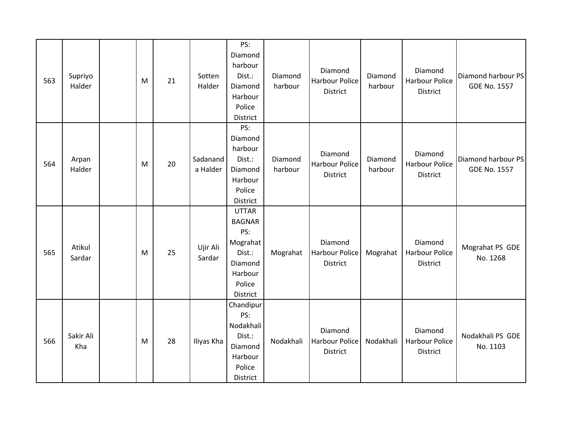| 563 | Supriyo<br>Halder | M | 21 | Sotten<br>Halder     | PS:<br>Diamond<br>harbour<br>Dist.:<br>Diamond<br>Harbour<br>Police<br>District                        | Diamond<br>harbour | Diamond<br><b>Harbour Police</b><br>District | Diamond<br>harbour | Diamond<br><b>Harbour Police</b><br>District        | Diamond harbour PS<br><b>GDE No. 1557</b> |
|-----|-------------------|---|----|----------------------|--------------------------------------------------------------------------------------------------------|--------------------|----------------------------------------------|--------------------|-----------------------------------------------------|-------------------------------------------|
| 564 | Arpan<br>Halder   | M | 20 | Sadanand<br>a Halder | PS:<br>Diamond<br>harbour<br>Dist.:<br>Diamond<br>Harbour<br>Police<br>District                        | Diamond<br>harbour | Diamond<br><b>Harbour Police</b><br>District | Diamond<br>harbour | Diamond<br><b>Harbour Police</b><br><b>District</b> | Diamond harbour PS<br><b>GDE No. 1557</b> |
| 565 | Atikul<br>Sardar  | M | 25 | Ujir Ali<br>Sardar   | <b>UTTAR</b><br><b>BAGNAR</b><br>PS:<br>Mograhat<br>Dist.:<br>Diamond<br>Harbour<br>Police<br>District | Mograhat           | Diamond<br><b>Harbour Police</b><br>District | Mograhat           | Diamond<br><b>Harbour Police</b><br><b>District</b> | Mograhat PS GDE<br>No. 1268               |
| 566 | Sakir Ali<br>Kha  | M | 28 | Iliyas Kha           | Chandipur<br>PS:<br>Nodakhali<br>Dist.:<br>Diamond<br>Harbour<br>Police<br>District                    | Nodakhali          | Diamond<br><b>Harbour Police</b><br>District | Nodakhali          | Diamond<br><b>Harbour Police</b><br>District        | Nodakhali PS GDE<br>No. 1103              |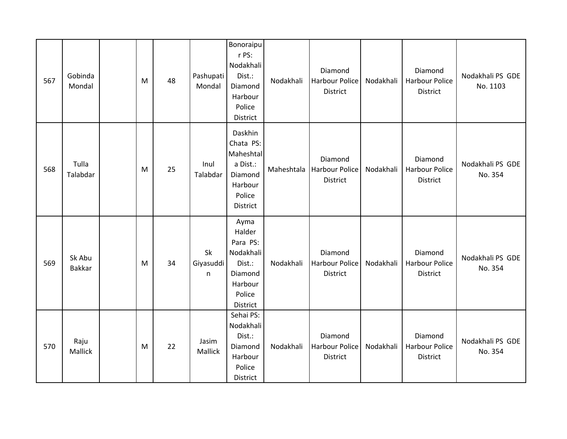| 567 | Gobinda<br>Mondal       | M | 48 | Pashupati<br>Mondal  | Bonoraipu<br>r PS:<br>Nodakhali<br>Dist.:<br>Diamond<br>Harbour<br>Police<br>District         | Nodakhali  | Diamond<br><b>Harbour Police</b><br>District | Nodakhali | Diamond<br>Harbour Police<br>District        | Nodakhali PS GDE<br>No. 1103 |
|-----|-------------------------|---|----|----------------------|-----------------------------------------------------------------------------------------------|------------|----------------------------------------------|-----------|----------------------------------------------|------------------------------|
| 568 | Tulla<br>Talabdar       | M | 25 | Inul<br>Talabdar     | Daskhin<br>Chata PS:<br>Maheshtal<br>a Dist.:<br>Diamond<br>Harbour<br>Police<br>District     | Maheshtala | Diamond<br><b>Harbour Police</b><br>District | Nodakhali | Diamond<br><b>Harbour Police</b><br>District | Nodakhali PS GDE<br>No. 354  |
| 569 | Sk Abu<br><b>Bakkar</b> | M | 34 | Sk<br>Giyasuddi<br>n | Ayma<br>Halder<br>Para PS:<br>Nodakhali<br>Dist.:<br>Diamond<br>Harbour<br>Police<br>District | Nodakhali  | Diamond<br><b>Harbour Police</b><br>District | Nodakhali | Diamond<br><b>Harbour Police</b><br>District | Nodakhali PS GDE<br>No. 354  |
| 570 | Raju<br>Mallick         | M | 22 | Jasim<br>Mallick     | Sehai PS:<br>Nodakhali<br>Dist.:<br>Diamond<br>Harbour<br>Police<br>District                  | Nodakhali  | Diamond<br><b>Harbour Police</b><br>District | Nodakhali | Diamond<br><b>Harbour Police</b><br>District | Nodakhali PS GDE<br>No. 354  |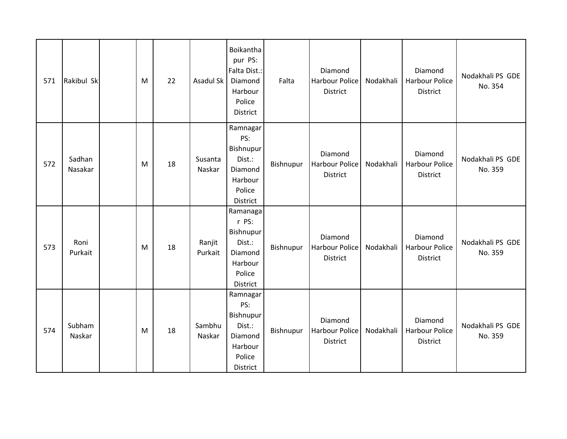| 571 | Rakibul Sk        | M | 22 | Asadul Sk         | Boikantha<br>pur PS:<br>Falta Dist.:<br>Diamond<br>Harbour<br>Police<br>District     | Falta     | Diamond<br><b>Harbour Police</b><br>District        | Nodakhali | Diamond<br><b>Harbour Police</b><br><b>District</b> | Nodakhali PS GDE<br>No. 354 |
|-----|-------------------|---|----|-------------------|--------------------------------------------------------------------------------------|-----------|-----------------------------------------------------|-----------|-----------------------------------------------------|-----------------------------|
| 572 | Sadhan<br>Nasakar | M | 18 | Susanta<br>Naskar | Ramnagar<br>PS:<br>Bishnupur<br>Dist.:<br>Diamond<br>Harbour<br>Police<br>District   | Bishnupur | Diamond<br>Harbour Police<br>District               | Nodakhali | Diamond<br><b>Harbour Police</b><br><b>District</b> | Nodakhali PS GDE<br>No. 359 |
| 573 | Roni<br>Purkait   | M | 18 | Ranjit<br>Purkait | Ramanaga<br>r PS:<br>Bishnupur<br>Dist.:<br>Diamond<br>Harbour<br>Police<br>District | Bishnupur | Diamond<br><b>Harbour Police</b><br><b>District</b> | Nodakhali | Diamond<br><b>Harbour Police</b><br><b>District</b> | Nodakhali PS GDE<br>No. 359 |
| 574 | Subham<br>Naskar  | M | 18 | Sambhu<br>Naskar  | Ramnagar<br>PS:<br>Bishnupur<br>Dist.:<br>Diamond<br>Harbour<br>Police<br>District   | Bishnupur | Diamond<br><b>Harbour Police</b><br>District        | Nodakhali | Diamond<br><b>Harbour Police</b><br><b>District</b> | Nodakhali PS GDE<br>No. 359 |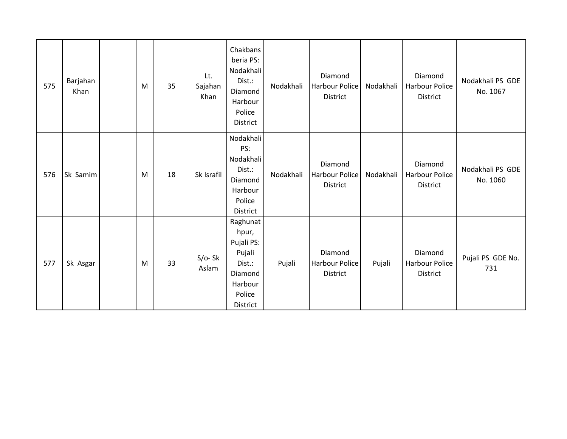| 575 | Barjahan<br>Khan | M | 35 | Lt.<br>Sajahan<br>Khan | Chakbans<br>beria PS:<br>Nodakhali<br>Dist.:<br>Diamond<br>Harbour<br>Police<br>District        | Nodakhali | Diamond<br>Harbour Police<br>District        | Nodakhali | Diamond<br><b>Harbour Police</b><br>District        | Nodakhali PS GDE<br>No. 1067 |
|-----|------------------|---|----|------------------------|-------------------------------------------------------------------------------------------------|-----------|----------------------------------------------|-----------|-----------------------------------------------------|------------------------------|
| 576 | Sk Samim         | M | 18 | Sk Israfil             | Nodakhali<br>PS:<br>Nodakhali<br>Dist.:<br>Diamond<br>Harbour<br>Police<br>District             | Nodakhali | Diamond<br>Harbour Police<br>District        | Nodakhali | Diamond<br>Harbour Police<br>District               | Nodakhali PS GDE<br>No. 1060 |
| 577 | Sk Asgar         | M | 33 | $S/O-Sk$<br>Aslam      | Raghunat<br>hpur,<br>Pujali PS:<br>Pujali<br>Dist.:<br>Diamond<br>Harbour<br>Police<br>District | Pujali    | Diamond<br>Harbour Police<br><b>District</b> | Pujali    | Diamond<br><b>Harbour Police</b><br><b>District</b> | Pujali PS GDE No.<br>731     |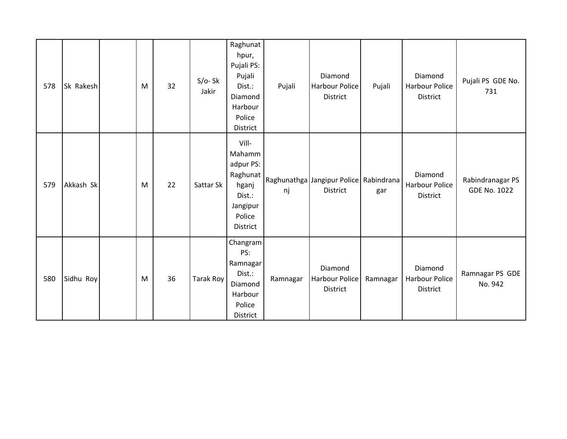| 578 | Sk Rakesh | M | 32 | $S/O-Sk$<br>Jakir | Raghunat<br>hpur,<br>Pujali PS:<br>Pujali<br>Dist.:<br>Diamond<br>Harbour<br>Police<br>District | Pujali   | Diamond<br>Harbour Police<br>District              | Pujali   | Diamond<br><b>Harbour Police</b><br>District | Pujali PS GDE No.<br>731                |
|-----|-----------|---|----|-------------------|-------------------------------------------------------------------------------------------------|----------|----------------------------------------------------|----------|----------------------------------------------|-----------------------------------------|
| 579 | Akkash Sk | M | 22 | Sattar Sk         | Vill-<br>Mahamm<br>adpur PS:<br>Raghunat<br>hganj<br>Dist.:<br>Jangipur<br>Police<br>District   | nj       | Raghunathga Jangipur Police Rabindrana<br>District | gar      | Diamond<br>Harbour Police<br><b>District</b> | Rabindranagar PS<br><b>GDE No. 1022</b> |
| 580 | Sidhu Roy | M | 36 | Tarak Roy         | Changram<br>PS:<br>Ramnagar<br>Dist.:<br>Diamond<br>Harbour<br>Police<br>District               | Ramnagar | Diamond<br><b>Harbour Police</b><br>District       | Ramnagar | Diamond<br>Harbour Police<br>District        | Ramnagar PS GDE<br>No. 942              |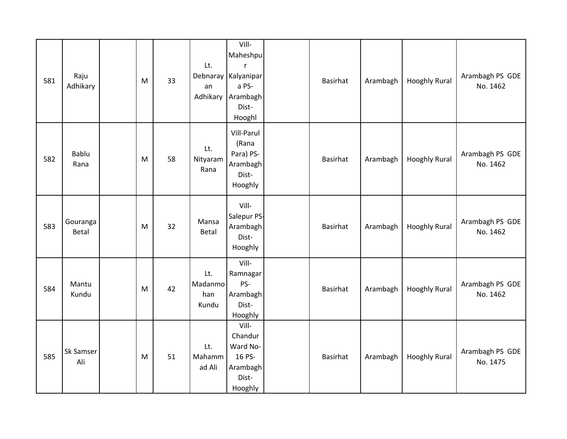| 581 | Raju<br>Adhikary         | M | 33 | Lt.<br>an<br>Adhikary          | Vill-<br>Maheshpu<br>r<br>Debnaray Kalyanipar<br>a PS-<br>Arambagh<br>Dist-<br>Hooghl | Basirhat | Arambagh | <b>Hooghly Rural</b> | Arambagh PS GDE<br>No. 1462 |
|-----|--------------------------|---|----|--------------------------------|---------------------------------------------------------------------------------------|----------|----------|----------------------|-----------------------------|
| 582 | Bablu<br>Rana            | M | 58 | Lt.<br>Nityaram<br>Rana        | Vill-Parul<br>(Rana<br>Para) PS-<br>Arambagh<br>Dist-<br>Hooghly                      | Basirhat | Arambagh | <b>Hooghly Rural</b> | Arambagh PS GDE<br>No. 1462 |
| 583 | Gouranga<br><b>Betal</b> | M | 32 | Mansa<br>Betal                 | Vill-<br>Salepur PS-<br>Arambagh<br>Dist-<br>Hooghly                                  | Basirhat | Arambagh | <b>Hooghly Rural</b> | Arambagh PS GDE<br>No. 1462 |
| 584 | Mantu<br>Kundu           | M | 42 | Lt.<br>Madanmo<br>han<br>Kundu | Vill-<br>Ramnagar<br>PS-<br>Arambagh<br>Dist-<br>Hooghly                              | Basirhat | Arambagh | <b>Hooghly Rural</b> | Arambagh PS GDE<br>No. 1462 |
| 585 | Sk Samser<br>Ali         | M | 51 | Lt.<br>Mahamm<br>ad Ali        | Vill-<br>Chandur<br>Ward No-<br>16 PS-<br>Arambagh<br>Dist-<br>Hooghly                | Basirhat | Arambagh | <b>Hooghly Rural</b> | Arambagh PS GDE<br>No. 1475 |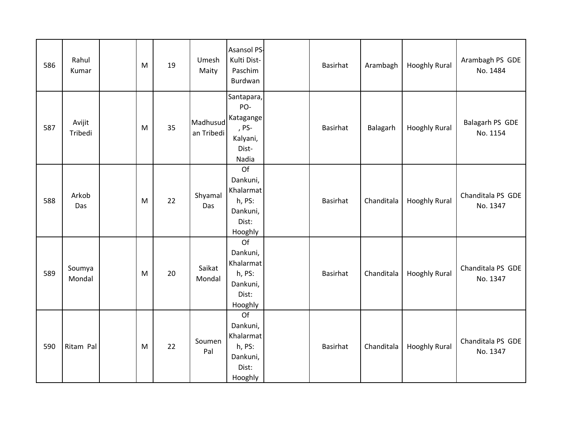| 586 | Rahul<br>Kumar    | M | 19 | Umesh<br>Maity         | Asansol PS-<br>Kulti Dist-<br>Paschim<br>Burdwan                      | <b>Basirhat</b> | Arambagh   | <b>Hooghly Rural</b> | Arambagh PS GDE<br>No. 1484   |
|-----|-------------------|---|----|------------------------|-----------------------------------------------------------------------|-----------------|------------|----------------------|-------------------------------|
| 587 | Avijit<br>Tribedi | M | 35 | Madhusud<br>an Tribedi | Santapara,<br>PO-<br>Katagange<br>, PS-<br>Kalyani,<br>Dist-<br>Nadia | <b>Basirhat</b> | Balagarh   | <b>Hooghly Rural</b> | Balagarh PS GDE<br>No. 1154   |
| 588 | Arkob<br>Das      | M | 22 | Shyamal<br>Das         | Of<br>Dankuni,<br>Khalarmat<br>h, PS:<br>Dankuni,<br>Dist:<br>Hooghly | Basirhat        | Chanditala | <b>Hooghly Rural</b> | Chanditala PS GDE<br>No. 1347 |
| 589 | Soumya<br>Mondal  | M | 20 | Saikat<br>Mondal       | Of<br>Dankuni,<br>Khalarmat<br>h, PS:<br>Dankuni,<br>Dist:<br>Hooghly | Basirhat        | Chanditala | <b>Hooghly Rural</b> | Chanditala PS GDE<br>No. 1347 |
| 590 | Ritam Pal         | M | 22 | Soumen<br>Pal          | Of<br>Dankuni,<br>Khalarmat<br>h, PS:<br>Dankuni,<br>Dist:<br>Hooghly | Basirhat        | Chanditala | <b>Hooghly Rural</b> | Chanditala PS GDE<br>No. 1347 |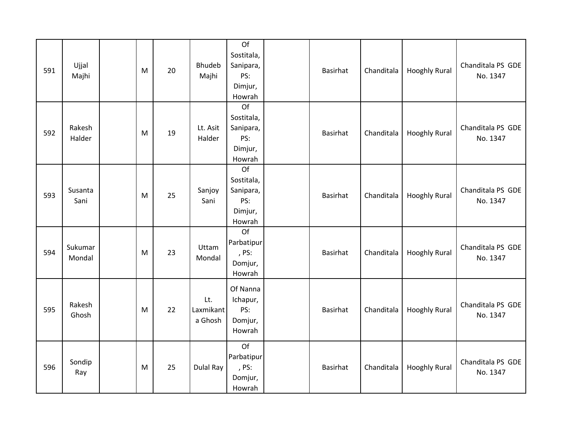| 591 | Ujjal<br>Majhi    | M | 20 | <b>Bhudeb</b><br>Majhi      | Of<br>Sostitala,<br>Sanipara,<br>PS:<br>Dimjur,<br>Howrah | Basirhat        | Chanditala | <b>Hooghly Rural</b> | Chanditala PS GDE<br>No. 1347 |
|-----|-------------------|---|----|-----------------------------|-----------------------------------------------------------|-----------------|------------|----------------------|-------------------------------|
| 592 | Rakesh<br>Halder  | M | 19 | Lt. Asit<br>Halder          | Of<br>Sostitala,<br>Sanipara,<br>PS:<br>Dimjur,<br>Howrah | Basirhat        | Chanditala | <b>Hooghly Rural</b> | Chanditala PS GDE<br>No. 1347 |
| 593 | Susanta<br>Sani   | M | 25 | Sanjoy<br>Sani              | Of<br>Sostitala,<br>Sanipara,<br>PS:<br>Dimjur,<br>Howrah | <b>Basirhat</b> | Chanditala | <b>Hooghly Rural</b> | Chanditala PS GDE<br>No. 1347 |
| 594 | Sukumar<br>Mondal | M | 23 | Uttam<br>Mondal             | Of<br>Parbatipur<br>, PS:<br>Domjur,<br>Howrah            | Basirhat        | Chanditala | <b>Hooghly Rural</b> | Chanditala PS GDE<br>No. 1347 |
| 595 | Rakesh<br>Ghosh   | M | 22 | Lt.<br>Laxmikant<br>a Ghosh | Of Nanna<br>Ichapur,<br>PS:<br>Domjur,<br>Howrah          | Basirhat        | Chanditala | <b>Hooghly Rural</b> | Chanditala PS GDE<br>No. 1347 |
| 596 | Sondip<br>Ray     | M | 25 | Dulal Ray                   | Of<br>Parbatipur<br>, PS:<br>Domjur,<br>Howrah            | <b>Basirhat</b> | Chanditala | <b>Hooghly Rural</b> | Chanditala PS GDE<br>No. 1347 |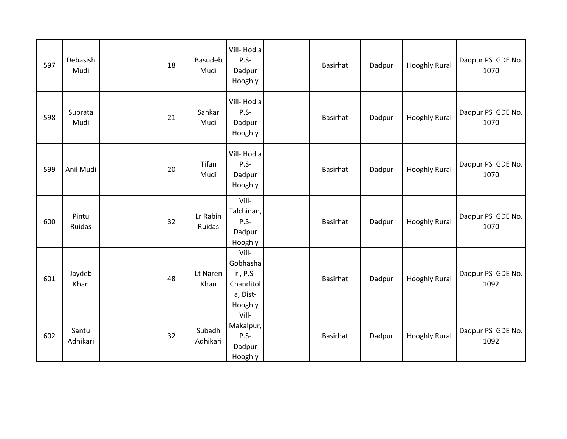| 597 | Debasish<br>Mudi  |  | 18 | Basudeb<br>Mudi    | Vill-Hodla<br>$P.S-$<br>Dadpur<br>Hooghly                         | Basirhat | Dadpur | <b>Hooghly Rural</b> | Dadpur PS GDE No.<br>1070 |
|-----|-------------------|--|----|--------------------|-------------------------------------------------------------------|----------|--------|----------------------|---------------------------|
| 598 | Subrata<br>Mudi   |  | 21 | Sankar<br>Mudi     | Vill-Hodla<br>$P.S-$<br>Dadpur<br>Hooghly                         | Basirhat | Dadpur | <b>Hooghly Rural</b> | Dadpur PS GDE No.<br>1070 |
| 599 | Anil Mudi         |  | 20 | Tifan<br>Mudi      | Vill-Hodla<br>$P.S -$<br>Dadpur<br>Hooghly                        | Basirhat | Dadpur | <b>Hooghly Rural</b> | Dadpur PS GDE No.<br>1070 |
| 600 | Pintu<br>Ruidas   |  | 32 | Lr Rabin<br>Ruidas | Vill-<br>Talchinan,<br>P.S-<br>Dadpur<br>Hooghly                  | Basirhat | Dadpur | <b>Hooghly Rural</b> | Dadpur PS GDE No.<br>1070 |
| 601 | Jaydeb<br>Khan    |  | 48 | Lt Naren<br>Khan   | Vill-<br>Gobhasha<br>ri, P.S-<br>Chanditol<br>a, Dist-<br>Hooghly | Basirhat | Dadpur | <b>Hooghly Rural</b> | Dadpur PS GDE No.<br>1092 |
| 602 | Santu<br>Adhikari |  | 32 | Subadh<br>Adhikari | Vill-<br>Makalpur,<br>P.S-<br>Dadpur<br>Hooghly                   | Basirhat | Dadpur | <b>Hooghly Rural</b> | Dadpur PS GDE No.<br>1092 |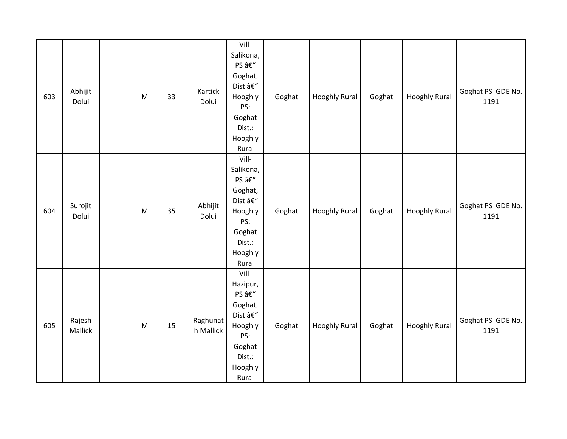| 603 | Abhijit<br>Dolui  | M | 33 | Kartick<br>Dolui      | Vill-<br>Salikona,<br>PS –<br>Goghat,<br>Dist –<br>Hooghly<br>PS:<br>Goghat<br>Dist.:<br>Hooghly<br>Rural | Goghat | <b>Hooghly Rural</b> | Goghat | <b>Hooghly Rural</b> | Goghat PS GDE No.<br>1191 |
|-----|-------------------|---|----|-----------------------|-----------------------------------------------------------------------------------------------------------|--------|----------------------|--------|----------------------|---------------------------|
| 604 | Surojit<br>Dolui  | M | 35 | Abhijit<br>Dolui      | Vill-<br>Salikona,<br>PS –<br>Goghat,<br>Dist –<br>Hooghly<br>PS:<br>Goghat<br>Dist.:<br>Hooghly<br>Rural | Goghat | <b>Hooghly Rural</b> | Goghat | <b>Hooghly Rural</b> | Goghat PS GDE No.<br>1191 |
| 605 | Rajesh<br>Mallick | M | 15 | Raghunat<br>h Mallick | Vill-<br>Hazipur,<br>PS –<br>Goghat,<br>Dist –<br>Hooghly<br>PS:<br>Goghat<br>Dist.:<br>Hooghly<br>Rural  | Goghat | <b>Hooghly Rural</b> | Goghat | <b>Hooghly Rural</b> | Goghat PS GDE No.<br>1191 |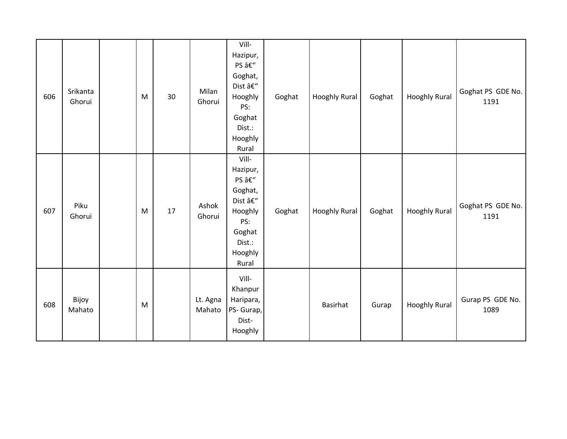| 606 | Srikanta<br>Ghorui | M         | 30 | Milan<br>Ghorui    | Vill-<br>Hazipur,<br>PS –<br>Goghat,<br>Dist –<br>Hooghly<br>PS:<br>Goghat<br>Dist.:<br>Hooghly<br>Rural                                   | Goghat | Hooghly Rural   | Goghat | <b>Hooghly Rural</b> | Goghat PS GDE No.<br>1191 |
|-----|--------------------|-----------|----|--------------------|--------------------------------------------------------------------------------------------------------------------------------------------|--------|-----------------|--------|----------------------|---------------------------|
| 607 | Piku<br>Ghorui     | ${\sf M}$ | 17 | Ashok<br>Ghorui    | Vill-<br>Hazipur,<br>PS –<br>Goghat,<br>Dist $\hat{a}\boldsymbol{\varepsilon}''$<br>Hooghly<br>PS:<br>Goghat<br>Dist.:<br>Hooghly<br>Rural | Goghat | Hooghly Rural   | Goghat | <b>Hooghly Rural</b> | Goghat PS GDE No.<br>1191 |
| 608 | Bijoy<br>Mahato    | M         |    | Lt. Agna<br>Mahato | Vill-<br>Khanpur<br>Haripara,<br>PS- Gurap,<br>Dist-<br>Hooghly                                                                            |        | <b>Basirhat</b> | Gurap  | <b>Hooghly Rural</b> | Gurap PS GDE No.<br>1089  |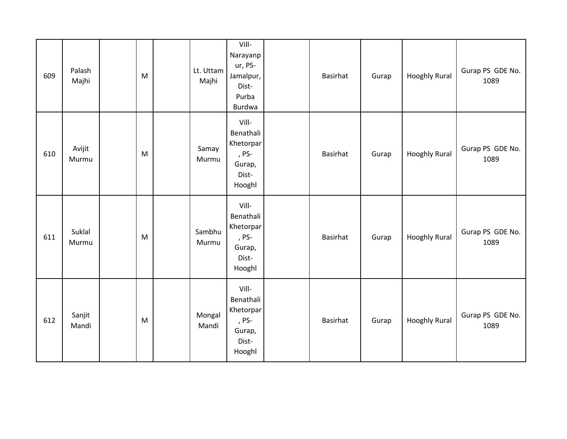| 609 | Palash<br>Majhi | M | Lt. Uttam<br>Majhi | Vill-<br>Narayanp<br>ur, PS-<br>Jamalpur,<br>Dist-<br>Purba<br>Burdwa | Basirhat        | Gurap | <b>Hooghly Rural</b> | Gurap PS GDE No.<br>1089 |
|-----|-----------------|---|--------------------|-----------------------------------------------------------------------|-----------------|-------|----------------------|--------------------------|
| 610 | Avijit<br>Murmu | M | Samay<br>Murmu     | Vill-<br>Benathali<br>Khetorpar<br>, PS-<br>Gurap,<br>Dist-<br>Hooghl | Basirhat        | Gurap | <b>Hooghly Rural</b> | Gurap PS GDE No.<br>1089 |
| 611 | Suklal<br>Murmu | M | Sambhu<br>Murmu    | Vill-<br>Benathali<br>Khetorpar<br>, PS-<br>Gurap,<br>Dist-<br>Hooghl | Basirhat        | Gurap | <b>Hooghly Rural</b> | Gurap PS GDE No.<br>1089 |
| 612 | Sanjit<br>Mandi | M | Mongal<br>Mandi    | Vill-<br>Benathali<br>Khetorpar<br>, PS-<br>Gurap,<br>Dist-<br>Hooghl | <b>Basirhat</b> | Gurap | <b>Hooghly Rural</b> | Gurap PS GDE No.<br>1089 |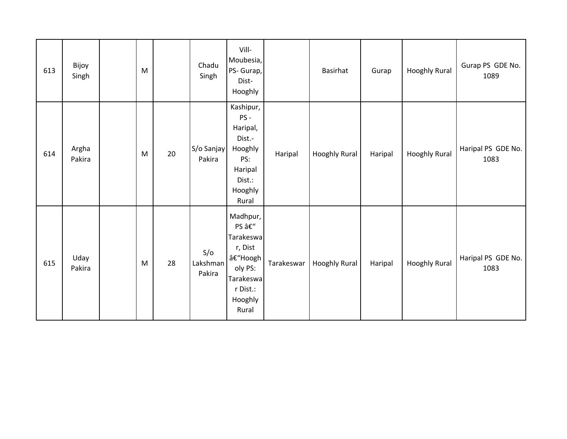| 613 | Bijoy<br>Singh  | M |    | Chadu<br>Singh            | Vill-<br>Moubesia,<br>PS- Gurap,<br>Dist-<br>Hooghly                                                         |            | Basirhat             | Gurap   | <b>Hooghly Rural</b> | Gurap PS GDE No.<br>1089   |
|-----|-----------------|---|----|---------------------------|--------------------------------------------------------------------------------------------------------------|------------|----------------------|---------|----------------------|----------------------------|
| 614 | Argha<br>Pakira | M | 20 | S/o Sanjay<br>Pakira      | Kashipur,<br>PS-<br>Haripal,<br>Dist.-<br>Hooghly<br>PS:<br>Haripal<br>Dist.:<br>Hooghly<br>Rural            | Haripal    | Hooghly Rural        | Haripal | Hooghly Rural        | Haripal PS GDE No.<br>1083 |
| 615 | Uday<br>Pakira  | M | 28 | S/O<br>Lakshman<br>Pakira | Madhpur,<br>PS –<br>Tarakeswa<br>r, Dist<br>–Hoogh  <br>oly PS:<br>Tarakeswa<br>r Dist.:<br>Hooghly<br>Rural | Tarakeswar | <b>Hooghly Rural</b> | Haripal | <b>Hooghly Rural</b> | Haripal PS GDE No.<br>1083 |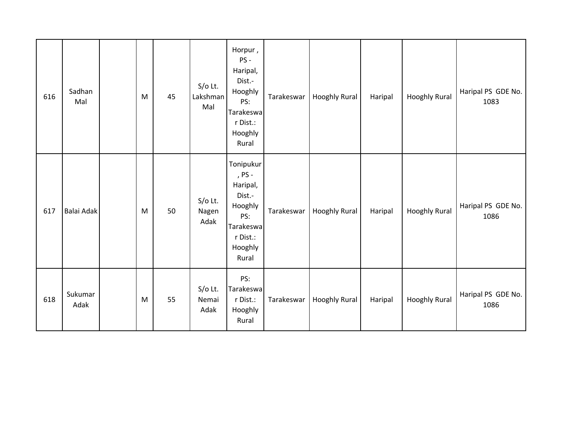| 616 | Sadhan<br>Mal   | ${\sf M}$ | 45 | $S/O$ Lt.<br>Lakshman<br>Mal | Horpur,<br>PS-<br>Haripal,<br>Dist.-<br>Hooghly<br>PS:<br>Tarakeswa<br>r Dist.:<br>Hooghly<br>Rural      | Tarakeswar | Hooghly Rural        | Haripal | <b>Hooghly Rural</b> | Haripal PS GDE No.<br>1083 |
|-----|-----------------|-----------|----|------------------------------|----------------------------------------------------------------------------------------------------------|------------|----------------------|---------|----------------------|----------------------------|
| 617 | Balai Adak      | M         | 50 | $S/O$ Lt.<br>Nagen<br>Adak   | Tonipukur<br>, PS -<br>Haripal,<br>Dist.-<br>Hooghly<br>PS:<br>Tarakeswa<br>r Dist.:<br>Hooghly<br>Rural | Tarakeswar | <b>Hooghly Rural</b> | Haripal | <b>Hooghly Rural</b> | Haripal PS GDE No.<br>1086 |
| 618 | Sukumar<br>Adak | ${\sf M}$ | 55 | $S/O$ Lt.<br>Nemai<br>Adak   | PS:<br>Tarakeswa<br>r Dist.:<br>Hooghly<br>Rural                                                         | Tarakeswar | Hooghly Rural        | Haripal | <b>Hooghly Rural</b> | Haripal PS GDE No.<br>1086 |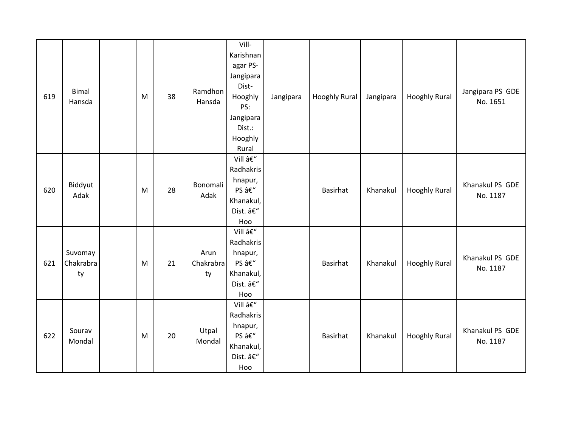| 619 | Bimal<br>Hansda            | M | 38 | Ramdhon<br>Hansda       | Vill-<br>Karishnan<br>agar PS-<br>Jangipara<br>Dist-<br>Hooghly<br>PS:<br>Jangipara<br>Dist.:<br>Hooghly<br>Rural | Jangipara | Hooghly Rural | Jangipara | <b>Hooghly Rural</b> | Jangipara PS GDE<br>No. 1651 |
|-----|----------------------------|---|----|-------------------------|-------------------------------------------------------------------------------------------------------------------|-----------|---------------|-----------|----------------------|------------------------------|
| 620 | Biddyut<br>Adak            | M | 28 | Bonomali<br>Adak        | Vill –<br>Radhakris<br>hnapur,<br>PS –<br>Khanakul,<br>Dist. –<br>Hoo                                             |           | Basirhat      | Khanakul  | <b>Hooghly Rural</b> | Khanakul PS GDE<br>No. 1187  |
| 621 | Suvomay<br>Chakrabra<br>ty | M | 21 | Arun<br>Chakrabra<br>ty | Vill –<br>Radhakris<br>hnapur,<br>PS –<br>Khanakul,<br>Dist. –<br>Hoo                                             |           | Basirhat      | Khanakul  | <b>Hooghly Rural</b> | Khanakul PS GDE<br>No. 1187  |
| 622 | Sourav<br>Mondal           | M | 20 | Utpal<br>Mondal         | Vill –<br>Radhakris<br>hnapur,<br>PS –<br>Khanakul,<br>Dist. –<br>Hoo                                             |           | Basirhat      | Khanakul  | <b>Hooghly Rural</b> | Khanakul PS GDE<br>No. 1187  |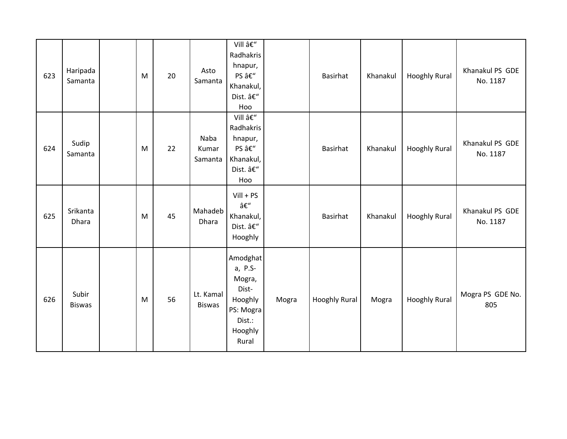| 623 | Haripada<br>Samanta    | M | 20 | Asto<br>Samanta            | Vill –<br>Radhakris<br>hnapur,<br>PS –<br>Khanakul,<br>Dist. –<br>Hoo                        |       | Basirhat             | Khanakul | <b>Hooghly Rural</b> | Khanakul PS GDE<br>No. 1187 |
|-----|------------------------|---|----|----------------------------|----------------------------------------------------------------------------------------------|-------|----------------------|----------|----------------------|-----------------------------|
| 624 | Sudip<br>Samanta       | M | 22 | Naba<br>Kumar<br>Samanta   | Vill –<br>Radhakris<br>hnapur,<br>PS –<br>Khanakul,<br>Dist. –<br>Hoo                        |       | Basirhat             | Khanakul | <b>Hooghly Rural</b> | Khanakul PS GDE<br>No. 1187 |
| 625 | Srikanta<br>Dhara      | M | 45 | Mahadeb<br>Dhara           | $Vill + PS$<br>–<br>Khanakul,<br>Dist. –<br>Hooghly                                          |       | Basirhat             | Khanakul | <b>Hooghly Rural</b> | Khanakul PS GDE<br>No. 1187 |
| 626 | Subir<br><b>Biswas</b> | M | 56 | Lt. Kamal<br><b>Biswas</b> | Amodghat<br>a, P.S-<br>Mogra,<br>Dist-<br>Hooghly<br>PS: Mogra<br>Dist.:<br>Hooghly<br>Rural | Mogra | <b>Hooghly Rural</b> | Mogra    | <b>Hooghly Rural</b> | Mogra PS GDE No.<br>805     |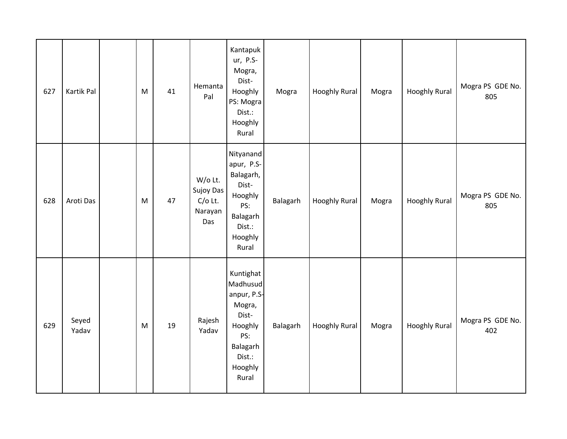| 627 | Kartik Pal     | M         | 41 | Hemanta<br>Pal                                      | Kantapuk<br>ur, P.S-<br>Mogra,<br>Dist-<br>Hooghly<br>PS: Mogra<br>Dist.:<br>Hooghly<br>Rural                       | Mogra    | <b>Hooghly Rural</b> | Mogra | <b>Hooghly Rural</b> | Mogra PS GDE No.<br>805 |
|-----|----------------|-----------|----|-----------------------------------------------------|---------------------------------------------------------------------------------------------------------------------|----------|----------------------|-------|----------------------|-------------------------|
| 628 | Aroti Das      | M         | 47 | W/o Lt.<br>Sujoy Das<br>$C/O$ Lt.<br>Narayan<br>Das | Nityanand<br>apur, P.S-<br>Balagarh,<br>Dist-<br>Hooghly<br>PS:<br>Balagarh<br>Dist.:<br>Hooghly<br>Rural           | Balagarh | <b>Hooghly Rural</b> | Mogra | <b>Hooghly Rural</b> | Mogra PS GDE No.<br>805 |
| 629 | Seyed<br>Yadav | ${\sf M}$ | 19 | Rajesh<br>Yadav                                     | Kuntighat<br>Madhusud<br>anpur, P.S-<br>Mogra,<br>Dist-<br>Hooghly<br>PS:<br>Balagarh<br>Dist.:<br>Hooghly<br>Rural | Balagarh | <b>Hooghly Rural</b> | Mogra | <b>Hooghly Rural</b> | Mogra PS GDE No.<br>402 |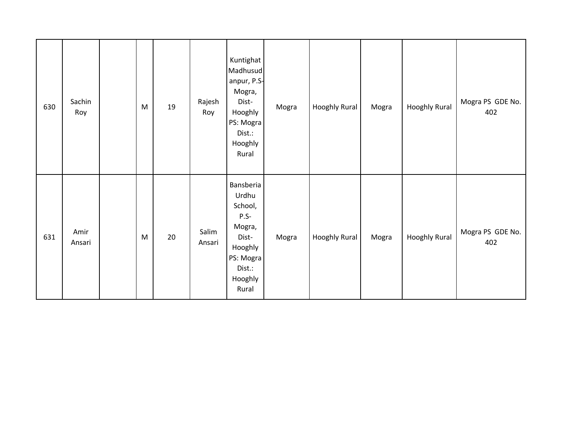| 630 | Sachin<br>Roy  | M | 19 | Rajesh<br>Roy   | Kuntighat<br>Madhusud<br>anpur, P.S-<br>Mogra,<br>Dist-<br>Hooghly<br>PS: Mogra<br>Dist.:<br>Hooghly<br>Rural           | Mogra | <b>Hooghly Rural</b> | Mogra | <b>Hooghly Rural</b> | Mogra PS GDE No.<br>402 |
|-----|----------------|---|----|-----------------|-------------------------------------------------------------------------------------------------------------------------|-------|----------------------|-------|----------------------|-------------------------|
| 631 | Amir<br>Ansari | M | 20 | Salim<br>Ansari | <b>Bansberia</b><br>Urdhu<br>School,<br>$P.S-$<br>Mogra,<br>Dist-<br>Hooghly<br>PS: Mogra<br>Dist.:<br>Hooghly<br>Rural | Mogra | <b>Hooghly Rural</b> | Mogra | <b>Hooghly Rural</b> | Mogra PS GDE No.<br>402 |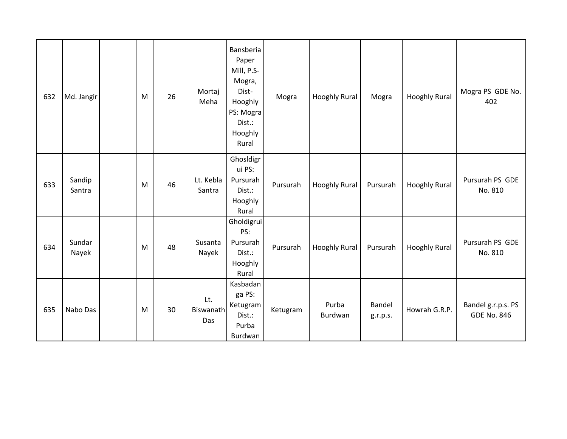| 632 | Md. Jangir       | M | 26 | Mortaj<br>Meha          | Bansberia<br>Paper<br>Mill, P.S-<br>Mogra,<br>Dist-<br>Hooghly<br>PS: Mogra<br>Dist.:<br>Hooghly<br>Rural | Mogra    | <b>Hooghly Rural</b> | Mogra              | <b>Hooghly Rural</b> | Mogra PS GDE No.<br>402                  |
|-----|------------------|---|----|-------------------------|-----------------------------------------------------------------------------------------------------------|----------|----------------------|--------------------|----------------------|------------------------------------------|
| 633 | Sandip<br>Santra | M | 46 | Lt. Kebla<br>Santra     | Ghosldigr<br>ui PS:<br>Pursurah<br>Dist.:<br>Hooghly<br>Rural                                             | Pursurah | <b>Hooghly Rural</b> | Pursurah           | <b>Hooghly Rural</b> | Pursurah PS GDE<br>No. 810               |
| 634 | Sundar<br>Nayek  | M | 48 | Susanta<br>Nayek        | Gholdigrui<br>PS:<br>Pursurah<br>Dist.:<br>Hooghly<br>Rural                                               | Pursurah | <b>Hooghly Rural</b> | Pursurah           | <b>Hooghly Rural</b> | Pursurah PS GDE<br>No. 810               |
| 635 | Nabo Das         | M | 30 | Lt.<br>Biswanath<br>Das | Kasbadan<br>ga PS:<br>Ketugram<br>Dist.:<br>Purba<br>Burdwan                                              | Ketugram | Purba<br>Burdwan     | Bandel<br>g.r.p.s. | Howrah G.R.P.        | Bandel g.r.p.s. PS<br><b>GDE No. 846</b> |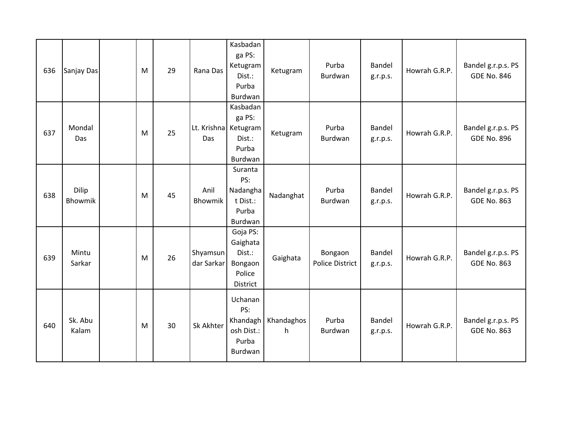| 636 | Sanjay Das       | M | 29 | Rana Das                    | Kasbadan<br>ga PS:<br>Ketugram<br>Dist.:<br>Purba<br>Burdwan    | Ketugram        | Purba<br>Burdwan                  | Bandel<br>g.r.p.s.        | Howrah G.R.P. | Bandel g.r.p.s. PS<br><b>GDE No. 846</b> |
|-----|------------------|---|----|-----------------------------|-----------------------------------------------------------------|-----------------|-----------------------------------|---------------------------|---------------|------------------------------------------|
| 637 | Mondal<br>Das    | M | 25 | Lt. Krishna Ketugram<br>Das | Kasbadan<br>ga PS:<br>Dist.:<br>Purba<br>Burdwan                | Ketugram        | Purba<br>Burdwan                  | <b>Bandel</b><br>g.r.p.s. | Howrah G.R.P. | Bandel g.r.p.s. PS<br><b>GDE No. 896</b> |
| 638 | Dilip<br>Bhowmik | M | 45 | Anil<br><b>Bhowmik</b>      | Suranta<br>PS:<br>Nadangha<br>t Dist.:<br>Purba<br>Burdwan      | Nadanghat       | Purba<br>Burdwan                  | Bandel<br>g.r.p.s.        | Howrah G.R.P. | Bandel g.r.p.s. PS<br><b>GDE No. 863</b> |
| 639 | Mintu<br>Sarkar  | M | 26 | Shyamsun<br>dar Sarkar      | Goja PS:<br>Gaighata<br>Dist.:<br>Bongaon<br>Police<br>District | Gaighata        | Bongaon<br><b>Police District</b> | Bandel<br>g.r.p.s.        | Howrah G.R.P. | Bandel g.r.p.s. PS<br><b>GDE No. 863</b> |
| 640 | Sk. Abu<br>Kalam | M | 30 | Sk Akhter                   | Uchanan<br>PS:<br>Khandagh<br>osh Dist.:<br>Purba<br>Burdwan    | Khandaghos<br>h | Purba<br>Burdwan                  | Bandel<br>g.r.p.s.        | Howrah G.R.P. | Bandel g.r.p.s. PS<br><b>GDE No. 863</b> |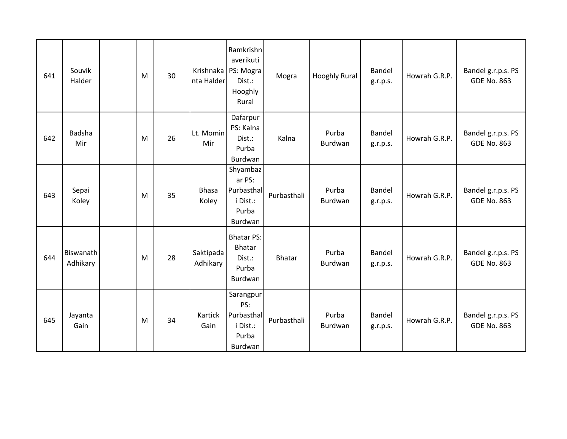| 641 | Souvik<br>Halder             | M | 30 | nta Halder            | Ramkrishn<br>averikuti<br>Krishnaka   PS: Mogra<br>Dist.:<br>Hooghly<br>Rural | Mogra         | <b>Hooghly Rural</b> | Bandel<br>g.r.p.s. | Howrah G.R.P. | Bandel g.r.p.s. PS<br><b>GDE No. 863</b> |
|-----|------------------------------|---|----|-----------------------|-------------------------------------------------------------------------------|---------------|----------------------|--------------------|---------------|------------------------------------------|
| 642 | Badsha<br>Mir                | M | 26 | Lt. Momin<br>Mir      | Dafarpur<br>PS: Kalna<br>Dist.:<br>Purba<br>Burdwan                           | Kalna         | Purba<br>Burdwan     | Bandel<br>g.r.p.s. | Howrah G.R.P. | Bandel g.r.p.s. PS<br><b>GDE No. 863</b> |
| 643 | Sepai<br>Koley               | M | 35 | <b>Bhasa</b><br>Koley | Shyambaz<br>ar PS:<br>Purbasthal<br>i Dist.:<br>Purba<br>Burdwan              | Purbasthali   | Purba<br>Burdwan     | Bandel<br>g.r.p.s. | Howrah G.R.P. | Bandel g.r.p.s. PS<br><b>GDE No. 863</b> |
| 644 | <b>Biswanath</b><br>Adhikary | M | 28 | Saktipada<br>Adhikary | <b>Bhatar PS:</b><br><b>Bhatar</b><br>Dist.:<br>Purba<br>Burdwan              | <b>Bhatar</b> | Purba<br>Burdwan     | Bandel<br>g.r.p.s. | Howrah G.R.P. | Bandel g.r.p.s. PS<br><b>GDE No. 863</b> |
| 645 | Jayanta<br>Gain              | M | 34 | Kartick<br>Gain       | Sarangpur<br>PS:<br>Purbasthal<br>i Dist.:<br>Purba<br>Burdwan                | Purbasthali   | Purba<br>Burdwan     | Bandel<br>g.r.p.s. | Howrah G.R.P. | Bandel g.r.p.s. PS<br><b>GDE No. 863</b> |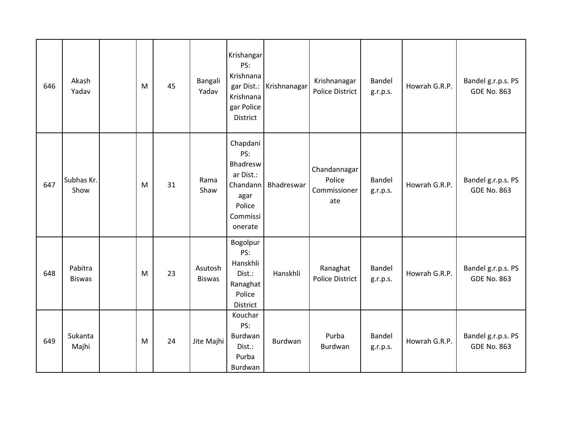| 646 | Akash<br>Yadav           | M | 45 | Bangali<br>Yadav         | Krishangar<br>PS:<br>Krishnana<br>gar Dist.:<br>Krishnana<br>gar Police<br>District           | Krishnanagar | Krishnanagar<br><b>Police District</b>        | Bandel<br>g.r.p.s. | Howrah G.R.P. | Bandel g.r.p.s. PS<br><b>GDE No. 863</b> |
|-----|--------------------------|---|----|--------------------------|-----------------------------------------------------------------------------------------------|--------------|-----------------------------------------------|--------------------|---------------|------------------------------------------|
| 647 | Subhas Kr.<br>Show       | M | 31 | Rama<br>Shaw             | Chapdani<br>PS:<br>Bhadresw<br>ar Dist.:<br>Chandann<br>agar<br>Police<br>Commissi<br>onerate | Bhadreswar   | Chandannagar<br>Police<br>Commissioner<br>ate | Bandel<br>g.r.p.s. | Howrah G.R.P. | Bandel g.r.p.s. PS<br><b>GDE No. 863</b> |
| 648 | Pabitra<br><b>Biswas</b> | M | 23 | Asutosh<br><b>Biswas</b> | Bogolpur<br>PS:<br>Hanskhli<br>Dist.:<br>Ranaghat<br>Police<br>District                       | Hanskhli     | Ranaghat<br><b>Police District</b>            | Bandel<br>g.r.p.s. | Howrah G.R.P. | Bandel g.r.p.s. PS<br><b>GDE No. 863</b> |
| 649 | Sukanta<br>Majhi         | M | 24 | Jite Majhi               | Kouchar<br>PS:<br>Burdwan<br>Dist.:<br>Purba<br>Burdwan                                       | Burdwan      | Purba<br>Burdwan                              | Bandel<br>g.r.p.s. | Howrah G.R.P. | Bandel g.r.p.s. PS<br><b>GDE No. 863</b> |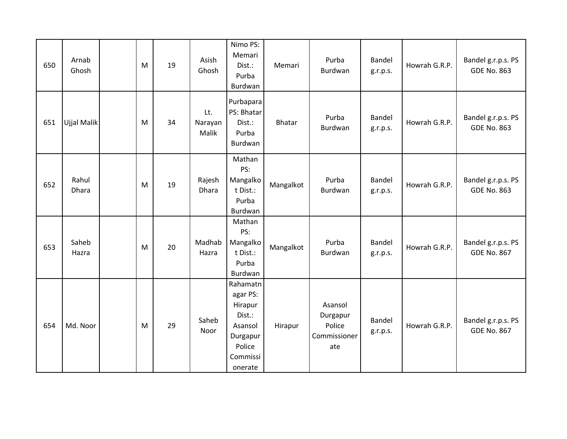| 650 | Arnab<br>Ghosh | M | 19 | Asish<br>Ghosh          | Nimo PS:<br>Memari<br>Dist.:<br>Purba<br>Burdwan                                                  | Memari        | Purba<br>Burdwan                                     | Bandel<br>g.r.p.s. | Howrah G.R.P. | Bandel g.r.p.s. PS<br><b>GDE No. 863</b> |
|-----|----------------|---|----|-------------------------|---------------------------------------------------------------------------------------------------|---------------|------------------------------------------------------|--------------------|---------------|------------------------------------------|
| 651 | Ujjal Malik    | M | 34 | Lt.<br>Narayan<br>Malik | Purbapara<br>PS: Bhatar<br>Dist.:<br>Purba<br>Burdwan                                             | <b>Bhatar</b> | Purba<br>Burdwan                                     | Bandel<br>g.r.p.s. | Howrah G.R.P. | Bandel g.r.p.s. PS<br><b>GDE No. 863</b> |
| 652 | Rahul<br>Dhara | M | 19 | Rajesh<br>Dhara         | Mathan<br>PS:<br>Mangalko<br>t Dist.:<br>Purba<br>Burdwan                                         | Mangalkot     | Purba<br>Burdwan                                     | Bandel<br>g.r.p.s. | Howrah G.R.P. | Bandel g.r.p.s. PS<br><b>GDE No. 863</b> |
| 653 | Saheb<br>Hazra | M | 20 | Madhab<br>Hazra         | Mathan<br>PS:<br>Mangalko<br>t Dist.:<br>Purba<br>Burdwan                                         | Mangalkot     | Purba<br>Burdwan                                     | Bandel<br>g.r.p.s. | Howrah G.R.P. | Bandel g.r.p.s. PS<br><b>GDE No. 867</b> |
| 654 | Md. Noor       | M | 29 | Saheb<br>Noor           | Rahamatn<br>agar PS:<br>Hirapur<br>Dist.:<br>Asansol<br>Durgapur<br>Police<br>Commissi<br>onerate | Hirapur       | Asansol<br>Durgapur<br>Police<br>Commissioner<br>ate | Bandel<br>g.r.p.s. | Howrah G.R.P. | Bandel g.r.p.s. PS<br><b>GDE No. 867</b> |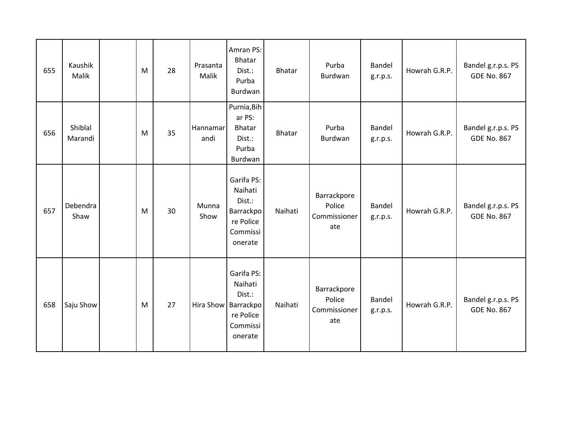| 655 | Kaushik<br>Malik   | M | 28 | Prasanta<br>Malik | Amran PS:<br><b>Bhatar</b><br>Dist.:<br>Purba<br>Burdwan                                   | <b>Bhatar</b> | Purba<br>Burdwan                             | Bandel<br>g.r.p.s. | Howrah G.R.P. | Bandel g.r.p.s. PS<br><b>GDE No. 867</b> |
|-----|--------------------|---|----|-------------------|--------------------------------------------------------------------------------------------|---------------|----------------------------------------------|--------------------|---------------|------------------------------------------|
| 656 | Shiblal<br>Marandi | M | 35 | Hannamar<br>andi  | Purnia, Bih<br>ar PS:<br><b>Bhatar</b><br>Dist.:<br>Purba<br>Burdwan                       | <b>Bhatar</b> | Purba<br>Burdwan                             | Bandel<br>g.r.p.s. | Howrah G.R.P. | Bandel g.r.p.s. PS<br><b>GDE No. 867</b> |
| 657 | Debendra<br>Shaw   | M | 30 | Munna<br>Show     | Garifa PS:<br>Naihati<br>Dist.:<br>Barrackpo<br>re Police<br>Commissi<br>onerate           | Naihati       | Barrackpore<br>Police<br>Commissioner<br>ate | Bandel<br>g.r.p.s. | Howrah G.R.P. | Bandel g.r.p.s. PS<br><b>GDE No. 867</b> |
| 658 | Saju Show          | M | 27 |                   | Garifa PS:<br>Naihati<br>Dist.:<br>Hira Show Barrackpo<br>re Police<br>Commissi<br>onerate | Naihati       | Barrackpore<br>Police<br>Commissioner<br>ate | Bandel<br>g.r.p.s. | Howrah G.R.P. | Bandel g.r.p.s. PS<br><b>GDE No. 867</b> |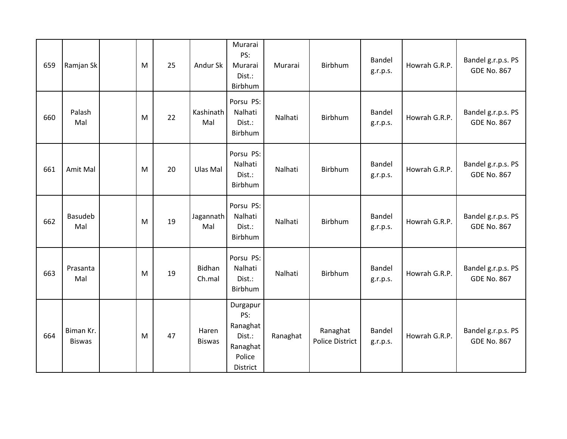| 659 | Ramjan Sk                  | M | 25 | Andur Sk                | Murarai<br>PS:<br>Murarai<br>Dist.:<br>Birbhum                          | Murarai  | Birbhum                            | Bandel<br>g.r.p.s. | Howrah G.R.P. | Bandel g.r.p.s. PS<br><b>GDE No. 867</b> |
|-----|----------------------------|---|----|-------------------------|-------------------------------------------------------------------------|----------|------------------------------------|--------------------|---------------|------------------------------------------|
| 660 | Palash<br>Mal              | M | 22 | Kashinath<br>Mal        | Porsu PS:<br>Nalhati<br>Dist.:<br>Birbhum                               | Nalhati  | <b>Birbhum</b>                     | Bandel<br>g.r.p.s. | Howrah G.R.P. | Bandel g.r.p.s. PS<br><b>GDE No. 867</b> |
| 661 | Amit Mal                   | M | 20 | Ulas Mal                | Porsu PS:<br>Nalhati<br>Dist.:<br>Birbhum                               | Nalhati  | Birbhum                            | Bandel<br>g.r.p.s. | Howrah G.R.P. | Bandel g.r.p.s. PS<br><b>GDE No. 867</b> |
| 662 | <b>Basudeb</b><br>Mal      | M | 19 | Jagannath<br>Mal        | Porsu PS:<br>Nalhati<br>Dist.:<br>Birbhum                               | Nalhati  | Birbhum                            | Bandel<br>g.r.p.s. | Howrah G.R.P. | Bandel g.r.p.s. PS<br><b>GDE No. 867</b> |
| 663 | Prasanta<br>Mal            | M | 19 | <b>Bidhan</b><br>Ch.mal | Porsu PS:<br>Nalhati<br>Dist.:<br>Birbhum                               | Nalhati  | Birbhum                            | Bandel<br>g.r.p.s. | Howrah G.R.P. | Bandel g.r.p.s. PS<br><b>GDE No. 867</b> |
| 664 | Biman Kr.<br><b>Biswas</b> | M | 47 | Haren<br><b>Biswas</b>  | Durgapur<br>PS:<br>Ranaghat<br>Dist.:<br>Ranaghat<br>Police<br>District | Ranaghat | Ranaghat<br><b>Police District</b> | Bandel<br>g.r.p.s. | Howrah G.R.P. | Bandel g.r.p.s. PS<br><b>GDE No. 867</b> |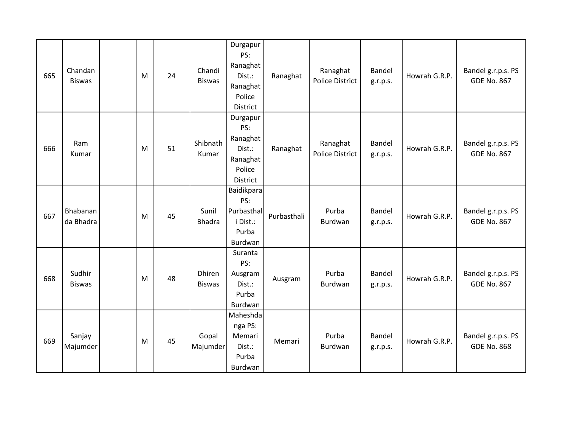| 665 | Chandan<br><b>Biswas</b> | M | 24 | Chandi<br><b>Biswas</b> | Durgapur<br>PS:<br>Ranaghat<br>Dist.:<br>Ranaghat<br>Police<br>District | Ranaghat    | Ranaghat<br><b>Police District</b> | Bandel<br>g.r.p.s. | Howrah G.R.P. | Bandel g.r.p.s. PS<br><b>GDE No. 867</b> |
|-----|--------------------------|---|----|-------------------------|-------------------------------------------------------------------------|-------------|------------------------------------|--------------------|---------------|------------------------------------------|
| 666 | Ram<br>Kumar             | M | 51 | Shibnath<br>Kumar       | Durgapur<br>PS:<br>Ranaghat<br>Dist.:<br>Ranaghat<br>Police<br>District | Ranaghat    | Ranaghat<br><b>Police District</b> | Bandel<br>g.r.p.s. | Howrah G.R.P. | Bandel g.r.p.s. PS<br><b>GDE No. 867</b> |
| 667 | Bhabanan<br>da Bhadra    | M | 45 | Sunil<br><b>Bhadra</b>  | Baidikpara<br>PS:<br>Purbasthal<br>i Dist.:<br>Purba<br>Burdwan         | Purbasthali | Purba<br>Burdwan                   | Bandel<br>g.r.p.s. | Howrah G.R.P. | Bandel g.r.p.s. PS<br><b>GDE No. 867</b> |
| 668 | Sudhir<br><b>Biswas</b>  | M | 48 | Dhiren<br><b>Biswas</b> | Suranta<br>PS:<br>Ausgram<br>Dist.:<br>Purba<br>Burdwan                 | Ausgram     | Purba<br>Burdwan                   | Bandel<br>g.r.p.s. | Howrah G.R.P. | Bandel g.r.p.s. PS<br><b>GDE No. 867</b> |
| 669 | Sanjay<br>Majumder       | M | 45 | Gopal<br>Majumder       | Maheshda<br>nga PS:<br>Memari<br>Dist.:<br>Purba<br>Burdwan             | Memari      | Purba<br>Burdwan                   | Bandel<br>g.r.p.s. | Howrah G.R.P. | Bandel g.r.p.s. PS<br><b>GDE No. 868</b> |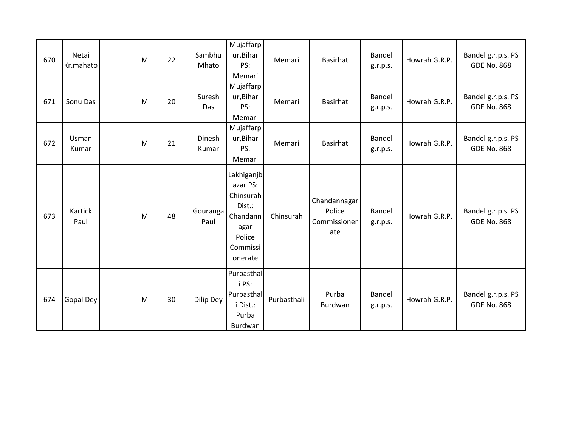| 670 | Netai<br>Kr.mahato | M | 22 | Sambhu<br>Mhato  | Mujaffarp<br>ur, Bihar<br>PS:<br>Memari                                                            | Memari      | Basirhat                                      | Bandel<br>g.r.p.s. | Howrah G.R.P. | Bandel g.r.p.s. PS<br><b>GDE No. 868</b> |
|-----|--------------------|---|----|------------------|----------------------------------------------------------------------------------------------------|-------------|-----------------------------------------------|--------------------|---------------|------------------------------------------|
| 671 | Sonu Das           | M | 20 | Suresh<br>Das    | Mujaffarp<br>ur, Bihar<br>PS:<br>Memari                                                            | Memari      | Basirhat                                      | Bandel<br>g.r.p.s. | Howrah G.R.P. | Bandel g.r.p.s. PS<br><b>GDE No. 868</b> |
| 672 | Usman<br>Kumar     | M | 21 | Dinesh<br>Kumar  | Mujaffarp<br>ur, Bihar<br>PS:<br>Memari                                                            | Memari      | Basirhat                                      | Bandel<br>g.r.p.s. | Howrah G.R.P. | Bandel g.r.p.s. PS<br><b>GDE No. 868</b> |
| 673 | Kartick<br>Paul    | M | 48 | Gouranga<br>Paul | Lakhiganjb<br>azar PS:<br>Chinsurah<br>Dist.:<br>Chandann<br>agar<br>Police<br>Commissi<br>onerate | Chinsurah   | Chandannagar<br>Police<br>Commissioner<br>ate | Bandel<br>g.r.p.s. | Howrah G.R.P. | Bandel g.r.p.s. PS<br><b>GDE No. 868</b> |
| 674 | Gopal Dey          | M | 30 | Dilip Dey        | Purbasthal<br>i PS:<br>Purbasthal<br>i Dist.:<br>Purba<br>Burdwan                                  | Purbasthali | Purba<br>Burdwan                              | Bandel<br>g.r.p.s. | Howrah G.R.P. | Bandel g.r.p.s. PS<br><b>GDE No. 868</b> |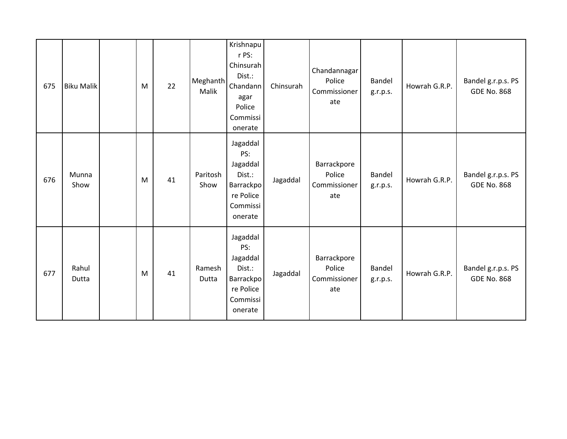| 675 | <b>Biku Malik</b> | M | 22 | Meghanth<br>Malik | Krishnapu<br>r PS:<br>Chinsurah<br>Dist.:<br>Chandann<br>agar<br>Police<br>Commissi<br>onerate | Chinsurah | Chandannagar<br>Police<br>Commissioner<br>ate | Bandel<br>g.r.p.s.        | Howrah G.R.P. | Bandel g.r.p.s. PS<br><b>GDE No. 868</b> |
|-----|-------------------|---|----|-------------------|------------------------------------------------------------------------------------------------|-----------|-----------------------------------------------|---------------------------|---------------|------------------------------------------|
| 676 | Munna<br>Show     | M | 41 | Paritosh<br>Show  | Jagaddal<br>PS:<br>Jagaddal<br>Dist.:<br>Barrackpol<br>re Police<br>Commissi<br>onerate        | Jagaddal  | Barrackpore<br>Police<br>Commissioner<br>ate  | <b>Bandel</b><br>g.r.p.s. | Howrah G.R.P. | Bandel g.r.p.s. PS<br><b>GDE No. 868</b> |
| 677 | Rahul<br>Dutta    | M | 41 | Ramesh<br>Dutta   | Jagaddal<br>PS:<br>Jagaddal<br>Dist.:<br>Barrackpo<br>re Police<br>Commissi<br>onerate         | Jagaddal  | Barrackpore<br>Police<br>Commissioner<br>ate  | Bandel<br>g.r.p.s.        | Howrah G.R.P. | Bandel g.r.p.s. PS<br><b>GDE No. 868</b> |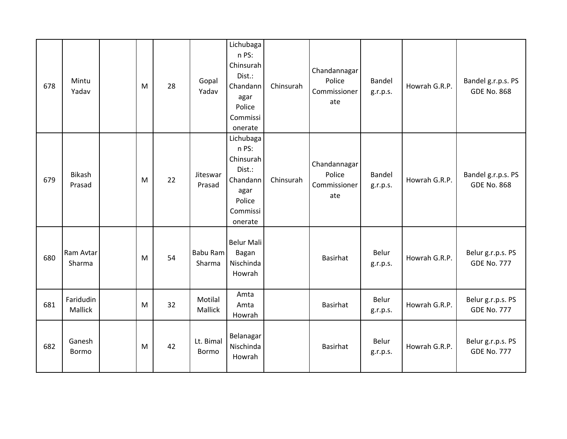| 678 | Mintu<br>Yadav          | M | 28 | Gopal<br>Yadav            | Lichubaga<br>n PS:<br>Chinsurah<br>Dist.:<br>Chandann<br>agar<br>Police<br>Commissi<br>onerate | Chinsurah | Chandannagar<br>Police<br>Commissioner<br>ate | Bandel<br>g.r.p.s. | Howrah G.R.P. | Bandel g.r.p.s. PS<br><b>GDE No. 868</b> |
|-----|-------------------------|---|----|---------------------------|------------------------------------------------------------------------------------------------|-----------|-----------------------------------------------|--------------------|---------------|------------------------------------------|
| 679 | <b>Bikash</b><br>Prasad | M | 22 | Jiteswar<br>Prasad        | Lichubaga<br>n PS:<br>Chinsurah<br>Dist.:<br>Chandann<br>agar<br>Police<br>Commissi<br>onerate | Chinsurah | Chandannagar<br>Police<br>Commissioner<br>ate | Bandel<br>g.r.p.s. | Howrah G.R.P. | Bandel g.r.p.s. PS<br><b>GDE No. 868</b> |
| 680 | Ram Avtar<br>Sharma     | M | 54 | Babu Ram<br>Sharma        | <b>Belur Mali</b><br>Bagan<br>Nischinda<br>Howrah                                              |           | Basirhat                                      | Belur<br>g.r.p.s.  | Howrah G.R.P. | Belur g.r.p.s. PS<br><b>GDE No. 777</b>  |
| 681 | Faridudin<br>Mallick    | M | 32 | Motilal<br>Mallick        | Amta<br>Amta<br>Howrah                                                                         |           | Basirhat                                      | Belur<br>g.r.p.s.  | Howrah G.R.P. | Belur g.r.p.s. PS<br><b>GDE No. 777</b>  |
| 682 | Ganesh<br>Bormo         | M | 42 | Lt. Bimal<br><b>Bormo</b> | Belanagar<br>Nischinda<br>Howrah                                                               |           | Basirhat                                      | Belur<br>g.r.p.s.  | Howrah G.R.P. | Belur g.r.p.s. PS<br><b>GDE No. 777</b>  |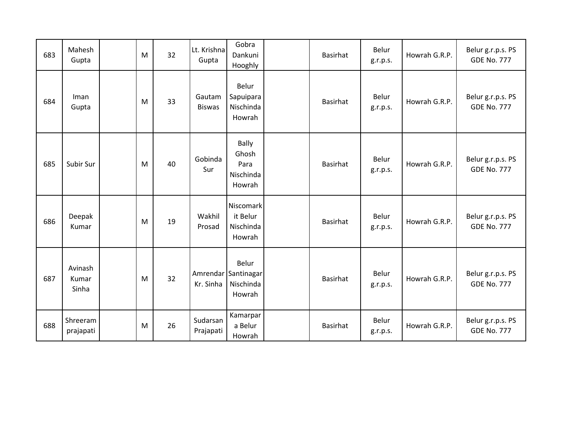| 683 | Mahesh<br>Gupta           | M | 32 | Lt. Krishna<br>Gupta    | Gobra<br>Dankuni<br>Hooghly                          | <b>Basirhat</b> | Belur<br>g.r.p.s. | Howrah G.R.P. | Belur g.r.p.s. PS<br><b>GDE No. 777</b> |
|-----|---------------------------|---|----|-------------------------|------------------------------------------------------|-----------------|-------------------|---------------|-----------------------------------------|
| 684 | Iman<br>Gupta             | M | 33 | Gautam<br><b>Biswas</b> | Belur<br>Sapuipara<br>Nischinda<br>Howrah            | <b>Basirhat</b> | Belur<br>g.r.p.s. | Howrah G.R.P. | Belur g.r.p.s. PS<br><b>GDE No. 777</b> |
| 685 | Subir Sur                 | M | 40 | Gobinda<br>Sur          | <b>Bally</b><br>Ghosh<br>Para<br>Nischinda<br>Howrah | <b>Basirhat</b> | Belur<br>g.r.p.s. | Howrah G.R.P. | Belur g.r.p.s. PS<br><b>GDE No. 777</b> |
| 686 | Deepak<br>Kumar           | M | 19 | Wakhil<br>Prosad        | Niscomark<br>it Belur<br>Nischinda<br>Howrah         | <b>Basirhat</b> | Belur<br>g.r.p.s. | Howrah G.R.P. | Belur g.r.p.s. PS<br><b>GDE No. 777</b> |
| 687 | Avinash<br>Kumar<br>Sinha | M | 32 | Kr. Sinha               | Belur<br>Amrendar Santinagar<br>Nischinda<br>Howrah  | <b>Basirhat</b> | Belur<br>g.r.p.s. | Howrah G.R.P. | Belur g.r.p.s. PS<br><b>GDE No. 777</b> |
| 688 | Shreeram<br>prajapati     | M | 26 | Sudarsan<br>Prajapati   | Kamarpar<br>a Belur<br>Howrah                        | <b>Basirhat</b> | Belur<br>g.r.p.s. | Howrah G.R.P. | Belur g.r.p.s. PS<br><b>GDE No. 777</b> |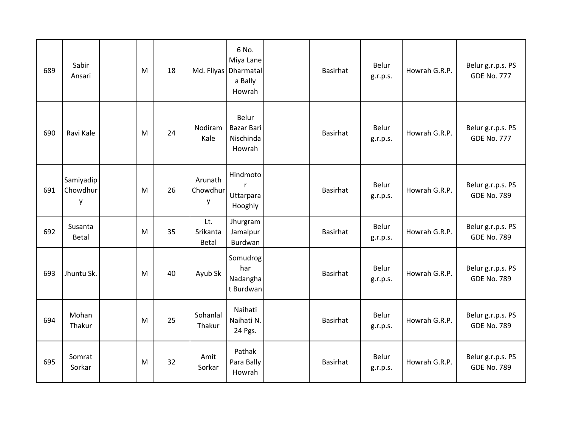| 689 | Sabir<br>Ansari            | M | 18 |                          | 6 No.<br>Miya Lane<br>Md. Fliyas Dharmatal<br>a Bally<br>Howrah | Basirhat        | Belur<br>g.r.p.s. | Howrah G.R.P. | Belur g.r.p.s. PS<br><b>GDE No. 777</b> |
|-----|----------------------------|---|----|--------------------------|-----------------------------------------------------------------|-----------------|-------------------|---------------|-----------------------------------------|
| 690 | Ravi Kale                  | M | 24 | Nodiram<br>Kale          | Belur<br><b>Bazar Bari</b><br>Nischinda<br>Howrah               | <b>Basirhat</b> | Belur<br>g.r.p.s. | Howrah G.R.P. | Belur g.r.p.s. PS<br><b>GDE No. 777</b> |
| 691 | Samiyadip<br>Chowdhur<br>y | M | 26 | Arunath<br>Chowdhur<br>y | Hindmoto<br>$\mathsf{r}$<br>Uttarpara<br>Hooghly                | Basirhat        | Belur<br>g.r.p.s. | Howrah G.R.P. | Belur g.r.p.s. PS<br><b>GDE No. 789</b> |
| 692 | Susanta<br><b>Betal</b>    | M | 35 | Lt.<br>Srikanta<br>Betal | Jhurgram<br>Jamalpur<br>Burdwan                                 | Basirhat        | Belur<br>g.r.p.s. | Howrah G.R.P. | Belur g.r.p.s. PS<br><b>GDE No. 789</b> |
| 693 | Jhuntu Sk.                 | M | 40 | Ayub Sk                  | Somudrog<br>har<br>Nadangha<br>t Burdwan                        | <b>Basirhat</b> | Belur<br>g.r.p.s. | Howrah G.R.P. | Belur g.r.p.s. PS<br><b>GDE No. 789</b> |
| 694 | Mohan<br>Thakur            | M | 25 | Sohanlal<br>Thakur       | Naihati<br>Naihati N.<br>24 Pgs.                                | Basirhat        | Belur<br>g.r.p.s. | Howrah G.R.P. | Belur g.r.p.s. PS<br><b>GDE No. 789</b> |
| 695 | Somrat<br>Sorkar           | M | 32 | Amit<br>Sorkar           | Pathak<br>Para Bally<br>Howrah                                  | Basirhat        | Belur<br>g.r.p.s. | Howrah G.R.P. | Belur g.r.p.s. PS<br><b>GDE No. 789</b> |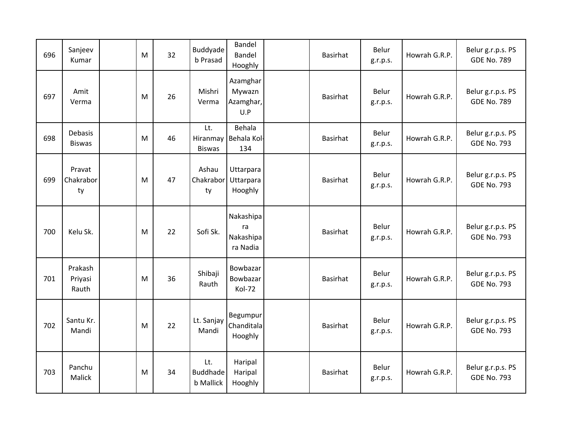| 696 | Sanjeev<br>Kumar                | M | 32 | Buddyade<br>b Prasad                       | <b>Bandel</b><br>Bandel<br>Hooghly       | Basirhat        | Belur<br>g.r.p.s. | Howrah G.R.P. | Belur g.r.p.s. PS<br><b>GDE No. 789</b> |
|-----|---------------------------------|---|----|--------------------------------------------|------------------------------------------|-----------------|-------------------|---------------|-----------------------------------------|
| 697 | Amit<br>Verma                   | M | 26 | Mishri<br>Verma                            | Azamghar<br>Mywazn<br>Azamghar,<br>U.P   | Basirhat        | Belur<br>g.r.p.s. | Howrah G.R.P. | Belur g.r.p.s. PS<br><b>GDE No. 789</b> |
| 698 | <b>Debasis</b><br><b>Biswas</b> | M | 46 | Lt.<br><b>Biswas</b>                       | Behala<br>Hiranmay Behala Kol-<br>134    | Basirhat        | Belur<br>g.r.p.s. | Howrah G.R.P. | Belur g.r.p.s. PS<br><b>GDE No. 793</b> |
| 699 | Pravat<br>Chakrabor<br>ty       | M | 47 | Ashau<br>Chakrabor<br>ty                   | Uttarpara<br>Uttarpara<br>Hooghly        | Basirhat        | Belur<br>g.r.p.s. | Howrah G.R.P. | Belur g.r.p.s. PS<br><b>GDE No. 793</b> |
| 700 | Kelu Sk.                        | M | 22 | Sofi Sk.                                   | Nakashipa<br>ra<br>Nakashipa<br>ra Nadia | <b>Basirhat</b> | Belur<br>g.r.p.s. | Howrah G.R.P. | Belur g.r.p.s. PS<br><b>GDE No. 793</b> |
| 701 | Prakash<br>Priyasi<br>Rauth     | M | 36 | Shibaji<br>Rauth                           | Bowbazar<br>Bowbazar<br>Kol-72           | Basirhat        | Belur<br>g.r.p.s. | Howrah G.R.P. | Belur g.r.p.s. PS<br><b>GDE No. 793</b> |
| 702 | Santu Kr.<br>Mandi              | M | 22 | Lt. Sanjay<br>Mandi                        | Begumpur<br>Chanditala<br>Hooghly        | Basirhat        | Belur<br>g.r.p.s. | Howrah G.R.P. | Belur g.r.p.s. PS<br><b>GDE No. 793</b> |
| 703 | Panchu<br>Malick                | M | 34 | Lt.<br><b>Buddhade</b><br><b>b</b> Mallick | Haripal<br>Haripal<br>Hooghly            | <b>Basirhat</b> | Belur<br>g.r.p.s. | Howrah G.R.P. | Belur g.r.p.s. PS<br><b>GDE No. 793</b> |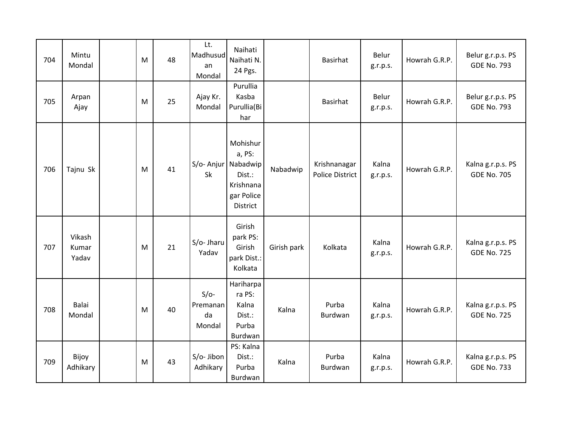| 704 | Mintu<br>Mondal          | M | 48 | Lt.<br>Madhusud<br>an<br>Mondal    | Naihati<br>Naihati N.<br>24 Pgs.                                                           |             | Basirhat                               | Belur<br>g.r.p.s. | Howrah G.R.P. | Belur g.r.p.s. PS<br><b>GDE No. 793</b> |
|-----|--------------------------|---|----|------------------------------------|--------------------------------------------------------------------------------------------|-------------|----------------------------------------|-------------------|---------------|-----------------------------------------|
| 705 | Arpan<br>Ajay            | M | 25 | Ajay Kr.<br>Mondal                 | Purullia<br>Kasba<br>Purullia(Bi<br>har                                                    |             | <b>Basirhat</b>                        | Belur<br>g.r.p.s. | Howrah G.R.P. | Belur g.r.p.s. PS<br><b>GDE No. 793</b> |
| 706 | Tajnu Sk                 | M | 41 | Sk                                 | Mohishur<br>a, PS:<br>S/o- Anjur Nabadwip<br>Dist.:<br>Krishnana<br>gar Police<br>District | Nabadwip    | Krishnanagar<br><b>Police District</b> | Kalna<br>g.r.p.s. | Howrah G.R.P. | Kalna g.r.p.s. PS<br><b>GDE No. 705</b> |
| 707 | Vikash<br>Kumar<br>Yadav | M | 21 | S/o- Jharu<br>Yadav                | Girish<br>park PS:<br>Girish<br>park Dist.:<br>Kolkata                                     | Girish park | Kolkata                                | Kalna<br>g.r.p.s. | Howrah G.R.P. | Kalna g.r.p.s. PS<br><b>GDE No. 725</b> |
| 708 | Balai<br>Mondal          | M | 40 | $S/O-$<br>Premanan<br>da<br>Mondal | Hariharpa<br>ra PS:<br>Kalna<br>Dist.:<br>Purba<br>Burdwan                                 | Kalna       | Purba<br>Burdwan                       | Kalna<br>g.r.p.s. | Howrah G.R.P. | Kalna g.r.p.s. PS<br><b>GDE No. 725</b> |
| 709 | Bijoy<br>Adhikary        | M | 43 | S/o- Jibon<br>Adhikary             | PS: Kalna<br>Dist.:<br>Purba<br>Burdwan                                                    | Kalna       | Purba<br>Burdwan                       | Kalna<br>g.r.p.s. | Howrah G.R.P. | Kalna g.r.p.s. PS<br><b>GDE No. 733</b> |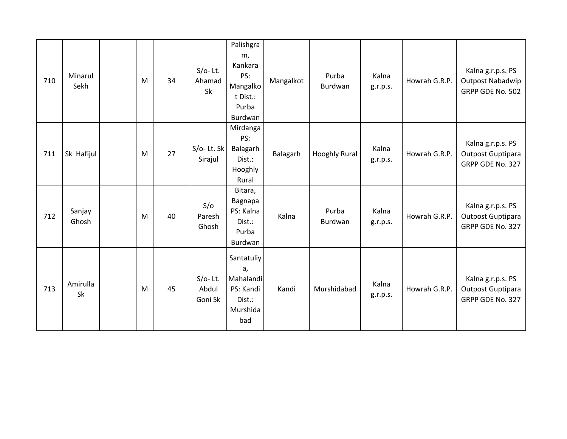| 710 | Minarul<br>Sekh | M | 34 | $S/O-$ Lt.<br>Ahamad<br>Sk     | Palishgra<br>m,<br>Kankara<br>PS:<br>Mangalko<br>t Dist.:<br>Purba<br>Burdwan | Mangalkot | Purba<br>Burdwan | Kalna<br>g.r.p.s. | Howrah G.R.P. | Kalna g.r.p.s. PS<br><b>Outpost Nabadwip</b><br>GRPP GDE No. 502 |
|-----|-----------------|---|----|--------------------------------|-------------------------------------------------------------------------------|-----------|------------------|-------------------|---------------|------------------------------------------------------------------|
| 711 | Sk Hafijul      | M | 27 | $S/O-$ Lt. Sk<br>Sirajul       | Mirdanga<br>PS:<br>Balagarh<br>Dist.:<br>Hooghly<br>Rural                     | Balagarh  | Hooghly Rural    | Kalna<br>g.r.p.s. | Howrah G.R.P. | Kalna g.r.p.s. PS<br>Outpost Guptipara<br>GRPP GDE No. 327       |
| 712 | Sanjay<br>Ghosh | M | 40 | S/O<br>Paresh<br>Ghosh         | Bitara,<br>Bagnapa<br>PS: Kalna<br>Dist.:<br>Purba<br>Burdwan                 | Kalna     | Purba<br>Burdwan | Kalna<br>g.r.p.s. | Howrah G.R.P. | Kalna g.r.p.s. PS<br>Outpost Guptipara<br>GRPP GDE No. 327       |
| 713 | Amirulla<br>Sk  | M | 45 | $S/O-$ Lt.<br>Abdul<br>Goni Sk | Santatuliy<br>a,<br>Mahalandi<br>PS: Kandi<br>Dist.:<br>Murshida<br>bad       | Kandi     | Murshidabad      | Kalna<br>g.r.p.s. | Howrah G.R.P. | Kalna g.r.p.s. PS<br>Outpost Guptipara<br>GRPP GDE No. 327       |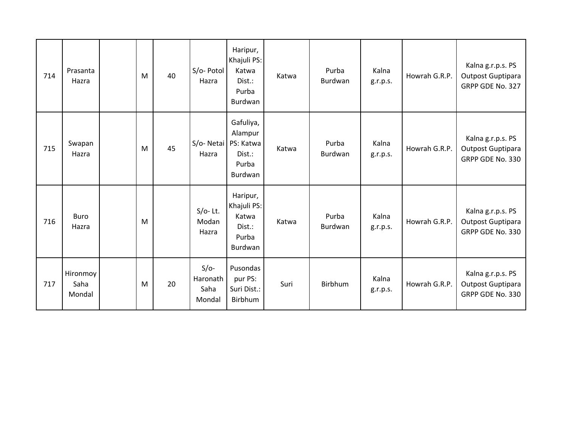| 714 | Prasanta<br>Hazra          | M | 40 | S/o- Potol<br>Hazra                  | Haripur,<br>Khajuli PS:<br>Katwa<br>Dist.:<br>Purba<br>Burdwan  | Katwa | Purba<br>Burdwan | Kalna<br>g.r.p.s. | Howrah G.R.P. | Kalna g.r.p.s. PS<br>Outpost Guptipara<br>GRPP GDE No. 327 |
|-----|----------------------------|---|----|--------------------------------------|-----------------------------------------------------------------|-------|------------------|-------------------|---------------|------------------------------------------------------------|
| 715 | Swapan<br>Hazra            | M | 45 | S/o-Netai<br>Hazra                   | Gafuliya,<br>Alampur<br>PS: Katwa<br>Dist.:<br>Purba<br>Burdwan | Katwa | Purba<br>Burdwan | Kalna<br>g.r.p.s. | Howrah G.R.P. | Kalna g.r.p.s. PS<br>Outpost Guptipara<br>GRPP GDE No. 330 |
| 716 | <b>Buro</b><br>Hazra       | M |    | $S/O-$ Lt.<br>Modan<br>Hazra         | Haripur,<br>Khajuli PS:<br>Katwa<br>Dist.:<br>Purba<br>Burdwan  | Katwa | Purba<br>Burdwan | Kalna<br>g.r.p.s. | Howrah G.R.P. | Kalna g.r.p.s. PS<br>Outpost Guptipara<br>GRPP GDE No. 330 |
| 717 | Hironmoy<br>Saha<br>Mondal | M | 20 | $S/O-$<br>Haronath<br>Saha<br>Mondal | Pusondas<br>pur PS:<br>Suri Dist.:<br>Birbhum                   | Suri  | Birbhum          | Kalna<br>g.r.p.s. | Howrah G.R.P. | Kalna g.r.p.s. PS<br>Outpost Guptipara<br>GRPP GDE No. 330 |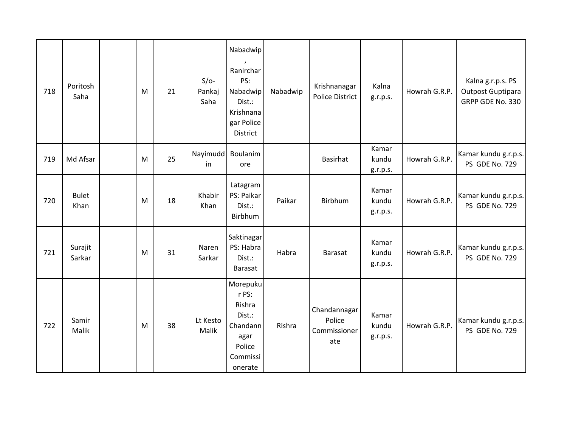| 718 | Poritosh<br>Saha     | M | 21 | $S/O-$<br>Pankaj<br>Saha  | Nabadwip<br>Ranirchar<br>PS:<br>Nabadwip<br>Dist.:<br>Krishnana<br>gar Police<br>District  | Nabadwip | Krishnanagar<br><b>Police District</b>        | Kalna<br>g.r.p.s.          | Howrah G.R.P. | Kalna g.r.p.s. PS<br>Outpost Guptipara<br>GRPP GDE No. 330 |
|-----|----------------------|---|----|---------------------------|--------------------------------------------------------------------------------------------|----------|-----------------------------------------------|----------------------------|---------------|------------------------------------------------------------|
| 719 | Md Afsar             | M | 25 | Nayimudd   Boulanim<br>in | ore                                                                                        |          | <b>Basirhat</b>                               | Kamar<br>kundu<br>g.r.p.s. | Howrah G.R.P. | Kamar kundu g.r.p.s.<br>PS GDE No. 729                     |
| 720 | <b>Bulet</b><br>Khan | M | 18 | Khabir<br>Khan            | Latagram<br>PS: Paikar<br>Dist.:<br>Birbhum                                                | Paikar   | Birbhum                                       | Kamar<br>kundu<br>g.r.p.s. | Howrah G.R.P. | Kamar kundu g.r.p.s.<br>PS GDE No. 729                     |
| 721 | Surajit<br>Sarkar    | M | 31 | Naren<br>Sarkar           | Saktinagar<br>PS: Habra<br>Dist.:<br>Barasat                                               | Habra    | Barasat                                       | Kamar<br>kundu<br>g.r.p.s. | Howrah G.R.P. | Kamar kundu g.r.p.s.<br>PS GDE No. 729                     |
| 722 | Samir<br>Malik       | M | 38 | Lt Kesto<br>Malik         | Morepuku<br>r PS:<br>Rishra<br>Dist.:<br>Chandann<br>agar<br>Police<br>Commissi<br>onerate | Rishra   | Chandannagar<br>Police<br>Commissioner<br>ate | Kamar<br>kundu<br>g.r.p.s. | Howrah G.R.P. | Kamar kundu g.r.p.s.<br>PS GDE No. 729                     |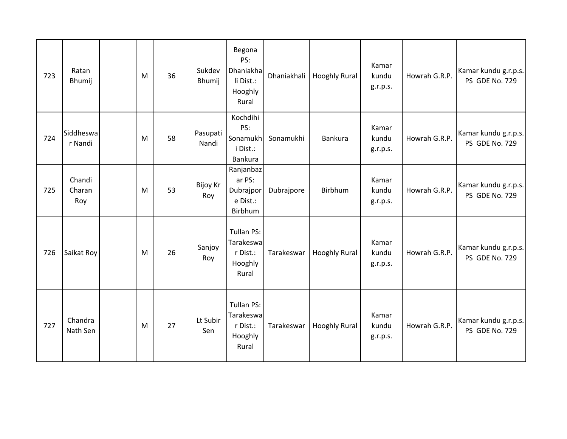| 723 | Ratan<br>Bhumij         | M | 36 | Sukdev<br>Bhumij       | Begona<br>PS:<br><b>Dhaniakha</b><br>li Dist.:<br>Hooghly<br>Rural | Dhaniakhali | <b>Hooghly Rural</b> | Kamar<br>kundu<br>g.r.p.s. | Howrah G.R.P. | Kamar kundu g.r.p.s.<br>PS GDE No. 729 |
|-----|-------------------------|---|----|------------------------|--------------------------------------------------------------------|-------------|----------------------|----------------------------|---------------|----------------------------------------|
| 724 | Siddheswa<br>r Nandi    | M | 58 | Pasupati<br>Nandi      | Kochdihi<br>PS:<br>Sonamukh<br>i Dist.:<br>Bankura                 | Sonamukhi   | Bankura              | Kamar<br>kundu<br>g.r.p.s. | Howrah G.R.P. | Kamar kundu g.r.p.s.<br>PS GDE No. 729 |
| 725 | Chandi<br>Charan<br>Roy | M | 53 | <b>Bijoy Kr</b><br>Roy | Ranjanbaz<br>ar PS:<br>Dubrajpor<br>e Dist.:<br>Birbhum            | Dubrajpore  | Birbhum              | Kamar<br>kundu<br>g.r.p.s. | Howrah G.R.P. | Kamar kundu g.r.p.s.<br>PS GDE No. 729 |
| 726 | Saikat Roy              | M | 26 | Sanjoy<br>Roy          | Tullan PS:<br>Tarakeswa<br>r Dist.:<br>Hooghly<br>Rural            | Tarakeswar  | <b>Hooghly Rural</b> | Kamar<br>kundu<br>g.r.p.s. | Howrah G.R.P. | Kamar kundu g.r.p.s.<br>PS GDE No. 729 |
| 727 | Chandra<br>Nath Sen     | M | 27 | Lt Subir<br>Sen        | Tullan PS:<br>Tarakeswa<br>r Dist.:<br>Hooghly<br>Rural            | Tarakeswar  | <b>Hooghly Rural</b> | Kamar<br>kundu<br>g.r.p.s. | Howrah G.R.P. | Kamar kundu g.r.p.s.<br>PS GDE No. 729 |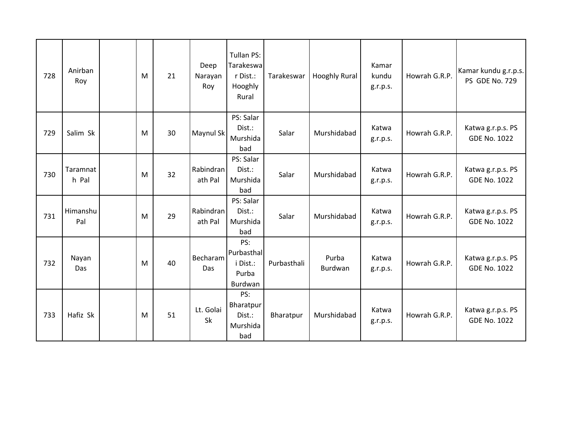| 728 | Anirban<br>Roy    | M | 21 | Deep<br>Narayan<br>Roy | Tullan PS:<br>Tarakeswa<br>r Dist.:<br>Hooghly<br>Rural | Tarakeswar  | <b>Hooghly Rural</b> | Kamar<br>kundu<br>g.r.p.s. | Howrah G.R.P. | Kamar kundu g.r.p.s.<br>PS GDE No. 729   |
|-----|-------------------|---|----|------------------------|---------------------------------------------------------|-------------|----------------------|----------------------------|---------------|------------------------------------------|
| 729 | Salim Sk          | M | 30 | Maynul Sk              | PS: Salar<br>Dist.:<br>Murshida<br>bad                  | Salar       | Murshidabad          | Katwa<br>g.r.p.s.          | Howrah G.R.P. | Katwa g.r.p.s. PS<br><b>GDE No. 1022</b> |
| 730 | Taramnat<br>h Pal | M | 32 | Rabindran<br>ath Pal   | PS: Salar<br>Dist.:<br>Murshida<br>bad                  | Salar       | Murshidabad          | Katwa<br>g.r.p.s.          | Howrah G.R.P. | Katwa g.r.p.s. PS<br><b>GDE No. 1022</b> |
| 731 | Himanshu<br>Pal   | M | 29 | Rabindran<br>ath Pal   | PS: Salar<br>Dist.:<br>Murshida<br>bad                  | Salar       | Murshidabad          | Katwa<br>g.r.p.s.          | Howrah G.R.P. | Katwa g.r.p.s. PS<br><b>GDE No. 1022</b> |
| 732 | Nayan<br>Das      | M | 40 | Becharam<br>Das        | PS:<br>Purbasthal<br>i Dist.:<br>Purba<br>Burdwan       | Purbasthali | Purba<br>Burdwan     | Katwa<br>g.r.p.s.          | Howrah G.R.P. | Katwa g.r.p.s. PS<br><b>GDE No. 1022</b> |
| 733 | Hafiz Sk          | M | 51 | Lt. Golai<br>Sk        | PS:<br>Bharatpur<br>Dist.:<br>Murshida<br>bad           | Bharatpur   | Murshidabad          | Katwa<br>g.r.p.s.          | Howrah G.R.P. | Katwa g.r.p.s. PS<br><b>GDE No. 1022</b> |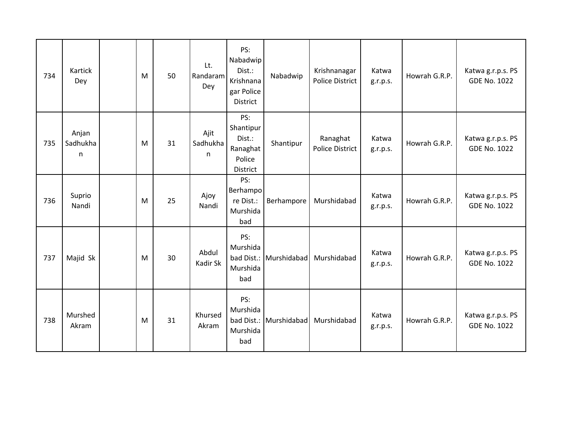| 734 | <b>Kartick</b><br>Dey  | M | 50 | Lt.<br>Randaram<br>Dey | PS:<br>Nabadwip<br>Dist.:<br>Krishnana<br>gar Police<br>District | Nabadwip    | Krishnanagar<br><b>Police District</b> | Katwa<br>g.r.p.s. | Howrah G.R.P. | Katwa g.r.p.s. PS<br><b>GDE No. 1022</b> |
|-----|------------------------|---|----|------------------------|------------------------------------------------------------------|-------------|----------------------------------------|-------------------|---------------|------------------------------------------|
| 735 | Anjan<br>Sadhukha<br>n | M | 31 | Ajit<br>Sadhukha<br>n  | PS:<br>Shantipur<br>Dist.:<br>Ranaghat<br>Police<br>District     | Shantipur   | Ranaghat<br><b>Police District</b>     | Katwa<br>g.r.p.s. | Howrah G.R.P. | Katwa g.r.p.s. PS<br><b>GDE No. 1022</b> |
| 736 | Suprio<br>Nandi        | M | 25 | Ajoy<br>Nandi          | PS:<br>Berhampo<br>re Dist.:<br>Murshida<br>bad                  | Berhampore  | Murshidabad                            | Katwa<br>g.r.p.s. | Howrah G.R.P. | Katwa g.r.p.s. PS<br><b>GDE No. 1022</b> |
| 737 | Majid Sk               | M | 30 | Abdul<br>Kadir Sk      | PS:<br>Murshida<br>bad Dist.:<br>Murshida<br>bad                 | Murshidabad | Murshidabad                            | Katwa<br>g.r.p.s. | Howrah G.R.P. | Katwa g.r.p.s. PS<br><b>GDE No. 1022</b> |
| 738 | Murshed<br>Akram       | M | 31 | Khursed<br>Akram       | PS:<br>Murshida<br>bad Dist.:<br>Murshida<br>bad                 | Murshidabad | Murshidabad                            | Katwa<br>g.r.p.s. | Howrah G.R.P. | Katwa g.r.p.s. PS<br><b>GDE No. 1022</b> |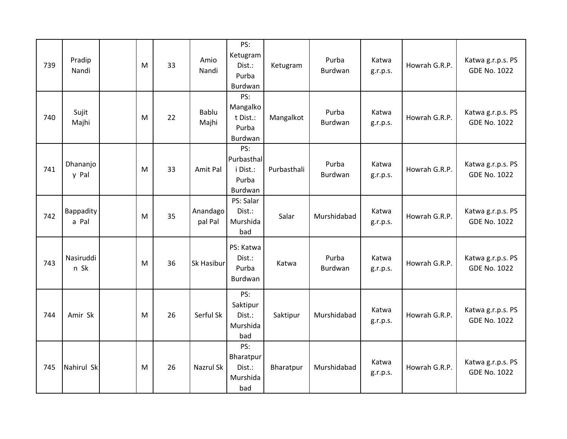| 739 | Pradip<br>Nandi    | M | 33 | Amio<br>Nandi       | PS:<br>Ketugram<br>Dist.:<br>Purba<br>Burdwan     | Ketugram    | Purba<br>Burdwan | Katwa<br>g.r.p.s. | Howrah G.R.P. | Katwa g.r.p.s. PS<br><b>GDE No. 1022</b> |
|-----|--------------------|---|----|---------------------|---------------------------------------------------|-------------|------------------|-------------------|---------------|------------------------------------------|
| 740 | Sujit<br>Majhi     | M | 22 | Bablu<br>Majhi      | PS:<br>Mangalko<br>t Dist.:<br>Purba<br>Burdwan   | Mangalkot   | Purba<br>Burdwan | Katwa<br>g.r.p.s. | Howrah G.R.P. | Katwa g.r.p.s. PS<br><b>GDE No. 1022</b> |
| 741 | Dhananjo<br>y Pal  | M | 33 | Amit Pal            | PS:<br>Purbasthal<br>i Dist.:<br>Purba<br>Burdwan | Purbasthali | Purba<br>Burdwan | Katwa<br>g.r.p.s. | Howrah G.R.P. | Katwa g.r.p.s. PS<br><b>GDE No. 1022</b> |
| 742 | Bappadity<br>a Pal | M | 35 | Anandago<br>pal Pal | PS: Salar<br>Dist.:<br>Murshida<br>bad            | Salar       | Murshidabad      | Katwa<br>g.r.p.s. | Howrah G.R.P. | Katwa g.r.p.s. PS<br><b>GDE No. 1022</b> |
| 743 | Nasiruddi<br>n Sk  | M | 36 | Sk Hasibur          | PS: Katwa<br>Dist.:<br>Purba<br>Burdwan           | Katwa       | Purba<br>Burdwan | Katwa<br>g.r.p.s. | Howrah G.R.P. | Katwa g.r.p.s. PS<br><b>GDE No. 1022</b> |
| 744 | Amir Sk            | M | 26 | Serful Sk           | PS:<br>Saktipur<br>Dist.:<br>Murshida<br>bad      | Saktipur    | Murshidabad      | Katwa<br>g.r.p.s. | Howrah G.R.P. | Katwa g.r.p.s. PS<br><b>GDE No. 1022</b> |
| 745 | Nahirul Sk         | M | 26 | Nazrul Sk           | PS:<br>Bharatpur<br>Dist.:<br>Murshida<br>bad     | Bharatpur   | Murshidabad      | Katwa<br>g.r.p.s. | Howrah G.R.P. | Katwa g.r.p.s. PS<br><b>GDE No. 1022</b> |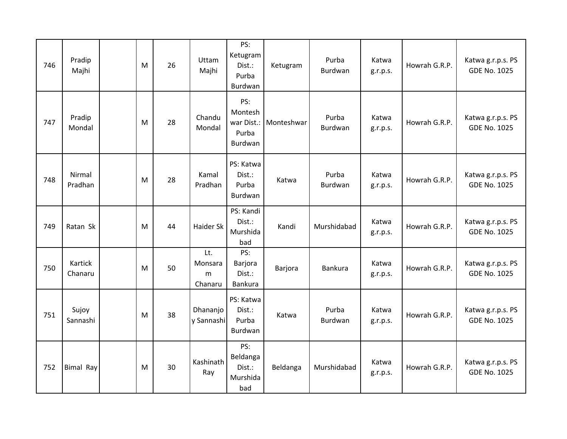| 746 | Pradip<br>Majhi    | M | 26 | Uttam<br>Majhi                 | PS:<br>Ketugram<br>Dist.:<br>Purba<br>Burdwan    | Ketugram   | Purba<br>Burdwan | Katwa<br>g.r.p.s. | Howrah G.R.P. | Katwa g.r.p.s. PS<br><b>GDE No. 1025</b> |
|-----|--------------------|---|----|--------------------------------|--------------------------------------------------|------------|------------------|-------------------|---------------|------------------------------------------|
| 747 | Pradip<br>Mondal   | M | 28 | Chandu<br>Mondal               | PS:<br>Montesh<br>war Dist.:<br>Purba<br>Burdwan | Monteshwar | Purba<br>Burdwan | Katwa<br>g.r.p.s. | Howrah G.R.P. | Katwa g.r.p.s. PS<br><b>GDE No. 1025</b> |
| 748 | Nirmal<br>Pradhan  | M | 28 | Kamal<br>Pradhan               | PS: Katwa<br>Dist.:<br>Purba<br>Burdwan          | Katwa      | Purba<br>Burdwan | Katwa<br>g.r.p.s. | Howrah G.R.P. | Katwa g.r.p.s. PS<br><b>GDE No. 1025</b> |
| 749 | Ratan Sk           | M | 44 | Haider Sk                      | PS: Kandi<br>Dist.:<br>Murshida<br>bad           | Kandi      | Murshidabad      | Katwa<br>g.r.p.s. | Howrah G.R.P. | Katwa g.r.p.s. PS<br><b>GDE No. 1025</b> |
| 750 | Kartick<br>Chanaru | M | 50 | Lt.<br>Monsara<br>m<br>Chanaru | PS:<br>Barjora<br>Dist.:<br>Bankura              | Barjora    | Bankura          | Katwa<br>g.r.p.s. | Howrah G.R.P. | Katwa g.r.p.s. PS<br><b>GDE No. 1025</b> |
| 751 | Sujoy<br>Sannashi  | M | 38 | Dhananjo<br>y Sannashi         | PS: Katwa<br>Dist.:<br>Purba<br>Burdwan          | Katwa      | Purba<br>Burdwan | Katwa<br>g.r.p.s. | Howrah G.R.P. | Katwa g.r.p.s. PS<br><b>GDE No. 1025</b> |
| 752 | <b>Bimal Ray</b>   | M | 30 | Kashinath<br>Ray               | PS:<br>Beldanga<br>Dist.:<br>Murshida<br>bad     | Beldanga   | Murshidabad      | Katwa<br>g.r.p.s. | Howrah G.R.P. | Katwa g.r.p.s. PS<br><b>GDE No. 1025</b> |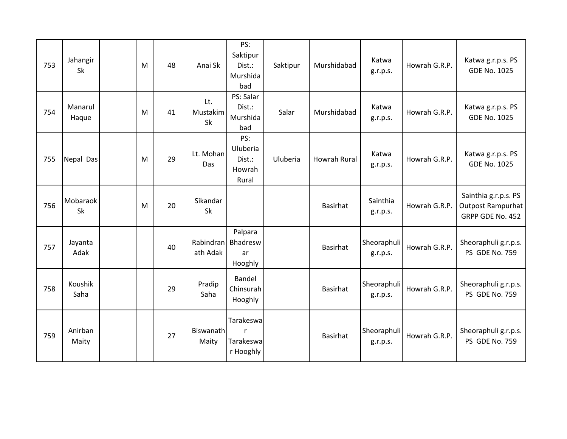| 753 | Jahangir<br>Sk   | M | 48 | Anai Sk               | PS:<br>Saktipur<br>Dist.:<br>Murshida<br>bad        | Saktipur | Murshidabad         | Katwa<br>g.r.p.s.       | Howrah G.R.P. | Katwa g.r.p.s. PS<br><b>GDE No. 1025</b>                             |
|-----|------------------|---|----|-----------------------|-----------------------------------------------------|----------|---------------------|-------------------------|---------------|----------------------------------------------------------------------|
| 754 | Manarul<br>Haque | M | 41 | Lt.<br>Mustakim<br>Sk | PS: Salar<br>Dist.:<br>Murshida<br>bad              | Salar    | Murshidabad         | Katwa<br>g.r.p.s.       | Howrah G.R.P. | Katwa g.r.p.s. PS<br><b>GDE No. 1025</b>                             |
| 755 | Nepal Das        | M | 29 | Lt. Mohan<br>Das      | PS:<br>Uluberia<br>Dist.:<br>Howrah<br>Rural        | Uluberia | <b>Howrah Rural</b> | Katwa<br>g.r.p.s.       | Howrah G.R.P. | Katwa g.r.p.s. PS<br><b>GDE No. 1025</b>                             |
| 756 | Mobaraok<br>Sk   | M | 20 | Sikandar<br>Sk        |                                                     |          | Basirhat            | Sainthia<br>g.r.p.s.    | Howrah G.R.P. | Sainthia g.r.p.s. PS<br><b>Outpost Rampurhat</b><br>GRPP GDE No. 452 |
| 757 | Jayanta<br>Adak  |   | 40 | Rabindran<br>ath Adak | Palpara<br>Bhadresw<br>ar<br>Hooghly                |          | <b>Basirhat</b>     | Sheoraphuli<br>g.r.p.s. | Howrah G.R.P. | Sheoraphuli g.r.p.s.<br>PS GDE No. 759                               |
| 758 | Koushik<br>Saha  |   | 29 | Pradip<br>Saha        | Bandel<br>Chinsurah<br>Hooghly                      |          | <b>Basirhat</b>     | Sheoraphuli<br>g.r.p.s. | Howrah G.R.P. | Sheoraphuli g.r.p.s.<br>PS GDE No. 759                               |
| 759 | Anirban<br>Maity |   | 27 | Biswanath<br>Maity    | Tarakeswa<br>$\mathsf{r}$<br>Tarakeswa<br>r Hooghly |          | <b>Basirhat</b>     | Sheoraphuli<br>g.r.p.s. | Howrah G.R.P. | Sheoraphuli g.r.p.s.<br><b>PS GDE No. 759</b>                        |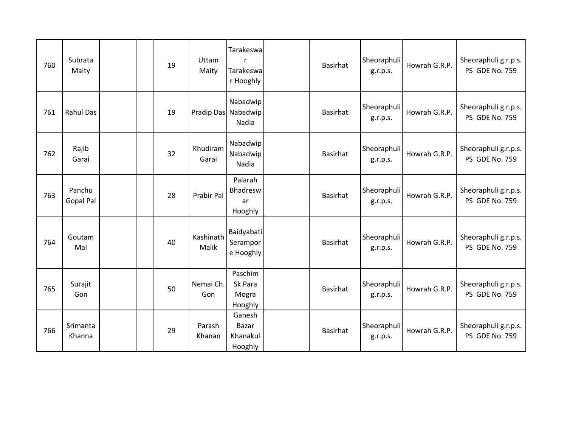| 760 | Subrata<br>Maity           |  | 19 | Uttam<br>Maity     | Tarakeswa<br>Tarakeswa<br>r Hooghly         | Basirhat | Sheoraphuli<br>g.r.p.s. | Howrah G.R.P. | Sheoraphuli g.r.p.s.<br>PS GDE No. 759        |
|-----|----------------------------|--|----|--------------------|---------------------------------------------|----------|-------------------------|---------------|-----------------------------------------------|
| 761 | <b>Rahul Das</b>           |  | 19 |                    | Nabadwip<br>Pradip Das Nabadwip<br>Nadia    | Basirhat | Sheoraphuli<br>g.r.p.s. | Howrah G.R.P. | Sheoraphuli g.r.p.s.<br><b>PS GDE No. 759</b> |
| 762 | Rajib<br>Garai             |  | 32 | Khudiram<br>Garai  | Nabadwip<br>Nabadwip<br>Nadia               | Basirhat | Sheoraphuli<br>g.r.p.s. | Howrah G.R.P. | Sheoraphuli g.r.p.s.<br>PS GDE No. 759        |
| 763 | Panchu<br><b>Gopal Pal</b> |  | 28 | Prabir Pal         | Palarah<br><b>Bhadresw</b><br>ar<br>Hooghly | Basirhat | Sheoraphuli<br>g.r.p.s. | Howrah G.R.P. | Sheoraphuli g.r.p.s.<br>PS GDE No. 759        |
| 764 | Goutam<br>Mal              |  | 40 | Kashinath<br>Malik | Baidyabati<br>Serampor<br>e Hooghly         | Basirhat | Sheoraphuli<br>g.r.p.s. | Howrah G.R.P. | Sheoraphuli g.r.p.s.<br>PS GDE No. 759        |
| 765 | Surajit<br>Gon             |  | 50 | Nemai Ch.<br>Gon   | Paschim<br>Sk Para<br>Mogra<br>Hooghly      | Basirhat | Sheoraphuli<br>g.r.p.s. | Howrah G.R.P. | Sheoraphuli g.r.p.s.<br>PS GDE No. 759        |
| 766 | Srimanta<br>Khanna         |  | 29 | Parash<br>Khanan   | Ganesh<br>Bazar<br>Khanakul<br>Hooghly      | Basirhat | Sheoraphuli<br>g.r.p.s. | Howrah G.R.P. | Sheoraphuli g.r.p.s.<br><b>PS GDE No. 759</b> |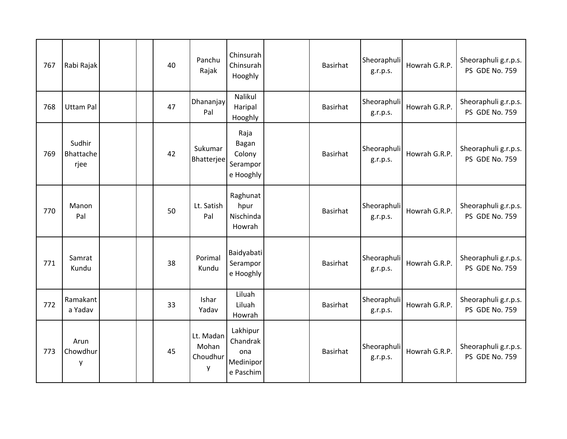| 767 | Rabi Rajak                  |  | 40 | Panchu<br>Rajak                     | Chinsurah<br>Chinsurah<br>Hooghly                     | <b>Basirhat</b> | Sheoraphuli<br>g.r.p.s. | Howrah G.R.P. | Sheoraphuli g.r.p.s.<br>PS GDE No. 759        |
|-----|-----------------------------|--|----|-------------------------------------|-------------------------------------------------------|-----------------|-------------------------|---------------|-----------------------------------------------|
| 768 | <b>Uttam Pal</b>            |  | 47 | Dhananjay<br>Pal                    | Nalikul<br>Haripal<br>Hooghly                         | <b>Basirhat</b> | Sheoraphuli<br>g.r.p.s. | Howrah G.R.P. | Sheoraphuli g.r.p.s.<br><b>PS GDE No. 759</b> |
| 769 | Sudhir<br>Bhattache<br>rjee |  | 42 | Sukumar<br>Bhatterjee               | Raja<br>Bagan<br>Colony<br>Serampor<br>e Hooghly      | <b>Basirhat</b> | Sheoraphuli<br>g.r.p.s. | Howrah G.R.P. | Sheoraphuli g.r.p.s.<br><b>PS GDE No. 759</b> |
| 770 | Manon<br>Pal                |  | 50 | Lt. Satish<br>Pal                   | Raghunat<br>hpur<br>Nischinda<br>Howrah               | <b>Basirhat</b> | Sheoraphuli<br>g.r.p.s. | Howrah G.R.P. | Sheoraphuli g.r.p.s.<br>PS GDE No. 759        |
| 771 | Samrat<br>Kundu             |  | 38 | Porimal<br>Kundu                    | Baidyabati<br>Serampor<br>e Hooghly                   | <b>Basirhat</b> | Sheoraphuli<br>g.r.p.s. | Howrah G.R.P. | Sheoraphuli g.r.p.s.<br><b>PS GDE No. 759</b> |
| 772 | Ramakant<br>a Yadav         |  | 33 | Ishar<br>Yadav                      | Liluah<br>Liluah<br>Howrah                            | <b>Basirhat</b> | Sheoraphuli<br>g.r.p.s. | Howrah G.R.P. | Sheoraphuli g.r.p.s.<br><b>PS GDE No. 759</b> |
| 773 | Arun<br>Chowdhur<br>y       |  | 45 | Lt. Madan<br>Mohan<br>Choudhur<br>у | Lakhipur<br>Chandrak<br>ona<br>Medinipor<br>e Paschim | <b>Basirhat</b> | Sheoraphuli<br>g.r.p.s. | Howrah G.R.P. | Sheoraphuli g.r.p.s.<br>PS GDE No. 759        |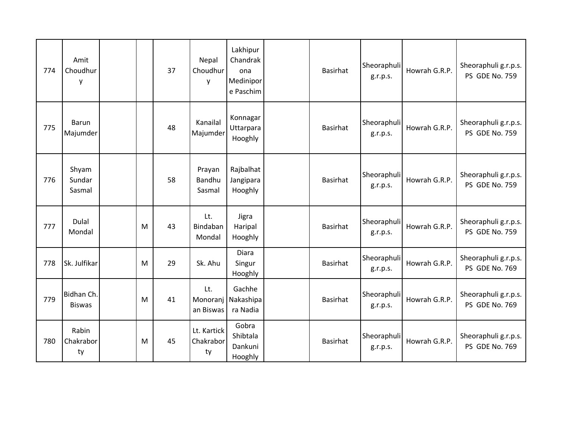| 774 | Amit<br>Choudhur<br>у       |   | 37 | Nepal<br>Choudhur<br>у         | Lakhipur<br>Chandrak<br>ona<br>Medinipor<br>e Paschim | <b>Basirhat</b> | Sheoraphuli<br>g.r.p.s. | Howrah G.R.P. | Sheoraphuli g.r.p.s.<br>PS GDE No. 759        |
|-----|-----------------------------|---|----|--------------------------------|-------------------------------------------------------|-----------------|-------------------------|---------------|-----------------------------------------------|
| 775 | Barun<br>Majumder           |   | 48 | Kanailal<br>Majumder           | Konnagar<br>Uttarpara<br>Hooghly                      | <b>Basirhat</b> | Sheoraphuli<br>g.r.p.s. | Howrah G.R.P. | Sheoraphuli g.r.p.s.<br><b>PS GDE No. 759</b> |
| 776 | Shyam<br>Sundar<br>Sasmal   |   | 58 | Prayan<br>Bandhu<br>Sasmal     | Rajbalhat<br>Jangipara<br>Hooghly                     | <b>Basirhat</b> | Sheoraphuli<br>g.r.p.s. | Howrah G.R.P. | Sheoraphuli g.r.p.s.<br><b>PS GDE No. 759</b> |
| 777 | Dulal<br>Mondal             | M | 43 | Lt.<br>Bindaban<br>Mondal      | Jigra<br>Haripal<br>Hooghly                           | <b>Basirhat</b> | Sheoraphuli<br>g.r.p.s. | Howrah G.R.P. | Sheoraphuli g.r.p.s.<br><b>PS GDE No. 759</b> |
| 778 | Sk. Julfikar                | M | 29 | Sk. Ahu                        | Diara<br>Singur<br>Hooghly                            | <b>Basirhat</b> | Sheoraphuli<br>g.r.p.s. | Howrah G.R.P. | Sheoraphuli g.r.p.s.<br>PS GDE No. 769        |
| 779 | Bidhan Ch.<br><b>Biswas</b> | M | 41 | Lt.<br>Monoranj<br>an Biswas   | Gachhe<br>Nakashipa<br>ra Nadia                       | <b>Basirhat</b> | Sheoraphuli<br>g.r.p.s. | Howrah G.R.P. | Sheoraphuli g.r.p.s.<br>PS GDE No. 769        |
| 780 | Rabin<br>Chakrabor<br>ty    | M | 45 | Lt. Kartick<br>Chakrabor<br>ty | Gobra<br>Shibtala<br>Dankuni<br>Hooghly               | <b>Basirhat</b> | Sheoraphuli<br>g.r.p.s. | Howrah G.R.P. | Sheoraphuli g.r.p.s.<br>PS GDE No. 769        |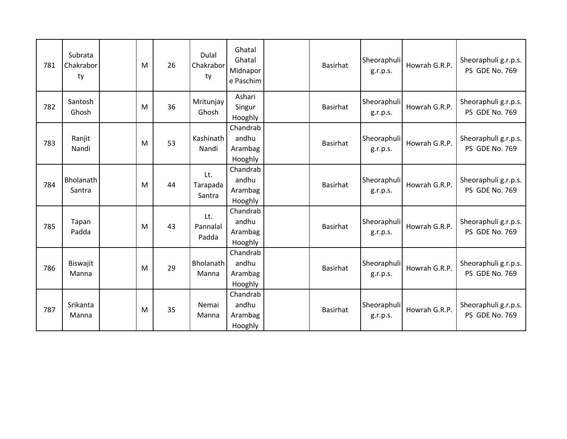| 781 | Subrata<br>Chakrabor<br>ty | M | 26 | Dulal<br>Chakrabor<br>ty  | Ghatal<br>Ghatal<br>Midnapor<br>e Paschim | <b>Basirhat</b> | Sheoraphuli<br>g.r.p.s. | Howrah G.R.P. | Sheoraphuli g.r.p.s.<br>PS GDE No. 769 |
|-----|----------------------------|---|----|---------------------------|-------------------------------------------|-----------------|-------------------------|---------------|----------------------------------------|
| 782 | Santosh<br>Ghosh           | M | 36 | Mritunjay<br>Ghosh        | Ashari<br>Singur<br>Hooghly               | <b>Basirhat</b> | Sheoraphuli<br>g.r.p.s. | Howrah G.R.P. | Sheoraphuli g.r.p.s.<br>PS GDE No. 769 |
| 783 | Ranjit<br>Nandi            | M | 53 | Kashinath<br>Nandi        | Chandrab<br>andhu<br>Arambag<br>Hooghly   | <b>Basirhat</b> | Sheoraphuli<br>g.r.p.s. | Howrah G.R.P. | Sheoraphuli g.r.p.s.<br>PS GDE No. 769 |
| 784 | Bholanath<br>Santra        | M | 44 | Lt.<br>Tarapada<br>Santra | Chandrab<br>andhu<br>Arambag<br>Hooghly   | <b>Basirhat</b> | Sheoraphuli<br>g.r.p.s. | Howrah G.R.P. | Sheoraphuli g.r.p.s.<br>PS GDE No. 769 |
| 785 | Tapan<br>Padda             | M | 43 | Lt.<br>Pannalal<br>Padda  | Chandrab<br>andhu<br>Arambag<br>Hooghly   | <b>Basirhat</b> | Sheoraphuli<br>g.r.p.s. | Howrah G.R.P. | Sheoraphuli g.r.p.s.<br>PS GDE No. 769 |
| 786 | Biswajit<br>Manna          | M | 29 | Bholanath<br>Manna        | Chandrab<br>andhu<br>Arambag<br>Hooghly   | <b>Basirhat</b> | Sheoraphuli<br>g.r.p.s. | Howrah G.R.P. | Sheoraphuli g.r.p.s.<br>PS GDE No. 769 |
| 787 | Srikanta<br>Manna          | M | 35 | Nemai<br>Manna            | Chandrab<br>andhu<br>Arambag<br>Hooghly   | <b>Basirhat</b> | Sheoraphuli<br>g.r.p.s. | Howrah G.R.P. | Sheoraphuli g.r.p.s.<br>PS GDE No. 769 |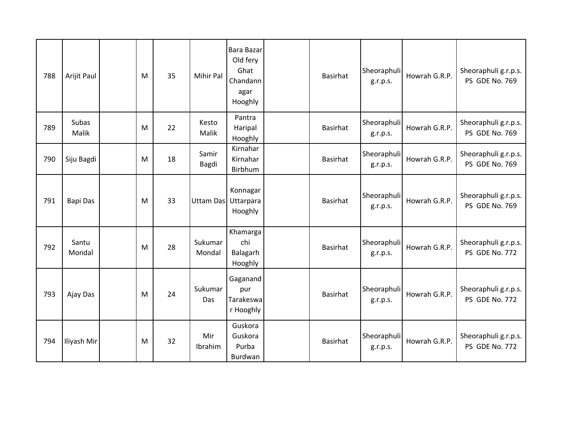| 788 | Arijit Paul           | M | 35 | Mihir Pal         | Bara Bazar<br>Old fery<br>Ghat<br>Chandann<br>agar<br>Hooghly | <b>Basirhat</b> | Sheoraphuli<br>g.r.p.s. | Howrah G.R.P. | Sheoraphuli g.r.p.s.<br>PS GDE No. 769 |
|-----|-----------------------|---|----|-------------------|---------------------------------------------------------------|-----------------|-------------------------|---------------|----------------------------------------|
| 789 | <b>Subas</b><br>Malik | M | 22 | Kesto<br>Malik    | Pantra<br>Haripal<br>Hooghly                                  | <b>Basirhat</b> | Sheoraphuli<br>g.r.p.s. | Howrah G.R.P. | Sheoraphuli g.r.p.s.<br>PS GDE No. 769 |
| 790 | Siju Bagdi            | M | 18 | Samir<br>Bagdi    | Kirnahar<br>Kirnahar<br>Birbhum                               | <b>Basirhat</b> | Sheoraphuli<br>g.r.p.s. | Howrah G.R.P. | Sheoraphuli g.r.p.s.<br>PS GDE No. 769 |
| 791 | Bapi Das              | M | 33 | <b>Uttam Das</b>  | Konnagar<br>Uttarpara<br>Hooghly                              | <b>Basirhat</b> | Sheoraphuli<br>g.r.p.s. | Howrah G.R.P. | Sheoraphuli g.r.p.s.<br>PS GDE No. 769 |
| 792 | Santu<br>Mondal       | M | 28 | Sukumar<br>Mondal | Khamargal<br>chi<br>Balagarh<br>Hooghly                       | <b>Basirhat</b> | Sheoraphuli<br>g.r.p.s. | Howrah G.R.P. | Sheoraphuli g.r.p.s.<br>PS GDE No. 772 |
| 793 | Ajay Das              | M | 24 | Sukumar<br>Das    | Gaganand<br>pur<br>Tarakeswa<br>r Hooghly                     | <b>Basirhat</b> | Sheoraphuli<br>g.r.p.s. | Howrah G.R.P. | Sheoraphuli g.r.p.s.<br>PS GDE No. 772 |
| 794 | Iliyash Mir           | M | 32 | Mir<br>Ibrahim    | Guskora<br>Guskora<br>Purba<br>Burdwan                        | <b>Basirhat</b> | Sheoraphuli<br>g.r.p.s. | Howrah G.R.P. | Sheoraphuli g.r.p.s.<br>PS GDE No. 772 |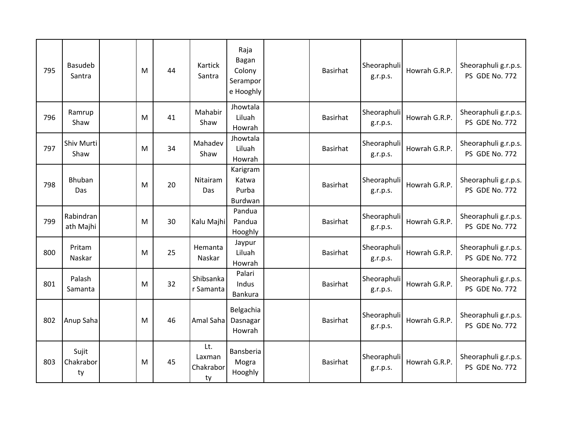| 795 | <b>Basudeb</b><br>Santra | M | 44 | Kartick<br>Santra                | Raja<br>Bagan<br>Colony<br>Serampor<br>e Hooghly | <b>Basirhat</b> | Sheoraphuli<br>g.r.p.s. | Howrah G.R.P. | Sheoraphuli g.r.p.s.<br>PS GDE No. 772 |
|-----|--------------------------|---|----|----------------------------------|--------------------------------------------------|-----------------|-------------------------|---------------|----------------------------------------|
| 796 | Ramrup<br>Shaw           | M | 41 | Mahabir<br>Shaw                  | Jhowtala<br>Liluah<br>Howrah                     | <b>Basirhat</b> | Sheoraphuli<br>g.r.p.s. | Howrah G.R.P. | Sheoraphuli g.r.p.s.<br>PS GDE No. 772 |
| 797 | Shiv Murti<br>Shaw       | M | 34 | Mahadev<br>Shaw                  | Jhowtala<br>Liluah<br>Howrah                     | <b>Basirhat</b> | Sheoraphuli<br>g.r.p.s. | Howrah G.R.P. | Sheoraphuli g.r.p.s.<br>PS GDE No. 772 |
| 798 | <b>Bhuban</b><br>Das     | M | 20 | Nitairam<br><b>Das</b>           | Karigram<br>Katwa<br>Purba<br>Burdwan            | <b>Basirhat</b> | Sheoraphuli<br>g.r.p.s. | Howrah G.R.P. | Sheoraphuli g.r.p.s.<br>PS GDE No. 772 |
| 799 | Rabindran<br>ath Majhi   | M | 30 | Kalu Majhi                       | Pandua<br>Pandua<br>Hooghly                      | Basirhat        | Sheoraphuli<br>g.r.p.s. | Howrah G.R.P. | Sheoraphuli g.r.p.s.<br>PS GDE No. 772 |
| 800 | Pritam<br>Naskar         | M | 25 | Hemanta<br>Naskar                | Jaypur<br>Liluah<br>Howrah                       | Basirhat        | Sheoraphuli<br>g.r.p.s. | Howrah G.R.P. | Sheoraphuli g.r.p.s.<br>PS GDE No. 772 |
| 801 | Palash<br>Samanta        | M | 32 | Shibsanka<br>r Samanta           | Palari<br>Indus<br>Bankura                       | <b>Basirhat</b> | Sheoraphuli<br>g.r.p.s. | Howrah G.R.P. | Sheoraphuli g.r.p.s.<br>PS GDE No. 772 |
| 802 | Anup Saha                | M | 46 | Amal Saha                        | Belgachia<br>Dasnagar<br>Howrah                  | <b>Basirhat</b> | Sheoraphuli<br>g.r.p.s. | Howrah G.R.P. | Sheoraphuli g.r.p.s.<br>PS GDE No. 772 |
| 803 | Sujit<br>Chakrabor<br>ty | M | 45 | Lt.<br>Laxman<br>Chakrabor<br>ty | Bansberia<br>Mogra<br>Hooghly                    | Basirhat        | Sheoraphuli<br>g.r.p.s. | Howrah G.R.P. | Sheoraphuli g.r.p.s.<br>PS GDE No. 772 |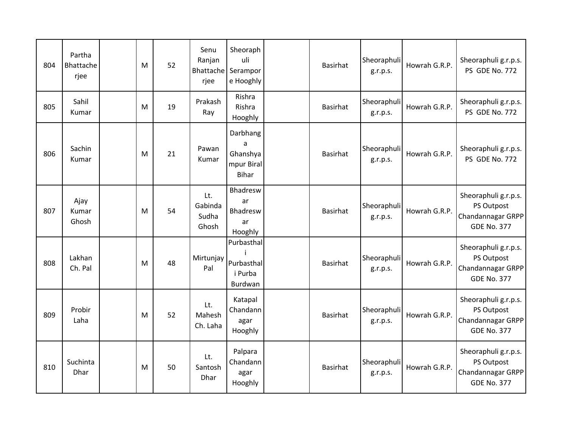| 804 | Partha<br>Bhattache<br>rjee | M | 52 | Senu<br>Ranjan<br>rjee           | Sheoraph<br>uli<br>Bhattache Serampor<br>e Hooghly      | <b>Basirhat</b> | Sheoraphuli<br>g.r.p.s. | Howrah G.R.P. | Sheoraphuli g.r.p.s.<br>PS GDE No. 772                                        |
|-----|-----------------------------|---|----|----------------------------------|---------------------------------------------------------|-----------------|-------------------------|---------------|-------------------------------------------------------------------------------|
| 805 | Sahil<br>Kumar              | M | 19 | Prakash<br>Ray                   | Rishra<br>Rishra<br>Hooghly                             | <b>Basirhat</b> | Sheoraphuli<br>g.r.p.s. | Howrah G.R.P. | Sheoraphuli g.r.p.s.<br>PS GDE No. 772                                        |
| 806 | Sachin<br>Kumar             | M | 21 | Pawan<br>Kumar                   | Darbhang<br>a<br>Ghanshya<br>mpur Biral<br><b>Bihar</b> | <b>Basirhat</b> | Sheoraphuli<br>g.r.p.s. | Howrah G.R.P. | Sheoraphuli g.r.p.s.<br>PS GDE No. 772                                        |
| 807 | Ajay<br>Kumar<br>Ghosh      | M | 54 | Lt.<br>Gabinda<br>Sudha<br>Ghosh | Bhadresw<br>ar<br>Bhadresw<br>ar<br>Hooghly             | <b>Basirhat</b> | Sheoraphuli<br>g.r.p.s. | Howrah G.R.P. | Sheoraphuli g.r.p.s.<br>PS Outpost<br>Chandannagar GRPP<br><b>GDE No. 377</b> |
| 808 | Lakhan<br>Ch. Pal           | M | 48 | Mirtunjay<br>Pal                 | Purbasthal<br>Purbasthal<br>i Purba<br>Burdwan          | <b>Basirhat</b> | Sheoraphuli<br>g.r.p.s. | Howrah G.R.P. | Sheoraphuli g.r.p.s.<br>PS Outpost<br>Chandannagar GRPP<br><b>GDE No. 377</b> |
| 809 | Probir<br>Laha              | M | 52 | Lt.<br>Mahesh<br>Ch. Laha        | Katapal<br>Chandann<br>agar<br>Hooghly                  | <b>Basirhat</b> | Sheoraphuli<br>g.r.p.s. | Howrah G.R.P. | Sheoraphuli g.r.p.s.<br>PS Outpost<br>Chandannagar GRPP<br><b>GDE No. 377</b> |
| 810 | Suchinta<br>Dhar            | M | 50 | Lt.<br>Santosh<br>Dhar           | Palpara<br>Chandann<br>agar<br>Hooghly                  | <b>Basirhat</b> | Sheoraphuli<br>g.r.p.s. | Howrah G.R.P. | Sheoraphuli g.r.p.s.<br>PS Outpost<br>Chandannagar GRPP<br><b>GDE No. 377</b> |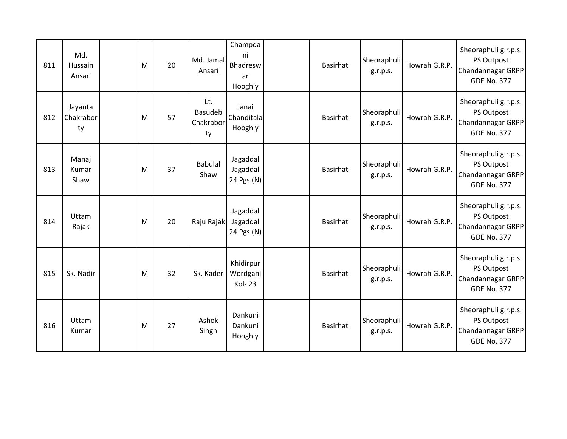| 811 | Md.<br>Hussain<br>Ansari   | M | 20 | Md. Jamal<br>Ansari               | Champda<br>ni<br>Bhadresw<br>ar<br>Hooghly | <b>Basirhat</b> | Sheoraphuli<br>g.r.p.s. | Howrah G.R.P. | Sheoraphuli g.r.p.s.<br>PS Outpost<br>Chandannagar GRPP<br><b>GDE No. 377</b> |
|-----|----------------------------|---|----|-----------------------------------|--------------------------------------------|-----------------|-------------------------|---------------|-------------------------------------------------------------------------------|
| 812 | Jayanta<br>Chakrabor<br>ty | M | 57 | Lt.<br>Basudeb<br>Chakrabor<br>ty | Janai<br>Chanditala<br>Hooghly             | <b>Basirhat</b> | Sheoraphuli<br>g.r.p.s. | Howrah G.R.P. | Sheoraphuli g.r.p.s.<br>PS Outpost<br>Chandannagar GRPP<br><b>GDE No. 377</b> |
| 813 | Manaj<br>Kumar<br>Shaw     | M | 37 | <b>Babulal</b><br>Shaw            | Jagaddal<br>Jagaddal<br>24 Pgs (N)         | <b>Basirhat</b> | Sheoraphuli<br>g.r.p.s. | Howrah G.R.P. | Sheoraphuli g.r.p.s.<br>PS Outpost<br>Chandannagar GRPP<br><b>GDE No. 377</b> |
| 814 | Uttam<br>Rajak             | M | 20 | Raju Rajak                        | Jagaddal<br>Jagaddal<br>24 Pgs (N)         | <b>Basirhat</b> | Sheoraphuli<br>g.r.p.s. | Howrah G.R.P. | Sheoraphuli g.r.p.s.<br>PS Outpost<br>Chandannagar GRPP<br><b>GDE No. 377</b> |
| 815 | Sk. Nadir                  | M | 32 | Sk. Kader                         | Khidirpur<br>Wordganj<br><b>Kol-23</b>     | <b>Basirhat</b> | Sheoraphuli<br>g.r.p.s. | Howrah G.R.P. | Sheoraphuli g.r.p.s.<br>PS Outpost<br>Chandannagar GRPP<br><b>GDE No. 377</b> |
| 816 | Uttam<br>Kumar             | M | 27 | Ashok<br>Singh                    | Dankuni<br>Dankuni<br>Hooghly              | <b>Basirhat</b> | Sheoraphuli<br>g.r.p.s. | Howrah G.R.P. | Sheoraphuli g.r.p.s.<br>PS Outpost<br>Chandannagar GRPP<br><b>GDE No. 377</b> |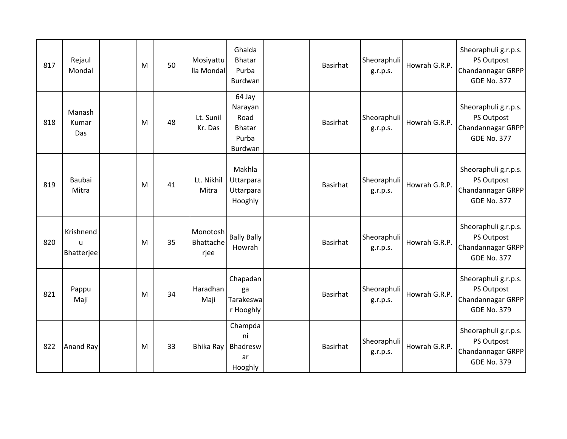| 817 | Rejaul<br>Mondal                        | M | 50 | Mosiyattu<br>lla Mondal       | Ghalda<br>Bhatar<br>Purba<br>Burdwan                    | <b>Basirhat</b> | Sheoraphuli<br>g.r.p.s. | Howrah G.R.P. | Sheoraphuli g.r.p.s.<br>PS Outpost<br>Chandannagar GRPP<br><b>GDE No. 377</b> |
|-----|-----------------------------------------|---|----|-------------------------------|---------------------------------------------------------|-----------------|-------------------------|---------------|-------------------------------------------------------------------------------|
| 818 | Manash<br>Kumar<br>Das                  | M | 48 | Lt. Sunil<br>Kr. Das          | 64 Jay<br>Narayan<br>Road<br>Bhatar<br>Purba<br>Burdwan | Basirhat        | Sheoraphuli<br>g.r.p.s. | Howrah G.R.P. | Sheoraphuli g.r.p.s.<br>PS Outpost<br>Chandannagar GRPP<br><b>GDE No. 377</b> |
| 819 | Baubai<br>Mitra                         | M | 41 | Lt. Nikhil<br>Mitra           | Makhla<br>Uttarpara<br>Uttarpara<br>Hooghly             | Basirhat        | Sheoraphuli<br>g.r.p.s. | Howrah G.R.P. | Sheoraphuli g.r.p.s.<br>PS Outpost<br>Chandannagar GRPP<br><b>GDE No. 377</b> |
| 820 | Krishnend<br>$\mathbf{u}$<br>Bhatterjee | M | 35 | Monotosh<br>Bhattache<br>rjee | <b>Bally Bally</b><br>Howrah                            | <b>Basirhat</b> | Sheoraphuli<br>g.r.p.s. | Howrah G.R.P. | Sheoraphuli g.r.p.s.<br>PS Outpost<br>Chandannagar GRPP<br><b>GDE No. 377</b> |
| 821 | Pappu<br>Maji                           | M | 34 | Haradhan<br>Maji              | Chapadan<br>ga<br>Tarakeswa<br>r Hooghly                | Basirhat        | Sheoraphuli<br>g.r.p.s. | Howrah G.R.P. | Sheoraphuli g.r.p.s.<br>PS Outpost<br>Chandannagar GRPP<br><b>GDE No. 379</b> |
| 822 | <b>Anand Ray</b>                        | M | 33 | Bhika Ray                     | Champda<br>ni<br>Bhadresw<br>ar<br>Hooghly              | <b>Basirhat</b> | Sheoraphuli<br>g.r.p.s. | Howrah G.R.P. | Sheoraphuli g.r.p.s.<br>PS Outpost<br>Chandannagar GRPP<br><b>GDE No. 379</b> |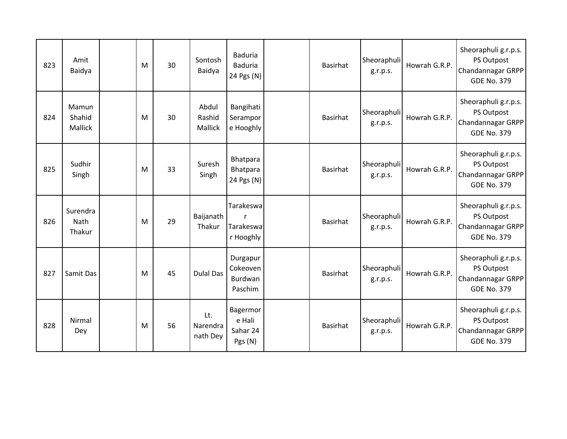| 823 | Amit<br>Baidya                    | M | 30 | Sontosh<br>Baidya           | <b>Baduria</b><br><b>Baduria</b><br>24 Pgs (N) | <b>Basirhat</b> | Sheoraphuli<br>g.r.p.s. | Howrah G.R.P. | Sheoraphuli g.r.p.s.<br>PS Outpost<br>Chandannagar GRPP<br><b>GDE No. 379</b> |
|-----|-----------------------------------|---|----|-----------------------------|------------------------------------------------|-----------------|-------------------------|---------------|-------------------------------------------------------------------------------|
| 824 | Mamun<br>Shahid<br>Mallick        | M | 30 | Abdul<br>Rashid<br>Mallick  | Bangihati<br>Serampor<br>e Hooghly             | Basirhat        | Sheoraphuli<br>g.r.p.s. | Howrah G.R.P. | Sheoraphuli g.r.p.s.<br>PS Outpost<br>Chandannagar GRPP<br><b>GDE No. 379</b> |
| 825 | Sudhir<br>Singh                   | M | 33 | Suresh<br>Singh             | Bhatpara<br>Bhatpara<br>24 Pgs (N)             | Basirhat        | Sheoraphuli<br>g.r.p.s. | Howrah G.R.P. | Sheoraphuli g.r.p.s.<br>PS Outpost<br>Chandannagar GRPP<br><b>GDE No. 379</b> |
| 826 | Surendra<br><b>Nath</b><br>Thakur | M | 29 | Baijanath<br>Thakur         | Tarakeswa<br>r<br>Tarakeswa<br>r Hooghly       | Basirhat        | Sheoraphuli<br>g.r.p.s. | Howrah G.R.P. | Sheoraphuli g.r.p.s.<br>PS Outpost<br>Chandannagar GRPP<br><b>GDE No. 379</b> |
| 827 | Samit Das                         | M | 45 | <b>Dulal Das</b>            | Durgapur<br>Cokeoven<br>Burdwan<br>Paschim     | <b>Basirhat</b> | Sheoraphuli<br>g.r.p.s. | Howrah G.R.P. | Sheoraphuli g.r.p.s.<br>PS Outpost<br>Chandannagar GRPP<br><b>GDE No. 379</b> |
| 828 | Nirmal<br>Dey                     | M | 56 | Lt.<br>Narendra<br>nath Dey | Bagermor<br>e Hali<br>Sahar 24<br>Pgs (N)      | Basirhat        | Sheoraphuli<br>g.r.p.s. | Howrah G.R.P. | Sheoraphuli g.r.p.s.<br>PS Outpost<br>Chandannagar GRPP<br><b>GDE No. 379</b> |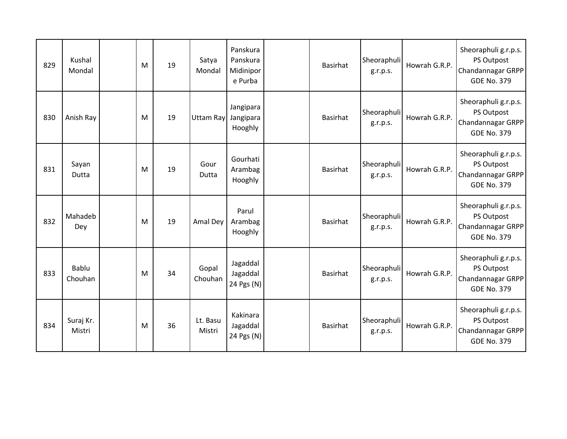| 829 | Kushal<br>Mondal    | M | 19 | Satya<br>Mondal    | Panskura<br>Panskura<br>Midinipor<br>e Purba | <b>Basirhat</b> | Sheoraphuli<br>g.r.p.s. | Howrah G.R.P. | Sheoraphuli g.r.p.s.<br>PS Outpost<br>Chandannagar GRPP<br><b>GDE No. 379</b> |
|-----|---------------------|---|----|--------------------|----------------------------------------------|-----------------|-------------------------|---------------|-------------------------------------------------------------------------------|
| 830 | Anish Ray           | M | 19 | <b>Uttam Ray</b>   | Jangipara<br>Jangipara<br>Hooghly            | Basirhat        | Sheoraphuli<br>g.r.p.s. | Howrah G.R.P. | Sheoraphuli g.r.p.s.<br>PS Outpost<br>Chandannagar GRPP<br><b>GDE No. 379</b> |
| 831 | Sayan<br>Dutta      | M | 19 | Gour<br>Dutta      | Gourhati<br>Arambag<br>Hooghly               | Basirhat        | Sheoraphuli<br>g.r.p.s. | Howrah G.R.P. | Sheoraphuli g.r.p.s.<br>PS Outpost<br>Chandannagar GRPP<br><b>GDE No. 379</b> |
| 832 | Mahadeb<br>Dey      | M | 19 | Amal Dey           | Parul<br>Arambag<br>Hooghly                  | Basirhat        | Sheoraphuli<br>g.r.p.s. | Howrah G.R.P. | Sheoraphuli g.r.p.s.<br>PS Outpost<br>Chandannagar GRPP<br><b>GDE No. 379</b> |
| 833 | Bablu<br>Chouhan    | M | 34 | Gopal<br>Chouhan   | Jagaddal<br>Jagaddal<br>24 Pgs (N)           | <b>Basirhat</b> | Sheoraphuli<br>g.r.p.s. | Howrah G.R.P. | Sheoraphuli g.r.p.s.<br>PS Outpost<br>Chandannagar GRPP<br><b>GDE No. 379</b> |
| 834 | Suraj Kr.<br>Mistri | M | 36 | Lt. Basu<br>Mistri | Kakinara<br>Jagaddal<br>24 Pgs (N)           | Basirhat        | Sheoraphuli<br>g.r.p.s. | Howrah G.R.P. | Sheoraphuli g.r.p.s.<br>PS Outpost<br>Chandannagar GRPP<br><b>GDE No. 379</b> |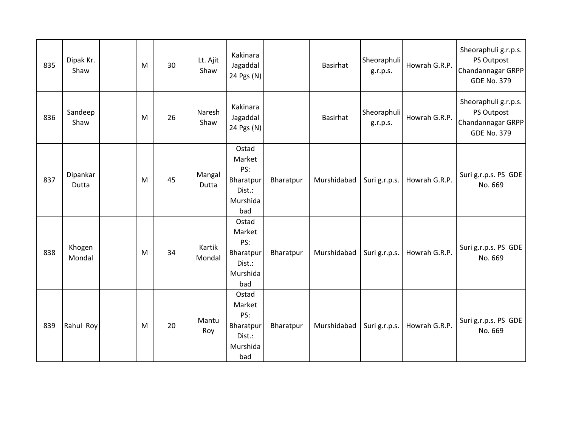| 835 | Dipak Kr.<br>Shaw | M | 30 | Lt. Ajit<br>Shaw | Kakinara<br>Jagaddal<br>24 Pgs (N)                               |           | Basirhat    | Sheoraphuli<br>g.r.p.s. | Howrah G.R.P. | Sheoraphuli g.r.p.s.<br>PS Outpost<br>Chandannagar GRPP<br><b>GDE No. 379</b> |
|-----|-------------------|---|----|------------------|------------------------------------------------------------------|-----------|-------------|-------------------------|---------------|-------------------------------------------------------------------------------|
| 836 | Sandeep<br>Shaw   | M | 26 | Naresh<br>Shaw   | Kakinara<br>Jagaddal<br>24 Pgs (N)                               |           | Basirhat    | Sheoraphuli<br>g.r.p.s. | Howrah G.R.P. | Sheoraphuli g.r.p.s.<br>PS Outpost<br>Chandannagar GRPP<br><b>GDE No. 379</b> |
| 837 | Dipankar<br>Dutta | M | 45 | Mangal<br>Dutta  | Ostad<br>Market<br>PS:<br>Bharatpur<br>Dist.:<br>Murshida<br>bad | Bharatpur | Murshidabad | Suri g.r.p.s.           | Howrah G.R.P. | Suri g.r.p.s. PS GDE<br>No. 669                                               |
| 838 | Khogen<br>Mondal  | M | 34 | Kartik<br>Mondal | Ostad<br>Market<br>PS:<br>Bharatpur<br>Dist.:<br>Murshida<br>bad | Bharatpur | Murshidabad | Suri g.r.p.s.           | Howrah G.R.P. | Suri g.r.p.s. PS GDE<br>No. 669                                               |
| 839 | Rahul Roy         | M | 20 | Mantu<br>Roy     | Ostad<br>Market<br>PS:<br>Bharatpur<br>Dist.:<br>Murshida<br>bad | Bharatpur | Murshidabad | Suri g.r.p.s.           | Howrah G.R.P. | Suri g.r.p.s. PS GDE<br>No. 669                                               |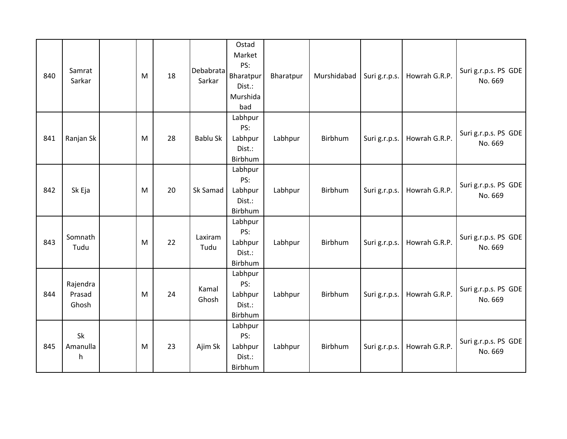| 840 | Samrat<br>Sarkar            | M | 18 | Debabrata<br>Sarkar | Ostad<br>Market<br>PS:<br>Bharatpur<br>Dist.:<br>Murshida<br>bad | Bharatpur | Murshidabad | Suri g.r.p.s. | Howrah G.R.P. | Suri g.r.p.s. PS GDE<br>No. 669 |
|-----|-----------------------------|---|----|---------------------|------------------------------------------------------------------|-----------|-------------|---------------|---------------|---------------------------------|
| 841 | Ranjan Sk                   | M | 28 | <b>Bablu Sk</b>     | Labhpur<br>PS:<br>Labhpur<br>Dist.:<br>Birbhum                   | Labhpur   | Birbhum     | Suri g.r.p.s. | Howrah G.R.P. | Suri g.r.p.s. PS GDE<br>No. 669 |
| 842 | Sk Eja                      | M | 20 | Sk Samad            | Labhpur<br>PS:<br>Labhpur<br>Dist.:<br>Birbhum                   | Labhpur   | Birbhum     | Suri g.r.p.s. | Howrah G.R.P. | Suri g.r.p.s. PS GDE<br>No. 669 |
| 843 | Somnath<br>Tudu             | M | 22 | Laxiram<br>Tudu     | Labhpur<br>PS:<br>Labhpur<br>Dist.:<br>Birbhum                   | Labhpur   | Birbhum     | Suri g.r.p.s. | Howrah G.R.P. | Suri g.r.p.s. PS GDE<br>No. 669 |
| 844 | Rajendra<br>Prasad<br>Ghosh | M | 24 | Kamal<br>Ghosh      | Labhpur<br>PS:<br>Labhpur<br>Dist.:<br>Birbhum                   | Labhpur   | Birbhum     | Suri g.r.p.s. | Howrah G.R.P. | Suri g.r.p.s. PS GDE<br>No. 669 |
| 845 | Sk<br>Amanulla<br>h         | M | 23 | Ajim Sk             | Labhpur<br>PS:<br>Labhpur<br>Dist.:<br>Birbhum                   | Labhpur   | Birbhum     | Suri g.r.p.s. | Howrah G.R.P. | Suri g.r.p.s. PS GDE<br>No. 669 |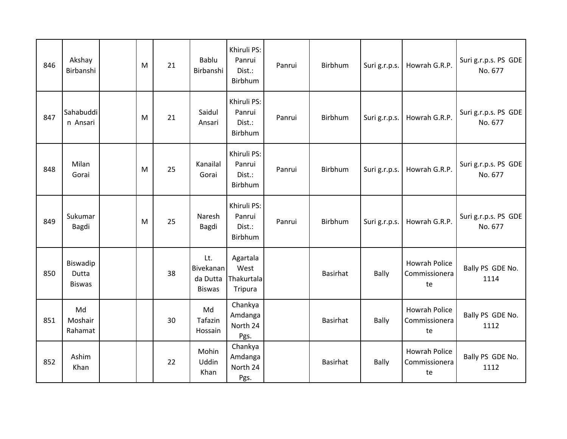| 846 | Akshay<br>Birbanshi                | M | 21 | Bablu<br>Birbanshi                            | Khiruli PS:<br>Panrui<br>Dist.:<br>Birbhum | Panrui | Birbhum         | Suri g.r.p.s. | Howrah G.R.P.                               | Suri g.r.p.s. PS GDE<br>No. 677 |
|-----|------------------------------------|---|----|-----------------------------------------------|--------------------------------------------|--------|-----------------|---------------|---------------------------------------------|---------------------------------|
| 847 | Sahabuddi<br>n Ansari              | M | 21 | Saidul<br>Ansari                              | Khiruli PS:<br>Panrui<br>Dist.:<br>Birbhum | Panrui | Birbhum         | Suri g.r.p.s. | Howrah G.R.P.                               | Suri g.r.p.s. PS GDE<br>No. 677 |
| 848 | Milan<br>Gorai                     | M | 25 | Kanailal<br>Gorai                             | Khiruli PS:<br>Panrui<br>Dist.:<br>Birbhum | Panrui | Birbhum         | Suri g.r.p.s. | Howrah G.R.P.                               | Suri g.r.p.s. PS GDE<br>No. 677 |
| 849 | Sukumar<br>Bagdi                   | M | 25 | Naresh<br><b>Bagdi</b>                        | Khiruli PS:<br>Panrui<br>Dist.:<br>Birbhum | Panrui | Birbhum         | Suri g.r.p.s. | Howrah G.R.P.                               | Suri g.r.p.s. PS GDE<br>No. 677 |
| 850 | Biswadip<br>Dutta<br><b>Biswas</b> |   | 38 | Lt.<br>Bivekanan<br>da Dutta<br><b>Biswas</b> | Agartala<br>West<br>Thakurtala<br>Tripura  |        | <b>Basirhat</b> | <b>Bally</b>  | <b>Howrah Police</b><br>Commissionera<br>te | Bally PS GDE No.<br>1114        |
| 851 | Md<br>Moshair<br>Rahamat           |   | 30 | Md<br>Tafazin<br>Hossain                      | Chankya<br>Amdanga<br>North 24<br>Pgs.     |        | Basirhat        | <b>Bally</b>  | <b>Howrah Police</b><br>Commissionera<br>te | Bally PS GDE No.<br>1112        |
| 852 | Ashim<br>Khan                      |   | 22 | Mohin<br>Uddin<br>Khan                        | Chankya<br>Amdanga<br>North 24<br>Pgs.     |        | Basirhat        | <b>Bally</b>  | <b>Howrah Police</b><br>Commissionera<br>te | Bally PS GDE No.<br>1112        |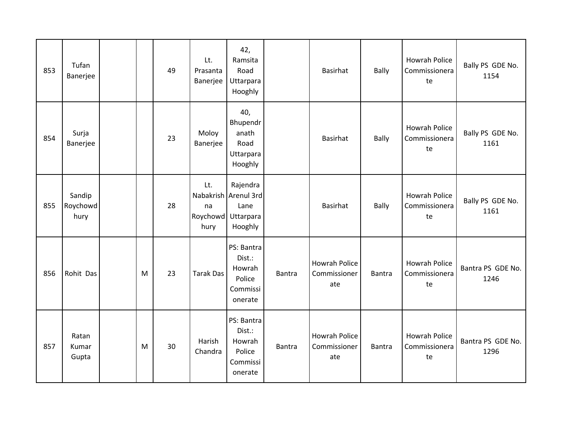| 853 | Tufan<br>Banerjee          |   | 49 | Lt.<br>Prasanta<br>Banerjee | 42,<br>Ramsita<br>Road<br>Uttarpara<br>Hooghly                            |               | Basirhat                                    | <b>Bally</b>  | <b>Howrah Police</b><br>Commissionera<br>te | Bally PS GDE No.<br>1154  |
|-----|----------------------------|---|----|-----------------------------|---------------------------------------------------------------------------|---------------|---------------------------------------------|---------------|---------------------------------------------|---------------------------|
| 854 | Surja<br>Banerjee          |   | 23 | Moloy<br>Banerjee           | 40,<br>Bhupendr<br>anath<br>Road<br>Uttarpara<br>Hooghly                  |               | Basirhat                                    | <b>Bally</b>  | <b>Howrah Police</b><br>Commissionera<br>te | Bally PS GDE No.<br>1161  |
| 855 | Sandip<br>Roychowd<br>hury |   | 28 | Lt.<br>na<br>hury           | Rajendra<br>Nabakrish Arenul 3rd<br>Lane<br>Roychowd Uttarpara<br>Hooghly |               | <b>Basirhat</b>                             | <b>Bally</b>  | <b>Howrah Police</b><br>Commissionera<br>te | Bally PS GDE No.<br>1161  |
| 856 | Rohit Das                  | M | 23 | <b>Tarak Das</b>            | PS: Bantra<br>Dist.:<br>Howrah<br>Police<br>Commissi<br>onerate           | <b>Bantra</b> | <b>Howrah Police</b><br>Commissioner<br>ate | <b>Bantra</b> | <b>Howrah Police</b><br>Commissionera<br>te | Bantra PS GDE No.<br>1246 |
| 857 | Ratan<br>Kumar<br>Gupta    | M | 30 | Harish<br>Chandra           | PS: Bantra<br>Dist.:<br>Howrah<br>Police<br>Commissi<br>onerate           | <b>Bantra</b> | <b>Howrah Police</b><br>Commissioner<br>ate | Bantra        | <b>Howrah Police</b><br>Commissionera<br>te | Bantra PS GDE No.<br>1296 |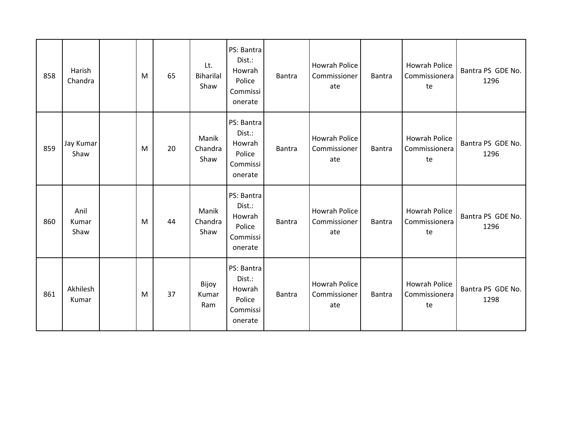| 858 | Harish<br>Chandra     | M | 65 | Lt.<br>Biharilal<br>Shaw | PS: Bantra<br>Dist.:<br>Howrah<br>Police<br>Commissi<br>onerate | <b>Bantra</b> | <b>Howrah Police</b><br>Commissioner<br>ate | Bantra        | <b>Howrah Police</b><br>Commissionera<br>te | Bantra PS GDE No.<br>1296 |
|-----|-----------------------|---|----|--------------------------|-----------------------------------------------------------------|---------------|---------------------------------------------|---------------|---------------------------------------------|---------------------------|
| 859 | Jay Kumar<br>Shaw     | M | 20 | Manik<br>Chandra<br>Shaw | PS: Bantra<br>Dist.:<br>Howrah<br>Police<br>Commissi<br>onerate | <b>Bantra</b> | Howrah Police<br>Commissioner<br>ate        | Bantra        | <b>Howrah Police</b><br>Commissionera<br>te | Bantra PS GDE No.<br>1296 |
| 860 | Anil<br>Kumar<br>Shaw | M | 44 | Manik<br>Chandra<br>Shaw | PS: Bantra<br>Dist.:<br>Howrah<br>Police<br>Commissi<br>onerate | <b>Bantra</b> | Howrah Police<br>Commissioner<br>ate        | <b>Bantra</b> | <b>Howrah Police</b><br>Commissionera<br>te | Bantra PS GDE No.<br>1296 |
| 861 | Akhilesh<br>Kumar     | M | 37 | Bijoy<br>Kumar<br>Ram    | PS: Bantra<br>Dist.:<br>Howrah<br>Police<br>Commissi<br>onerate | <b>Bantra</b> | Howrah Police<br>Commissioner<br>ate        | <b>Bantra</b> | Howrah Police<br>Commissionera<br>te        | Bantra PS GDE No.<br>1298 |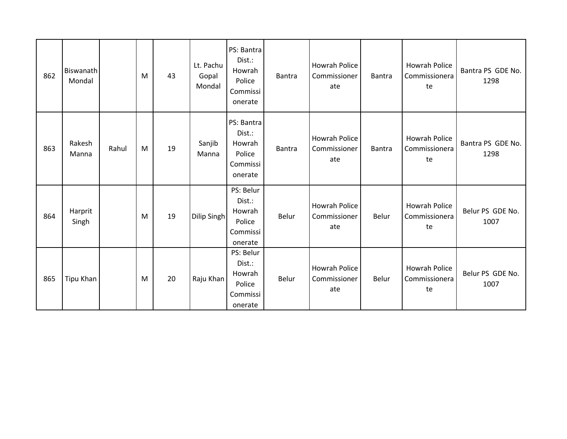| 862 | Biswanath<br>Mondal |       | M | 43 | Lt. Pachu<br>Gopal<br>Mondal | PS: Bantra<br>Dist.:<br>Howrah<br>Police<br>Commissi<br>onerate | <b>Bantra</b> | Howrah Police<br>Commissioner<br>ate        | <b>Bantra</b> | <b>Howrah Police</b><br>Commissionera<br>te | Bantra PS GDE No.<br>1298 |
|-----|---------------------|-------|---|----|------------------------------|-----------------------------------------------------------------|---------------|---------------------------------------------|---------------|---------------------------------------------|---------------------------|
| 863 | Rakesh<br>Manna     | Rahul | M | 19 | Sanjib<br>Manna              | PS: Bantra<br>Dist.:<br>Howrah<br>Police<br>Commissi<br>onerate | <b>Bantra</b> | Howrah Police<br>Commissioner<br>ate        | <b>Bantra</b> | <b>Howrah Police</b><br>Commissionera<br>te | Bantra PS GDE No.<br>1298 |
| 864 | Harprit<br>Singh    |       | M | 19 | Dilip Singh                  | PS: Belur<br>Dist.:<br>Howrah<br>Police<br>Commissi<br>onerate  | Belur         | Howrah Police<br>Commissioner<br>ate        | Belur         | <b>Howrah Police</b><br>Commissionera<br>te | Belur PS GDE No.<br>1007  |
| 865 | Tipu Khan           |       | M | 20 | Raju Khan                    | PS: Belur<br>Dist.:<br>Howrah<br>Police<br>Commissi<br>onerate  | Belur         | <b>Howrah Police</b><br>Commissioner<br>ate | Belur         | Howrah Police<br>Commissionera<br>te        | Belur PS GDE No.<br>1007  |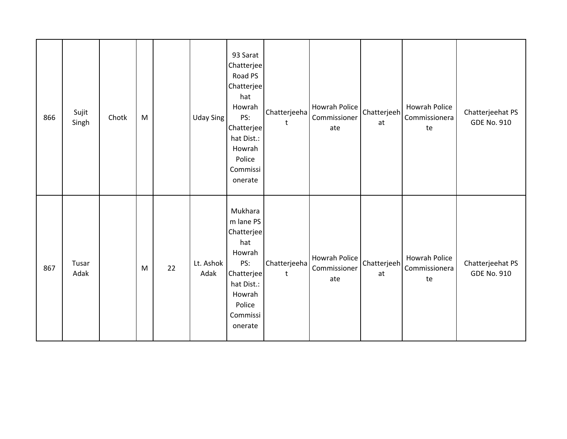| 866 | Sujit<br>Singh | Chotk | M |    | <b>Uday Sing</b>  | 93 Sarat<br>Chatterjee<br>Road PS<br>Chatterjee<br>hat<br>Howrah<br>PS:<br>Chatterjee<br>hat Dist.:<br>Howrah<br>Police<br>Commissi<br>onerate | Chatterjeeha<br>t | Howrah Police<br>Commissioner<br>ate | Chatterjeeh<br>at | Howrah Police<br>Commissionera<br>te | Chatterjeehat PS<br><b>GDE No. 910</b> |
|-----|----------------|-------|---|----|-------------------|------------------------------------------------------------------------------------------------------------------------------------------------|-------------------|--------------------------------------|-------------------|--------------------------------------|----------------------------------------|
| 867 | Tusar<br>Adak  |       | M | 22 | Lt. Ashok<br>Adak | Mukhara<br>m lane PS<br>Chatterjee<br>hat<br>Howrah<br>PS:<br>Chatterjee<br>hat Dist.:<br>Howrah<br>Police<br>Commissi<br>onerate              | Chatterjeeha<br>t | Howrah Police<br>Commissioner<br>ate | Chatterjeeh<br>at | Howrah Police<br>Commissionera<br>te | Chatterjeehat PS<br><b>GDE No. 910</b> |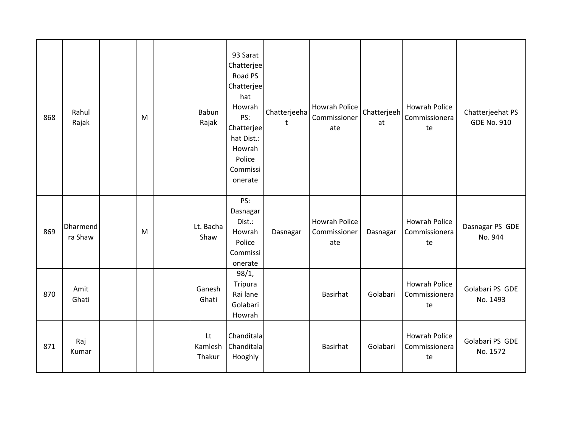| 868 | Rahul<br>Rajak      | M | Babun<br>Rajak          | 93 Sarat<br>Chatterjee<br>Road PS<br>Chatterjee<br>hat<br>Howrah<br>PS:<br>Chatterjee<br>hat Dist.:<br>Howrah<br>Police<br>Commissi<br>onerate | Chatterjeeha<br>$\mathsf{t}$ | <b>Howrah Police</b><br>Commissioner<br>ate | Chatterjeeh<br>at | <b>Howrah Police</b><br>Commissionera<br>te | Chatterjeehat PS<br><b>GDE No. 910</b> |
|-----|---------------------|---|-------------------------|------------------------------------------------------------------------------------------------------------------------------------------------|------------------------------|---------------------------------------------|-------------------|---------------------------------------------|----------------------------------------|
| 869 | Dharmend<br>ra Shaw | M | Lt. Bacha<br>Shaw       | PS:<br>Dasnagar<br>Dist.:<br>Howrah<br>Police<br>Commissi<br>onerate                                                                           | Dasnagar                     | <b>Howrah Police</b><br>Commissioner<br>ate | Dasnagar          | <b>Howrah Police</b><br>Commissionera<br>te | Dasnagar PS GDE<br>No. 944             |
| 870 | Amit<br>Ghati       |   | Ganesh<br>Ghati         | 98/1,<br>Tripura<br>Rai lane<br>Golabari<br>Howrah                                                                                             |                              | Basirhat                                    | Golabari          | <b>Howrah Police</b><br>Commissionera<br>te | Golabari PS GDE<br>No. 1493            |
| 871 | Raj<br>Kumar        |   | Lt<br>Kamlesh<br>Thakur | Chanditala<br>Chanditala<br>Hooghly                                                                                                            |                              | Basirhat                                    | Golabari          | <b>Howrah Police</b><br>Commissionera<br>te | Golabari PS GDE<br>No. 1572            |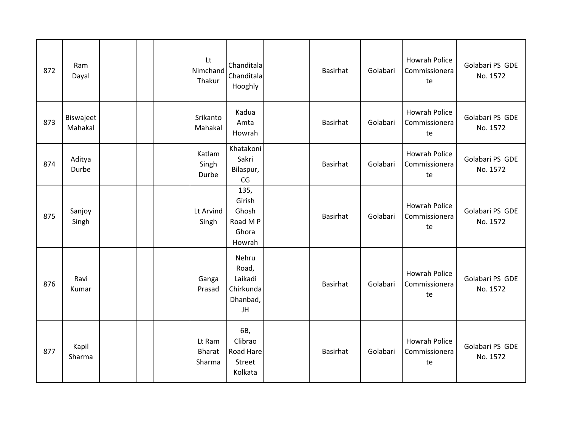| 872 | Ram<br>Dayal         |  | Lt<br>Nimchand<br>Thakur          | Chanditala<br>Chanditala<br>Hooghly                      | Basirhat        | Golabari | <b>Howrah Police</b><br>Commissionera<br>te | Golabari PS GDE<br>No. 1572 |
|-----|----------------------|--|-----------------------------------|----------------------------------------------------------|-----------------|----------|---------------------------------------------|-----------------------------|
| 873 | Biswajeet<br>Mahakal |  | Srikanto<br>Mahakal               | Kadua<br>Amta<br>Howrah                                  | <b>Basirhat</b> | Golabari | <b>Howrah Police</b><br>Commissionera<br>te | Golabari PS GDE<br>No. 1572 |
| 874 | Aditya<br>Durbe      |  | Katlam<br>Singh<br>Durbe          | Khatakoni<br>Sakri<br>Bilaspur,<br>CG                    | Basirhat        | Golabari | <b>Howrah Police</b><br>Commissionera<br>te | Golabari PS GDE<br>No. 1572 |
| 875 | Sanjoy<br>Singh      |  | Lt Arvind<br>Singh                | 135,<br>Girish<br>Ghosh<br>Road M P<br>Ghora<br>Howrah   | Basirhat        | Golabari | <b>Howrah Police</b><br>Commissionera<br>te | Golabari PS GDE<br>No. 1572 |
| 876 | Ravi<br>Kumar        |  | Ganga<br>Prasad                   | Nehru<br>Road,<br>Laikadi<br>Chirkunda<br>Dhanbad,<br>JH | <b>Basirhat</b> | Golabari | <b>Howrah Police</b><br>Commissionera<br>te | Golabari PS GDE<br>No. 1572 |
| 877 | Kapil<br>Sharma      |  | Lt Ram<br><b>Bharat</b><br>Sharma | 6B,<br>Clibrao<br>Road Hare<br>Street<br>Kolkata         | Basirhat        | Golabari | <b>Howrah Police</b><br>Commissionera<br>te | Golabari PS GDE<br>No. 1572 |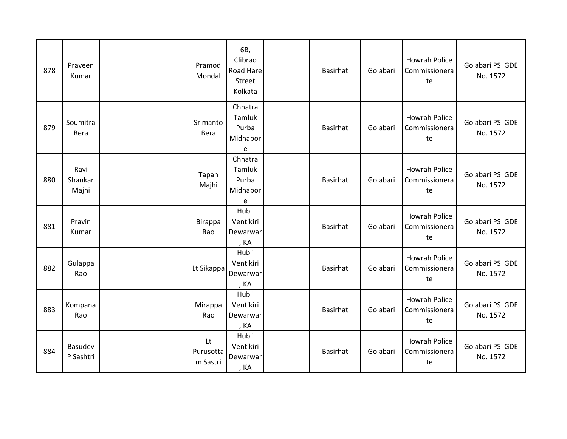| 878 | Praveen<br>Kumar         |  | Pramod<br>Mondal            | 6B,<br>Clibrao<br>Road Hare<br>Street<br>Kolkata | Basirhat        | Golabari | <b>Howrah Police</b><br>Commissionera<br>te | Golabari PS GDE<br>No. 1572 |
|-----|--------------------------|--|-----------------------------|--------------------------------------------------|-----------------|----------|---------------------------------------------|-----------------------------|
| 879 | Soumitra<br><b>Bera</b>  |  | Srimanto<br>Bera            | Chhatra<br>Tamluk<br>Purba<br>Midnapor<br>e      | Basirhat        | Golabari | <b>Howrah Police</b><br>Commissionera<br>te | Golabari PS GDE<br>No. 1572 |
| 880 | Ravi<br>Shankar<br>Majhi |  | Tapan<br>Majhi              | Chhatra<br>Tamluk<br>Purba<br>Midnapor<br>e      | Basirhat        | Golabari | <b>Howrah Police</b><br>Commissionera<br>te | Golabari PS GDE<br>No. 1572 |
| 881 | Pravin<br>Kumar          |  | <b>Birappa</b><br>Rao       | Hubli<br>Ventikiri<br>Dewarwar<br>, KA           | Basirhat        | Golabari | <b>Howrah Police</b><br>Commissionera<br>te | Golabari PS GDE<br>No. 1572 |
| 882 | Gulappa<br>Rao           |  | Lt Sikappa                  | Hubli<br>Ventikiri<br>Dewarwar<br>, KA           | Basirhat        | Golabari | <b>Howrah Police</b><br>Commissionera<br>te | Golabari PS GDE<br>No. 1572 |
| 883 | Kompana<br>Rao           |  | Mirappa<br>Rao              | Hubli<br>Ventikiri<br>Dewarwar<br>, KA           | <b>Basirhat</b> | Golabari | <b>Howrah Police</b><br>Commissionera<br>te | Golabari PS GDE<br>No. 1572 |
| 884 | Basudev<br>P Sashtri     |  | Lt<br>Purusotta<br>m Sastri | Hubli<br>Ventikiri<br>Dewarwar<br>, KA           | Basirhat        | Golabari | <b>Howrah Police</b><br>Commissionera<br>te | Golabari PS GDE<br>No. 1572 |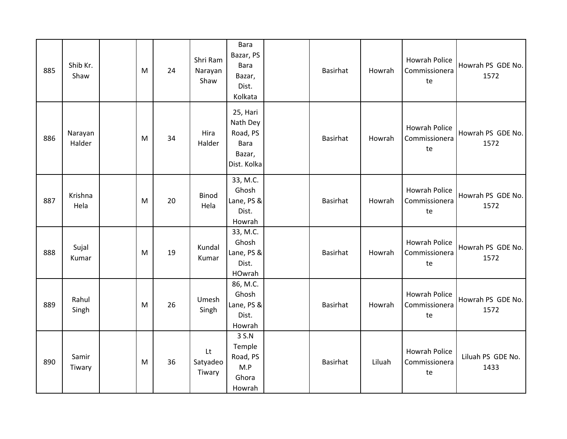| 885 | Shib Kr.<br>Shaw  | M | 24 | Shri Ram<br>Narayan<br>Shaw | <b>Bara</b><br>Bazar, PS<br><b>Bara</b><br>Bazar,<br>Dist.<br>Kolkata    | Basirhat | Howrah | <b>Howrah Police</b><br>Commissionera<br>te | Howrah PS GDE No.<br>1572 |
|-----|-------------------|---|----|-----------------------------|--------------------------------------------------------------------------|----------|--------|---------------------------------------------|---------------------------|
| 886 | Narayan<br>Halder | M | 34 | Hira<br>Halder              | 25, Hari<br>Nath Dey<br>Road, PS<br><b>Bara</b><br>Bazar,<br>Dist. Kolka | Basirhat | Howrah | <b>Howrah Police</b><br>Commissionera<br>te | Howrah PS GDE No.<br>1572 |
| 887 | Krishna<br>Hela   | M | 20 | Binod<br>Hela               | 33, M.C.<br>Ghosh<br>Lane, PS &<br>Dist.<br>Howrah                       | Basirhat | Howrah | <b>Howrah Police</b><br>Commissionera<br>te | Howrah PS GDE No.<br>1572 |
| 888 | Sujal<br>Kumar    | M | 19 | Kundal<br>Kumar             | 33, M.C.<br>Ghosh<br>Lane, PS &<br>Dist.<br>HOwrah                       | Basirhat | Howrah | <b>Howrah Police</b><br>Commissionera<br>te | Howrah PS GDE No.<br>1572 |
| 889 | Rahul<br>Singh    | M | 26 | Umesh<br>Singh              | 86, M.C.<br>Ghosh<br>Lane, PS &<br>Dist.<br>Howrah                       | Basirhat | Howrah | <b>Howrah Police</b><br>Commissionera<br>te | Howrah PS GDE No.<br>1572 |
| 890 | Samir<br>Tiwary   | M | 36 | Lt<br>Satyadeo<br>Tiwary    | 3 S.N<br>Temple<br>Road, PS<br>M.P<br>Ghora<br>Howrah                    | Basirhat | Liluah | <b>Howrah Police</b><br>Commissionera<br>te | Liluah PS GDE No.<br>1433 |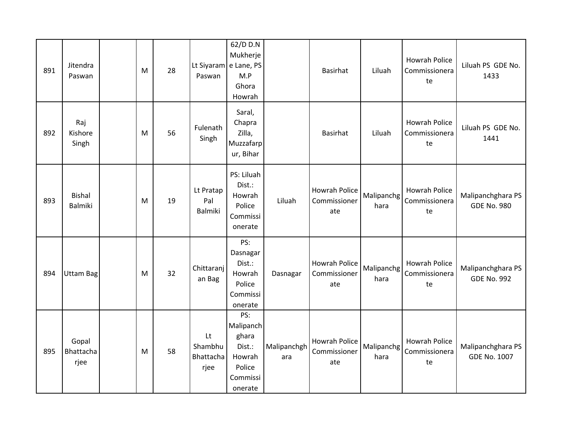| 891 | Jitendra<br>Paswan              | M | 28 | Paswan                             | 62/D D.N<br>Mukherje<br>Lt Siyaram e Lane, PS<br>M.P<br>Ghora<br>Howrah        |                    | <b>Basirhat</b>                             | Liluah             | <b>Howrah Police</b><br>Commissionera<br>te | Liluah PS GDE No.<br>1433                |
|-----|---------------------------------|---|----|------------------------------------|--------------------------------------------------------------------------------|--------------------|---------------------------------------------|--------------------|---------------------------------------------|------------------------------------------|
| 892 | Raj<br>Kishore<br>Singh         | M | 56 | Fulenath<br>Singh                  | Saral,<br>Chapra<br>Zilla,<br>Muzzafarp<br>ur, Bihar                           |                    | <b>Basirhat</b>                             | Liluah             | <b>Howrah Police</b><br>Commissionera<br>te | Liluah PS GDE No.<br>1441                |
| 893 | <b>Bishal</b><br><b>Balmiki</b> | M | 19 | Lt Pratap<br>Pal<br><b>Balmiki</b> | PS: Liluah<br>Dist.:<br>Howrah<br>Police<br>Commissi<br>onerate                | Liluah             | <b>Howrah Police</b><br>Commissioner<br>ate | Malipanchg<br>hara | <b>Howrah Police</b><br>Commissionera<br>te | Malipanchghara PS<br><b>GDE No. 980</b>  |
| 894 | Uttam Bag                       | M | 32 | Chittaranj<br>an Bag               | PS:<br>Dasnagar<br>Dist.:<br>Howrah<br>Police<br>Commissi<br>onerate           | Dasnagar           | Howrah Police<br>Commissioner<br>ate        | Malipanchg<br>hara | <b>Howrah Police</b><br>Commissionera<br>te | Malipanchghara PS<br><b>GDE No. 992</b>  |
| 895 | Gopal<br>Bhattacha<br>rjee      | M | 58 | Lt<br>Shambhu<br>Bhattacha<br>rjee | PS:<br>Malipanch<br>ghara<br>Dist.:<br>Howrah<br>Police<br>Commissi<br>onerate | Malipanchgh<br>ara | Howrah Police<br>Commissioner<br>ate        | Malipanchg<br>hara | <b>Howrah Police</b><br>Commissionera<br>te | Malipanchghara PS<br><b>GDE No. 1007</b> |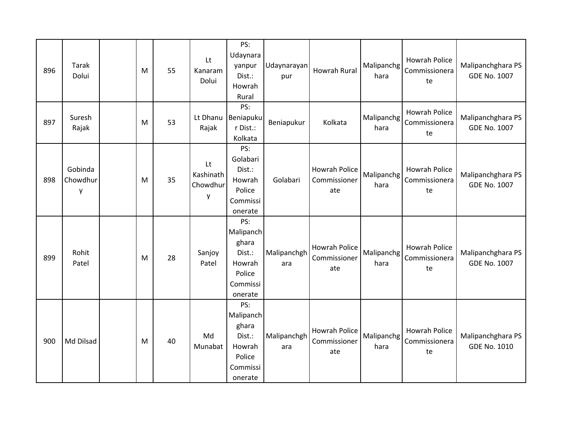| 896 | <b>Tarak</b><br>Dolui    | M | 55 | Lt<br>Kanaram<br>Dolui           | PS:<br>Udaynara<br>yanpur<br>Dist.:<br>Howrah<br>Rural                         | Udaynarayan<br>pur | Howrah Rural                                | Malipanchg<br>hara | <b>Howrah Police</b><br>Commissionera<br>te | Malipanchghara PS<br><b>GDE No. 1007</b> |
|-----|--------------------------|---|----|----------------------------------|--------------------------------------------------------------------------------|--------------------|---------------------------------------------|--------------------|---------------------------------------------|------------------------------------------|
| 897 | Suresh<br>Rajak          | M | 53 | Lt Dhanu<br>Rajak                | PS:<br>Beniapuku<br>r Dist.:<br>Kolkata                                        | Beniapukur         | Kolkata                                     | Malipanchg<br>hara | <b>Howrah Police</b><br>Commissionera<br>te | Malipanchghara PS<br><b>GDE No. 1007</b> |
| 898 | Gobinda<br>Chowdhur<br>y | M | 35 | Lt<br>Kashinath<br>Chowdhur<br>у | PS:<br>Golabari<br>Dist.:<br>Howrah<br>Police<br>Commissi<br>onerate           | Golabari           | Howrah Police<br>Commissioner<br>ate        | Malipanchg<br>hara | <b>Howrah Police</b><br>Commissionera<br>te | Malipanchghara PS<br><b>GDE No. 1007</b> |
| 899 | Rohit<br>Patel           | M | 28 | Sanjoy<br>Patel                  | PS:<br>Malipanch<br>ghara<br>Dist.:<br>Howrah<br>Police<br>Commissi<br>onerate | Malipanchgh<br>ara | Howrah Police<br>Commissioner<br>ate        | Malipanchg<br>hara | Howrah Police<br>Commissionera<br>te        | Malipanchghara PS<br><b>GDE No. 1007</b> |
| 900 | Md Dilsad                | M | 40 | Md<br>Munabat                    | PS:<br>Malipanch<br>ghara<br>Dist.:<br>Howrah<br>Police<br>Commissi<br>onerate | Malipanchgh<br>ara | <b>Howrah Police</b><br>Commissioner<br>ate | Malipanchg<br>hara | <b>Howrah Police</b><br>Commissionera<br>te | Malipanchghara PS<br><b>GDE No. 1010</b> |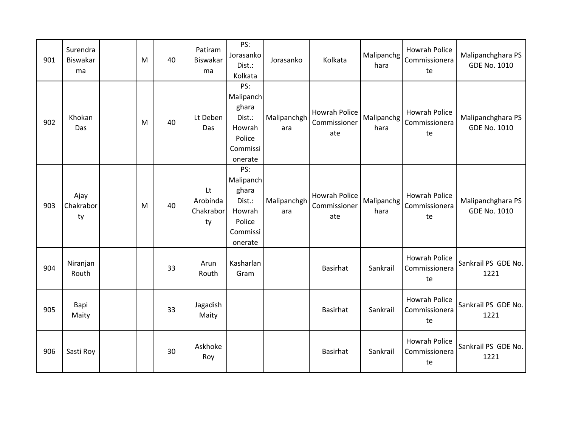| 901 | Surendra<br>Biswakar<br>ma | M | 40 | Patiram<br><b>Biswakar</b><br>ma  | PS:<br>Jorasanko<br>Dist.:<br>Kolkata                                          | Jorasanko          | Kolkata                                     | Malipanchg<br>hara | <b>Howrah Police</b><br>Commissionera<br>te | Malipanchghara PS<br><b>GDE No. 1010</b> |
|-----|----------------------------|---|----|-----------------------------------|--------------------------------------------------------------------------------|--------------------|---------------------------------------------|--------------------|---------------------------------------------|------------------------------------------|
| 902 | Khokan<br>Das              | M | 40 | Lt Deben<br>Das                   | PS:<br>Malipanch<br>ghara<br>Dist.:<br>Howrah<br>Police<br>Commissi<br>onerate | Malipanchgh<br>ara | <b>Howrah Police</b><br>Commissioner<br>ate | Malipanchg<br>hara | <b>Howrah Police</b><br>Commissionera<br>te | Malipanchghara PS<br><b>GDE No. 1010</b> |
| 903 | Ajay<br>Chakrabor<br>ty    | M | 40 | Lt<br>Arobinda<br>Chakrabor<br>ty | PS:<br>Malipanch<br>ghara<br>Dist.:<br>Howrah<br>Police<br>Commissi<br>onerate | Malipanchgh<br>ara | Howrah Police<br>Commissioner<br>ate        | Malipanchg<br>hara | <b>Howrah Police</b><br>Commissionera<br>te | Malipanchghara PS<br><b>GDE No. 1010</b> |
| 904 | Niranjan<br>Routh          |   | 33 | Arun<br>Routh                     | Kasharlan<br>Gram                                                              |                    | Basirhat                                    | Sankrail           | <b>Howrah Police</b><br>Commissionera<br>te | Sankrail PS GDE No.<br>1221              |
| 905 | Bapi<br>Maity              |   | 33 | Jagadish<br>Maity                 |                                                                                |                    | Basirhat                                    | Sankrail           | <b>Howrah Police</b><br>Commissionera<br>te | Sankrail PS GDE No.<br>1221              |
| 906 | Sasti Roy                  |   | 30 | Askhoke<br>Roy                    |                                                                                |                    | Basirhat                                    | Sankrail           | Howrah Police<br>Commissionera<br>te        | Sankrail PS GDE No.<br>1221              |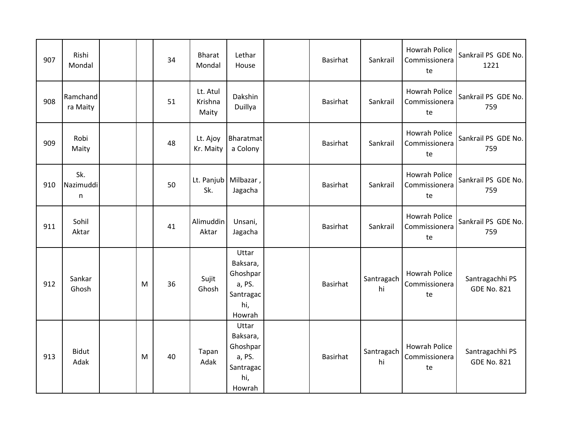| 907 | Rishi<br>Mondal       |   | 34 | <b>Bharat</b><br>Mondal      | Lethar<br>House                                                       | Basirhat        | Sankrail         | <b>Howrah Police</b><br>Commissionera<br>te | Sankrail PS GDE No.<br>1221           |
|-----|-----------------------|---|----|------------------------------|-----------------------------------------------------------------------|-----------------|------------------|---------------------------------------------|---------------------------------------|
| 908 | Ramchand<br>ra Maity  |   | 51 | Lt. Atul<br>Krishna<br>Maity | Dakshin<br>Duillya                                                    | <b>Basirhat</b> | Sankrail         | <b>Howrah Police</b><br>Commissionera<br>te | Sankrail PS GDE No.<br>759            |
| 909 | Robi<br>Maity         |   | 48 | Lt. Ajoy<br>Kr. Maity        | Bharatmat<br>a Colony                                                 | Basirhat        | Sankrail         | <b>Howrah Police</b><br>Commissionera<br>te | Sankrail PS GDE No.<br>759            |
| 910 | Sk.<br>Nazimuddi<br>n |   | 50 | Sk.                          | Lt. Panjub   Milbazar,<br>Jagacha                                     | <b>Basirhat</b> | Sankrail         | <b>Howrah Police</b><br>Commissionera<br>te | Sankrail PS GDE No.<br>759            |
| 911 | Sohil<br>Aktar        |   | 41 | Alimuddin<br>Aktar           | Unsani,<br>Jagacha                                                    | Basirhat        | Sankrail         | Howrah Police<br>Commissionera<br>te        | Sankrail PS GDE No.<br>759            |
| 912 | Sankar<br>Ghosh       | M | 36 | Sujit<br>Ghosh               | Uttar<br>Baksara,<br>Ghoshpar<br>a, PS.<br>Santragac<br>hi,<br>Howrah | Basirhat        | Santragach<br>hi | <b>Howrah Police</b><br>Commissionera<br>te | Santragachhi PS<br><b>GDE No. 821</b> |
| 913 | <b>Bidut</b><br>Adak  | M | 40 | Tapan<br>Adak                | Uttar<br>Baksara,<br>Ghoshpar<br>a, PS.<br>Santragac<br>hi,<br>Howrah | <b>Basirhat</b> | Santragach<br>hi | <b>Howrah Police</b><br>Commissionera<br>te | Santragachhi PS<br><b>GDE No. 821</b> |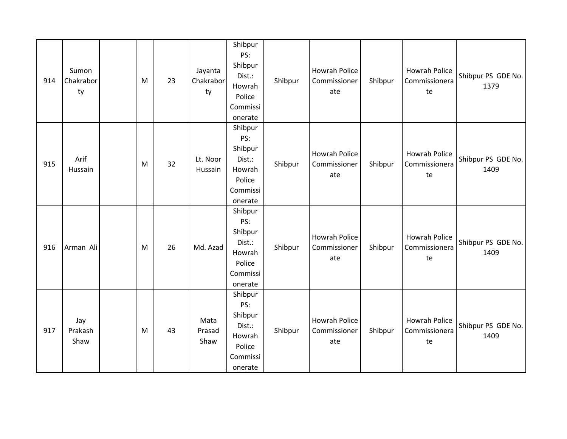| 914 | Sumon<br>Chakrabor<br>ty | M | 23 | Jayanta<br>Chakrabor<br>ty | Shibpur<br>PS:<br>Shibpur<br>Dist.:<br>Howrah<br>Police<br>Commissi<br>onerate | Shibpur | Howrah Police<br>Commissioner<br>ate        | Shibpur | Howrah Police<br>Commissionera<br>te        | Shibpur PS GDE No.<br>1379 |
|-----|--------------------------|---|----|----------------------------|--------------------------------------------------------------------------------|---------|---------------------------------------------|---------|---------------------------------------------|----------------------------|
| 915 | Arif<br>Hussain          | M | 32 | Lt. Noor<br>Hussain        | Shibpur<br>PS:<br>Shibpur<br>Dist.:<br>Howrah<br>Police<br>Commissi<br>onerate | Shibpur | Howrah Police<br>Commissioner<br>ate        | Shibpur | Howrah Police<br>Commissionera<br>te        | Shibpur PS GDE No.<br>1409 |
| 916 | Arman Ali                | M | 26 | Md. Azad                   | Shibpur<br>PS:<br>Shibpur<br>Dist.:<br>Howrah<br>Police<br>Commissi<br>onerate | Shibpur | Howrah Police<br>Commissioner<br>ate        | Shibpur | <b>Howrah Police</b><br>Commissionera<br>te | Shibpur PS GDE No.<br>1409 |
| 917 | Jay<br>Prakash<br>Shaw   | M | 43 | Mata<br>Prasad<br>Shaw     | Shibpur<br>PS:<br>Shibpur<br>Dist.:<br>Howrah<br>Police<br>Commissi<br>onerate | Shibpur | <b>Howrah Police</b><br>Commissioner<br>ate | Shibpur | Howrah Police<br>Commissionera<br>te        | Shibpur PS GDE No.<br>1409 |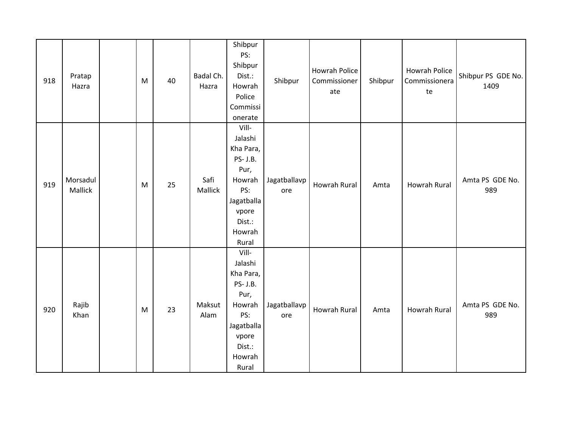| 918 | Pratap<br>Hazra     | M | 40 | Badal Ch.<br>Hazra | Shibpur<br>PS:<br>Shibpur<br>Dist.:<br>Howrah<br>Police<br>Commissi<br>onerate                                         | Shibpur             | Howrah Police<br>Commissioner<br>ate | Shibpur | <b>Howrah Police</b><br>Commissionera<br>te | Shibpur PS GDE No.<br>1409 |
|-----|---------------------|---|----|--------------------|------------------------------------------------------------------------------------------------------------------------|---------------------|--------------------------------------|---------|---------------------------------------------|----------------------------|
| 919 | Morsadul<br>Mallick | M | 25 | Safi<br>Mallick    | Vill-<br>Jalashi<br>Kha Para,<br>PS- J.B.<br>Pur,<br>Howrah<br>PS:<br>Jagatballa<br>vpore<br>Dist.:<br>Howrah<br>Rural | Jagatballavp<br>ore | Howrah Rural                         | Amta    | <b>Howrah Rural</b>                         | Amta PS GDE No.<br>989     |
| 920 | Rajib<br>Khan       | M | 23 | Maksut<br>Alam     | Vill-<br>Jalashi<br>Kha Para,<br>PS- J.B.<br>Pur,<br>Howrah<br>PS:<br>Jagatballa<br>vpore<br>Dist.:<br>Howrah<br>Rural | Jagatballavp<br>ore | Howrah Rural                         | Amta    | <b>Howrah Rural</b>                         | Amta PS GDE No.<br>989     |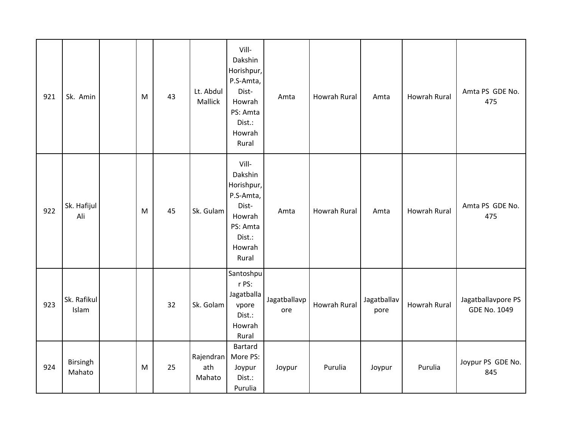| 921 | Sk. Amin             | M | 43 | Lt. Abdul<br>Mallick       | Vill-<br>Dakshin<br>Horishpur,<br>P.S-Amta,<br>Dist-<br>Howrah<br>PS: Amta<br>Dist.:<br>Howrah<br>Rural | Amta                | <b>Howrah Rural</b> | Amta                | <b>Howrah Rural</b> | Amta PS GDE No.<br>475                    |
|-----|----------------------|---|----|----------------------------|---------------------------------------------------------------------------------------------------------|---------------------|---------------------|---------------------|---------------------|-------------------------------------------|
| 922 | Sk. Hafijul<br>Ali   | M | 45 | Sk. Gulam                  | Vill-<br>Dakshin<br>Horishpur,<br>P.S-Amta,<br>Dist-<br>Howrah<br>PS: Amta<br>Dist.:<br>Howrah<br>Rural | Amta                | <b>Howrah Rural</b> | Amta                | <b>Howrah Rural</b> | Amta PS GDE No.<br>475                    |
| 923 | Sk. Rafikul<br>Islam |   | 32 | Sk. Golam                  | Santoshpu<br>r PS:<br>Jagatballa<br>vpore<br>Dist.:<br>Howrah<br>Rural                                  | Jagatballavp<br>ore | Howrah Rural        | Jagatballav<br>pore | <b>Howrah Rural</b> | Jagatballavpore PS<br><b>GDE No. 1049</b> |
| 924 | Birsingh<br>Mahato   | M | 25 | Rajendran<br>ath<br>Mahato | Bartard<br>More PS:<br>Joypur<br>Dist.:<br>Purulia                                                      | Joypur              | Purulia             | Joypur              | Purulia             | Joypur PS GDE No.<br>845                  |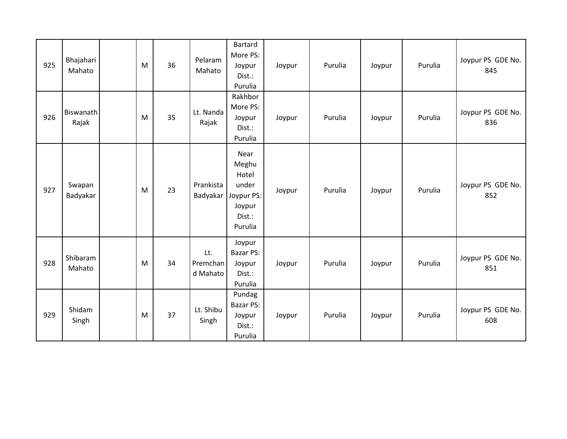| 925 | Bhajahari<br>Mahato       | M | 36 | Pelaram<br>Mahato           | Bartard<br>More PS:<br>Joypur<br>Dist.:<br>Purulia                           | Joypur | Purulia | Joypur | Purulia | Joypur PS GDE No.<br>845 |
|-----|---------------------------|---|----|-----------------------------|------------------------------------------------------------------------------|--------|---------|--------|---------|--------------------------|
| 926 | <b>Biswanath</b><br>Rajak | M | 35 | Lt. Nanda<br>Rajak          | Rakhbor<br>More PS:<br>Joypur<br>Dist.:<br>Purulia                           | Joypur | Purulia | Joypur | Purulia | Joypur PS GDE No.<br>836 |
| 927 | Swapan<br>Badyakar        | M | 23 | Prankista<br>Badyakar       | Near<br>Meghu<br>Hotel<br>under<br>Joypur PS:<br>Joypur<br>Dist.:<br>Purulia | Joypur | Purulia | Joypur | Purulia | Joypur PS GDE No.<br>852 |
| 928 | Shibaram<br>Mahato        | M | 34 | Lt.<br>Premchan<br>d Mahato | Joypur<br>Bazar PS:<br>Joypur<br>Dist.:<br>Purulia                           | Joypur | Purulia | Joypur | Purulia | Joypur PS GDE No.<br>851 |
| 929 | Shidam<br>Singh           | M | 37 | Lt. Shibu<br>Singh          | Pundag<br>Bazar PS:<br>Joypur<br>Dist.:<br>Purulia                           | Joypur | Purulia | Joypur | Purulia | Joypur PS GDE No.<br>608 |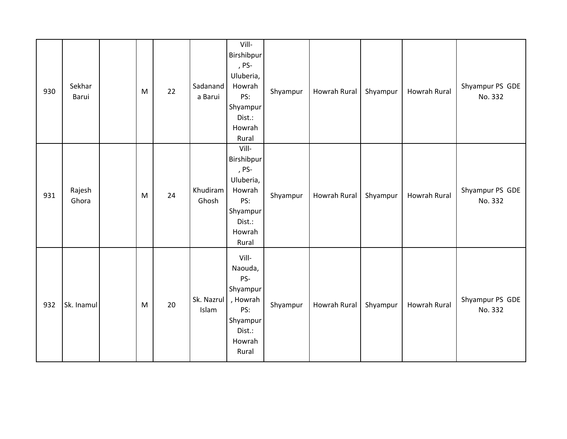| 930 | Sekhar<br>Barui | M | 22 | Sadanand<br>a Barui | Vill-<br>Birshibpur<br>, PS-<br>Uluberia,<br>Howrah<br>PS:<br>Shyampur<br>Dist.:<br>Howrah<br>Rural | Shyampur | Howrah Rural | Shyampur | <b>Howrah Rural</b> | Shyampur PS GDE<br>No. 332 |
|-----|-----------------|---|----|---------------------|-----------------------------------------------------------------------------------------------------|----------|--------------|----------|---------------------|----------------------------|
| 931 | Rajesh<br>Ghora | M | 24 | Khudiram<br>Ghosh   | Vill-<br>Birshibpur<br>, PS-<br>Uluberia,<br>Howrah<br>PS:<br>Shyampur<br>Dist.:<br>Howrah<br>Rural | Shyampur | Howrah Rural | Shyampur | Howrah Rural        | Shyampur PS GDE<br>No. 332 |
| 932 | Sk. Inamul      | M | 20 | Sk. Nazrul<br>Islam | Vill-<br>Naouda,<br>PS-<br>Shyampur<br>, Howrah<br>PS:<br>Shyampur<br>Dist.:<br>Howrah<br>Rural     | Shyampur | Howrah Rural | Shyampur | <b>Howrah Rural</b> | Shyampur PS GDE<br>No. 332 |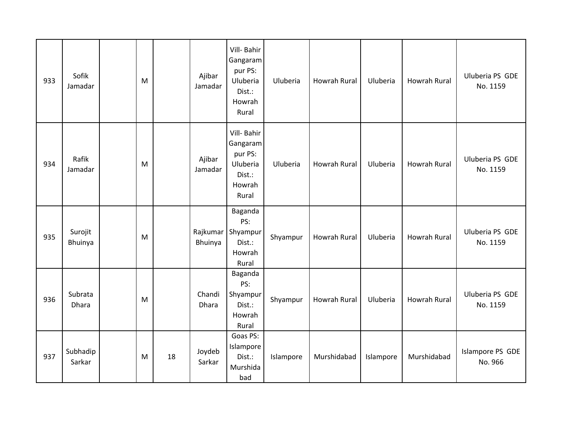| 933 | Sofik<br>Jamadar   | M |    | Ajibar<br>Jamadar   | Vill- Bahir<br>Gangaram<br>pur PS:<br>Uluberia<br>Dist.:<br>Howrah<br>Rural | Uluberia  | Howrah Rural        | Uluberia  | <b>Howrah Rural</b> | Uluberia PS GDE<br>No. 1159 |
|-----|--------------------|---|----|---------------------|-----------------------------------------------------------------------------|-----------|---------------------|-----------|---------------------|-----------------------------|
| 934 | Rafik<br>Jamadar   | M |    | Ajibar<br>Jamadar   | Vill- Bahir<br>Gangaram<br>pur PS:<br>Uluberia<br>Dist.:<br>Howrah<br>Rural | Uluberia  | <b>Howrah Rural</b> | Uluberia  | <b>Howrah Rural</b> | Uluberia PS GDE<br>No. 1159 |
| 935 | Surojit<br>Bhuinya | M |    | Rajkumar<br>Bhuinya | Baganda<br>PS:<br>Shyampur<br>Dist.:<br>Howrah<br>Rural                     | Shyampur  | <b>Howrah Rural</b> | Uluberia  | <b>Howrah Rural</b> | Uluberia PS GDE<br>No. 1159 |
| 936 | Subrata<br>Dhara   | M |    | Chandi<br>Dhara     | Baganda<br>PS:<br>Shyampur<br>Dist.:<br>Howrah<br>Rural                     | Shyampur  | Howrah Rural        | Uluberia  | <b>Howrah Rural</b> | Uluberia PS GDE<br>No. 1159 |
| 937 | Subhadip<br>Sarkar | M | 18 | Joydeb<br>Sarkar    | Goas PS:<br>Islampore<br>Dist.:<br>Murshida<br>bad                          | Islampore | Murshidabad         | Islampore | Murshidabad         | Islampore PS GDE<br>No. 966 |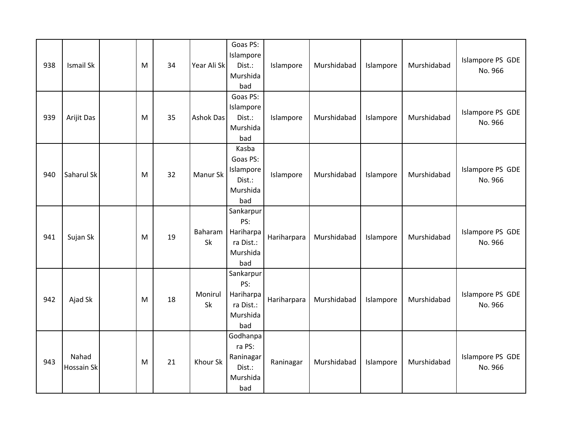| 938 | Ismail Sk           | M | 34 | Year Ali Sk      | Goas PS:<br>Islampore<br>Dist.:<br>Murshida<br>bad            | Islampore   | Murshidabad | Islampore | Murshidabad | Islampore PS GDE<br>No. 966 |
|-----|---------------------|---|----|------------------|---------------------------------------------------------------|-------------|-------------|-----------|-------------|-----------------------------|
| 939 | Arijit Das          | M | 35 | <b>Ashok Das</b> | Goas PS:<br>Islampore<br>Dist.:<br>Murshida<br>bad            | Islampore   | Murshidabad | Islampore | Murshidabad | Islampore PS GDE<br>No. 966 |
| 940 | Saharul Sk          | M | 32 | Manur Sk         | Kasba<br>Goas PS:<br>Islampore<br>Dist.:<br>Murshida<br>bad   | Islampore   | Murshidabad | Islampore | Murshidabad | Islampore PS GDE<br>No. 966 |
| 941 | Sujan Sk            | M | 19 | Baharam<br>Sk    | Sankarpur<br>PS:<br>Hariharpa<br>ra Dist.:<br>Murshida<br>bad | Hariharpara | Murshidabad | Islampore | Murshidabad | Islampore PS GDE<br>No. 966 |
| 942 | Ajad Sk             | M | 18 | Monirul<br>Sk    | Sankarpur<br>PS:<br>Hariharpa<br>ra Dist.:<br>Murshida<br>bad | Hariharpara | Murshidabad | Islampore | Murshidabad | Islampore PS GDE<br>No. 966 |
| 943 | Nahad<br>Hossain Sk | M | 21 | Khour Sk         | Godhanpa<br>ra PS:<br>Raninagar<br>Dist.:<br>Murshida<br>bad  | Raninagar   | Murshidabad | Islampore | Murshidabad | Islampore PS GDE<br>No. 966 |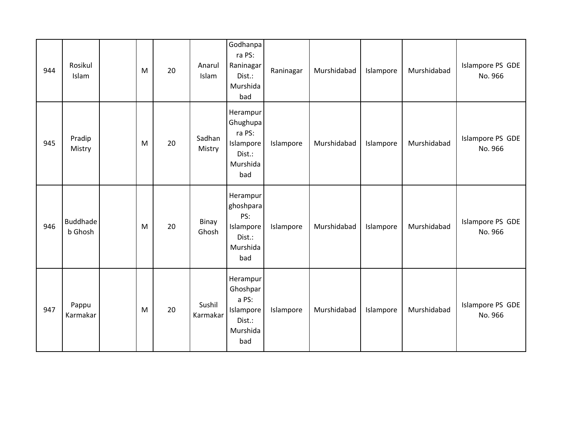| 944 | Rosikul<br>Islam           | M | 20 | Anarul<br>Islam    | Godhanpa<br>ra PS:<br>Raninagar<br>Dist.:<br>Murshida<br>bad             | Raninagar | Murshidabad | Islampore | Murshidabad | Islampore PS GDE<br>No. 966 |
|-----|----------------------------|---|----|--------------------|--------------------------------------------------------------------------|-----------|-------------|-----------|-------------|-----------------------------|
| 945 | Pradip<br>Mistry           | M | 20 | Sadhan<br>Mistry   | Herampur<br>Ghughupa<br>ra PS:<br>Islampore<br>Dist.:<br>Murshida<br>bad | Islampore | Murshidabad | Islampore | Murshidabad | Islampore PS GDE<br>No. 966 |
| 946 | <b>Buddhade</b><br>b Ghosh | M | 20 | Binay<br>Ghosh     | Herampur<br>ghoshpara<br>PS:<br>Islampore<br>Dist.:<br>Murshida<br>bad   | Islampore | Murshidabad | Islampore | Murshidabad | Islampore PS GDE<br>No. 966 |
| 947 | Pappu<br>Karmakar          | M | 20 | Sushil<br>Karmakar | Herampur<br>Ghoshpar<br>a PS:<br>Islampore<br>Dist.:<br>Murshida<br>bad  | Islampore | Murshidabad | Islampore | Murshidabad | Islampore PS GDE<br>No. 966 |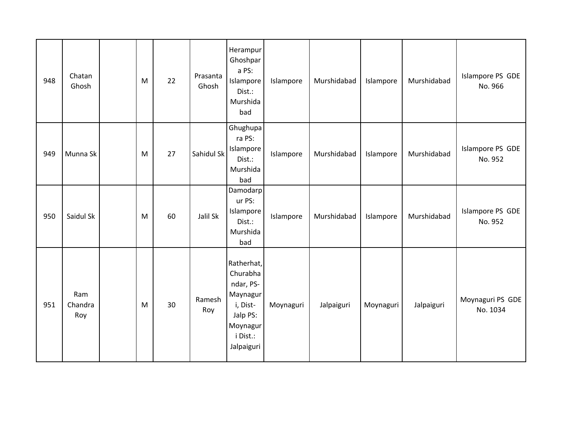| 948 | Chatan<br>Ghosh       | M | 22 | Prasanta<br>Ghosh | Herampur<br>Ghoshpar<br>a PS:<br>Islampore<br>Dist.:<br>Murshida<br>bad                                       | Islampore | Murshidabad | Islampore | Murshidabad | Islampore PS GDE<br>No. 966  |
|-----|-----------------------|---|----|-------------------|---------------------------------------------------------------------------------------------------------------|-----------|-------------|-----------|-------------|------------------------------|
| 949 | Munna Sk              | M | 27 | Sahidul Sk        | Ghughupa<br>ra PS:<br>Islampore<br>Dist.:<br>Murshida<br>bad                                                  | Islampore | Murshidabad | Islampore | Murshidabad | Islampore PS GDE<br>No. 952  |
| 950 | Saidul Sk             | M | 60 | Jalil Sk          | Damodarp<br>ur PS:<br>Islampore<br>Dist.:<br>Murshida<br>bad                                                  | Islampore | Murshidabad | Islampore | Murshidabad | Islampore PS GDE<br>No. 952  |
| 951 | Ram<br>Chandra<br>Roy | M | 30 | Ramesh<br>Roy     | Ratherhat,<br>Churabha<br>ndar, PS-<br>Maynagur<br>i, Dist-<br>Jalp PS:<br>Moynagur<br>i Dist.:<br>Jalpaiguri | Moynaguri | Jalpaiguri  | Moynaguri | Jalpaiguri  | Moynaguri PS GDE<br>No. 1034 |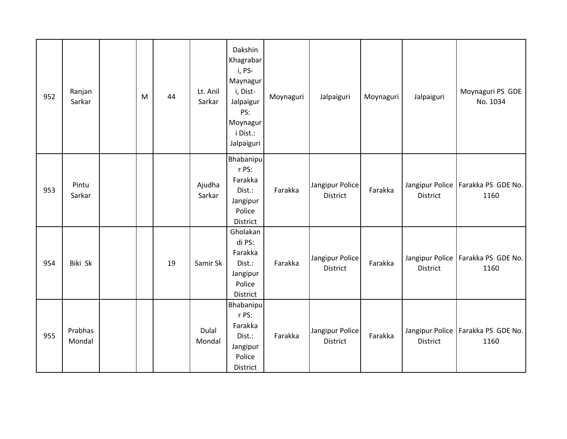| 952 | Ranjan<br>Sarkar  | M | 44 | Lt. Anil<br>Sarkar | Dakshin<br>Khagrabar<br>i, PS-<br>Maynagur<br>i, Dist-<br>Jalpaigur<br>PS:<br>Moynagur<br>i Dist.:<br>Jalpaiguri | Moynaguri | Jalpaiguri                         | Moynaguri | Jalpaiguri      | Moynaguri PS GDE<br>No. 1034                 |
|-----|-------------------|---|----|--------------------|------------------------------------------------------------------------------------------------------------------|-----------|------------------------------------|-----------|-----------------|----------------------------------------------|
| 953 | Pintu<br>Sarkar   |   |    | Ajudha<br>Sarkar   | Bhabanipu<br>r PS:<br>Farakka<br>Dist.:<br>Jangipur<br>Police<br>District                                        | Farakka   | Jangipur Police<br>District        | Farakka   | District        | Jangipur Police   Farakka PS GDE No.<br>1160 |
| 954 | Biki Sk           |   | 19 | Samir Sk           | Gholakan<br>di PS:<br>Farakka<br>Dist.:<br>Jangipur<br>Police<br>District                                        | Farakka   | Jangipur Police<br><b>District</b> | Farakka   | <b>District</b> | Jangipur Police   Farakka PS GDE No.<br>1160 |
| 955 | Prabhas<br>Mondal |   |    | Dulal<br>Mondal    | <b>Bhabanipu</b><br>r PS:<br>Farakka<br>Dist.:<br>Jangipur<br>Police<br>District                                 | Farakka   | Jangipur Police<br><b>District</b> | Farakka   | District        | Jangipur Police   Farakka PS GDE No.<br>1160 |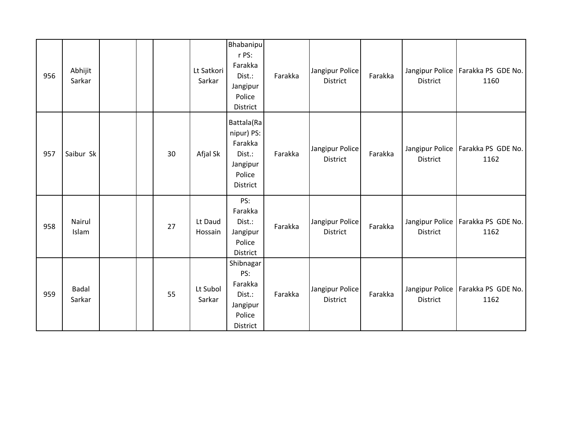| 956 | Abhijit<br>Sarkar      |  |    | Lt Satkori<br>Sarkar | Bhabanipu<br>r PS:<br>Farakka<br>Dist.:<br>Jangipur<br>Police<br>District       | Farakka | Jangipur Police<br>District        | Farakka | Jangipur Police<br><b>District</b> | Farakka PS GDE No.<br>1160                   |
|-----|------------------------|--|----|----------------------|---------------------------------------------------------------------------------|---------|------------------------------------|---------|------------------------------------|----------------------------------------------|
| 957 | Saibur Sk              |  | 30 | Afjal Sk             | Battala(Ra<br>nipur) PS:<br>Farakka<br>Dist.:<br>Jangipur<br>Police<br>District | Farakka | Jangipur Police<br><b>District</b> | Farakka | <b>District</b>                    | Jangipur Police   Farakka PS GDE No.<br>1162 |
| 958 | Nairul<br>Islam        |  | 27 | Lt Daud<br>Hossain   | PS:<br>Farakka<br>Dist.:<br>Jangipur<br>Police<br>District                      | Farakka | Jangipur Police<br><b>District</b> | Farakka | Jangipur Police<br>District        | Farakka PS GDE No.<br>1162                   |
| 959 | <b>Badal</b><br>Sarkar |  | 55 | Lt Subol<br>Sarkar   | Shibnagar<br>PS:<br>Farakka<br>Dist.:<br>Jangipur<br>Police<br>District         | Farakka | Jangipur Police<br><b>District</b> | Farakka | Jangipur Police<br><b>District</b> | Farakka PS GDE No.<br>1162                   |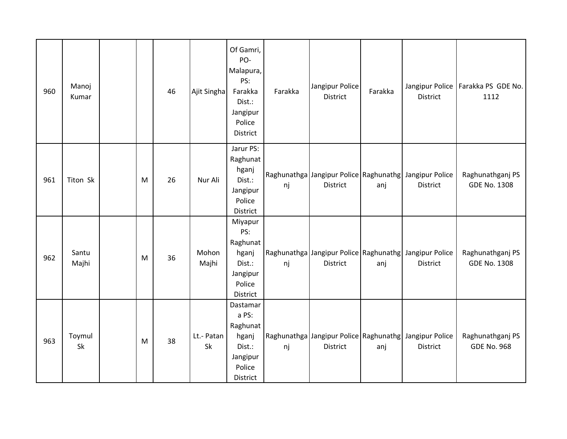| 960 | Manoj<br>Kumar |   | 46 | Ajit Singha      | Of Gamri,<br>PO-<br>Malapura,<br>PS:<br>Farakka<br>Dist.:<br>Jangipur<br>Police<br>District | Farakka | Jangipur Police<br><b>District</b> | Farakka | <b>District</b>                                                           | Jangipur Police   Farakka PS GDE No.<br>1112 |
|-----|----------------|---|----|------------------|---------------------------------------------------------------------------------------------|---------|------------------------------------|---------|---------------------------------------------------------------------------|----------------------------------------------|
| 961 | Titon Sk       | M | 26 | Nur Ali          | Jarur PS:<br>Raghunat<br>hganj<br>Dist.:<br>Jangipur<br>Police<br>District                  | nj      | District                           | anj     | Raghunathga Jangipur Police Raghunathg Jangipur Police<br><b>District</b> | Raghunathganj PS<br><b>GDE No. 1308</b>      |
| 962 | Santu<br>Majhi | M | 36 | Mohon<br>Majhi   | Miyapur<br>PS:<br>Raghunat<br>hganj<br>Dist.:<br>Jangipur<br>Police<br>District             | nj      | <b>District</b>                    | anj     | Raghunathga Jangipur Police Raghunathg Jangipur Police<br><b>District</b> | Raghunathganj PS<br><b>GDE No. 1308</b>      |
| 963 | Toymul<br>Sk   | M | 38 | Lt.- Patan<br>Sk | Dastamar<br>a PS:<br>Raghunat<br>hganj<br>Dist.:<br>Jangipur<br>Police<br>District          | nj      | <b>District</b>                    | anj     | Raghunathga Jangipur Police Raghunathg Jangipur Police<br><b>District</b> | Raghunathganj PS<br><b>GDE No. 968</b>       |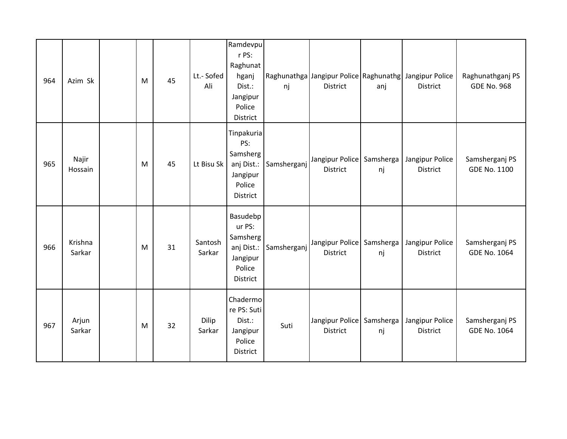| 964 | Azim Sk           | M | 45 | Lt.- Sofed<br>Ali | Ramdevpu<br>r PS:<br>Raghunat<br>hganj<br>Dist.:<br>Jangipur<br>Police<br>District | nj          | <b>District</b>                              | anj | Raghunathga Jangipur Police Raghunathg Jangipur Police<br><b>District</b> | Raghunathganj PS<br><b>GDE No. 968</b> |
|-----|-------------------|---|----|-------------------|------------------------------------------------------------------------------------|-------------|----------------------------------------------|-----|---------------------------------------------------------------------------|----------------------------------------|
| 965 | Najir<br>Hossain  | M | 45 | Lt Bisu Sk        | Tinpakuria<br>PS:<br>Samsherg<br>anj Dist.:<br>Jangipur<br>Police<br>District      | Samsherganj | Jangipur Police Samsherga<br><b>District</b> | nj  | Jangipur Police<br><b>District</b>                                        | Samsherganj PS<br><b>GDE No. 1100</b>  |
| 966 | Krishna<br>Sarkar | M | 31 | Santosh<br>Sarkar | Basudebp<br>ur PS:<br>Samsherg<br>anj Dist.:<br>Jangipur<br>Police<br>District     | Samsherganj | Jangipur Police   Samsherga  <br>District    | nj  | Jangipur Police<br>District                                               | Samsherganj PS<br><b>GDE No. 1064</b>  |
| 967 | Arjun<br>Sarkar   | M | 32 | Dilip<br>Sarkar   | Chadermo<br>re PS: Suti<br>Dist.:<br>Jangipur<br>Police<br>District                | Suti        | Jangipur Police   Samsherga  <br>District    | nj  | Jangipur Police<br>District                                               | Samsherganj PS<br><b>GDE No. 1064</b>  |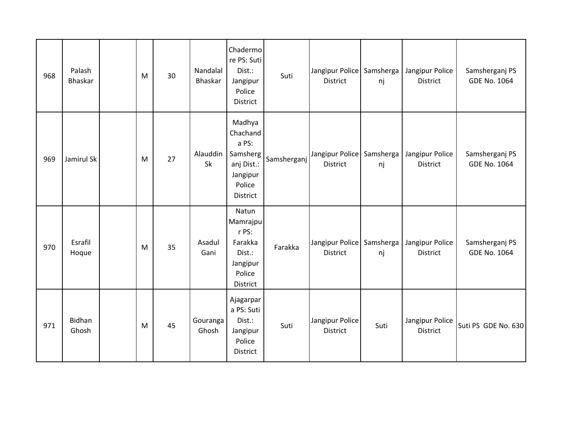| 968 | Palash<br><b>Bhaskar</b> | M | 30 | Nandalal<br>Bhaskar | Chadermo<br>re PS: Suti<br>Dist.:<br>Jangipur<br>Police<br><b>District</b>              | Suti        | Jangipur Police Samsherga<br>District            | nj              | Jangipur Police<br><b>District</b> | Samsherganj PS<br><b>GDE No. 1064</b> |
|-----|--------------------------|---|----|---------------------|-----------------------------------------------------------------------------------------|-------------|--------------------------------------------------|-----------------|------------------------------------|---------------------------------------|
| 969 | Jamirul Sk               | M | 27 | Alauddin<br>Sk      | Madhya<br>Chachand<br>a PS:<br>Samsherg<br>anj Dist.:<br>Jangipur<br>Police<br>District | Samsherganj | Jangipur Police   Samsherga  <br><b>District</b> | nj              | Jangipur Police<br><b>District</b> | Samsherganj PS<br><b>GDE No. 1064</b> |
| 970 | Esrafil<br>Hoque         | M | 35 | Asadul<br>Gani      | Natun<br>Mamrajpu<br>r PS:<br>Farakka<br>Dist.:<br>Jangipur<br>Police<br>District       | Farakka     | Jangipur Police<br>District                      | Samsherga<br>nj | Jangipur Police<br>District        | Samsherganj PS<br><b>GDE No. 1064</b> |
| 971 | Bidhan<br>Ghosh          | M | 45 | Gouranga<br>Ghosh   | Ajagarpar<br>a PS: Suti<br>Dist.:<br>Jangipur<br>Police<br>District                     | Suti        | Jangipur Police<br>District                      | Suti            | Jangipur Police<br><b>District</b> | Suti PS GDE No. 630                   |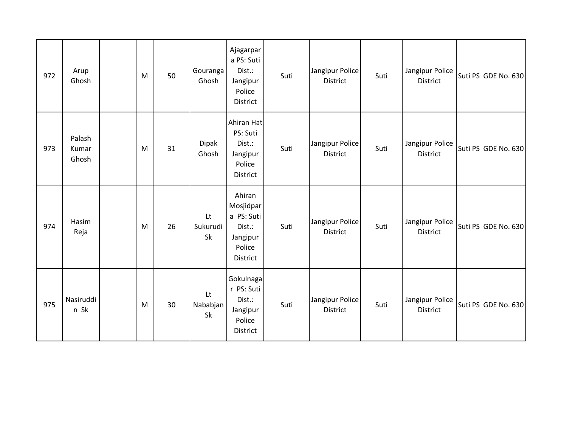| 972 | Arup<br>Ghosh            | M | 50 | Gouranga<br>Ghosh    | Ajagarpar<br>a PS: Suti<br>Dist.:<br>Jangipur<br>Police<br>District           | Suti | Jangipur Police<br>District        | Suti | Jangipur Police<br>District        | Suti PS GDE No. 630 |
|-----|--------------------------|---|----|----------------------|-------------------------------------------------------------------------------|------|------------------------------------|------|------------------------------------|---------------------|
| 973 | Palash<br>Kumar<br>Ghosh | M | 31 | Dipak<br>Ghosh       | Ahiran Hat<br>PS: Suti<br>Dist.:<br>Jangipur<br>Police<br>District            | Suti | Jangipur Police<br>District        | Suti | Jangipur Police<br>District        | Suti PS GDE No. 630 |
| 974 | Hasim<br>Reja            | M | 26 | Lt<br>Sukurudi<br>Sk | Ahiran<br>Mosjidpar<br>a PS: Suti<br>Dist.:<br>Jangipur<br>Police<br>District | Suti | Jangipur Police<br>District        | Suti | Jangipur Police<br>District        | Suti PS GDE No. 630 |
| 975 | Nasiruddi<br>n Sk        | M | 30 | Lt<br>Nababjan<br>Sk | Gokulnaga<br>r PS: Suti<br>Dist.:<br>Jangipur<br>Police<br>District           | Suti | Jangipur Police<br><b>District</b> | Suti | Jangipur Police<br><b>District</b> | Suti PS GDE No. 630 |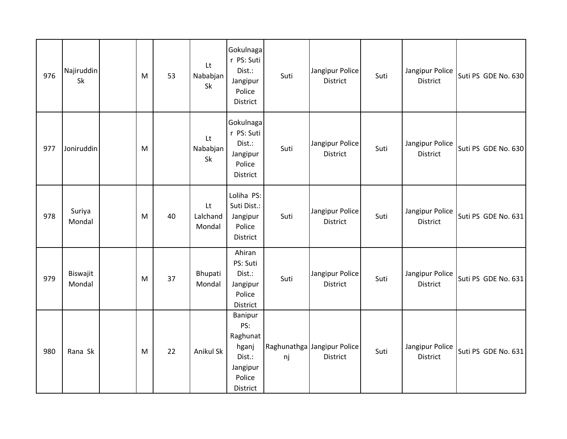| 976 | Najiruddin<br><b>Sk</b> | M | 53 | Lt<br>Nababjan<br>Sk     | Gokulnaga<br>r PS: Suti<br>Dist.:<br>Jangipur<br>Police<br>District             | Suti | Jangipur Police<br>District                    | Suti | Jangipur Police<br>District        | Suti PS GDE No. 630 |
|-----|-------------------------|---|----|--------------------------|---------------------------------------------------------------------------------|------|------------------------------------------------|------|------------------------------------|---------------------|
| 977 | Joniruddin              | M |    | Lt<br>Nababjan<br>Sk     | Gokulnaga<br>r PS: Suti<br>Dist.:<br>Jangipur<br>Police<br>District             | Suti | Jangipur Police<br>District                    | Suti | Jangipur Police<br>District        | Suti PS GDE No. 630 |
| 978 | Suriya<br>Mondal        | M | 40 | Lt<br>Lalchand<br>Mondal | Loliha PS:<br>Suti Dist.:<br>Jangipur<br>Police<br>District                     | Suti | Jangipur Police<br><b>District</b>             | Suti | Jangipur Police<br><b>District</b> | Suti PS GDE No. 631 |
| 979 | Biswajit<br>Mondal      | M | 37 | Bhupati<br>Mondal        | Ahiran<br>PS: Suti<br>Dist.:<br>Jangipur<br>Police<br>District                  | Suti | Jangipur Police<br>District                    | Suti | Jangipur Police<br>District        | Suti PS GDE No. 631 |
| 980 | Rana Sk                 | M | 22 | Anikul Sk                | Banipur<br>PS:<br>Raghunat<br>hganj<br>Dist.:<br>Jangipur<br>Police<br>District | nj   | Raghunathga Jangipur Police<br><b>District</b> | Suti | Jangipur Police<br><b>District</b> | Suti PS GDE No. 631 |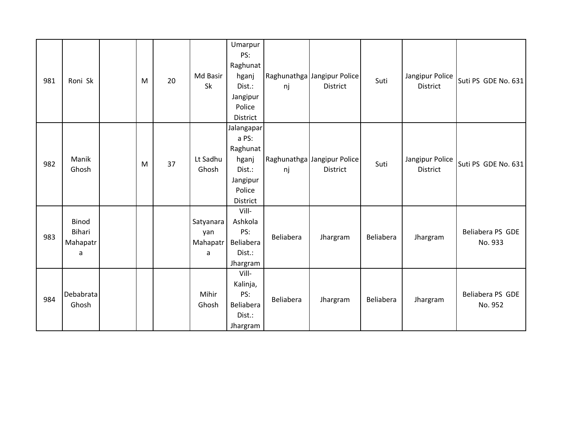| 981 | Roni Sk                                 | M | 20 | Md Basir<br>Sk                    | Umarpur<br>PS:<br>Raghunat<br>hganj<br>Dist.:<br>Jangipur<br>Police<br>District      | nj        | Raghunathga Jangipur Police<br><b>District</b> | Suti      | Jangipur Police<br><b>District</b> | Suti PS GDE No. 631         |
|-----|-----------------------------------------|---|----|-----------------------------------|--------------------------------------------------------------------------------------|-----------|------------------------------------------------|-----------|------------------------------------|-----------------------------|
| 982 | Manik<br>Ghosh                          | M | 37 | Lt Sadhu<br>Ghosh                 | Jalangapar<br>a PS:<br>Raghunat<br>hganj<br>Dist.:<br>Jangipur<br>Police<br>District | nj        | Raghunathga Jangipur Police<br><b>District</b> | Suti      | Jangipur Police<br><b>District</b> | Suti PS GDE No. 631         |
| 983 | Binod<br><b>Bihari</b><br>Mahapatr<br>a |   |    | Satyanara<br>yan<br>Mahapatr<br>a | Vill-<br>Ashkola<br>PS:<br>Beliabera<br>Dist.:<br>Jhargram                           | Beliabera | Jhargram                                       | Beliabera | Jhargram                           | Beliabera PS GDE<br>No. 933 |
| 984 | Debabrata<br>Ghosh                      |   |    | Mihir<br>Ghosh                    | Vill-<br>Kalinja,<br>PS:<br>Beliabera<br>Dist.:<br>Jhargram                          | Beliabera | Jhargram                                       | Beliabera | Jhargram                           | Beliabera PS GDE<br>No. 952 |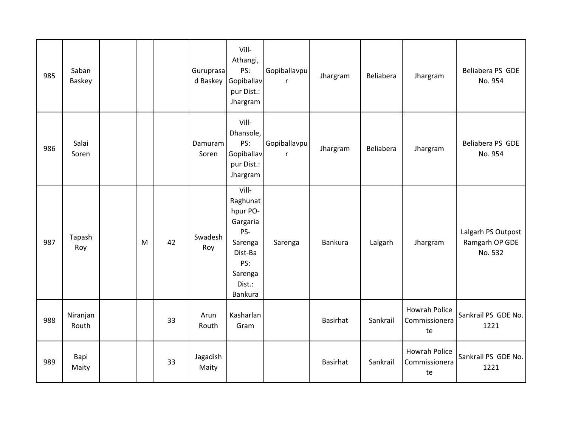| 985 | Saban<br>Baskey   |   |    | Guruprasa<br>d Baskey | Vill-<br>Athangi,<br>PS:<br>Gopiballav<br>pur Dist.:<br>Jhargram                                              | Gopiballavpu<br>r | Jhargram | Beliabera | Jhargram                                    | Beliabera PS GDE<br>No. 954                     |
|-----|-------------------|---|----|-----------------------|---------------------------------------------------------------------------------------------------------------|-------------------|----------|-----------|---------------------------------------------|-------------------------------------------------|
| 986 | Salai<br>Soren    |   |    | Damuram<br>Soren      | Vill-<br>Dhansole,<br>PS:<br>Gopiballav<br>pur Dist.:<br>Jhargram                                             | Gopiballavpu<br>r | Jhargram | Beliabera | Jhargram                                    | Beliabera PS GDE<br>No. 954                     |
| 987 | Tapash<br>Roy     | M | 42 | Swadesh<br>Roy        | Vill-<br>Raghunat<br>hpur PO-<br>Gargaria<br>PS-<br>Sarenga<br>Dist-Ba<br>PS:<br>Sarenga<br>Dist.:<br>Bankura | Sarenga           | Bankura  | Lalgarh   | Jhargram                                    | Lalgarh PS Outpost<br>Ramgarh OP GDE<br>No. 532 |
| 988 | Niranjan<br>Routh |   | 33 | Arun<br>Routh         | Kasharlan<br>Gram                                                                                             |                   | Basirhat | Sankrail  | <b>Howrah Police</b><br>Commissionera<br>te | Sankrail PS GDE No.<br>1221                     |
| 989 | Bapi<br>Maity     |   | 33 | Jagadish<br>Maity     |                                                                                                               |                   | Basirhat | Sankrail  | <b>Howrah Police</b><br>Commissionera<br>te | Sankrail PS GDE No.<br>1221                     |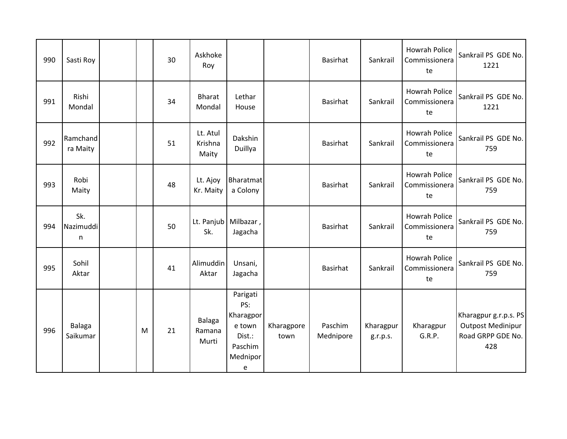| 990 | Sasti Roy              |   | 30 | Askhoke<br>Roy                   |                                                                              |                    | Basirhat             | Sankrail              | <b>Howrah Police</b><br>Commissionera<br>te | Sankrail PS GDE No.<br>1221                                                   |
|-----|------------------------|---|----|----------------------------------|------------------------------------------------------------------------------|--------------------|----------------------|-----------------------|---------------------------------------------|-------------------------------------------------------------------------------|
| 991 | Rishi<br>Mondal        |   | 34 | <b>Bharat</b><br>Mondal          | Lethar<br>House                                                              |                    | Basirhat             | Sankrail              | <b>Howrah Police</b><br>Commissionera<br>te | Sankrail PS GDE No.<br>1221                                                   |
| 992 | Ramchand<br>ra Maity   |   | 51 | Lt. Atul<br>Krishna<br>Maity     | Dakshin<br>Duillya                                                           |                    | <b>Basirhat</b>      | Sankrail              | <b>Howrah Police</b><br>Commissionera<br>te | Sankrail PS GDE No.<br>759                                                    |
| 993 | Robi<br>Maity          |   | 48 | Lt. Ajoy<br>Kr. Maity            | Bharatmat<br>a Colony                                                        |                    | <b>Basirhat</b>      | Sankrail              | <b>Howrah Police</b><br>Commissionera<br>te | Sankrail PS GDE No.<br>759                                                    |
| 994 | Sk.<br>Nazimuddi<br>n. |   | 50 | Sk.                              | Lt. Panjub   Milbazar,<br>Jagacha                                            |                    | <b>Basirhat</b>      | Sankrail              | <b>Howrah Police</b><br>Commissionera<br>te | Sankrail PS GDE No.<br>759                                                    |
| 995 | Sohil<br>Aktar         |   | 41 | Alimuddin<br>Aktar               | Unsani,<br>Jagacha                                                           |                    | <b>Basirhat</b>      | Sankrail              | <b>Howrah Police</b><br>Commissionera<br>te | Sankrail PS GDE No.<br>759                                                    |
| 996 | Balaga<br>Saikumar     | M | 21 | <b>Balaga</b><br>Ramana<br>Murti | Parigati<br>PS:<br>Kharagpor<br>e town<br>Dist.:<br>Paschim<br>Mednipor<br>е | Kharagpore<br>town | Paschim<br>Mednipore | Kharagpur<br>g.r.p.s. | Kharagpur<br>G.R.P.                         | Kharagpur g.r.p.s. PS<br><b>Outpost Medinipur</b><br>Road GRPP GDE No.<br>428 |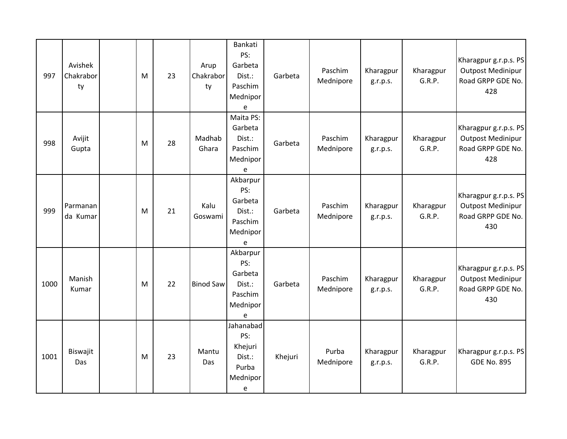| 997  | Avishek<br>Chakrabor<br>ty | M | 23 | Arup<br>Chakrabor<br>ty | Bankati<br>PS:<br>Garbeta<br>Dist.:<br>Paschim<br>Mednipor<br>e  | Garbeta | Paschim<br>Mednipore | Kharagpur<br>g.r.p.s. | Kharagpur<br>G.R.P. | Kharagpur g.r.p.s. PS<br><b>Outpost Medinipur</b><br>Road GRPP GDE No.<br>428 |
|------|----------------------------|---|----|-------------------------|------------------------------------------------------------------|---------|----------------------|-----------------------|---------------------|-------------------------------------------------------------------------------|
| 998  | Avijit<br>Gupta            | M | 28 | Madhab<br>Ghara         | Maita PS:<br>Garbeta<br>Dist.:<br>Paschim<br>Mednipor<br>e       | Garbeta | Paschim<br>Mednipore | Kharagpur<br>g.r.p.s. | Kharagpur<br>G.R.P. | Kharagpur g.r.p.s. PS<br><b>Outpost Medinipur</b><br>Road GRPP GDE No.<br>428 |
| 999  | Parmanan<br>da Kumar       | M | 21 | Kalu<br>Goswami         | Akbarpur<br>PS:<br>Garbeta<br>Dist.:<br>Paschim<br>Mednipor<br>e | Garbeta | Paschim<br>Mednipore | Kharagpur<br>g.r.p.s. | Kharagpur<br>G.R.P. | Kharagpur g.r.p.s. PS<br><b>Outpost Medinipur</b><br>Road GRPP GDE No.<br>430 |
| 1000 | Manish<br>Kumar            | M | 22 | <b>Binod Saw</b>        | Akbarpur<br>PS:<br>Garbeta<br>Dist.:<br>Paschim<br>Mednipor<br>e | Garbeta | Paschim<br>Mednipore | Kharagpur<br>g.r.p.s. | Kharagpur<br>G.R.P. | Kharagpur g.r.p.s. PS<br><b>Outpost Medinipur</b><br>Road GRPP GDE No.<br>430 |
| 1001 | Biswajit<br>Das            | M | 23 | Mantu<br>Das            | Jahanabad<br>PS:<br>Khejuri<br>Dist.:<br>Purba<br>Mednipor<br>e  | Khejuri | Purba<br>Mednipore   | Kharagpur<br>g.r.p.s. | Kharagpur<br>G.R.P. | Kharagpur g.r.p.s. PS<br><b>GDE No. 895</b>                                   |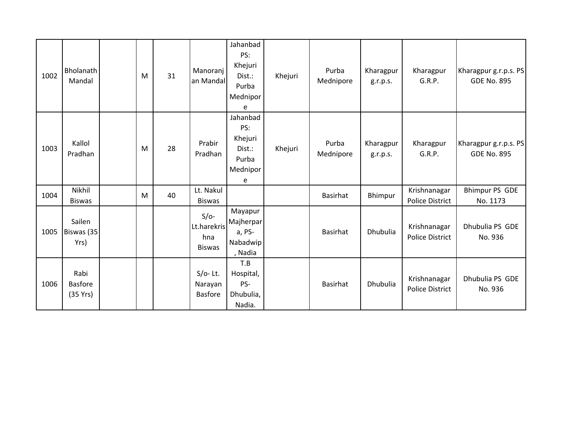| 1002 | Bholanath<br>Mandal                | M | 31 | Manoranj<br>an Mandal                         | Jahanbad<br>PS:<br>Khejuri<br>Dist.:<br>Purba<br>Mednipor<br>e | Khejuri | Purba<br>Mednipore | Kharagpur<br>g.r.p.s. | Kharagpur<br>G.R.P.                    | Kharagpur g.r.p.s. PS<br><b>GDE No. 895</b> |
|------|------------------------------------|---|----|-----------------------------------------------|----------------------------------------------------------------|---------|--------------------|-----------------------|----------------------------------------|---------------------------------------------|
| 1003 | Kallol<br>Pradhan                  | M | 28 | Prabir<br>Pradhan                             | Jahanbad<br>PS:<br>Khejuri<br>Dist.:<br>Purba<br>Mednipor<br>e | Khejuri | Purba<br>Mednipore | Kharagpur<br>g.r.p.s. | Kharagpur<br>G.R.P.                    | Kharagpur g.r.p.s. PS<br><b>GDE No. 895</b> |
| 1004 | Nikhil<br><b>Biswas</b>            | M | 40 | Lt. Nakul<br><b>Biswas</b>                    |                                                                |         | <b>Basirhat</b>    | Bhimpur               | Krishnanagar<br><b>Police District</b> | Bhimpur PS GDE<br>No. 1173                  |
| 1005 | Sailen<br>Biswas (35<br>Yrs)       |   |    | $S/O-$<br>Lt.harekris<br>hna<br><b>Biswas</b> | Mayapur<br>Majherpar<br>a, PS-<br>Nabadwip<br>, Nadia          |         | Basirhat           | Dhubulia              | Krishnanagar<br><b>Police District</b> | Dhubulia PS GDE<br>No. 936                  |
| 1006 | Rabi<br><b>Basfore</b><br>(35 Yrs) |   |    | $S/O-$ Lt.<br>Narayan<br><b>Basfore</b>       | T.B<br>Hospital,<br>PS-<br>Dhubulia,<br>Nadia.                 |         | Basirhat           | Dhubulia              | Krishnanagar<br><b>Police District</b> | Dhubulia PS GDE<br>No. 936                  |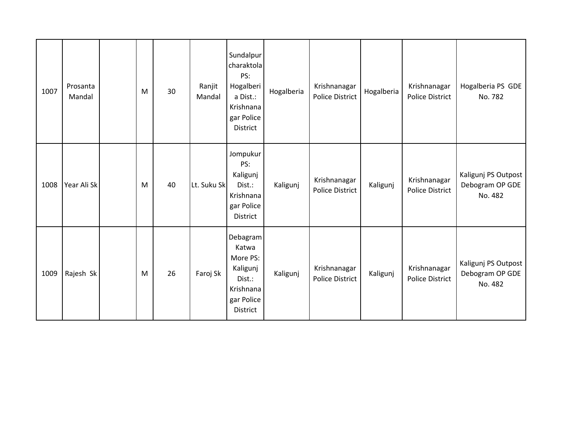| 1007 | Prosanta<br>Mandal | M | 30 | Ranjit<br>Mandal | Sundalpur<br>charaktola<br>PS:<br>Hogalberi<br>a Dist.:<br>Krishnana<br>gar Police<br>District | Hogalberia | Krishnanagar<br><b>Police District</b> | Hogalberia | Krishnanagar<br><b>Police District</b> | Hogalberia PS GDE<br>No. 782                      |
|------|--------------------|---|----|------------------|------------------------------------------------------------------------------------------------|------------|----------------------------------------|------------|----------------------------------------|---------------------------------------------------|
| 1008 | Year Ali Sk        | M | 40 | Lt. Suku Sk      | Jompukur<br>PS:<br>Kaligunj<br>Dist.:<br>Krishnana<br>gar Police<br>District                   | Kaligunj   | Krishnanagar<br><b>Police District</b> | Kaligunj   | Krishnanagar<br><b>Police District</b> | Kaligunj PS Outpost<br>Debogram OP GDE<br>No. 482 |
| 1009 | Rajesh Sk          | M | 26 | Faroj Sk         | Debagram<br>Katwa<br>More PS:<br>Kaligunj<br>Dist.:<br>Krishnana<br>gar Police<br>District     | Kaligunj   | Krishnanagar<br><b>Police District</b> | Kaligunj   | Krishnanagar<br><b>Police District</b> | Kaligunj PS Outpost<br>Debogram OP GDE<br>No. 482 |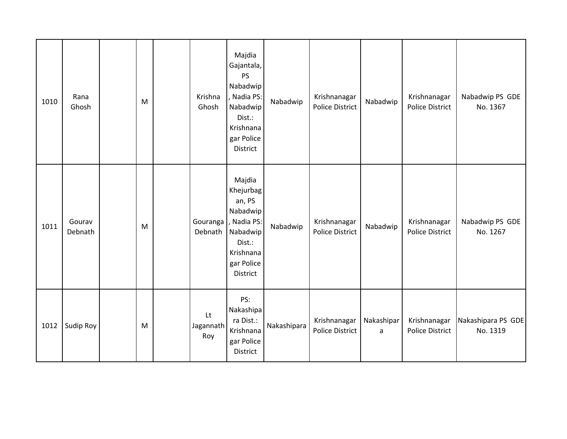| 1010 | Rana<br>Ghosh     | M | Krishna<br>Ghosh       | Majdia<br>Gajantala,<br><b>PS</b><br>Nabadwip<br>, Nadia PS:<br>Nabadwip<br>Dist.:<br>Krishnana<br>gar Police<br>District | Nabadwip    | Krishnanagar<br><b>Police District</b> | Nabadwip        | Krishnanagar<br><b>Police District</b> | Nabadwip PS GDE<br>No. 1367    |
|------|-------------------|---|------------------------|---------------------------------------------------------------------------------------------------------------------------|-------------|----------------------------------------|-----------------|----------------------------------------|--------------------------------|
| 1011 | Gourav<br>Debnath | M | Gouranga<br>Debnath    | Majdia<br>Khejurbag<br>an, PS<br>Nabadwip<br>, Nadia PS:<br>Nabadwip<br>Dist.:<br>Krishnana<br>gar Police<br>District     | Nabadwip    | Krishnanagar<br>Police District        | Nabadwip        | Krishnanagar<br><b>Police District</b> | Nabadwip PS GDE<br>No. 1267    |
| 1012 | Sudip Roy         | M | Lt<br>Jagannath<br>Roy | PS:<br>Nakashipa<br>ra Dist.:<br>Krishnana<br>gar Police<br>District                                                      | Nakashipara | Krishnanagar<br><b>Police District</b> | Nakashipar<br>a | Krishnanagar<br><b>Police District</b> | Nakashipara PS GDE<br>No. 1319 |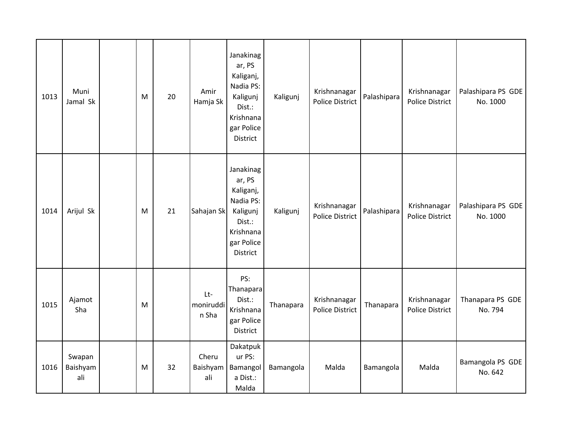| 1013 | Muni<br>Jamal Sk          | M | 20 | Amir<br>Hamja Sk            | Janakinag<br>ar, PS<br>Kaliganj,<br>Nadia PS:<br>Kaligunj<br>Dist.:<br>Krishnana<br>gar Police<br>District | Kaligunj  | Krishnanagar<br><b>Police District</b> | Palashipara | Krishnanagar<br><b>Police District</b> | Palashipara PS GDE<br>No. 1000 |
|------|---------------------------|---|----|-----------------------------|------------------------------------------------------------------------------------------------------------|-----------|----------------------------------------|-------------|----------------------------------------|--------------------------------|
| 1014 | Arijul Sk                 | M | 21 | Sahajan Sk                  | Janakinag<br>ar, PS<br>Kaliganj,<br>Nadia PS:<br>Kaligunj<br>Dist.:<br>Krishnana<br>gar Police<br>District | Kaligunj  | Krishnanagar<br><b>Police District</b> | Palashipara | Krishnanagar<br><b>Police District</b> | Palashipara PS GDE<br>No. 1000 |
| 1015 | Ajamot<br>Sha             | M |    | $Lt-$<br>moniruddi<br>n Sha | PS:<br>Thanapara<br>Dist.:<br>Krishnana<br>gar Police<br>District                                          | Thanapara | Krishnanagar<br><b>Police District</b> | Thanapara   | Krishnanagar<br><b>Police District</b> | Thanapara PS GDE<br>No. 794    |
| 1016 | Swapan<br>Baishyam<br>ali | M | 32 | Cheru<br>Baishyam<br>ali    | Dakatpuk<br>ur PS:<br>Bamangol<br>a Dist.:<br>Malda                                                        | Bamangola | Malda                                  | Bamangola   | Malda                                  | Bamangola PS GDE<br>No. 642    |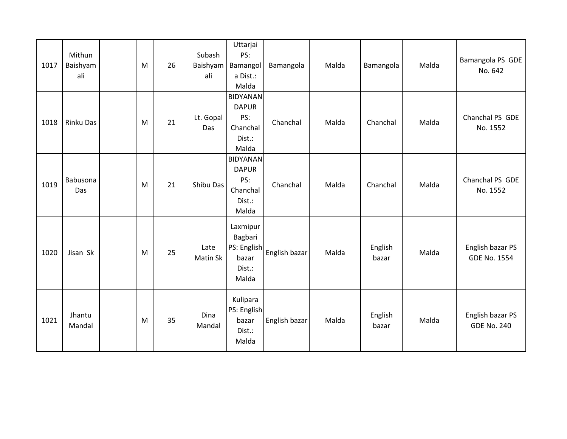| 1017 | Mithun<br>Baishyam<br>ali | M | 26 | Subash<br>Baishyam<br>ali | Uttarjai<br>PS:<br>Bamangol<br>a Dist.:<br>Malda                      | Bamangola                 | Malda | Bamangola        | Malda | Bamangola PS GDE<br>No. 642             |
|------|---------------------------|---|----|---------------------------|-----------------------------------------------------------------------|---------------------------|-------|------------------|-------|-----------------------------------------|
| 1018 | Rinku Das                 | M | 21 | Lt. Gopal<br>Das          | <b>BIDYANAN</b><br><b>DAPUR</b><br>PS:<br>Chanchal<br>Dist.:<br>Malda | Chanchal                  | Malda | Chanchal         | Malda | Chanchal PS GDE<br>No. 1552             |
| 1019 | Babusona<br>Das           | M | 21 | Shibu Das                 | <b>BIDYANAN</b><br><b>DAPUR</b><br>PS:<br>Chanchal<br>Dist.:<br>Malda | Chanchal                  | Malda | Chanchal         | Malda | Chanchal PS GDE<br>No. 1552             |
| 1020 | Jisan Sk                  | M | 25 | Late<br>Matin Sk          | Laxmipur<br>Bagbari<br>bazar<br>Dist.:<br>Malda                       | PS: English English bazar | Malda | English<br>bazar | Malda | English bazar PS<br><b>GDE No. 1554</b> |
| 1021 | Jhantu<br>Mandal          | M | 35 | Dina<br>Mandal            | Kulipara<br>PS: English<br>bazar<br>Dist.:<br>Malda                   | English bazar             | Malda | English<br>bazar | Malda | English bazar PS<br><b>GDE No. 240</b>  |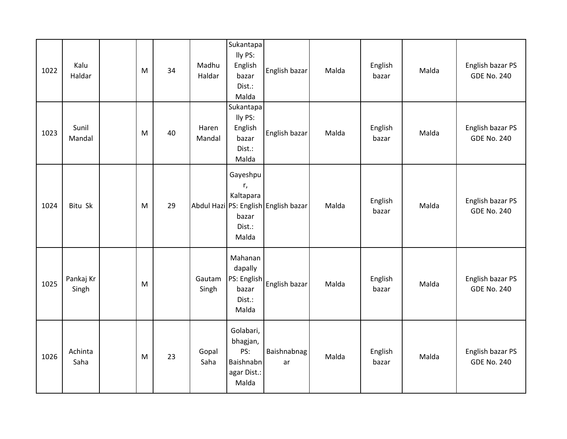| 1022 | Kalu<br>Haldar     | M | 34 | Madhu<br>Haldar | Sukantapa<br>lly PS:<br>English<br>bazar<br>Dist.:<br>Malda       | English bazar                        | Malda | English<br>bazar | Malda | English bazar PS<br><b>GDE No. 240</b> |
|------|--------------------|---|----|-----------------|-------------------------------------------------------------------|--------------------------------------|-------|------------------|-------|----------------------------------------|
| 1023 | Sunil<br>Mandal    | M | 40 | Haren<br>Mandal | Sukantapa<br>lly PS:<br>English<br>bazar<br>Dist.:<br>Malda       | English bazar                        | Malda | English<br>bazar | Malda | English bazar PS<br><b>GDE No. 240</b> |
| 1024 | Bitu Sk            | M | 29 |                 | Gayeshpu<br>r,<br>Kaltapara<br>bazar<br>Dist.:<br>Malda           | Abdul Hazi PS: English English bazar | Malda | English<br>bazar | Malda | English bazar PS<br><b>GDE No. 240</b> |
| 1025 | Pankaj Kr<br>Singh | M |    | Gautam<br>Singh | Mahanan<br>dapally<br>PS: English<br>bazar<br>Dist.:<br>Malda     | English bazar                        | Malda | English<br>bazar | Malda | English bazar PS<br><b>GDE No. 240</b> |
| 1026 | Achinta<br>Saha    | M | 23 | Gopal<br>Saha   | Golabari,<br>bhagjan,<br>PS:<br>Baishnabn<br>agar Dist.:<br>Malda | Baishnabnag<br>ar                    | Malda | English<br>bazar | Malda | English bazar PS<br><b>GDE No. 240</b> |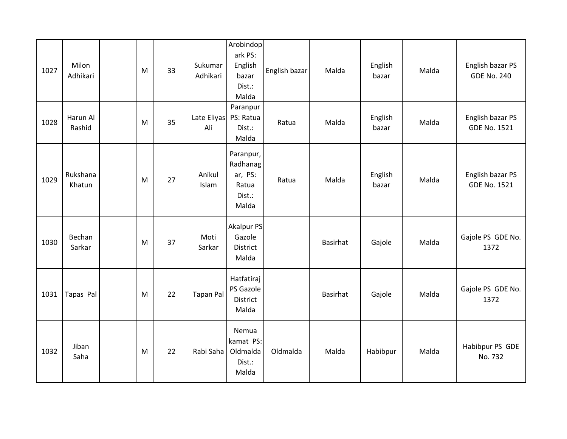| 1027 | Milon<br>Adhikari  | M | 33 | Sukumar<br>Adhikari | Arobindop<br>ark PS:<br>English<br>bazar<br>Dist.:<br>Malda  | English bazar | Malda    | English<br>bazar | Malda | English bazar PS<br><b>GDE No. 240</b>  |
|------|--------------------|---|----|---------------------|--------------------------------------------------------------|---------------|----------|------------------|-------|-----------------------------------------|
| 1028 | Harun Al<br>Rashid | M | 35 | Late Eliyas<br>Ali  | Paranpur<br>PS: Ratua<br>Dist.:<br>Malda                     | Ratua         | Malda    | English<br>bazar | Malda | English bazar PS<br><b>GDE No. 1521</b> |
| 1029 | Rukshana<br>Khatun | M | 27 | Anikul<br>Islam     | Paranpur,<br>Radhanag<br>ar, PS:<br>Ratua<br>Dist.:<br>Malda | Ratua         | Malda    | English<br>bazar | Malda | English bazar PS<br><b>GDE No. 1521</b> |
| 1030 | Bechan<br>Sarkar   | M | 37 | Moti<br>Sarkar      | <b>Akalpur PS</b><br>Gazole<br><b>District</b><br>Malda      |               | Basirhat | Gajole           | Malda | Gajole PS GDE No.<br>1372               |
| 1031 | Tapas Pal          | M | 22 | <b>Tapan Pal</b>    | Hatfatiraj<br>PS Gazole<br><b>District</b><br>Malda          |               | Basirhat | Gajole           | Malda | Gajole PS GDE No.<br>1372               |
| 1032 | Jiban<br>Saha      | M | 22 | Rabi Saha           | Nemua<br>kamat PS:<br>Oldmalda<br>Dist.:<br>Malda            | Oldmalda      | Malda    | Habibpur         | Malda | Habibpur PS GDE<br>No. 732              |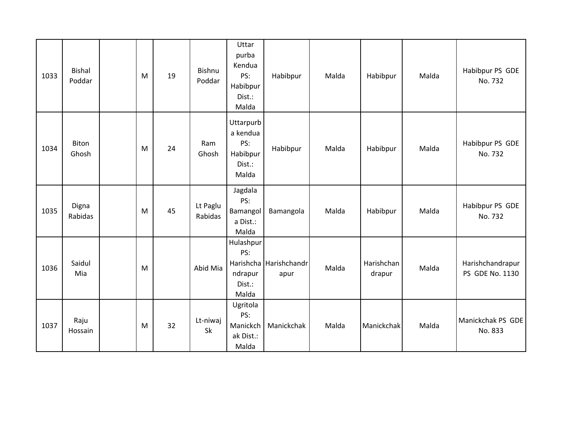| 1033 | <b>Bishal</b><br>Poddar | M | 19 | Bishnu<br>Poddar    | Uttar<br>purba<br>Kendua<br>PS:<br>Habibpur<br>Dist.:<br>Malda | Habibpur                       | Malda | Habibpur             | Malda | Habibpur PS GDE<br>No. 732          |
|------|-------------------------|---|----|---------------------|----------------------------------------------------------------|--------------------------------|-------|----------------------|-------|-------------------------------------|
| 1034 | <b>Biton</b><br>Ghosh   | M | 24 | Ram<br>Ghosh        | Uttarpurb<br>a kendua<br>PS:<br>Habibpur<br>Dist.:<br>Malda    | Habibpur                       | Malda | Habibpur             | Malda | Habibpur PS GDE<br>No. 732          |
| 1035 | Digna<br>Rabidas        | M | 45 | Lt Paglu<br>Rabidas | Jagdala<br>PS:<br>Bamangol<br>a Dist.:<br>Malda                | Bamangola                      | Malda | Habibpur             | Malda | Habibpur PS GDE<br>No. 732          |
| 1036 | Saidul<br>Mia           | M |    | Abid Mia            | Hulashpur<br>PS:<br>ndrapur<br>Dist.:<br>Malda                 | Harishcha Harishchandr<br>apur | Malda | Harishchan<br>drapur | Malda | Harishchandrapur<br>PS GDE No. 1130 |
| 1037 | Raju<br>Hossain         | M | 32 | Lt-niwaj<br>Sk      | Ugritola<br>PS:<br>Manickch<br>ak Dist.:<br>Malda              | Manickchak                     | Malda | Manickchak           | Malda | Manickchak PS GDE<br>No. 833        |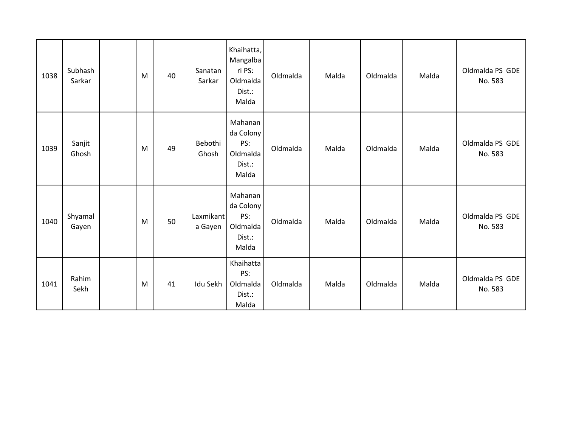| 1038 | Subhash<br>Sarkar | M | 40 | Sanatan<br>Sarkar    | Khaihatta,<br>Mangalba<br>ri PS:<br>Oldmalda<br>Dist.:<br>Malda | Oldmalda | Malda | Oldmalda | Malda | Oldmalda PS GDE<br>No. 583 |
|------|-------------------|---|----|----------------------|-----------------------------------------------------------------|----------|-------|----------|-------|----------------------------|
| 1039 | Sanjit<br>Ghosh   | M | 49 | Bebothi<br>Ghosh     | Mahanan<br>da Colony<br>PS:<br>Oldmalda<br>Dist.:<br>Malda      | Oldmalda | Malda | Oldmalda | Malda | Oldmalda PS GDE<br>No. 583 |
| 1040 | Shyamal<br>Gayen  | M | 50 | Laxmikant<br>a Gayen | Mahanan<br>da Colony<br>PS:<br>Oldmalda<br>Dist.:<br>Malda      | Oldmalda | Malda | Oldmalda | Malda | Oldmalda PS GDE<br>No. 583 |
| 1041 | Rahim<br>Sekh     | M | 41 | Idu Sekh             | Khaihatta<br>PS:<br>Oldmalda<br>Dist.:<br>Malda                 | Oldmalda | Malda | Oldmalda | Malda | Oldmalda PS GDE<br>No. 583 |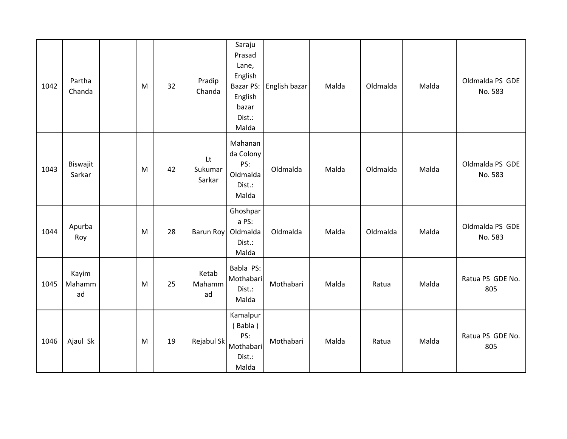| 1042 | Partha<br>Chanda      | M | 32 | Pradip<br>Chanda        | Saraju<br>Prasad<br>Lane,<br>English<br><b>Bazar PS:</b><br>English<br>bazar<br>Dist.:<br>Malda | English bazar | Malda | Oldmalda | Malda | Oldmalda PS GDE<br>No. 583 |
|------|-----------------------|---|----|-------------------------|-------------------------------------------------------------------------------------------------|---------------|-------|----------|-------|----------------------------|
| 1043 | Biswajit<br>Sarkar    | M | 42 | Lt<br>Sukumar<br>Sarkar | Mahanan<br>da Colony<br>PS:<br>Oldmalda<br>Dist.:<br>Malda                                      | Oldmalda      | Malda | Oldmalda | Malda | Oldmalda PS GDE<br>No. 583 |
| 1044 | Apurba<br>Roy         | M | 28 |                         | Ghoshpar<br>a PS:<br>Barun Roy Oldmalda<br>Dist.:<br>Malda                                      | Oldmalda      | Malda | Oldmalda | Malda | Oldmalda PS GDE<br>No. 583 |
| 1045 | Kayim<br>Mahamm<br>ad | M | 25 | Ketab<br>Mahamm<br>ad   | Babla PS:<br>Mothabari<br>Dist.:<br>Malda                                                       | Mothabari     | Malda | Ratua    | Malda | Ratua PS GDE No.<br>805    |
| 1046 | Ajaul Sk              | M | 19 | Rejabul Sk              | Kamalpur<br>(Babla)<br>PS:<br>Mothabari<br>Dist.:<br>Malda                                      | Mothabari     | Malda | Ratua    | Malda | Ratua PS GDE No.<br>805    |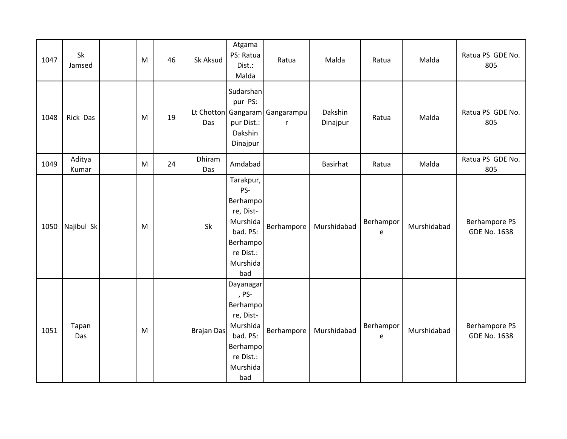| 1047 | Sk<br>Jamsed    | M | 46 | Sk Aksud          | Atgama<br>PS: Ratua<br>Dist.:<br>Malda                                                                          | Ratua                               | Malda               | Ratua          | Malda       | Ratua PS GDE No.<br>805                     |
|------|-----------------|---|----|-------------------|-----------------------------------------------------------------------------------------------------------------|-------------------------------------|---------------------|----------------|-------------|---------------------------------------------|
| 1048 | Rick Das        | M | 19 | Das               | Sudarshan<br>pur PS:<br>pur Dist.:<br>Dakshin<br>Dinajpur                                                       | Lt Chotton Gangaram Gangarampu<br>r | Dakshin<br>Dinajpur | Ratua          | Malda       | Ratua PS GDE No.<br>805                     |
| 1049 | Aditya<br>Kumar | M | 24 | Dhiram<br>Das     | Amdabad                                                                                                         |                                     | <b>Basirhat</b>     | Ratua          | Malda       | Ratua PS GDE No.<br>805                     |
| 1050 | Najibul Sk      | M |    | Sk                | Tarakpur,<br>PS-<br>Berhampo<br>re, Dist-<br>Murshida<br>bad. PS:<br>Berhampo<br>re Dist.:<br>Murshida<br>bad   | Berhampore                          | Murshidabad         | Berhampor<br>e | Murshidabad | <b>Berhampore PS</b><br><b>GDE No. 1638</b> |
| 1051 | Tapan<br>Das    | M |    | <b>Brajan Das</b> | Dayanagar<br>, PS-<br>Berhampo<br>re, Dist-<br>Murshida<br>bad. PS:<br>Berhampo<br>re Dist.:<br>Murshida<br>bad | Berhampore                          | Murshidabad         | Berhampor<br>e | Murshidabad | <b>Berhampore PS</b><br><b>GDE No. 1638</b> |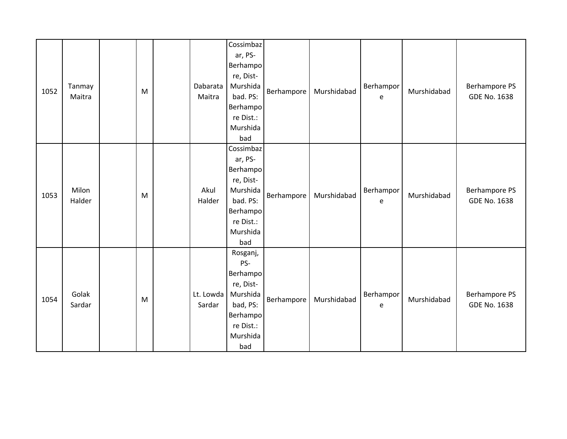| 1052 | Tanmay<br>Maitra | M | Dabarata<br>Maitra | Cossimbaz<br>ar, PS-<br><b>Berhampo</b><br>re, Dist-<br>Murshida<br>bad. PS:<br>Berhampo<br>re Dist.:<br>Murshida<br>bad | Berhampore | Murshidabad | Berhampor<br>e | Murshidabad | <b>Berhampore PS</b><br><b>GDE No. 1638</b> |
|------|------------------|---|--------------------|--------------------------------------------------------------------------------------------------------------------------|------------|-------------|----------------|-------------|---------------------------------------------|
| 1053 | Milon<br>Halder  | M | Akul<br>Halder     | Cossimbaz<br>ar, PS-<br>Berhampo<br>re, Dist-<br>Murshida<br>bad. PS:<br>Berhampo<br>re Dist.:<br>Murshida<br>bad        | Berhampore | Murshidabad | Berhampor<br>e | Murshidabad | <b>Berhampore PS</b><br><b>GDE No. 1638</b> |
| 1054 | Golak<br>Sardar  | M | Lt. Lowda          | Rosganj,<br>PS-<br>Berhampo<br>re, Dist-<br>Murshida<br>bad, PS:<br>Sardar<br>Berhampo<br>re Dist.:<br>Murshida<br>bad   | Berhampore | Murshidabad | Berhampor<br>e | Murshidabad | <b>Berhampore PS</b><br><b>GDE No. 1638</b> |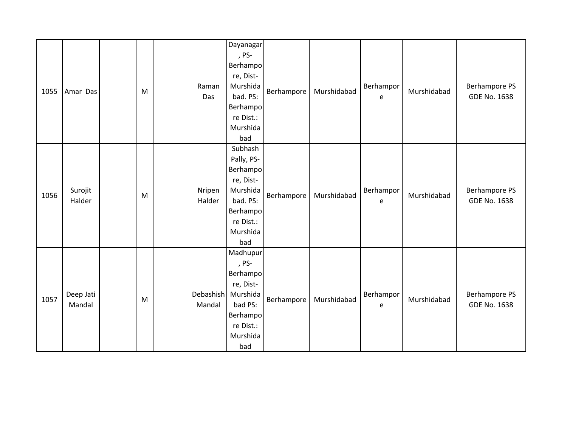| 1055 | Amar Das            | M | Raman<br>Das        | <b>Dayanagar</b><br>, PS-<br>Berhampo<br>re, Dist-<br>Murshida<br>bad. PS:<br>Berhampo<br>re Dist.:<br>Murshida<br>bad | Berhampore | Murshidabad | Berhampor<br>$\mathsf{e}% _{0}\left( \mathsf{e}\right)$ | Murshidabad | Berhampore PS<br><b>GDE No. 1638</b>        |
|------|---------------------|---|---------------------|------------------------------------------------------------------------------------------------------------------------|------------|-------------|---------------------------------------------------------|-------------|---------------------------------------------|
| 1056 | Surojit<br>Halder   | M | Nripen<br>Halder    | Subhash<br>Pally, PS-<br>Berhampo<br>re, Dist-<br>Murshida<br>bad. PS:<br>Berhampo<br>re Dist.:<br>Murshida<br>bad     | Berhampore | Murshidabad | Berhampor<br>e                                          | Murshidabad | Berhampore PS<br><b>GDE No. 1638</b>        |
| 1057 | Deep Jati<br>Mandal | M | Debashish<br>Mandal | Madhupur<br>, PS-<br>Berhampo<br>re, Dist-<br>Murshida<br>bad PS:<br>Berhampo<br>re Dist.:<br>Murshida<br>bad          | Berhampore | Murshidabad | Berhampor<br>$\mathsf{e}% _{0}\left( \mathsf{e}\right)$ | Murshidabad | <b>Berhampore PS</b><br><b>GDE No. 1638</b> |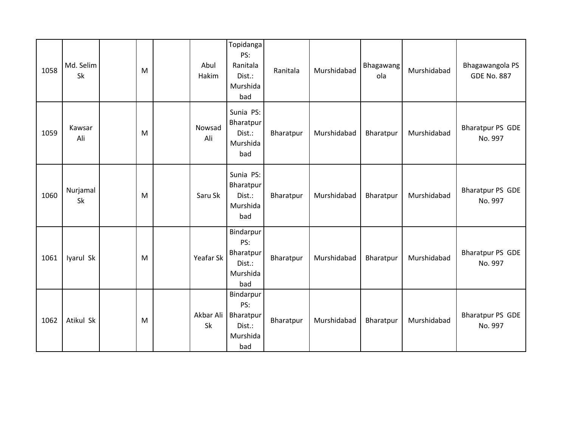| 1058 | Md. Selim<br>Sk | M | Abul<br>Hakim   | Topidanga<br>PS:<br>Ranitala<br>Dist.:<br>Murshida<br>bad  | Ranitala  | Murshidabad | Bhagawang<br>ola | Murshidabad | Bhagawangola PS<br><b>GDE No. 887</b> |
|------|-----------------|---|-----------------|------------------------------------------------------------|-----------|-------------|------------------|-------------|---------------------------------------|
| 1059 | Kawsar<br>Ali   | M | Nowsad<br>Ali   | Sunia PS:<br>Bharatpur<br>Dist.:<br>Murshida<br>bad        | Bharatpur | Murshidabad | Bharatpur        | Murshidabad | Bharatpur PS GDE<br>No. 997           |
| 1060 | Nurjamal<br>Sk  | M | Saru Sk         | Sunia PS:<br>Bharatpur<br>Dist.:<br>Murshida<br>bad        | Bharatpur | Murshidabad | Bharatpur        | Murshidabad | <b>Bharatpur PS GDE</b><br>No. 997    |
| 1061 | Iyarul Sk       | M | Yeafar Sk       | Bindarpur<br>PS:<br>Bharatpur<br>Dist.:<br>Murshida<br>bad | Bharatpur | Murshidabad | Bharatpur        | Murshidabad | Bharatpur PS GDE<br>No. 997           |
| 1062 | Atikul Sk       | M | Akbar Ali<br>Sk | Bindarpur<br>PS:<br>Bharatpur<br>Dist.:<br>Murshida<br>bad | Bharatpur | Murshidabad | Bharatpur        | Murshidabad | Bharatpur PS GDE<br>No. 997           |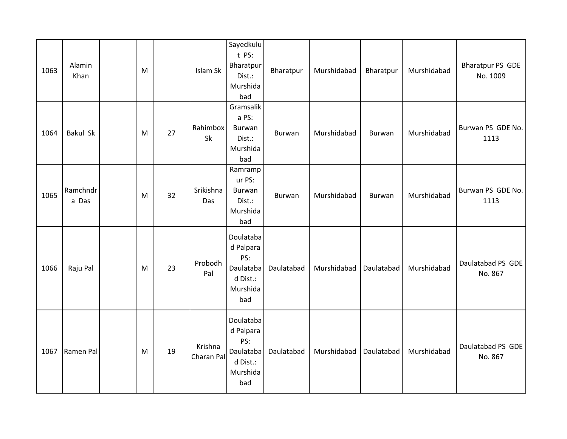| 1063 | Alamin<br>Khan    | M |    | Islam Sk              | Sayedkulu<br>t PS:<br>Bharatpur<br>Dist.:<br>Murshida<br>bad              | Bharatpur     | Murshidabad | Bharatpur     | Murshidabad | Bharatpur PS GDE<br>No. 1009 |
|------|-------------------|---|----|-----------------------|---------------------------------------------------------------------------|---------------|-------------|---------------|-------------|------------------------------|
| 1064 | Bakul Sk          | M | 27 | Rahimbox<br>Sk        | Gramsalik<br>a PS:<br><b>Burwan</b><br>Dist.:<br>Murshida<br>bad          | <b>Burwan</b> | Murshidabad | Burwan        | Murshidabad | Burwan PS GDE No.<br>1113    |
| 1065 | Ramchndr<br>a Das | M | 32 | Srikishna<br>Das      | Ramramp<br>ur PS:<br><b>Burwan</b><br>Dist.:<br>Murshida<br>bad           | Burwan        | Murshidabad | <b>Burwan</b> | Murshidabad | Burwan PS GDE No.<br>1113    |
| 1066 | Raju Pal          | M | 23 | Probodh<br>Pal        | Doulataba<br>d Palpara<br>PS:<br>Daulataba<br>d Dist.:<br>Murshida<br>bad | Daulatabad    | Murshidabad | Daulatabad    | Murshidabad | Daulatabad PS GDE<br>No. 867 |
| 1067 | Ramen Pal         | M | 19 | Krishna<br>Charan Pal | Doulataba<br>d Palpara<br>PS:<br>Daulataba<br>d Dist.:<br>Murshida<br>bad | Daulatabad    | Murshidabad | Daulatabad    | Murshidabad | Daulatabad PS GDE<br>No. 867 |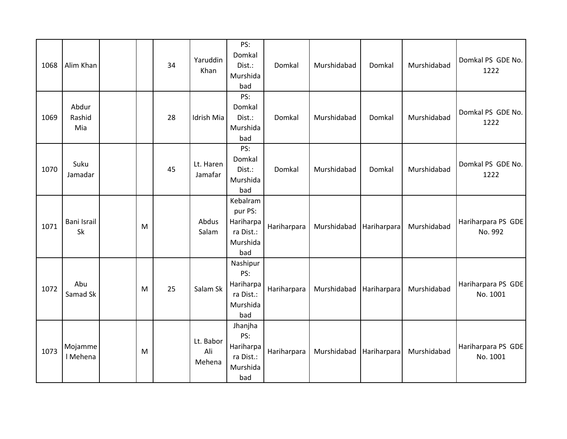| 1068 | Alim Khan              |   | 34 | Yaruddin<br>Khan           | PS:<br>Domkal<br>Dist.:<br>Murshida<br>bad                       | Domkal      | Murshidabad | Domkal      | Murshidabad | Domkal PS GDE No.<br>1222      |
|------|------------------------|---|----|----------------------------|------------------------------------------------------------------|-------------|-------------|-------------|-------------|--------------------------------|
| 1069 | Abdur<br>Rashid<br>Mia |   | 28 | Idrish Mia                 | PS:<br>Domkal<br>Dist.:<br>Murshida<br>bad                       | Domkal      | Murshidabad | Domkal      | Murshidabad | Domkal PS GDE No.<br>1222      |
| 1070 | Suku<br>Jamadar        |   | 45 | Lt. Haren<br>Jamafar       | PS:<br>Domkal<br>Dist.:<br>Murshida<br>bad                       | Domkal      | Murshidabad | Domkal      | Murshidabad | Domkal PS GDE No.<br>1222      |
| 1071 | Bani Israil<br>Sk      | M |    | Abdus<br>Salam             | Kebalram<br>pur PS:<br>Hariharpa<br>ra Dist.:<br>Murshida<br>bad | Hariharpara | Murshidabad | Hariharpara | Murshidabad | Hariharpara PS GDE<br>No. 992  |
| 1072 | Abu<br>Samad Sk        | M | 25 | Salam Sk                   | Nashipur<br>PS:<br>Hariharpa<br>ra Dist.:<br>Murshida<br>bad     | Hariharpara | Murshidabad | Hariharpara | Murshidabad | Hariharpara PS GDE<br>No. 1001 |
| 1073 | Mojamme<br>I Mehena    | M |    | Lt. Babor<br>Ali<br>Mehena | Jhanjha<br>PS:<br>Hariharpa<br>ra Dist.:<br>Murshida<br>bad      | Hariharpara | Murshidabad | Hariharpara | Murshidabad | Hariharpara PS GDE<br>No. 1001 |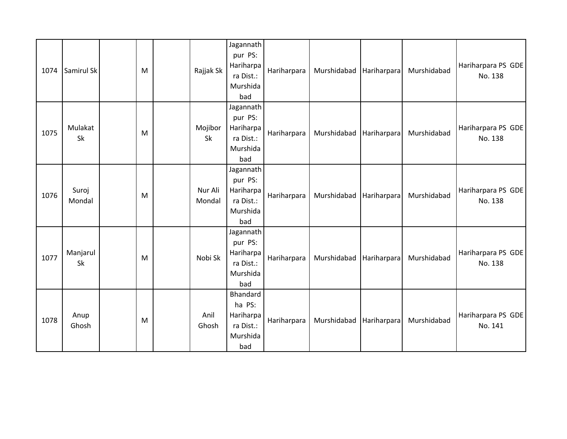| 1074 | Samirul Sk      | M | Rajjak Sk         | Jagannath<br>pur PS:<br>Hariharpa<br>ra Dist.:<br>Murshida<br>bad | Hariharpara | Murshidabad Hariharpara |             | Murshidabad | Hariharpara PS GDE<br>No. 138 |
|------|-----------------|---|-------------------|-------------------------------------------------------------------|-------------|-------------------------|-------------|-------------|-------------------------------|
| 1075 | Mulakat<br>Sk   | M | Mojibor<br>Sk     | Jagannath<br>pur PS:<br>Hariharpa<br>ra Dist.:<br>Murshida<br>bad | Hariharpara | Murshidabad Hariharpara |             | Murshidabad | Hariharpara PS GDE<br>No. 138 |
| 1076 | Suroj<br>Mondal | M | Nur Ali<br>Mondal | Jagannath<br>pur PS:<br>Hariharpa<br>ra Dist.:<br>Murshida<br>bad | Hariharpara | Murshidabad             | Hariharpara | Murshidabad | Hariharpara PS GDE<br>No. 138 |
| 1077 | Manjarul<br>Sk  | M | Nobi Sk           | Jagannath<br>pur PS:<br>Hariharpa<br>ra Dist.:<br>Murshida<br>bad | Hariharpara | Murshidabad             | Hariharpara | Murshidabad | Hariharpara PS GDE<br>No. 138 |
| 1078 | Anup<br>Ghosh   | M | Anil<br>Ghosh     | Bhandard<br>ha PS:<br>Hariharpa<br>ra Dist.:<br>Murshida<br>bad   | Hariharpara | Murshidabad             | Hariharpara | Murshidabad | Hariharpara PS GDE<br>No. 141 |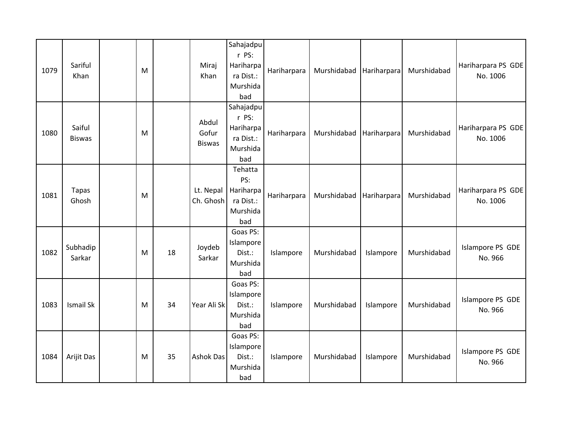| 1079 | Sariful<br>Khan         | M |    | Miraj<br>Khan                   | Sahajadpu<br>r PS:<br>Hariharpa<br>ra Dist.:<br>Murshida<br>bad | Hariharpara | Murshidabad | Hariharpara | Murshidabad | Hariharpara PS GDE<br>No. 1006 |
|------|-------------------------|---|----|---------------------------------|-----------------------------------------------------------------|-------------|-------------|-------------|-------------|--------------------------------|
| 1080 | Saiful<br><b>Biswas</b> | M |    | Abdul<br>Gofur<br><b>Biswas</b> | Sahajadpu<br>r PS:<br>Hariharpa<br>ra Dist.:<br>Murshida<br>bad | Hariharpara | Murshidabad | Hariharpara | Murshidabad | Hariharpara PS GDE<br>No. 1006 |
| 1081 | <b>Tapas</b><br>Ghosh   | M |    | Lt. Nepal<br>Ch. Ghosh          | Tehatta<br>PS:<br>Hariharpa<br>ra Dist.:<br>Murshida<br>bad     | Hariharpara | Murshidabad | Hariharpara | Murshidabad | Hariharpara PS GDE<br>No. 1006 |
| 1082 | Subhadip<br>Sarkar      | M | 18 | Joydeb<br>Sarkar                | Goas PS:<br>Islampore<br>Dist.:<br>Murshida<br>bad              | Islampore   | Murshidabad | Islampore   | Murshidabad | Islampore PS GDE<br>No. 966    |
| 1083 | <b>Ismail Sk</b>        | M | 34 | Year Ali Sk                     | Goas PS:<br>Islampore<br>Dist.:<br>Murshida<br>bad              | Islampore   | Murshidabad | Islampore   | Murshidabad | Islampore PS GDE<br>No. 966    |
| 1084 | Arijit Das              | M | 35 | <b>Ashok Das</b>                | Goas PS:<br>Islampore<br>Dist.:<br>Murshida<br>bad              | Islampore   | Murshidabad | Islampore   | Murshidabad | Islampore PS GDE<br>No. 966    |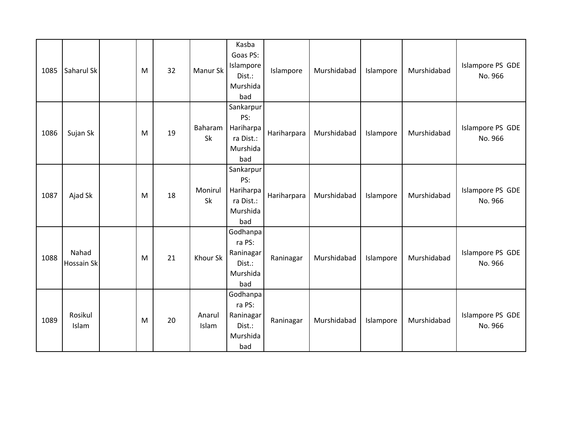| 1085 | Saharul Sk          | M | 32 | Manur Sk        | Kasba<br>Goas PS:<br>Islampore<br>Dist.:<br>Murshida<br>bad   | Islampore   | Murshidabad | Islampore | Murshidabad | Islampore PS GDE<br>No. 966 |
|------|---------------------|---|----|-----------------|---------------------------------------------------------------|-------------|-------------|-----------|-------------|-----------------------------|
| 1086 | Sujan Sk            | M | 19 | Baharam<br>Sk   | Sankarpur<br>PS:<br>Hariharpa<br>ra Dist.:<br>Murshida<br>bad | Hariharpara | Murshidabad | Islampore | Murshidabad | Islampore PS GDE<br>No. 966 |
| 1087 | Ajad Sk             | M | 18 | Monirul<br>Sk   | Sankarpur<br>PS:<br>Hariharpa<br>ra Dist.:<br>Murshida<br>bad | Hariharpara | Murshidabad | Islampore | Murshidabad | Islampore PS GDE<br>No. 966 |
| 1088 | Nahad<br>Hossain Sk | M | 21 | Khour Sk        | Godhanpa<br>ra PS:<br>Raninagar<br>Dist.:<br>Murshida<br>bad  | Raninagar   | Murshidabad | Islampore | Murshidabad | Islampore PS GDE<br>No. 966 |
| 1089 | Rosikul<br>Islam    | M | 20 | Anarul<br>Islam | Godhanpa<br>ra PS:<br>Raninagar<br>Dist.:<br>Murshida<br>bad  | Raninagar   | Murshidabad | Islampore | Murshidabad | Islampore PS GDE<br>No. 966 |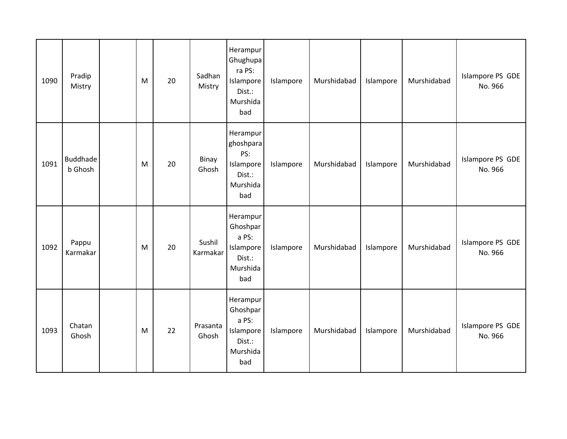| 1090 | Pradip<br>Mistry           | M | 20 | Sadhan<br>Mistry   | Herampur<br>Ghughupa<br>ra PS:<br>Islampore<br>Dist.:<br>Murshida<br>bad | Islampore | Murshidabad | Islampore | Murshidabad | Islampore PS GDE<br>No. 966 |
|------|----------------------------|---|----|--------------------|--------------------------------------------------------------------------|-----------|-------------|-----------|-------------|-----------------------------|
| 1091 | <b>Buddhade</b><br>b Ghosh | M | 20 | Binay<br>Ghosh     | Herampur<br>ghoshpara<br>PS:<br>Islampore<br>Dist.:<br>Murshida<br>bad   | Islampore | Murshidabad | Islampore | Murshidabad | Islampore PS GDE<br>No. 966 |
| 1092 | Pappu<br>Karmakar          | M | 20 | Sushil<br>Karmakar | Herampur<br>Ghoshpar<br>a PS:<br>Islampore<br>Dist.:<br>Murshida<br>bad  | Islampore | Murshidabad | Islampore | Murshidabad | Islampore PS GDE<br>No. 966 |
| 1093 | Chatan<br>Ghosh            | M | 22 | Prasanta<br>Ghosh  | Herampur<br>Ghoshpar<br>a PS:<br>Islampore<br>Dist.:<br>Murshida<br>bad  | Islampore | Murshidabad | Islampore | Murshidabad | Islampore PS GDE<br>No. 966 |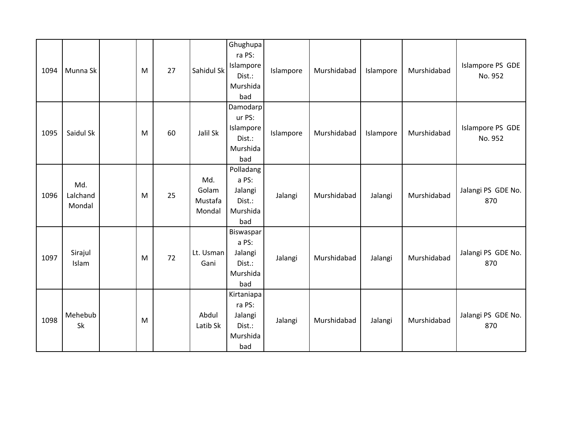| 1094 | Munna Sk                  | M | 27 | Sahidul Sk                        | Ghughupa<br>ra PS:<br>Islampore<br>Dist.:<br>Murshida<br>bad | Islampore | Murshidabad | Islampore | Murshidabad | Islampore PS GDE<br>No. 952 |
|------|---------------------------|---|----|-----------------------------------|--------------------------------------------------------------|-----------|-------------|-----------|-------------|-----------------------------|
| 1095 | Saidul Sk                 | M | 60 | Jalil Sk                          | Damodarp<br>ur PS:<br>Islampore<br>Dist.:<br>Murshida<br>bad | Islampore | Murshidabad | Islampore | Murshidabad | Islampore PS GDE<br>No. 952 |
| 1096 | Md.<br>Lalchand<br>Mondal | M | 25 | Md.<br>Golam<br>Mustafa<br>Mondal | Polladang<br>a PS:<br>Jalangi<br>Dist.:<br>Murshida<br>bad   | Jalangi   | Murshidabad | Jalangi   | Murshidabad | Jalangi PS GDE No.<br>870   |
| 1097 | Sirajul<br>Islam          | M | 72 | Lt. Usman<br>Gani                 | Biswaspar<br>a PS:<br>Jalangi<br>Dist.:<br>Murshida<br>bad   | Jalangi   | Murshidabad | Jalangi   | Murshidabad | Jalangi PS GDE No.<br>870   |
| 1098 | Mehebub<br>Sk             | M |    | Abdul<br>Latib Sk                 | Kirtaniapa<br>ra PS:<br>Jalangi<br>Dist.:<br>Murshida<br>bad | Jalangi   | Murshidabad | Jalangi   | Murshidabad | Jalangi PS GDE No.<br>870   |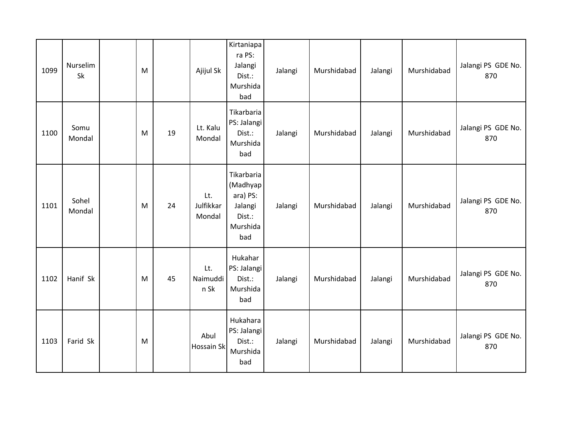| 1099 | Nurselim<br>Sk  | M |    | Ajijul Sk                  | Kirtaniapa<br>ra PS:<br>Jalangi<br>Dist.:<br>Murshida<br>bad               | Jalangi | Murshidabad | Jalangi | Murshidabad | Jalangi PS GDE No.<br>870 |
|------|-----------------|---|----|----------------------------|----------------------------------------------------------------------------|---------|-------------|---------|-------------|---------------------------|
| 1100 | Somu<br>Mondal  | M | 19 | Lt. Kalu<br>Mondal         | Tikarbaria<br>PS: Jalangi<br>Dist.:<br>Murshida<br>bad                     | Jalangi | Murshidabad | Jalangi | Murshidabad | Jalangi PS GDE No.<br>870 |
| 1101 | Sohel<br>Mondal | M | 24 | Lt.<br>Julfikkar<br>Mondal | Tikarbaria<br>(Madhyap<br>ara) PS:<br>Jalangi<br>Dist.:<br>Murshida<br>bad | Jalangi | Murshidabad | Jalangi | Murshidabad | Jalangi PS GDE No.<br>870 |
| 1102 | Hanif Sk        | M | 45 | Lt.<br>Naimuddi<br>n Sk    | Hukahar<br>PS: Jalangi<br>Dist.:<br>Murshida<br>bad                        | Jalangi | Murshidabad | Jalangi | Murshidabad | Jalangi PS GDE No.<br>870 |
| 1103 | Farid Sk        | M |    | Abul<br>Hossain Sk         | Hukahara<br>PS: Jalangi<br>Dist.:<br>Murshida<br>bad                       | Jalangi | Murshidabad | Jalangi | Murshidabad | Jalangi PS GDE No.<br>870 |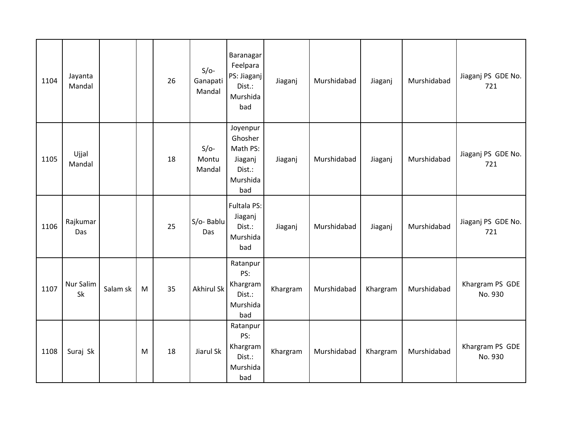| 1104 | Jayanta<br>Mandal |          |   | 26 | $S/O-$<br>Ganapati<br>Mandal | <b>Baranagar</b><br>Feelpara<br>PS: Jiaganj<br>Dist.:<br>Murshida<br>bad | Jiaganj  | Murshidabad | Jiaganj  | Murshidabad | Jiaganj PS GDE No.<br>721  |
|------|-------------------|----------|---|----|------------------------------|--------------------------------------------------------------------------|----------|-------------|----------|-------------|----------------------------|
| 1105 | Ujjal<br>Mandal   |          |   | 18 | $S/O-$<br>Montu<br>Mandal    | Joyenpur<br>Ghosher<br>Math PS:<br>Jiaganj<br>Dist.:<br>Murshida<br>bad  | Jiaganj  | Murshidabad | Jiaganj  | Murshidabad | Jiaganj PS GDE No.<br>721  |
| 1106 | Rajkumar<br>Das   |          |   | 25 | S/o-Bablu<br>Das             | Fultala PS:<br>Jiaganj<br>Dist.:<br>Murshida<br>bad                      | Jiaganj  | Murshidabad | Jiaganj  | Murshidabad | Jiaganj PS GDE No.<br>721  |
| 1107 | Nur Salim<br>Sk   | Salam sk | M | 35 | <b>Akhirul Sk</b>            | Ratanpur<br>PS:<br>Khargram<br>Dist.:<br>Murshida<br>bad                 | Khargram | Murshidabad | Khargram | Murshidabad | Khargram PS GDE<br>No. 930 |
| 1108 | Suraj Sk          |          | M | 18 | Jiarul Sk                    | Ratanpur<br>PS:<br>Khargram<br>Dist.:<br>Murshida<br>bad                 | Khargram | Murshidabad | Khargram | Murshidabad | Khargram PS GDE<br>No. 930 |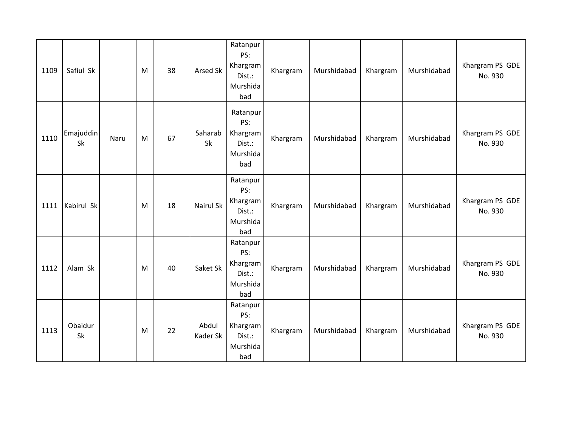| 1109 | Safiul Sk       |      | M | 38 | <b>Arsed Sk</b>   | Ratanpur<br>PS:<br>Khargram<br>Dist.:<br>Murshida<br>bad | Khargram | Murshidabad | Khargram | Murshidabad | Khargram PS GDE<br>No. 930 |
|------|-----------------|------|---|----|-------------------|----------------------------------------------------------|----------|-------------|----------|-------------|----------------------------|
| 1110 | Emajuddin<br>Sk | Naru | M | 67 | Saharab<br>Sk     | Ratanpur<br>PS:<br>Khargram<br>Dist.:<br>Murshida<br>bad | Khargram | Murshidabad | Khargram | Murshidabad | Khargram PS GDE<br>No. 930 |
| 1111 | Kabirul Sk      |      | M | 18 | <b>Nairul Sk</b>  | Ratanpur<br>PS:<br>Khargram<br>Dist.:<br>Murshida<br>bad | Khargram | Murshidabad | Khargram | Murshidabad | Khargram PS GDE<br>No. 930 |
| 1112 | Alam Sk         |      | M | 40 | Saket Sk          | Ratanpur<br>PS:<br>Khargram<br>Dist.:<br>Murshida<br>bad | Khargram | Murshidabad | Khargram | Murshidabad | Khargram PS GDE<br>No. 930 |
| 1113 | Obaidur<br>Sk   |      | M | 22 | Abdul<br>Kader Sk | Ratanpur<br>PS:<br>Khargram<br>Dist.:<br>Murshida<br>bad | Khargram | Murshidabad | Khargram | Murshidabad | Khargram PS GDE<br>No. 930 |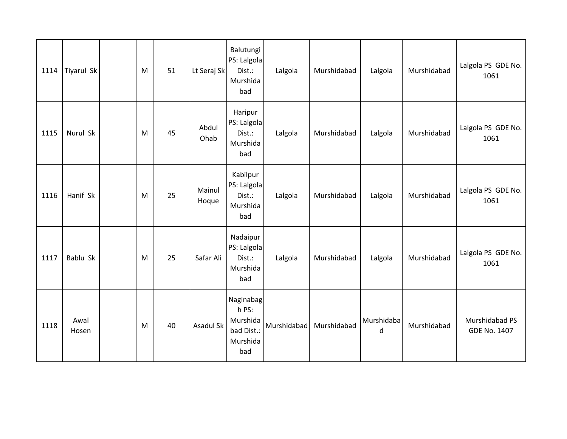| 1114 | Tiyarul Sk    | M | 51 | Lt Seraj Sk     | Balutungi<br>PS: Lalgola<br>Dist.:<br>Murshida<br>bad           | Lalgola     | Murshidabad | Lalgola         | Murshidabad | Lalgola PS GDE No.<br>1061            |
|------|---------------|---|----|-----------------|-----------------------------------------------------------------|-------------|-------------|-----------------|-------------|---------------------------------------|
| 1115 | Nurul Sk      | M | 45 | Abdul<br>Ohab   | Haripur<br>PS: Lalgola<br>Dist.:<br>Murshida<br>bad             | Lalgola     | Murshidabad | Lalgola         | Murshidabad | Lalgola PS GDE No.<br>1061            |
| 1116 | Hanif Sk      | M | 25 | Mainul<br>Hoque | Kabilpur<br>PS: Lalgola<br>Dist.:<br>Murshida<br>bad            | Lalgola     | Murshidabad | Lalgola         | Murshidabad | Lalgola PS GDE No.<br>1061            |
| 1117 | Bablu Sk      | M | 25 | Safar Ali       | Nadaipur<br>PS: Lalgola<br>Dist.:<br>Murshida<br>bad            | Lalgola     | Murshidabad | Lalgola         | Murshidabad | Lalgola PS GDE No.<br>1061            |
| 1118 | Awal<br>Hosen | M | 40 | Asadul Sk       | Naginabag<br>h PS:<br>Murshida<br>bad Dist.:<br>Murshida<br>bad | Murshidabad | Murshidabad | Murshidaba<br>d | Murshidabad | Murshidabad PS<br><b>GDE No. 1407</b> |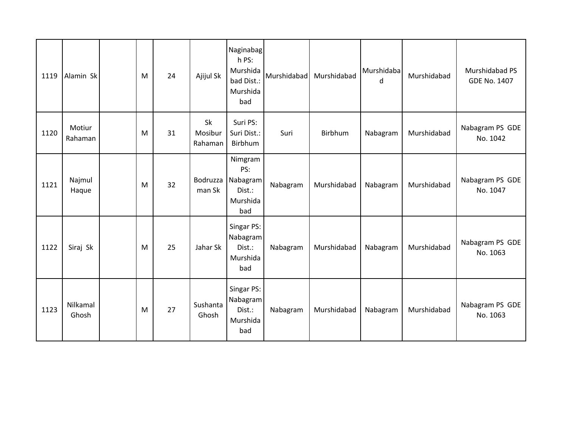| 1119 | Alamin Sk         | M | 24 | Ajijul Sk                | Naginabag<br>h PS:<br>Murshida<br>bad Dist.:<br>Murshida<br>bad | Murshidabad | Murshidabad | Murshidaba<br>d | Murshidabad | Murshidabad PS<br><b>GDE No. 1407</b> |
|------|-------------------|---|----|--------------------------|-----------------------------------------------------------------|-------------|-------------|-----------------|-------------|---------------------------------------|
| 1120 | Motiur<br>Rahaman | M | 31 | Sk<br>Mosibur<br>Rahaman | Suri PS:<br>Suri Dist.:<br>Birbhum                              | Suri        | Birbhum     | Nabagram        | Murshidabad | Nabagram PS GDE<br>No. 1042           |
| 1121 | Najmul<br>Haque   | M | 32 | Bodruzza<br>man Sk       | Nimgram<br>PS:<br>Nabagram<br>Dist.:<br>Murshida<br>bad         | Nabagram    | Murshidabad | Nabagram        | Murshidabad | Nabagram PS GDE<br>No. 1047           |
| 1122 | Siraj Sk          | M | 25 | Jahar Sk                 | Singar PS:<br>Nabagram<br>Dist.:<br>Murshida<br>bad             | Nabagram    | Murshidabad | Nabagram        | Murshidabad | Nabagram PS GDE<br>No. 1063           |
| 1123 | Nilkamal<br>Ghosh | M | 27 | Sushanta<br>Ghosh        | Singar PS:<br>Nabagram<br>Dist.:<br>Murshida<br>bad             | Nabagram    | Murshidabad | Nabagram        | Murshidabad | Nabagram PS GDE<br>No. 1063           |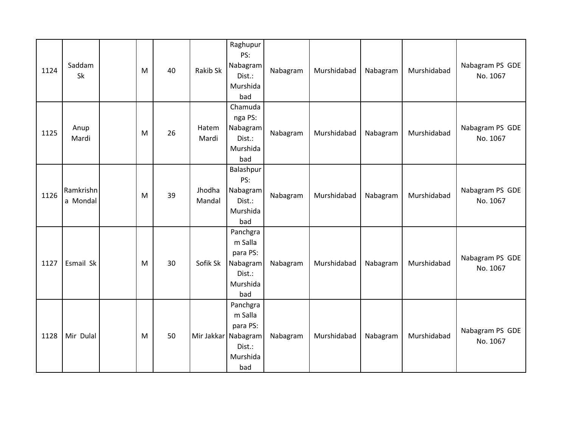| 1124 | Saddam<br>Sk          | M | 40 | Rakib Sk         | Raghupur<br>PS:<br>Nabagram<br>Dist.:<br>Murshida<br>bad                            | Nabagram | Murshidabad | Nabagram | Murshidabad | Nabagram PS GDE<br>No. 1067 |
|------|-----------------------|---|----|------------------|-------------------------------------------------------------------------------------|----------|-------------|----------|-------------|-----------------------------|
| 1125 | Anup<br>Mardi         | M | 26 | Hatem<br>Mardi   | Chamuda<br>nga PS:<br>Nabagram<br>Dist.:<br>Murshida<br>bad                         | Nabagram | Murshidabad | Nabagram | Murshidabad | Nabagram PS GDE<br>No. 1067 |
| 1126 | Ramkrishn<br>a Mondal | M | 39 | Jhodha<br>Mandal | Balashpur<br>PS:<br>Nabagram<br>Dist.:<br>Murshida<br>bad                           | Nabagram | Murshidabad | Nabagram | Murshidabad | Nabagram PS GDE<br>No. 1067 |
| 1127 | Esmail Sk             | M | 30 | Sofik Sk         | Panchgra<br>m Salla<br>para PS:<br>Nabagram<br>Dist.:<br>Murshida<br>bad            | Nabagram | Murshidabad | Nabagram | Murshidabad | Nabagram PS GDE<br>No. 1067 |
| 1128 | Mir Dulal             | M | 50 |                  | Panchgra<br>m Salla<br>para PS:<br>Mir Jakkar Nabagram<br>Dist.:<br>Murshida<br>bad | Nabagram | Murshidabad | Nabagram | Murshidabad | Nabagram PS GDE<br>No. 1067 |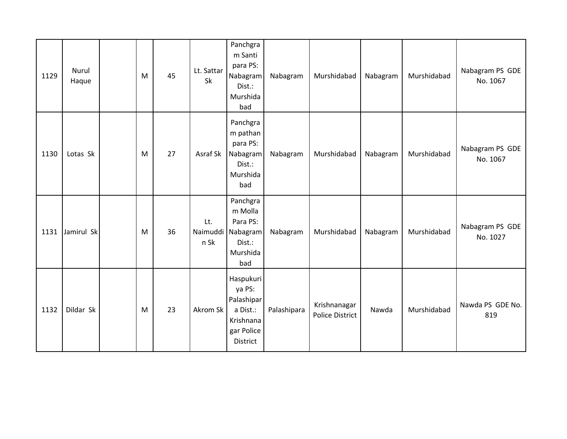| 1129 | Nurul<br>Haque | M | 45 | Lt. Sattar<br>Sk        | Panchgra<br>m Santi<br>para PS:<br>Nabagram<br>Dist.:<br>Murshida<br>bad             | Nabagram    | Murshidabad                            | Nabagram | Murshidabad | Nabagram PS GDE<br>No. 1067 |
|------|----------------|---|----|-------------------------|--------------------------------------------------------------------------------------|-------------|----------------------------------------|----------|-------------|-----------------------------|
| 1130 | Lotas Sk       | M | 27 | Asraf Sk                | Panchgra<br>m pathan<br>para PS:<br>Nabagram<br>Dist.:<br>Murshida<br>bad            | Nabagram    | Murshidabad                            | Nabagram | Murshidabad | Nabagram PS GDE<br>No. 1067 |
| 1131 | Jamirul Sk     | M | 36 | Lt.<br>Naimuddi<br>n Sk | Panchgra<br>m Molla<br>Para PS:<br>Nabagram<br>Dist.:<br>Murshida<br>bad             | Nabagram    | Murshidabad                            | Nabagram | Murshidabad | Nabagram PS GDE<br>No. 1027 |
| 1132 | Dildar Sk      | M | 23 | Akrom Sk                | Haspukuri<br>ya PS:<br>Palashipar<br>a Dist.:<br>Krishnana<br>gar Police<br>District | Palashipara | Krishnanagar<br><b>Police District</b> | Nawda    | Murshidabad | Nawda PS GDE No.<br>819     |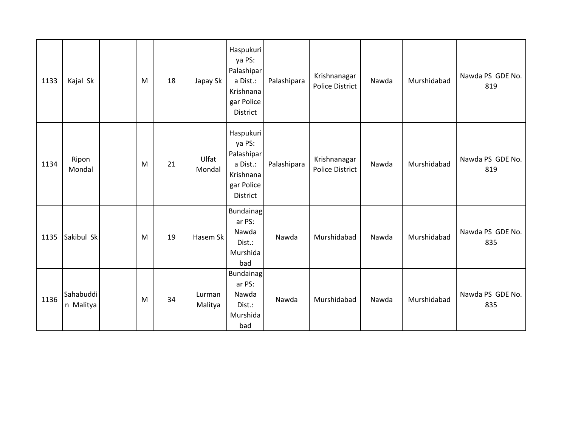| 1133 | Kajal Sk               | M | 18 | Japay Sk          | Haspukuri<br>ya PS:<br>Palashipar<br>a Dist.:<br>Krishnana<br>gar Police<br>District | Palashipara | Krishnanagar<br><b>Police District</b> | Nawda | Murshidabad | Nawda PS GDE No.<br>819 |
|------|------------------------|---|----|-------------------|--------------------------------------------------------------------------------------|-------------|----------------------------------------|-------|-------------|-------------------------|
| 1134 | Ripon<br>Mondal        | M | 21 | Ulfat<br>Mondal   | Haspukuri<br>ya PS:<br>Palashipar<br>a Dist.:<br>Krishnana<br>gar Police<br>District | Palashipara | Krishnanagar<br><b>Police District</b> | Nawda | Murshidabad | Nawda PS GDE No.<br>819 |
| 1135 | Sakibul Sk             | M | 19 | Hasem Sk          | <b>Bundainag</b><br>ar PS:<br>Nawda<br>Dist.:<br>Murshida<br>bad                     | Nawda       | Murshidabad                            | Nawda | Murshidabad | Nawda PS GDE No.<br>835 |
| 1136 | Sahabuddi<br>n Malitya | M | 34 | Lurman<br>Malitya | <b>Bundainag</b><br>ar PS:<br>Nawda<br>Dist.:<br>Murshida<br>bad                     | Nawda       | Murshidabad                            | Nawda | Murshidabad | Nawda PS GDE No.<br>835 |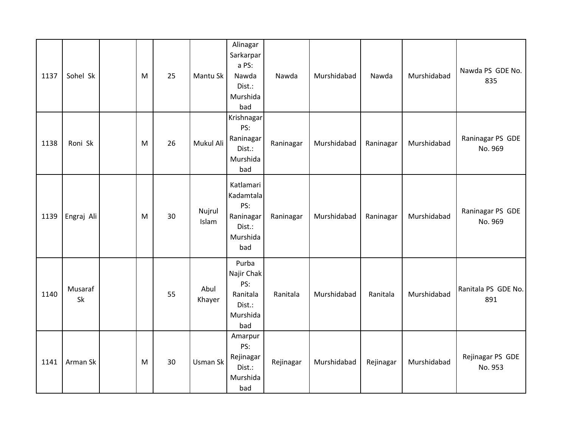| 1137 | Sohel Sk      | M | 25 | Mantu Sk        | Alinagar<br>Sarkarpar<br>a PS:<br>Nawda<br>Dist.:<br>Murshida<br>bad    | Nawda     | Murshidabad | Nawda     | Murshidabad | Nawda PS GDE No.<br>835     |
|------|---------------|---|----|-----------------|-------------------------------------------------------------------------|-----------|-------------|-----------|-------------|-----------------------------|
| 1138 | Roni Sk       | M | 26 | Mukul Ali       | Krishnagar<br>PS:<br>Raninagar<br>Dist.:<br>Murshida<br>bad             | Raninagar | Murshidabad | Raninagar | Murshidabad | Raninagar PS GDE<br>No. 969 |
| 1139 | Engraj Ali    | M | 30 | Nujrul<br>Islam | Katlamari<br>Kadamtala<br>PS:<br>Raninagar<br>Dist.:<br>Murshida<br>bad | Raninagar | Murshidabad | Raninagar | Murshidabad | Raninagar PS GDE<br>No. 969 |
| 1140 | Musaraf<br>Sk |   | 55 | Abul<br>Khayer  | Purba<br>Najir Chak<br>PS:<br>Ranitala<br>Dist.:<br>Murshida<br>bad     | Ranitala  | Murshidabad | Ranitala  | Murshidabad | Ranitala PS GDE No.<br>891  |
| 1141 | Arman Sk      | M | 30 | Usman Sk        | Amarpur<br>PS:<br>Rejinagar<br>Dist.:<br>Murshida<br>bad                | Rejinagar | Murshidabad | Rejinagar | Murshidabad | Rejinagar PS GDE<br>No. 953 |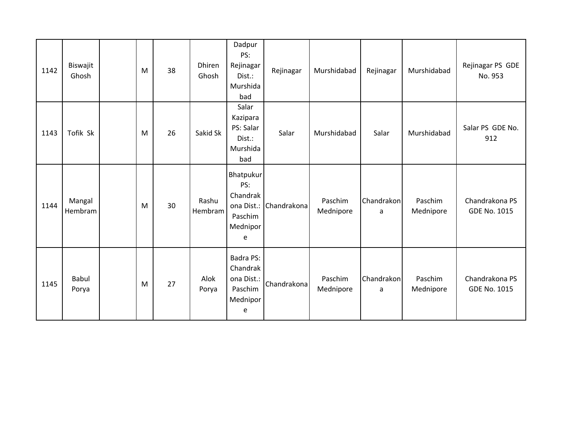| 1142 | Biswajit<br>Ghosh     | M | 38 | Dhiren<br>Ghosh  | Dadpur<br>PS:<br>Rejinagar<br>Dist.:<br>Murshida<br>bad                | Rejinagar   | Murshidabad          | Rejinagar       | Murshidabad          | Rejinagar PS GDE<br>No. 953           |
|------|-----------------------|---|----|------------------|------------------------------------------------------------------------|-------------|----------------------|-----------------|----------------------|---------------------------------------|
| 1143 | Tofik Sk              | M | 26 | Sakid Sk         | Salar<br>Kazipara<br>PS: Salar<br>Dist.:<br>Murshida<br>bad            | Salar       | Murshidabad          | Salar           | Murshidabad          | Salar PS GDE No.<br>912               |
| 1144 | Mangal<br>Hembram     | M | 30 | Rashu<br>Hembram | Bhatpukur<br>PS:<br>Chandrak<br>ona Dist.:<br>Paschim<br>Mednipor<br>e | Chandrakona | Paschim<br>Mednipore | Chandrakon<br>a | Paschim<br>Mednipore | Chandrakona PS<br><b>GDE No. 1015</b> |
| 1145 | <b>Babul</b><br>Porya | M | 27 | Alok<br>Porya    | <b>Badra PS:</b><br>Chandrak<br>ona Dist.:<br>Paschim<br>Mednipor<br>e | Chandrakona | Paschim<br>Mednipore | Chandrakon<br>a | Paschim<br>Mednipore | Chandrakona PS<br><b>GDE No. 1015</b> |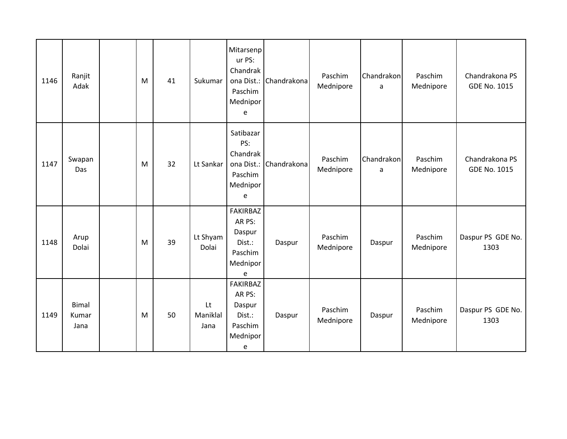| 1146 | Ranjit<br>Adak                | M | 41 | Sukumar                | Mitarsenp<br>ur PS:<br>Chandrak<br>ona Dist.:<br>Paschim<br>Mednipor<br>e | Chandrakona | Paschim<br>Mednipore | Chandrakon<br>a | Paschim<br>Mednipore | Chandrakona PS<br><b>GDE No. 1015</b> |
|------|-------------------------------|---|----|------------------------|---------------------------------------------------------------------------|-------------|----------------------|-----------------|----------------------|---------------------------------------|
| 1147 | Swapan<br>Das                 | M | 32 | Lt Sankar              | Satibazar<br>PS:<br>Chandrak<br>ona Dist.:<br>Paschim<br>Mednipor<br>e    | Chandrakona | Paschim<br>Mednipore | Chandrakon<br>a | Paschim<br>Mednipore | Chandrakona PS<br><b>GDE No. 1015</b> |
| 1148 | Arup<br>Dolai                 | M | 39 | Lt Shyam<br>Dolai      | <b>FAKIRBAZ</b><br>AR PS:<br>Daspur<br>Dist.:<br>Paschim<br>Mednipor<br>e | Daspur      | Paschim<br>Mednipore | Daspur          | Paschim<br>Mednipore | Daspur PS GDE No.<br>1303             |
| 1149 | <b>Bimal</b><br>Kumar<br>Jana | M | 50 | Lt<br>Maniklal<br>Jana | <b>FAKIRBAZ</b><br>AR PS:<br>Daspur<br>Dist.:<br>Paschim<br>Mednipor<br>e | Daspur      | Paschim<br>Mednipore | Daspur          | Paschim<br>Mednipore | Daspur PS GDE No.<br>1303             |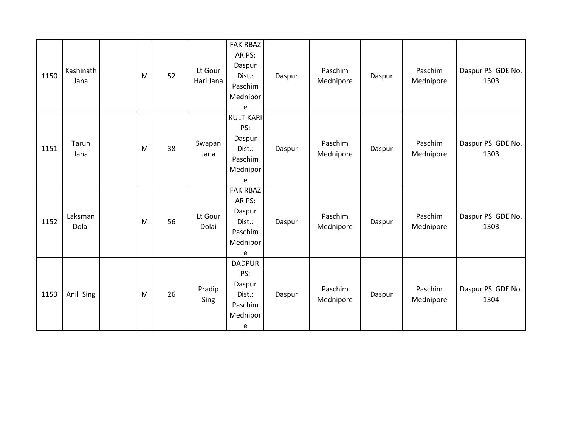| 1150 | Kashinath<br>Jana | M | 52 | Lt Gour<br>Hari Jana | FAKIRBAZ<br>AR PS:<br>Daspur<br>Dist.:<br>Paschim<br>Mednipor<br>e        | Daspur | Paschim<br>Mednipore | Daspur | Paschim<br>Mednipore | Daspur PS GDE No.<br>1303 |
|------|-------------------|---|----|----------------------|---------------------------------------------------------------------------|--------|----------------------|--------|----------------------|---------------------------|
| 1151 | Tarun<br>Jana     | M | 38 | Swapan<br>Jana       | KULTIKARI<br>PS:<br>Daspur<br>Dist.:<br>Paschim<br>Mednipor<br>e          | Daspur | Paschim<br>Mednipore | Daspur | Paschim<br>Mednipore | Daspur PS GDE No.<br>1303 |
| 1152 | Laksman<br>Dolai  | M | 56 | Lt Gour<br>Dolai     | <b>FAKIRBAZ</b><br>AR PS:<br>Daspur<br>Dist.:<br>Paschim<br>Mednipor<br>e | Daspur | Paschim<br>Mednipore | Daspur | Paschim<br>Mednipore | Daspur PS GDE No.<br>1303 |
| 1153 | Anil Sing         | M | 26 | Pradip<br>Sing       | <b>DADPUR</b><br>PS:<br>Daspur<br>Dist.:<br>Paschim<br>Mednipor<br>e      | Daspur | Paschim<br>Mednipore | Daspur | Paschim<br>Mednipore | Daspur PS GDE No.<br>1304 |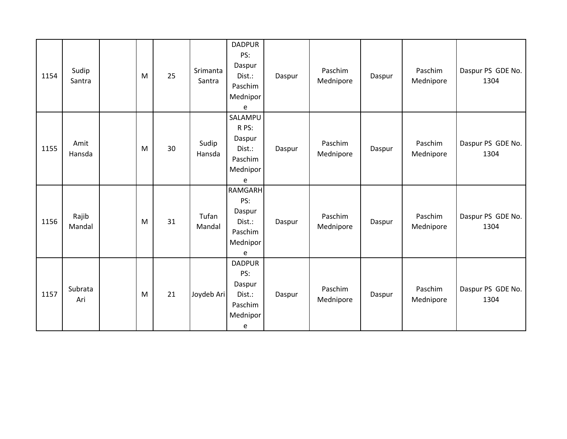| 1154 | Sudip<br>Santra | M | 25 | Srimanta<br>Santra | <b>DADPUR</b><br>PS:<br>Daspur<br>Dist.:<br>Paschim<br>Mednipor<br>e  | Daspur | Paschim<br>Mednipore | Daspur | Paschim<br>Mednipore | Daspur PS GDE No.<br>1304 |
|------|-----------------|---|----|--------------------|-----------------------------------------------------------------------|--------|----------------------|--------|----------------------|---------------------------|
| 1155 | Amit<br>Hansda  | M | 30 | Sudip<br>Hansda    | SALAMPU<br>R PS:<br>Daspur<br>Dist.:<br>Paschim<br>Mednipor<br>e      | Daspur | Paschim<br>Mednipore | Daspur | Paschim<br>Mednipore | Daspur PS GDE No.<br>1304 |
| 1156 | Rajib<br>Mandal | M | 31 | Tufan<br>Mandal    | <b>RAMGARH</b><br>PS:<br>Daspur<br>Dist.:<br>Paschim<br>Mednipor<br>e | Daspur | Paschim<br>Mednipore | Daspur | Paschim<br>Mednipore | Daspur PS GDE No.<br>1304 |
| 1157 | Subrata<br>Ari  | M | 21 | Joydeb Ari         | <b>DADPUR</b><br>PS:<br>Daspur<br>Dist.:<br>Paschim<br>Mednipor<br>e  | Daspur | Paschim<br>Mednipore | Daspur | Paschim<br>Mednipore | Daspur PS GDE No.<br>1304 |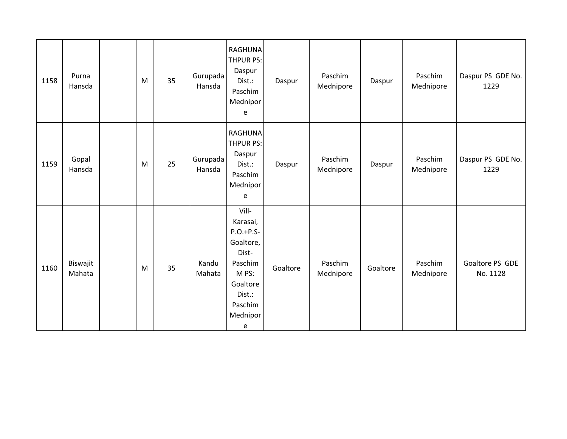| 1158 | Purna<br>Hansda    | M | 35 | Gurupada<br>Hansda | <b>RAGHUNA</b><br><b>THPUR PS:</b><br>Daspur<br>Dist.:<br>Paschim<br>Mednipor<br>e                                           | Daspur   | Paschim<br>Mednipore | Daspur   | Paschim<br>Mednipore | Daspur PS GDE No.<br>1229   |
|------|--------------------|---|----|--------------------|------------------------------------------------------------------------------------------------------------------------------|----------|----------------------|----------|----------------------|-----------------------------|
| 1159 | Gopal<br>Hansda    | M | 25 | Gurupada<br>Hansda | <b>RAGHUNA</b><br>THPUR PS:<br>Daspur<br>Dist.:<br>Paschim<br>Mednipor<br>e                                                  | Daspur   | Paschim<br>Mednipore | Daspur   | Paschim<br>Mednipore | Daspur PS GDE No.<br>1229   |
| 1160 | Biswajit<br>Mahata | M | 35 | Kandu<br>Mahata    | Vill-<br>Karasai,<br>$P.O.+P.S-$<br>Goaltore,<br>Dist-<br>Paschim<br>M PS:<br>Goaltore<br>Dist.:<br>Paschim<br>Mednipor<br>e | Goaltore | Paschim<br>Mednipore | Goaltore | Paschim<br>Mednipore | Goaltore PS GDE<br>No. 1128 |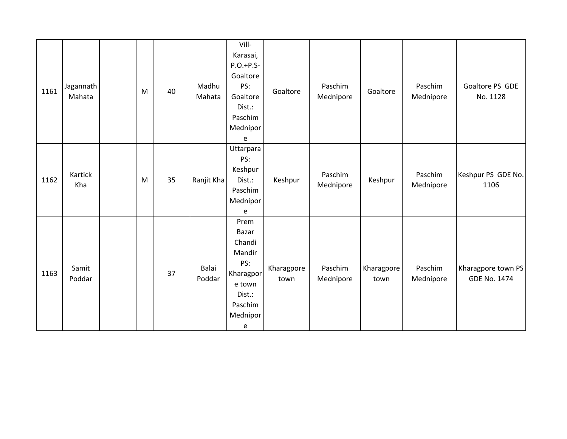| 1161 | Jagannath<br>Mahata | M | 40 | Madhu<br>Mahata | Vill-<br>Karasai,<br>$P.O.+P.S-$<br>Goaltore<br>PS:<br>Goaltore<br>Dist.:<br>Paschim<br>Mednipor<br>e | Goaltore           | Paschim<br>Mednipore | Goaltore           | Paschim<br>Mednipore | Goaltore PS GDE<br>No. 1128               |
|------|---------------------|---|----|-----------------|-------------------------------------------------------------------------------------------------------|--------------------|----------------------|--------------------|----------------------|-------------------------------------------|
| 1162 | Kartick<br>Kha      | M | 35 | Ranjit Kha      | Uttarpara<br>PS:<br>Keshpur<br>Dist.:<br>Paschim<br>Mednipor<br>e                                     | Keshpur            | Paschim<br>Mednipore | Keshpur            | Paschim<br>Mednipore | Keshpur PS GDE No.<br>1106                |
| 1163 | Samit<br>Poddar     |   | 37 | Balai<br>Poddar | Prem<br>Bazar<br>Chandi<br>Mandir<br>PS:<br>Kharagpor<br>e town<br>Dist.:<br>Paschim<br>Mednipor<br>e | Kharagpore<br>town | Paschim<br>Mednipore | Kharagpore<br>town | Paschim<br>Mednipore | Kharagpore town PS<br><b>GDE No. 1474</b> |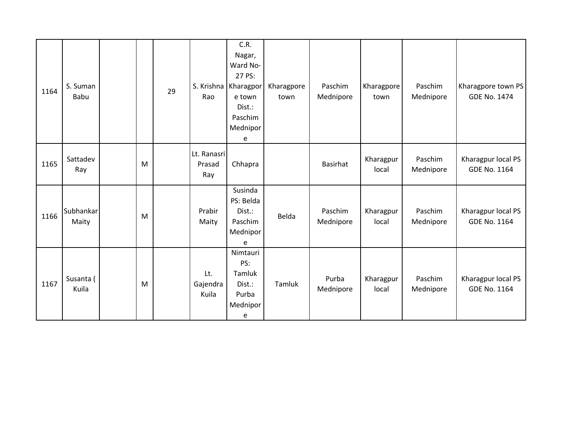| 1164 | S. Suman<br>Babu   |   | 29 | Rao                          | C.R.<br>Nagar,<br>Ward No-<br>27 PS:<br>S. Krishna Kharagpor<br>e town<br>Dist.:<br>Paschim<br>Mednipor<br>e | Kharagpore<br>town | Paschim<br>Mednipore | Kharagpore<br>town | Paschim<br>Mednipore | Kharagpore town PS<br><b>GDE No. 1474</b> |
|------|--------------------|---|----|------------------------------|--------------------------------------------------------------------------------------------------------------|--------------------|----------------------|--------------------|----------------------|-------------------------------------------|
| 1165 | Sattadev<br>Ray    | M |    | Lt. Ranasri<br>Prasad<br>Ray | Chhapra                                                                                                      |                    | Basirhat             | Kharagpur<br>local | Paschim<br>Mednipore | Kharagpur local PS<br>GDE No. 1164        |
| 1166 | Subhankar<br>Maity | M |    | Prabir<br>Maity              | Susinda<br>PS: Belda<br>Dist.:<br>Paschim<br>Mednipor<br>e                                                   | Belda              | Paschim<br>Mednipore | Kharagpur<br>local | Paschim<br>Mednipore | Kharagpur local PS<br><b>GDE No. 1164</b> |
| 1167 | Susanta (<br>Kuila | M |    | Lt.<br>Gajendra<br>Kuila     | Nimtauri<br>PS:<br>Tamluk<br>Dist.:<br>Purba<br>Mednipor<br>e                                                | Tamluk             | Purba<br>Mednipore   | Kharagpur<br>local | Paschim<br>Mednipore | Kharagpur local PS<br>GDE No. 1164        |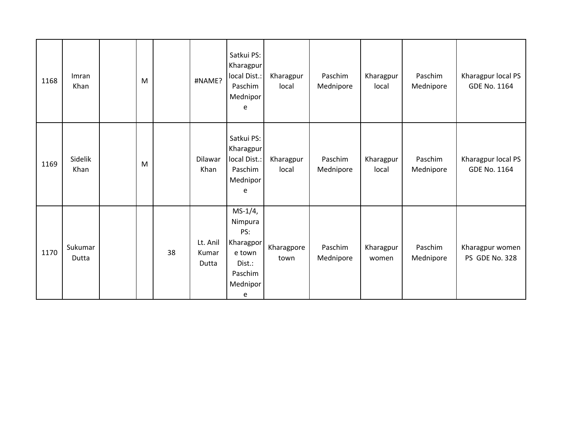| 1168 | Imran<br>Khan    | M |    | #NAME?                     | Satkui PS:<br>Kharagpur<br>local Dist.:<br>Paschim<br>Mednipor<br>e                      | Kharagpur<br>local | Paschim<br>Mednipore | Kharagpur<br>local | Paschim<br>Mednipore | Kharagpur local PS<br>GDE No. 1164 |
|------|------------------|---|----|----------------------------|------------------------------------------------------------------------------------------|--------------------|----------------------|--------------------|----------------------|------------------------------------|
| 1169 | Sidelik<br>Khan  | M |    | Dilawar<br>Khan            | Satkui PS:<br>Kharagpur<br>local Dist.:<br>Paschim<br>Mednipor<br>e                      | Kharagpur<br>local | Paschim<br>Mednipore | Kharagpur<br>local | Paschim<br>Mednipore | Kharagpur local PS<br>GDE No. 1164 |
| 1170 | Sukumar<br>Dutta |   | 38 | Lt. Anil<br>Kumar<br>Dutta | $MS-1/4,$<br>Nimpura<br>PS:<br>Kharagpor<br>e town<br>Dist.:<br>Paschim<br>Mednipor<br>e | Kharagpore<br>town | Paschim<br>Mednipore | Kharagpur<br>women | Paschim<br>Mednipore | Kharagpur women<br>PS GDE No. 328  |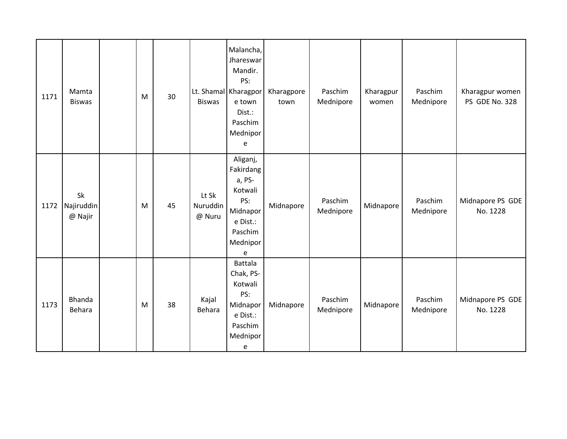| 1171 | Mamta<br><b>Biswas</b>      | M | 30 | <b>Biswas</b>               | Malancha,<br>Jhareswar<br>Mandir.<br>PS:<br>Lt. Shamal Kharagpor<br>e town<br>Dist.:<br>Paschim<br>Mednipor<br>e | Kharagpore<br>town | Paschim<br>Mednipore | Kharagpur<br>women | Paschim<br>Mednipore | Kharagpur women<br>PS GDE No. 328 |
|------|-----------------------------|---|----|-----------------------------|------------------------------------------------------------------------------------------------------------------|--------------------|----------------------|--------------------|----------------------|-----------------------------------|
| 1172 | Sk<br>Najiruddin<br>@ Najir | M | 45 | Lt Sk<br>Nuruddin<br>@ Nuru | Aliganj,<br>Fakirdang<br>a, PS-<br>Kotwali<br>PS:<br>Midnapor<br>e Dist.:<br>Paschim<br>Mednipor<br>e            | Midnapore          | Paschim<br>Mednipore | Midnapore          | Paschim<br>Mednipore | Midnapore PS GDE<br>No. 1228      |
| 1173 | Bhanda<br>Behara            | M | 38 | Kajal<br>Behara             | Battala<br>Chak, PS-<br>Kotwali<br>PS:<br>Midnapor<br>e Dist.:<br>Paschim<br>Mednipor<br>e                       | Midnapore          | Paschim<br>Mednipore | Midnapore          | Paschim<br>Mednipore | Midnapore PS GDE<br>No. 1228      |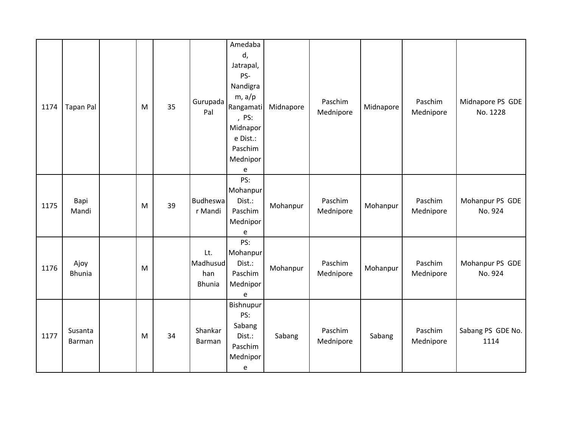| 1174 | <b>Tapan Pal</b>      | M | 35 | Gurupada<br>Pal                         | Amedaba<br>d,<br>Jatrapal,<br>PS-<br>Nandigra<br>$m$ , a/p<br>Rangamati<br>, PS:<br>Midnapor<br>e Dist.:<br>Paschim<br>Mednipor<br>e | Midnapore | Paschim<br>Mednipore | Midnapore | Paschim<br>Mednipore | Midnapore PS GDE<br>No. 1228 |
|------|-----------------------|---|----|-----------------------------------------|--------------------------------------------------------------------------------------------------------------------------------------|-----------|----------------------|-----------|----------------------|------------------------------|
| 1175 | Bapi<br>Mandi         | M | 39 | <b>Budheswa</b><br>r Mandi              | PS:<br>Mohanpur<br>Dist.:<br>Paschim<br>Mednipor<br>e                                                                                | Mohanpur  | Paschim<br>Mednipore | Mohanpur  | Paschim<br>Mednipore | Mohanpur PS GDE<br>No. 924   |
| 1176 | Ajoy<br><b>Bhunia</b> | M |    | Lt.<br>Madhusud<br>han<br><b>Bhunia</b> | PS:<br>Mohanpur<br>Dist.:<br>Paschim<br>Mednipor<br>e                                                                                | Mohanpur  | Paschim<br>Mednipore | Mohanpur  | Paschim<br>Mednipore | Mohanpur PS GDE<br>No. 924   |
| 1177 | Susanta<br>Barman     | M | 34 | Shankar<br>Barman                       | Bishnupur<br>PS:<br>Sabang<br>Dist.:<br>Paschim<br>Mednipor<br>e                                                                     | Sabang    | Paschim<br>Mednipore | Sabang    | Paschim<br>Mednipore | Sabang PS GDE No.<br>1114    |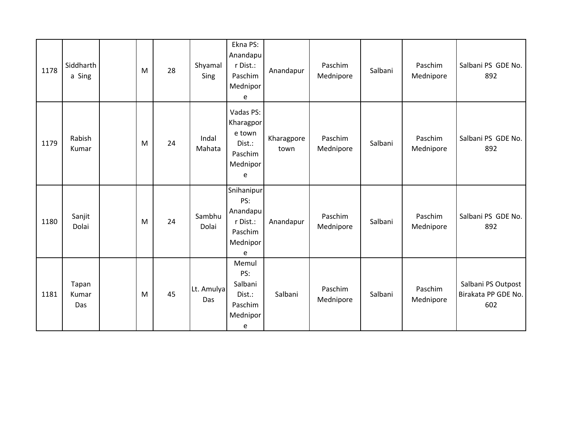| 1178 | Siddharth<br>a Sing   | M | 28 | Shyamal<br>Sing   | Ekna PS:<br>Anandapu<br>r Dist.:<br>Paschim<br>Mednipor<br>e           | Anandapur          | Paschim<br>Mednipore | Salbani | Paschim<br>Mednipore | Salbani PS GDE No.<br>892                        |
|------|-----------------------|---|----|-------------------|------------------------------------------------------------------------|--------------------|----------------------|---------|----------------------|--------------------------------------------------|
| 1179 | Rabish<br>Kumar       | M | 24 | Indal<br>Mahata   | Vadas PS:<br>Kharagpor<br>e town<br>Dist.:<br>Paschim<br>Mednipor<br>e | Kharagpore<br>town | Paschim<br>Mednipore | Salbani | Paschim<br>Mednipore | Salbani PS GDE No.<br>892                        |
| 1180 | Sanjit<br>Dolai       | M | 24 | Sambhu<br>Dolai   | Snihanipur<br>PS:<br>Anandapu<br>r Dist.:<br>Paschim<br>Mednipor<br>e  | Anandapur          | Paschim<br>Mednipore | Salbani | Paschim<br>Mednipore | Salbani PS GDE No.<br>892                        |
| 1181 | Tapan<br>Kumar<br>Das | M | 45 | Lt. Amulya<br>Das | Memul<br>PS:<br>Salbani<br>Dist.:<br>Paschim<br>Mednipor<br>e          | Salbani            | Paschim<br>Mednipore | Salbani | Paschim<br>Mednipore | Salbani PS Outpost<br>Birakata PP GDE No.<br>602 |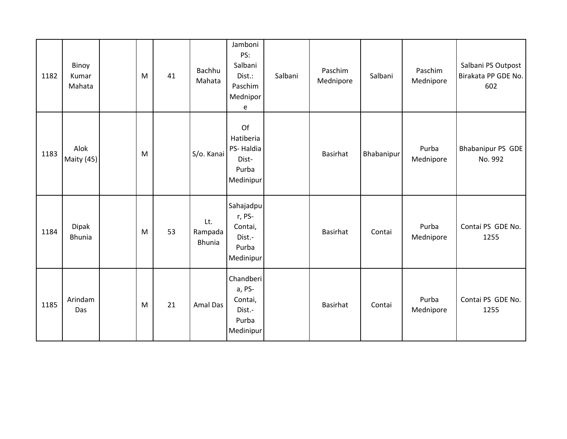| 1182 | Binoy<br>Kumar<br>Mahata | M | 41 | Bachhu<br>Mahata                | Jamboni<br>PS:<br>Salbani<br>Dist.:<br>Paschim<br>Mednipor<br>e | Salbani | Paschim<br>Mednipore | Salbani    | Paschim<br>Mednipore | Salbani PS Outpost<br>Birakata PP GDE No.<br>602 |
|------|--------------------------|---|----|---------------------------------|-----------------------------------------------------------------|---------|----------------------|------------|----------------------|--------------------------------------------------|
| 1183 | Alok<br>Maity (45)       | M |    | S/o. Kanai                      | Of<br>Hatiberia<br>PS-Haldia<br>Dist-<br>Purba<br>Medinipur     |         | Basirhat             | Bhabanipur | Purba<br>Mednipore   | <b>Bhabanipur PS GDE</b><br>No. 992              |
| 1184 | Dipak<br><b>Bhunia</b>   | M | 53 | Lt.<br>Rampada<br><b>Bhunia</b> | Sahajadpu<br>r, PS-<br>Contai,<br>Dist.-<br>Purba<br>Medinipur  |         | Basirhat             | Contai     | Purba<br>Mednipore   | Contai PS GDE No.<br>1255                        |
| 1185 | Arindam<br>Das           | M | 21 | <b>Amal Das</b>                 | Chandberi<br>a, PS-<br>Contai,<br>Dist.-<br>Purba<br>Medinipur  |         | Basirhat             | Contai     | Purba<br>Mednipore   | Contai PS GDE No.<br>1255                        |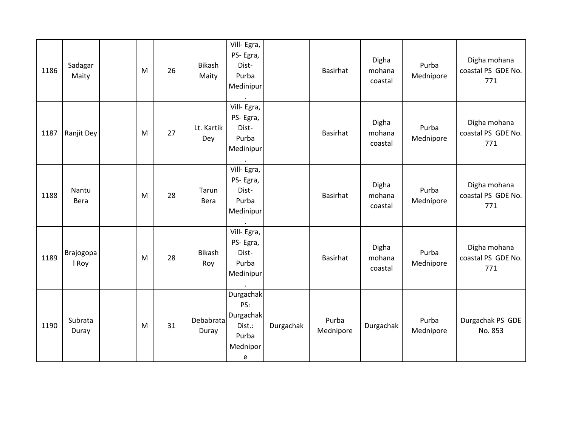| 1186 | Sadagar<br>Maity   | M | 26 | <b>Bikash</b><br>Maity | Vill-Egra,<br>PS-Egra,<br>Dist-<br>Purba<br>Medinipur                    |           | Basirhat           | Digha<br>mohana<br>coastal | Purba<br>Mednipore | Digha mohana<br>coastal PS GDE No.<br>771 |
|------|--------------------|---|----|------------------------|--------------------------------------------------------------------------|-----------|--------------------|----------------------------|--------------------|-------------------------------------------|
| 1187 | Ranjit Dey         | M | 27 | Lt. Kartik<br>Dey      | Vill-Egra,<br>PS-Egra,<br>Dist-<br>Purba<br>Medinipur                    |           | Basirhat           | Digha<br>mohana<br>coastal | Purba<br>Mednipore | Digha mohana<br>coastal PS GDE No.<br>771 |
| 1188 | Nantu<br>Bera      | M | 28 | Tarun<br>Bera          | Vill- Egra,<br>PS-Egra,<br>Dist-<br>Purba<br>Medinipur                   |           | Basirhat           | Digha<br>mohana<br>coastal | Purba<br>Mednipore | Digha mohana<br>coastal PS GDE No.<br>771 |
| 1189 | Brajogopa<br>I Roy | M | 28 | <b>Bikash</b><br>Roy   | Vill-Egra,<br>PS-Egra,<br>Dist-<br>Purba<br>Medinipur                    |           | Basirhat           | Digha<br>mohana<br>coastal | Purba<br>Mednipore | Digha mohana<br>coastal PS GDE No.<br>771 |
| 1190 | Subrata<br>Duray   | M | 31 | Debabrata<br>Duray     | Durgachak<br>PS:<br><b>Durgachak</b><br>Dist.:<br>Purba<br>Mednipor<br>e | Durgachak | Purba<br>Mednipore | Durgachak                  | Purba<br>Mednipore | Durgachak PS GDE<br>No. 853               |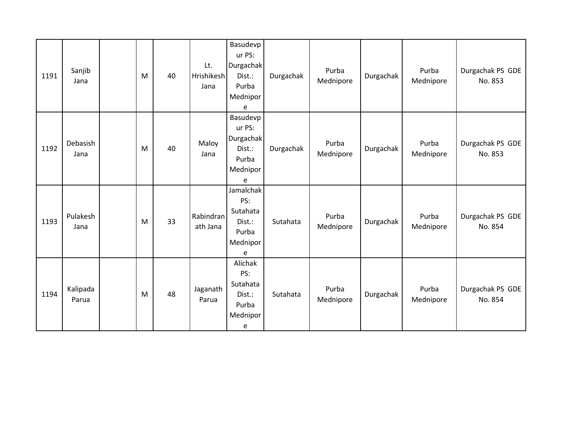| 1191 | Sanjib<br>Jana    | M | 40 | Lt.<br>Hrishikesh<br>Jana | Basudevp<br>ur PS:<br>Durgachak<br>Dist.:<br>Purba<br>Mednipor<br>e | Durgachak | Purba<br>Mednipore | Durgachak | Purba<br>Mednipore | Durgachak PS GDE<br>No. 853 |
|------|-------------------|---|----|---------------------------|---------------------------------------------------------------------|-----------|--------------------|-----------|--------------------|-----------------------------|
| 1192 | Debasish<br>Jana  | M | 40 | Maloy<br>Jana             | Basudevp<br>ur PS:<br>Durgachak<br>Dist.:<br>Purba<br>Mednipor<br>e | Durgachak | Purba<br>Mednipore | Durgachak | Purba<br>Mednipore | Durgachak PS GDE<br>No. 853 |
| 1193 | Pulakesh<br>Jana  | M | 33 | Rabindran<br>ath Jana     | Jamalchak<br>PS:<br>Sutahata<br>Dist.:<br>Purba<br>Mednipor<br>e    | Sutahata  | Purba<br>Mednipore | Durgachak | Purba<br>Mednipore | Durgachak PS GDE<br>No. 854 |
| 1194 | Kalipada<br>Parua | M | 48 | Jaganath<br>Parua         | Alichak<br>PS:<br>Sutahata<br>Dist.:<br>Purba<br>Mednipor<br>e      | Sutahata  | Purba<br>Mednipore | Durgachak | Purba<br>Mednipore | Durgachak PS GDE<br>No. 854 |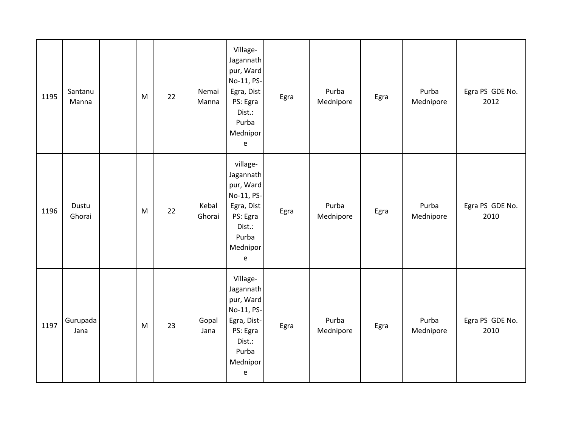| 1195 | Santanu<br>Manna | M | 22 | Nemai<br>Manna  | Village-<br>Jagannath<br>pur, Ward<br>No-11, PS-<br>Egra, Dist<br>PS: Egra<br>Dist.:<br>Purba<br>Mednipor<br>$\mathsf{e}% _{t}\left( t\right)$  | Egra | Purba<br>Mednipore | Egra | Purba<br>Mednipore | Egra PS GDE No.<br>2012 |
|------|------------------|---|----|-----------------|-------------------------------------------------------------------------------------------------------------------------------------------------|------|--------------------|------|--------------------|-------------------------|
| 1196 | Dustu<br>Ghorai  | M | 22 | Kebal<br>Ghorai | village-<br>Jagannath<br>pur, Ward<br>No-11, PS-<br>Egra, Dist<br>PS: Egra<br>Dist.:<br>Purba<br>Mednipor<br>${\bf e}$                          | Egra | Purba<br>Mednipore | Egra | Purba<br>Mednipore | Egra PS GDE No.<br>2010 |
| 1197 | Gurupada<br>Jana | M | 23 | Gopal<br>Jana   | Village-<br>Jagannath<br>pur, Ward<br>No-11, PS-<br>Egra, Dist-<br>PS: Egra<br>Dist.:<br>Purba<br>Mednipor<br>$\mathsf{e}% _{t}\left( t\right)$ | Egra | Purba<br>Mednipore | Egra | Purba<br>Mednipore | Egra PS GDE No.<br>2010 |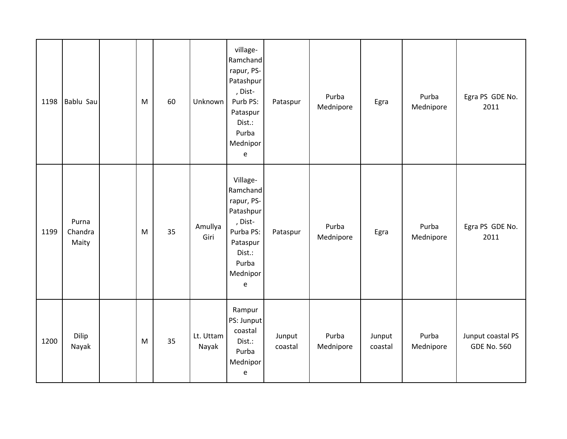| 1198 | Bablu Sau                 | M | 60 | Unknown            | village-<br>Ramchand<br>rapur, PS-<br>Patashpur<br>, Dist-<br>Purb PS:<br>Pataspur<br>Dist.:<br>Purba<br>Mednipor<br>e  | Pataspur          | Purba<br>Mednipore | Egra              | Purba<br>Mednipore | Egra PS GDE No.<br>2011                 |
|------|---------------------------|---|----|--------------------|-------------------------------------------------------------------------------------------------------------------------|-------------------|--------------------|-------------------|--------------------|-----------------------------------------|
| 1199 | Purna<br>Chandra<br>Maity | M | 35 | Amullya<br>Giri    | Village-<br>Ramchand<br>rapur, PS-<br>Patashpur<br>, Dist-<br>Purba PS:<br>Pataspur<br>Dist.:<br>Purba<br>Mednipor<br>e | Pataspur          | Purba<br>Mednipore | Egra              | Purba<br>Mednipore | Egra PS GDE No.<br>2011                 |
| 1200 | Dilip<br>Nayak            | M | 35 | Lt. Uttam<br>Nayak | Rampur<br>PS: Junput<br>coastal<br>Dist.:<br>Purba<br>Mednipor<br>$\mathsf{e}% _{0}\left( \mathsf{e}\right)$            | Junput<br>coastal | Purba<br>Mednipore | Junput<br>coastal | Purba<br>Mednipore | Junput coastal PS<br><b>GDE No. 560</b> |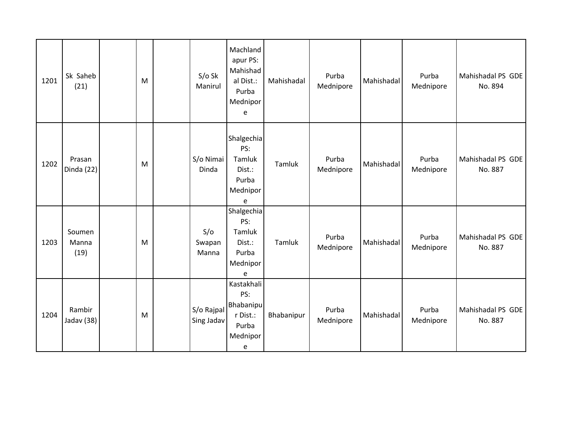| 1201 | Sk Saheb<br>(21)        | M | $S/O$ Sk<br>Manirul      | Machland<br>apur PS:<br>Mahishad<br>al Dist.:<br>Purba<br>Mednipor<br>e | Mahishadal | Purba<br>Mednipore | Mahishadal | Purba<br>Mednipore | Mahishadal PS GDE<br>No. 894 |
|------|-------------------------|---|--------------------------|-------------------------------------------------------------------------|------------|--------------------|------------|--------------------|------------------------------|
| 1202 | Prasan<br>Dinda (22)    | M | S/o Nimai<br>Dinda       | Shalgechia<br>PS:<br>Tamluk<br>Dist.:<br>Purba<br>Mednipor<br>e         | Tamluk     | Purba<br>Mednipore | Mahishadal | Purba<br>Mednipore | Mahishadal PS GDE<br>No. 887 |
| 1203 | Soumen<br>Manna<br>(19) | M | S/O<br>Swapan<br>Manna   | Shalgechia<br>PS:<br>Tamluk<br>Dist.:<br>Purba<br>Mednipor<br>e         | Tamluk     | Purba<br>Mednipore | Mahishadal | Purba<br>Mednipore | Mahishadal PS GDE<br>No. 887 |
| 1204 | Rambir<br>Jadav (38)    | M | S/o Rajpal<br>Sing Jadav | Kastakhali<br>PS:<br>Bhabanipu<br>r Dist.:<br>Purba<br>Mednipor<br>e    | Bhabanipur | Purba<br>Mednipore | Mahishadal | Purba<br>Mednipore | Mahishadal PS GDE<br>No. 887 |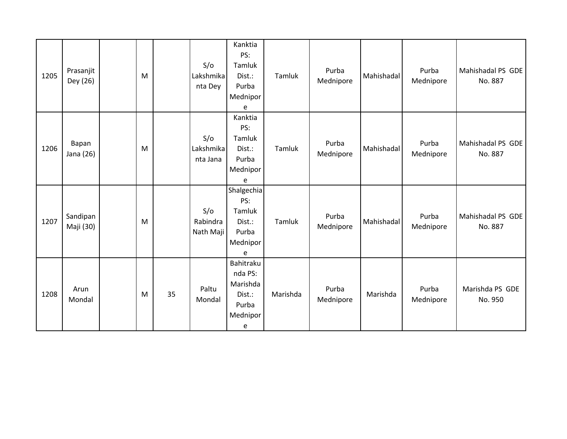| 1205 | Prasanjit<br>Dey (26) | M |    | S/O<br>Lakshmika<br>nta Dey  | Kanktia<br>PS:<br>Tamluk<br>Dist.:<br>Purba<br>Mednipor<br>e         | Tamluk   | Purba<br>Mednipore | Mahishadal | Purba<br>Mednipore | Mahishadal PS GDE<br>No. 887 |
|------|-----------------------|---|----|------------------------------|----------------------------------------------------------------------|----------|--------------------|------------|--------------------|------------------------------|
| 1206 | Bapan<br>Jana (26)    | M |    | S/O<br>Lakshmika<br>nta Jana | Kanktia<br>PS:<br>Tamluk<br>Dist.:<br>Purba<br>Mednipor<br>e         | Tamluk   | Purba<br>Mednipore | Mahishadal | Purba<br>Mednipore | Mahishadal PS GDE<br>No. 887 |
| 1207 | Sandipan<br>Maji (30) | M |    | S/O<br>Rabindra<br>Nath Maji | Shalgechia<br>PS:<br>Tamluk<br>Dist.:<br>Purba<br>Mednipor<br>e      | Tamluk   | Purba<br>Mednipore | Mahishadal | Purba<br>Mednipore | Mahishadal PS GDE<br>No. 887 |
| 1208 | Arun<br>Mondal        | M | 35 | Paltu<br>Mondal              | Bahitraku<br>nda PS:<br>Marishda<br>Dist.:<br>Purba<br>Mednipor<br>e | Marishda | Purba<br>Mednipore | Marishda   | Purba<br>Mednipore | Marishda PS GDE<br>No. 950   |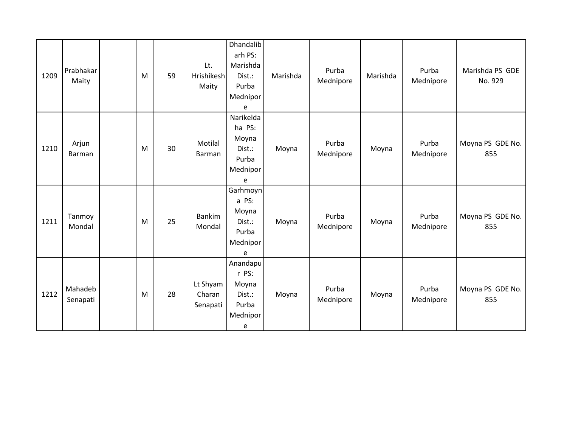| 1209 | Prabhakar<br>Maity  | M | 59 | Lt.<br>Hrishikesh<br>Maity     | Dhandalib<br>arh PS:<br>Marishda<br>Dist.:<br>Purba<br>Mednipor<br>e | Marishda | Purba<br>Mednipore | Marishda | Purba<br>Mednipore | Marishda PS GDE<br>No. 929 |
|------|---------------------|---|----|--------------------------------|----------------------------------------------------------------------|----------|--------------------|----------|--------------------|----------------------------|
| 1210 | Arjun<br>Barman     | M | 30 | Motilal<br>Barman              | Narikelda<br>ha PS:<br>Moyna<br>Dist.:<br>Purba<br>Mednipor<br>e     | Moyna    | Purba<br>Mednipore | Moyna    | Purba<br>Mednipore | Moyna PS GDE No.<br>855    |
| 1211 | Tanmoy<br>Mondal    | M | 25 | <b>Bankim</b><br>Mondal        | Garhmoyn<br>a PS:<br>Moyna<br>Dist.:<br>Purba<br>Mednipor<br>e       | Moyna    | Purba<br>Mednipore | Moyna    | Purba<br>Mednipore | Moyna PS GDE No.<br>855    |
| 1212 | Mahadeb<br>Senapati | M | 28 | Lt Shyam<br>Charan<br>Senapati | Anandapu<br>r PS:<br>Moyna<br>Dist.:<br>Purba<br>Mednipor<br>e       | Moyna    | Purba<br>Mednipore | Moyna    | Purba<br>Mednipore | Moyna PS GDE No.<br>855    |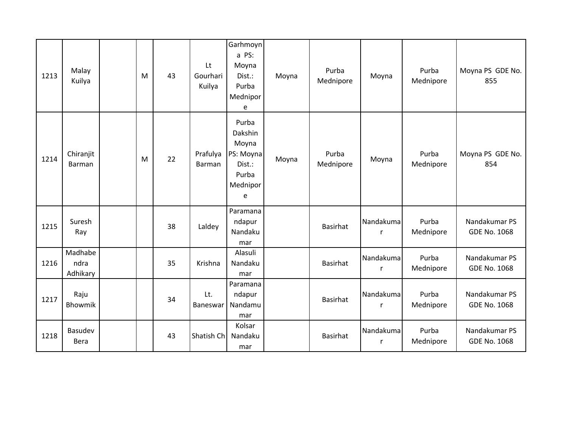| 1213 | Malay<br>Kuilya             | M | 43 | Lt<br>Gourhari<br>Kuilya | Garhmoyn<br>a PS:<br>Moyna<br>Dist.:<br>Purba<br>Mednipor<br>e             | Moyna | Purba<br>Mednipore | Moyna          | Purba<br>Mednipore | Moyna PS GDE No.<br>855              |
|------|-----------------------------|---|----|--------------------------|----------------------------------------------------------------------------|-------|--------------------|----------------|--------------------|--------------------------------------|
| 1214 | Chiranjit<br>Barman         | M | 22 | Prafulya<br>Barman       | Purba<br>Dakshin<br>Moyna<br>PS: Moyna<br>Dist.:<br>Purba<br>Mednipor<br>e | Moyna | Purba<br>Mednipore | Moyna          | Purba<br>Mednipore | Moyna PS GDE No.<br>854              |
| 1215 | Suresh<br>Ray               |   | 38 | Laldey                   | Paramana<br>ndapur<br>Nandaku<br>mar                                       |       | Basirhat           | Nandakuma<br>r | Purba<br>Mednipore | Nandakumar PS<br><b>GDE No. 1068</b> |
| 1216 | Madhabe<br>ndra<br>Adhikary |   | 35 | Krishna                  | Alasuli<br>Nandaku<br>mar                                                  |       | Basirhat           | Nandakuma<br>r | Purba<br>Mednipore | Nandakumar PS<br><b>GDE No. 1068</b> |
| 1217 | Raju<br>Bhowmik             |   | 34 | Lt.<br>Baneswar          | Paramana<br>ndapur<br>Nandamu<br>mar                                       |       | Basirhat           | Nandakuma<br>r | Purba<br>Mednipore | Nandakumar PS<br><b>GDE No. 1068</b> |
| 1218 | Basudev<br>Bera             |   | 43 | Shatish Ch               | Kolsar<br>Nandaku<br>mar                                                   |       | Basirhat           | Nandakuma<br>r | Purba<br>Mednipore | Nandakumar PS<br><b>GDE No. 1068</b> |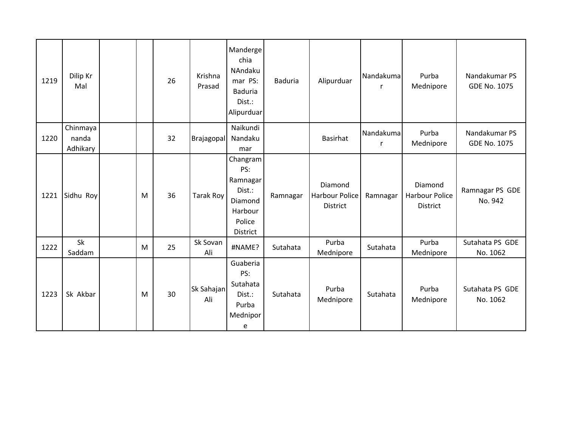| 1219 | Dilip Kr<br>Mal               |   | 26 | Krishna<br>Prasad | Manderge<br>chia<br>NAndaku<br>mar PS:<br><b>Baduria</b><br>Dist.:<br>Alipurduar  | <b>Baduria</b> | Alipurduar                                          | Nandakuma<br>r | Purba<br>Mednipore                                  | Nandakumar PS<br>GDE No. 1075 |
|------|-------------------------------|---|----|-------------------|-----------------------------------------------------------------------------------|----------------|-----------------------------------------------------|----------------|-----------------------------------------------------|-------------------------------|
| 1220 | Chinmaya<br>nanda<br>Adhikary |   | 32 | Brajagopal        | Naikundi<br>Nandaku<br>mar                                                        |                | Basirhat                                            | Nandakuma<br>r | Purba<br>Mednipore                                  | Nandakumar PS<br>GDE No. 1075 |
| 1221 | Sidhu Roy                     | M | 36 | <b>Tarak Roy</b>  | Changram<br>PS:<br>Ramnagar<br>Dist.:<br>Diamond<br>Harbour<br>Police<br>District | Ramnagar       | Diamond<br><b>Harbour Police</b><br><b>District</b> | Ramnagar       | Diamond<br><b>Harbour Police</b><br><b>District</b> | Ramnagar PS GDE<br>No. 942    |
| 1222 | Sk<br>Saddam                  | M | 25 | Sk Sovan<br>Ali   | #NAME?                                                                            | Sutahata       | Purba<br>Mednipore                                  | Sutahata       | Purba<br>Mednipore                                  | Sutahata PS GDE<br>No. 1062   |
| 1223 | Sk Akbar                      | M | 30 | Sk Sahajan<br>Ali | Guaberia<br>PS:<br>Sutahata<br>Dist.:<br>Purba<br>Mednipor<br>e                   | Sutahata       | Purba<br>Mednipore                                  | Sutahata       | Purba<br>Mednipore                                  | Sutahata PS GDE<br>No. 1062   |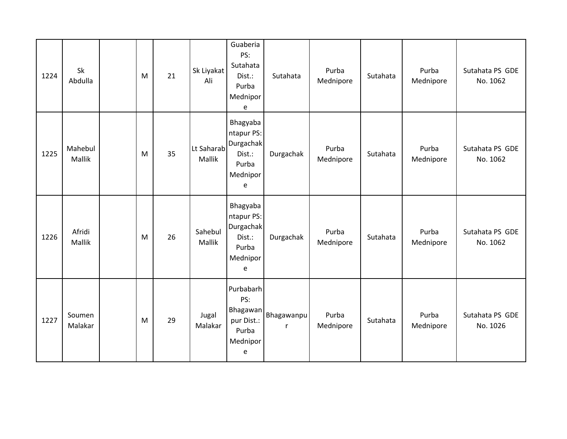| 1224 | Sk<br>Abdulla           | M | 21 | Sk Liyakat<br>Ali    | Guaberia<br>PS:<br>Sutahata<br>Dist.:<br>Purba<br>Mednipor<br>e                | Sutahata                     | Purba<br>Mednipore | Sutahata | Purba<br>Mednipore | Sutahata PS GDE<br>No. 1062 |
|------|-------------------------|---|----|----------------------|--------------------------------------------------------------------------------|------------------------------|--------------------|----------|--------------------|-----------------------------|
| 1225 | Mahebul<br>Mallik       | M | 35 | Lt Saharab<br>Mallik | Bhagyaba<br>ntapur PS:<br>Durgachak<br>Dist.:<br>Purba<br>Mednipor<br>e        | Durgachak                    | Purba<br>Mednipore | Sutahata | Purba<br>Mednipore | Sutahata PS GDE<br>No. 1062 |
| 1226 | Afridi<br><b>Mallik</b> | M | 26 | Sahebul<br>Mallik    | Bhagyaba<br>ntapur PS:<br><b>Durgachak</b><br>Dist.:<br>Purba<br>Mednipor<br>e | Durgachak                    | Purba<br>Mednipore | Sutahata | Purba<br>Mednipore | Sutahata PS GDE<br>No. 1062 |
| 1227 | Soumen<br>Malakar       | M | 29 | Jugal<br>Malakar     | Purbabarh<br>PS:<br>pur Dist.:<br>Purba<br>Mednipor<br>e                       | Bhagawan   Bhagawanpu  <br>r | Purba<br>Mednipore | Sutahata | Purba<br>Mednipore | Sutahata PS GDE<br>No. 1026 |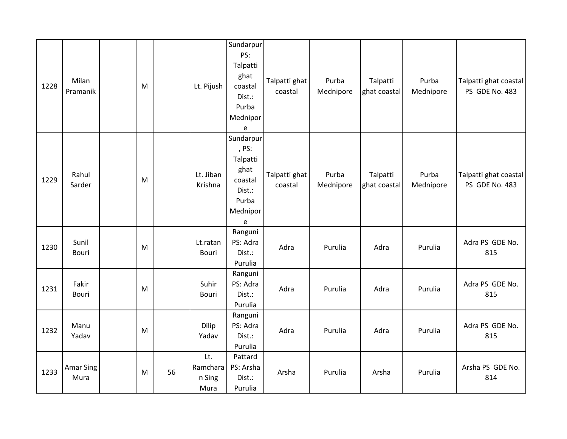| 1228 | Milan<br>Pramanik        | M |    | Lt. Pijush                        | Sundarpur<br>PS:<br>Talpatti<br>ghat<br>coastal<br>Dist.:<br>Purba<br>Mednipor<br>e                                   | Talpatti ghat<br>coastal | Purba<br>Mednipore | Talpatti<br>ghat coastal | Purba<br>Mednipore | Talpatti ghat coastal<br>PS GDE No. 483 |
|------|--------------------------|---|----|-----------------------------------|-----------------------------------------------------------------------------------------------------------------------|--------------------------|--------------------|--------------------------|--------------------|-----------------------------------------|
| 1229 | Rahul<br>Sarder          | M |    | Lt. Jiban<br>Krishna              | Sundarpur<br>, PS:<br>Talpatti<br>ghat<br>coastal<br>Dist.:<br>Purba<br>Mednipor<br>$\mathsf{e}% _{t}\left( t\right)$ | Talpatti ghat<br>coastal | Purba<br>Mednipore | Talpatti<br>ghat coastal | Purba<br>Mednipore | Talpatti ghat coastal<br>PS GDE No. 483 |
| 1230 | Sunil<br>Bouri           | M |    | Lt.ratan<br>Bouri                 | Ranguni<br>PS: Adra<br>Dist.:<br>Purulia                                                                              | Adra                     | Purulia            | Adra                     | Purulia            | Adra PS GDE No.<br>815                  |
| 1231 | Fakir<br><b>Bouri</b>    | M |    | Suhir<br>Bouri                    | Ranguni<br>PS: Adra<br>Dist.:<br>Purulia                                                                              | Adra                     | Purulia            | Adra                     | Purulia            | Adra PS GDE No.<br>815                  |
| 1232 | Manu<br>Yadav            | M |    | Dilip<br>Yadav                    | Ranguni<br>PS: Adra<br>Dist.:<br>Purulia                                                                              | Adra                     | Purulia            | Adra                     | Purulia            | Adra PS GDE No.<br>815                  |
| 1233 | <b>Amar Sing</b><br>Mura | M | 56 | Lt.<br>Ramchara<br>n Sing<br>Mura | Pattard<br>PS: Arsha<br>Dist.:<br>Purulia                                                                             | Arsha                    | Purulia            | Arsha                    | Purulia            | Arsha PS GDE No.<br>814                 |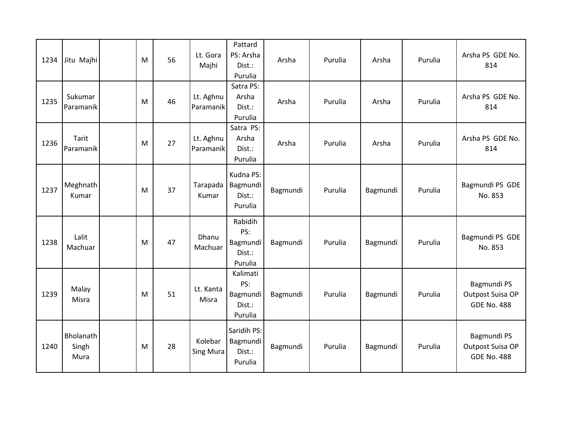| 1234 | Jitu Majhi                 | M | 56 | Lt. Gora<br>Majhi           | Pattard<br>PS: Arsha<br>Dist.:<br>Purulia        | Arsha    | Purulia | Arsha    | Purulia | Arsha PS GDE No.<br>814                               |
|------|----------------------------|---|----|-----------------------------|--------------------------------------------------|----------|---------|----------|---------|-------------------------------------------------------|
| 1235 | Sukumar<br>Paramanik       | M | 46 | Lt. Aghnu<br>Paramanik      | Satra PS:<br>Arsha<br>Dist.:<br>Purulia          | Arsha    | Purulia | Arsha    | Purulia | Arsha PS GDE No.<br>814                               |
| 1236 | Tarit<br>Paramanik         | M | 27 | Lt. Aghnu<br>Paramanik      | Satra PS:<br>Arsha<br>Dist.:<br>Purulia          | Arsha    | Purulia | Arsha    | Purulia | Arsha PS GDE No.<br>814                               |
| 1237 | Meghnath<br>Kumar          | M | 37 | Tarapada<br>Kumar           | Kudna PS:<br>Bagmundi<br>Dist.:<br>Purulia       | Bagmundi | Purulia | Bagmundi | Purulia | Bagmundi PS GDE<br>No. 853                            |
| 1238 | Lalit<br>Machuar           | M | 47 | <b>Dhanu</b><br>Machuar     | Rabidih<br>PS:<br>Bagmundi<br>Dist.:<br>Purulia  | Bagmundi | Purulia | Bagmundi | Purulia | Bagmundi PS GDE<br>No. 853                            |
| 1239 | Malay<br>Misra             | M | 51 | Lt. Kanta<br>Misra          | Kalimati<br>PS:<br>Bagmundi<br>Dist.:<br>Purulia | Bagmundi | Purulia | Bagmundi | Purulia | Bagmundi PS<br>Outpost Suisa OP<br><b>GDE No. 488</b> |
| 1240 | Bholanath<br>Singh<br>Mura | M | 28 | Kolebar<br><b>Sing Mura</b> | Saridih PS:<br>Bagmundi<br>Dist.:<br>Purulia     | Bagmundi | Purulia | Bagmundi | Purulia | Bagmundi PS<br>Outpost Suisa OP<br><b>GDE No. 488</b> |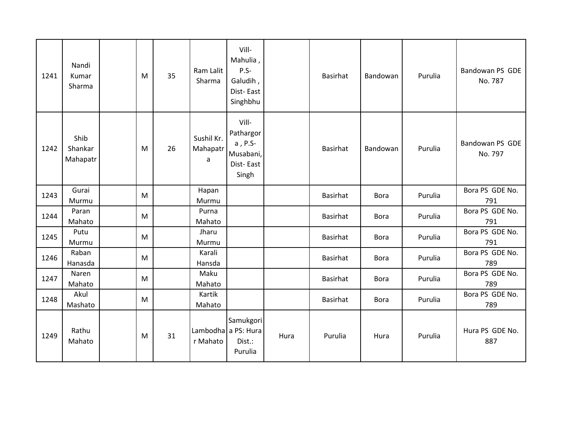| 1241 | Nandi<br>Kumar<br>Sharma    | M         | 35 | Ram Lalit<br>Sharma         | Vill-<br>Mahulia,<br>$P.S-$<br>Galudih,<br>Dist-East<br>Singhbhu |      | Basirhat | Bandowan    | Purulia | Bandowan PS GDE<br>No. 787 |
|------|-----------------------------|-----------|----|-----------------------------|------------------------------------------------------------------|------|----------|-------------|---------|----------------------------|
| 1242 | Shib<br>Shankar<br>Mahapatr | M         | 26 | Sushil Kr.<br>Mahapatr<br>a | Vill-<br>Pathargor<br>a, P.S-<br>Musabani,<br>Dist-East<br>Singh |      | Basirhat | Bandowan    | Purulia | Bandowan PS GDE<br>No. 797 |
| 1243 | Gurai<br>Murmu              | M         |    | Hapan<br>Murmu              |                                                                  |      | Basirhat | <b>Bora</b> | Purulia | Bora PS GDE No.<br>791     |
| 1244 | Paran<br>Mahato             | M         |    | Purna<br>Mahato             |                                                                  |      | Basirhat | <b>Bora</b> | Purulia | Bora PS GDE No.<br>791     |
| 1245 | Putu<br>Murmu               | M         |    | Jharu<br>Murmu              |                                                                  |      | Basirhat | <b>Bora</b> | Purulia | Bora PS GDE No.<br>791     |
| 1246 | Raban<br>Hanasda            | ${\sf M}$ |    | Karali<br>Hansda            |                                                                  |      | Basirhat | <b>Bora</b> | Purulia | Bora PS GDE No.<br>789     |
| 1247 | Naren<br>Mahato             | M         |    | Maku<br>Mahato              |                                                                  |      | Basirhat | <b>Bora</b> | Purulia | Bora PS GDE No.<br>789     |
| 1248 | Akul<br>Mashato             | M         |    | Kartik<br>Mahato            |                                                                  |      | Basirhat | <b>Bora</b> | Purulia | Bora PS GDE No.<br>789     |
| 1249 | Rathu<br>Mahato             | M         | 31 | r Mahato                    | Samukgori<br>Lambodha a PS: Hura<br>Dist.:<br>Purulia            | Hura | Purulia  | Hura        | Purulia | Hura PS GDE No.<br>887     |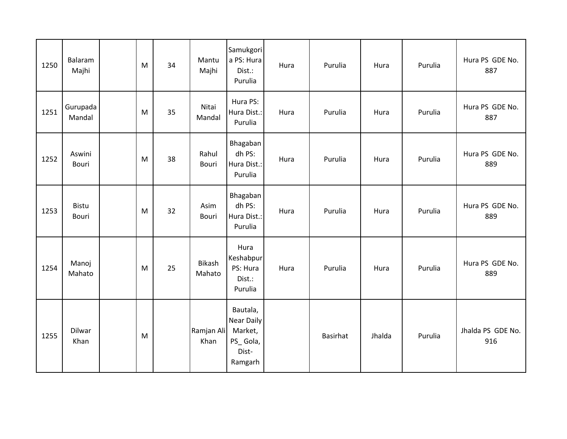| 1250 | Balaram<br>Majhi             | M | 34 | Mantu<br>Majhi        | Samukgori<br>a PS: Hura<br>Dist.:<br>Purulia                             | Hura | Purulia  | Hura   | Purulia | Hura PS GDE No.<br>887   |
|------|------------------------------|---|----|-----------------------|--------------------------------------------------------------------------|------|----------|--------|---------|--------------------------|
| 1251 | Gurupada<br>Mandal           | M | 35 | Nitai<br>Mandal       | Hura PS:<br>Hura Dist.:<br>Purulia                                       | Hura | Purulia  | Hura   | Purulia | Hura PS GDE No.<br>887   |
| 1252 | Aswini<br>Bouri              | M | 38 | Rahul<br><b>Bouri</b> | Bhagaban<br>dh PS:<br>Hura Dist.:<br>Purulia                             | Hura | Purulia  | Hura   | Purulia | Hura PS GDE No.<br>889   |
| 1253 | <b>Bistu</b><br><b>Bouri</b> | M | 32 | Asim<br>Bouri         | Bhagaban<br>dh PS:<br>Hura Dist.:<br>Purulia                             | Hura | Purulia  | Hura   | Purulia | Hura PS GDE No.<br>889   |
| 1254 | Manoj<br>Mahato              | M | 25 | Bikash<br>Mahato      | Hura<br>Keshabpur<br>PS: Hura<br>Dist.:<br>Purulia                       | Hura | Purulia  | Hura   | Purulia | Hura PS GDE No.<br>889   |
| 1255 | <b>Dilwar</b><br>Khan        | M |    | Ramjan Ali<br>Khan    | Bautala,<br><b>Near Daily</b><br>Market,<br>PS_Gola,<br>Dist-<br>Ramgarh |      | Basirhat | Jhalda | Purulia | Jhalda PS GDE No.<br>916 |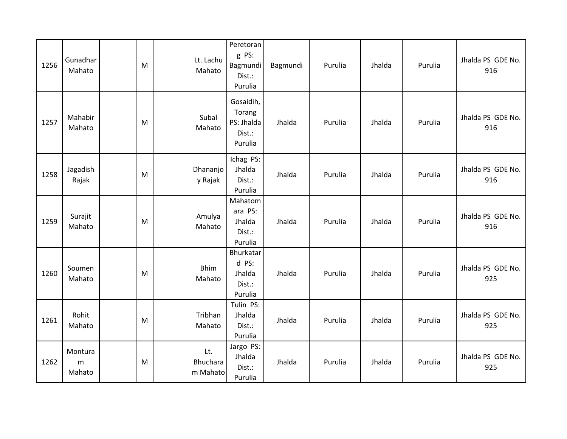| 1256 | Gunadhar<br>Mahato     | M | Lt. Lachu<br>Mahato                | Peretoran<br>g PS:<br>Bagmundi<br>Dist.:<br>Purulia    | Bagmundi | Purulia | Jhalda | Purulia | Jhalda PS GDE No.<br>916 |
|------|------------------------|---|------------------------------------|--------------------------------------------------------|----------|---------|--------|---------|--------------------------|
| 1257 | Mahabir<br>Mahato      | M | Subal<br>Mahato                    | Gosaidih,<br>Torang<br>PS: Jhalda<br>Dist.:<br>Purulia | Jhalda   | Purulia | Jhalda | Purulia | Jhalda PS GDE No.<br>916 |
| 1258 | Jagadish<br>Rajak      | M | Dhananjo<br>y Rajak                | Ichag PS:<br>Jhalda<br>Dist.:<br>Purulia               | Jhalda   | Purulia | Jhalda | Purulia | Jhalda PS GDE No.<br>916 |
| 1259 | Surajit<br>Mahato      | M | Amulya<br>Mahato                   | Mahatom<br>ara PS:<br>Jhalda<br>Dist.:<br>Purulia      | Jhalda   | Purulia | Jhalda | Purulia | Jhalda PS GDE No.<br>916 |
| 1260 | Soumen<br>Mahato       | M | <b>Bhim</b><br>Mahato              | Bhurkatar<br>d PS:<br>Jhalda<br>Dist.:<br>Purulia      | Jhalda   | Purulia | Jhalda | Purulia | Jhalda PS GDE No.<br>925 |
| 1261 | Rohit<br>Mahato        | M | Tribhan<br>Mahato                  | Tulin PS:<br>Jhalda<br>Dist.:<br>Purulia               | Jhalda   | Purulia | Jhalda | Purulia | Jhalda PS GDE No.<br>925 |
| 1262 | Montura<br>m<br>Mahato | M | Lt.<br><b>Bhuchara</b><br>m Mahato | Jargo PS:<br>Jhalda<br>Dist.:<br>Purulia               | Jhalda   | Purulia | Jhalda | Purulia | Jhalda PS GDE No.<br>925 |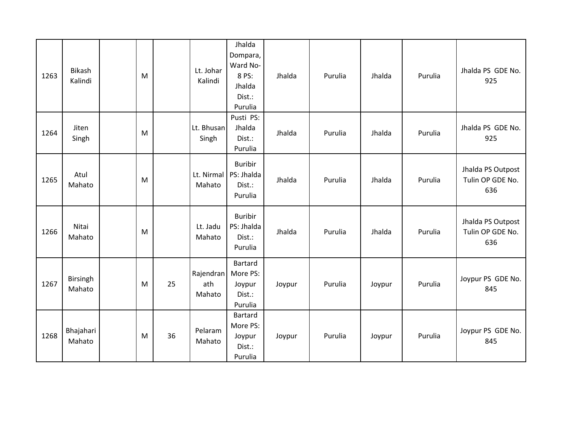| 1263 | <b>Bikash</b><br>Kalindi | M |    | Lt. Johar<br>Kalindi       | Jhalda<br>Dompara,<br>Ward No-<br>8 PS:<br>Jhalda<br>Dist.:<br>Purulia | Jhalda | Purulia | Jhalda | Purulia | Jhalda PS GDE No.<br>925                     |
|------|--------------------------|---|----|----------------------------|------------------------------------------------------------------------|--------|---------|--------|---------|----------------------------------------------|
| 1264 | Jiten<br>Singh           | M |    | Lt. Bhusan<br>Singh        | Pusti PS:<br>Jhalda<br>Dist.:<br>Purulia                               | Jhalda | Purulia | Jhalda | Purulia | Jhalda PS GDE No.<br>925                     |
| 1265 | Atul<br>Mahato           | M |    | Lt. Nirmal<br>Mahato       | <b>Buribir</b><br>PS: Jhalda<br>Dist.:<br>Purulia                      | Jhalda | Purulia | Jhalda | Purulia | Jhalda PS Outpost<br>Tulin OP GDE No.<br>636 |
| 1266 | Nitai<br>Mahato          | M |    | Lt. Jadu<br>Mahato         | <b>Buribir</b><br>PS: Jhalda<br>Dist.:<br>Purulia                      | Jhalda | Purulia | Jhalda | Purulia | Jhalda PS Outpost<br>Tulin OP GDE No.<br>636 |
| 1267 | Birsingh<br>Mahato       | M | 25 | Rajendran<br>ath<br>Mahato | Bartard<br>More PS:<br>Joypur<br>Dist.:<br>Purulia                     | Joypur | Purulia | Joypur | Purulia | Joypur PS GDE No.<br>845                     |
| 1268 | Bhajahari<br>Mahato      | M | 36 | Pelaram<br>Mahato          | Bartard<br>More PS:<br>Joypur<br>Dist.:<br>Purulia                     | Joypur | Purulia | Joypur | Purulia | Joypur PS GDE No.<br>845                     |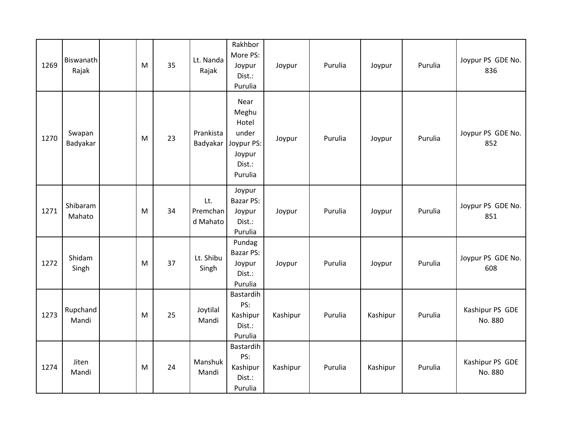| 1269 | Biswanath<br>Rajak | M | 35 | Lt. Nanda<br>Rajak          | Rakhbor<br>More PS:<br>Joypur<br>Dist.:<br>Purulia                           | Joypur   | Purulia | Joypur   | Purulia | Joypur PS GDE No.<br>836   |
|------|--------------------|---|----|-----------------------------|------------------------------------------------------------------------------|----------|---------|----------|---------|----------------------------|
| 1270 | Swapan<br>Badyakar | M | 23 | Prankista<br>Badyakar       | Near<br>Meghu<br>Hotel<br>under<br>Joypur PS:<br>Joypur<br>Dist.:<br>Purulia | Joypur   | Purulia | Joypur   | Purulia | Joypur PS GDE No.<br>852   |
| 1271 | Shibaram<br>Mahato | M | 34 | Lt.<br>Premchan<br>d Mahato | Joypur<br><b>Bazar PS:</b><br>Joypur<br>Dist.:<br>Purulia                    | Joypur   | Purulia | Joypur   | Purulia | Joypur PS GDE No.<br>851   |
| 1272 | Shidam<br>Singh    | M | 37 | Lt. Shibu<br>Singh          | Pundag<br>Bazar PS:<br>Joypur<br>Dist.:<br>Purulia                           | Joypur   | Purulia | Joypur   | Purulia | Joypur PS GDE No.<br>608   |
| 1273 | Rupchand<br>Mandi  | M | 25 | Joytilal<br>Mandi           | Bastardih<br>PS:<br>Kashipur<br>Dist.:<br>Purulia                            | Kashipur | Purulia | Kashipur | Purulia | Kashipur PS GDE<br>No. 880 |
| 1274 | Jiten<br>Mandi     | M | 24 | Manshuk<br>Mandi            | Bastardih<br>PS:<br>Kashipur<br>Dist.:<br>Purulia                            | Kashipur | Purulia | Kashipur | Purulia | Kashipur PS GDE<br>No. 880 |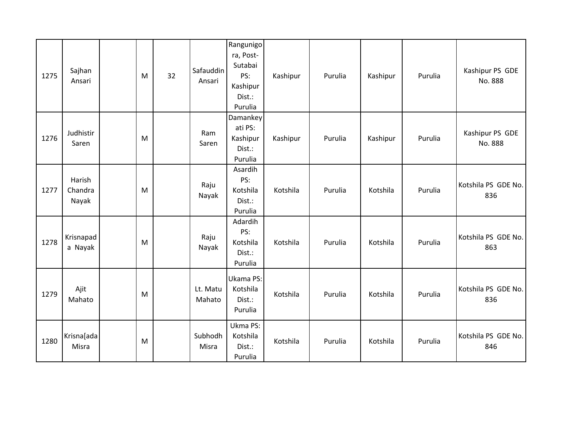| 1275 | Sajhan<br>Ansari           | M | 32 | Safauddin<br>Ansari | Rangunigo<br>ra, Post-<br>Sutabai<br>PS:<br>Kashipur<br>Dist.:<br>Purulia | Kashipur | Purulia | Kashipur | Purulia | Kashipur PS GDE<br>No. 888 |
|------|----------------------------|---|----|---------------------|---------------------------------------------------------------------------|----------|---------|----------|---------|----------------------------|
| 1276 | Judhistir<br>Saren         | M |    | Ram<br>Saren        | Damankey<br>ati PS:<br>Kashipur<br>Dist.:<br>Purulia                      | Kashipur | Purulia | Kashipur | Purulia | Kashipur PS GDE<br>No. 888 |
| 1277 | Harish<br>Chandra<br>Nayak | M |    | Raju<br>Nayak       | Asardih<br>PS:<br>Kotshila<br>Dist.:<br>Purulia                           | Kotshila | Purulia | Kotshila | Purulia | Kotshila PS GDE No.<br>836 |
| 1278 | Krisnapad<br>a Nayak       | M |    | Raju<br>Nayak       | Adardih<br>PS:<br>Kotshila<br>Dist.:<br>Purulia                           | Kotshila | Purulia | Kotshila | Purulia | Kotshila PS GDE No.<br>863 |
| 1279 | Ajit<br>Mahato             | M |    | Lt. Matu<br>Mahato  | Ukama PS:<br>Kotshila<br>Dist.:<br>Purulia                                | Kotshila | Purulia | Kotshila | Purulia | Kotshila PS GDE No.<br>836 |
| 1280 | Krisna[ada<br>Misra        | M |    | Subhodh<br>Misra    | Ukma PS:<br>Kotshila<br>Dist.:<br>Purulia                                 | Kotshila | Purulia | Kotshila | Purulia | Kotshila PS GDE No.<br>846 |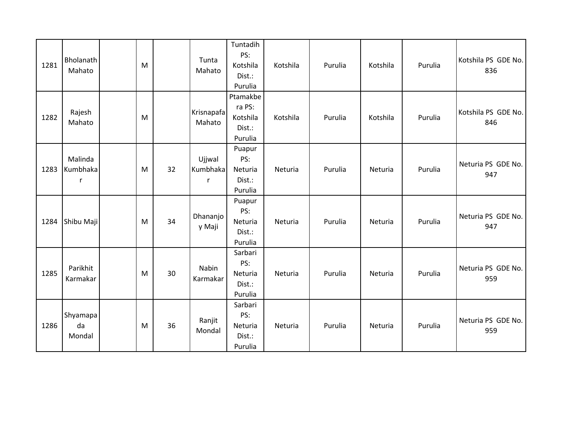| 1281 | Bholanath<br>Mahato      | M |    | Tunta<br>Mahato         | Tuntadih<br>PS:<br>Kotshila<br>Dist.:<br>Purulia    | Kotshila | Purulia | Kotshila | Purulia | Kotshila PS GDE No.<br>836 |
|------|--------------------------|---|----|-------------------------|-----------------------------------------------------|----------|---------|----------|---------|----------------------------|
| 1282 | Rajesh<br>Mahato         | M |    | Krisnapafa<br>Mahato    | Ptamakbe<br>ra PS:<br>Kotshila<br>Dist.:<br>Purulia | Kotshila | Purulia | Kotshila | Purulia | Kotshila PS GDE No.<br>846 |
| 1283 | Malinda<br>Kumbhaka<br>r | M | 32 | Ujjwal<br>Kumbhaka<br>r | Puapur<br>PS:<br>Neturia<br>Dist.:<br>Purulia       | Neturia  | Purulia | Neturia  | Purulia | Neturia PS GDE No.<br>947  |
| 1284 | Shibu Maji               | M | 34 | Dhananjo<br>y Maji      | Puapur<br>PS:<br>Neturia<br>Dist.:<br>Purulia       | Neturia  | Purulia | Neturia  | Purulia | Neturia PS GDE No.<br>947  |
| 1285 | Parikhit<br>Karmakar     | M | 30 | Nabin<br>Karmakar       | Sarbari<br>PS:<br>Neturia<br>Dist.:<br>Purulia      | Neturia  | Purulia | Neturia  | Purulia | Neturia PS GDE No.<br>959  |
| 1286 | Shyamapa<br>da<br>Mondal | M | 36 | Ranjit<br>Mondal        | Sarbari<br>PS:<br>Neturia<br>Dist.:<br>Purulia      | Neturia  | Purulia | Neturia  | Purulia | Neturia PS GDE No.<br>959  |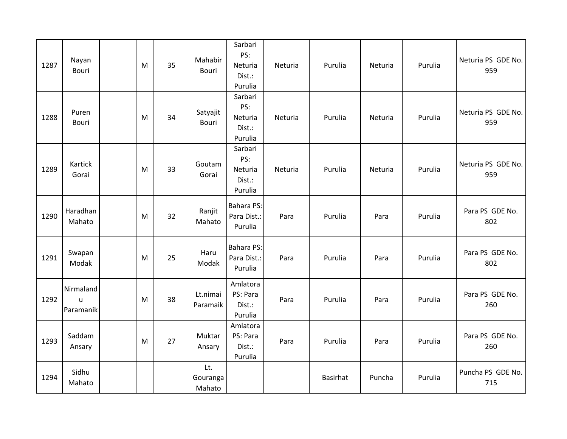| 1287 | Nayan<br>Bouri              | M | 35 | Mahabir<br>Bouri          | Sarbari<br>PS:<br>Neturia<br>Dist.:<br>Purulia | Neturia | Purulia         | Neturia | Purulia | Neturia PS GDE No.<br>959 |
|------|-----------------------------|---|----|---------------------------|------------------------------------------------|---------|-----------------|---------|---------|---------------------------|
| 1288 | Puren<br>Bouri              | M | 34 | Satyajit<br>Bouri         | Sarbari<br>PS:<br>Neturia<br>Dist.:<br>Purulia | Neturia | Purulia         | Neturia | Purulia | Neturia PS GDE No.<br>959 |
| 1289 | Kartick<br>Gorai            | M | 33 | Goutam<br>Gorai           | Sarbari<br>PS:<br>Neturia<br>Dist.:<br>Purulia | Neturia | Purulia         | Neturia | Purulia | Neturia PS GDE No.<br>959 |
| 1290 | Haradhan<br>Mahato          | M | 32 | Ranjit<br>Mahato          | <b>Bahara PS:</b><br>Para Dist.:<br>Purulia    | Para    | Purulia         | Para    | Purulia | Para PS GDE No.<br>802    |
| 1291 | Swapan<br>Modak             | M | 25 | Haru<br>Modak             | <b>Bahara PS:</b><br>Para Dist.:<br>Purulia    | Para    | Purulia         | Para    | Purulia | Para PS GDE No.<br>802    |
| 1292 | Nirmaland<br>u<br>Paramanik | M | 38 | Lt.nimai<br>Paramaik      | Amlatora<br>PS: Para<br>Dist.:<br>Purulia      | Para    | Purulia         | Para    | Purulia | Para PS GDE No.<br>260    |
| 1293 | Saddam<br>Ansary            | M | 27 | Muktar<br>Ansary          | Amlatora<br>PS: Para<br>Dist.:<br>Purulia      | Para    | Purulia         | Para    | Purulia | Para PS GDE No.<br>260    |
| 1294 | Sidhu<br>Mahato             |   |    | Lt.<br>Gouranga<br>Mahato |                                                |         | <b>Basirhat</b> | Puncha  | Purulia | Puncha PS GDE No.<br>715  |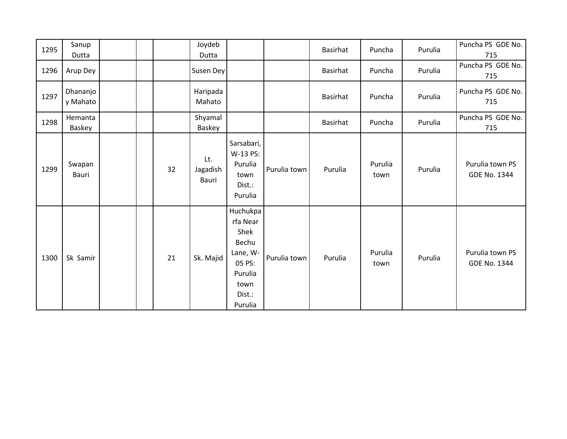| 1295 | Sanup<br>Dutta       |  |    | Joydeb<br>Dutta          |                                                                                                     |              | Basirhat        | Puncha          | Purulia | Puncha PS GDE No.<br>715        |
|------|----------------------|--|----|--------------------------|-----------------------------------------------------------------------------------------------------|--------------|-----------------|-----------------|---------|---------------------------------|
| 1296 | Arup Dey             |  |    | Susen Dey                |                                                                                                     |              | Basirhat        | Puncha          | Purulia | Puncha PS GDE No.<br>715        |
| 1297 | Dhananjo<br>y Mahato |  |    | Haripada<br>Mahato       |                                                                                                     |              | Basirhat        | Puncha          | Purulia | Puncha PS GDE No.<br>715        |
| 1298 | Hemanta<br>Baskey    |  |    | Shyamal<br>Baskey        |                                                                                                     |              | <b>Basirhat</b> | Puncha          | Purulia | Puncha PS GDE No.<br>715        |
| 1299 | Swapan<br>Bauri      |  | 32 | Lt.<br>Jagadish<br>Bauri | Sarsabari,<br>W-13 PS:<br>Purulia<br>town<br>Dist.:<br>Purulia                                      | Purulia town | Purulia         | Purulia<br>town | Purulia | Purulia town PS<br>GDE No. 1344 |
| 1300 | Sk Samir             |  | 21 | Sk. Majid                | Huchukpa<br>rfa Near<br>Shek<br>Bechu<br>Lane, W-<br>05 PS:<br>Purulia<br>town<br>Dist.:<br>Purulia | Purulia town | Purulia         | Purulia<br>town | Purulia | Purulia town PS<br>GDE No. 1344 |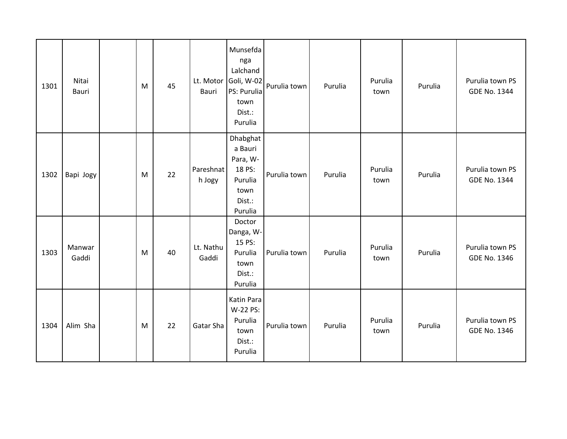| 1301 | Nitai<br>Bauri  | M | 45 | Bauri               | Munsefda<br>nga<br>Lalchand<br>Lt. Motor Goli, W-02<br>PS: Purulia<br>town<br>Dist.:<br>Purulia | Purulia town | Purulia | Purulia<br>town | Purulia | Purulia town PS<br>GDE No. 1344        |
|------|-----------------|---|----|---------------------|-------------------------------------------------------------------------------------------------|--------------|---------|-----------------|---------|----------------------------------------|
| 1302 | Bapi Jogy       | M | 22 | Pareshnat<br>h Jogy | Dhabghat<br>a Bauri<br>Para, W-<br>18 PS:<br>Purulia<br>town<br>Dist.:<br>Purulia               | Purulia town | Purulia | Purulia<br>town | Purulia | Purulia town PS<br><b>GDE No. 1344</b> |
| 1303 | Manwar<br>Gaddi | M | 40 | Lt. Nathu<br>Gaddi  | Doctor<br>Danga, W-<br>15 PS:<br>Purulia<br>town<br>Dist.:<br>Purulia                           | Purulia town | Purulia | Purulia<br>town | Purulia | Purulia town PS<br>GDE No. 1346        |
| 1304 | Alim Sha        | M | 22 | Gatar Sha           | Katin Para<br>W-22 PS:<br>Purulia<br>town<br>Dist.:<br>Purulia                                  | Purulia town | Purulia | Purulia<br>town | Purulia | Purulia town PS<br>GDE No. 1346        |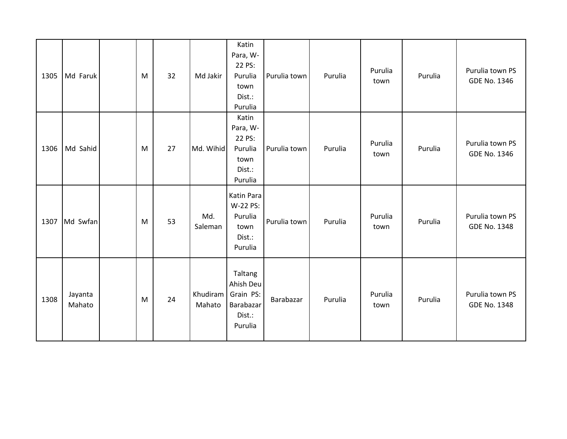| 1305 | Md Faruk          | M | 32 | Md Jakir           | Katin<br>Para, W-<br>22 PS:<br>Purulia<br>town<br>Dist.:<br>Purulia | Purulia town | Purulia | Purulia<br>town | Purulia | Purulia town PS<br>GDE No. 1346        |
|------|-------------------|---|----|--------------------|---------------------------------------------------------------------|--------------|---------|-----------------|---------|----------------------------------------|
| 1306 | Md Sahid          | M | 27 | Md. Wihid          | Katin<br>Para, W-<br>22 PS:<br>Purulia<br>town<br>Dist.:<br>Purulia | Purulia town | Purulia | Purulia<br>town | Purulia | Purulia town PS<br>GDE No. 1346        |
| 1307 | Md Swfan          | M | 53 | Md.<br>Saleman     | Katin Para<br>W-22 PS:<br>Purulia<br>town<br>Dist.:<br>Purulia      | Purulia town | Purulia | Purulia<br>town | Purulia | Purulia town PS<br>GDE No. 1348        |
| 1308 | Jayanta<br>Mahato | M | 24 | Khudiram<br>Mahato | Taltang<br>Ahish Deu<br>Grain PS:<br>Barabazar<br>Dist.:<br>Purulia | Barabazar    | Purulia | Purulia<br>town | Purulia | Purulia town PS<br><b>GDE No. 1348</b> |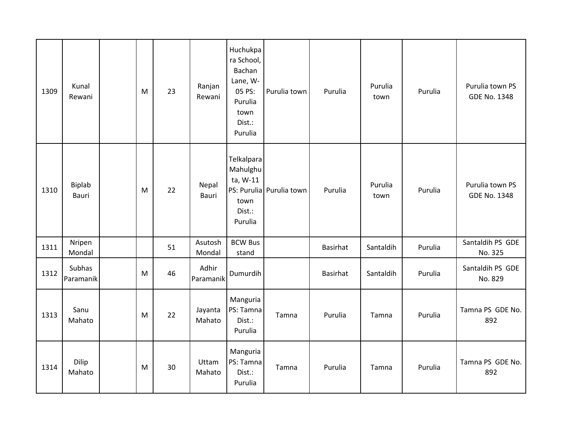| 1309 | Kunal<br>Rewani     | M | 23 | Ranjan<br>Rewani   | Huchukpa<br>ra School,<br>Bachan<br>Lane, W-<br>05 PS:<br>Purulia<br>town<br>Dist.:<br>Purulia | Purulia town             | Purulia  | Purulia<br>town | Purulia | Purulia town PS<br><b>GDE No. 1348</b> |
|------|---------------------|---|----|--------------------|------------------------------------------------------------------------------------------------|--------------------------|----------|-----------------|---------|----------------------------------------|
| 1310 | Biplab<br>Bauri     | M | 22 | Nepal<br>Bauri     | Telkalpara<br>Mahulghu<br>ta, W-11<br>town<br>Dist.:<br>Purulia                                | PS: Purulia Purulia town | Purulia  | Purulia<br>town | Purulia | Purulia town PS<br><b>GDE No. 1348</b> |
| 1311 | Nripen<br>Mondal    |   | 51 | Asutosh<br>Mondal  | <b>BCW Bus</b><br>stand                                                                        |                          | Basirhat | Santaldih       | Purulia | Santaldih PS GDE<br>No. 325            |
| 1312 | Subhas<br>Paramanik | M | 46 | Adhir<br>Paramanik | Dumurdih                                                                                       |                          | Basirhat | Santaldih       | Purulia | Santaldih PS GDE<br>No. 829            |
| 1313 | Sanu<br>Mahato      | M | 22 | Jayanta<br>Mahato  | Manguria<br>PS: Tamna<br>Dist.:<br>Purulia                                                     | Tamna                    | Purulia  | Tamna           | Purulia | Tamna PS GDE No.<br>892                |
| 1314 | Dilip<br>Mahato     | M | 30 | Uttam<br>Mahato    | Manguria<br>PS: Tamna<br>Dist.:<br>Purulia                                                     | Tamna                    | Purulia  | Tamna           | Purulia | Tamna PS GDE No.<br>892                |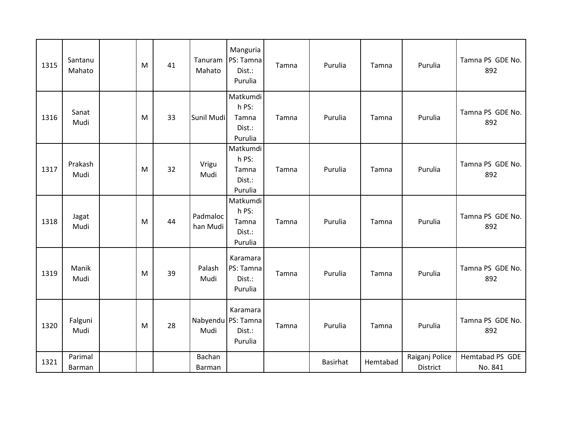| 1315 | Santanu<br>Mahato | M | 41 | Tanuram<br>Mahato    | Manguria<br>PS: Tamna<br>Dist.:<br>Purulia          | Tamna | Purulia  | Tamna    | Purulia                    | Tamna PS GDE No.<br>892    |
|------|-------------------|---|----|----------------------|-----------------------------------------------------|-------|----------|----------|----------------------------|----------------------------|
| 1316 | Sanat<br>Mudi     | M | 33 | Sunil Mudi           | Matkumdi<br>h PS:<br>Tamna<br>Dist.:<br>Purulia     | Tamna | Purulia  | Tamna    | Purulia                    | Tamna PS GDE No.<br>892    |
| 1317 | Prakash<br>Mudi   | M | 32 | Vrigu<br>Mudi        | Matkumdi<br>h PS:<br>Tamna<br>Dist.:<br>Purulia     | Tamna | Purulia  | Tamna    | Purulia                    | Tamna PS GDE No.<br>892    |
| 1318 | Jagat<br>Mudi     | M | 44 | Padmaloc<br>han Mudi | Matkumdi<br>h PS:<br>Tamna<br>Dist.:<br>Purulia     | Tamna | Purulia  | Tamna    | Purulia                    | Tamna PS GDE No.<br>892    |
| 1319 | Manik<br>Mudi     | M | 39 | Palash<br>Mudi       | Karamara<br>PS: Tamna<br>Dist.:<br>Purulia          | Tamna | Purulia  | Tamna    | Purulia                    | Tamna PS GDE No.<br>892    |
| 1320 | Falguni<br>Mudi   | M | 28 | Mudi                 | Karamara<br>Nabyendu PS: Tamna<br>Dist.:<br>Purulia | Tamna | Purulia  | Tamna    | Purulia                    | Tamna PS GDE No.<br>892    |
| 1321 | Parimal<br>Barman |   |    | Bachan<br>Barman     |                                                     |       | Basirhat | Hemtabad | Raiganj Police<br>District | Hemtabad PS GDE<br>No. 841 |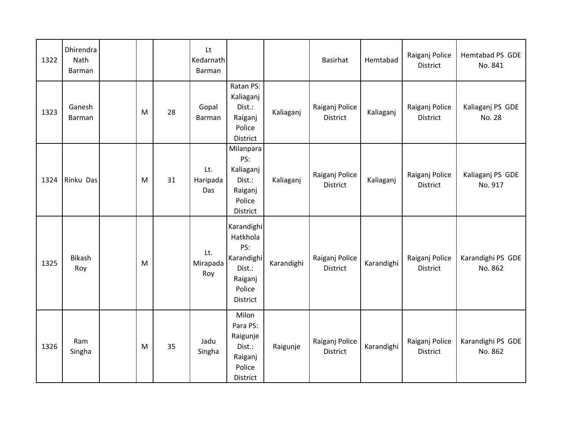| 1322 | Dhirendra<br>Nath<br>Barman |   |    | Lt<br>Kedarnath<br>Barman |                                                                                        |            | Basirhat                          | Hemtabad   | Raiganj Police<br>District        | Hemtabad PS GDE<br>No. 841   |
|------|-----------------------------|---|----|---------------------------|----------------------------------------------------------------------------------------|------------|-----------------------------------|------------|-----------------------------------|------------------------------|
| 1323 | Ganesh<br><b>Barman</b>     | M | 28 | Gopal<br>Barman           | Ratan PS:<br>Kaliaganj<br>Dist.:<br>Raiganj<br>Police<br>District                      | Kaliaganj  | Raiganj Police<br><b>District</b> | Kaliaganj  | Raiganj Police<br>District        | Kaliaganj PS GDE<br>No. 28   |
| 1324 | Rinku Das                   | M | 31 | Lt.<br>Haripada<br>Das    | Milanpara<br>PS:<br>Kaliaganj<br>Dist.:<br>Raiganj<br>Police<br>District               | Kaliaganj  | Raiganj Police<br><b>District</b> | Kaliaganj  | Raiganj Police<br><b>District</b> | Kaliaganj PS GDE<br>No. 917  |
| 1325 | Bikash<br>Roy               | M |    | Lt.<br>Mirapada<br>Roy    | Karandighi<br>Hatkhola<br>PS:<br>Karandighi<br>Dist.:<br>Raiganj<br>Police<br>District | Karandighi | Raiganj Police<br><b>District</b> | Karandighi | Raiganj Police<br><b>District</b> | Karandighi PS GDE<br>No. 862 |
| 1326 | Ram<br>Singha               | M | 35 | Jadu<br>Singha            | Milon<br>Para PS:<br>Raigunje<br>Dist.:<br>Raiganj<br>Police<br>District               | Raigunje   | Raiganj Police<br><b>District</b> | Karandighi | Raiganj Police<br><b>District</b> | Karandighi PS GDE<br>No. 862 |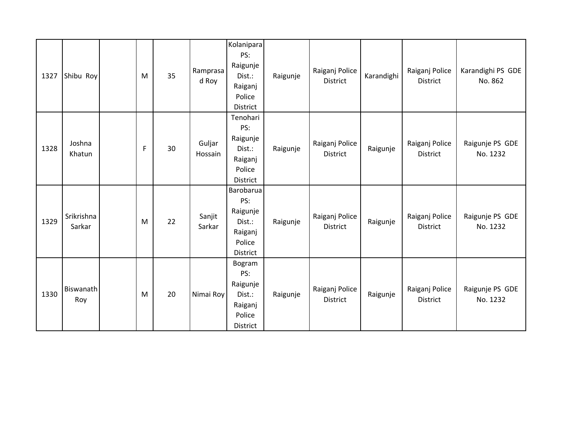| 1327 | Shibu Roy               | M | 35 | Ramprasa<br>d Roy | Kolanipara<br>PS:<br>Raigunje<br>Dist.:<br>Raiganj<br>Police<br>District | Raigunje | Raiganj Police<br><b>District</b> | Karandighi | Raiganj Police<br><b>District</b> | Karandighi PS GDE<br>No. 862 |
|------|-------------------------|---|----|-------------------|--------------------------------------------------------------------------|----------|-----------------------------------|------------|-----------------------------------|------------------------------|
| 1328 | Joshna<br>Khatun        | F | 30 | Guljar<br>Hossain | Tenohari<br>PS:<br>Raigunje<br>Dist.:<br>Raiganj<br>Police<br>District   | Raigunje | Raiganj Police<br><b>District</b> | Raigunje   | Raiganj Police<br><b>District</b> | Raigunje PS GDE<br>No. 1232  |
| 1329 | Srikrishna<br>Sarkar    | M | 22 | Sanjit<br>Sarkar  | Barobarua<br>PS:<br>Raigunje<br>Dist.:<br>Raiganj<br>Police<br>District  | Raigunje | Raiganj Police<br><b>District</b> | Raigunje   | Raiganj Police<br><b>District</b> | Raigunje PS GDE<br>No. 1232  |
| 1330 | <b>Biswanath</b><br>Roy | M | 20 | Nimai Roy         | Bogram<br>PS:<br>Raigunje<br>Dist.:<br>Raiganj<br>Police<br>District     | Raigunje | Raiganj Police<br><b>District</b> | Raigunje   | Raiganj Police<br><b>District</b> | Raigunje PS GDE<br>No. 1232  |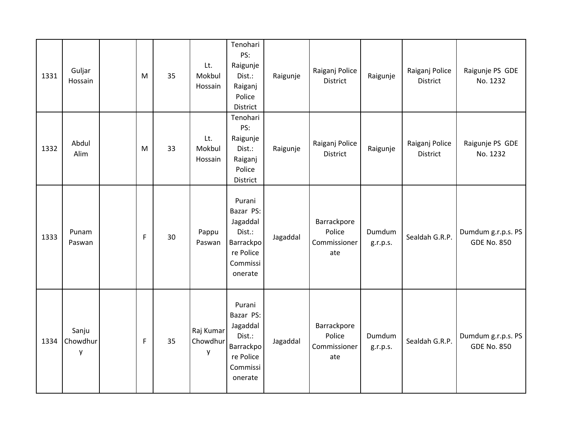| 1331 | Guljar<br>Hossain      | M | 35 | Lt.<br>Mokbul<br>Hossain   | Tenohari<br>PS:<br>Raigunje<br>Dist.:<br>Raiganj<br>Police<br>District                     | Raigunje | Raiganj Police<br>District                   | Raigunje           | Raiganj Police<br><b>District</b> | Raigunje PS GDE<br>No. 1232              |
|------|------------------------|---|----|----------------------------|--------------------------------------------------------------------------------------------|----------|----------------------------------------------|--------------------|-----------------------------------|------------------------------------------|
| 1332 | Abdul<br>Alim          | M | 33 | Lt.<br>Mokbul<br>Hossain   | Tenohari<br>PS:<br>Raigunje<br>Dist.:<br>Raiganj<br>Police<br>District                     | Raigunje | Raiganj Police<br>District                   | Raigunje           | Raiganj Police<br><b>District</b> | Raigunje PS GDE<br>No. 1232              |
| 1333 | Punam<br>Paswan        | F | 30 | Pappu<br>Paswan            | Purani<br>Bazar PS:<br>Jagaddal<br>Dist.:<br>Barrackpo<br>re Police<br>Commissi<br>onerate | Jagaddal | Barrackpore<br>Police<br>Commissioner<br>ate | Dumdum<br>g.r.p.s. | Sealdah G.R.P.                    | Dumdum g.r.p.s. PS<br><b>GDE No. 850</b> |
| 1334 | Sanju<br>Chowdhur<br>y | F | 35 | Raj Kumar<br>Chowdhur<br>y | Purani<br>Bazar PS:<br>Jagaddal<br>Dist.:<br>Barrackpo<br>re Police<br>Commissi<br>onerate | Jagaddal | Barrackpore<br>Police<br>Commissioner<br>ate | Dumdum<br>g.r.p.s. | Sealdah G.R.P.                    | Dumdum g.r.p.s. PS<br><b>GDE No. 850</b> |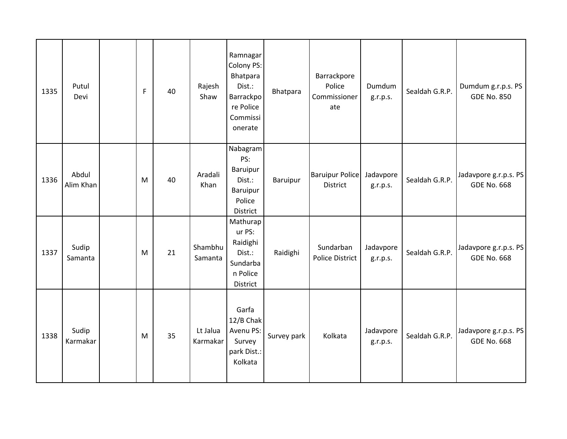| 1335 | Putul<br>Devi      | F | 40 | Rajesh<br>Shaw       | Ramnagar<br>Colony PS:<br>Bhatpara<br>Dist.:<br><b>Barrackpo</b><br>re Police<br>Commissi<br>onerate | Bhatpara    | Barrackpore<br>Police<br>Commissioner<br>ate | Dumdum<br>g.r.p.s.    | Sealdah G.R.P. | Dumdum g.r.p.s. PS<br><b>GDE No. 850</b>    |
|------|--------------------|---|----|----------------------|------------------------------------------------------------------------------------------------------|-------------|----------------------------------------------|-----------------------|----------------|---------------------------------------------|
| 1336 | Abdul<br>Alim Khan | M | 40 | Aradali<br>Khan      | Nabagram<br>PS:<br>Baruipur<br>Dist.:<br>Baruipur<br>Police<br>District                              | Baruipur    | <b>Baruipur Police</b><br><b>District</b>    | Jadavpore<br>g.r.p.s. | Sealdah G.R.P. | Jadavpore g.r.p.s. PS<br><b>GDE No. 668</b> |
| 1337 | Sudip<br>Samanta   | M | 21 | Shambhu<br>Samanta   | Mathurap<br>ur PS:<br>Raidighi<br>Dist.:<br>Sundarba<br>n Police<br>District                         | Raidighi    | Sundarban<br><b>Police District</b>          | Jadavpore<br>g.r.p.s. | Sealdah G.R.P. | Jadavpore g.r.p.s. PS<br><b>GDE No. 668</b> |
| 1338 | Sudip<br>Karmakar  | M | 35 | Lt Jalua<br>Karmakar | Garfa<br>12/B Chak<br>Avenu PS:<br>Survey<br>park Dist.:<br>Kolkata                                  | Survey park | Kolkata                                      | Jadavpore<br>g.r.p.s. | Sealdah G.R.P. | Jadavpore g.r.p.s. PS<br><b>GDE No. 668</b> |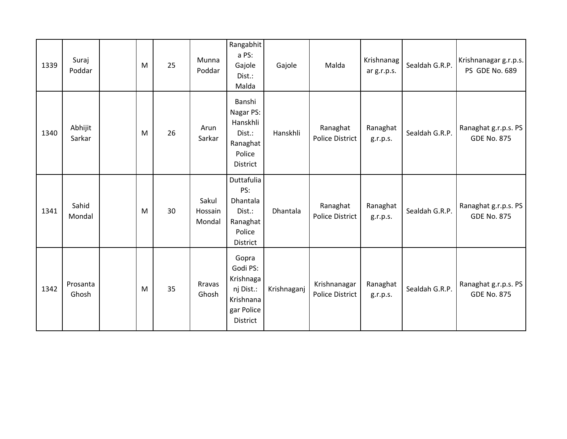| 1339 | Suraj<br>Poddar   | M | 25 | Munna<br>Poddar            | Rangabhit<br>a PS:<br>Gajole<br>Dist.:<br>Malda                                    | Gajole      | Malda                                  | Krishnanag<br>ar g.r.p.s. | Sealdah G.R.P. | Krishnanagar g.r.p.s.<br>PS GDE No. 689    |
|------|-------------------|---|----|----------------------------|------------------------------------------------------------------------------------|-------------|----------------------------------------|---------------------------|----------------|--------------------------------------------|
| 1340 | Abhijit<br>Sarkar | M | 26 | Arun<br>Sarkar             | Banshi<br>Nagar PS:<br>Hanskhli<br>Dist.:<br>Ranaghat<br>Police<br>District        | Hanskhli    | Ranaghat<br><b>Police District</b>     | Ranaghat<br>g.r.p.s.      | Sealdah G.R.P. | Ranaghat g.r.p.s. PS<br><b>GDE No. 875</b> |
| 1341 | Sahid<br>Mondal   | M | 30 | Sakul<br>Hossain<br>Mondal | Duttafulia<br>PS:<br>Dhantala<br>Dist.:<br>Ranaghat<br>Police<br>District          | Dhantala    | Ranaghat<br><b>Police District</b>     | Ranaghat<br>g.r.p.s.      | Sealdah G.R.P. | Ranaghat g.r.p.s. PS<br><b>GDE No. 875</b> |
| 1342 | Prosanta<br>Ghosh | M | 35 | Rravas<br>Ghosh            | Gopra<br>Godi PS:<br>Krishnaga<br>nj Dist.:<br>Krishnana<br>gar Police<br>District | Krishnaganj | Krishnanagar<br><b>Police District</b> | Ranaghat<br>g.r.p.s.      | Sealdah G.R.P. | Ranaghat g.r.p.s. PS<br><b>GDE No. 875</b> |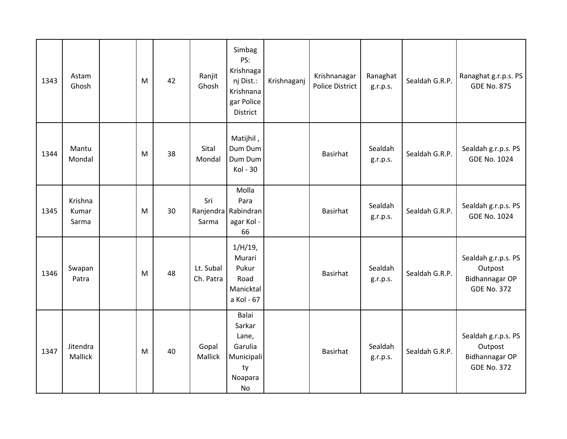| 1343 | Astam<br>Ghosh            | M | 42 | Ranjit<br>Ghosh        | Simbag<br>PS:<br>Krishnaga<br>nj Dist.:<br>Krishnana<br>gar Police<br>District | Krishnaganj | Krishnanagar<br><b>Police District</b> | Ranaghat<br>g.r.p.s. | Sealdah G.R.P. | Ranaghat g.r.p.s. PS<br><b>GDE No. 875</b>                             |
|------|---------------------------|---|----|------------------------|--------------------------------------------------------------------------------|-------------|----------------------------------------|----------------------|----------------|------------------------------------------------------------------------|
| 1344 | Mantu<br>Mondal           | M | 38 | Sital<br>Mondal        | Matijhil,<br>Dum Dum<br>Dum Dum<br>Kol - 30                                    |             | Basirhat                               | Sealdah<br>g.r.p.s.  | Sealdah G.R.P. | Sealdah g.r.p.s. PS<br><b>GDE No. 1024</b>                             |
| 1345 | Krishna<br>Kumar<br>Sarma | M | 30 | Sri<br>Sarma           | Molla<br>Para<br>Ranjendra Rabindran<br>agar Kol -<br>66                       |             | <b>Basirhat</b>                        | Sealdah<br>g.r.p.s.  | Sealdah G.R.P. | Sealdah g.r.p.s. PS<br><b>GDE No. 1024</b>                             |
| 1346 | Swapan<br>Patra           | M | 48 | Lt. Subal<br>Ch. Patra | $1/H/19$ ,<br>Murari<br>Pukur<br>Road<br>Manicktal<br>a Kol - 67               |             | Basirhat                               | Sealdah<br>g.r.p.s.  | Sealdah G.R.P. | Sealdah g.r.p.s. PS<br>Outpost<br>Bidhannagar OP<br><b>GDE No. 372</b> |
| 1347 | Jitendra<br>Mallick       | M | 40 | Gopal<br>Mallick       | Balai<br>Sarkar<br>Lane,<br>Garulia<br>Municipali<br>ty<br>Noapara<br>No       |             | <b>Basirhat</b>                        | Sealdah<br>g.r.p.s.  | Sealdah G.R.P. | Sealdah g.r.p.s. PS<br>Outpost<br>Bidhannagar OP<br><b>GDE No. 372</b> |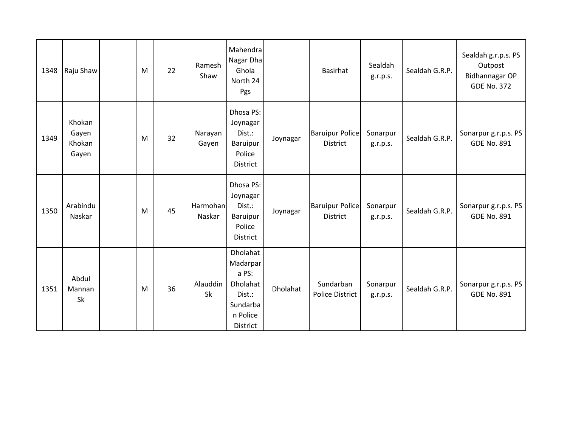| 1348 | Raju Shaw                          | M | 22 | Ramesh<br>Shaw     | Mahendra<br>Nagar Dha<br>Ghola<br>North 24<br>Pgs                                       |          | Basirhat                                  | Sealdah<br>g.r.p.s.  | Sealdah G.R.P. | Sealdah g.r.p.s. PS<br>Outpost<br>Bidhannagar OP<br><b>GDE No. 372</b> |
|------|------------------------------------|---|----|--------------------|-----------------------------------------------------------------------------------------|----------|-------------------------------------------|----------------------|----------------|------------------------------------------------------------------------|
| 1349 | Khokan<br>Gayen<br>Khokan<br>Gayen | M | 32 | Narayan<br>Gayen   | Dhosa PS:<br>Joynagar<br>Dist.:<br>Baruipur<br>Police<br>District                       | Joynagar | <b>Baruipur Police</b><br>District        | Sonarpur<br>g.r.p.s. | Sealdah G.R.P. | Sonarpur g.r.p.s. PS<br><b>GDE No. 891</b>                             |
| 1350 | Arabindu<br>Naskar                 | M | 45 | Harmohan<br>Naskar | Dhosa PS:<br>Joynagar<br>Dist.:<br>Baruipur<br>Police<br>District                       | Joynagar | <b>Baruipur Police</b><br><b>District</b> | Sonarpur<br>g.r.p.s. | Sealdah G.R.P. | Sonarpur g.r.p.s. PS<br><b>GDE No. 891</b>                             |
| 1351 | Abdul<br>Mannan<br><b>Sk</b>       | M | 36 | Alauddin<br>Sk     | Dholahat<br>Madarpar<br>a PS:<br>Dholahat<br>Dist.:<br>Sundarba<br>n Police<br>District | Dholahat | Sundarban<br><b>Police District</b>       | Sonarpur<br>g.r.p.s. | Sealdah G.R.P. | Sonarpur g.r.p.s. PS<br><b>GDE No. 891</b>                             |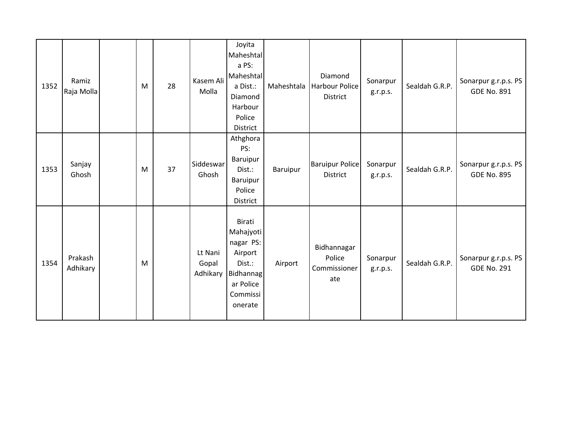| 1352 | Ramiz<br>Raja Molla | M | 28 | Kasem Ali<br>Molla           | Joyita<br>Maheshtal<br>a PS:<br>Maheshtal<br>a Dist.:<br>Diamond<br>Harbour<br>Police<br>District             | Maheshtala | Diamond<br>Harbour Police<br><b>District</b> | Sonarpur<br>g.r.p.s. | Sealdah G.R.P. | Sonarpur g.r.p.s. PS<br><b>GDE No. 891</b> |
|------|---------------------|---|----|------------------------------|---------------------------------------------------------------------------------------------------------------|------------|----------------------------------------------|----------------------|----------------|--------------------------------------------|
| 1353 | Sanjay<br>Ghosh     | M | 37 | Siddeswar<br>Ghosh           | Athghora<br>PS:<br>Baruipur<br>Dist.:<br>Baruipur<br>Police<br>District                                       | Baruipur   | <b>Baruipur Police</b><br>District           | Sonarpur<br>g.r.p.s. | Sealdah G.R.P. | Sonarpur g.r.p.s. PS<br><b>GDE No. 895</b> |
| 1354 | Prakash<br>Adhikary | M |    | Lt Nani<br>Gopal<br>Adhikary | Birati<br>Mahajyoti<br>nagar PS:<br>Airport<br>Dist.:<br><b>Bidhannag</b><br>ar Police<br>Commissi<br>onerate | Airport    | Bidhannagar<br>Police<br>Commissioner<br>ate | Sonarpur<br>g.r.p.s. | Sealdah G.R.P. | Sonarpur g.r.p.s. PS<br><b>GDE No. 291</b> |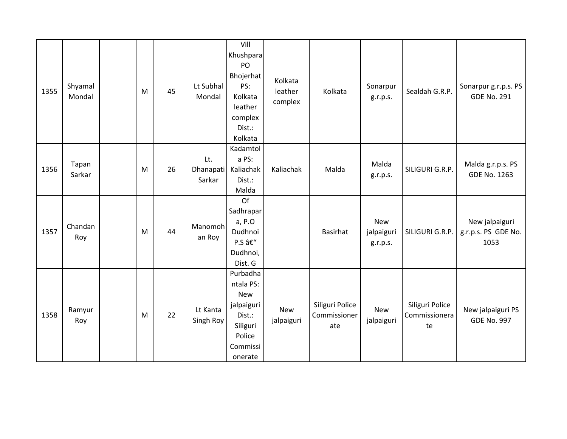| 1355 | Shyamal<br>Mondal | M | 45 | Lt Subhal<br>Mondal        | Vill<br>Khushpara<br>PO<br>Bhojerhat<br>PS:<br>Kolkata<br>leather<br>complex<br>Dist.:<br>Kolkata        | Kolkata<br>leather<br>complex | Kolkata                                | Sonarpur<br>g.r.p.s.                 | Sealdah G.R.P.                         | Sonarpur g.r.p.s. PS<br><b>GDE No. 291</b>    |
|------|-------------------|---|----|----------------------------|----------------------------------------------------------------------------------------------------------|-------------------------------|----------------------------------------|--------------------------------------|----------------------------------------|-----------------------------------------------|
| 1356 | Tapan<br>Sarkar   | M | 26 | Lt.<br>Dhanapati<br>Sarkar | Kadamtol<br>a PS:<br>Kaliachak<br>Dist.:<br>Malda                                                        | Kaliachak                     | Malda                                  | Malda<br>g.r.p.s.                    | SILIGURI G.R.P.                        | Malda g.r.p.s. PS<br><b>GDE No. 1263</b>      |
| 1357 | Chandan<br>Roy    | M | 44 | Manomoh<br>an Roy          | Of<br>Sadhrapar<br>a, P.O<br>Dudhnoi<br>P.S –<br>Dudhnoi,<br>Dist. G                                     |                               | Basirhat                               | <b>New</b><br>jalpaiguri<br>g.r.p.s. | SILIGURI G.R.P.                        | New jalpaiguri<br>g.r.p.s. PS GDE No.<br>1053 |
| 1358 | Ramyur<br>Roy     | M | 22 | Lt Kanta<br>Singh Roy      | Purbadha<br>ntala PS:<br><b>New</b><br>jalpaiguri<br>Dist.:<br>Siliguri<br>Police<br>Commissi<br>onerate | New<br>jalpaiguri             | Siliguri Police<br>Commissioner<br>ate | <b>New</b><br>jalpaiguri             | Siliguri Police<br>Commissionera<br>te | New jalpaiguri PS<br><b>GDE No. 997</b>       |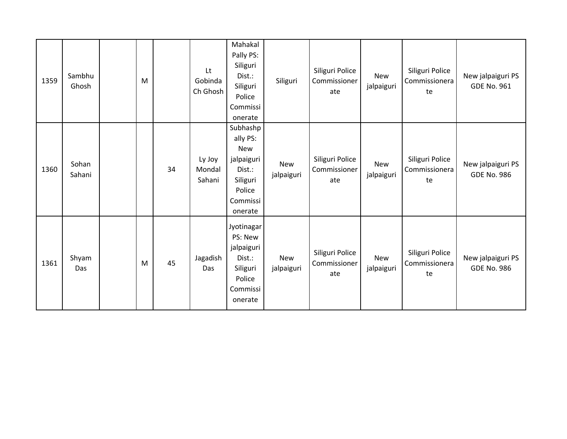| 1359 | Sambhu<br>Ghosh | M |    | Lt<br>Gobinda<br>Ch Ghosh  | Mahakal<br>Pally PS:<br>Siliguri<br>Dist.:<br>Siliguri<br>Police<br>Commissi<br>onerate                 | Siliguri                 | Siliguri Police<br>Commissioner<br>ate | <b>New</b><br>jalpaiguri | Siliguri Police<br>Commissionera<br>te | New jalpaiguri PS<br><b>GDE No. 961</b> |
|------|-----------------|---|----|----------------------------|---------------------------------------------------------------------------------------------------------|--------------------------|----------------------------------------|--------------------------|----------------------------------------|-----------------------------------------|
| 1360 | Sohan<br>Sahani |   | 34 | Ly Joy<br>Mondal<br>Sahani | Subhashp<br>ally PS:<br><b>New</b><br>jalpaiguri<br>Dist.:<br>Siliguri<br>Police<br>Commissi<br>onerate | <b>New</b><br>jalpaiguri | Siliguri Police<br>Commissioner<br>ate | <b>New</b><br>jalpaiguri | Siliguri Police<br>Commissionera<br>te | New jalpaiguri PS<br><b>GDE No. 986</b> |
| 1361 | Shyam<br>Das    | M | 45 | Jagadish<br>Das            | Jyotinagar<br>PS: New<br>jalpaiguri<br>Dist.:<br>Siliguri<br>Police<br>Commissi<br>onerate              | <b>New</b><br>jalpaiguri | Siliguri Police<br>Commissioner<br>ate | <b>New</b><br>jalpaiguri | Siliguri Police<br>Commissionera<br>te | New jalpaiguri PS<br><b>GDE No. 986</b> |